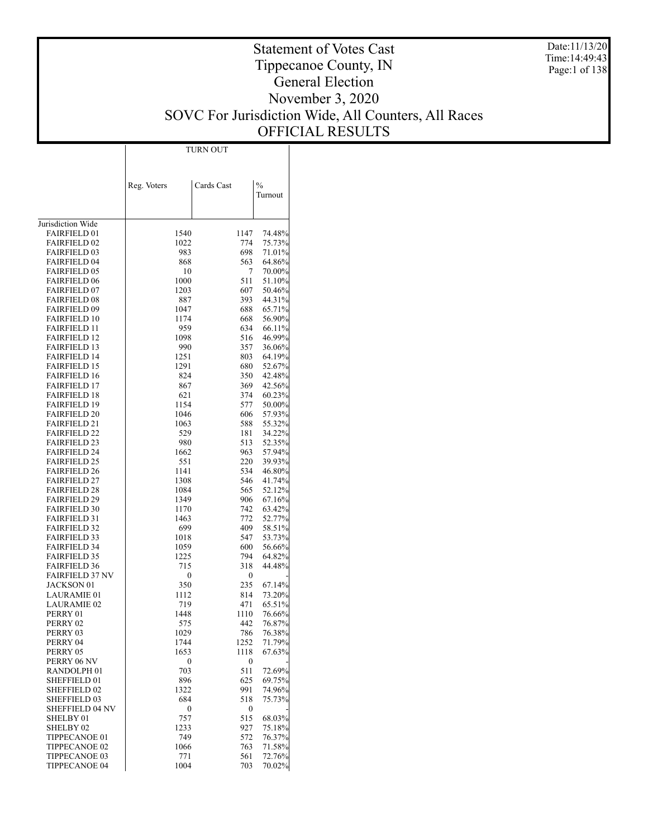Date:11/13/20 Time:14:49:43 Page:1 of 138

### Statement of Votes Cast Tippecanoe County, IN General Election November 3, 2020 SOVC For Jurisdiction Wide, All Counters, All Races OFFICIAL RESULTS

| $\frac{0}{0}$<br>Reg. Voters<br>Cards Cast<br>Turnout<br>Jurisdiction Wide<br><b>FAIRFIELD 01</b><br>1540<br>1147<br>74.48%<br><b>FAIRFIELD 02</b><br>1022<br>774<br>75.73%<br><b>FAIRFIELD 03</b><br>698<br>71.01%<br>983<br>563<br><b>FAIRFIELD 04</b><br>868<br>64.86%<br><b>FAIRFIELD 05</b><br>70.00%<br>10<br>7<br>511<br><b>FAIRFIELD 06</b><br>1000<br>51.10%<br><b>FAIRFIELD 07</b><br>1203<br>607<br>50.46%<br><b>FAIRFIELD 08</b><br>887<br>393<br>44.31%<br><b>FAIRFIELD 09</b><br>688<br>65.71%<br>1047<br><b>FAIRFIELD 10</b><br>1174<br>668<br>56.90%<br><b>FAIRFIELD 11</b><br>959<br>634<br>66.11%<br><b>FAIRFIELD 12</b><br>1098<br>516<br>46.99%<br><b>FAIRFIELD 13</b><br>990<br>357<br>36.06%<br><b>FAIRFIELD 14</b><br>1251<br>803<br>64.19%<br><b>FAIRFIELD 15</b><br>1291<br>680<br>52.67%<br><b>FAIRFIELD 16</b><br>824<br>350<br>42.48%<br><b>FAIRFIELD 17</b><br>867<br>369<br>42.56%<br><b>FAIRFIELD 18</b><br>621<br>374<br>60.23%<br><b>FAIRFIELD 19</b><br>1154<br>577<br>50.00%<br><b>FAIRFIELD 20</b><br>1046<br>606<br>57.93%<br><b>FAIRFIELD 21</b><br>1063<br>588<br>55.32%<br><b>FAIRFIELD 22</b><br>529<br>181<br>34.22%<br><b>FAIRFIELD 23</b><br>513<br>52.35%<br>980<br>963<br><b>FAIRFIELD 24</b><br>1662<br>57.94%<br><b>FAIRFIELD 25</b><br>551<br>220<br>39.93%<br><b>FAIRFIELD 26</b><br>1141<br>534<br>46.80%<br><b>FAIRFIELD 27</b><br>1308<br>546<br>41.74%<br><b>FAIRFIELD 28</b><br>1084<br>565<br>52.12%<br><b>FAIRFIELD 29</b><br>1349<br>906<br>67.16%<br><b>FAIRFIELD 30</b><br>742<br>63.42%<br>1170<br><b>FAIRFIELD 31</b><br>772<br>52.77%<br>1463<br><b>FAIRFIELD 32</b><br>699<br>409<br>58.51%<br><b>FAIRFIELD 33</b><br>1018<br>547<br>53.73%<br><b>FAIRFIELD 34</b><br>1059<br>600<br>56.66%<br><b>FAIRFIELD 35</b><br>1225<br>794<br>64.82%<br><b>FAIRFIELD 36</b><br>715<br>318<br>44.48%<br><b>FAIRFIELD 37 NV</b><br>0<br>0<br><b>JACKSON 01</b><br>350<br>235<br>67.14%<br><b>LAURAMIE 01</b><br>1112<br>814<br>73.20%<br><b>LAURAMIE 02</b><br>719<br>471<br>65.51%<br>76.66%<br>PERRY 01<br>1448<br>1110<br>76.87%<br>PERRY 02<br>575<br>442<br>76.38%<br>PERRY 03<br>1029<br>786<br>1252<br>71.79%<br>PERRY 04<br>1744<br>PERRY 05<br>1653<br>1118<br>67.63%<br>PERRY 06 NV<br>0<br>$\bf{0}$<br>511<br>RANDOLPH <sub>01</sub><br>703<br>72.69%<br>896<br>625<br>SHEFFIELD 01<br>69.75%<br><b>SHEFFIELD 02</b><br>1322<br>991<br>74.96%<br>684<br><b>SHEFFIELD 03</b><br>518<br>75.73%<br><b>SHEFFIELD 04 NV</b><br>0<br>0<br>515<br>SHELBY 01<br>757<br>68.03%<br>SHELBY 02<br>1233<br>927<br>75.18%<br>749<br>572<br>76.37%<br>TIPPECANOE 01<br>763<br>71.58%<br>TIPPECANOE 02<br>1066<br>561<br>72.76%<br>TIPPECANOE 03<br>771<br>1004<br><b>TIPPECANOE 04</b><br>703<br>70.02% |  | TURN OUT |  |
|----------------------------------------------------------------------------------------------------------------------------------------------------------------------------------------------------------------------------------------------------------------------------------------------------------------------------------------------------------------------------------------------------------------------------------------------------------------------------------------------------------------------------------------------------------------------------------------------------------------------------------------------------------------------------------------------------------------------------------------------------------------------------------------------------------------------------------------------------------------------------------------------------------------------------------------------------------------------------------------------------------------------------------------------------------------------------------------------------------------------------------------------------------------------------------------------------------------------------------------------------------------------------------------------------------------------------------------------------------------------------------------------------------------------------------------------------------------------------------------------------------------------------------------------------------------------------------------------------------------------------------------------------------------------------------------------------------------------------------------------------------------------------------------------------------------------------------------------------------------------------------------------------------------------------------------------------------------------------------------------------------------------------------------------------------------------------------------------------------------------------------------------------------------------------------------------------------------------------------------------------------------------------------------------------------------------------------------------------------------------------------------------------------------------------------------------------------------------------------------------------------------------------------------------------------------------------------------------------------------------------------------------------------------------------------------------------------------------------------------------------------|--|----------|--|
|                                                                                                                                                                                                                                                                                                                                                                                                                                                                                                                                                                                                                                                                                                                                                                                                                                                                                                                                                                                                                                                                                                                                                                                                                                                                                                                                                                                                                                                                                                                                                                                                                                                                                                                                                                                                                                                                                                                                                                                                                                                                                                                                                                                                                                                                                                                                                                                                                                                                                                                                                                                                                                                                                                                                                          |  |          |  |
|                                                                                                                                                                                                                                                                                                                                                                                                                                                                                                                                                                                                                                                                                                                                                                                                                                                                                                                                                                                                                                                                                                                                                                                                                                                                                                                                                                                                                                                                                                                                                                                                                                                                                                                                                                                                                                                                                                                                                                                                                                                                                                                                                                                                                                                                                                                                                                                                                                                                                                                                                                                                                                                                                                                                                          |  |          |  |
|                                                                                                                                                                                                                                                                                                                                                                                                                                                                                                                                                                                                                                                                                                                                                                                                                                                                                                                                                                                                                                                                                                                                                                                                                                                                                                                                                                                                                                                                                                                                                                                                                                                                                                                                                                                                                                                                                                                                                                                                                                                                                                                                                                                                                                                                                                                                                                                                                                                                                                                                                                                                                                                                                                                                                          |  |          |  |
|                                                                                                                                                                                                                                                                                                                                                                                                                                                                                                                                                                                                                                                                                                                                                                                                                                                                                                                                                                                                                                                                                                                                                                                                                                                                                                                                                                                                                                                                                                                                                                                                                                                                                                                                                                                                                                                                                                                                                                                                                                                                                                                                                                                                                                                                                                                                                                                                                                                                                                                                                                                                                                                                                                                                                          |  |          |  |
|                                                                                                                                                                                                                                                                                                                                                                                                                                                                                                                                                                                                                                                                                                                                                                                                                                                                                                                                                                                                                                                                                                                                                                                                                                                                                                                                                                                                                                                                                                                                                                                                                                                                                                                                                                                                                                                                                                                                                                                                                                                                                                                                                                                                                                                                                                                                                                                                                                                                                                                                                                                                                                                                                                                                                          |  |          |  |
|                                                                                                                                                                                                                                                                                                                                                                                                                                                                                                                                                                                                                                                                                                                                                                                                                                                                                                                                                                                                                                                                                                                                                                                                                                                                                                                                                                                                                                                                                                                                                                                                                                                                                                                                                                                                                                                                                                                                                                                                                                                                                                                                                                                                                                                                                                                                                                                                                                                                                                                                                                                                                                                                                                                                                          |  |          |  |
|                                                                                                                                                                                                                                                                                                                                                                                                                                                                                                                                                                                                                                                                                                                                                                                                                                                                                                                                                                                                                                                                                                                                                                                                                                                                                                                                                                                                                                                                                                                                                                                                                                                                                                                                                                                                                                                                                                                                                                                                                                                                                                                                                                                                                                                                                                                                                                                                                                                                                                                                                                                                                                                                                                                                                          |  |          |  |
|                                                                                                                                                                                                                                                                                                                                                                                                                                                                                                                                                                                                                                                                                                                                                                                                                                                                                                                                                                                                                                                                                                                                                                                                                                                                                                                                                                                                                                                                                                                                                                                                                                                                                                                                                                                                                                                                                                                                                                                                                                                                                                                                                                                                                                                                                                                                                                                                                                                                                                                                                                                                                                                                                                                                                          |  |          |  |
|                                                                                                                                                                                                                                                                                                                                                                                                                                                                                                                                                                                                                                                                                                                                                                                                                                                                                                                                                                                                                                                                                                                                                                                                                                                                                                                                                                                                                                                                                                                                                                                                                                                                                                                                                                                                                                                                                                                                                                                                                                                                                                                                                                                                                                                                                                                                                                                                                                                                                                                                                                                                                                                                                                                                                          |  |          |  |
|                                                                                                                                                                                                                                                                                                                                                                                                                                                                                                                                                                                                                                                                                                                                                                                                                                                                                                                                                                                                                                                                                                                                                                                                                                                                                                                                                                                                                                                                                                                                                                                                                                                                                                                                                                                                                                                                                                                                                                                                                                                                                                                                                                                                                                                                                                                                                                                                                                                                                                                                                                                                                                                                                                                                                          |  |          |  |
|                                                                                                                                                                                                                                                                                                                                                                                                                                                                                                                                                                                                                                                                                                                                                                                                                                                                                                                                                                                                                                                                                                                                                                                                                                                                                                                                                                                                                                                                                                                                                                                                                                                                                                                                                                                                                                                                                                                                                                                                                                                                                                                                                                                                                                                                                                                                                                                                                                                                                                                                                                                                                                                                                                                                                          |  |          |  |
|                                                                                                                                                                                                                                                                                                                                                                                                                                                                                                                                                                                                                                                                                                                                                                                                                                                                                                                                                                                                                                                                                                                                                                                                                                                                                                                                                                                                                                                                                                                                                                                                                                                                                                                                                                                                                                                                                                                                                                                                                                                                                                                                                                                                                                                                                                                                                                                                                                                                                                                                                                                                                                                                                                                                                          |  |          |  |
|                                                                                                                                                                                                                                                                                                                                                                                                                                                                                                                                                                                                                                                                                                                                                                                                                                                                                                                                                                                                                                                                                                                                                                                                                                                                                                                                                                                                                                                                                                                                                                                                                                                                                                                                                                                                                                                                                                                                                                                                                                                                                                                                                                                                                                                                                                                                                                                                                                                                                                                                                                                                                                                                                                                                                          |  |          |  |
|                                                                                                                                                                                                                                                                                                                                                                                                                                                                                                                                                                                                                                                                                                                                                                                                                                                                                                                                                                                                                                                                                                                                                                                                                                                                                                                                                                                                                                                                                                                                                                                                                                                                                                                                                                                                                                                                                                                                                                                                                                                                                                                                                                                                                                                                                                                                                                                                                                                                                                                                                                                                                                                                                                                                                          |  |          |  |
|                                                                                                                                                                                                                                                                                                                                                                                                                                                                                                                                                                                                                                                                                                                                                                                                                                                                                                                                                                                                                                                                                                                                                                                                                                                                                                                                                                                                                                                                                                                                                                                                                                                                                                                                                                                                                                                                                                                                                                                                                                                                                                                                                                                                                                                                                                                                                                                                                                                                                                                                                                                                                                                                                                                                                          |  |          |  |
|                                                                                                                                                                                                                                                                                                                                                                                                                                                                                                                                                                                                                                                                                                                                                                                                                                                                                                                                                                                                                                                                                                                                                                                                                                                                                                                                                                                                                                                                                                                                                                                                                                                                                                                                                                                                                                                                                                                                                                                                                                                                                                                                                                                                                                                                                                                                                                                                                                                                                                                                                                                                                                                                                                                                                          |  |          |  |
|                                                                                                                                                                                                                                                                                                                                                                                                                                                                                                                                                                                                                                                                                                                                                                                                                                                                                                                                                                                                                                                                                                                                                                                                                                                                                                                                                                                                                                                                                                                                                                                                                                                                                                                                                                                                                                                                                                                                                                                                                                                                                                                                                                                                                                                                                                                                                                                                                                                                                                                                                                                                                                                                                                                                                          |  |          |  |
|                                                                                                                                                                                                                                                                                                                                                                                                                                                                                                                                                                                                                                                                                                                                                                                                                                                                                                                                                                                                                                                                                                                                                                                                                                                                                                                                                                                                                                                                                                                                                                                                                                                                                                                                                                                                                                                                                                                                                                                                                                                                                                                                                                                                                                                                                                                                                                                                                                                                                                                                                                                                                                                                                                                                                          |  |          |  |
|                                                                                                                                                                                                                                                                                                                                                                                                                                                                                                                                                                                                                                                                                                                                                                                                                                                                                                                                                                                                                                                                                                                                                                                                                                                                                                                                                                                                                                                                                                                                                                                                                                                                                                                                                                                                                                                                                                                                                                                                                                                                                                                                                                                                                                                                                                                                                                                                                                                                                                                                                                                                                                                                                                                                                          |  |          |  |
|                                                                                                                                                                                                                                                                                                                                                                                                                                                                                                                                                                                                                                                                                                                                                                                                                                                                                                                                                                                                                                                                                                                                                                                                                                                                                                                                                                                                                                                                                                                                                                                                                                                                                                                                                                                                                                                                                                                                                                                                                                                                                                                                                                                                                                                                                                                                                                                                                                                                                                                                                                                                                                                                                                                                                          |  |          |  |
|                                                                                                                                                                                                                                                                                                                                                                                                                                                                                                                                                                                                                                                                                                                                                                                                                                                                                                                                                                                                                                                                                                                                                                                                                                                                                                                                                                                                                                                                                                                                                                                                                                                                                                                                                                                                                                                                                                                                                                                                                                                                                                                                                                                                                                                                                                                                                                                                                                                                                                                                                                                                                                                                                                                                                          |  |          |  |
|                                                                                                                                                                                                                                                                                                                                                                                                                                                                                                                                                                                                                                                                                                                                                                                                                                                                                                                                                                                                                                                                                                                                                                                                                                                                                                                                                                                                                                                                                                                                                                                                                                                                                                                                                                                                                                                                                                                                                                                                                                                                                                                                                                                                                                                                                                                                                                                                                                                                                                                                                                                                                                                                                                                                                          |  |          |  |
|                                                                                                                                                                                                                                                                                                                                                                                                                                                                                                                                                                                                                                                                                                                                                                                                                                                                                                                                                                                                                                                                                                                                                                                                                                                                                                                                                                                                                                                                                                                                                                                                                                                                                                                                                                                                                                                                                                                                                                                                                                                                                                                                                                                                                                                                                                                                                                                                                                                                                                                                                                                                                                                                                                                                                          |  |          |  |
|                                                                                                                                                                                                                                                                                                                                                                                                                                                                                                                                                                                                                                                                                                                                                                                                                                                                                                                                                                                                                                                                                                                                                                                                                                                                                                                                                                                                                                                                                                                                                                                                                                                                                                                                                                                                                                                                                                                                                                                                                                                                                                                                                                                                                                                                                                                                                                                                                                                                                                                                                                                                                                                                                                                                                          |  |          |  |
|                                                                                                                                                                                                                                                                                                                                                                                                                                                                                                                                                                                                                                                                                                                                                                                                                                                                                                                                                                                                                                                                                                                                                                                                                                                                                                                                                                                                                                                                                                                                                                                                                                                                                                                                                                                                                                                                                                                                                                                                                                                                                                                                                                                                                                                                                                                                                                                                                                                                                                                                                                                                                                                                                                                                                          |  |          |  |
|                                                                                                                                                                                                                                                                                                                                                                                                                                                                                                                                                                                                                                                                                                                                                                                                                                                                                                                                                                                                                                                                                                                                                                                                                                                                                                                                                                                                                                                                                                                                                                                                                                                                                                                                                                                                                                                                                                                                                                                                                                                                                                                                                                                                                                                                                                                                                                                                                                                                                                                                                                                                                                                                                                                                                          |  |          |  |
|                                                                                                                                                                                                                                                                                                                                                                                                                                                                                                                                                                                                                                                                                                                                                                                                                                                                                                                                                                                                                                                                                                                                                                                                                                                                                                                                                                                                                                                                                                                                                                                                                                                                                                                                                                                                                                                                                                                                                                                                                                                                                                                                                                                                                                                                                                                                                                                                                                                                                                                                                                                                                                                                                                                                                          |  |          |  |
|                                                                                                                                                                                                                                                                                                                                                                                                                                                                                                                                                                                                                                                                                                                                                                                                                                                                                                                                                                                                                                                                                                                                                                                                                                                                                                                                                                                                                                                                                                                                                                                                                                                                                                                                                                                                                                                                                                                                                                                                                                                                                                                                                                                                                                                                                                                                                                                                                                                                                                                                                                                                                                                                                                                                                          |  |          |  |
|                                                                                                                                                                                                                                                                                                                                                                                                                                                                                                                                                                                                                                                                                                                                                                                                                                                                                                                                                                                                                                                                                                                                                                                                                                                                                                                                                                                                                                                                                                                                                                                                                                                                                                                                                                                                                                                                                                                                                                                                                                                                                                                                                                                                                                                                                                                                                                                                                                                                                                                                                                                                                                                                                                                                                          |  |          |  |
|                                                                                                                                                                                                                                                                                                                                                                                                                                                                                                                                                                                                                                                                                                                                                                                                                                                                                                                                                                                                                                                                                                                                                                                                                                                                                                                                                                                                                                                                                                                                                                                                                                                                                                                                                                                                                                                                                                                                                                                                                                                                                                                                                                                                                                                                                                                                                                                                                                                                                                                                                                                                                                                                                                                                                          |  |          |  |
|                                                                                                                                                                                                                                                                                                                                                                                                                                                                                                                                                                                                                                                                                                                                                                                                                                                                                                                                                                                                                                                                                                                                                                                                                                                                                                                                                                                                                                                                                                                                                                                                                                                                                                                                                                                                                                                                                                                                                                                                                                                                                                                                                                                                                                                                                                                                                                                                                                                                                                                                                                                                                                                                                                                                                          |  |          |  |
|                                                                                                                                                                                                                                                                                                                                                                                                                                                                                                                                                                                                                                                                                                                                                                                                                                                                                                                                                                                                                                                                                                                                                                                                                                                                                                                                                                                                                                                                                                                                                                                                                                                                                                                                                                                                                                                                                                                                                                                                                                                                                                                                                                                                                                                                                                                                                                                                                                                                                                                                                                                                                                                                                                                                                          |  |          |  |
|                                                                                                                                                                                                                                                                                                                                                                                                                                                                                                                                                                                                                                                                                                                                                                                                                                                                                                                                                                                                                                                                                                                                                                                                                                                                                                                                                                                                                                                                                                                                                                                                                                                                                                                                                                                                                                                                                                                                                                                                                                                                                                                                                                                                                                                                                                                                                                                                                                                                                                                                                                                                                                                                                                                                                          |  |          |  |
|                                                                                                                                                                                                                                                                                                                                                                                                                                                                                                                                                                                                                                                                                                                                                                                                                                                                                                                                                                                                                                                                                                                                                                                                                                                                                                                                                                                                                                                                                                                                                                                                                                                                                                                                                                                                                                                                                                                                                                                                                                                                                                                                                                                                                                                                                                                                                                                                                                                                                                                                                                                                                                                                                                                                                          |  |          |  |
|                                                                                                                                                                                                                                                                                                                                                                                                                                                                                                                                                                                                                                                                                                                                                                                                                                                                                                                                                                                                                                                                                                                                                                                                                                                                                                                                                                                                                                                                                                                                                                                                                                                                                                                                                                                                                                                                                                                                                                                                                                                                                                                                                                                                                                                                                                                                                                                                                                                                                                                                                                                                                                                                                                                                                          |  |          |  |
|                                                                                                                                                                                                                                                                                                                                                                                                                                                                                                                                                                                                                                                                                                                                                                                                                                                                                                                                                                                                                                                                                                                                                                                                                                                                                                                                                                                                                                                                                                                                                                                                                                                                                                                                                                                                                                                                                                                                                                                                                                                                                                                                                                                                                                                                                                                                                                                                                                                                                                                                                                                                                                                                                                                                                          |  |          |  |
|                                                                                                                                                                                                                                                                                                                                                                                                                                                                                                                                                                                                                                                                                                                                                                                                                                                                                                                                                                                                                                                                                                                                                                                                                                                                                                                                                                                                                                                                                                                                                                                                                                                                                                                                                                                                                                                                                                                                                                                                                                                                                                                                                                                                                                                                                                                                                                                                                                                                                                                                                                                                                                                                                                                                                          |  |          |  |
|                                                                                                                                                                                                                                                                                                                                                                                                                                                                                                                                                                                                                                                                                                                                                                                                                                                                                                                                                                                                                                                                                                                                                                                                                                                                                                                                                                                                                                                                                                                                                                                                                                                                                                                                                                                                                                                                                                                                                                                                                                                                                                                                                                                                                                                                                                                                                                                                                                                                                                                                                                                                                                                                                                                                                          |  |          |  |
|                                                                                                                                                                                                                                                                                                                                                                                                                                                                                                                                                                                                                                                                                                                                                                                                                                                                                                                                                                                                                                                                                                                                                                                                                                                                                                                                                                                                                                                                                                                                                                                                                                                                                                                                                                                                                                                                                                                                                                                                                                                                                                                                                                                                                                                                                                                                                                                                                                                                                                                                                                                                                                                                                                                                                          |  |          |  |
|                                                                                                                                                                                                                                                                                                                                                                                                                                                                                                                                                                                                                                                                                                                                                                                                                                                                                                                                                                                                                                                                                                                                                                                                                                                                                                                                                                                                                                                                                                                                                                                                                                                                                                                                                                                                                                                                                                                                                                                                                                                                                                                                                                                                                                                                                                                                                                                                                                                                                                                                                                                                                                                                                                                                                          |  |          |  |
|                                                                                                                                                                                                                                                                                                                                                                                                                                                                                                                                                                                                                                                                                                                                                                                                                                                                                                                                                                                                                                                                                                                                                                                                                                                                                                                                                                                                                                                                                                                                                                                                                                                                                                                                                                                                                                                                                                                                                                                                                                                                                                                                                                                                                                                                                                                                                                                                                                                                                                                                                                                                                                                                                                                                                          |  |          |  |
|                                                                                                                                                                                                                                                                                                                                                                                                                                                                                                                                                                                                                                                                                                                                                                                                                                                                                                                                                                                                                                                                                                                                                                                                                                                                                                                                                                                                                                                                                                                                                                                                                                                                                                                                                                                                                                                                                                                                                                                                                                                                                                                                                                                                                                                                                                                                                                                                                                                                                                                                                                                                                                                                                                                                                          |  |          |  |
|                                                                                                                                                                                                                                                                                                                                                                                                                                                                                                                                                                                                                                                                                                                                                                                                                                                                                                                                                                                                                                                                                                                                                                                                                                                                                                                                                                                                                                                                                                                                                                                                                                                                                                                                                                                                                                                                                                                                                                                                                                                                                                                                                                                                                                                                                                                                                                                                                                                                                                                                                                                                                                                                                                                                                          |  |          |  |
|                                                                                                                                                                                                                                                                                                                                                                                                                                                                                                                                                                                                                                                                                                                                                                                                                                                                                                                                                                                                                                                                                                                                                                                                                                                                                                                                                                                                                                                                                                                                                                                                                                                                                                                                                                                                                                                                                                                                                                                                                                                                                                                                                                                                                                                                                                                                                                                                                                                                                                                                                                                                                                                                                                                                                          |  |          |  |
|                                                                                                                                                                                                                                                                                                                                                                                                                                                                                                                                                                                                                                                                                                                                                                                                                                                                                                                                                                                                                                                                                                                                                                                                                                                                                                                                                                                                                                                                                                                                                                                                                                                                                                                                                                                                                                                                                                                                                                                                                                                                                                                                                                                                                                                                                                                                                                                                                                                                                                                                                                                                                                                                                                                                                          |  |          |  |
|                                                                                                                                                                                                                                                                                                                                                                                                                                                                                                                                                                                                                                                                                                                                                                                                                                                                                                                                                                                                                                                                                                                                                                                                                                                                                                                                                                                                                                                                                                                                                                                                                                                                                                                                                                                                                                                                                                                                                                                                                                                                                                                                                                                                                                                                                                                                                                                                                                                                                                                                                                                                                                                                                                                                                          |  |          |  |
|                                                                                                                                                                                                                                                                                                                                                                                                                                                                                                                                                                                                                                                                                                                                                                                                                                                                                                                                                                                                                                                                                                                                                                                                                                                                                                                                                                                                                                                                                                                                                                                                                                                                                                                                                                                                                                                                                                                                                                                                                                                                                                                                                                                                                                                                                                                                                                                                                                                                                                                                                                                                                                                                                                                                                          |  |          |  |
|                                                                                                                                                                                                                                                                                                                                                                                                                                                                                                                                                                                                                                                                                                                                                                                                                                                                                                                                                                                                                                                                                                                                                                                                                                                                                                                                                                                                                                                                                                                                                                                                                                                                                                                                                                                                                                                                                                                                                                                                                                                                                                                                                                                                                                                                                                                                                                                                                                                                                                                                                                                                                                                                                                                                                          |  |          |  |
|                                                                                                                                                                                                                                                                                                                                                                                                                                                                                                                                                                                                                                                                                                                                                                                                                                                                                                                                                                                                                                                                                                                                                                                                                                                                                                                                                                                                                                                                                                                                                                                                                                                                                                                                                                                                                                                                                                                                                                                                                                                                                                                                                                                                                                                                                                                                                                                                                                                                                                                                                                                                                                                                                                                                                          |  |          |  |
|                                                                                                                                                                                                                                                                                                                                                                                                                                                                                                                                                                                                                                                                                                                                                                                                                                                                                                                                                                                                                                                                                                                                                                                                                                                                                                                                                                                                                                                                                                                                                                                                                                                                                                                                                                                                                                                                                                                                                                                                                                                                                                                                                                                                                                                                                                                                                                                                                                                                                                                                                                                                                                                                                                                                                          |  |          |  |
|                                                                                                                                                                                                                                                                                                                                                                                                                                                                                                                                                                                                                                                                                                                                                                                                                                                                                                                                                                                                                                                                                                                                                                                                                                                                                                                                                                                                                                                                                                                                                                                                                                                                                                                                                                                                                                                                                                                                                                                                                                                                                                                                                                                                                                                                                                                                                                                                                                                                                                                                                                                                                                                                                                                                                          |  |          |  |
|                                                                                                                                                                                                                                                                                                                                                                                                                                                                                                                                                                                                                                                                                                                                                                                                                                                                                                                                                                                                                                                                                                                                                                                                                                                                                                                                                                                                                                                                                                                                                                                                                                                                                                                                                                                                                                                                                                                                                                                                                                                                                                                                                                                                                                                                                                                                                                                                                                                                                                                                                                                                                                                                                                                                                          |  |          |  |
|                                                                                                                                                                                                                                                                                                                                                                                                                                                                                                                                                                                                                                                                                                                                                                                                                                                                                                                                                                                                                                                                                                                                                                                                                                                                                                                                                                                                                                                                                                                                                                                                                                                                                                                                                                                                                                                                                                                                                                                                                                                                                                                                                                                                                                                                                                                                                                                                                                                                                                                                                                                                                                                                                                                                                          |  |          |  |
|                                                                                                                                                                                                                                                                                                                                                                                                                                                                                                                                                                                                                                                                                                                                                                                                                                                                                                                                                                                                                                                                                                                                                                                                                                                                                                                                                                                                                                                                                                                                                                                                                                                                                                                                                                                                                                                                                                                                                                                                                                                                                                                                                                                                                                                                                                                                                                                                                                                                                                                                                                                                                                                                                                                                                          |  |          |  |
|                                                                                                                                                                                                                                                                                                                                                                                                                                                                                                                                                                                                                                                                                                                                                                                                                                                                                                                                                                                                                                                                                                                                                                                                                                                                                                                                                                                                                                                                                                                                                                                                                                                                                                                                                                                                                                                                                                                                                                                                                                                                                                                                                                                                                                                                                                                                                                                                                                                                                                                                                                                                                                                                                                                                                          |  |          |  |
|                                                                                                                                                                                                                                                                                                                                                                                                                                                                                                                                                                                                                                                                                                                                                                                                                                                                                                                                                                                                                                                                                                                                                                                                                                                                                                                                                                                                                                                                                                                                                                                                                                                                                                                                                                                                                                                                                                                                                                                                                                                                                                                                                                                                                                                                                                                                                                                                                                                                                                                                                                                                                                                                                                                                                          |  |          |  |
|                                                                                                                                                                                                                                                                                                                                                                                                                                                                                                                                                                                                                                                                                                                                                                                                                                                                                                                                                                                                                                                                                                                                                                                                                                                                                                                                                                                                                                                                                                                                                                                                                                                                                                                                                                                                                                                                                                                                                                                                                                                                                                                                                                                                                                                                                                                                                                                                                                                                                                                                                                                                                                                                                                                                                          |  |          |  |
|                                                                                                                                                                                                                                                                                                                                                                                                                                                                                                                                                                                                                                                                                                                                                                                                                                                                                                                                                                                                                                                                                                                                                                                                                                                                                                                                                                                                                                                                                                                                                                                                                                                                                                                                                                                                                                                                                                                                                                                                                                                                                                                                                                                                                                                                                                                                                                                                                                                                                                                                                                                                                                                                                                                                                          |  |          |  |
|                                                                                                                                                                                                                                                                                                                                                                                                                                                                                                                                                                                                                                                                                                                                                                                                                                                                                                                                                                                                                                                                                                                                                                                                                                                                                                                                                                                                                                                                                                                                                                                                                                                                                                                                                                                                                                                                                                                                                                                                                                                                                                                                                                                                                                                                                                                                                                                                                                                                                                                                                                                                                                                                                                                                                          |  |          |  |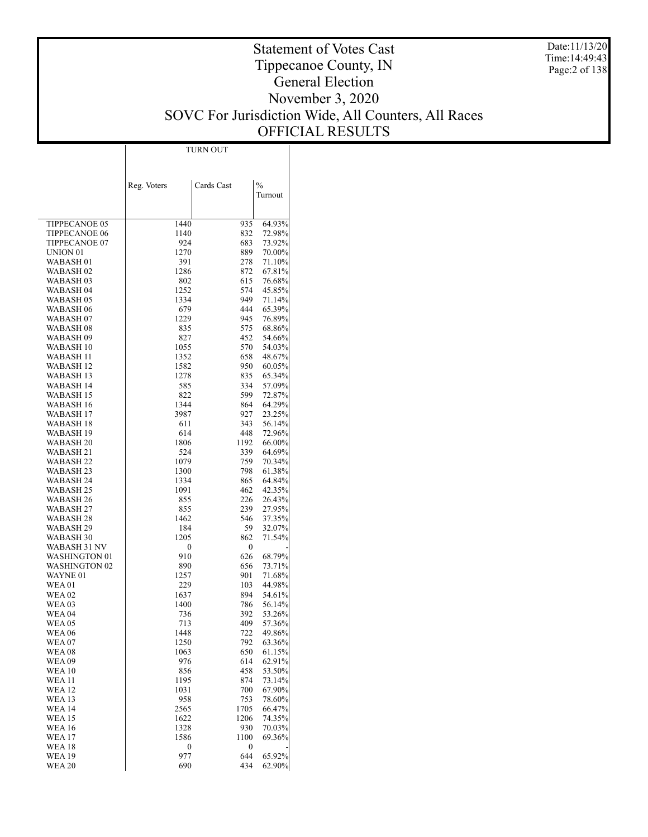Date:11/13/20 Time:14:49:43 Page:2 of 138

### Statement of Votes Cast Tippecanoe County, IN General Election November 3, 2020 SOVC For Jurisdiction Wide, All Counters, All Races OFFICIAL RESULTS

|                                  |             | <b>TURN OUT</b> |                  |
|----------------------------------|-------------|-----------------|------------------|
|                                  |             |                 |                  |
|                                  |             |                 |                  |
|                                  |             |                 |                  |
|                                  | Reg. Voters | Cards Cast      | $\frac{0}{0}$    |
|                                  |             |                 | Turnout          |
|                                  |             |                 |                  |
|                                  |             |                 |                  |
| TIPPECANOE 05<br>TIPPECANOE 06   | 1440        | 935<br>832      | 64.93%           |
| TIPPECANOE 07                    | 1140<br>924 | 683             | 72.98%<br>73.92% |
| UNION 01                         | 1270        | 889             | 70.00%           |
| WABASH <sub>01</sub>             | 391         | 278             | 71.10%           |
| WABASH 02                        | 1286        | 872             | 67.81%           |
| WABASH 03                        | 802         | 615             | 76.68%           |
| WABASH 04                        | 1252        | 574             | 45.85%           |
| WABASH 05                        | 1334        | 949             | 71.14%           |
| WABASH 06                        | 679         | 444             | 65.39%           |
| WABASH 07                        | 1229        | 945             | 76.89%           |
| WABASH 08                        | 835         | 575             | 68.86%           |
| WABASH 09                        | 827         | 452             | 54.66%           |
| WABASH 10                        | 1055        | 570             | 54.03%           |
| WABASH 11                        | 1352        | 658             | 48.67%           |
| WABASH 12                        | 1582        | 950             | 60.05%           |
| WABASH 13                        | 1278        | 835             | 65.34%           |
| WABASH 14                        | 585         | 334             | 57.09%           |
| WABASH 15                        | 822<br>1344 | 599<br>864      | 72.87%           |
| WABASH 16<br>WABASH 17           | 3987        | 927             | 64.29%<br>23.25% |
| WABASH 18                        | 611         | 343             | 56.14%           |
| WABASH 19                        | 614         | 448             | 72.96%           |
| WABASH 20                        | 1806        | 1192            | 66.00%           |
| WABASH 21                        | 524         | 339             | 64.69%           |
| WABASH 22                        | 1079        | 759             | 70.34%           |
| WABASH 23                        | 1300        | 798             | 61.38%           |
| WABASH 24                        | 1334        | 865             | 64.84%           |
| WABASH 25                        | 1091        | 462             | 42.35%           |
| WABASH 26                        | 855         | 226             | 26.43%           |
| WABASH 27                        | 855         | 239             | 27.95%           |
| WABASH 28                        | 1462        | 546             | 37.35%           |
| WABASH 29                        | 184         | 59              | 32.07%           |
| WABASH 30                        | 1205        | 862             | 71.54%           |
| WABASH 31 NV                     | 0           | 0               |                  |
| WASHINGTON 01                    | 910         | 626             | 68.79%           |
| <b>WASHINGTON 02</b><br>WAYNE 01 | 890<br>1257 | 656<br>901      | 73.71%           |
| <b>WEA01</b>                     | 229         | 103             | 71.68%<br>44.98% |
| WEA 02                           | 1637        | 894             | 54.61%           |
| WEA 03                           | 1400        | 786             | 56.14%           |
| WEA 04                           | 736         | 392             | 53.26%           |
| <b>WEA05</b>                     | 713         | 409             | 57.36%           |
| WEA 06                           | 1448        | 722             | 49.86%           |
| WEA 07                           | 1250        | 792             | 63.36%           |
| <b>WEA08</b>                     | 1063        | 650             | 61.15%           |
| <b>WEA09</b>                     | 976         | 614             | 62.91%           |
| <b>WEA 10</b>                    | 856         | 458             | 53.50%           |
| WEA 11                           | 1195        | 874             | 73.14%           |
| <b>WEA 12</b>                    | 1031        | 700             | 67.90%           |
| <b>WEA13</b>                     | 958         | 753             | 78.60%           |
| <b>WEA 14</b>                    | 2565        | 1705            | 66.47%           |
| WEA 15                           | 1622        | 1206            | 74.35%           |
| <b>WEA16</b>                     | 1328        | 930             | 70.03%           |
| <b>WEA17</b>                     | 1586        | 1100            | 69.36%           |
| <b>WEA 18</b>                    | 0<br>977    | 0<br>644        | 65.92%           |
| WEA 19<br>WEA 20                 | 690         | 434             | 62.90%           |
|                                  |             |                 |                  |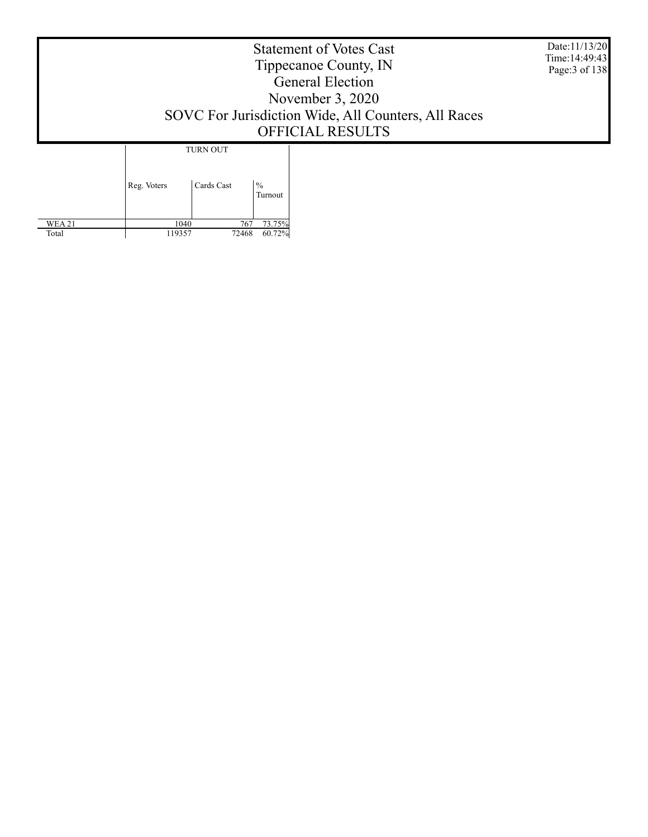Statement of Votes Cast Tippecanoe County, IN General Election November 3, 2020 SOVC For Jurisdiction Wide, All Counters, All Races OFFICIAL RESULTS Date:11/13/20 Time:14:49:43 Page:3 of 138 Reg. Voters | Cards Cast  $% \alpha$   $\alpha$   $\beta$ TURN OUT

> 1040 767 73.75% 119357 72468 60.72%

 WEA 21 Total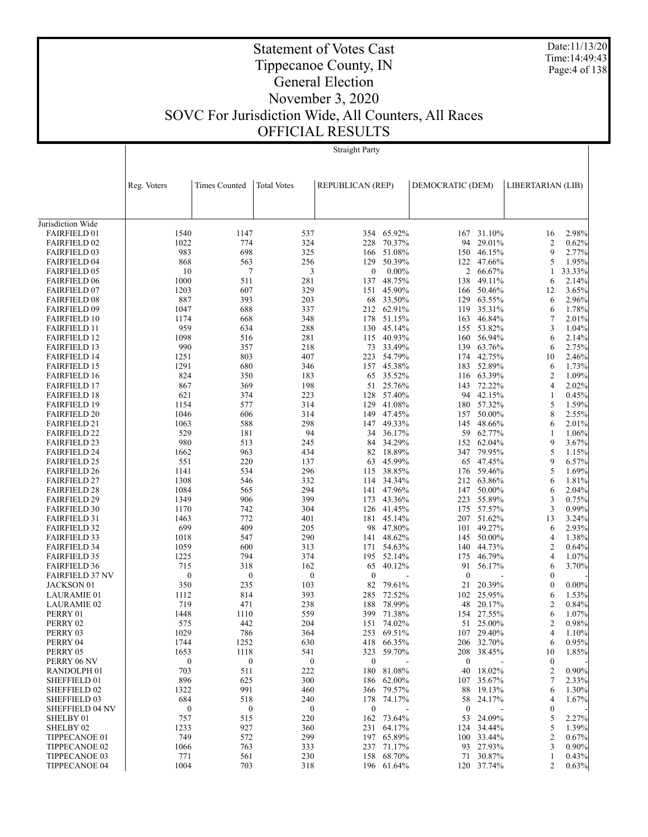Date:11/13/20 Time:14:49:43 Page:4 of 138

# Tippecanoe County, IN General Election

Statement of Votes Cast

### November 3, 2020 SOVC For Jurisdiction Wide, All Counters, All Races OFFICIAL RESULTS

 $\overline{\phantom{a}}$ 

Straight Party

|                                            | Reg. Voters      | <b>Times Counted</b> | <b>Total Votes</b> | <b>REPUBLICAN (REP)</b> |                          | DEMOCRATIC (DEM) |                  | LIBERTARIAN (LIB) |                |
|--------------------------------------------|------------------|----------------------|--------------------|-------------------------|--------------------------|------------------|------------------|-------------------|----------------|
|                                            |                  |                      |                    |                         |                          |                  |                  |                   |                |
| Jurisdiction Wide                          |                  |                      |                    |                         |                          |                  |                  |                   |                |
| <b>FAIRFIELD 01</b>                        | 1540             | 1147                 | 537                |                         | 354 65.92%               |                  | 167 31.10%       | 16                | 2.98%          |
| <b>FAIRFIELD 02</b>                        | 1022             | 774                  | 324                | 228                     | 70.37%                   | 94               | 29.01%           | 2                 | 0.62%          |
| <b>FAIRFIELD 03</b>                        | 983              | 698                  | 325                |                         | 166 51.08%               | 150              | 46.15%           | 9                 | 2.77%          |
| <b>FAIRFIELD 04</b>                        | 868              | 563                  | 256                | 129                     | 50.39%                   | 122              | 47.66%           | 5                 | 1.95%          |
| <b>FAIRFIELD 05</b>                        | 10               | 7                    | 3                  | $\boldsymbol{0}$        | $0.00\%$                 | 2                | 66.67%           | 1                 | 33.33%         |
| <b>FAIRFIELD 06</b>                        | 1000             | 511                  | 281                | 137                     | 48.75%                   | 138              | 49.11%           | 6                 | 2.14%          |
| <b>FAIRFIELD 07</b>                        | 1203             | 607                  | 329                |                         | 151 45.90%               | 166              | 50.46%           | 12                | 3.65%          |
| <b>FAIRFIELD 08</b>                        | 887              | 393                  | 203                |                         | 68 33.50%                | 129              | 63.55%           | 6                 | 2.96%          |
| <b>FAIRFIELD 09</b>                        | 1047             | 688                  | 337                |                         | 212 62.91%               | 119              | 35.31%           | 6                 | 1.78%          |
| <b>FAIRFIELD 10</b>                        | 1174             | 668                  | 348                |                         | 178 51.15%               | 163              | 46.84%           | 7                 | 2.01%          |
| <b>FAIRFIELD 11</b><br><b>FAIRFIELD 12</b> | 959<br>1098      | 634<br>516           | 288<br>281         | 130                     | 45.14%<br>115 40.93%     | 155<br>160       | 53.82%<br>56.94% | 3<br>6            | 1.04%<br>2.14% |
| <b>FAIRFIELD 13</b>                        | 990              | 357                  | 218                |                         | 73 33.49%                | 139              | 63.76%           | 6                 | 2.75%          |
| <b>FAIRFIELD 14</b>                        | 1251             | 803                  | 407                |                         | 223 54.79%               | 174              | 42.75%           | 10                | 2.46%          |
| <b>FAIRFIELD 15</b>                        | 1291             | 680                  | 346                |                         | 157 45.38%               | 183              | 52.89%           | 6                 | 1.73%          |
| <b>FAIRFIELD 16</b>                        | 824              | 350                  | 183                |                         | 65 35.52%                |                  | 116 63.39%       | 2                 | 1.09%          |
| <b>FAIRFIELD 17</b>                        | 867              | 369                  | 198                |                         | 51 25.76%                | 143              | 72.22%           | 4                 | 2.02%          |
| <b>FAIRFIELD 18</b>                        | 621              | 374                  | 223                |                         | 128 57.40%               |                  | 94 42.15%        | 1                 | 0.45%          |
| <b>FAIRFIELD 19</b>                        | 1154             | 577                  | 314                | 129                     | 41.08%                   | 180              | 57.32%           | 5                 | 1.59%          |
| <b>FAIRFIELD 20</b>                        | 1046             | 606                  | 314                |                         | 149 47.45%               | 157              | 50.00%           | 8                 | 2.55%          |
| <b>FAIRFIELD 21</b>                        | 1063             | 588                  | 298                | 147                     | 49.33%                   | 145              | 48.66%           | 6                 | 2.01%          |
| <b>FAIRFIELD 22</b>                        | 529              | 181                  | 94                 |                         | 34 36.17%                | 59               | 62.77%           | 1                 | 1.06%          |
| <b>FAIRFIELD 23</b>                        | 980              | 513                  | 245                | 84                      | 34.29%                   | 152              | 62.04%           | 9                 | 3.67%          |
| <b>FAIRFIELD 24</b>                        | 1662             | 963                  | 434                |                         | 82 18.89%                |                  | 347 79.95%       | 5                 | 1.15%          |
| <b>FAIRFIELD 25</b>                        | 551              | 220                  | 137                | 63                      | 45.99%                   | 65               | 47.45%           | 9                 | 6.57%          |
| <b>FAIRFIELD 26</b>                        | 1141             | 534                  | 296                |                         | 115 38.85%               | 176              | 59.46%           | 5                 | 1.69%          |
| <b>FAIRFIELD 27</b>                        | 1308             | 546                  | 332                |                         | 114 34.34%               | 212              | 63.86%           | 6                 | 1.81%          |
| <b>FAIRFIELD 28</b>                        | 1084             | 565                  | 294                |                         | 141 47.96%               | 147              | 50.00%           | 6                 | 2.04%          |
| <b>FAIRFIELD 29</b>                        | 1349             | 906                  | 399                | 173                     | 43.36%                   | 223              | 55.89%           | 3                 | 0.75%          |
| <b>FAIRFIELD 30</b>                        | 1170<br>1463     | 742<br>772           | 304<br>401         |                         | 126 41.45%<br>181 45.14% | 175<br>207       | 57.57%<br>51.62% | 3<br>13           | 0.99%<br>3.24% |
| <b>FAIRFIELD 31</b><br><b>FAIRFIELD 32</b> | 699              | 409                  | 205                |                         | 98 47.80%                |                  | 101 49.27%       | 6                 | 2.93%          |
| <b>FAIRFIELD 33</b>                        | 1018             | 547                  | 290                |                         | 141 48.62%               | 145              | 50.00%           | 4                 | 1.38%          |
| <b>FAIRFIELD 34</b>                        | 1059             | 600                  | 313                |                         | 171 54.63%               | 140              | 44.73%           | 2                 | 0.64%          |
| <b>FAIRFIELD 35</b>                        | 1225             | 794                  | 374                | 195                     | 52.14%                   | 175              | 46.79%           | 4                 | 1.07%          |
| <b>FAIRFIELD 36</b>                        | 715              | 318                  | 162                | 65                      | 40.12%                   | 91               | 56.17%           | 6                 | 3.70%          |
| <b>FAIRFIELD 37 NV</b>                     | $\boldsymbol{0}$ | $\boldsymbol{0}$     | $\boldsymbol{0}$   | $\mathbf{0}$            |                          | $\mathbf{0}$     |                  | $\mathbf{0}$      |                |
| JACKSON 01                                 | 350              | 235                  | 103                | 82                      | 79.61%                   | 21               | 20.39%           | $\boldsymbol{0}$  | $0.00\%$       |
| <b>LAURAMIE 01</b>                         | 1112             | 814                  | 393                | 285                     | 72.52%                   | 102              | 25.95%           | 6                 | 1.53%          |
| <b>LAURAMIE 02</b>                         | 719              | 471                  | 238                | 188                     | 78.99%                   | 48               | 20.17%           | 2                 | 0.84%          |
| PERRY 01                                   | 1448             | 1110                 | 559                | 399                     | 71.38%                   | 154              | 27.55%           | 6                 | 1.07%          |
| PERRY 02                                   | 575              | 442                  | 204                |                         | 151 74.02%               |                  | 51 25.00%        | $\overline{c}$    | 0.98%          |
| PERRY 03                                   | 1029             | 786                  | 364                |                         | 253 69.51%               |                  | 107 29.40%       | 4                 | 1.10%          |
| PERRY 04                                   | 1744             | 1252                 | 630                |                         | 418 66.35%               |                  | 206 32.70%       | 6                 | 0.95%          |
| PERRY 05                                   | 1653             | 1118                 | 541                | 323                     | 59.70%                   | 208              | 38.45%           | 10                | 1.85%          |
| PERRY 06 NV                                | $\boldsymbol{0}$ | $\boldsymbol{0}$     | $\boldsymbol{0}$   | $\boldsymbol{0}$        |                          | $\boldsymbol{0}$ |                  | $\boldsymbol{0}$  |                |
| RANDOLPH <sub>01</sub>                     | 703              | 511                  | 222                | 180                     | 81.08%                   | 40               | 18.02%           | 2                 | 0.90%          |
| SHEFFIELD 01                               | 896              | 625                  | 300                |                         | 186 62.00%               |                  | 107 35.67%       | 7                 | 2.33%          |
| SHEFFIELD 02<br>SHEFFIELD 03               | 1322<br>684      | 991<br>518           | 460<br>240         |                         | 366 79.57%<br>178 74.17% | 88<br>58         | 19.13%<br>24.17% | 6<br>4            | 1.30%<br>1.67% |
| <b>SHEFFIELD 04 NV</b>                     | $\bf{0}$         | $\bf{0}$             | $\boldsymbol{0}$   | $\boldsymbol{0}$        |                          | $\boldsymbol{0}$ |                  | $\boldsymbol{0}$  |                |
| SHELBY 01                                  | 757              | 515                  | 220                |                         | 162 73.64%               | 53               | 24.09%           | 5                 | 2.27%          |
| SHELBY 02                                  | 1233             | 927                  | 360                |                         | 231 64.17%               | 124              | 34.44%           | 5                 | 1.39%          |
| TIPPECANOE 01                              | 749              | 572                  | 299                |                         | 197 65.89%               |                  | 100 33.44%       | 2                 | 0.67%          |
| <b>TIPPECANOE 02</b>                       | 1066             | 763                  | 333                | 237                     | 71.17%                   | 93               | 27.93%           | 3                 | $0.90\%$       |
| TIPPECANOE 03                              | 771              | 561                  | 230                |                         | 158 68.70%               |                  | 71 30.87%        | 1                 | 0.43%          |
| TIPPECANOE 04                              | 1004             | 703                  | 318                |                         | 196 61.64%               |                  | 120 37.74%       | 2                 | 0.63%          |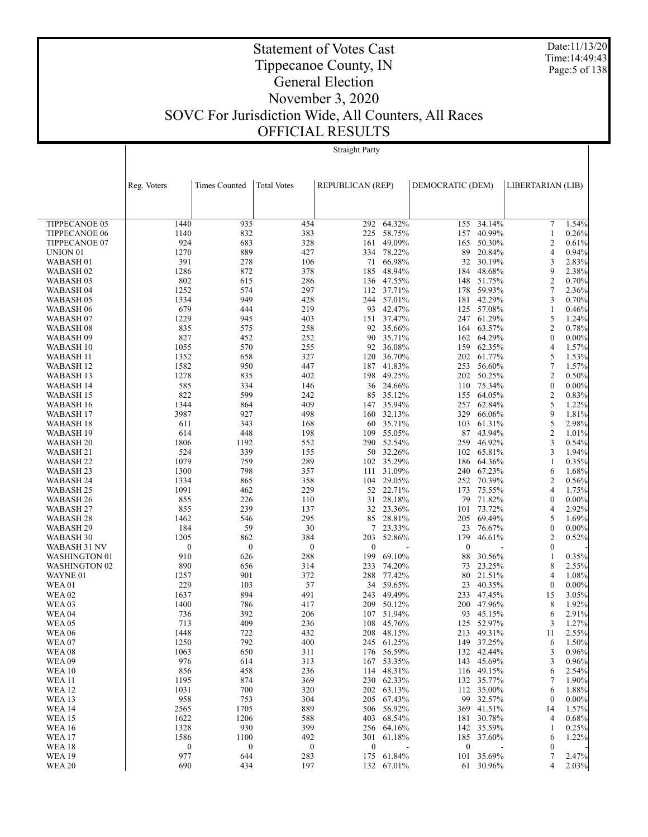Date:11/13/20 Time:14:49:43 Page:5 of 138

## Tippecanoe County, IN General Election November 3, 2020 SOVC For Jurisdiction Wide, All Counters, All Races OFFICIAL RESULTS

Statement of Votes Cast

Straight Party

|                                    | Reg. Voters  | <b>Times Counted</b>                 | <b>Total Votes</b> | <b>REPUBLICAN (REP)</b> |                      | DEMOCRATIC (DEM) |                      | LIBERTARIAN (LIB)                  |                   |
|------------------------------------|--------------|--------------------------------------|--------------------|-------------------------|----------------------|------------------|----------------------|------------------------------------|-------------------|
|                                    |              |                                      |                    |                         |                      |                  |                      |                                    |                   |
|                                    |              |                                      |                    |                         |                      |                  |                      |                                    |                   |
| <b>TIPPECANOE 05</b>               | 1440         | 935                                  | 454                | 292                     | 64.32%               | 155              | 34.14%               | 7                                  | 1.54%             |
| <b>TIPPECANOE 06</b>               | 1140         | 832                                  | 383                | 225                     | 58.75%               | 157              | 40.99%               | 1                                  | 0.26%             |
| TIPPECANOE 07                      | 924          | 683                                  | 328                | 161                     | 49.09%               | 165              | 50.30%               | 2                                  | 0.61%             |
| UNION <sub>01</sub>                | 1270         | 889                                  | 427                |                         | 334 78.22%           | 89               | 20.84%               | 4                                  | 0.94%             |
| WABASH <sub>01</sub>               | 391          | 278                                  | 106                | 71                      | 66.98%               | 32               | 30.19%               | 3                                  | 2.83%             |
| WABASH 02                          | 1286         | 872                                  | 378                | 185                     | 48.94%               |                  | 184 48.68%           | 9                                  | 2.38%             |
| WABASH <sub>03</sub>               | 802          | 615                                  | 286                |                         | 136 47.55%           | 148              | 51.75%<br>59.93%     | $\overline{c}$<br>$\tau$           | 0.70%             |
| WABASH 04<br>WABASH 05             | 1252<br>1334 | 574<br>949                           | 297<br>428         | 244                     | 112 37.71%<br>57.01% | 178<br>181       | 42.29%               | 3                                  | 2.36%<br>0.70%    |
| WABASH 06                          | 679          | 444                                  | 219                |                         | 93 42.47%            |                  | 125 57.08%           | 1                                  | 0.46%             |
| WABASH 07                          | 1229         | 945                                  | 403                | 151                     | 37.47%               |                  | 247 61.29%           | 5                                  | 1.24%             |
| <b>WABASH08</b>                    | 835          | 575                                  | 258                |                         | 92 35.66%            |                  | 164 63.57%           | $\overline{c}$                     | 0.78%             |
| WABASH 09                          | 827          | 452                                  | 252                | 90                      | 35.71%               | 162              | 64.29%               | $\boldsymbol{0}$                   | $0.00\%$          |
| WABASH 10                          | 1055         | 570                                  | 255                | 92                      | 36.08%               | 159              | 62.35%               | 4                                  | 1.57%             |
| WABASH 11                          | 1352         | 658                                  | 327                | 120                     | 36.70%               |                  | 202 61.77%           | 5                                  | 1.53%             |
| WABASH 12                          | 1582         | 950                                  | 447                |                         | 187 41.83%           | 253              | 56.60%               | $\tau$                             | 1.57%             |
| WABASH 13                          | 1278         | 835                                  | 402                | 198                     | 49.25%               | 202              | 50.25%               | $\overline{2}$                     | 0.50%             |
| WABASH 14                          | 585<br>822   | 334<br>599                           | 146                |                         | 36 24.66%<br>35.12%  |                  | 110 75.34%           | $\boldsymbol{0}$<br>$\overline{c}$ | $0.00\%$          |
| WABASH 15<br>WABASH 16             | 1344         | 864                                  | 242<br>409         | 85                      | 147 35.94%           | 155              | 64.05%<br>257 62.84% | 5                                  | 0.83%<br>1.22%    |
| WABASH 17                          | 3987         | 927                                  | 498                |                         | 160 32.13%           | 329              | 66.06%               | 9                                  | 1.81%             |
| WABASH 18                          | 611          | 343                                  | 168                |                         | 60 35.71%            | 103              | 61.31%               | 5                                  | 2.98%             |
| WABASH 19                          | 614          | 448                                  | 198                | 109                     | 55.05%               | 87               | 43.94%               | $\overline{c}$                     | 1.01%             |
| WABASH 20                          | 1806         | 1192                                 | 552                |                         | 290 52.54%           | 259              | 46.92%               | 3                                  | 0.54%             |
| WABASH 21                          | 524          | 339                                  | 155                |                         | 50 32.26%            | 102              | 65.81%               | 3                                  | 1.94%             |
| WABASH <sub>22</sub>               | 1079         | 759                                  | 289                |                         | 102 35.29%           |                  | 186 64.36%           | 1                                  | 0.35%             |
| WABASH 23                          | 1300         | 798                                  | 357                | 111                     | 31.09%               |                  | 240 67.23%           | 6                                  | 1.68%             |
| WABASH 24                          | 1334         | 865                                  | 358                |                         | 104 29.05%           | 252              | 70.39%               | 2                                  | 0.56%             |
| WABASH 25                          | 1091         | 462                                  | 229                | 52                      | 22.71%               | 173              | 75.55%               | 4                                  | 1.75%             |
| WABASH 26<br>WABASH 27             | 855<br>855   | 226<br>239                           | 110<br>137         | 31<br>32                | 28.18%<br>23.36%     | 79<br>101        | 71.82%<br>73.72%     | $\boldsymbol{0}$<br>4              | $0.00\%$<br>2.92% |
| WABASH 28                          | 1462         | 546                                  | 295                | 85                      | 28.81%               | 205              | 69.49%               | 5                                  | 1.69%             |
| WABASH 29                          | 184          | 59                                   | 30                 | 7                       | 23.33%               | 23               | 76.67%               | $\boldsymbol{0}$                   | $0.00\%$          |
| WABASH 30                          | 1205         | 862                                  | 384                | 203                     | 52.86%               | 179              | 46.61%               | $\overline{c}$                     | 0.52%             |
| WABASH 31 NV                       |              | $\boldsymbol{0}$<br>$\boldsymbol{0}$ | $\boldsymbol{0}$   | $\boldsymbol{0}$        |                      | $\mathbf{0}$     |                      | $\boldsymbol{0}$                   |                   |
| WASHINGTON 01                      | 910          | 626                                  | 288                | 199                     | 69.10%               | 88               | 30.56%               | 1                                  | 0.35%             |
| <b>WASHINGTON 02</b>               | 890          | 656                                  | 314                | 233                     | 74.20%               | 73               | 23.25%               | 8                                  | 2.55%             |
| WAYNE 01                           | 1257         | 901                                  | 372                |                         | 288 77.42%           | 80               | 21.51%               | 4                                  | 1.08%             |
| <b>WEA01</b>                       | 229          | 103                                  | 57                 | 34                      | 59.65%               | 23               | 40.35%               | $\mathbf{0}$                       | $0.00\%$          |
| <b>WEA 02</b><br>WEA <sub>03</sub> | 1637<br>1400 | 894<br>786                           | 491<br>417         | 243<br>209              | 49.49%<br>50.12%     | 233<br>200       | 47.45%<br>47.96%     | 15<br>8                            | 3.05%<br>1.92%    |
| <b>WEA 04</b>                      | 736          | 392                                  | 206                | 107                     | 51.94%               | 93               | 45.15%               | 6                                  | 2.91%             |
| <b>WEA05</b>                       | 713          | 409                                  | 236                | 108                     | 45.76%               | 125              | 52.97%               | 3                                  | 1.27%             |
| <b>WEA 06</b>                      | 1448         | 722                                  | 432                | 208                     | 48.15%               | 213              | 49.31%               | 11                                 | 2.55%             |
| <b>WEA 07</b>                      | 1250         | 792                                  | 400                |                         | 245 61.25%           |                  | 149 37.25%           | 6                                  | 1.50%             |
| <b>WEA08</b>                       | 1063         | 650                                  | 311                |                         | 176 56.59%           |                  | 132 42.44%           | 3                                  | 0.96%             |
| <b>WEA 09</b>                      | 976          | 614                                  | 313                | 167                     | 53.35%               |                  | 143 45.69%           | 3                                  | 0.96%             |
| <b>WEA10</b>                       | 856          | 458                                  | 236                | 114                     | 48.31%               |                  | 116 49.15%           | 6                                  | 2.54%             |
| <b>WEA 11</b>                      | 1195         | 874                                  | 369                |                         | 230 62.33%           |                  | 132 35.77%           | 7                                  | 1.90%             |
| <b>WEA12</b>                       | 1031         | 700                                  | 320                |                         | 202 63.13%           |                  | 112 35.00%           | 6                                  | 1.88%             |
| <b>WEA 13</b><br><b>WEA 14</b>     | 958<br>2565  | 753<br>1705                          | 304<br>889         | 205                     | 67.43%<br>506 56.92% | 99               | 32.57%<br>369 41.51% | $\boldsymbol{0}$<br>14             | $0.00\%$<br>1.57% |
| <b>WEA 15</b>                      | 1622         | 1206                                 | 588                | 403                     | 68.54%               |                  | 181 30.78%           | 4                                  | 0.68%             |
| <b>WEA16</b>                       | 1328         | 930                                  | 399                |                         | 256 64.16%           |                  | 142 35.59%           | 1                                  | 0.25%             |
| <b>WEA 17</b>                      | 1586         | 1100                                 | 492                | 301                     | 61.18%               | 185              | 37.60%               | 6                                  | 1.22%             |
| <b>WEA18</b>                       |              | $\boldsymbol{0}$<br>$\boldsymbol{0}$ | $\boldsymbol{0}$   | $\boldsymbol{0}$        |                      | $\boldsymbol{0}$ |                      | 0                                  |                   |
| <b>WEA 19</b>                      | 977          | 644                                  | 283                | 175                     | 61.84%               | 101              | 35.69%               | 7                                  | 2.47%             |
| <b>WEA 20</b>                      | 690          | 434                                  | 197                | 132                     | 67.01%               |                  | 61 30.96%            | 4                                  | 2.03%             |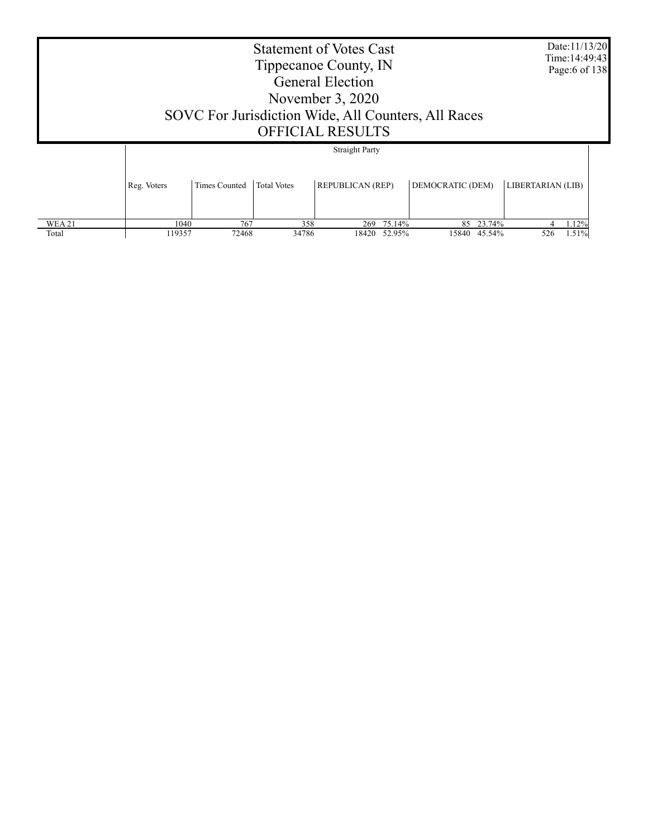| <b>Straight Party</b>                                                                                                                                    |  |  | <b>Statement of Votes Cast</b><br>Tippecanoe County, IN<br><b>General Election</b><br>November $3,2020$<br>SOVC For Jurisdiction Wide, All Counters, All Races<br><b>OFFICIAL RESULTS</b> |  |  | Date:11/13/20<br>Time: 14:49:43<br>Page:6 of 138 |  |
|----------------------------------------------------------------------------------------------------------------------------------------------------------|--|--|-------------------------------------------------------------------------------------------------------------------------------------------------------------------------------------------|--|--|--------------------------------------------------|--|
|                                                                                                                                                          |  |  |                                                                                                                                                                                           |  |  |                                                  |  |
| DEMOCRATIC (DEM)<br>LIBERTARIAN (LIB)<br><b>REPUBLICAN (REP)</b><br><b>Total Votes</b><br>Reg. Voters<br>Times Counted                                   |  |  |                                                                                                                                                                                           |  |  |                                                  |  |
| <b>WEA21</b><br>767<br>358<br>75.14%<br>85 23.74%<br>1040<br>1.12%<br>269<br>34786<br>119357<br>72468<br>52.95%<br>15840 45.54%<br>526<br>Total<br>18420 |  |  |                                                                                                                                                                                           |  |  | 1.51%                                            |  |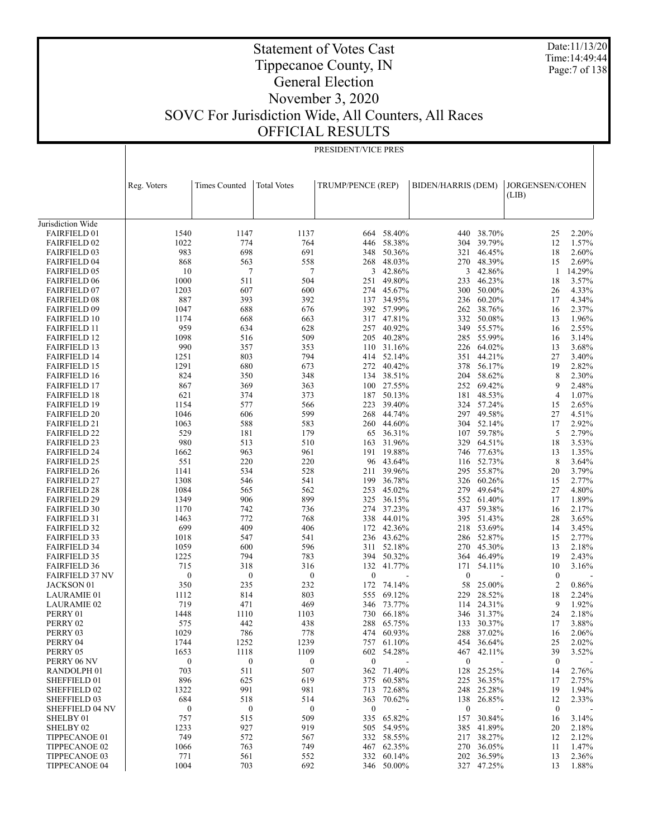Date:11/13/20 Time:14:49:44 Page:7 of 138

### Tippecanoe County, IN General Election November 3, 2020 SOVC For Jurisdiction Wide, All Counters, All Races OFFICIAL RESULTS

Statement of Votes Cast

|                                            |                  |                      |                    | PRESIDENT/VICE PRES |                      |                           |                          |                          |                |
|--------------------------------------------|------------------|----------------------|--------------------|---------------------|----------------------|---------------------------|--------------------------|--------------------------|----------------|
|                                            |                  |                      |                    |                     |                      |                           |                          |                          |                |
|                                            |                  |                      |                    |                     |                      |                           |                          |                          |                |
|                                            | Reg. Voters      | <b>Times Counted</b> | <b>Total Votes</b> | TRUMP/PENCE (REP)   |                      | <b>BIDEN/HARRIS (DEM)</b> |                          | JORGENSEN/COHEN<br>(LIB) |                |
|                                            |                  |                      |                    |                     |                      |                           |                          |                          |                |
| Jurisdiction Wide                          |                  |                      |                    |                     |                      |                           |                          |                          |                |
| <b>FAIRFIELD 01</b>                        | 1540             | 1147                 | 1137               | 664                 | 58.40%               | 440                       | 38.70%                   | 25                       | 2.20%          |
| <b>FAIRFIELD 02</b>                        | 1022             | 774                  | 764                | 446                 | 58.38%               | 304                       | 39.79%                   | 12                       | 1.57%          |
| <b>FAIRFIELD 03</b>                        | 983              | 698                  | 691                | 348                 | 50.36%               | 321                       | 46.45%                   | 18                       | 2.60%          |
| <b>FAIRFIELD 04</b>                        | 868              | 563                  | 558                | 268                 | 48.03%               | 270                       | 48.39%                   | 15                       | 2.69%          |
| <b>FAIRFIELD 05</b>                        | 10               | 7                    | 7                  | 3                   | 42.86%               | 3                         | 42.86%                   | -1                       | 14.29%         |
| <b>FAIRFIELD 06</b>                        | 1000             | 511                  | 504                | 251                 | 49.80%               | 233                       | 46.23%                   | 18                       | 3.57%          |
| <b>FAIRFIELD 07</b>                        | 1203             | 607                  | 600                | 274                 | 45.67%               | 300                       | 50.00%                   | 26                       | 4.33%          |
| <b>FAIRFIELD 08</b>                        | 887              | 393                  | 392                | 137                 | 34.95%               | 236                       | 60.20%                   | 17                       | 4.34%          |
| <b>FAIRFIELD 09</b>                        | 1047             | 688                  | 676                |                     | 392 57.99%           | 262                       | 38.76%                   | 16                       | 2.37%          |
| <b>FAIRFIELD 10</b>                        | 1174<br>959      | 668<br>634           | 663                | 317<br>257          | 47.81%<br>40.92%     | 332                       | 50.08%<br>55.57%         | 13<br>16                 | 1.96%<br>2.55% |
| <b>FAIRFIELD 11</b><br><b>FAIRFIELD 12</b> | 1098             | 516                  | 628<br>509         | 205                 | 40.28%               | 349<br>285                | 55.99%                   | 16                       | 3.14%          |
| <b>FAIRFIELD 13</b>                        | 990              | 357                  | 353                | 110                 | 31.16%               | 226                       | 64.02%                   | 13                       | 3.68%          |
| <b>FAIRFIELD 14</b>                        | 1251             | 803                  | 794                | 414                 | 52.14%               | 351                       | 44.21%                   | 27                       | 3.40%          |
| <b>FAIRFIELD 15</b>                        | 1291             | 680                  | 673                | 272                 | 40.42%               | 378                       | 56.17%                   | 19                       | 2.82%          |
| <b>FAIRFIELD 16</b>                        | 824              | 350                  | 348                | 134                 | 38.51%               | 204                       | 58.62%                   | 8                        | 2.30%          |
| <b>FAIRFIELD 17</b>                        | 867              | 369                  | 363                |                     | 100 27.55%           | 252                       | 69.42%                   | 9                        | 2.48%          |
| <b>FAIRFIELD 18</b>                        | 621              | 374                  | 373                | 187                 | 50.13%               | 181                       | 48.53%                   | 4                        | 1.07%          |
| <b>FAIRFIELD 19</b>                        | 1154             | 577                  | 566                | 223                 | 39.40%               |                           | 324 57.24%               | 15                       | 2.65%          |
| <b>FAIRFIELD 20</b>                        | 1046             | 606                  | 599                | 268                 | 44.74%               |                           | 297 49.58%               | 27                       | 4.51%          |
| <b>FAIRFIELD 21</b>                        | 1063             | 588                  | 583                | 260                 | 44.60%               | 304                       | 52.14%                   | 17                       | 2.92%          |
| <b>FAIRFIELD 22</b>                        | 529              | 181                  | 179                | 65                  | 36.31%               | 107                       | 59.78%                   | 5                        | 2.79%          |
| <b>FAIRFIELD 23</b>                        | 980              | 513                  | 510                | 163                 | 31.96%               | 329                       | 64.51%                   | 18                       | 3.53%          |
| <b>FAIRFIELD 24</b>                        | 1662             | 963                  | 961                | 191                 | 19.88%               | 746                       | 77.63%                   | 13                       | 1.35%          |
| <b>FAIRFIELD 25</b>                        | 551              | 220                  | 220                | 96                  | 43.64%               |                           | 116 52.73%               | 8                        | 3.64%          |
| <b>FAIRFIELD 26</b>                        | 1141<br>1308     | 534<br>546           | 528<br>541         | 211<br>199          | 39.96%<br>36.78%     | 295<br>326                | 55.87%                   | 20                       | 3.79%<br>2.77% |
| <b>FAIRFIELD 27</b><br><b>FAIRFIELD 28</b> | 1084             | 565                  | 562                | 253                 | 45.02%               | 279                       | 60.26%<br>49.64%         | 15<br>27                 | 4.80%          |
| <b>FAIRFIELD 29</b>                        | 1349             | 906                  | 899                | 325                 | 36.15%               | 552                       | 61.40%                   | 17                       | 1.89%          |
| <b>FAIRFIELD 30</b>                        | 1170             | 742                  | 736                | 274                 | 37.23%               | 437                       | 59.38%                   | 16                       | 2.17%          |
| <b>FAIRFIELD 31</b>                        | 1463             | 772                  | 768                | 338                 | 44.01%               |                           | 395 51.43%               | 28                       | 3.65%          |
| <b>FAIRFIELD 32</b>                        | 699              | 409                  | 406                | 172                 | 42.36%               | 218                       | 53.69%                   | 14                       | 3.45%          |
| <b>FAIRFIELD 33</b>                        | 1018             | 547                  | 541                |                     | 236 43.62%           | 286                       | 52.87%                   | 15                       | 2.77%          |
| <b>FAIRFIELD 34</b>                        | 1059             | 600                  | 596                | 311                 | 52.18%               | 270                       | 45.30%                   | 13                       | 2.18%          |
| <b>FAIRFIELD 35</b>                        | 1225             | 794                  | 783                | 394                 | 50.32%               | 364                       | 46.49%                   | 19                       | 2.43%          |
| <b>FAIRFIELD 36</b>                        | 715              | 318                  | 316                | 132                 | 41.77%               | 171                       | 54.11%                   | 10                       | 3.16%          |
| <b>FAIRFIELD 37 NV</b>                     | $\boldsymbol{0}$ | $\boldsymbol{0}$     | $\boldsymbol{0}$   | $\boldsymbol{0}$    |                      | $\boldsymbol{0}$          |                          | $\boldsymbol{0}$         |                |
| JACKSON 01                                 | 350              | 235                  | 232                | 172                 | 74.14%               | 58                        | 25.00%                   | $\overline{2}$           | 0.86%          |
| LAURAMIE 01                                | 1112             | 814                  | 803                | 555                 | 69.12%               | 229                       | 28.52%                   | 18                       | 2.24%          |
| <b>LAURAMIE 02</b>                         | 719<br>1448      | 471                  | 469<br>1103        | 346<br>730          | 73.77%               | 114                       | 24.31%                   | 9<br>24                  | 1.92%<br>2.18% |
| PERRY 01<br>PERRY 02                       | 575              | 1110<br>442          | 438                |                     | 66.18%<br>288 65.75% |                           | 346 31.37%<br>133 30.37% | 17                       | 3.88%          |
| PERRY 03                                   | 1029             | 786                  | 778                | 474                 | 60.93%               | 288                       | 37.02%                   | 16                       | 2.06%          |
| PERRY 04                                   | 1744             | 1252                 | 1239               | 757                 | 61.10%               | 454                       | 36.64%                   | 25                       | 2.02%          |
| PERRY 05                                   | 1653             | 1118                 | 1109               |                     | 602 54.28%           | 467                       | 42.11%                   | 39                       | 3.52%          |
| PERRY 06 NV                                | $\boldsymbol{0}$ | $\boldsymbol{0}$     | $\boldsymbol{0}$   | $\boldsymbol{0}$    |                      | $\boldsymbol{0}$          |                          | $\boldsymbol{0}$         |                |
| RANDOLPH <sub>01</sub>                     | 703              | 511                  | 507                | 362                 | 71.40%               | 128                       | 25.25%                   | 14                       | 2.76%          |
| SHEFFIELD 01                               | 896              | 625                  | 619                | 375                 | 60.58%               | 225                       | 36.35%                   | 17                       | 2.75%          |
| SHEFFIELD 02                               | 1322             | 991                  | 981                | 713                 | 72.68%               | 248                       | 25.28%                   | 19                       | 1.94%          |
| SHEFFIELD 03                               | 684              | 518                  | 514                | 363                 | 70.62%               | 138                       | 26.85%                   | 12                       | 2.33%          |
| <b>SHEFFIELD 04 NV</b>                     | $\boldsymbol{0}$ | $\boldsymbol{0}$     | $\boldsymbol{0}$   | $\boldsymbol{0}$    |                      | $\boldsymbol{0}$          |                          | $\boldsymbol{0}$         |                |
| SHELBY 01                                  | 757              | 515                  | 509                | 335                 | 65.82%               | 157                       | 30.84%                   | 16                       | 3.14%          |
| SHELBY <sub>02</sub>                       | 1233             | 927                  | 919                | 505                 | 54.95%               | 385                       | 41.89%                   | 20                       | 2.18%          |
| TIPPECANOE 01                              | 749              | 572                  | 567                | 332                 | 58.55%               | 217                       | 38.27%                   | 12                       | 2.12%          |
| TIPPECANOE 02                              | 1066             | 763                  | 749                |                     | 467 62.35%           | 270                       | 36.05%                   | 11                       | 1.47%          |
| TIPPECANOE 03<br>TIPPECANOE 04             | 771<br>1004      | 561<br>703           | 552<br>692         | 332                 | 60.14%<br>346 50.00% | 202                       | 36.59%<br>327 47.25%     | 13<br>13                 | 2.36%<br>1.88% |
|                                            |                  |                      |                    |                     |                      |                           |                          |                          |                |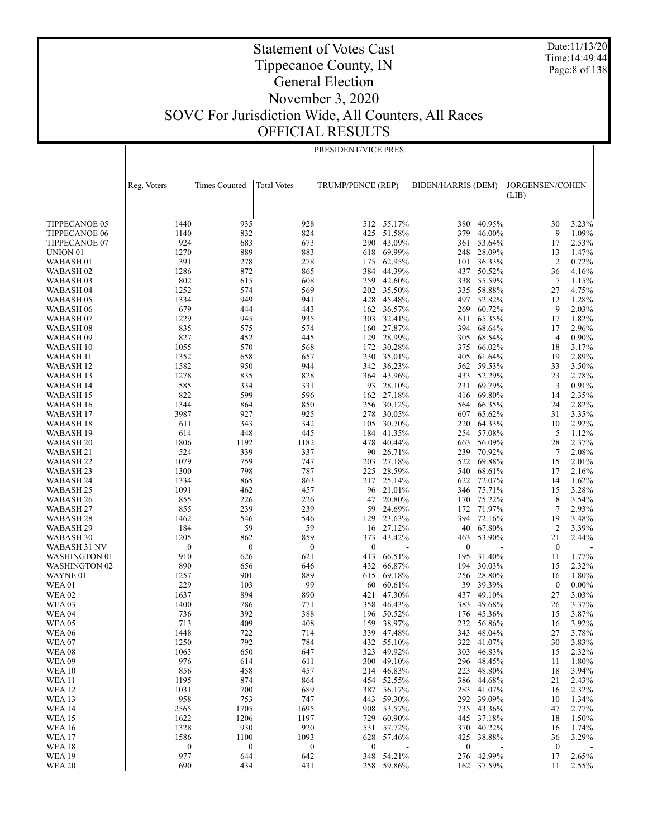Date:11/13/20 Time:14:49:44 Page:8 of 138

### Statement of Votes Cast Tippecanoe County, IN General Election November 3, 2020 SOVC For Jurisdiction Wide, All Counters, All Races OFFICIAL RESULTS

|                                   | PRESIDENT/VICE PRES      |                          |                          |                         |                      |                    |                          |                        |                |
|-----------------------------------|--------------------------|--------------------------|--------------------------|-------------------------|----------------------|--------------------|--------------------------|------------------------|----------------|
|                                   |                          |                          |                          |                         |                      |                    |                          |                        |                |
|                                   |                          |                          |                          |                         |                      |                    |                          |                        |                |
|                                   |                          |                          |                          |                         |                      |                    |                          |                        |                |
|                                   | Reg. Voters              | <b>Times Counted</b>     | <b>Total Votes</b>       | TRUMP/PENCE (REP)       |                      | BIDEN/HARRIS (DEM) |                          | JORGENSEN/COHEN        |                |
|                                   |                          |                          |                          |                         |                      |                    |                          | (LIB)                  |                |
|                                   |                          |                          |                          |                         |                      |                    |                          |                        |                |
| <b>TIPPECANOE 05</b>              | 1440                     | 935                      | 928                      | 512                     | 55.17%               | 380                | 40.95%                   | 30                     | 3.23%          |
| <b>TIPPECANOE 06</b>              | 1140                     | 832                      | 824                      | 425                     | 51.58%               | 379                | 46.00%                   | 9                      | 1.09%          |
| TIPPECANOE 07                     | 924                      | 683                      | 673                      | 290                     | 43.09%               |                    | 361 53.64%               | 17                     | 2.53%          |
| UNION <sub>01</sub>               | 1270                     | 889                      | 883                      | 618                     | 69.99%               |                    | 248 28.09%               | 13                     | 1.47%          |
| WABASH <sub>01</sub>              | 391                      | 278                      | 278                      | 175                     | 62.95%               | 101                | 36.33%                   | 2                      | 0.72%          |
| WABASH <sub>02</sub>              | 1286                     | 872                      | 865                      | 384                     | 44.39%               |                    | 437 50.52%               | 36                     | 4.16%          |
| WABASH 03                         | 802                      | 615                      | 608                      | 259                     | 42.60%               |                    | 338 55.59%               | $\tau$                 | 1.15%          |
| WABASH 04                         | 1252                     | 574                      | 569                      | 202                     | 35.50%               |                    | 335 58.88%               | 27                     | 4.75%          |
| WABASH 05                         | 1334                     | 949                      | 941                      | 428                     | 45.48%               |                    | 497 52.82%               | 12                     | 1.28%          |
| WABASH 06                         | 679                      | 444                      | 443                      | 162                     | 36.57%               |                    | 269 60.72%               | 9                      | 2.03%          |
| WABASH <sub>07</sub>              | 1229                     | 945<br>575               | 935<br>574               | 303                     | 32.41%<br>160 27.87% |                    | 611 65.35%<br>394 68.64% | 17<br>17               | 1.82%<br>2.96% |
| WABASH <sub>08</sub><br>WABASH 09 | 835<br>827               | 452                      | 445                      | 129                     | 28.99%               | 305                | 68.54%                   | $\overline{4}$         | 0.90%          |
| WABASH 10                         | 1055                     | 570                      | 568                      | 172                     | 30.28%               |                    | 375 66.02%               | 18                     | 3.17%          |
| WABASH 11                         | 1352                     | 658                      | 657                      | 230                     | 35.01%               | 405                | 61.64%                   | 19                     | 2.89%          |
| WABASH 12                         | 1582                     | 950                      | 944                      | 342                     | 36.23%               |                    | 562 59.53%               | 33                     | 3.50%          |
| <b>WABASH 13</b>                  | 1278                     | 835                      | 828                      | 364                     | 43.96%               |                    | 433 52.29%               | 23                     | 2.78%          |
| WABASH 14                         | 585                      | 334                      | 331                      | 93                      | 28.10%               |                    | 231 69.79%               | 3                      | 0.91%          |
| WABASH 15                         | 822                      | 599                      | 596                      | 162                     | 27.18%               |                    | 416 69.80%               | 14                     | 2.35%          |
| WABASH 16                         | 1344                     | 864                      | 850                      |                         | 256 30.12%           |                    | 564 66.35%               | 24                     | 2.82%          |
| <b>WABASH 17</b>                  | 3987                     | 927                      | 925                      | 278                     | 30.05%               |                    | 607 65.62%               | 31                     | 3.35%          |
| WABASH 18                         | 611                      | 343                      | 342                      | 105                     | 30.70%               |                    | 220 64.33%               | 10                     | 2.92%          |
| WABASH 19                         | 614                      | 448                      | 445                      | 184                     | 41.35%               |                    | 254 57.08%               | 5                      | 1.12%          |
| WABASH <sub>20</sub>              | 1806                     | 1192                     | 1182                     | 478                     | 40.44%               | 663                | 56.09%                   | 28                     | 2.37%          |
| WABASH 21                         | 524                      | 339                      | 337                      | 90                      | 26.71%               |                    | 239 70.92%               | 7                      | 2.08%          |
| WABASH 22                         | 1079                     | 759                      | 747                      | 203                     | 27.18%               |                    | 522 69.88%               | 15                     | 2.01%          |
| WABASH 23<br>WABASH 24            | 1300<br>1334             | 798<br>865               | 787<br>863               | 225                     | 28.59%<br>217 25.14% |                    | 540 68.61%<br>622 72.07% | 17<br>14               | 2.16%<br>1.62% |
| WABASH 25                         | 1091                     | 462                      | 457                      | 96                      | 21.01%               |                    | 346 75.71%               | 15                     | 3.28%          |
| WABASH 26                         | 855                      | 226                      | 226                      | 47                      | 20.80%               |                    | 170 75.22%               | 8                      | 3.54%          |
| WABASH 27                         | 855                      | 239                      | 239                      | 59                      | 24.69%               | 172                | 71.97%                   | 7                      | 2.93%          |
| WABASH <sub>28</sub>              | 1462                     | 546                      | 546                      | 129                     | 23.63%               |                    | 394 72.16%               | 19                     | 3.48%          |
| WABASH 29                         | 184                      | 59                       | 59                       | 16                      | 27.12%               | 40                 | 67.80%                   | $\overline{2}$         | 3.39%          |
| WABASH 30                         | 1205                     | 862                      | 859                      | 373                     | 43.42%               | 463                | 53.90%                   | 21                     | 2.44%          |
| WABASH 31 NV                      | $\boldsymbol{0}$         | $\boldsymbol{0}$         | $\boldsymbol{0}$         | $\mathbf{0}$            |                      | $\mathbf{0}$       |                          | $\mathbf{0}$           |                |
| <b>WASHINGTON 01</b>              | 910                      | 626                      | 621                      | 413                     | 66.51%               | 195                | 31.40%                   | 11                     | 1.77%          |
| <b>WASHINGTON 02</b>              | 890                      | 656                      | 646                      | 432                     | 66.87%               | 194                | 30.03%                   | 15                     | 2.32%          |
| WAYNE 01                          | 1257                     | 901                      | 889                      | 615                     | 69.18%               |                    | 256 28.80%               | 16                     | 1.80%          |
| <b>WEA01</b><br><b>WEA02</b>      | 229                      | 103                      | 99                       | 60                      | 60.61%               | 39                 | 39.39%<br>437 49.10%     | $\boldsymbol{0}$       | $0.00\%$       |
| WEA <sub>03</sub>                 | 1637<br>1400             | 894<br>786               | 890<br>771               | 421<br>358              | 47.30%<br>46.43%     | 383                | 49.68%                   | 27<br>26               | 3.03%<br>3.37% |
| WEA <sub>04</sub>                 | 736                      | 392                      | 388                      |                         | 196 50.52%           |                    | 176 45.36%               | 15                     | 3.87%          |
| <b>WEA 05</b>                     | 713                      | 409                      | 408                      |                         | 159 38.97%           |                    | 232 56.86%               | 16                     | 3.92%          |
| <b>WEA 06</b>                     | 1448                     | 722                      | 714                      |                         | 339 47.48%           | 343                | 48.04%                   | 27                     | 3.78%          |
| WEA <sub>07</sub>                 | 1250                     | 792                      | 784                      | 432                     | 55.10%               | 322                | 41.07%                   | 30                     | 3.83%          |
| <b>WEA08</b>                      | 1063                     | 650                      | 647                      | 323                     | 49.92%               | 303                | 46.83%                   | 15                     | 2.32%          |
| <b>WEA09</b>                      | 976                      | 614                      | 611                      | 300                     | 49.10%               |                    | 296 48.45%               | 11                     | 1.80%          |
| <b>WEA10</b>                      | 856                      | 458                      | 457                      | 214                     | 46.83%               | 223                | 48.80%                   | 18                     | 3.94%          |
| <b>WEA 11</b>                     | 1195                     | 874                      | 864                      | 454                     | 52.55%               | 386                | 44.68%                   | 21                     | 2.43%          |
| <b>WEA 12</b>                     | 1031                     | 700                      | 689                      | 387                     | 56.17%               | 283                | 41.07%                   | 16                     | 2.32%          |
| <b>WEA 13</b>                     | 958                      | 753                      | 747                      | 443                     | 59.30%               |                    | 292 39.09%               | 10                     | 1.34%          |
| <b>WEA 14</b>                     | 2565                     | 1705                     | 1695                     | 908                     | 53.57%               |                    | 735 43.36%               | 47                     | 2.77%          |
| <b>WEA 15</b>                     | 1622                     | 1206                     | 1197                     | 729                     | 60.90%               | 445                | 37.18%                   | 18                     | 1.50%          |
| <b>WEA 16</b>                     | 1328                     | 930                      | 920                      | 531                     | 57.72%               |                    | 370 40.22%               | 16                     | 1.74%          |
| <b>WEA 17</b><br><b>WEA18</b>     | 1586<br>$\boldsymbol{0}$ | 1100<br>$\boldsymbol{0}$ | 1093<br>$\boldsymbol{0}$ | 628<br>$\boldsymbol{0}$ | 57.46%               | 425<br>$\bf{0}$    | 38.88%                   | 36<br>$\boldsymbol{0}$ | 3.29%          |
| <b>WEA 19</b>                     | 977                      | 644                      | 642                      | 348                     | 54.21%               |                    | 276 42.99%               | 17                     | 2.65%          |
| <b>WEA 20</b>                     | 690                      | 434                      | 431                      |                         | 258 59.86%           |                    | 162 37.59%               | 11                     | 2.55%          |
|                                   |                          |                          |                          |                         |                      |                    |                          |                        |                |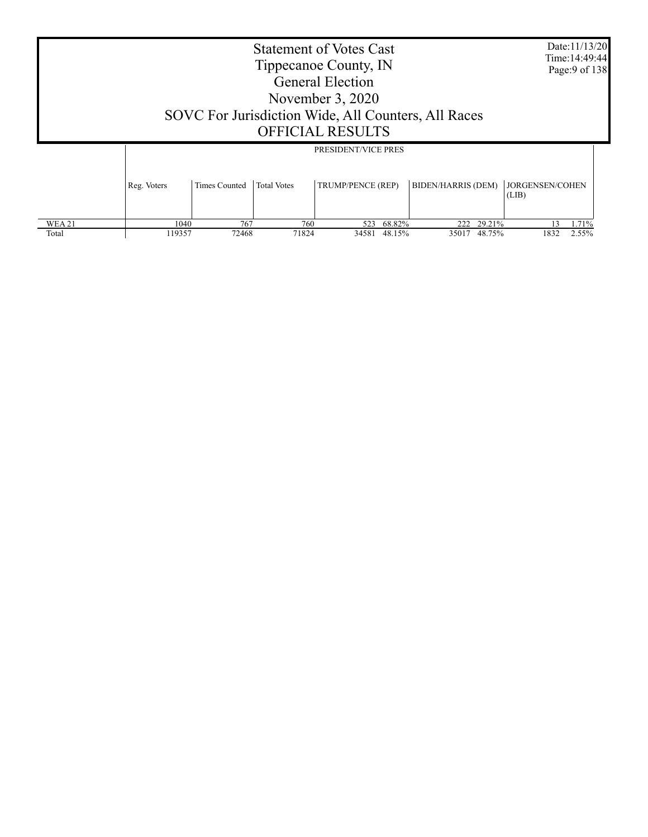|        | <b>Statement of Votes Cast</b><br>Tippecanoe County, IN<br><b>General Election</b><br>November $3,2020$<br>SOVC For Jurisdiction Wide, All Counters, All Races<br><b>OFFICIAL RESULTS</b><br>PRESIDENT/VICE PRES |                      |                           |                          |        |                                  |        |                                       |       |
|--------|------------------------------------------------------------------------------------------------------------------------------------------------------------------------------------------------------------------|----------------------|---------------------------|--------------------------|--------|----------------------------------|--------|---------------------------------------|-------|
| WEA 21 | Reg. Voters<br>1040                                                                                                                                                                                              | Times Counted<br>767 | <b>Total Votes</b><br>760 | TRUMP/PENCE (REP)<br>523 | 68.82% | <b>BIDEN/HARRIS (DEM)</b><br>222 | 29.21% | <b>JORGENSEN/COHEN</b><br>(LIB)<br>13 | 1.71% |
| Total  | 119357                                                                                                                                                                                                           | 72468                | 71824                     | 34581                    | 48.15% | 35017                            | 48.75% | 1832                                  | 2.55% |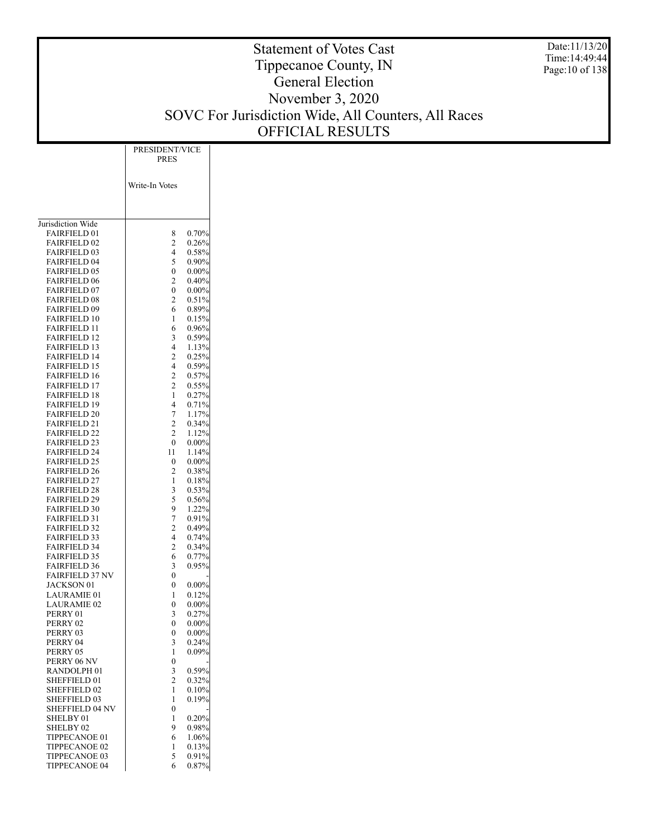Date:11/13/20 Time:14:49:44 Page:10 of 138

|                                            | PRESIDENT/VICE<br>PRES           |
|--------------------------------------------|----------------------------------|
|                                            | Write-In Votes                   |
|                                            |                                  |
| Jurisdiction Wide                          |                                  |
| <b>FAIRFIELD 01</b>                        | 8<br>0.70%                       |
| <b>FAIRFIELD 02</b>                        | 2<br>0.26%                       |
| <b>FAIRFIELD 03</b>                        | 4<br>$0.58\%$                    |
| <b>FAIRFIELD 04</b>                        | 5<br>$0.90\%$                    |
| <b>FAIRFIELD 05</b>                        | 0<br>$0.00\%$                    |
| <b>FAIRFIELD 06</b>                        | 2<br>$0.40\%$                    |
| <b>FAIRFIELD 07</b>                        | $\overline{0}$<br>$0.00\%$       |
| <b>FAIRFIELD 08</b><br><b>FAIRFIELD 09</b> | 2<br>0.51%<br>6<br>$0.89\%$      |
| <b>FAIRFIELD 10</b>                        | 1<br>0.15%                       |
| FAIRFIELD 11                               | 0.96%<br>6                       |
| <b>FAIRFIELD 12</b>                        | 3<br>0.59%                       |
| <b>FAIRFIELD 13</b>                        | 4<br>1.13%                       |
| <b>FAIRFIELD 14</b>                        | 2<br>0.25%                       |
| <b>FAIRFIELD 15</b>                        | 4<br>0.59%                       |
| <b>FAIRFIELD 16</b>                        | $\overline{\mathbf{c}}$<br>0.57% |
| <b>FAIRFIELD 17</b>                        | $\overline{c}$<br>0.55%          |
| <b>FAIRFIELD 18</b>                        | 0.27%<br>1                       |
| <b>FAIRFIELD 19</b>                        | 4<br>0.71%                       |
| <b>FAIRFIELD 20</b>                        | 7<br>1.17%                       |
| <b>FAIRFIELD 21</b>                        | 2<br>0.34%                       |
| <b>FAIRFIELD 22</b>                        | 2<br>1.12%<br>$\overline{0}$     |
| <b>FAIRFIELD 23</b><br><b>FAIRFIELD 24</b> | $0.00\%$<br>11<br>1.14%          |
| <b>FAIRFIELD 25</b>                        | 0<br>$0.00\%$                    |
| <b>FAIRFIELD 26</b>                        | 2<br>0.38%                       |
| <b>FAIRFIELD 27</b>                        | 1<br>0.18%                       |
| <b>FAIRFIELD 28</b>                        | 3<br>0.53%                       |
| <b>FAIRFIELD 29</b>                        | 5<br>0.56%                       |
| <b>FAIRFIELD 30</b>                        | 9<br>1.22%                       |
| <b>FAIRFIELD 31</b>                        | 7<br>$0.91\%$                    |
| <b>FAIRFIELD 32</b>                        | 2<br>0.49%                       |
| FAIRFIELD 33                               | 4<br>0.74%                       |
| <b>FAIRFIELD 34</b>                        | 2<br>$0.34\%$                    |
| <b>FAIRFIELD 35</b>                        | 0.77%<br>6                       |
| <b>FAIRFIELD 36</b>                        | 0.95%<br>3<br>0                  |
| <b>FAIRFIELD 37 NV</b><br>JACKSON 01       | 0<br>$0.00\%$                    |
| LAURAMIE 01                                | 0.12%<br>1                       |
| <b>LAURAMIE 02</b>                         | 0<br>$0.00\%$                    |
| PERRY 01                                   | 3<br>0.27%                       |
| PERRY 02                                   | 0<br>$0.00\%$                    |
| PERRY 03                                   | 0<br>0.00%                       |
| PERRY 04                                   | 3<br>0.24%                       |
| PERRY 05                                   | $0.09\%$<br>1                    |
| PERRY 06 NV                                | 0                                |
| RANDOLPH <sub>01</sub>                     | 3<br>0.59%                       |
| SHEFFIELD 01                               | 2<br>0.32%                       |
| <b>SHEFFIELD 02</b>                        | 1<br>0.10%                       |
| SHEFFIELD 03<br><b>SHEFFIELD 04 NV</b>     | 1<br>0.19%<br>$\overline{0}$     |
| SHELBY 01                                  | 1<br>0.20%                       |
| SHELBY <sub>02</sub>                       | 9<br>0.98%                       |
| TIPPECANOE 01                              | 6<br>1.06%                       |
| TIPPECANOE 02                              | 0.13%<br>1                       |
| TIPPECANOE 03                              | 5<br>0.91%                       |
| TIPPECANOE 04                              | 6<br>0.87%                       |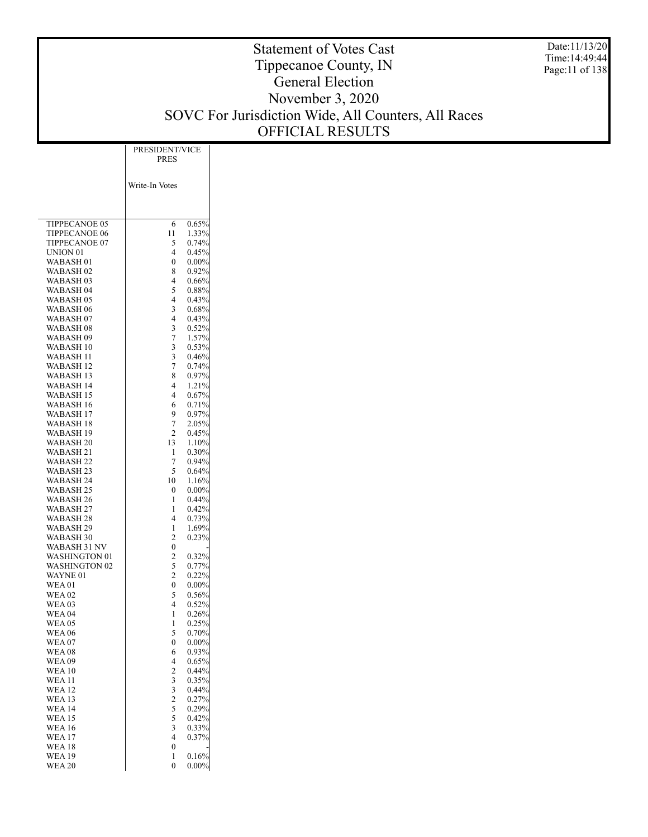Date:11/13/20 Time:14:49:44 Page:11 of 138

|                                      | PRESIDENT/VICE<br>PRES       |
|--------------------------------------|------------------------------|
|                                      | Write-In Votes               |
|                                      |                              |
| <b>TIPPECANOE 05</b>                 | $0.65\%$<br>6                |
| <b>TIPPECANOE 06</b>                 | 1.33%<br>11                  |
| TIPPECANOE 07                        | 5<br>0.74%                   |
| UNION 01                             | 4<br>0.45%                   |
| WABASH 01                            | 0<br>$0.00\%$                |
| WABASH 02                            | 8<br>0.92%                   |
| WABASH 03                            | 4<br>$0.66\%$                |
| WABASH 04                            | 5<br>$0.88\%$                |
| WABASH 05                            | 4<br>0.43%                   |
| WABASH 06                            | 3<br>$0.68\%$<br>4           |
| WABASH 07                            | $0.43\%$<br>3<br>0.52%       |
| WABASH 08<br>WABASH 09               | $\overline{7}$<br>1.57%      |
| WABASH 10                            | 3<br>0.53%                   |
| WABASH 11                            | 3<br>0.46%                   |
| WABASH 12                            | 7<br>0.74%                   |
| WABASH 13                            | 8<br>0.97%                   |
| WABASH 14                            | 4<br>1.21%                   |
| WABASH 15                            | 4<br>0.67%                   |
| WABASH 16                            | 6<br>0.71%                   |
| WABASH 17                            | 9<br>0.97%                   |
| WABASH 18                            | 7<br>2.05%                   |
| WABASH 19                            | $\overline{c}$<br>0.45%      |
| WABASH 20                            | 13<br>1.10%                  |
| WABASH 21                            | 1<br>0.30%                   |
| WABASH 22                            | 7<br>0.94%                   |
| <b>WABASH 23</b><br><b>WABASH 24</b> | 5<br>$0.64\%$<br>10<br>1.16% |
| WABASH 25                            | 0<br>$0.00\%$                |
| WABASH 26                            | 1<br>$0.44\%$                |
| <b>WABASH 27</b>                     | 1<br>0.42%                   |
| WABASH 28                            | 4<br>0.73%                   |
| WABASH 29                            | 1.69%<br>1                   |
| WABASH 30                            | $\overline{c}$<br>0.23%      |
| WABASH 31 NV                         | 0                            |
| WASHINGTON 01                        | $\overline{c}$<br>0.32%      |
| <b>WASHINGTON 02</b>                 | 5<br>0.77%                   |
| WAYNE 01                             | $\overline{c}$<br>$0.22\%$   |
| WEA 01                               | 0<br>$0.00\%$<br>5<br>0.56%  |
| WEA 02<br>WEA 03                     | 4<br>0.52%                   |
| WEA <sub>04</sub>                    | 1<br>0.26%                   |
| WEA 05                               | 1<br>$0.25\%$                |
| WEA 06                               | 5<br>0.70%                   |
| WEA 07                               | $\overline{0}$<br>$0.00\%$   |
| <b>WEA08</b>                         | 6<br>0.93%                   |
| WEA 09                               | 4<br>0.65%                   |
| WEA 10                               | $\overline{c}$<br>$0.44\%$   |
| WEA 11                               | 3<br>$0.35\%$                |
| WEA 12                               | 3<br>$0.44\%$                |
| WEA 13                               | $\overline{c}$<br>0.27%      |
| <b>WEA14</b>                         | 5<br>$0.29\%$                |
| WEA 15                               | 5<br>0.42%<br>3              |
| WEA 16                               | 0.33%<br>4                   |
| WEA 17<br>WEA 18                     | $0.37\%$<br>0                |
| WEA 19                               | 1<br>$0.16\%$                |
| <b>WEA 20</b>                        | $\mathbf{0}$<br>$0.00\%$     |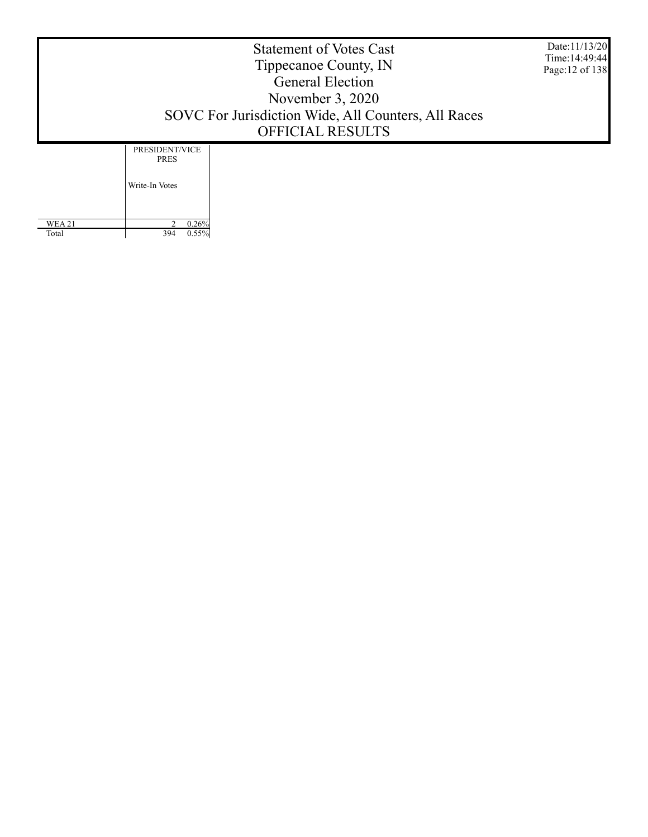Date:11/13/20 Time:14:49:44 Page:12 of 138

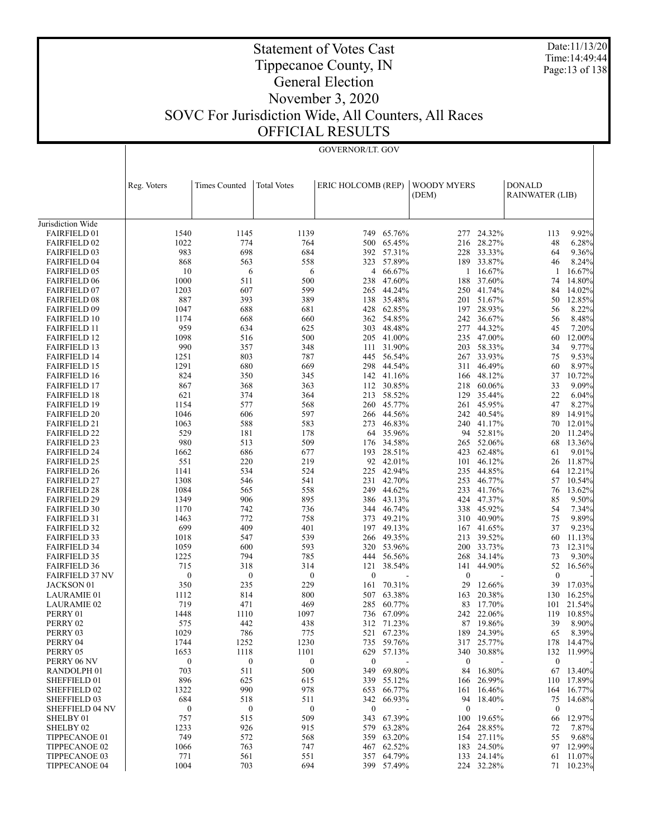Date:11/13/20 Time:14:49:44 Page:13 of 138

GOVERNOR/LT. GOV

|                                            | Reg. Voters      | <b>Times Counted</b> | <b>Total Votes</b> | ERIC HOLCOMB (REP) |                      | <b>WOODY MYERS</b> |                  | <b>DONALD</b>          |                 |
|--------------------------------------------|------------------|----------------------|--------------------|--------------------|----------------------|--------------------|------------------|------------------------|-----------------|
|                                            |                  |                      |                    |                    |                      | (DEM)              |                  | <b>RAINWATER (LIB)</b> |                 |
|                                            |                  |                      |                    |                    |                      |                    |                  |                        |                 |
| Jurisdiction Wide                          |                  |                      |                    |                    |                      |                    |                  |                        |                 |
| <b>FAIRFIELD 01</b>                        | 1540             | 1145                 | 1139               | 749                | 65.76%               | 277                | 24.32%           | 113                    | 9.92%           |
| <b>FAIRFIELD 02</b>                        | 1022             | 774                  | 764                | 500                | 65.45%               | 216                | 28.27%           | 48                     | 6.28%           |
| <b>FAIRFIELD 03</b>                        | 983              | 698                  | 684                | 392                | 57.31%               | 228                | 33.33%           | 64                     | 9.36%           |
| <b>FAIRFIELD 04</b>                        | 868              | 563                  | 558                |                    | 323 57.89%           | 189                | 33.87%           | 46                     | 8.24%           |
| <b>FAIRFIELD 05</b>                        | 10               | 6                    | 6                  | 4                  | 66.67%               | 1                  | 16.67%           | 1                      | 16.67%          |
| <b>FAIRFIELD 06</b>                        | 1000             | 511                  | 500                | 238                | 47.60%               | 188                | 37.60%           | 74                     | 14.80%          |
| <b>FAIRFIELD 07</b>                        | 1203             | 607                  | 599                | 265                | 44.24%               | 250                | 41.74%           | 84                     | 14.02%          |
| <b>FAIRFIELD 08</b>                        | 887              | 393                  | 389                | 138                | 35.48%               | 201                | 51.67%           | 50                     | 12.85%          |
| <b>FAIRFIELD 09</b>                        | 1047             | 688                  | 681                | 428                | 62.85%               | 197                | 28.93%           | 56                     | 8.22%           |
| <b>FAIRFIELD 10</b>                        | 1174             | 668                  | 660                |                    | 362 54.85%           | 242                | 36.67%           | 56                     | 8.48%           |
| <b>FAIRFIELD 11</b>                        | 959              | 634                  | 625                | 303                | 48.48%               | 277                | 44.32%           | 45                     | 7.20%           |
| <b>FAIRFIELD 12</b>                        | 1098             | 516                  | 500                | 205                | 41.00%               | 235                | 47.00%           | 60                     | 12.00%          |
| <b>FAIRFIELD 13</b>                        | 990              | 357<br>803           | 348                | 111                | 31.90%<br>445 56.54% | 203                | 58.33%<br>33.93% | 34                     | 9.77%           |
| <b>FAIRFIELD 14</b>                        | 1251<br>1291     | 680                  | 787                |                    | 44.54%               | 267                | 46.49%           | 75                     | 9.53%<br>8.97%  |
| <b>FAIRFIELD 15</b><br><b>FAIRFIELD 16</b> | 824              | 350                  | 669<br>345         | 298                | 142 41.16%           | 311<br>166         | 48.12%           | 60<br>37               | 10.72%          |
| <b>FAIRFIELD 17</b>                        | 867              | 368                  | 363                | 112                | 30.85%               | 218                | 60.06%           | 33                     | 9.09%           |
| <b>FAIRFIELD 18</b>                        | 621              | 374                  | 364                | 213                | 58.52%               | 129                | 35.44%           | 22                     | 6.04%           |
| <b>FAIRFIELD 19</b>                        | 1154             | 577                  | 568                | 260                | 45.77%               | 261                | 45.95%           | 47                     | 8.27%           |
| <b>FAIRFIELD 20</b>                        | 1046             | 606                  | 597                |                    | 266 44.56%           | 242                | 40.54%           | 89                     | 14.91%          |
| <b>FAIRFIELD 21</b>                        | 1063             | 588                  | 583                | 273                | 46.83%               | 240                | 41.17%           | 70                     | 12.01%          |
| <b>FAIRFIELD 22</b>                        | 529              | 181                  | 178                |                    | 64 35.96%            | 94                 | 52.81%           | 20                     | 11.24%          |
| <b>FAIRFIELD 23</b>                        | 980              | 513                  | 509                | 176                | 34.58%               | 265                | 52.06%           | 68                     | 13.36%          |
| <b>FAIRFIELD 24</b>                        | 1662             | 686                  | 677                | 193                | 28.51%               | 423                | 62.48%           | 61                     | 9.01%           |
| <b>FAIRFIELD 25</b>                        | 551              | 220                  | 219                | 92                 | 42.01%               | 101                | 46.12%           | 26                     | 11.87%          |
| <b>FAIRFIELD 26</b>                        | 1141             | 534                  | 524                | 225                | 42.94%               | 235                | 44.85%           | 64                     | 12.21%          |
| <b>FAIRFIELD 27</b>                        | 1308             | 546                  | 541                | 231                | 42.70%               | 253                | 46.77%           | 57                     | 10.54%          |
| <b>FAIRFIELD 28</b>                        | 1084             | 565                  | 558                | 249                | 44.62%               | 233                | 41.76%           | 76                     | 13.62%          |
| <b>FAIRFIELD 29</b>                        | 1349             | 906                  | 895                | 386                | 43.13%               | 424                | 47.37%           | 85                     | 9.50%           |
| <b>FAIRFIELD 30</b>                        | 1170             | 742                  | 736                | 344                | 46.74%               | 338                | 45.92%           | 54                     | 7.34%           |
| <b>FAIRFIELD 31</b>                        | 1463             | 772                  | 758                | 373                | 49.21%               | 310                | 40.90%           | 75                     | 9.89%           |
| <b>FAIRFIELD 32</b>                        | 699              | 409                  | 401                | 197                | 49.13%               | 167                | 41.65%           | 37                     | 9.23%           |
| <b>FAIRFIELD 33</b>                        | 1018             | 547                  | 539                | 266                | 49.35%               | 213                | 39.52%           | 60                     | 11.13%          |
| <b>FAIRFIELD 34</b>                        | 1059             | 600                  | 593                |                    | 320 53.96%           | 200                | 33.73%           | 73                     | 12.31%          |
| <b>FAIRFIELD 35</b>                        | 1225             | 794                  | 785                | 444                | 56.56%               | 268                | 34.14%           | 73                     | 9.30%           |
| <b>FAIRFIELD 36</b>                        | 715              | 318                  | 314                | 121                | 38.54%               | 141                | 44.90%           | 52                     | 16.56%          |
| <b>FAIRFIELD 37 NV</b>                     | $\boldsymbol{0}$ | $\boldsymbol{0}$     | $\boldsymbol{0}$   | $\mathbf{0}$       |                      | $\boldsymbol{0}$   |                  | $\boldsymbol{0}$       |                 |
| <b>JACKSON 01</b>                          | 350              | 235                  | 229                | 161                | 70.31%               | 29                 | 12.66%           | 39                     | 17.03%          |
| <b>LAURAMIE 01</b>                         | 1112             | 814                  | 800                | 507                | 63.38%               | 163                | 20.38%           | 130                    | 16.25%          |
| <b>LAURAMIE 02</b>                         | 719              | 471                  | 469                | 285                | 60.77%               | 83                 | 17.70%           | 101                    | 21.54%          |
| PERRY 01<br>PERRY 02                       | 1448<br>575      | 1110<br>442          | 1097               | 736<br>312         | 67.09%<br>71.23%     | 242                | 22.06%<br>19.86% | 119<br>39              | 10.85%<br>8.90% |
|                                            | 1029             | 786                  | 438<br>775         | 521                | 67.23%               | 87<br>189          | 24.39%           | 65                     | 8.39%           |
| PERRY 03<br>PERRY 04                       | 1744             | 1252                 | 1230               |                    | 735 59.76%           |                    | 317 25.77%       |                        | 178 14.47%      |
| PERRY 05                                   | 1653             | 1118                 | 1101               | 629                | 57.13%               | 340                | 30.88%           | 132                    | 11.99%          |
| PERRY 06 NV                                | $\boldsymbol{0}$ | $\boldsymbol{0}$     | $\boldsymbol{0}$   | $\boldsymbol{0}$   |                      | $\boldsymbol{0}$   |                  | $\boldsymbol{0}$       |                 |
| RANDOLPH <sub>01</sub>                     | 703              | 511                  | 500                | 349                | 69.80%               | 84                 | 16.80%           | 67                     | 13.40%          |
| SHEFFIELD 01                               | 896              | 625                  | 615                |                    | 339 55.12%           | 166                | 26.99%           | 110                    | 17.89%          |
| SHEFFIELD 02                               | 1322             | 990                  | 978                | 653                | 66.77%               | 161                | 16.46%           | 164                    | 16.77%          |
| SHEFFIELD 03                               | 684              | 518                  | 511                |                    | 342 66.93%           | 94                 | 18.40%           | 75                     | 14.68%          |
| <b>SHEFFIELD 04 NV</b>                     | $\boldsymbol{0}$ | $\boldsymbol{0}$     | $\boldsymbol{0}$   | $\boldsymbol{0}$   |                      | $\boldsymbol{0}$   |                  | $\boldsymbol{0}$       |                 |
| SHELBY 01                                  | 757              | 515                  | 509                | 343                | 67.39%               | 100                | 19.65%           | 66                     | 12.97%          |
| SHELBY <sub>02</sub>                       | 1233             | 926                  | 915                | 579                | 63.28%               | 264                | 28.85%           | 72                     | 7.87%           |
| TIPPECANOE 01                              | 749              | 572                  | 568                | 359                | 63.20%               | 154                | 27.11%           | 55                     | 9.68%           |
| TIPPECANOE 02                              | 1066             | 763                  | 747                | 467                | 62.52%               | 183                | 24.50%           | 97                     | 12.99%          |
| TIPPECANOE 03                              | 771              | 561                  | 551                |                    | 357 64.79%           |                    | 133 24.14%       | 61                     | 11.07%          |
| <b>TIPPECANOE 04</b>                       | 1004             | 703                  | 694                |                    | 399 57.49%           |                    | 224 32.28%       |                        | 71 10.23%       |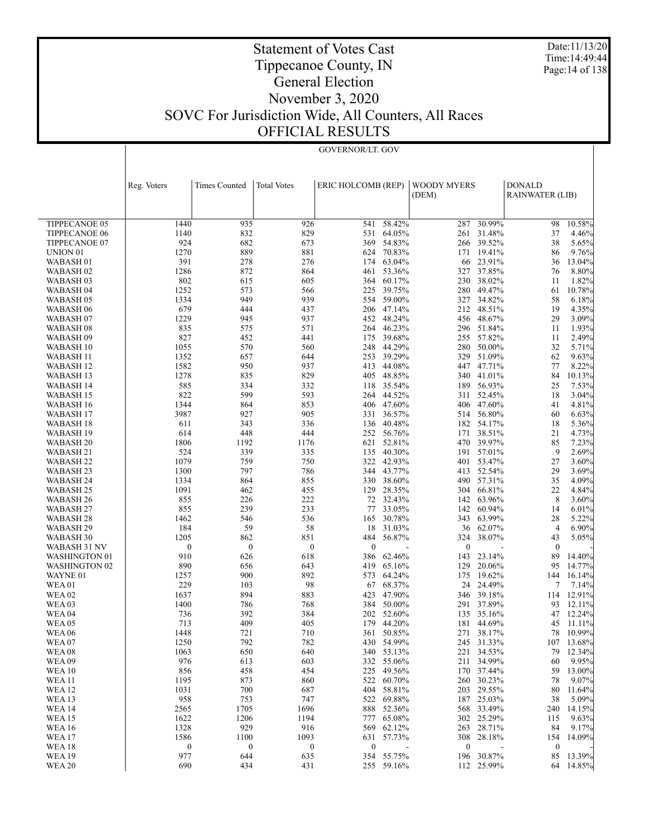Date:11/13/20 Time:14:49:44 Page:14 of 138

GOVERNOR/LT. GOV

|                        | Reg. Voters      | <b>Times Counted</b> | <b>Total Votes</b> | ERIC HOLCOMB (REP) |                          | WOODY MYERS      |                  | <b>DONALD</b>    |                |
|------------------------|------------------|----------------------|--------------------|--------------------|--------------------------|------------------|------------------|------------------|----------------|
|                        |                  |                      |                    |                    |                          | (DEM)            |                  | RAINWATER (LIB)  |                |
|                        |                  |                      |                    |                    |                          |                  |                  |                  |                |
| TIPPECANOE 05          | 1440             | 935                  | 926                | 541                | 58.42%                   | 287              | 30.99%           | 98               | 10.58%         |
| <b>TIPPECANOE 06</b>   | 1140             | 832                  | 829                | 531                | 64.05%                   | 261              | 31.48%           | 37               | 4.46%          |
| TIPPECANOE 07          | 924              | 682                  | 673                | 369                | 54.83%                   | 266              | 39.52%           | 38               | 5.65%          |
| UNION <sub>01</sub>    | 1270             | 889                  | 881                |                    | 624 70.83%               | 171              | 19.41%           | 86               | 9.76%          |
| WABASH <sub>01</sub>   | 391              | 278                  | 276                | 174                | 63.04%                   | 66               | 23.91%           | 36               | 13.04%         |
| WABASH <sub>02</sub>   | 1286             | 872                  | 864                | 461                | 53.36%                   | 327              | 37.85%           | 76               | 8.80%          |
| WABASH 03              | 802              | 615                  | 605                | 364                | 60.17%                   | 230              | 38.02%           | 11               | 1.82%          |
| WABASH 04              | 1252             | 573                  | 566                | 225                | 39.75%                   | 280              | 49.47%           | 61               | 10.78%         |
| WABASH 05              | 1334             | 949                  | 939                | 554                | 59.00%                   | 327              | 34.82%           | 58               | 6.18%          |
| WABASH 06              | 679              | 444                  | 437                | 206                | 47.14%                   | 212              | 48.51%           | 19               | 4.35%          |
| WABASH <sub>07</sub>   | 1229             | 945                  | 937                | 452                | 48.24%                   | 456              | 48.67%           | 29               | 3.09%          |
| WABASH 08              | 835              | 575                  | 571                | 264                | 46.23%                   | 296              | 51.84%           | 11               | 1.93%          |
| WABASH 09              | 827              | 452                  | 441                | 175                | 39.68%                   | 255              | 57.82%           | 11               | 2.49%          |
| WABASH 10              | 1055             | 570                  | 560                | 248                | 44.29%                   | 280              | 50.00%           | 32               | 5.71%          |
| WABASH 11              | 1352             | 657                  | 644                | 253                | 39.29%                   | 329              | 51.09%           | 62               | 9.63%          |
| WABASH 12              | 1582             | 950                  | 937                | 413                | 44.08%                   | 447              | 47.71%           | 77               | 8.22%          |
| WABASH 13              | 1278             | 835                  | 829                | 405                | 48.85%                   | 340              | 41.01%           | 84               | 10.13%         |
| WABASH 14              | 585              | 334                  | 332                |                    | 118 35.54%               | 189              | 56.93%           | 25               | 7.53%          |
| WABASH 15              | 822              | 599                  | 593                | 264                | 44.52%                   | 311              | 52.45%           | 18               | 3.04%          |
| WABASH 16              | 1344             | 864                  | 853                |                    | 406 47.60%               | 406              | 47.60%           | 41               | 4.81%          |
| WABASH 17              | 3987             | 927                  | 905                | 331                | 36.57%                   | 514              | 56.80%           | 60               | 6.63%          |
| WABASH 18              | 611              | 343                  | 336                | 136                | 40.48%                   | 182              | 54.17%           | 18               | 5.36%          |
| WABASH 19              | 614              | 448                  | 444                | 252                | 56.76%                   | 171              | 38.51%           | 21               | 4.73%          |
| WABASH <sub>20</sub>   | 1806             | 1192                 | 1176               | 621                | 52.81%                   | 470              | 39.97%           | 85               | 7.23%          |
| WABASH 21              | 524              | 339                  | 335                | 135                | 40.30%                   | 191              | 57.01%           | 9                | 2.69%          |
| WABASH 22              | 1079             | 759                  | 750                |                    | 322 42.93%               | 401              | 53.47%           | 27               | 3.60%          |
| WABASH 23              | 1300             | 797                  | 786                | 344                | 43.77%                   | 413              | 52.54%           | 29               | 3.69%          |
| WABASH 24              | 1334             | 864                  | 855                |                    | 330 38.60%               | 490              | 57.31%           | 35               | 4.09%          |
| WABASH 25              | 1091<br>855      | 462                  | 455<br>222         | 129                | 28.35%<br>72 32.43%      | 304              | 66.81%           | 22<br>8          | 4.84%          |
| WABASH 26              | 855              | 226<br>239           | 233                | 77                 | 33.05%                   | 142<br>142       | 63.96%<br>60.94% | 14               | 3.60%          |
| WABASH 27<br>WABASH 28 | 1462             | 546                  | 536                | 165                | 30.78%                   | 343              | 63.99%           | 28               | 6.01%<br>5.22% |
| WABASH 29              | 184              | 59                   | 58                 | 18                 | 31.03%                   | 36               | 62.07%           | $\overline{4}$   | 6.90%          |
| WABASH 30              | 1205             | 862                  | 851                | 484                | 56.87%                   | 324              | 38.07%           | 43               | 5.05%          |
| WABASH 31 NV           | $\boldsymbol{0}$ | $\boldsymbol{0}$     | $\boldsymbol{0}$   | $\boldsymbol{0}$   |                          | $\boldsymbol{0}$ |                  | $\boldsymbol{0}$ |                |
| <b>WASHINGTON 01</b>   | 910              | 626                  | 618                | 386                | 62.46%                   | 143              | 23.14%           | 89               | 14.40%         |
| <b>WASHINGTON 02</b>   | 890              | 656                  | 643                | 419                | 65.16%                   | 129              | 20.06%           | 95               | 14.77%         |
| WAYNE 01               | 1257             | 900                  | 892                | 573                | 64.24%                   | 175              | 19.62%           | 144              | 16.14%         |
| <b>WEA01</b>           | 229              | 103                  | 98                 | 67                 | 68.37%                   | 24               | 24.49%           | 7                | 7.14%          |
| <b>WEA 02</b>          | 1637             | 894                  | 883                | 423                | 47.90%                   | 346              | 39.18%           | 114              | 12.91%         |
| WEA <sub>03</sub>      | 1400             | 786                  | 768                | 384                | 50.00%                   | 291              | 37.89%           | 93               | 12.11%         |
| <b>WEA 04</b>          | 736              | 392                  | 384                | 202                | 52.60%                   |                  | 135 35.16%       | 47               | 12.24%         |
| <b>WEA 05</b>          | 713              | 409                  | 405                | 179                | 44.20%                   | 181              | 44.69%           | 45               | 11.11%         |
| <b>WEA 06</b>          | 1448             | 721                  | 710                |                    | 361 50.85%               |                  | 271 38.17%       | 78               | 10.99%         |
| WEA07                  | 1250             | 792                  | 782                |                    | 430 54.99%               |                  | 245 31.33%       |                  | 107 13.68%     |
| <b>WEA08</b>           | 1063             | 650                  | 640                |                    | 340 53.13%               |                  | 221 34.53%       |                  | 79 12.34%      |
| WEA09                  | 976              | 613                  | 603                |                    | 332 55.06%               | 211              | 34.99%           | 60               | 9.95%          |
| <b>WEA10</b>           | 856              | 458                  | 454                |                    | 225 49.56%               |                  | 170 37.44%       | 59               | 13.00%         |
| <b>WEA 11</b>          | 1195             | 873                  | 860                |                    | 522 60.70%               | 260              | 30.23%           | 78               | 9.07%          |
| <b>WEA 12</b>          | 1031             | 700                  | 687                |                    | 404 58.81%               | 203              | 29.55%           | 80               | 11.64%         |
| <b>WEA 13</b>          | 958              | 753                  | 747                |                    | 522 69.88%               | 187              | 25.03%           | 38               | 5.09%          |
| <b>WEA14</b>           | 2565             | 1705                 | 1696               |                    | 888 52.36%               | 568              | 33.49%           | 240              | 14.15%         |
| <b>WEA15</b>           | 1622             | 1206                 | 1194               |                    | 777 65.08%               |                  | 302 25.29%       | 115              | 9.63%          |
| <b>WEA 16</b>          | 1328             | 929                  | 916                | 569                | 62.12%                   | 263              | 28.71%           | 84               | 9.17%          |
| <b>WEA 17</b>          | 1586             | 1100                 | 1093               | 631                | 57.73%                   | 308              | 28.18%           | 154              | 14.09%         |
| <b>WEA 18</b>          | $\boldsymbol{0}$ | $\boldsymbol{0}$     | $\boldsymbol{0}$   | $\boldsymbol{0}$   | $\overline{\phantom{a}}$ | $\boldsymbol{0}$ | $\blacksquare$   | $\boldsymbol{0}$ |                |
| <b>WEA 19</b>          | 977              | 644                  | 635                |                    | 354 55.75%               |                  | 196 30.87%       | 85               | 13.39%         |
| <b>WEA 20</b>          | 690              | 434                  | 431                |                    | 255 59.16%               |                  | 112 25.99%       |                  | 64 14.85%      |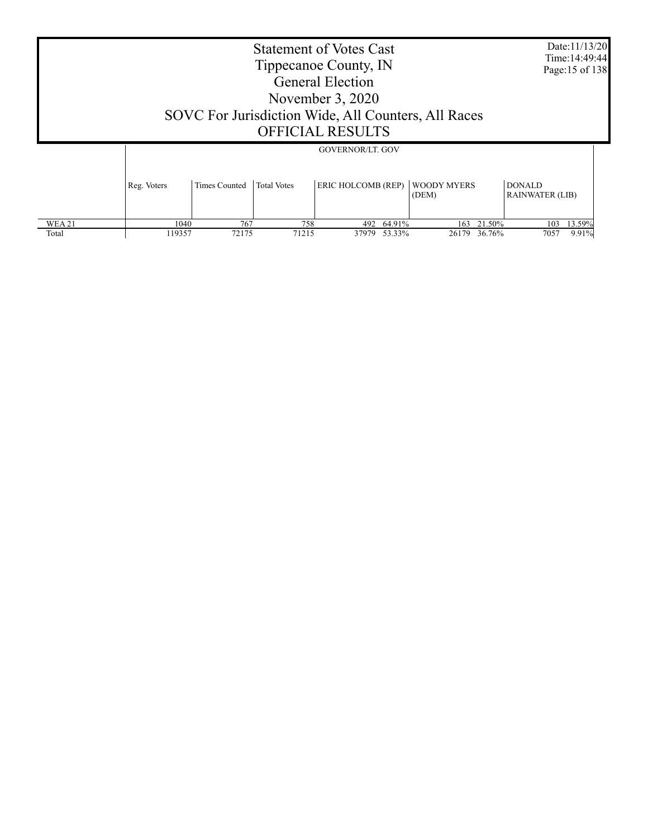|                       | <b>Statement of Votes Cast</b><br>Tippecanoe County, IN<br><b>General Election</b><br>November 3, 2020<br>SOVC For Jurisdiction Wide, All Counters, All Races<br><b>OFFICIAL RESULTS</b><br><b>GOVERNOR/LT. GOV</b> |              |                                         |       |                      |              |                  |                                |  |
|-----------------------|---------------------------------------------------------------------------------------------------------------------------------------------------------------------------------------------------------------------|--------------|-----------------------------------------|-------|----------------------|--------------|------------------|--------------------------------|--|
|                       | Reg. Voters                                                                                                                                                                                                         |              | <b>DONALD</b><br><b>RAINWATER (LIB)</b> |       |                      |              |                  |                                |  |
| <b>WEA21</b><br>Total | 1040<br>119357                                                                                                                                                                                                      | 767<br>72175 | 758<br>71215                            | 37979 | 492 64.91%<br>53.33% | 163<br>26179 | 21.50%<br>36.76% | 13.59%<br>103<br>9.91%<br>7057 |  |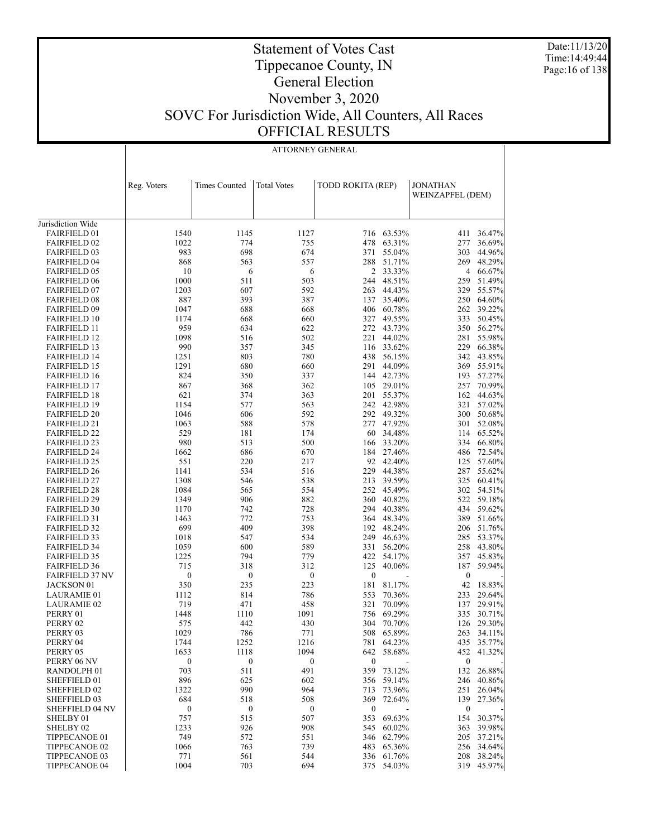Date:11/13/20 Time:14:49:44 Page:16 of 138

### Statement of Votes Cast Tippecanoe County, IN General Election November 3, 2020 SOVC For Jurisdiction Wide, All Counters, All Races OFFICIAL RESULTS

|                                            |                  | ATTORNEY GENERAL     |                    |                   |                          |                  |                      |  |  |  |
|--------------------------------------------|------------------|----------------------|--------------------|-------------------|--------------------------|------------------|----------------------|--|--|--|
|                                            |                  |                      |                    |                   |                          |                  |                      |  |  |  |
|                                            |                  |                      |                    |                   |                          |                  |                      |  |  |  |
|                                            | Reg. Voters      | <b>Times Counted</b> | <b>Total Votes</b> | TODD ROKITA (REP) |                          | <b>JONATHAN</b>  |                      |  |  |  |
|                                            |                  |                      |                    |                   |                          | WEINZAPFEL (DEM) |                      |  |  |  |
|                                            |                  |                      |                    |                   |                          |                  |                      |  |  |  |
|                                            |                  |                      |                    |                   |                          |                  |                      |  |  |  |
| Jurisdiction Wide                          |                  |                      |                    |                   |                          |                  |                      |  |  |  |
| <b>FAIRFIELD 01</b>                        | 1540             | 1145                 | 1127               |                   | 716 63.53%               | 411              | 36.47%               |  |  |  |
| <b>FAIRFIELD 02</b><br><b>FAIRFIELD 03</b> | 1022<br>983      | 774<br>698           | 755<br>674         | 478<br>371        | 63.31%<br>55.04%         | 277<br>303       | 36.69%<br>44.96%     |  |  |  |
| <b>FAIRFIELD 04</b>                        | 868              | 563                  | 557                | 288               | 51.71%                   | 269              | 48.29%               |  |  |  |
| <b>FAIRFIELD 05</b>                        | 10               | 6                    | 6                  |                   | 2 33.33%                 | 4                | 66.67%               |  |  |  |
| <b>FAIRFIELD 06</b>                        | 1000             | 511                  | 503                | 244               | 48.51%                   | 259              | 51.49%               |  |  |  |
| <b>FAIRFIELD 07</b>                        | 1203             | 607                  | 592                | 263               | 44.43%                   | 329              | 55.57%               |  |  |  |
| <b>FAIRFIELD 08</b>                        | 887              | 393                  | 387                | 137               | 35.40%                   | 250              | 64.60%               |  |  |  |
| <b>FAIRFIELD 09</b>                        | 1047             | 688                  | 668                |                   | 406 60.78%               | 262              | 39.22%               |  |  |  |
| <b>FAIRFIELD 10</b>                        | 1174             | 668                  | 660                |                   | 327 49.55%               | 333              | 50.45%               |  |  |  |
| <b>FAIRFIELD 11</b>                        | 959<br>1098      | 634                  | 622                |                   | 272 43.73%               | 350              | 56.27%               |  |  |  |
| <b>FAIRFIELD 12</b><br><b>FAIRFIELD 13</b> | 990              | 516<br>357           | 502<br>345         |                   | 221 44.02%<br>116 33.62% | 281<br>229       | 55.98%<br>66.38%     |  |  |  |
| <b>FAIRFIELD 14</b>                        | 1251             | 803                  | 780                | 438               | 56.15%                   | 342              | 43.85%               |  |  |  |
| <b>FAIRFIELD 15</b>                        | 1291             | 680                  | 660                | 291               | 44.09%                   | 369              | 55.91%               |  |  |  |
| <b>FAIRFIELD 16</b>                        | 824              | 350                  | 337                |                   | 144 42.73%               | 193              | 57.27%               |  |  |  |
| <b>FAIRFIELD 17</b>                        | 867              | 368                  | 362                |                   | 105 29.01%               | 257              | 70.99%               |  |  |  |
| <b>FAIRFIELD 18</b>                        | 621              | 374                  | 363                | 201               | 55.37%                   | 162              | 44.63%               |  |  |  |
| <b>FAIRFIELD 19</b>                        | 1154             | 577                  | 563                |                   | 242 42.98%               | 321              | 57.02%               |  |  |  |
| <b>FAIRFIELD 20</b>                        | 1046             | 606                  | 592                |                   | 292 49.32%               | 300              | 50.68%               |  |  |  |
| <b>FAIRFIELD 21</b>                        | 1063             | 588                  | 578                | 277               | 47.92%                   | 301              | 52.08%               |  |  |  |
| <b>FAIRFIELD 22</b>                        | 529<br>980       | 181<br>513           | 174                | 60                | 34.48%                   | 114              | 65.52%               |  |  |  |
| <b>FAIRFIELD 23</b><br><b>FAIRFIELD 24</b> | 1662             | 686                  | 500<br>670         | 166               | 33.20%<br>184 27.46%     | 334<br>486       | 66.80%<br>72.54%     |  |  |  |
| <b>FAIRFIELD 25</b>                        | 551              | 220                  | 217                |                   | 92 42.40%                | 125              | 57.60%               |  |  |  |
| <b>FAIRFIELD 26</b>                        | 1141             | 534                  | 516                |                   | 229 44.38%               | 287              | 55.62%               |  |  |  |
| <b>FAIRFIELD 27</b>                        | 1308             | 546                  | 538                | 213               | 39.59%                   | 325              | 60.41%               |  |  |  |
| <b>FAIRFIELD 28</b>                        | 1084             | 565                  | 554                |                   | 252 45.49%               | 302              | 54.51%               |  |  |  |
| <b>FAIRFIELD 29</b>                        | 1349             | 906                  | 882                | 360               | 40.82%                   |                  | 522 59.18%           |  |  |  |
| <b>FAIRFIELD 30</b>                        | 1170             | 742                  | 728                |                   | 294 40.38%               | 434              | 59.62%               |  |  |  |
| <b>FAIRFIELD 31</b>                        | 1463             | 772                  | 753                |                   | 364 48.34%               | 389              | 51.66%               |  |  |  |
| <b>FAIRFIELD 32</b>                        | 699              | 409                  | 398                |                   | 192 48.24%               | 206              | 51.76%               |  |  |  |
| <b>FAIRFIELD 33</b><br><b>FAIRFIELD 34</b> | 1018<br>1059     | 547<br>600           | 534<br>589         | 331               | 249 46.63%<br>56.20%     | 285<br>258       | 53.37%<br>43.80%     |  |  |  |
| <b>FAIRFIELD 35</b>                        | 1225             | 794                  | 779                | 422               | 54.17%                   | 357              | 45.83%               |  |  |  |
| <b>FAIRFIELD 36</b>                        | 715              | 318                  | 312                | 125               | 40.06%                   | 187              | 59.94%               |  |  |  |
| <b>FAIRFIELD 37 NV</b>                     | $\boldsymbol{0}$ | $\boldsymbol{0}$     | $\boldsymbol{0}$   | $\boldsymbol{0}$  |                          | $\boldsymbol{0}$ |                      |  |  |  |
| JACKSON 01                                 | 350              | 235                  | 223                | 181               | 81.17%                   | 42               | 18.83%               |  |  |  |
| <b>LAURAMIE 01</b>                         | 1112             | 814                  | 786                | 553               | 70.36%                   | 233              | 29.64%               |  |  |  |
| <b>LAURAMIE 02</b>                         | 719              | 471                  | 458                | 321               | 70.09%                   | 137              | 29.91%               |  |  |  |
| PERRY 01                                   | 1448             | 1110                 | 1091               | 756               | 69.29%                   | 335              | 30.71%               |  |  |  |
| PERRY 02                                   | 575              | 442                  | 430                |                   | 304 70.70%               |                  | 126 29.30%           |  |  |  |
| PERRY 03<br>PERRY 04                       | 1029             | 786                  | 771                |                   | 508 65.89%               | 263              | 34.11%               |  |  |  |
| PERRY 05                                   | 1744<br>1653     | 1252<br>1118         | 1216<br>1094       | 781<br>642        | 64.23%<br>58.68%         | 435<br>452       | 35.77%<br>41.32%     |  |  |  |
| PERRY 06 NV                                | $\boldsymbol{0}$ | $\boldsymbol{0}$     | $\boldsymbol{0}$   | $\boldsymbol{0}$  |                          | $\boldsymbol{0}$ |                      |  |  |  |
| RANDOLPH <sub>01</sub>                     | 703              | 511                  | 491                | 359               | 73.12%                   | 132              | 26.88%               |  |  |  |
| SHEFFIELD 01                               | 896              | 625                  | 602                | 356               | 59.14%                   | 246              | 40.86%               |  |  |  |
| SHEFFIELD 02                               | 1322             | 990                  | 964                | 713               | 73.96%                   | 251              | 26.04%               |  |  |  |
| SHEFFIELD 03                               | 684              | 518                  | 508                | 369               | 72.64%                   | 139              | 27.36%               |  |  |  |
| <b>SHEFFIELD 04 NV</b>                     | $\boldsymbol{0}$ | $\boldsymbol{0}$     | $\boldsymbol{0}$   | $\boldsymbol{0}$  |                          | $\boldsymbol{0}$ |                      |  |  |  |
| SHELBY 01                                  | 757              | 515                  | 507                | 353               | 69.63%                   | 154              | 30.37%               |  |  |  |
| SHELBY <sub>02</sub>                       | 1233             | 926                  | 908                | 545               | 60.02%                   | 363              | 39.98%               |  |  |  |
| TIPPECANOE 01                              | 749              | 572                  | 551                |                   | 346 62.79%               | 205              | 37.21%               |  |  |  |
| TIPPECANOE 02<br>TIPPECANOE 03             | 1066<br>771      | 763<br>561           | 739<br>544         | 483<br>336        | 65.36%<br>61.76%         | 208              | 256 34.64%<br>38.24% |  |  |  |
| <b>TIPPECANOE 04</b>                       | 1004             | 703                  | 694                | 375               | 54.03%                   | 319              | 45.97%               |  |  |  |
|                                            |                  |                      |                    |                   |                          |                  |                      |  |  |  |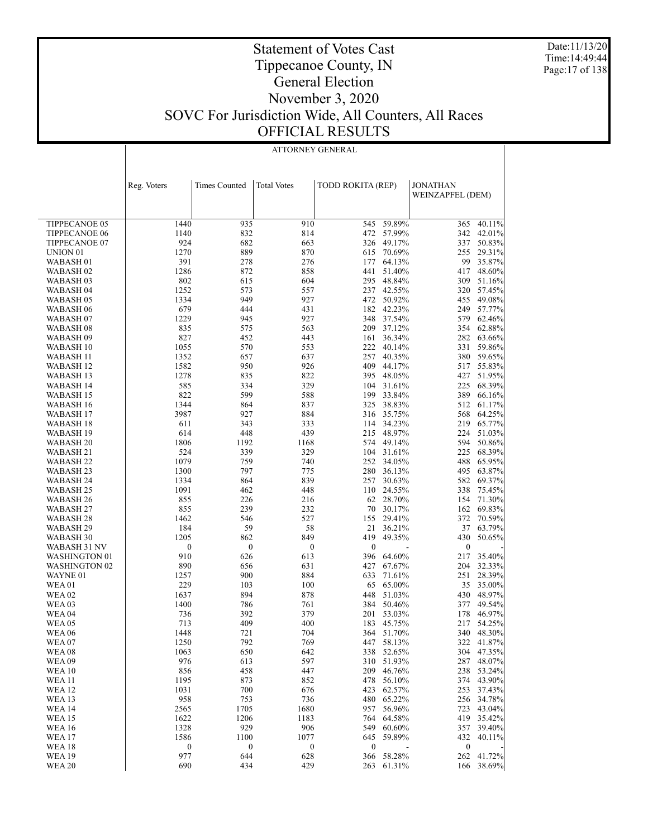Date:11/13/20 Time:14:49:44 Page:17 of 138

### Statement of Votes Cast Tippecanoe County, IN General Election November 3, 2020 SOVC For Jurisdiction Wide, All Counters, All Races OFFICIAL RESULTS

|                                |                  | ATTORNEY GENERAL     |                    |                          |                          |                                     |                          |  |  |  |
|--------------------------------|------------------|----------------------|--------------------|--------------------------|--------------------------|-------------------------------------|--------------------------|--|--|--|
|                                |                  |                      |                    |                          |                          |                                     |                          |  |  |  |
|                                |                  |                      |                    |                          |                          |                                     |                          |  |  |  |
|                                |                  |                      |                    |                          |                          |                                     |                          |  |  |  |
|                                | Reg. Voters      | <b>Times Counted</b> | <b>Total Votes</b> | <b>TODD ROKITA (REP)</b> |                          | <b>JONATHAN</b><br>WEINZAPFEL (DEM) |                          |  |  |  |
|                                |                  |                      |                    |                          |                          |                                     |                          |  |  |  |
|                                |                  |                      |                    |                          |                          |                                     |                          |  |  |  |
| TIPPECANOE 05                  | 1440             | 935                  | 910                | 545                      | 59.89%                   | 365                                 | 40.11%                   |  |  |  |
| <b>TIPPECANOE 06</b>           | 1140             | 832                  | 814                |                          | 472 57.99%               | 342                                 | 42.01%                   |  |  |  |
| TIPPECANOE 07                  | 924              | 682                  | 663                |                          | 326 49.17%               | 337                                 | 50.83%                   |  |  |  |
| UNION <sub>01</sub>            | 1270             | 889                  | 870                |                          | 615 70.69%               |                                     | 255 29.31%               |  |  |  |
| WABASH 01                      | 391              | 278                  | 276                |                          | 177 64.13%               |                                     | 99 35.87%                |  |  |  |
| WABASH <sub>02</sub>           | 1286             | 872                  | 858                |                          | 441 51.40%               | 417                                 | 48.60%                   |  |  |  |
| WABASH 03                      | 802              | 615                  | 604                |                          | 295 48.84%               |                                     | 309 51.16%               |  |  |  |
| WABASH 04                      | 1252             | 573                  | 557                |                          | 237 42.55%               |                                     | 320 57.45%               |  |  |  |
| WABASH 05                      | 1334             | 949                  | 927                |                          | 472 50.92%               |                                     | 455 49.08%               |  |  |  |
| WABASH 06                      | 679              | 444                  | 431                |                          | 182 42.23%               |                                     | 249 57.77%               |  |  |  |
| WABASH 07                      | 1229             | 945                  | 927                |                          | 348 37.54%               |                                     | 579 62.46%               |  |  |  |
| WABASH 08                      | 835<br>827       | 575<br>452           | 563<br>443         |                          | 209 37.12%<br>161 36.34% |                                     | 354 62.88%<br>282 63.66% |  |  |  |
| WABASH 09<br>WABASH 10         | 1055             | 570                  | 553                |                          | 222 40.14%               |                                     | 331 59.86%               |  |  |  |
| WABASH 11                      | 1352             | 657                  | 637                |                          | 257 40.35%               |                                     | 380 59.65%               |  |  |  |
| WABASH 12                      | 1582             | 950                  | 926                |                          | 409 44.17%               |                                     | 517 55.83%               |  |  |  |
| WABASH 13                      | 1278             | 835                  | 822                |                          | 395 48.05%               |                                     | 427 51.95%               |  |  |  |
| WABASH 14                      | 585              | 334                  | 329                |                          | 104 31.61%               |                                     | 225 68.39%               |  |  |  |
| WABASH 15                      | 822              | 599                  | 588                |                          | 199 33.84%               |                                     | 389 66.16%               |  |  |  |
| WABASH 16                      | 1344             | 864                  | 837                |                          | 325 38.83%               |                                     | 512 61.17%               |  |  |  |
| WABASH 17                      | 3987             | 927                  | 884                |                          | 316 35.75%               | 568                                 | 64.25%                   |  |  |  |
| WABASH 18                      | 611              | 343                  | 333                |                          | 114 34.23%               |                                     | 219 65.77%               |  |  |  |
| WABASH 19                      | 614              | 448                  | 439                |                          | 215 48.97%               | 224                                 | 51.03%                   |  |  |  |
| WABASH <sub>20</sub>           | 1806             | 1192                 | 1168               |                          | 574 49.14%               | 594                                 | 50.86%                   |  |  |  |
| WABASH 21                      | 524              | 339                  | 329                |                          | 104 31.61%               |                                     | 225 68.39%               |  |  |  |
| WABASH <sub>22</sub>           | 1079             | 759                  | 740                |                          | 252 34.05%               | 488                                 | 65.95%                   |  |  |  |
| WABASH 23                      | 1300             | 797                  | 775                |                          | 280 36.13%               | 495                                 | 63.87%                   |  |  |  |
| WABASH 24<br>WABASH 25         | 1334<br>1091     | 864<br>462           | 839<br>448         |                          | 257 30.63%<br>110 24.55% | 338                                 | 582 69.37%<br>75.45%     |  |  |  |
| WABASH 26                      | 855              | 226                  | 216                |                          | 62 28.70%                | 154                                 | 71.30%                   |  |  |  |
| WABASH 27                      | 855              | 239                  | 232                | 70                       | 30.17%                   | 162                                 | 69.83%                   |  |  |  |
| WABASH 28                      | 1462             | 546                  | 527                |                          | 155 29.41%               | 372                                 | 70.59%                   |  |  |  |
| WABASH 29                      | 184              | 59                   | 58                 |                          | 21 36.21%                |                                     | 37 63.79%                |  |  |  |
| WABASH 30                      | 1205             | 862                  | 849                | 419                      | 49.35%                   | 430                                 | 50.65%                   |  |  |  |
| WABASH 31 NV                   | $\boldsymbol{0}$ | $\bf{0}$             | $\boldsymbol{0}$   | $\boldsymbol{0}$         |                          | $\boldsymbol{0}$                    |                          |  |  |  |
| <b>WASHINGTON 01</b>           | 910              | 626                  | 613                |                          | 396 64.60%               | 217                                 | 35.40%                   |  |  |  |
| <b>WASHINGTON 02</b>           | 890              | 656                  | 631                |                          | 427 67.67%               |                                     | 204 32.33%               |  |  |  |
| WAYNE 01                       | 1257             | 900                  | 884                |                          | 633 71.61%               |                                     | 251 28.39%               |  |  |  |
| WEA01                          | 229              | 103                  | 100                |                          | 65 65.00%                | 35                                  | 35.00%                   |  |  |  |
| <b>WEA 02</b>                  | 1637             | 894                  | 878                |                          | 448 51.03%               |                                     | 430 48.97%               |  |  |  |
| <b>WEA03</b>                   | 1400             | 786                  | 761                |                          | 384 50.46%               | 377                                 | 49.54%                   |  |  |  |
| WEA 04<br><b>WEA 05</b>        | 736<br>713       | 392<br>409           | 379<br>400         |                          | 201 53.03%<br>183 45.75% | 178<br>217                          | 46.97%<br>54.25%         |  |  |  |
| <b>WEA 06</b>                  | 1448             | 721                  | 704                | 364                      | 51.70%                   | 340                                 | 48.30%                   |  |  |  |
| <b>WEA07</b>                   | 1250             | 792                  | 769                | 447                      | 58.13%                   | 322                                 | 41.87%                   |  |  |  |
| <b>WEA08</b>                   | 1063             | 650                  | 642                | 338                      | 52.65%                   |                                     | 304 47.35%               |  |  |  |
| <b>WEA09</b>                   | 976              | 613                  | 597                | 310                      | 51.93%                   | 287                                 | 48.07%                   |  |  |  |
| <b>WEA 10</b>                  | 856              | 458                  | 447                | 209                      | 46.76%                   | 238                                 | 53.24%                   |  |  |  |
| <b>WEA11</b>                   | 1195             | 873                  | 852                | 478                      | 56.10%                   | 374                                 | 43.90%                   |  |  |  |
| <b>WEA 12</b>                  | 1031             | 700                  | 676                | 423                      | 62.57%                   | 253                                 | 37.43%                   |  |  |  |
| <b>WEA 13</b>                  | 958              | 753                  | 736                | 480                      | 65.22%                   | 256                                 | 34.78%                   |  |  |  |
| <b>WEA 14</b>                  | 2565             | 1705                 | 1680               | 957                      | 56.96%                   | 723                                 | 43.04%                   |  |  |  |
| <b>WEA15</b>                   | 1622             | 1206                 | 1183               | 764                      | 64.58%                   | 419                                 | 35.42%                   |  |  |  |
| <b>WEA 16</b>                  | 1328             | 929                  | 906                | 549                      | 60.60%                   | 357                                 | 39.40%                   |  |  |  |
| <b>WEA 17</b>                  | 1586             | 1100                 | 1077               | 645                      | 59.89%                   | 432                                 | 40.11%                   |  |  |  |
| <b>WEA18</b>                   | $\boldsymbol{0}$ | $\boldsymbol{0}$     | $\boldsymbol{0}$   | $\boldsymbol{0}$         |                          | $\boldsymbol{0}$                    |                          |  |  |  |
| <b>WEA 19</b><br><b>WEA 20</b> | 977<br>690       | 644<br>434           | 628<br>429         | 366                      | 58.28%<br>263 61.31%     | 262                                 | 41.72%<br>166 38.69%     |  |  |  |
|                                |                  |                      |                    |                          |                          |                                     |                          |  |  |  |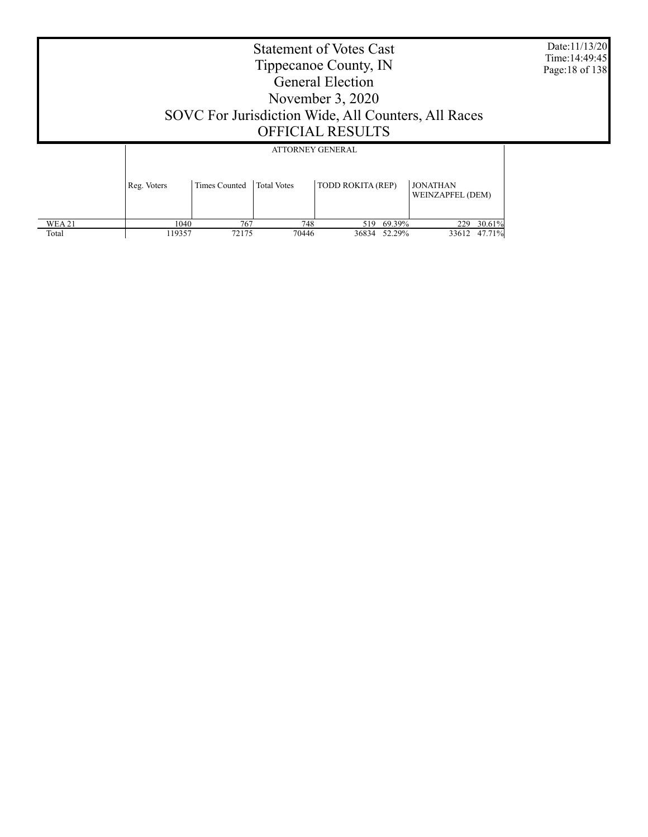Date:11/13/20 Time:14:49:45 Page:18 of 138

|              |             |               | ATTORNEY GENERAL   |                   |        |                                     |        |
|--------------|-------------|---------------|--------------------|-------------------|--------|-------------------------------------|--------|
|              | Reg. Voters | Times Counted | <b>Total Votes</b> | TODD ROKITA (REP) |        | <b>JONATHAN</b><br>WEINZAPFEL (DEM) |        |
| <b>WEA21</b> | 1040        | 767           | 748                | 519               | 69.39% | 229                                 | 30.61% |
| Total        | 119357      | 72175         | 70446              | 36834             | 52.29% | 33612                               | 47.71% |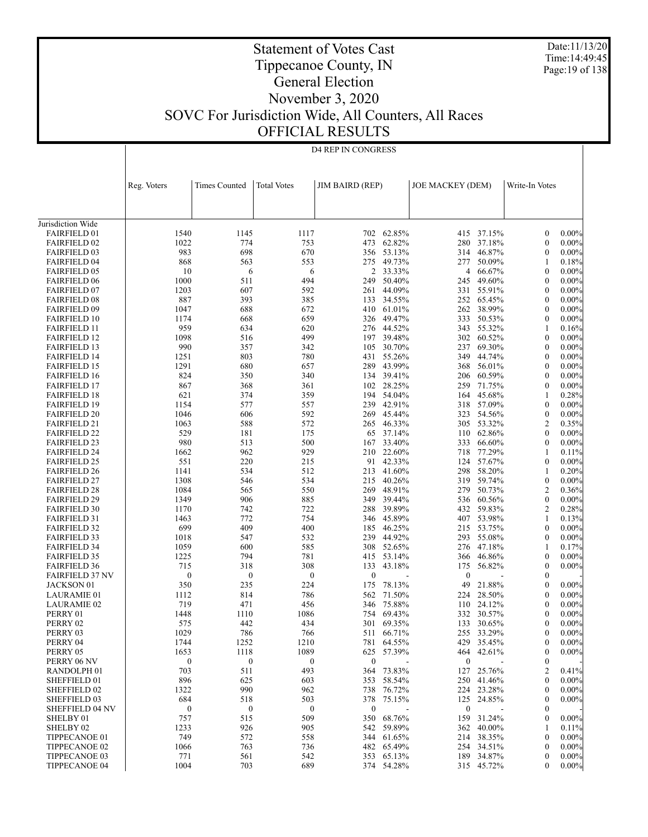Date:11/13/20 Time:14:49:45 Page:19 of 138

### Statement of Votes Cast Tippecanoe County, IN General Election November 3, 2020 SOVC For Jurisdiction Wide, All Counters, All Races OFFICIAL RESULTS

|                                            |                         | D4 REP IN CONGRESS      |                         |                         |                      |                         |                          |                                      |                      |  |
|--------------------------------------------|-------------------------|-------------------------|-------------------------|-------------------------|----------------------|-------------------------|--------------------------|--------------------------------------|----------------------|--|
|                                            |                         |                         |                         |                         |                      |                         |                          |                                      |                      |  |
|                                            |                         |                         |                         |                         |                      |                         |                          |                                      |                      |  |
|                                            | Reg. Voters             | <b>Times Counted</b>    | <b>Total Votes</b>      | <b>JIM BAIRD (REP)</b>  |                      | <b>JOE MACKEY (DEM)</b> |                          | Write-In Votes                       |                      |  |
|                                            |                         |                         |                         |                         |                      |                         |                          |                                      |                      |  |
|                                            |                         |                         |                         |                         |                      |                         |                          |                                      |                      |  |
| Jurisdiction Wide                          |                         |                         |                         |                         |                      |                         |                          |                                      |                      |  |
| <b>FAIRFIELD 01</b>                        | 1540<br>1022            | 1145                    | 1117                    | 702                     | 62.85%<br>62.82%     |                         | 415 37.15%               | $\boldsymbol{0}$<br>$\boldsymbol{0}$ | 0.00%<br>0.00%       |  |
| <b>FAIRFIELD 02</b><br><b>FAIRFIELD 03</b> | 983                     | 774<br>698              | 753<br>670              | 473                     | 356 53.13%           | 280                     | 37.18%<br>314 46.87%     | $\boldsymbol{0}$                     | $0.00\%$             |  |
| <b>FAIRFIELD 04</b>                        | 868                     | 563                     | 553                     | 275                     | 49.73%               | 277                     | 50.09%                   | 1                                    | 0.18%                |  |
| <b>FAIRFIELD 05</b>                        | 10                      | 6                       | 6                       | 2                       | 33.33%               |                         | 4 66.67%                 | $\boldsymbol{0}$                     | $0.00\%$             |  |
| <b>FAIRFIELD 06</b>                        | 1000                    | 511                     | 494                     | 249                     | 50.40%               | 245                     | 49.60%                   | $\boldsymbol{0}$                     | 0.00%                |  |
| <b>FAIRFIELD 07</b>                        | 1203                    | 607                     | 592                     | 261                     | 44.09%               |                         | 331 55.91%               | $\boldsymbol{0}$                     | $0.00\%$             |  |
| <b>FAIRFIELD 08</b>                        | 887<br>1047             | 393                     | 385<br>672              | 133                     | 34.55%<br>410 61.01% |                         | 252 65.45%<br>262 38.99% | $\mathbf{0}$<br>$\boldsymbol{0}$     | $0.00\%$<br>$0.00\%$ |  |
| <b>FAIRFIELD 09</b><br><b>FAIRFIELD 10</b> | 1174                    | 688<br>668              | 659                     | 326                     | 49.47%               | 333                     | 50.53%                   | $\boldsymbol{0}$                     | $0.00\%$             |  |
| <b>FAIRFIELD 11</b>                        | 959                     | 634                     | 620                     |                         | 276 44.52%           |                         | 343 55.32%               | 1                                    | 0.16%                |  |
| <b>FAIRFIELD 12</b>                        | 1098                    | 516                     | 499                     | 197                     | 39.48%               |                         | 302 60.52%               | $\mathbf{0}$                         | $0.00\%$             |  |
| <b>FAIRFIELD 13</b>                        | 990                     | 357                     | 342                     | 105                     | 30.70%               |                         | 237 69.30%               | $\boldsymbol{0}$                     | $0.00\%$             |  |
| <b>FAIRFIELD 14</b>                        | 1251                    | 803                     | 780                     | 431                     | 55.26%               | 349                     | 44.74%                   | $\mathbf{0}$                         | 0.00%                |  |
| <b>FAIRFIELD 15</b>                        | 1291                    | 680                     | 657                     |                         | 289 43.99%           |                         | 368 56.01%               | $\boldsymbol{0}$                     | $0.00\%$             |  |
| <b>FAIRFIELD 16</b><br><b>FAIRFIELD 17</b> | 824<br>867              | 350<br>368              | 340<br>361              | 134                     | 39.41%<br>102 28.25% | 206<br>259              | 60.59%<br>71.75%         | $\boldsymbol{0}$<br>$\boldsymbol{0}$ | $0.00\%$<br>$0.00\%$ |  |
| <b>FAIRFIELD 18</b>                        | 621                     | 374                     | 359                     | 194                     | 54.04%               | 164                     | 45.68%                   | 1                                    | 0.28%                |  |
| <b>FAIRFIELD 19</b>                        | 1154                    | 577                     | 557                     |                         | 239 42.91%           |                         | 318 57.09%               | $\boldsymbol{0}$                     | $0.00\%$             |  |
| <b>FAIRFIELD 20</b>                        | 1046                    | 606                     | 592                     |                         | 269 45.44%           | 323                     | 54.56%                   | $\boldsymbol{0}$                     | 0.00%                |  |
| <b>FAIRFIELD 21</b>                        | 1063                    | 588                     | 572                     |                         | 265 46.33%           |                         | 305 53.32%               | 2                                    | 0.35%                |  |
| <b>FAIRFIELD 22</b>                        | 529                     | 181                     | 175                     | 65                      | 37.14%               | 110                     | 62.86%                   | $\mathbf{0}$                         | $0.00\%$             |  |
| <b>FAIRFIELD 23</b>                        | 980                     | 513                     | 500                     | 167                     | 33.40%               | 333                     | 66.60%                   | $\boldsymbol{0}$                     | $0.00\%$             |  |
| <b>FAIRFIELD 24</b>                        | 1662                    | 962                     | 929                     | 210                     | 22.60%               | 718                     | 77.29%                   | 1                                    | 0.11%                |  |
| <b>FAIRFIELD 25</b><br><b>FAIRFIELD 26</b> | 551<br>1141             | 220<br>534              | 215<br>512              | 213                     | 91 42.33%<br>41.60%  | 298                     | 124 57.67%<br>58.20%     | $\boldsymbol{0}$<br>1                | $0.00\%$<br>0.20%    |  |
| <b>FAIRFIELD 27</b>                        | 1308                    | 546                     | 534                     |                         | 215 40.26%           | 319                     | 59.74%                   | $\boldsymbol{0}$                     | $0.00\%$             |  |
| <b>FAIRFIELD 28</b>                        | 1084                    | 565                     | 550                     | 269                     | 48.91%               | 279                     | 50.73%                   | 2                                    | 0.36%                |  |
| <b>FAIRFIELD 29</b>                        | 1349                    | 906                     | 885                     | 349                     | 39.44%               |                         | 536 60.56%               | $\mathbf{0}$                         | $0.00\%$             |  |
| <b>FAIRFIELD 30</b>                        | 1170                    | 742                     | 722                     | 288                     | 39.89%               | 432                     | 59.83%                   | 2                                    | 0.28%                |  |
| <b>FAIRFIELD 31</b>                        | 1463                    | 772                     | 754                     |                         | 346 45.89%           |                         | 407 53.98%               | 1                                    | 0.13%                |  |
| <b>FAIRFIELD 32</b>                        | 699                     | 409                     | 400                     | 185                     | 46.25%               |                         | 215 53.75%               | $\boldsymbol{0}$                     | $0.00\%$             |  |
| <b>FAIRFIELD 33</b>                        | 1018                    | 547                     | 532                     |                         | 239 44.92%           |                         | 293 55.08%               | $\boldsymbol{0}$                     | $0.00\%$             |  |
| <b>FAIRFIELD 34</b><br><b>FAIRFIELD 35</b> | 1059<br>1225            | 600<br>794              | 585<br>781              | 308<br>415              | 52.65%<br>53.14%     | 276<br>366              | 47.18%<br>46.86%         | 1<br>$\boldsymbol{0}$                | 0.17%<br>$0.00\%$    |  |
| <b>FAIRFIELD 36</b>                        | 715                     | 318                     | 308                     | 133                     | 43.18%               | 175                     | 56.82%                   | $\boldsymbol{0}$                     | $0.00\%$             |  |
| <b>FAIRFIELD 37 NV</b>                     | $\boldsymbol{0}$        | $\boldsymbol{0}$        | $\boldsymbol{0}$        | $\boldsymbol{0}$        |                      | $\mathbf{0}$            |                          | $\boldsymbol{0}$                     |                      |  |
| JACKSON 01                                 | 350                     | 235                     | 224                     | 175                     | 78.13%               | 49                      | 21.88%                   | $\mathbf{0}$                         | $0.00\%$             |  |
| <b>LAURAMIE 01</b>                         | 1112                    | 814                     | 786                     | 562                     | 71.50%               | 224                     | 28.50%                   | $\theta$                             | $0.00\%$             |  |
| <b>LAURAMIE 02</b>                         | 719                     | 471                     | 456                     | 346                     | 75.88%               | 110                     | 24.12%                   | $\mathbf{0}$                         | $0.00\%$             |  |
| PERRY 01                                   | 1448                    | 1110                    | 1086                    | 754                     | 69.43%               |                         | 332 30.57%               | $\theta$                             | $0.00\%$             |  |
| PERRY 02<br>PERRY 03                       | 575<br>1029             | 442<br>786              | 434<br>766              | 511                     | 301 69.35%<br>66.71% |                         | 133 30.65%<br>255 33.29% | $\boldsymbol{0}$<br>$\boldsymbol{0}$ | $0.00\%$<br>$0.00\%$ |  |
| PERRY 04                                   | 1744                    | 1252                    | 1210                    | 781                     | 64.55%               | 429                     | 35.45%                   | $\boldsymbol{0}$                     | $0.00\%$             |  |
| PERRY 05                                   | 1653                    | 1118                    | 1089                    | 625                     | 57.39%               |                         | 464 42.61%               | $\boldsymbol{0}$                     | $0.00\%$             |  |
| PERRY 06 NV                                | $\boldsymbol{0}$        | $\bf{0}$                | 0                       | $\boldsymbol{0}$        |                      | $\boldsymbol{0}$        |                          | $\boldsymbol{0}$                     |                      |  |
| RANDOLPH <sub>01</sub>                     | 703                     | 511                     | 493                     | 364                     | 73.83%               | 127                     | 25.76%                   | 2                                    | 0.41%                |  |
| SHEFFIELD 01                               | 896                     | 625                     | 603                     | 353                     | 58.54%               | 250                     | 41.46%                   | $\boldsymbol{0}$                     | $0.00\%$             |  |
| <b>SHEFFIELD 02</b>                        | 1322                    | 990                     | 962                     | 738                     | 76.72%               |                         | 224 23.28%               | $\boldsymbol{0}$                     | $0.00\%$             |  |
| <b>SHEFFIELD 03</b>                        | 684                     | 518                     | 503                     | 378                     | 75.15%               | 125                     | 24.85%                   | $\boldsymbol{0}$                     | $0.00\%$             |  |
| <b>SHEFFIELD 04 NV</b><br>SHELBY 01        | $\boldsymbol{0}$<br>757 | $\boldsymbol{0}$<br>515 | $\boldsymbol{0}$<br>509 | $\boldsymbol{0}$<br>350 | 68.76%               | $\boldsymbol{0}$<br>159 | 31.24%                   | 0<br>$\boldsymbol{0}$                | $0.00\%$             |  |
| SHELBY <sub>02</sub>                       | 1233                    | 926                     | 905                     | 542                     | 59.89%               |                         | 362 40.00%               | 1                                    | 0.11%                |  |
| TIPPECANOE 01                              | 749                     | 572                     | 558                     | 344                     | 61.65%               |                         | 214 38.35%               | $\boldsymbol{0}$                     | $0.00\%$             |  |
| TIPPECANOE 02                              | 1066                    | 763                     | 736                     | 482                     | 65.49%               |                         | 254 34.51%               | $\boldsymbol{0}$                     | $0.00\%$             |  |
| TIPPECANOE 03                              | 771                     | 561                     | 542                     | 353                     | 65.13%               | 189                     | 34.87%                   | $\boldsymbol{0}$                     | $0.00\%$             |  |
| <b>TIPPECANOE 04</b>                       | 1004                    | 703                     | 689                     |                         | 374 54.28%           |                         | 315 45.72%               | 0                                    | $0.00\%$             |  |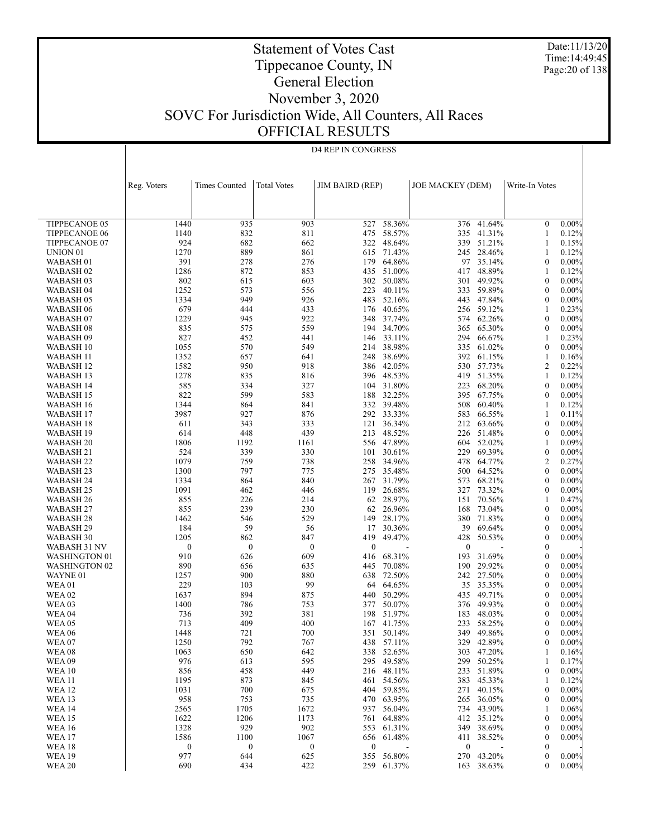Date:11/13/20 Time:14:49:45 Page:20 of 138

### Statement of Votes Cast Tippecanoe County, IN General Election November 3, 2020 SOVC For Jurisdiction Wide, All Counters, All Races OFFICIAL RESULTS

 $\overline{\phantom{a}}$ 

D4 REP IN CONGRESS

|                          | Reg. Voters      | <b>Times Counted</b> | <b>Total Votes</b> | <b>JIM BAIRD (REP)</b> |                      | <b>JOE MACKEY (DEM)</b> |                  | Write-In Votes               |                      |
|--------------------------|------------------|----------------------|--------------------|------------------------|----------------------|-------------------------|------------------|------------------------------|----------------------|
|                          |                  |                      |                    |                        |                      |                         |                  |                              |                      |
| <b>TIPPECANOE 05</b>     | 1440             | 935                  | 903                | 527                    | 58.36%               | 376                     | 41.64%           | $\mathbf{0}$                 | $0.00\%$             |
| TIPPECANOE 06            | 1140             | 832                  | 811                | 475                    | 58.57%               | 335                     | 41.31%           | 1                            | 0.12%                |
| TIPPECANOE 07            | 924              | 682                  | 662                | 322                    | 48.64%               | 339                     | 51.21%           | $\mathbf{1}$                 | 0.15%                |
| UNION <sub>01</sub>      | 1270             | 889                  | 861                |                        | 615 71.43%           | 245                     | 28.46%           | 1                            | 0.12%                |
| WABASH <sub>01</sub>     | 391              | 278                  | 276                | 179                    | 64.86%               | 97                      | 35.14%           | $\mathbf{0}$                 | $0.00\%$             |
| WABASH 02                | 1286             | 872                  | 853                |                        | 435 51.00%           | 417                     | 48.89%           | 1                            | 0.12%                |
| WABASH 03                | 802              | 615                  | 603                | 302                    | 50.08%               | 301                     | 49.92%           | $\mathbf{0}$                 | $0.00\%$             |
| WABASH 04                | 1252             | 573                  | 556                | 223                    | 40.11%               | 333                     | 59.89%           | $\mathbf{0}$                 | $0.00\%$             |
| WABASH 05                | 1334             | 949                  | 926                |                        | 483 52.16%           | 443                     | 47.84%           | $\mathbf{0}$                 | $0.00\%$             |
| WABASH 06                | 679              | 444                  | 433                |                        | 176 40.65%           |                         | 256 59.12%       | 1                            | 0.23%                |
| WABASH <sub>07</sub>     | 1229             | 945                  | 922                |                        | 348 37.74%           | 574                     | 62.26%           | $\mathbf{0}$                 | $0.00\%$             |
| WABASH 08                | 835              | 575                  | 559                |                        | 194 34.70%           | 365                     | 65.30%           | $\mathbf{0}$                 | $0.00\%$             |
| WABASH 09                | 827              | 452                  | 441                | 146                    | 33.11%               | 294                     | 66.67%           | $\mathbf{1}$                 | 0.23%                |
| WABASH 10                | 1055<br>1352     | 570                  | 549<br>641         |                        | 214 38.98%<br>38.69% | 335<br>392              | 61.02%<br>61.15% | $\mathbf{0}$<br>$\mathbf{1}$ | $0.00\%$             |
| WABASH 11                | 1582             | 657<br>950           | 918                | 248                    | 386 42.05%           |                         | 530 57.73%       | $\overline{2}$               | 0.16%<br>0.22%       |
| WABASH 12<br>WABASH 13   | 1278             | 835                  | 816                |                        | 396 48.53%           | 419                     | 51.35%           | $\mathbf{1}$                 | 0.12%                |
| WABASH 14                | 585              | 334                  | 327                |                        | 104 31.80%           | 223                     | 68.20%           | $\mathbf{0}$                 | $0.00\%$             |
| WABASH 15                | 822              | 599                  | 583                | 188                    | 32.25%               | 395                     | 67.75%           | $\mathbf{0}$                 | $0.00\%$             |
| WABASH 16                | 1344             | 864                  | 841                |                        | 332 39.48%           | 508                     | 60.40%           | 1                            | 0.12%                |
| WABASH 17                | 3987             | 927                  | 876                |                        | 292 33.33%           | 583                     | 66.55%           | $\mathbf{1}$                 | 0.11%                |
| WABASH 18                | 611              | 343                  | 333                | 121                    | 36.34%               | 212                     | 63.66%           | $\mathbf{0}$                 | $0.00\%$             |
| WABASH 19                | 614              | 448                  | 439                | 213                    | 48.52%               | 226                     | 51.48%           | $\mathbf{0}$                 | $0.00\%$             |
| WABASH <sub>20</sub>     | 1806             | 1192                 | 1161               |                        | 556 47.89%           | 604                     | 52.02%           | 1                            | 0.09%                |
| WABASH 21                | 524              | 339                  | 330                | 101                    | 30.61%               | 229                     | 69.39%           | $\boldsymbol{0}$             | $0.00\%$             |
| WABASH 22                | 1079             | 759                  | 738                |                        | 258 34.96%           | 478                     | 64.77%           | $\overline{2}$               | 0.27%                |
| WABASH 23                | 1300             | 797                  | 775                | 275                    | 35.48%               | 500                     | 64.52%           | $\mathbf{0}$                 | $0.00\%$             |
| WABASH 24                | 1334             | 864                  | 840                |                        | 267 31.79%           | 573                     | 68.21%           | $\mathbf{0}$                 | $0.00\%$             |
| WABASH 25                | 1091             | 462                  | 446                | 119                    | 26.68%               | 327                     | 73.32%           | $\mathbf{0}$                 | $0.00\%$             |
| WABASH 26                | 855              | 226                  | 214                |                        | 62 28.97%            | 151                     | 70.56%           | 1                            | 0.47%                |
| WABASH 27                | 855              | 239                  | 230                | 62                     | 26.96%               | 168                     | 73.04%           | $\mathbf{0}$                 | $0.00\%$             |
| WABASH 28                | 1462             | 546                  | 529                | 149                    | 28.17%               |                         | 380 71.83%       | $\mathbf{0}$                 | $0.00\%$             |
| WABASH 29                | 184              | 59                   | 56                 | 17                     | 30.36%               | 39                      | 69.64%           | $\mathbf{0}$                 | $0.00\%$             |
| WABASH 30                | 1205             | 862                  | 847                | 419                    | 49.47%               | 428                     | 50.53%           | $\mathbf{0}$                 | $0.00\%$             |
| WABASH 31 NV             | $\boldsymbol{0}$ | $\boldsymbol{0}$     | $\mathbf{0}$       | $\boldsymbol{0}$       |                      | $\mathbf{0}$            |                  | $\mathbf{0}$                 |                      |
| <b>WASHINGTON 01</b>     | 910              | 626                  | 609                | 416                    | 68.31%               | 193                     | 31.69%           | $\mathbf{0}$                 | $0.00\%$             |
| <b>WASHINGTON 02</b>     | 890              | 656                  | 635                | 445                    | 70.08%<br>638 72.50% | 190<br>242              | 29.92%<br>27.50% | $\mathbf{0}$<br>$\mathbf{0}$ | $0.00\%$<br>$0.00\%$ |
| WAYNE 01<br><b>WEA01</b> | 1257<br>229      | 900<br>103           | 880<br>99          | 64                     | 64.65%               | 35                      | 35.35%           | $\mathbf{0}$                 | $0.00\%$             |
| <b>WEA 02</b>            | 1637             | 894                  | 875                | 440                    | 50.29%               |                         | 435 49.71%       | $\mathbf{0}$                 | $0.00\%$             |
| WEA <sub>03</sub>        | 1400             | 786                  | 753                | 377                    | 50.07%               | 376                     | 49.93%           | $\mathbf{0}$                 | $0.00\%$             |
| <b>WEA 04</b>            | 736              | 392                  | 381                | 198                    | 51.97%               | 183                     | 48.03%           | $\theta$                     | $0.00\%$             |
| WEA 05                   | 713              | 409                  | 400                | 167                    | 41.75%               | 233                     | 58.25%           | $\overline{0}$               | $0.00\%$             |
| <b>WEA 06</b>            | 1448             | 721                  | 700                | 351                    | 50.14%               |                         | 349 49.86%       | $\bf{0}$                     | $0.00\%$             |
| WEA 07                   | 1250             | 792                  | 767                | 438                    | 57.11%               |                         | 329 42.89%       | $\boldsymbol{0}$             | $0.00\%$             |
| <b>WEA08</b>             | 1063             | 650                  | 642                | 338                    | 52.65%               |                         | 303 47.20%       | 1                            | 0.16%                |
| <b>WEA09</b>             | 976              | 613                  | 595                | 295                    | 49.58%               |                         | 299 50.25%       | $\mathbf{1}$                 | 0.17%                |
| <b>WEA 10</b>            | 856              | 458                  | 449                | 216                    | 48.11%               |                         | 233 51.89%       | $\boldsymbol{0}$             | $0.00\%$             |
| <b>WEA 11</b>            | 1195             | 873                  | 845                | 461                    | 54.56%               | 383                     | 45.33%           | 1                            | 0.12%                |
| <b>WEA 12</b>            | 1031             | 700                  | 675                | 404                    | 59.85%               | 271                     | 40.15%           | $\boldsymbol{0}$             | $0.00\%$             |
| <b>WEA13</b>             | 958              | 753                  | 735                | 470                    | 63.95%               | 265                     | 36.05%           | $\boldsymbol{0}$             | $0.00\%$             |
| <b>WEA 14</b>            | 2565             | 1705                 | 1672               | 937                    | 56.04%               |                         | 734 43.90%       | 1                            | 0.06%                |
| <b>WEA 15</b>            | 1622             | 1206                 | 1173               | 761                    | 64.88%               | 412                     | 35.12%           | $\boldsymbol{0}$             | $0.00\%$             |
| <b>WEA 16</b>            | 1328             | 929                  | 902                | 553                    | 61.31%               |                         | 349 38.69%       | $\boldsymbol{0}$             | $0.00\%$             |
| <b>WEA 17</b>            | 1586             | 1100                 | 1067               | 656                    | 61.48%               | 411                     | 38.52%           | $\boldsymbol{0}$             | $0.00\%$             |
| <b>WEA18</b>             | $\boldsymbol{0}$ | 0                    | $\boldsymbol{0}$   | $\boldsymbol{0}$       |                      | $\boldsymbol{0}$        |                  | $\boldsymbol{0}$             |                      |
| <b>WEA 19</b>            | 977              | 644                  | 625                | 355                    | 56.80%               |                         | 270 43.20%       | $\boldsymbol{0}$             | $0.00\%$             |
| <b>WEA 20</b>            | 690              | 434                  | 422                | 259                    | 61.37%               |                         | 163 38.63%       | $\boldsymbol{0}$             | 0.00%                |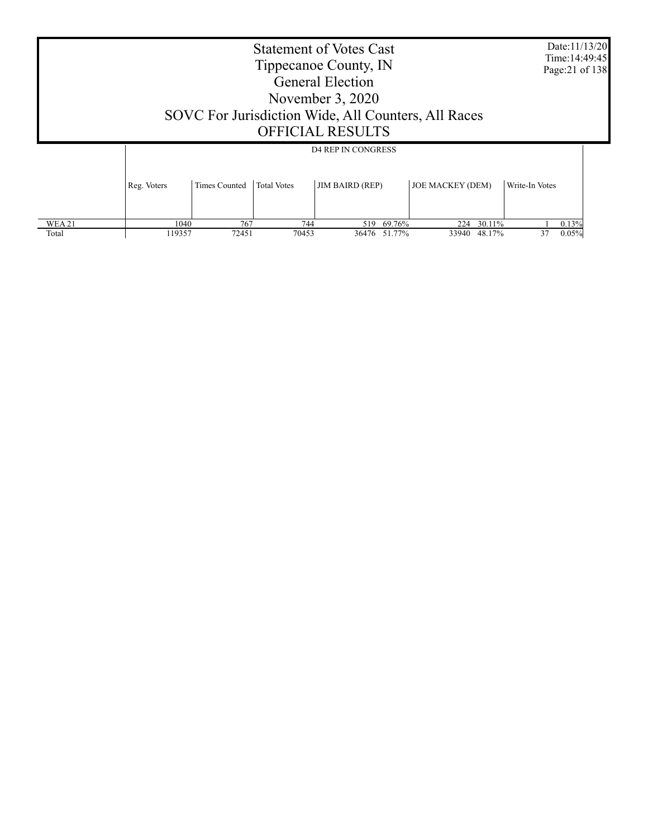|        | <b>Statement of Votes Cast</b><br>Tippecanoe County, IN<br><b>General Election</b><br>November $3,2020$<br>SOVC For Jurisdiction Wide, All Counters, All Races |                                                                              |     |        |       |  |  |  |  |  |
|--------|----------------------------------------------------------------------------------------------------------------------------------------------------------------|------------------------------------------------------------------------------|-----|--------|-------|--|--|--|--|--|
|        | <b>OFFICIAL RESULTS</b><br><b>D4 REP IN CONGRESS</b>                                                                                                           |                                                                              |     |        |       |  |  |  |  |  |
|        | Reg. Voters                                                                                                                                                    | <b>JOE MACKEY (DEM)</b><br>Write-In Votes                                    |     |        |       |  |  |  |  |  |
| WEA 21 | 1040                                                                                                                                                           | 767                                                                          | 224 | 30.11% | 0.13% |  |  |  |  |  |
| Total  | 119357                                                                                                                                                         | 744<br>69.76%<br>519<br>72451<br>48.17%<br>70453<br>36476<br>51.77%<br>33940 |     |        |       |  |  |  |  |  |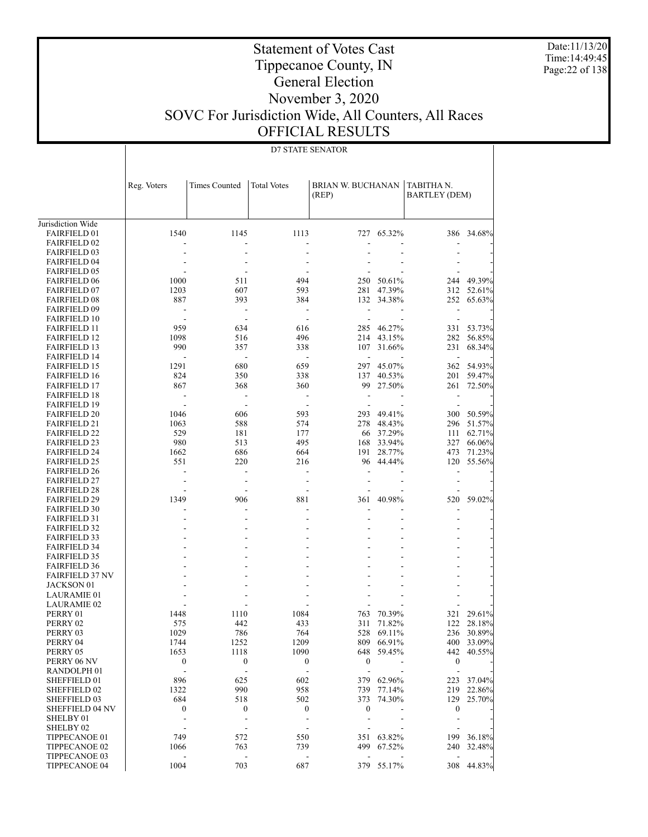Date:11/13/20 Time:14:49:45 Page:22 of 138

### Statement of Votes Cast Tippecanoe County, IN General Election November 3, 2020 SOVC For Jurisdiction Wide, All Counters, All Races OFFICIAL RESULTS

D7 STATE SENATOR

|                                             | Reg. Voters              | <b>Times Counted</b>     | <b>Total Votes</b>       | <b>BRIAN W. BUCHANAN</b> |                          | TABITHA N.               |                      |
|---------------------------------------------|--------------------------|--------------------------|--------------------------|--------------------------|--------------------------|--------------------------|----------------------|
|                                             |                          |                          |                          | (REP)                    |                          | <b>BARTLEY (DEM)</b>     |                      |
|                                             |                          |                          |                          |                          |                          |                          |                      |
|                                             |                          |                          |                          |                          |                          |                          |                      |
| Jurisdiction Wide                           |                          |                          |                          |                          |                          |                          |                      |
| <b>FAIRFIELD 01</b>                         | 1540                     | 1145                     | 1113                     |                          | 727 65.32%               |                          | 386 34.68%           |
| <b>FAIRFIELD 02</b>                         |                          | $\overline{a}$           |                          |                          |                          | ÷,                       |                      |
| <b>FAIRFIELD 03</b>                         |                          |                          |                          |                          |                          |                          |                      |
| <b>FAIRFIELD 04</b>                         |                          | $\overline{a}$           | ÷                        |                          |                          |                          |                      |
| <b>FAIRFIELD 05</b>                         |                          |                          | ÷                        |                          |                          | ÷                        |                      |
| <b>FAIRFIELD 06</b>                         | 1000                     | 511                      | 494                      | 250                      | 50.61%                   | 244                      | 49.39%               |
| <b>FAIRFIELD 07</b>                         | 1203                     | 607                      | 593                      | 281                      | 47.39%                   | 312                      | 52.61%               |
| <b>FAIRFIELD 08</b>                         | 887                      | 393                      | 384                      |                          | 132 34.38%               | 252                      | 65.63%               |
| <b>FAIRFIELD 09</b>                         | ٠                        | $\overline{a}$           | ÷                        | ÷,                       |                          | ÷                        |                      |
| <b>FAIRFIELD 10</b>                         | $\overline{\phantom{a}}$ | $\sim$                   | ÷                        | ÷.                       | $\overline{\phantom{a}}$ | ÷                        |                      |
| <b>FAIRFIELD 11</b>                         | 959                      | 634                      | 616                      | 285                      | 46.27%                   | 331                      | 53.73%               |
| <b>FAIRFIELD 12</b>                         | 1098                     | 516                      | 496                      | 214                      | 43.15%                   | 282                      | 56.85%               |
| <b>FAIRFIELD 13</b>                         | 990                      | 357                      | 338                      | 107                      | 31.66%                   | 231                      | 68.34%               |
| <b>FAIRFIELD 14</b>                         | ÷,                       | $\overline{\phantom{a}}$ | $\sim$                   | ÷                        |                          | $\overline{a}$           |                      |
| <b>FAIRFIELD 15</b>                         | 1291                     | 680                      | 659                      | 297                      | 45.07%                   | 362                      | 54.93%               |
| <b>FAIRFIELD 16</b>                         | 824                      | 350                      | 338                      | 137                      | 40.53%                   | 201                      | 59.47%               |
| <b>FAIRFIELD 17</b>                         | 867                      | 368                      | 360                      | 99                       | 27.50%                   | 261                      | 72.50%               |
| <b>FAIRFIELD 18</b>                         | ÷,                       | $\sim$                   | $\overline{\phantom{a}}$ | L,                       |                          | $\overline{\phantom{a}}$ |                      |
| <b>FAIRFIELD 19</b>                         |                          | ÷.                       | ÷                        |                          |                          | $\overline{\phantom{a}}$ |                      |
| <b>FAIRFIELD 20</b>                         | 1046                     | 606                      | 593                      | 293                      | 49.41%                   | 300                      | 50.59%               |
| <b>FAIRFIELD 21</b>                         | 1063                     | 588                      | 574                      | 278                      | 48.43%                   | 296                      | 51.57%               |
| <b>FAIRFIELD 22</b>                         | 529                      | 181                      | 177                      | 66                       | 37.29%                   | 111                      | 62.71%               |
| <b>FAIRFIELD 23</b>                         | 980                      | 513                      | 495                      | 168                      | 33.94%                   | 327                      | 66.06%               |
| <b>FAIRFIELD 24</b>                         | 1662                     | 686                      | 664                      |                          | 191 28.77%               | 473                      | 71.23%               |
| <b>FAIRFIELD 25</b>                         | 551                      | 220                      | 216                      | 96                       | 44.44%                   | 120                      | 55.56%               |
| <b>FAIRFIELD 26</b>                         | $\overline{\phantom{a}}$ | $\overline{\phantom{a}}$ | ÷.                       |                          |                          | $\overline{a}$           |                      |
| <b>FAIRFIELD 27</b>                         |                          | $\overline{a}$           | ÷                        |                          |                          | ä,                       |                      |
| <b>FAIRFIELD 28</b>                         |                          | $\blacksquare$           | ÷                        |                          |                          |                          |                      |
| <b>FAIRFIELD 29</b>                         | 1349                     | 906                      | 881                      | 361                      | 40.98%                   | 520                      | 59.02%               |
| <b>FAIRFIELD 30</b>                         |                          |                          |                          |                          |                          | L,                       |                      |
| <b>FAIRFIELD 31</b>                         |                          |                          |                          |                          |                          |                          |                      |
| <b>FAIRFIELD 32</b>                         |                          |                          |                          |                          |                          |                          |                      |
| <b>FAIRFIELD 33</b>                         |                          |                          |                          |                          |                          |                          |                      |
| <b>FAIRFIELD 34</b>                         |                          |                          |                          |                          |                          |                          |                      |
| <b>FAIRFIELD 35</b>                         |                          |                          |                          |                          | ÷.                       |                          |                      |
| <b>FAIRFIELD 36</b>                         |                          |                          |                          |                          |                          |                          |                      |
| <b>FAIRFIELD 37 NV</b><br><b>JACKSON 01</b> |                          |                          |                          |                          |                          |                          |                      |
|                                             |                          |                          |                          |                          |                          |                          |                      |
| LAURAMIE 01                                 |                          |                          |                          |                          |                          |                          |                      |
| LAURAMIE 02                                 | 1448                     | 1110                     | 1084                     |                          | 70.39%                   |                          |                      |
| PERRY 01                                    |                          | 442                      | 433                      | 763                      |                          | 321<br>122               | 29.61%               |
| PERRY 02                                    | 575<br>1029              | 786                      | 764                      | 311<br>528               | 71.82%<br>69.11%         | 236                      | 28.18%               |
| PERRY 03                                    |                          |                          |                          |                          |                          |                          | 30.89%<br>400 33.09% |
| PERRY 04<br>PERRY 05                        | 1744<br>1653             | 1252<br>1118             | 1209<br>1090             |                          | 809 66.91%<br>648 59.45% |                          | 442 40.55%           |
| PERRY 06 NV                                 | $\boldsymbol{0}$         | 0                        | $\boldsymbol{0}$         | $\boldsymbol{0}$         | ÷,                       | $\boldsymbol{0}$         |                      |
| RANDOLPH 01                                 | $\overline{\phantom{a}}$ | $\bar{\phantom{a}}$      | $\overline{\phantom{a}}$ | $\overline{\phantom{a}}$ | ÷,                       | $\overline{a}$           |                      |
| SHEFFIELD 01                                | 896                      | 625                      | 602                      | 379                      | 62.96%                   | 223                      | 37.04%               |
| <b>SHEFFIELD 02</b>                         | 1322                     | 990                      | 958                      |                          | 739 77.14%               |                          | 219 22.86%           |
| SHEFFIELD 03                                | 684                      | 518                      | 502                      | 373                      | 74.30%                   | 129                      | 25.70%               |
| <b>SHEFFIELD 04 NV</b>                      | $\boldsymbol{0}$         | 0                        | $\boldsymbol{0}$         | $\boldsymbol{0}$         |                          | $\boldsymbol{0}$         |                      |
| SHELBY 01                                   | ÷,                       | $\overline{\phantom{a}}$ | $\overline{\phantom{a}}$ |                          |                          | $\overline{a}$           |                      |
| SHELBY <sub>02</sub>                        | $\overline{\phantom{a}}$ | $\overline{\phantom{a}}$ | $\sim$                   |                          |                          | $\overline{\phantom{a}}$ |                      |
| TIPPECANOE 01                               | 749                      | 572                      | 550                      |                          | 351 63.82%               | 199                      | 36.18%               |
| TIPPECANOE 02                               | 1066                     | 763                      | 739                      |                          | 499 67.52%               | 240                      | 32.48%               |
| TIPPECANOE 03                               | $\overline{\phantom{a}}$ | $\Box$                   | $\Box$                   | $\blacksquare$           | $\overline{\phantom{a}}$ | $\sim$                   |                      |
| TIPPECANOE 04                               | 1004                     | 703                      | 687                      |                          | 379 55.17%               | 308                      | 44.83%               |
|                                             |                          |                          |                          |                          |                          |                          |                      |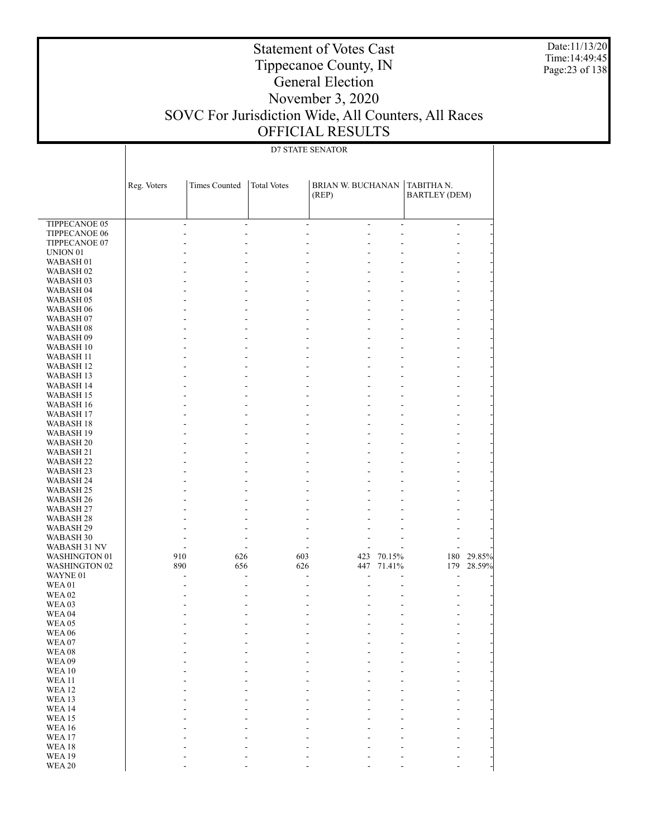Date:11/13/20 Time:14:49:45 Page:23 of 138

### Statement of Votes Cast Tippecanoe County, IN General Election November 3, 2020 SOVC For Jurisdiction Wide, All Counters, All Races OFFICIAL RESULTS

### D7 STATE SENATOR

| ÷,<br>$\overline{\phantom{a}}$<br>$\overline{\phantom{a}}$<br>÷,<br>$\overline{\phantom{a}}$<br>÷,<br>TIPPECANOE 06<br>$\overline{a}$<br>÷,<br>L,<br>÷,<br>TIPPECANOE 07<br>$\qquad \qquad \blacksquare$<br>UNION <sub>01</sub><br>÷,<br>WABASH <sub>01</sub><br>÷,<br>WABASH <sub>02</sub><br>÷.<br>÷,<br>WABASH <sub>03</sub><br>$\qquad \qquad \blacksquare$<br>WABASH <sub>04</sub><br>÷,<br>WABASH 05<br>÷<br>$\qquad \qquad \blacksquare$<br>WABASH <sub>06</sub><br>÷.<br>ä,<br>÷,<br>÷,<br>WABASH <sub>07</sub><br>$\qquad \qquad \blacksquare$<br>WABASH <sub>08</sub><br>ä,<br>÷,<br>÷.<br>÷,<br>WABASH 09<br>÷<br>$\qquad \qquad \blacksquare$<br>WABASH 10<br>÷,<br>ä,<br>÷,<br>÷,<br>WABASH 11<br>$\qquad \qquad \blacksquare$<br>WABASH 12<br>ä,<br>÷,<br>÷.<br>÷,<br>WABASH 13<br>÷<br>$\qquad \qquad \blacksquare$<br>WABASH 14<br>÷,<br>ä,<br>÷,<br>÷,<br><b>WABASH 15</b><br>$\qquad \qquad \blacksquare$<br>WABASH 16<br>ä,<br>÷,<br>÷.<br>÷,<br>WABASH 17<br>÷<br>$\qquad \qquad \blacksquare$<br>WABASH 18<br>÷,<br>ä,<br>÷,<br>÷,<br>WABASH 19<br>$\qquad \qquad \blacksquare$<br>WABASH <sub>20</sub><br>ä,<br>÷,<br>÷.<br>÷,<br>WABASH 21<br>÷<br>$\qquad \qquad \blacksquare$<br>WABASH 22<br>÷.<br>ä,<br>÷,<br>÷,<br>WABASH 23<br>$\qquad \qquad \blacksquare$<br>WABASH 24<br>$\frac{1}{2}$<br>ä,<br>÷.<br>WABASH <sub>25</sub><br>÷<br>$\qquad \qquad \blacksquare$<br>WABASH 26<br>÷.<br>ä,<br>÷,<br>WABASH 27<br>÷,<br>WABASH <sub>28</sub><br>÷,<br>WABASH 29<br>$\overline{\phantom{0}}$<br>÷,<br>WABASH 30<br>L,<br>$\overline{\phantom{a}}$<br>÷,<br>$\overline{\phantom{a}}$<br>WABASH 31 NV<br>$\overline{\phantom{a}}$<br>$\sim$<br>$\overline{\phantom{a}}$<br>$\sim$<br>910<br>626<br>603<br>423<br>70.15%<br>180<br><b>WASHINGTON 01</b><br>447 71.41%<br><b>WASHINGTON 02</b><br>890<br>656<br>626<br>179<br>WAYNE 01<br>$\blacksquare$<br>÷,<br>$\frac{1}{2}$<br>÷,<br>WEA01<br>÷,<br><b>WEA02</b><br>÷,<br>$\overline{\phantom{a}}$<br>WEA 03<br>÷,<br>WEA <sub>04</sub><br>÷,<br><b>WEA 05</b><br><b>WEA 06</b><br>÷,<br>÷,<br>WEA 07<br><b>WEA08</b><br><b>WEA09</b><br><b>WEA10</b><br><b>WEA11</b><br><b>WEA12</b><br><b>WEA13</b><br><b>WEA14</b><br><b>WEA15</b><br><b>WEA16</b><br>WEA17<br><b>WEA18</b><br><b>WEA19</b> |                      | Reg. Voters | <b>Times Counted</b> | <b>Total Votes</b> | BRIAN W. BUCHANAN<br>(REP) | TABITHAN.<br><b>BARTLEY (DEM)</b> |  |
|----------------------------------------------------------------------------------------------------------------------------------------------------------------------------------------------------------------------------------------------------------------------------------------------------------------------------------------------------------------------------------------------------------------------------------------------------------------------------------------------------------------------------------------------------------------------------------------------------------------------------------------------------------------------------------------------------------------------------------------------------------------------------------------------------------------------------------------------------------------------------------------------------------------------------------------------------------------------------------------------------------------------------------------------------------------------------------------------------------------------------------------------------------------------------------------------------------------------------------------------------------------------------------------------------------------------------------------------------------------------------------------------------------------------------------------------------------------------------------------------------------------------------------------------------------------------------------------------------------------------------------------------------------------------------------------------------------------------------------------------------------------------------------------------------------------------------------------------------------------------------------------------------------------------------------------------------------------------------------------------------------------------------------------------------------------------------------------------------------------------------------------------------------------------------------------------------------------------------------------------------------------------------|----------------------|-------------|----------------------|--------------------|----------------------------|-----------------------------------|--|
| 29.85%<br>28.59%                                                                                                                                                                                                                                                                                                                                                                                                                                                                                                                                                                                                                                                                                                                                                                                                                                                                                                                                                                                                                                                                                                                                                                                                                                                                                                                                                                                                                                                                                                                                                                                                                                                                                                                                                                                                                                                                                                                                                                                                                                                                                                                                                                                                                                                           | <b>TIPPECANOE 05</b> |             |                      |                    |                            |                                   |  |
|                                                                                                                                                                                                                                                                                                                                                                                                                                                                                                                                                                                                                                                                                                                                                                                                                                                                                                                                                                                                                                                                                                                                                                                                                                                                                                                                                                                                                                                                                                                                                                                                                                                                                                                                                                                                                                                                                                                                                                                                                                                                                                                                                                                                                                                                            |                      |             |                      |                    |                            |                                   |  |
|                                                                                                                                                                                                                                                                                                                                                                                                                                                                                                                                                                                                                                                                                                                                                                                                                                                                                                                                                                                                                                                                                                                                                                                                                                                                                                                                                                                                                                                                                                                                                                                                                                                                                                                                                                                                                                                                                                                                                                                                                                                                                                                                                                                                                                                                            |                      |             |                      |                    |                            |                                   |  |
|                                                                                                                                                                                                                                                                                                                                                                                                                                                                                                                                                                                                                                                                                                                                                                                                                                                                                                                                                                                                                                                                                                                                                                                                                                                                                                                                                                                                                                                                                                                                                                                                                                                                                                                                                                                                                                                                                                                                                                                                                                                                                                                                                                                                                                                                            |                      |             |                      |                    |                            |                                   |  |
|                                                                                                                                                                                                                                                                                                                                                                                                                                                                                                                                                                                                                                                                                                                                                                                                                                                                                                                                                                                                                                                                                                                                                                                                                                                                                                                                                                                                                                                                                                                                                                                                                                                                                                                                                                                                                                                                                                                                                                                                                                                                                                                                                                                                                                                                            |                      |             |                      |                    |                            |                                   |  |
|                                                                                                                                                                                                                                                                                                                                                                                                                                                                                                                                                                                                                                                                                                                                                                                                                                                                                                                                                                                                                                                                                                                                                                                                                                                                                                                                                                                                                                                                                                                                                                                                                                                                                                                                                                                                                                                                                                                                                                                                                                                                                                                                                                                                                                                                            |                      |             |                      |                    |                            |                                   |  |
|                                                                                                                                                                                                                                                                                                                                                                                                                                                                                                                                                                                                                                                                                                                                                                                                                                                                                                                                                                                                                                                                                                                                                                                                                                                                                                                                                                                                                                                                                                                                                                                                                                                                                                                                                                                                                                                                                                                                                                                                                                                                                                                                                                                                                                                                            |                      |             |                      |                    |                            |                                   |  |
|                                                                                                                                                                                                                                                                                                                                                                                                                                                                                                                                                                                                                                                                                                                                                                                                                                                                                                                                                                                                                                                                                                                                                                                                                                                                                                                                                                                                                                                                                                                                                                                                                                                                                                                                                                                                                                                                                                                                                                                                                                                                                                                                                                                                                                                                            |                      |             |                      |                    |                            |                                   |  |
|                                                                                                                                                                                                                                                                                                                                                                                                                                                                                                                                                                                                                                                                                                                                                                                                                                                                                                                                                                                                                                                                                                                                                                                                                                                                                                                                                                                                                                                                                                                                                                                                                                                                                                                                                                                                                                                                                                                                                                                                                                                                                                                                                                                                                                                                            |                      |             |                      |                    |                            |                                   |  |
|                                                                                                                                                                                                                                                                                                                                                                                                                                                                                                                                                                                                                                                                                                                                                                                                                                                                                                                                                                                                                                                                                                                                                                                                                                                                                                                                                                                                                                                                                                                                                                                                                                                                                                                                                                                                                                                                                                                                                                                                                                                                                                                                                                                                                                                                            |                      |             |                      |                    |                            |                                   |  |
|                                                                                                                                                                                                                                                                                                                                                                                                                                                                                                                                                                                                                                                                                                                                                                                                                                                                                                                                                                                                                                                                                                                                                                                                                                                                                                                                                                                                                                                                                                                                                                                                                                                                                                                                                                                                                                                                                                                                                                                                                                                                                                                                                                                                                                                                            |                      |             |                      |                    |                            |                                   |  |
|                                                                                                                                                                                                                                                                                                                                                                                                                                                                                                                                                                                                                                                                                                                                                                                                                                                                                                                                                                                                                                                                                                                                                                                                                                                                                                                                                                                                                                                                                                                                                                                                                                                                                                                                                                                                                                                                                                                                                                                                                                                                                                                                                                                                                                                                            |                      |             |                      |                    |                            |                                   |  |
|                                                                                                                                                                                                                                                                                                                                                                                                                                                                                                                                                                                                                                                                                                                                                                                                                                                                                                                                                                                                                                                                                                                                                                                                                                                                                                                                                                                                                                                                                                                                                                                                                                                                                                                                                                                                                                                                                                                                                                                                                                                                                                                                                                                                                                                                            |                      |             |                      |                    |                            |                                   |  |
|                                                                                                                                                                                                                                                                                                                                                                                                                                                                                                                                                                                                                                                                                                                                                                                                                                                                                                                                                                                                                                                                                                                                                                                                                                                                                                                                                                                                                                                                                                                                                                                                                                                                                                                                                                                                                                                                                                                                                                                                                                                                                                                                                                                                                                                                            |                      |             |                      |                    |                            |                                   |  |
|                                                                                                                                                                                                                                                                                                                                                                                                                                                                                                                                                                                                                                                                                                                                                                                                                                                                                                                                                                                                                                                                                                                                                                                                                                                                                                                                                                                                                                                                                                                                                                                                                                                                                                                                                                                                                                                                                                                                                                                                                                                                                                                                                                                                                                                                            |                      |             |                      |                    |                            |                                   |  |
|                                                                                                                                                                                                                                                                                                                                                                                                                                                                                                                                                                                                                                                                                                                                                                                                                                                                                                                                                                                                                                                                                                                                                                                                                                                                                                                                                                                                                                                                                                                                                                                                                                                                                                                                                                                                                                                                                                                                                                                                                                                                                                                                                                                                                                                                            |                      |             |                      |                    |                            |                                   |  |
|                                                                                                                                                                                                                                                                                                                                                                                                                                                                                                                                                                                                                                                                                                                                                                                                                                                                                                                                                                                                                                                                                                                                                                                                                                                                                                                                                                                                                                                                                                                                                                                                                                                                                                                                                                                                                                                                                                                                                                                                                                                                                                                                                                                                                                                                            |                      |             |                      |                    |                            |                                   |  |
|                                                                                                                                                                                                                                                                                                                                                                                                                                                                                                                                                                                                                                                                                                                                                                                                                                                                                                                                                                                                                                                                                                                                                                                                                                                                                                                                                                                                                                                                                                                                                                                                                                                                                                                                                                                                                                                                                                                                                                                                                                                                                                                                                                                                                                                                            |                      |             |                      |                    |                            |                                   |  |
|                                                                                                                                                                                                                                                                                                                                                                                                                                                                                                                                                                                                                                                                                                                                                                                                                                                                                                                                                                                                                                                                                                                                                                                                                                                                                                                                                                                                                                                                                                                                                                                                                                                                                                                                                                                                                                                                                                                                                                                                                                                                                                                                                                                                                                                                            |                      |             |                      |                    |                            |                                   |  |
|                                                                                                                                                                                                                                                                                                                                                                                                                                                                                                                                                                                                                                                                                                                                                                                                                                                                                                                                                                                                                                                                                                                                                                                                                                                                                                                                                                                                                                                                                                                                                                                                                                                                                                                                                                                                                                                                                                                                                                                                                                                                                                                                                                                                                                                                            |                      |             |                      |                    |                            |                                   |  |
|                                                                                                                                                                                                                                                                                                                                                                                                                                                                                                                                                                                                                                                                                                                                                                                                                                                                                                                                                                                                                                                                                                                                                                                                                                                                                                                                                                                                                                                                                                                                                                                                                                                                                                                                                                                                                                                                                                                                                                                                                                                                                                                                                                                                                                                                            |                      |             |                      |                    |                            |                                   |  |
|                                                                                                                                                                                                                                                                                                                                                                                                                                                                                                                                                                                                                                                                                                                                                                                                                                                                                                                                                                                                                                                                                                                                                                                                                                                                                                                                                                                                                                                                                                                                                                                                                                                                                                                                                                                                                                                                                                                                                                                                                                                                                                                                                                                                                                                                            |                      |             |                      |                    |                            |                                   |  |
|                                                                                                                                                                                                                                                                                                                                                                                                                                                                                                                                                                                                                                                                                                                                                                                                                                                                                                                                                                                                                                                                                                                                                                                                                                                                                                                                                                                                                                                                                                                                                                                                                                                                                                                                                                                                                                                                                                                                                                                                                                                                                                                                                                                                                                                                            |                      |             |                      |                    |                            |                                   |  |
|                                                                                                                                                                                                                                                                                                                                                                                                                                                                                                                                                                                                                                                                                                                                                                                                                                                                                                                                                                                                                                                                                                                                                                                                                                                                                                                                                                                                                                                                                                                                                                                                                                                                                                                                                                                                                                                                                                                                                                                                                                                                                                                                                                                                                                                                            |                      |             |                      |                    |                            |                                   |  |
|                                                                                                                                                                                                                                                                                                                                                                                                                                                                                                                                                                                                                                                                                                                                                                                                                                                                                                                                                                                                                                                                                                                                                                                                                                                                                                                                                                                                                                                                                                                                                                                                                                                                                                                                                                                                                                                                                                                                                                                                                                                                                                                                                                                                                                                                            |                      |             |                      |                    |                            |                                   |  |
|                                                                                                                                                                                                                                                                                                                                                                                                                                                                                                                                                                                                                                                                                                                                                                                                                                                                                                                                                                                                                                                                                                                                                                                                                                                                                                                                                                                                                                                                                                                                                                                                                                                                                                                                                                                                                                                                                                                                                                                                                                                                                                                                                                                                                                                                            |                      |             |                      |                    |                            |                                   |  |
|                                                                                                                                                                                                                                                                                                                                                                                                                                                                                                                                                                                                                                                                                                                                                                                                                                                                                                                                                                                                                                                                                                                                                                                                                                                                                                                                                                                                                                                                                                                                                                                                                                                                                                                                                                                                                                                                                                                                                                                                                                                                                                                                                                                                                                                                            |                      |             |                      |                    |                            |                                   |  |
|                                                                                                                                                                                                                                                                                                                                                                                                                                                                                                                                                                                                                                                                                                                                                                                                                                                                                                                                                                                                                                                                                                                                                                                                                                                                                                                                                                                                                                                                                                                                                                                                                                                                                                                                                                                                                                                                                                                                                                                                                                                                                                                                                                                                                                                                            |                      |             |                      |                    |                            |                                   |  |
|                                                                                                                                                                                                                                                                                                                                                                                                                                                                                                                                                                                                                                                                                                                                                                                                                                                                                                                                                                                                                                                                                                                                                                                                                                                                                                                                                                                                                                                                                                                                                                                                                                                                                                                                                                                                                                                                                                                                                                                                                                                                                                                                                                                                                                                                            |                      |             |                      |                    |                            |                                   |  |
|                                                                                                                                                                                                                                                                                                                                                                                                                                                                                                                                                                                                                                                                                                                                                                                                                                                                                                                                                                                                                                                                                                                                                                                                                                                                                                                                                                                                                                                                                                                                                                                                                                                                                                                                                                                                                                                                                                                                                                                                                                                                                                                                                                                                                                                                            |                      |             |                      |                    |                            |                                   |  |
|                                                                                                                                                                                                                                                                                                                                                                                                                                                                                                                                                                                                                                                                                                                                                                                                                                                                                                                                                                                                                                                                                                                                                                                                                                                                                                                                                                                                                                                                                                                                                                                                                                                                                                                                                                                                                                                                                                                                                                                                                                                                                                                                                                                                                                                                            |                      |             |                      |                    |                            |                                   |  |
|                                                                                                                                                                                                                                                                                                                                                                                                                                                                                                                                                                                                                                                                                                                                                                                                                                                                                                                                                                                                                                                                                                                                                                                                                                                                                                                                                                                                                                                                                                                                                                                                                                                                                                                                                                                                                                                                                                                                                                                                                                                                                                                                                                                                                                                                            |                      |             |                      |                    |                            |                                   |  |
|                                                                                                                                                                                                                                                                                                                                                                                                                                                                                                                                                                                                                                                                                                                                                                                                                                                                                                                                                                                                                                                                                                                                                                                                                                                                                                                                                                                                                                                                                                                                                                                                                                                                                                                                                                                                                                                                                                                                                                                                                                                                                                                                                                                                                                                                            |                      |             |                      |                    |                            |                                   |  |
|                                                                                                                                                                                                                                                                                                                                                                                                                                                                                                                                                                                                                                                                                                                                                                                                                                                                                                                                                                                                                                                                                                                                                                                                                                                                                                                                                                                                                                                                                                                                                                                                                                                                                                                                                                                                                                                                                                                                                                                                                                                                                                                                                                                                                                                                            |                      |             |                      |                    |                            |                                   |  |
|                                                                                                                                                                                                                                                                                                                                                                                                                                                                                                                                                                                                                                                                                                                                                                                                                                                                                                                                                                                                                                                                                                                                                                                                                                                                                                                                                                                                                                                                                                                                                                                                                                                                                                                                                                                                                                                                                                                                                                                                                                                                                                                                                                                                                                                                            |                      |             |                      |                    |                            |                                   |  |
|                                                                                                                                                                                                                                                                                                                                                                                                                                                                                                                                                                                                                                                                                                                                                                                                                                                                                                                                                                                                                                                                                                                                                                                                                                                                                                                                                                                                                                                                                                                                                                                                                                                                                                                                                                                                                                                                                                                                                                                                                                                                                                                                                                                                                                                                            |                      |             |                      |                    |                            |                                   |  |
|                                                                                                                                                                                                                                                                                                                                                                                                                                                                                                                                                                                                                                                                                                                                                                                                                                                                                                                                                                                                                                                                                                                                                                                                                                                                                                                                                                                                                                                                                                                                                                                                                                                                                                                                                                                                                                                                                                                                                                                                                                                                                                                                                                                                                                                                            |                      |             |                      |                    |                            |                                   |  |
|                                                                                                                                                                                                                                                                                                                                                                                                                                                                                                                                                                                                                                                                                                                                                                                                                                                                                                                                                                                                                                                                                                                                                                                                                                                                                                                                                                                                                                                                                                                                                                                                                                                                                                                                                                                                                                                                                                                                                                                                                                                                                                                                                                                                                                                                            |                      |             |                      |                    |                            |                                   |  |
|                                                                                                                                                                                                                                                                                                                                                                                                                                                                                                                                                                                                                                                                                                                                                                                                                                                                                                                                                                                                                                                                                                                                                                                                                                                                                                                                                                                                                                                                                                                                                                                                                                                                                                                                                                                                                                                                                                                                                                                                                                                                                                                                                                                                                                                                            |                      |             |                      |                    |                            |                                   |  |
|                                                                                                                                                                                                                                                                                                                                                                                                                                                                                                                                                                                                                                                                                                                                                                                                                                                                                                                                                                                                                                                                                                                                                                                                                                                                                                                                                                                                                                                                                                                                                                                                                                                                                                                                                                                                                                                                                                                                                                                                                                                                                                                                                                                                                                                                            |                      |             |                      |                    |                            |                                   |  |
|                                                                                                                                                                                                                                                                                                                                                                                                                                                                                                                                                                                                                                                                                                                                                                                                                                                                                                                                                                                                                                                                                                                                                                                                                                                                                                                                                                                                                                                                                                                                                                                                                                                                                                                                                                                                                                                                                                                                                                                                                                                                                                                                                                                                                                                                            |                      |             |                      |                    |                            |                                   |  |
|                                                                                                                                                                                                                                                                                                                                                                                                                                                                                                                                                                                                                                                                                                                                                                                                                                                                                                                                                                                                                                                                                                                                                                                                                                                                                                                                                                                                                                                                                                                                                                                                                                                                                                                                                                                                                                                                                                                                                                                                                                                                                                                                                                                                                                                                            |                      |             |                      |                    |                            |                                   |  |
|                                                                                                                                                                                                                                                                                                                                                                                                                                                                                                                                                                                                                                                                                                                                                                                                                                                                                                                                                                                                                                                                                                                                                                                                                                                                                                                                                                                                                                                                                                                                                                                                                                                                                                                                                                                                                                                                                                                                                                                                                                                                                                                                                                                                                                                                            |                      |             |                      |                    |                            |                                   |  |
|                                                                                                                                                                                                                                                                                                                                                                                                                                                                                                                                                                                                                                                                                                                                                                                                                                                                                                                                                                                                                                                                                                                                                                                                                                                                                                                                                                                                                                                                                                                                                                                                                                                                                                                                                                                                                                                                                                                                                                                                                                                                                                                                                                                                                                                                            |                      |             |                      |                    |                            |                                   |  |
|                                                                                                                                                                                                                                                                                                                                                                                                                                                                                                                                                                                                                                                                                                                                                                                                                                                                                                                                                                                                                                                                                                                                                                                                                                                                                                                                                                                                                                                                                                                                                                                                                                                                                                                                                                                                                                                                                                                                                                                                                                                                                                                                                                                                                                                                            |                      |             |                      |                    |                            |                                   |  |
|                                                                                                                                                                                                                                                                                                                                                                                                                                                                                                                                                                                                                                                                                                                                                                                                                                                                                                                                                                                                                                                                                                                                                                                                                                                                                                                                                                                                                                                                                                                                                                                                                                                                                                                                                                                                                                                                                                                                                                                                                                                                                                                                                                                                                                                                            |                      |             |                      |                    |                            |                                   |  |
|                                                                                                                                                                                                                                                                                                                                                                                                                                                                                                                                                                                                                                                                                                                                                                                                                                                                                                                                                                                                                                                                                                                                                                                                                                                                                                                                                                                                                                                                                                                                                                                                                                                                                                                                                                                                                                                                                                                                                                                                                                                                                                                                                                                                                                                                            |                      |             |                      |                    |                            |                                   |  |
|                                                                                                                                                                                                                                                                                                                                                                                                                                                                                                                                                                                                                                                                                                                                                                                                                                                                                                                                                                                                                                                                                                                                                                                                                                                                                                                                                                                                                                                                                                                                                                                                                                                                                                                                                                                                                                                                                                                                                                                                                                                                                                                                                                                                                                                                            |                      |             |                      |                    |                            |                                   |  |
|                                                                                                                                                                                                                                                                                                                                                                                                                                                                                                                                                                                                                                                                                                                                                                                                                                                                                                                                                                                                                                                                                                                                                                                                                                                                                                                                                                                                                                                                                                                                                                                                                                                                                                                                                                                                                                                                                                                                                                                                                                                                                                                                                                                                                                                                            |                      |             |                      |                    |                            |                                   |  |
|                                                                                                                                                                                                                                                                                                                                                                                                                                                                                                                                                                                                                                                                                                                                                                                                                                                                                                                                                                                                                                                                                                                                                                                                                                                                                                                                                                                                                                                                                                                                                                                                                                                                                                                                                                                                                                                                                                                                                                                                                                                                                                                                                                                                                                                                            |                      |             |                      |                    |                            |                                   |  |
|                                                                                                                                                                                                                                                                                                                                                                                                                                                                                                                                                                                                                                                                                                                                                                                                                                                                                                                                                                                                                                                                                                                                                                                                                                                                                                                                                                                                                                                                                                                                                                                                                                                                                                                                                                                                                                                                                                                                                                                                                                                                                                                                                                                                                                                                            |                      |             |                      |                    |                            |                                   |  |
|                                                                                                                                                                                                                                                                                                                                                                                                                                                                                                                                                                                                                                                                                                                                                                                                                                                                                                                                                                                                                                                                                                                                                                                                                                                                                                                                                                                                                                                                                                                                                                                                                                                                                                                                                                                                                                                                                                                                                                                                                                                                                                                                                                                                                                                                            |                      |             |                      |                    |                            |                                   |  |
|                                                                                                                                                                                                                                                                                                                                                                                                                                                                                                                                                                                                                                                                                                                                                                                                                                                                                                                                                                                                                                                                                                                                                                                                                                                                                                                                                                                                                                                                                                                                                                                                                                                                                                                                                                                                                                                                                                                                                                                                                                                                                                                                                                                                                                                                            |                      |             |                      |                    |                            |                                   |  |
|                                                                                                                                                                                                                                                                                                                                                                                                                                                                                                                                                                                                                                                                                                                                                                                                                                                                                                                                                                                                                                                                                                                                                                                                                                                                                                                                                                                                                                                                                                                                                                                                                                                                                                                                                                                                                                                                                                                                                                                                                                                                                                                                                                                                                                                                            |                      |             |                      |                    |                            |                                   |  |
|                                                                                                                                                                                                                                                                                                                                                                                                                                                                                                                                                                                                                                                                                                                                                                                                                                                                                                                                                                                                                                                                                                                                                                                                                                                                                                                                                                                                                                                                                                                                                                                                                                                                                                                                                                                                                                                                                                                                                                                                                                                                                                                                                                                                                                                                            |                      |             |                      |                    |                            |                                   |  |
|                                                                                                                                                                                                                                                                                                                                                                                                                                                                                                                                                                                                                                                                                                                                                                                                                                                                                                                                                                                                                                                                                                                                                                                                                                                                                                                                                                                                                                                                                                                                                                                                                                                                                                                                                                                                                                                                                                                                                                                                                                                                                                                                                                                                                                                                            | <b>WEA 20</b>        |             |                      |                    |                            |                                   |  |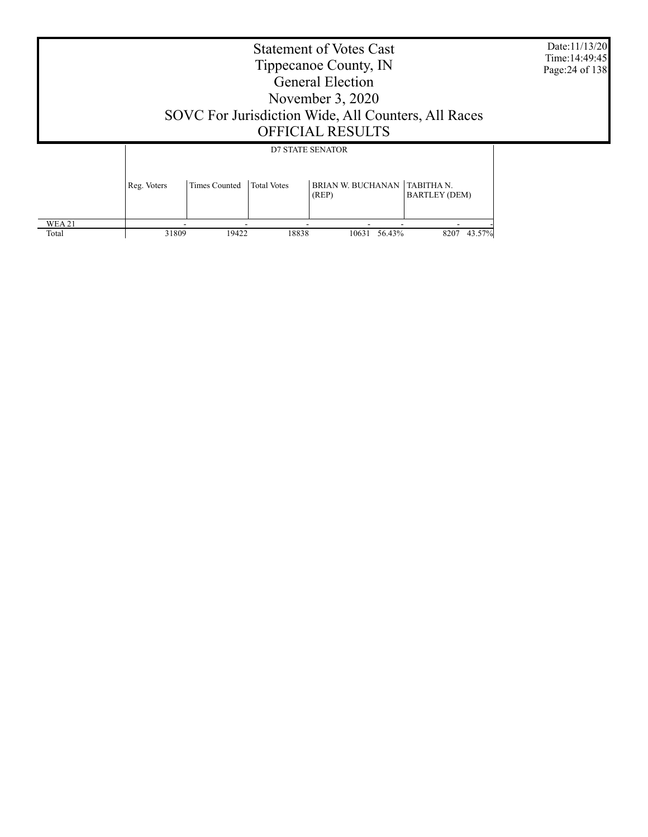|                       | <b>Statement of Votes Cast</b><br>Tippecanoe County, IN<br><b>General Election</b><br>November $3,2020$<br>SOVC For Jurisdiction Wide, All Counters, All Races<br><b>OFFICIAL RESULTS</b><br><b>D7 STATE SENATOR</b><br>BRIAN W. BUCHANAN TABITHA N.<br><b>Times Counted</b><br><b>Total Votes</b><br>Reg. Voters<br><b>BARTLEY (DEM)</b><br>(REP) |       |       |                 |             |  |  |  |  |
|-----------------------|----------------------------------------------------------------------------------------------------------------------------------------------------------------------------------------------------------------------------------------------------------------------------------------------------------------------------------------------------|-------|-------|-----------------|-------------|--|--|--|--|
|                       |                                                                                                                                                                                                                                                                                                                                                    |       |       |                 |             |  |  |  |  |
| <b>WEA21</b><br>Total | 31809                                                                                                                                                                                                                                                                                                                                              | 19422 | 18838 | 56.43%<br>10631 | 8207 43.57% |  |  |  |  |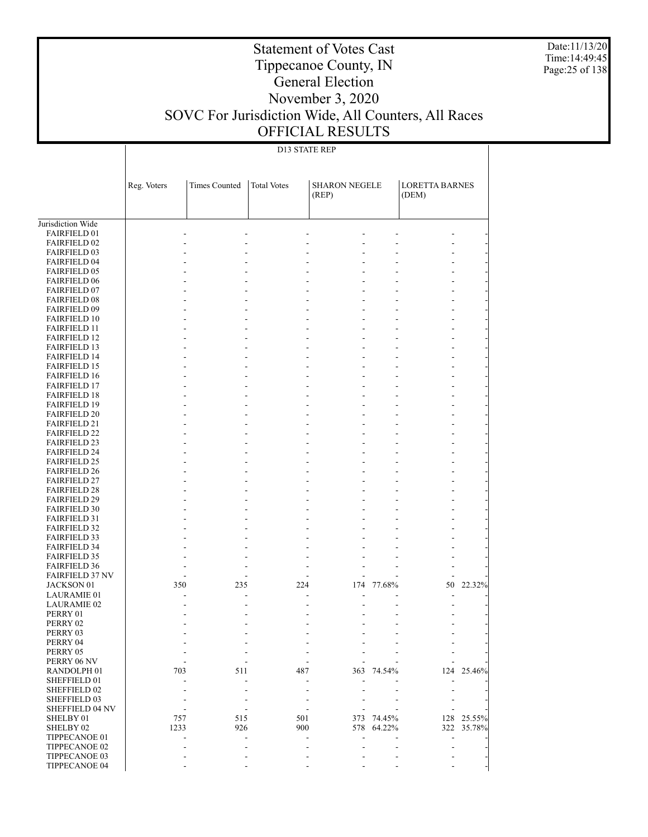Date:11/13/20 Time:14:49:45 Page:25 of 138

## Tippecanoe County, IN General Election November 3, 2020 SOVC For Jurisdiction Wide, All Counters, All Races OFFICIAL RESULTS

Statement of Votes Cast

### D13 STATE REP

|                                            | Reg. Voters | <b>Times Counted</b> | <b>Total Votes</b> | <b>SHARON NEGELE</b> |                | <b>LORETTA BARNES</b> |        |
|--------------------------------------------|-------------|----------------------|--------------------|----------------------|----------------|-----------------------|--------|
|                                            |             |                      |                    | (REP)                |                | (DEM)                 |        |
|                                            |             |                      |                    |                      |                |                       |        |
| Jurisdiction Wide                          |             |                      |                    |                      |                |                       |        |
| <b>FAIRFIELD 01</b>                        |             |                      |                    |                      |                |                       |        |
| <b>FAIRFIELD 02</b>                        |             |                      |                    |                      |                |                       |        |
| <b>FAIRFIELD 03</b>                        |             |                      |                    | $\overline{a}$       |                |                       |        |
| <b>FAIRFIELD 04</b>                        |             |                      |                    |                      |                |                       |        |
| <b>FAIRFIELD 05</b>                        |             |                      |                    | $\overline{a}$       |                |                       |        |
| <b>FAIRFIELD 06</b>                        |             |                      |                    |                      |                |                       |        |
| <b>FAIRFIELD 07</b><br><b>FAIRFIELD 08</b> |             |                      |                    | $\overline{a}$       |                |                       |        |
| <b>FAIRFIELD 09</b>                        |             |                      |                    | $\overline{a}$<br>-  | $\overline{a}$ |                       |        |
| <b>FAIRFIELD 10</b>                        |             |                      |                    | $\overline{a}$       |                |                       |        |
| <b>FAIRFIELD 11</b>                        |             |                      |                    | $\overline{a}$       |                |                       |        |
| <b>FAIRFIELD 12</b>                        |             |                      |                    |                      |                |                       |        |
| <b>FAIRFIELD 13</b>                        |             |                      |                    | $\overline{a}$<br>-  | $\overline{a}$ |                       |        |
| <b>FAIRFIELD 14</b>                        |             |                      |                    |                      |                |                       |        |
| <b>FAIRFIELD 15</b>                        |             |                      |                    | $\overline{a}$       |                |                       |        |
| <b>FAIRFIELD 16</b>                        |             |                      |                    |                      |                |                       |        |
| <b>FAIRFIELD 17</b>                        |             |                      |                    | $\overline{a}$<br>-  | $\overline{a}$ |                       |        |
| <b>FAIRFIELD 18</b>                        |             |                      |                    |                      |                |                       |        |
| <b>FAIRFIELD 19</b>                        |             |                      |                    | $\overline{a}$       |                |                       |        |
| <b>FAIRFIELD 20</b>                        |             |                      |                    |                      |                |                       |        |
| <b>FAIRFIELD 21</b>                        |             |                      |                    | $\overline{a}$<br>-  | $\overline{a}$ |                       |        |
| <b>FAIRFIELD 22</b>                        |             |                      |                    |                      |                |                       |        |
| <b>FAIRFIELD 23</b>                        |             |                      |                    | $\overline{a}$       |                |                       |        |
| <b>FAIRFIELD 24</b>                        |             |                      |                    |                      |                |                       |        |
| <b>FAIRFIELD 25</b>                        |             |                      |                    | $\overline{a}$<br>-  | $\overline{a}$ |                       |        |
| <b>FAIRFIELD 26</b>                        |             |                      |                    |                      |                |                       |        |
| <b>FAIRFIELD 27</b>                        |             |                      |                    | $\overline{a}$       |                |                       |        |
| <b>FAIRFIELD 28</b><br><b>FAIRFIELD 29</b> |             |                      |                    | -                    | $\overline{a}$ |                       |        |
| <b>FAIRFIELD 30</b>                        |             |                      |                    | $\overline{a}$       |                |                       |        |
| <b>FAIRFIELD 31</b>                        |             |                      |                    | $\overline{a}$       |                |                       |        |
| <b>FAIRFIELD 32</b>                        |             |                      |                    |                      |                |                       |        |
| <b>FAIRFIELD 33</b>                        |             |                      |                    | $\overline{a}$       |                |                       |        |
| <b>FAIRFIELD 34</b>                        |             |                      |                    |                      |                |                       |        |
| <b>FAIRFIELD 35</b>                        |             |                      |                    | $\overline{a}$       |                |                       |        |
| <b>FAIRFIELD 36</b>                        |             |                      |                    |                      |                |                       |        |
| <b>FAIRFIELD 37 NV</b>                     |             |                      |                    |                      |                |                       |        |
| <b>JACKSON 01</b>                          | 350         | 235                  | 224                | 174                  | 77.68%         | 50                    | 22.32% |
| <b>LAURAMIE 01</b>                         |             |                      |                    |                      |                |                       |        |
| <b>LAURAMIE 02</b>                         |             |                      |                    |                      |                |                       |        |
| PERRY 01                                   |             |                      |                    |                      |                |                       |        |
| PERRY 02                                   |             |                      |                    |                      |                |                       |        |
| PERRY 03                                   |             |                      |                    |                      |                |                       |        |
| PERRY 04                                   |             |                      |                    |                      |                |                       |        |
| PERRY 05                                   |             |                      |                    |                      |                |                       |        |
| PERRY 06 NV                                |             | 511                  |                    |                      |                |                       | 25.46% |
| RANDOLPH <sub>01</sub><br>SHEFFIELD 01     | 703         |                      | 487                | 363                  | 74.54%         | 124                   |        |
| SHEFFIELD 02                               |             |                      |                    |                      |                |                       |        |
| SHEFFIELD 03                               |             |                      |                    |                      |                |                       |        |
| <b>SHEFFIELD 04 NV</b>                     |             |                      |                    |                      |                |                       |        |
| SHELBY 01                                  | 757         | 515                  | 501                | 373                  | 74.45%         | 128                   | 25.55% |
| SHELBY 02                                  | 1233        | 926                  | 900                | 578                  | 64.22%         | 322                   | 35.78% |
| TIPPECANOE 01                              |             |                      |                    |                      |                |                       |        |
| TIPPECANOE 02                              |             |                      |                    |                      |                |                       |        |
| TIPPECANOE 03                              |             |                      |                    |                      |                |                       |        |
| TIPPECANOE 04                              |             |                      |                    |                      |                |                       |        |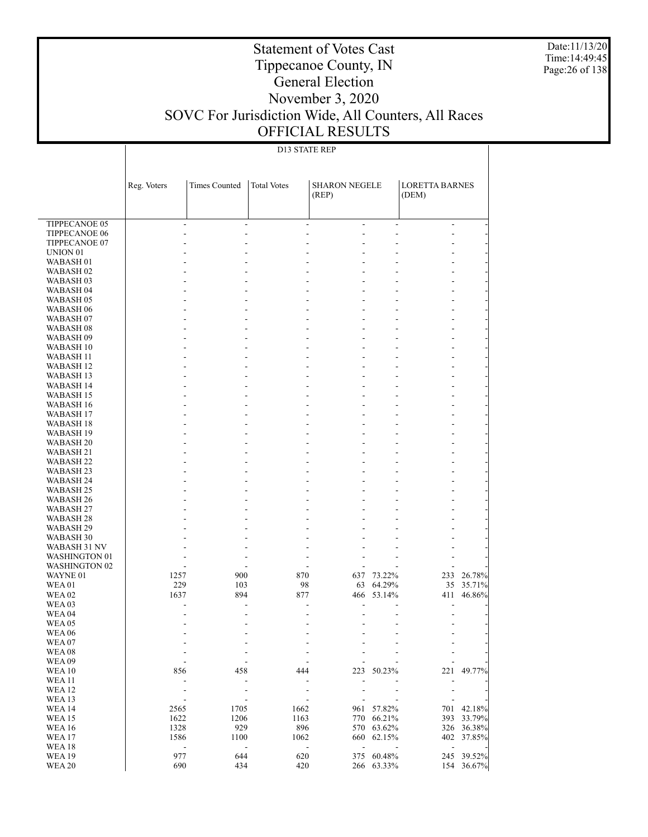Date:11/13/20 Time:14:49:45 Page:26 of 138

### Statement of Votes Cast Tippecanoe County, IN General Election November 3, 2020 SOVC For Jurisdiction Wide, All Counters, All Races OFFICIAL RESULTS

### D13 STATE REP

|                                              | Reg. Voters | <b>Times Counted</b>             | <b>Total Votes</b>                                    | <b>SHARON NEGELE</b>     |                          | <b>LORETTA BARNES</b>    |                  |
|----------------------------------------------|-------------|----------------------------------|-------------------------------------------------------|--------------------------|--------------------------|--------------------------|------------------|
|                                              |             |                                  |                                                       | (REP)                    |                          | (DEM)                    |                  |
|                                              |             |                                  |                                                       |                          |                          |                          |                  |
| <b>TIPPECANOE 05</b>                         |             | $\overline{\phantom{a}}$         | $\blacksquare$                                        | ÷,<br>$\blacksquare$     | $\overline{\phantom{a}}$ | $\blacksquare$           |                  |
| TIPPECANOE 06                                |             |                                  | L,<br>ä,                                              | ä,                       | $\overline{a}$           | ÷                        |                  |
| TIPPECANOE 07                                |             |                                  |                                                       |                          | L,                       | L,                       |                  |
| UNION <sub>01</sub>                          |             |                                  |                                                       |                          |                          |                          |                  |
| WABASH <sub>01</sub>                         |             |                                  |                                                       |                          |                          |                          |                  |
| WABASH <sub>02</sub><br>WABASH <sub>03</sub> |             |                                  | ÷,                                                    |                          |                          |                          |                  |
| WABASH <sub>04</sub>                         |             |                                  |                                                       |                          |                          |                          |                  |
| WABASH <sub>05</sub>                         |             |                                  | ÷,                                                    |                          | L,                       | L,                       |                  |
| WABASH 06                                    |             |                                  |                                                       |                          |                          |                          |                  |
| WABASH <sub>07</sub>                         |             |                                  | $\overline{a}$                                        | $\overline{\phantom{a}}$ | L,                       |                          |                  |
| WABASH <sub>08</sub>                         |             |                                  |                                                       |                          |                          |                          |                  |
| WABASH 09                                    |             |                                  | ÷,                                                    |                          | L,                       | L,                       |                  |
| WABASH 10                                    |             |                                  |                                                       |                          |                          |                          |                  |
| WABASH 11<br>WABASH <sub>12</sub>            |             |                                  | $\overline{a}$                                        | $\overline{\phantom{a}}$ |                          |                          |                  |
| WABASH 13                                    |             |                                  | ÷,                                                    |                          | L,                       | L,                       |                  |
| WABASH 14                                    |             |                                  |                                                       |                          |                          |                          |                  |
| WABASH 15                                    |             |                                  | $\overline{a}$                                        | $\overline{\phantom{a}}$ |                          |                          |                  |
| WABASH 16                                    |             |                                  |                                                       |                          |                          |                          |                  |
| <b>WABASH 17</b>                             |             |                                  | ÷,                                                    |                          | L,                       | L,                       |                  |
| WABASH 18                                    |             |                                  |                                                       |                          |                          |                          |                  |
| <b>WABASH 19</b><br>WABASH <sub>20</sub>     |             |                                  | $\overline{a}$                                        | $\overline{\phantom{a}}$ | L,                       |                          |                  |
| WABASH 21                                    |             |                                  | ÷,                                                    |                          | L,                       | L,                       |                  |
| WABASH 22                                    |             |                                  |                                                       |                          |                          |                          |                  |
| WABASH 23                                    |             |                                  | $\overline{a}$                                        | $\overline{\phantom{a}}$ | L,                       |                          |                  |
| WABASH 24                                    |             |                                  |                                                       |                          |                          |                          |                  |
| WABASH 25                                    |             |                                  | ÷,                                                    |                          | L,                       | L,                       |                  |
| WABASH 26                                    |             |                                  |                                                       | ä,                       |                          |                          |                  |
| WABASH 27<br>WABASH 28                       |             |                                  | ÷,                                                    | $\overline{\phantom{a}}$ |                          |                          |                  |
| WABASH 29                                    |             |                                  | Ĭ.                                                    |                          |                          |                          |                  |
| WABASH 30                                    |             |                                  |                                                       |                          |                          |                          |                  |
| WABASH 31 NV                                 |             |                                  |                                                       |                          |                          |                          |                  |
| <b>WASHINGTON 01</b>                         |             |                                  |                                                       |                          |                          |                          |                  |
| <b>WASHINGTON 02</b>                         |             |                                  |                                                       |                          |                          |                          |                  |
| WAYNE 01<br><b>WEA01</b>                     | 1257        | 900                              | 870                                                   |                          | 637 73.22%<br>64.29%     | 233                      | 26.78%           |
| <b>WEA02</b>                                 | 229<br>1637 | 103<br>894                       | 98<br>877                                             | 63<br>466                | 53.14%                   | 35<br>411                | 35.71%<br>46.86% |
| <b>WEA03</b>                                 |             |                                  |                                                       |                          |                          | ÷                        |                  |
| <b>WEA 04</b>                                |             |                                  |                                                       |                          |                          |                          |                  |
| <b>WEA 05</b>                                |             |                                  |                                                       |                          |                          |                          |                  |
| <b>WEA 06</b>                                |             |                                  |                                                       |                          |                          | $\overline{\phantom{a}}$ |                  |
| WEA07                                        |             |                                  |                                                       |                          |                          |                          |                  |
| WEA08                                        |             |                                  |                                                       |                          |                          |                          |                  |
| <b>WEA09</b><br><b>WEA10</b>                 | 856         | 458                              | 444                                                   | 223                      | 50.23%                   | 221                      | 49.77%           |
| <b>WEA11</b>                                 |             | $\qquad \qquad \blacksquare$     | $\overline{a}$                                        |                          |                          |                          |                  |
| <b>WEA12</b>                                 |             |                                  |                                                       |                          |                          |                          |                  |
| WEA 13                                       |             | $\overline{a}$                   |                                                       |                          |                          |                          |                  |
| <b>WEA14</b>                                 | 2565        | 1705                             | 1662                                                  | 961                      | 57.82%                   | 701                      | 42.18%           |
| <b>WEA15</b>                                 | 1622        | 1206                             | 1163                                                  | 770                      | 66.21%                   | 393                      | 33.79%           |
| <b>WEA16</b>                                 | 1328        | 929                              | 896                                                   |                          | 570 63.62%               | 326                      | 36.38%           |
| WEA <sub>17</sub><br><b>WEA18</b>            | 1586        | 1100<br>$\overline{\phantom{a}}$ | 1062<br>$\frac{1}{2}$<br>$\qquad \qquad \blacksquare$ | $\blacksquare$           | 660 62.15%               | $\blacksquare$           | 402 37.85%       |
| <b>WEA19</b>                                 | 977         | 644                              | 620                                                   |                          | 375 60.48%               | 245                      | 39.52%           |
| <b>WEA 20</b>                                | 690         | 434                              | 420                                                   |                          | 266 63.33%               | 154                      | 36.67%           |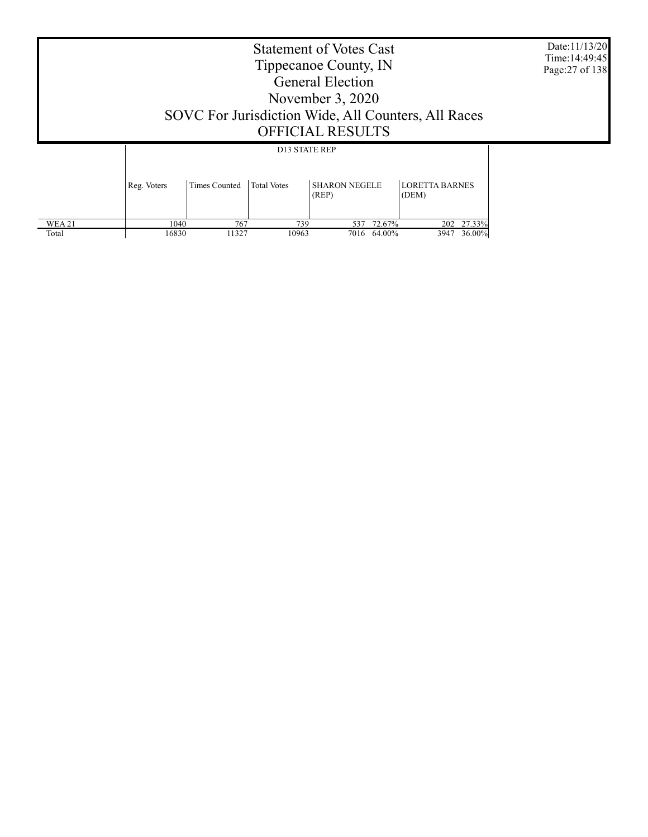|  | Date:11/13/20<br>Time: 14:49:45<br>Page: 27 of 138 |                      |                      |                               |                                |  |
|--|----------------------------------------------------|----------------------|----------------------|-------------------------------|--------------------------------|--|
|  |                                                    |                      | <b>D13 STATE REP</b> |                               |                                |  |
|  | Reg. Voters                                        | <b>Times Counted</b> | <b>Total Votes</b>   | <b>SHARON NEGELE</b><br>(REP) | <b>LORETTA BARNES</b><br>(DEM) |  |

 1040 767 739 537 72.67% 202 27.33% 16830 11327 10963 7016 64.00% 3947 36.00%

 WEA 21 Total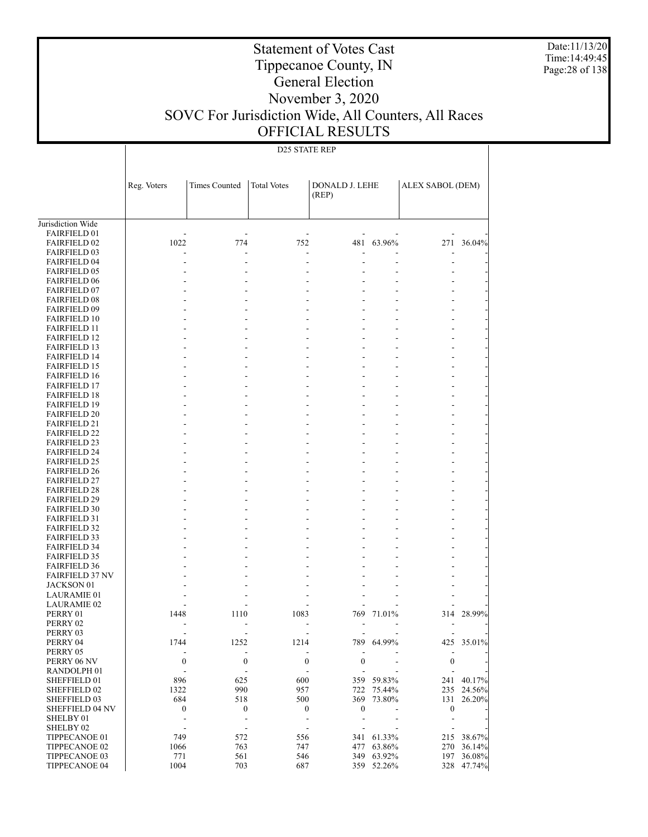Date:11/13/20 Time:14:49:45 Page:28 of 138

# Tippecanoe County, IN General Election

Statement of Votes Cast

### November 3, 2020 SOVC For Jurisdiction Wide, All Counters, All Races OFFICIAL RESULTS

### D25 STATE REP

|                                            | Reg. Voters              | <b>Times Counted</b>     | <b>Total Votes</b> | <b>DONALD J. LEHE</b><br>(REP) |                                  | ALEX SABOL (DEM)         |            |
|--------------------------------------------|--------------------------|--------------------------|--------------------|--------------------------------|----------------------------------|--------------------------|------------|
| Jurisdiction Wide                          |                          |                          |                    |                                |                                  |                          |            |
| <b>FAIRFIELD 01</b>                        |                          |                          |                    |                                |                                  |                          |            |
| <b>FAIRFIELD 02</b>                        | 1022                     | 774                      | 752                | 481                            | 63.96%                           |                          | 271 36.04% |
| <b>FAIRFIELD 03</b><br><b>FAIRFIELD 04</b> |                          |                          | $\overline{a}$     | Ē,                             | $\overline{a}$                   | ÷,                       |            |
| <b>FAIRFIELD 05</b>                        |                          |                          |                    |                                | $\overline{a}$                   |                          |            |
| <b>FAIRFIELD 06</b>                        |                          |                          |                    |                                |                                  |                          |            |
| <b>FAIRFIELD 07</b>                        |                          |                          |                    |                                | $\overline{a}$                   |                          |            |
| <b>FAIRFIELD 08</b>                        |                          |                          |                    |                                | $\overline{a}$                   |                          |            |
| <b>FAIRFIELD 09</b>                        |                          |                          |                    | $\overline{a}$                 | $\overline{a}$                   |                          |            |
| <b>FAIRFIELD 10</b>                        |                          |                          |                    |                                | $\overline{a}$                   |                          |            |
| <b>FAIRFIELD 11</b>                        |                          |                          |                    | $\overline{a}$                 | $\overline{a}$                   |                          |            |
| <b>FAIRFIELD 12</b>                        |                          |                          |                    |                                | $\overline{a}$                   |                          |            |
| <b>FAIRFIELD 13</b>                        |                          |                          |                    | $\overline{a}$                 | $\overline{a}$                   |                          |            |
| <b>FAIRFIELD 14</b>                        |                          |                          |                    |                                | $\overline{a}$                   |                          |            |
| <b>FAIRFIELD 15</b>                        |                          |                          |                    | $\overline{a}$                 | $\overline{a}$                   |                          |            |
| <b>FAIRFIELD 16</b>                        |                          |                          |                    |                                | $\overline{a}$                   |                          |            |
| <b>FAIRFIELD 17</b>                        |                          |                          |                    | $\overline{a}$                 | $\overline{a}$                   |                          |            |
| <b>FAIRFIELD 18</b>                        |                          |                          |                    | $\overline{a}$                 | $\overline{a}$                   |                          |            |
| <b>FAIRFIELD 19</b><br><b>FAIRFIELD 20</b> |                          |                          |                    |                                | $\overline{a}$<br>$\overline{a}$ |                          |            |
| <b>FAIRFIELD 21</b>                        |                          |                          |                    | $\overline{a}$                 | $\overline{a}$                   |                          |            |
| <b>FAIRFIELD 22</b>                        |                          |                          |                    |                                | $\overline{a}$                   |                          |            |
| <b>FAIRFIELD 23</b>                        |                          |                          |                    | $\overline{a}$                 | $\overline{a}$                   |                          |            |
| <b>FAIRFIELD 24</b>                        |                          |                          |                    |                                | $\overline{a}$                   |                          |            |
| <b>FAIRFIELD 25</b>                        |                          |                          |                    | $\overline{a}$                 | $\overline{a}$                   |                          |            |
| <b>FAIRFIELD 26</b>                        |                          |                          |                    |                                | $\overline{a}$                   |                          |            |
| <b>FAIRFIELD 27</b>                        |                          |                          |                    | $\overline{a}$                 | $\overline{a}$                   |                          |            |
| <b>FAIRFIELD 28</b>                        |                          |                          |                    |                                | $\overline{a}$                   |                          |            |
| <b>FAIRFIELD 29</b>                        |                          |                          |                    | $\overline{a}$                 | $\overline{a}$                   |                          |            |
| <b>FAIRFIELD 30</b>                        |                          |                          |                    |                                | $\overline{a}$                   |                          |            |
| <b>FAIRFIELD 31</b>                        |                          |                          |                    | $\overline{a}$                 | $\overline{a}$                   |                          |            |
| <b>FAIRFIELD 32</b>                        |                          |                          |                    |                                | $\overline{a}$                   |                          |            |
| <b>FAIRFIELD 33</b><br><b>FAIRFIELD 34</b> |                          |                          |                    | $\overline{a}$                 | $\overline{a}$                   |                          |            |
| <b>FAIRFIELD 35</b>                        |                          |                          |                    |                                |                                  |                          |            |
| <b>FAIRFIELD 36</b>                        |                          |                          |                    |                                |                                  |                          |            |
| <b>FAIRFIELD 37 NV</b>                     |                          |                          |                    |                                | $\overline{a}$                   |                          |            |
| JACKSON 01                                 |                          |                          |                    |                                |                                  |                          |            |
| <b>LAURAMIE 01</b>                         |                          |                          |                    |                                |                                  |                          |            |
| <b>LAURAMIE 02</b>                         |                          |                          |                    |                                |                                  |                          |            |
| PERRY 01                                   | 1448                     | 1110                     | 1083               |                                | 769 71.01%                       |                          | 314 28.99% |
| PERRY 02                                   |                          |                          |                    |                                |                                  |                          |            |
| PERRY 03                                   |                          |                          |                    |                                |                                  |                          |            |
| PERRY 04                                   | 1744                     | 1252                     | 1214               |                                | 789 64.99%                       |                          | 425 35.01% |
| PERRY 05                                   | ÷                        | $\overline{a}$           |                    |                                |                                  | $\overline{\phantom{a}}$ |            |
| PERRY 06 NV                                | $\boldsymbol{0}$         | $\boldsymbol{0}$         | $\boldsymbol{0}$   | $\boldsymbol{0}$               |                                  | $\boldsymbol{0}$         |            |
| RANDOLPH 01<br>SHEFFIELD 01                | $\overline{a}$<br>896    | 625                      | 600                |                                | 359 59.83%                       | 241                      | 40.17%     |
| SHEFFIELD 02                               | 1322                     | 990                      | 957                | 722                            | 75.44%                           |                          | 235 24.56% |
| SHEFFIELD 03                               | 684                      | 518                      | 500                | 369                            | 73.80%                           | 131                      | 26.20%     |
| <b>SHEFFIELD 04 NV</b>                     | $\boldsymbol{0}$         | $\boldsymbol{0}$         | $\boldsymbol{0}$   | $\boldsymbol{0}$               |                                  | $\boldsymbol{0}$         |            |
| SHELBY 01                                  | ÷                        | $\overline{\phantom{a}}$ | $\overline{a}$     | Ē,                             | L,                               | $\overline{\phantom{a}}$ |            |
| SHELBY 02                                  | $\overline{\phantom{a}}$ | $\overline{a}$           | L,                 |                                |                                  |                          |            |
| TIPPECANOE 01                              | 749                      | 572                      | 556                | 341                            | 61.33%                           | 215                      | 38.67%     |
| TIPPECANOE 02                              | 1066                     | 763                      | 747                | 477                            | 63.86%                           | 270                      | 36.14%     |
| TIPPECANOE 03                              | 771                      | 561                      | 546                | 349                            | 63.92%                           | 197                      | 36.08%     |
| TIPPECANOE 04                              | 1004                     | 703                      | 687                |                                | 359 52.26%                       | 328                      | 47.74%     |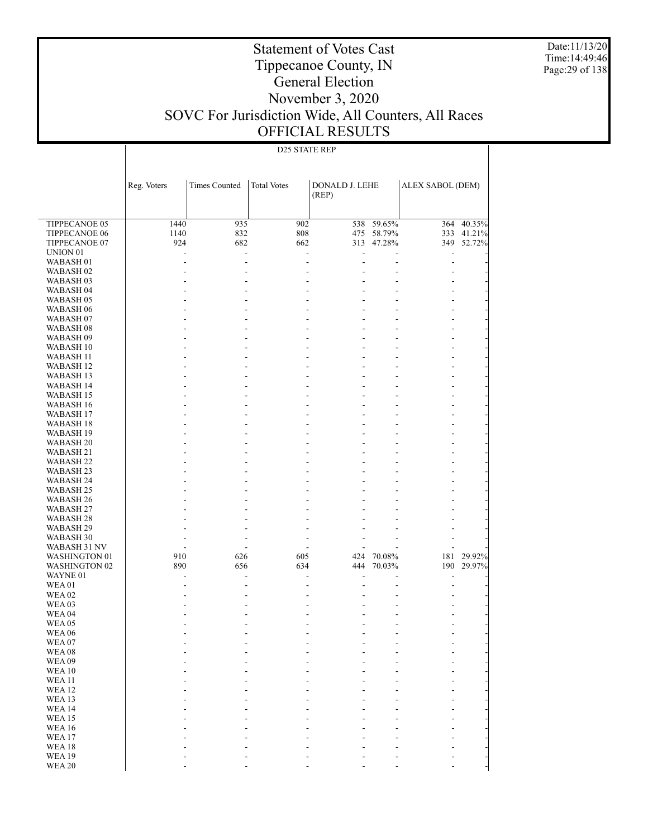Date:11/13/20 Time:14:49:46 Page:29 of 138

### Tippecanoe County, IN General Election November 3, 2020 SOVC For Jurisdiction Wide, All Counters, All Races OFFICIAL RESULTS

Statement of Votes Cast

#### TIPPECANOE 05 TIPPECANOE 06 TIPPECANOE 07 UNION 01 WABASH 01 WABASH 02 WABASH 03 WABASH 04 WABASH 05 WABASH 06 WABASH 07 WABASH 08 WABASH 09 WABASH 10 WABASH 11 WABASH 12 WABASH 13 WABASH 14 WABASH 15 WABASH 16 WABASH 17 WABASH 18 WABASH 19 WABASH 20 WABASH 21 WABASH 22 WABASH 23 WABASH 24 WABASH 25 WABASH 26 WABASH 27 WABASH 28 WABASH 29 WABASH 30 WABASH 31 NV WASHINGTON 01 WASHINGTON 02 WAYNE 01 WEA 01 WEA 02 WEA 03 WEA 04 WEA 05 WEA 06 WEA 07 WEA 08 WEA 09 WEA 10 WEA 11 WEA 12 WEA 13 WEA 14 WEA 15 WEA 16 WEA 17 WEA 18 Reg. Voters | Times Counted | Total Votes | DONALD J. LEHE (REP) ALEX SABOL (DEM) D25 STATE REP 1440 935 902 538 59.65% 364 40.35% 1140 832 808 475 58.79% 333 41.21%<br>924 682 662 313 47.28% 349 52.72% 313 47.28% - - - - - - - - - - - - - - - - - - - - - - - - - - - - - - - - - - - - - - - - - - - - - - - - - - - - - - - - - - - - - - - - - - - - - - - - - - - - - - - - - - - - - - - - - - - - - - - - - - - - - - - - - - - - - - - - - - - - - - - - - - - - - - - - - - - - - - - - - - - - - - - - - - - - - - - - - - - - - - - - - - - - - - - - - - - - - - - - - - - - - - - - - - - - - - - - - - - - - - - - - - - - - - - - - - - - - - - - - - - - - - - - 910 626 605 424 70.08% 181 29.92% 444 70.03% - - - - - - - - - - - - - - - - - - - - - - - - - - - - - - - - - - - - - - - - - - - - - - - - - - - - - - - - - - - - - - - - - - - - - - - - - - - - - - - - - - - - - - - - - - - - - - - - - - - - - - - - - - - - - - - - - - - - - - - - - - - - - - - - - - - - - - - - - - - - - - - - - - -

 WEA 19 WEA 20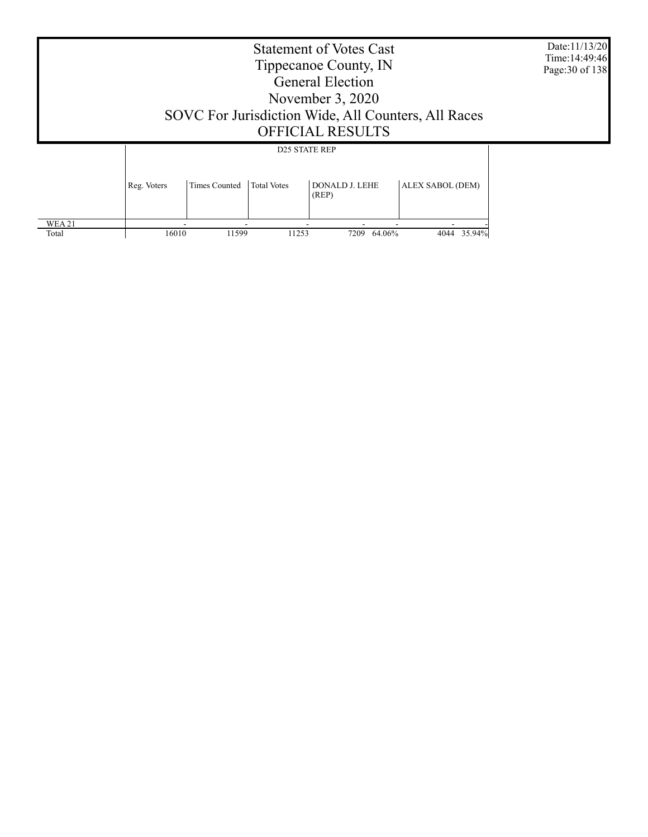| <b>Statement of Votes Cast</b><br>Tippecanoe County, IN | Date: 11/13/20<br>Time: 14:49:46<br>Page: 30 of 138 |
|---------------------------------------------------------|-----------------------------------------------------|
| General Election                                        |                                                     |
| November 3, 2020                                        |                                                     |

SOVC For Jurisdiction Wide, All Counters, All Races

### OFFICIAL RESULTS

|               | <b>D25 STATE REP</b> |               |                    |                                |                  |  |
|---------------|----------------------|---------------|--------------------|--------------------------------|------------------|--|
|               | Reg. Voters          | Times Counted | <b>Total Votes</b> | <b>DONALD J. LEHE</b><br>(REP) | ALEX SABOL (DEM) |  |
| <b>WEA 21</b> | -                    | -             |                    |                                |                  |  |
| Total         | 16010                | 11599         | 11253              | 64.06%<br>7209                 | 35.94%<br>4044   |  |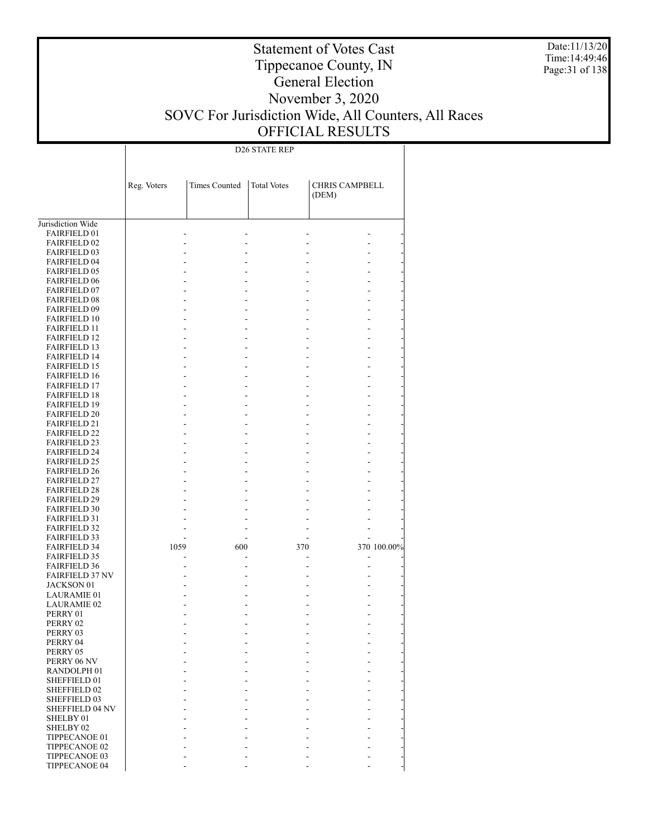Date:11/13/20 Time:14:49:46 Page:31 of 138

### Statement of Votes Cast Tippecanoe County, IN General Election November 3, 2020 SOVC For Jurisdiction Wide, All Counters, All Races OFFICIAL RESULTS

D26 STATE REP

|                                            | Reg. Voters | <b>Times Counted</b> | <b>Total Votes</b> | <b>CHRIS CAMPBELL</b><br>(DEM) |             |
|--------------------------------------------|-------------|----------------------|--------------------|--------------------------------|-------------|
|                                            |             |                      |                    |                                |             |
| Jurisdiction Wide                          |             |                      |                    |                                |             |
| <b>FAIRFIELD 01</b>                        |             |                      |                    |                                |             |
| <b>FAIRFIELD 02</b>                        |             |                      |                    |                                |             |
| <b>FAIRFIELD 03</b>                        |             |                      |                    |                                |             |
| <b>FAIRFIELD 04</b>                        |             |                      |                    |                                |             |
| <b>FAIRFIELD 05</b>                        |             |                      |                    |                                |             |
| <b>FAIRFIELD 06</b>                        |             |                      |                    |                                |             |
| <b>FAIRFIELD 07</b>                        |             |                      |                    |                                |             |
| <b>FAIRFIELD 08</b><br><b>FAIRFIELD 09</b> |             |                      |                    |                                |             |
| <b>FAIRFIELD 10</b>                        |             |                      |                    |                                |             |
| <b>FAIRFIELD 11</b>                        |             |                      |                    |                                |             |
| <b>FAIRFIELD 12</b>                        |             |                      |                    |                                |             |
| <b>FAIRFIELD 13</b>                        |             |                      |                    |                                |             |
| <b>FAIRFIELD 14</b>                        |             |                      |                    |                                |             |
| <b>FAIRFIELD 15</b>                        |             |                      |                    |                                |             |
| <b>FAIRFIELD 16</b>                        |             |                      |                    |                                |             |
| <b>FAIRFIELD 17</b>                        |             |                      |                    |                                |             |
| <b>FAIRFIELD 18</b>                        |             |                      |                    |                                |             |
| <b>FAIRFIELD 19</b>                        |             |                      |                    |                                |             |
| <b>FAIRFIELD 20</b>                        |             |                      |                    |                                |             |
| <b>FAIRFIELD 21</b>                        |             |                      |                    |                                |             |
| <b>FAIRFIELD 22</b>                        |             |                      |                    |                                |             |
| <b>FAIRFIELD 23</b>                        |             |                      |                    |                                |             |
| <b>FAIRFIELD 24</b>                        |             |                      |                    |                                |             |
| <b>FAIRFIELD 25</b><br><b>FAIRFIELD 26</b> |             |                      |                    |                                |             |
| <b>FAIRFIELD 27</b>                        |             |                      |                    |                                |             |
| <b>FAIRFIELD 28</b>                        |             |                      |                    |                                |             |
| <b>FAIRFIELD 29</b>                        |             |                      |                    |                                |             |
| <b>FAIRFIELD 30</b>                        |             |                      |                    |                                |             |
| <b>FAIRFIELD 31</b>                        |             |                      |                    |                                |             |
| <b>FAIRFIELD 32</b>                        |             |                      |                    |                                |             |
| <b>FAIRFIELD 33</b>                        |             |                      |                    |                                |             |
| <b>FAIRFIELD 34</b>                        | 1059        | 600                  | 370                |                                | 370 100.00% |
| <b>FAIRFIELD 35</b>                        |             |                      |                    |                                |             |
| <b>FAIRFIELD 36</b>                        |             |                      |                    |                                |             |
| <b>FAIRFIELD 37 NV</b>                     |             |                      |                    |                                |             |
| <b>JACKSON 01</b>                          |             |                      |                    |                                |             |
| <b>LAURAMIE 01</b><br><b>LAURAMIE 02</b>   |             |                      |                    |                                |             |
| PERRY 01                                   |             |                      |                    |                                |             |
| PERRY 02                                   |             |                      |                    |                                |             |
| PERRY 03                                   |             |                      |                    |                                |             |
| PERRY 04                                   |             |                      |                    |                                |             |
| PERRY 05                                   |             |                      |                    |                                |             |
| PERRY 06 NV                                |             |                      |                    |                                |             |
| RANDOLPH <sub>01</sub>                     |             |                      |                    |                                |             |
| SHEFFIELD 01                               |             |                      |                    |                                |             |
| SHEFFIELD 02                               |             |                      |                    |                                |             |
| SHEFFIELD 03                               |             |                      |                    |                                |             |
| SHEFFIELD 04 NV                            |             |                      |                    |                                |             |
| SHELBY 01                                  |             |                      |                    |                                |             |
| SHELBY <sub>02</sub>                       |             |                      |                    |                                |             |
| TIPPECANOE 01<br>TIPPECANOE 02             |             |                      |                    |                                |             |
| TIPPECANOE 03                              |             |                      |                    |                                |             |
| <b>TIPPECANOE 04</b>                       |             |                      |                    |                                |             |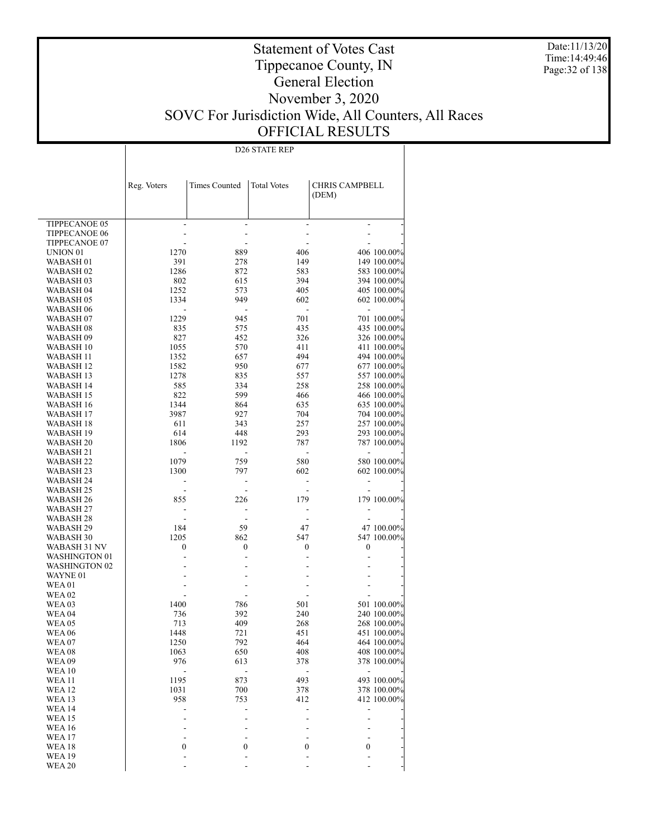Date:11/13/20 Time:14:49:46 Page:32 of 138

### Statement of Votes Cast Tippecanoe County, IN General Election November 3, 2020 SOVC For Jurisdiction Wide, All Counters, All Races OFFICIAL RESULTS

D26 STATE REP

|                           | Reg. Voters | <b>Times Counted</b> | <b>Total Votes</b>       | <b>CHRIS CAMPBELL</b><br>(DEM) |                            |
|---------------------------|-------------|----------------------|--------------------------|--------------------------------|----------------------------|
| TIPPECANOE 05             |             |                      | $\overline{\phantom{a}}$ |                                |                            |
| <b>TIPPECANOE 06</b>      |             |                      |                          |                                |                            |
| TIPPECANOE 07             |             |                      |                          |                                |                            |
| UNION 01                  | 1270        | 889                  | 406                      |                                | 406 100.00%                |
| WABASH 01                 | 391         | 278                  | 149                      |                                | 149 100.00%                |
| WABASH 02                 | 1286        | 872                  | 583                      |                                | 583 100.00%                |
| WABASH 03                 | 802         | 615                  | 394                      |                                | 394 100.00%                |
| WABASH 04                 | 1252        | 573                  | 405                      |                                | 405 100.00%                |
| WABASH 05                 | 1334        | 949                  | 602                      |                                | 602 100.00%                |
| WABASH 06                 |             |                      | $\overline{\phantom{a}}$ |                                |                            |
| WABASH 07                 | 1229        | 945                  | 701                      |                                | 701 100.00%                |
| WABASH 08                 | 835         | 575                  | 435                      |                                | 435 100.00%                |
| WABASH 09                 | 827         | 452                  | 326                      |                                | 326 100.00%                |
| WABASH 10                 | 1055        | 570                  | 411                      |                                | 411 100.00%                |
| WABASH 11                 | 1352        | 657                  | 494                      |                                | 494 100.00%                |
| WABASH 12                 | 1582        | 950                  | 677                      |                                | 677 100.00%                |
| WABASH 13<br>WABASH 14    | 1278<br>585 | 835                  | 557<br>258               |                                | 557 100.00%                |
| WABASH 15                 | 822         | 334<br>599           | 466                      |                                | 258 100.00%                |
| WABASH 16                 | 1344        | 864                  | 635                      |                                | 466 100.00%<br>635 100.00% |
| WABASH 17                 | 3987        | 927                  | 704                      |                                | 704 100.00%                |
| WABASH 18                 | 611         | 343                  | 257                      |                                | 257 100.00%                |
| WABASH 19                 | 614         | 448                  | 293                      |                                | 293 100.00%                |
| WABASH 20                 | 1806        | 1192                 | 787                      |                                | 787 100.00%                |
| WABASH 21                 |             |                      |                          |                                |                            |
| WABASH 22                 | 1079        | 759                  | 580                      |                                | 580 100.00%                |
| WABASH 23                 | 1300        | 797                  | 602                      |                                | 602 100.00%                |
| WABASH 24                 |             |                      | ٠                        |                                |                            |
| WABASH 25                 |             |                      | ٠                        |                                |                            |
| WABASH 26                 | 855         | 226                  | 179                      |                                | 179 100.00%                |
| WABASH 27                 |             |                      |                          |                                |                            |
| WABASH 28                 |             |                      |                          |                                |                            |
| WABASH 29                 | 184         | 59                   | 47                       |                                | 47 100.00%                 |
| WABASH 30                 | 1205        | 862                  | 547                      |                                | 547 100.00%                |
| WABASH 31 NV              | 0           | $\boldsymbol{0}$     | 0                        | $\boldsymbol{0}$               |                            |
| WASHINGTON 01             |             |                      |                          |                                |                            |
| WASHINGTON 02<br>WAYNE 01 |             |                      |                          |                                |                            |
|                           |             |                      |                          |                                |                            |
| WEA 01<br>WEA 02          |             |                      |                          |                                |                            |
| WEA 03                    | 1400        | 786                  | 501                      |                                | 501 100.00%                |
| WEA 04                    | 736         | 392                  | 240                      |                                | 240 100.00%                |
| <b>WEA05</b>              | 713         | 409                  | 268                      |                                | 268 100.00%                |
| WEA 06                    | 1448        | 721                  | 451                      |                                | 451 100.00%                |
| WEA 07                    | 1250        | 792                  | 464                      |                                | 464 100.00%                |
| WEA 08                    | 1063        | 650                  | 408                      |                                | 408 100.00%                |
| <b>WEA 09</b>             | 976         | 613                  | 378                      |                                | 378 100.00%                |
| <b>WEA 10</b>             |             |                      | $\overline{a}$           |                                |                            |
| <b>WEA 11</b>             | 1195        | 873                  | 493                      |                                | 493 100.00%                |
| <b>WEA 12</b>             | 1031        | 700                  | 378                      |                                | 378 100.00%                |
| <b>WEA13</b>              | 958         | 753                  | 412                      |                                | 412 100.00%                |
| <b>WEA 14</b>             |             |                      | ٠                        |                                |                            |
| <b>WEA15</b>              |             |                      |                          |                                |                            |
| <b>WEA16</b>              |             |                      |                          |                                |                            |
| <b>WEA 17</b>             |             |                      |                          |                                |                            |
| <b>WEA18</b>              | 0           | 0                    | 0                        | 0                              |                            |
| <b>WEA 19</b>             |             |                      | ä,                       |                                |                            |
| <b>WEA 20</b>             |             |                      |                          |                                |                            |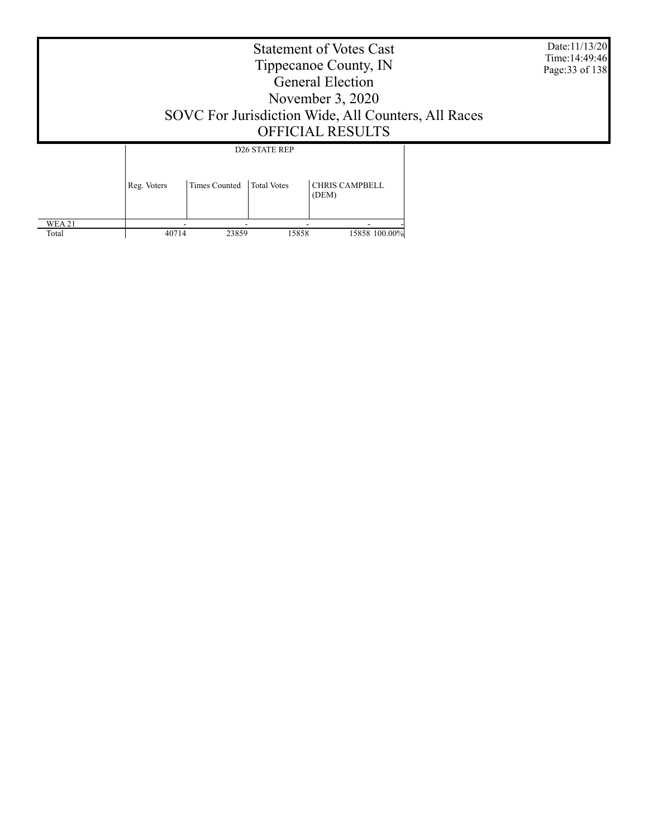|        | Date:11/13/20<br>Time: 14:49:46<br>Page: 33 of 138 |                      |                                            |                                |  |  |
|--------|----------------------------------------------------|----------------------|--------------------------------------------|--------------------------------|--|--|
|        | Reg. Voters                                        | <b>Times Counted</b> | <b>D26 STATE REP</b><br><b>Total Votes</b> | <b>CHRIS CAMPBELL</b><br>(DEM) |  |  |
| WEA 21 |                                                    |                      |                                            |                                |  |  |

40714 23859 15858 15858 100.00%

Total

Τ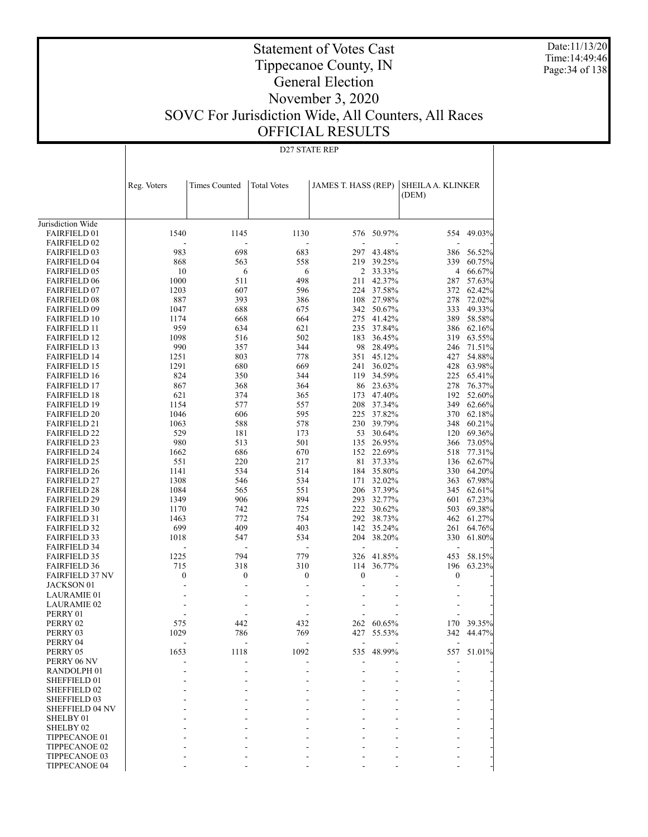Date:11/13/20 Time:14:49:46 Page:34 of 138

## Tippecanoe County, IN General Election November 3, 2020 SOVC For Jurisdiction Wide, All Counters, All Races OFFICIAL RESULTS

Statement of Votes Cast

D27 STATE REP

|                                            | Reg. Voters    | <b>Times Counted</b> | <b>Total Votes</b> | JAMES T. HASS (REP) |                         | SHEILA A. KLINKER |                  |
|--------------------------------------------|----------------|----------------------|--------------------|---------------------|-------------------------|-------------------|------------------|
|                                            |                |                      |                    |                     |                         | (DEM)             |                  |
|                                            |                |                      |                    |                     |                         |                   |                  |
| Jurisdiction Wide                          |                |                      |                    |                     |                         |                   |                  |
| FAIRFIELD 01                               | 1540           | 1145                 | 1130               | 576                 | 50.97%                  | 554               | 49.03%           |
| <b>FAIRFIELD 02</b>                        |                |                      |                    |                     |                         |                   |                  |
| <b>FAIRFIELD 03</b>                        | 983            | 698                  | 683                | 297                 | 43.48%                  | 386               | 56.52%           |
| <b>FAIRFIELD 04</b>                        | 868            | 563                  | 558                | 219                 | 39.25%                  | 339               | 60.75%           |
| <b>FAIRFIELD 05</b>                        | 10             | 6                    | 6                  |                     | 2 33.33%                | $\overline{4}$    | 66.67%           |
| <b>FAIRFIELD 06</b>                        | 1000           | 511                  | 498                | 211                 | 42.37%                  | 287               | 57.63%           |
| <b>FAIRFIELD 07</b>                        | 1203           | 607                  | 596                | 224                 | 37.58%                  | 372               | 62.42%           |
| <b>FAIRFIELD 08</b>                        | 887            | 393                  | 386                | 108                 | 27.98%                  | 278               | 72.02%           |
| <b>FAIRFIELD 09</b>                        | 1047           | 688                  | 675                | 342                 | 50.67%                  | 333               | 49.33%           |
| <b>FAIRFIELD 10</b>                        | 1174           | 668                  | 664                |                     | 275 41.42%              | 389               | 58.58%           |
| <b>FAIRFIELD 11</b>                        | 959            | 634                  | 621                |                     | 235 37.84%              | 386               | 62.16%           |
| <b>FAIRFIELD 12</b>                        | 1098           | 516                  | 502                | 183                 | 36.45%                  | 319               | 63.55%           |
| <b>FAIRFIELD 13</b>                        | 990            | 357                  | 344                |                     | 98 28.49%               | 246               | 71.51%           |
| <b>FAIRFIELD 14</b>                        | 1251           | 803                  | 778                |                     | 351 45.12%              | 427               | 54.88%           |
| <b>FAIRFIELD 15</b>                        | 1291           | 680                  | 669                | 241                 | 36.02%                  | 428               | 63.98%           |
| <b>FAIRFIELD 16</b>                        | 824            | 350                  | 344                | 119                 | 34.59%                  | 225               | 65.41%           |
| <b>FAIRFIELD 17</b>                        | 867            | 368                  | 364                |                     | 86 23.63%               | 278               | 76.37%           |
| <b>FAIRFIELD 18</b>                        | 621            | 374                  | 365                | 173                 | 47.40%                  | 192               | 52.60%           |
| <b>FAIRFIELD 19</b>                        | 1154           | 577                  | 557                | 208                 | 37.34%                  | 349               | 62.66%           |
| <b>FAIRFIELD 20</b>                        | 1046           | 606                  | 595                |                     | 225 37.82%              | 370               | 62.18%           |
| <b>FAIRFIELD 21</b>                        | 1063           | 588                  | 578                |                     | 230 39.79%              | 348               | 60.21%           |
| <b>FAIRFIELD 22</b>                        | 529            | 181                  | 173                |                     | 53 30.64%<br>135 26.95% | 120               | 69.36%           |
| <b>FAIRFIELD 23</b><br><b>FAIRFIELD 24</b> | 980<br>1662    | 513<br>686           | 501<br>670         | 152                 | 22.69%                  | 366<br>518        | 73.05%           |
| <b>FAIRFIELD 25</b>                        | 551            | 220                  | 217                | 81                  | 37.33%                  | 136               | 77.31%<br>62.67% |
| <b>FAIRFIELD 26</b>                        | 1141           | 534                  | 514                | 184                 | 35.80%                  | 330               | 64.20%           |
| <b>FAIRFIELD 27</b>                        | 1308           | 546                  | 534                | 171                 | 32.02%                  | 363               | 67.98%           |
| <b>FAIRFIELD 28</b>                        | 1084           | 565                  | 551                |                     | 206 37.39%              | 345               | 62.61%           |
| <b>FAIRFIELD 29</b>                        | 1349           | 906                  | 894                |                     | 293 32.77%              | 601               | 67.23%           |
| <b>FAIRFIELD 30</b>                        | 1170           | 742                  | 725                |                     | 222 30.62%              | 503               | 69.38%           |
| <b>FAIRFIELD 31</b>                        | 1463           | 772                  | 754                | 292                 | 38.73%                  | 462               | 61.27%           |
| <b>FAIRFIELD 32</b>                        | 699            | 409                  | 403                | 142                 | 35.24%                  | 261               | 64.76%           |
| <b>FAIRFIELD 33</b>                        | 1018           | 547                  | 534                | 204                 | 38.20%                  | 330               | 61.80%           |
| <b>FAIRFIELD 34</b>                        |                |                      |                    | ÷,                  |                         | Ĭ.                |                  |
| <b>FAIRFIELD 35</b>                        | 1225           | 794                  | 779                | 326                 | 41.85%                  | 453               | 58.15%           |
| <b>FAIRFIELD 36</b>                        | 715            | 318                  | 310                | 114                 | 36.77%                  | 196               | 63.23%           |
| <b>FAIRFIELD 37 NV</b>                     | 0              | 0                    | 0                  | $\mathbf{0}$        |                         | 0                 |                  |
| JACKSON 01                                 | $\overline{a}$ |                      |                    | ÷,                  |                         |                   |                  |
| LAURAMIE 01                                |                |                      |                    |                     |                         |                   |                  |
| LAURAMIE 02                                |                |                      |                    |                     |                         | L,                |                  |
| PERRY 01                                   |                |                      |                    |                     |                         |                   |                  |
| PERRY 02                                   | 575            | 442                  | 432                | 262                 | 60.65%                  | 170               | 39.35%           |
| PERRY 03                                   | 1029           | 786                  | 769                | 427                 | 55.53%                  | 342               | 44.47%           |
| PERRY 04                                   |                |                      |                    |                     |                         | $\blacksquare$    |                  |
| PERRY 05                                   | 1653           | 1118                 | 1092               |                     | 535 48.99%              |                   | 557 51.01%       |
| PERRY 06 NV                                |                |                      |                    |                     |                         |                   |                  |
| RANDOLPH <sub>01</sub>                     |                |                      |                    |                     |                         |                   |                  |
| SHEFFIELD 01                               |                |                      |                    |                     |                         |                   |                  |
| <b>SHEFFIELD 02</b><br>SHEFFIELD 03        |                |                      |                    |                     |                         |                   |                  |
| <b>SHEFFIELD 04 NV</b>                     |                |                      |                    |                     |                         |                   |                  |
| SHELBY 01                                  |                |                      |                    |                     |                         |                   |                  |
| SHELBY 02                                  |                |                      |                    |                     |                         |                   |                  |
| TIPPECANOE 01                              |                |                      |                    |                     |                         |                   |                  |
| TIPPECANOE 02                              |                |                      |                    |                     |                         |                   |                  |
| TIPPECANOE 03                              |                |                      |                    |                     |                         |                   |                  |
| TIPPECANOE 04                              |                |                      |                    |                     |                         |                   |                  |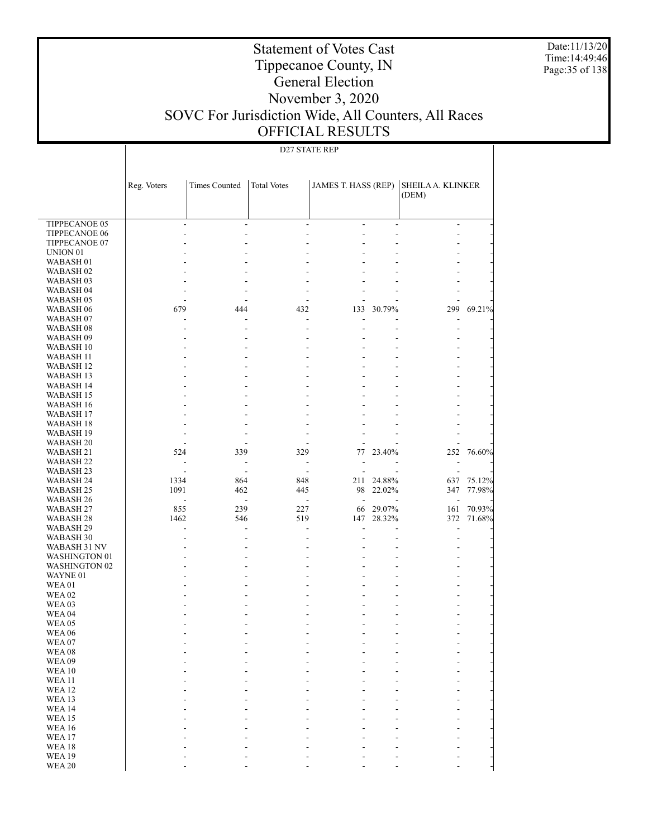Date:11/13/20 Time:14:49:46 Page:35 of 138

### Statement of Votes Cast Tippecanoe County, IN General Election November 3, 2020 SOVC For Jurisdiction Wide, All Counters, All Races OFFICIAL RESULTS

### D27 STATE REP

|                                       | Reg. Voters              | Times Counted            | <b>Total Votes</b>       | JAMES T. HASS (REP)      |                | SHEILA A. KLINKER<br>(DEM) |        |
|---------------------------------------|--------------------------|--------------------------|--------------------------|--------------------------|----------------|----------------------------|--------|
| TIPPECANOE 05                         | ÷.                       | ÷.                       | ÷.                       | $\overline{a}$           | $\overline{a}$ | $\sim$                     |        |
| <b>TIPPECANOE 06</b>                  | ٠                        | ÷.                       | ٠                        | ä,                       | ÷              | ٠                          |        |
| TIPPECANOE 07                         | ۳                        | ٠                        | L.                       | $\overline{a}$           |                | ٠                          |        |
| UNION <sub>01</sub>                   | L.                       | ÷.                       | ä,                       | $\overline{a}$           | ÷.             |                            |        |
| WABASH 01                             |                          |                          |                          |                          |                |                            |        |
| WABASH <sub>02</sub>                  |                          | ÷.                       | ä,                       | $\overline{a}$           |                |                            |        |
| WABASH 03                             |                          |                          | ÷.                       |                          |                |                            |        |
| WABASH 04                             | ٠                        | ÷.                       | ٠                        | $\overline{a}$           | $\overline{a}$ | $\blacksquare$             |        |
| WABASH 05                             | ٠                        | $\overline{a}$           | ÷                        | $\overline{a}$           |                | ÷                          |        |
| WABASH 06                             | 679                      | 444                      | 432                      | 133                      | 30.79%         | 299                        | 69.21% |
| WABASH 07                             | ٠                        | ÷.                       | ÷                        | $\overline{a}$           |                | ÷                          |        |
| WABASH <sub>08</sub>                  | ٠                        | $\overline{a}$           | ÷                        | ÷                        | ÷.             | $\blacksquare$             |        |
| WABASH 09                             | ۳                        | ÷.                       | ٠                        |                          |                | ٠                          |        |
| WABASH 10                             | ٠                        | $\overline{a}$           | ٠                        | $\overline{a}$           | ÷.             | ٠                          |        |
| WABASH 11                             | L.                       | ÷.                       | ٠                        | $\overline{a}$           | ٠              | ٠                          |        |
| WABASH 12                             | ٠                        | ÷.                       | ٠                        | ÷                        | $\overline{a}$ | ٠                          |        |
| WABASH 13                             | ۳                        | ٠                        | ۳                        | $\overline{a}$           |                | ٠                          |        |
| WABASH 14                             | L.                       | ÷.                       | ٠                        | ÷                        | ÷.             | ٠                          |        |
| WABASH 15<br>WABASH 16                | L.                       | ٠<br>÷.                  | ÷.<br>٠                  | $\overline{a}$<br>÷      | ÷.             | ٠                          |        |
| WABASH 17                             |                          | ٠                        | ÷.                       | ٠                        |                |                            |        |
| WABASH 18                             |                          | ÷.                       | ٠                        | $\overline{a}$           |                |                            |        |
| WABASH 19                             | ٠                        | ÷.                       | ٠                        | $\overline{a}$           |                |                            |        |
| WABASH 20                             | $\sim$                   | $\overline{a}$           | ٠                        | $\overline{a}$           | $\overline{a}$ |                            |        |
| WABASH 21                             | 524                      | 339                      | 329                      | 77                       | 23.40%         | 252                        | 76.60% |
| WABASH 22                             | $\overline{\phantom{a}}$ | $\blacksquare$           | $\overline{\phantom{a}}$ | ä,                       | $\overline{a}$ |                            |        |
| WABASH 23                             | ÷                        | ÷.                       | $\overline{\phantom{a}}$ | ÷                        |                | ÷                          |        |
| WABASH 24                             | 1334                     | 864                      | 848                      | 211                      | 24.88%         | 637                        | 75.12% |
| WABASH 25                             | 1091                     | 462                      | 445                      | 98                       | 22.02%         | 347                        | 77.98% |
| WABASH 26                             | $\overline{\phantom{a}}$ | $\overline{\phantom{a}}$ | $\blacksquare$           | $\overline{\phantom{a}}$ | $\overline{a}$ | ÷                          |        |
| WABASH 27                             | 855                      | 239                      | 227                      | 66                       | 29.07%         | 161                        | 70.93% |
| WABASH 28                             | 1462                     | 546                      | 519                      | 147                      | 28.32%         | 372                        | 71.68% |
| WABASH 29                             | ٠                        | ÷                        | ÷                        | ÷.                       | ٠              | ÷                          |        |
| WABASH 30                             | ٠                        | $\overline{a}$           | ٠                        | $\overline{a}$           | $\overline{a}$ | ÷                          |        |
| WABASH 31 NV                          | ۳                        | ÷.                       | ÷.                       |                          | ٠              |                            |        |
| WASHINGTON 01<br><b>WASHINGTON 02</b> | ٠<br>۳                   | ÷.<br>٠                  | ٠<br>۳                   | $\overline{a}$<br>٠      | $\overline{a}$ | ÷<br>٠                     |        |
| WAYNE 01                              | L.                       | ÷.                       | ٠                        | $\overline{a}$           | ÷.             | ٠                          |        |
| <b>WEA01</b>                          |                          |                          | ÷.                       | $\overline{a}$           | ÷.             | ٠                          |        |
| <b>WEA 02</b>                         | ۳                        | ÷.                       | ٠                        | $\overline{a}$           | ÷              | ÷                          |        |
| <b>WEA03</b>                          |                          | ٠                        | ۳                        | $\overline{a}$           | $\overline{a}$ |                            |        |
| <b>WEA 04</b>                         |                          | ÷.                       | ä,                       | $\overline{a}$           | $\overline{a}$ |                            |        |
| <b>WEA 05</b>                         |                          |                          |                          | $\overline{a}$           | ÷.             |                            |        |
| <b>WEA 06</b>                         | ٠                        | ÷.                       | ÷                        | $\overline{a}$           | $\overline{a}$ | ÷                          |        |
| <b>WEA07</b>                          |                          |                          |                          |                          |                |                            |        |
| <b>WEA08</b>                          |                          |                          |                          |                          |                |                            |        |
| <b>WEA09</b>                          |                          |                          |                          |                          |                |                            |        |
| <b>WEA10</b>                          |                          |                          |                          |                          |                |                            |        |
| <b>WEA11</b><br><b>WEA12</b>          |                          |                          |                          |                          |                |                            |        |
|                                       |                          |                          |                          |                          |                |                            |        |
| WEA13<br><b>WEA14</b>                 |                          |                          |                          |                          |                |                            |        |
| <b>WEA15</b>                          |                          |                          |                          |                          |                |                            |        |
| <b>WEA16</b>                          |                          |                          |                          |                          |                |                            |        |
| <b>WEA17</b>                          |                          |                          |                          |                          |                |                            |        |
| <b>WEA18</b>                          |                          |                          |                          |                          |                |                            |        |
| <b>WEA19</b>                          |                          |                          |                          |                          |                |                            |        |
| <b>WEA 20</b>                         |                          |                          |                          |                          |                |                            |        |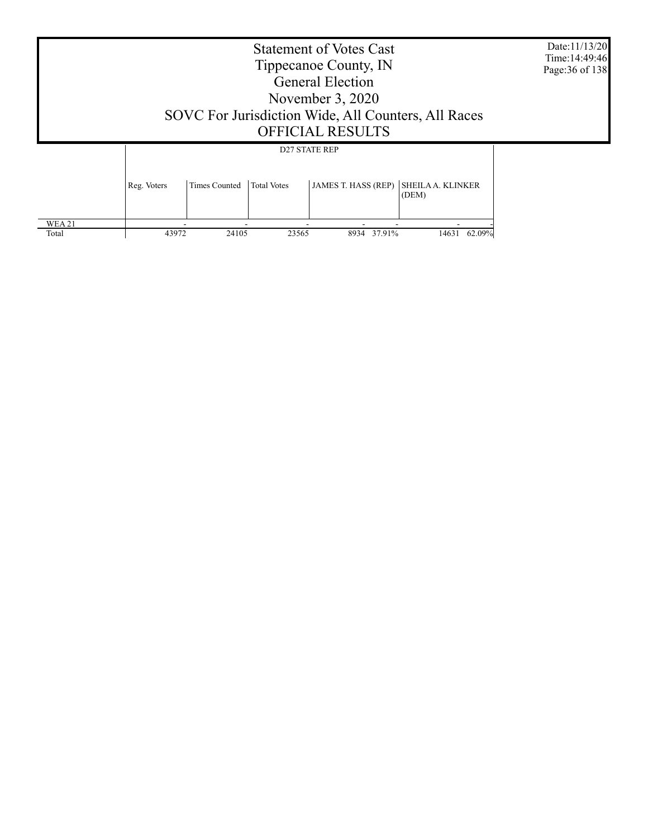|                       | Date:11/13/20<br>Time: 14:49:46<br>Page: 36 of 138 |                      |                    |                                                    |                                   |  |
|-----------------------|----------------------------------------------------|----------------------|--------------------|----------------------------------------------------|-----------------------------------|--|
|                       | Reg. Voters                                        | <b>Times Counted</b> | <b>Total Votes</b> | <b>D27 STATE REP</b><br><b>JAMES T. HASS (REP)</b> | <b>SHEILA A. KLINKER</b><br>(DEM) |  |
| <b>WEA21</b><br>Total | 43972                                              | 24105                | 23565              | 8934 37.91%                                        | 14631 62.09%                      |  |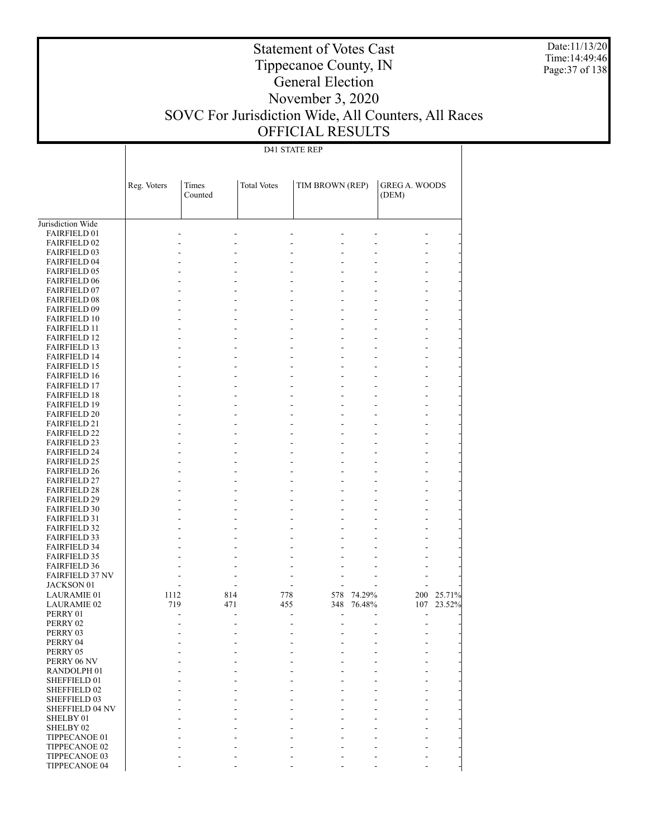Date:11/13/20 Time:14:49:46 Page:37 of 138

## Tippecanoe County, IN General Election

Statement of Votes Cast

### November 3, 2020 SOVC For Jurisdiction Wide, All Counters, All Races OFFICIAL RESULTS

D41 STATE REP

|                                            | Reg. Voters | Times   | <b>Total Votes</b> | TIM BROWN (REP) |         | <b>GREG A. WOODS</b> |        |
|--------------------------------------------|-------------|---------|--------------------|-----------------|---------|----------------------|--------|
|                                            |             | Counted |                    |                 |         | (DEM)                |        |
|                                            |             |         |                    |                 |         |                      |        |
| Jurisdiction Wide                          |             |         |                    |                 |         |                      |        |
| <b>FAIRFIELD 01</b>                        |             |         |                    | ÷               | J.      |                      |        |
| <b>FAIRFIELD 02</b>                        |             |         |                    | ٠               | J.      | ÷                    |        |
| <b>FAIRFIELD 03</b>                        |             |         |                    |                 |         |                      |        |
| <b>FAIRFIELD 04</b>                        |             |         |                    | ٠               | ÷       | ä,                   |        |
| <b>FAIRFIELD 05</b>                        |             |         |                    |                 | L.      |                      |        |
| <b>FAIRFIELD 06</b>                        |             |         |                    | ٠               | ÷       | ä,                   |        |
| <b>FAIRFIELD 07</b>                        |             |         |                    |                 | J.      |                      |        |
| <b>FAIRFIELD 08</b>                        |             |         |                    | ÷               | ÷       | ٠                    |        |
| <b>FAIRFIELD 09</b>                        |             |         |                    | ÷               | J.      | L.                   |        |
| <b>FAIRFIELD 10</b>                        |             |         |                    | ٠               | ÷       | ÷                    |        |
| <b>FAIRFIELD 11</b>                        |             |         |                    |                 | J.      | L.                   |        |
| <b>FAIRFIELD 12</b>                        |             |         | ä,                 | ÷               | ÷       | ٠                    |        |
| <b>FAIRFIELD 13</b>                        |             |         |                    | ÷               | J.      | L.                   |        |
| <b>FAIRFIELD 14</b>                        |             |         |                    | ٠               | ÷       | ÷                    |        |
| <b>FAIRFIELD 15</b>                        |             |         |                    |                 | J.      | L.                   |        |
| <b>FAIRFIELD 16</b>                        |             |         | ä,                 | ÷               | ÷       | ٠                    |        |
| <b>FAIRFIELD 17</b>                        |             |         |                    | ÷               | J.      | L.                   |        |
| <b>FAIRFIELD 18</b>                        |             |         |                    | ٠               | ÷       | ÷                    |        |
| <b>FAIRFIELD 19</b>                        |             |         |                    |                 | J.      | L.                   |        |
| <b>FAIRFIELD 20</b><br><b>FAIRFIELD 21</b> |             |         | ä,                 | ÷<br>÷          | ÷<br>J. | ٠<br>L.              |        |
| <b>FAIRFIELD 22</b>                        |             |         |                    | ٠               | ÷.      | ÷.                   |        |
|                                            |             |         |                    |                 | J.      | L.                   |        |
| <b>FAIRFIELD 23</b><br><b>FAIRFIELD 24</b> |             |         | ä,                 | ÷               | ÷       | ٠                    |        |
| <b>FAIRFIELD 25</b>                        |             |         |                    | ÷               | J.      | L.                   |        |
| <b>FAIRFIELD 26</b>                        |             |         |                    | ٠               | ÷.      | ÷.                   |        |
| <b>FAIRFIELD 27</b>                        |             |         |                    |                 | J.      | L.                   |        |
| <b>FAIRFIELD 28</b>                        |             |         | ä,                 | ÷               | ÷       | ٠                    |        |
| <b>FAIRFIELD 29</b>                        |             |         |                    | ÷               | J.      | L.                   |        |
| <b>FAIRFIELD 30</b>                        |             |         |                    | ٠               | ÷.      | ÷.                   |        |
| <b>FAIRFIELD 31</b>                        |             |         |                    |                 | J.      | L.                   |        |
| <b>FAIRFIELD 32</b>                        |             |         |                    | ÷               | ÷       | ٠                    |        |
| <b>FAIRFIELD 33</b>                        |             |         |                    |                 | L.      |                      |        |
| <b>FAIRFIELD 34</b>                        |             |         |                    | ٠               |         |                      |        |
| <b>FAIRFIELD 35</b>                        |             |         |                    |                 |         |                      |        |
| <b>FAIRFIELD 36</b>                        |             |         | ÷.                 | ٠               | ÷.      |                      |        |
| <b>FAIRFIELD 37 NV</b>                     |             |         | ÷.                 | ÷.              | ÷.      |                      |        |
| JACKSON 01                                 |             |         | ÷                  | ÷               | ÷       |                      |        |
| <b>LAURAMIE 01</b>                         | 1112        | 814     | 778                | 578             | 74.29%  | 200                  | 25.71% |
| <b>LAURAMIE 02</b>                         | 719         | 471     | 455                | 348             | 76.48%  | 107                  | 23.52% |
| PERRY 01                                   |             |         | ÷.                 | ÷.              |         | ÷.                   |        |
| PERRY 02                                   |             |         |                    | ÷.              |         | ۰                    |        |
| PERRY 03                                   |             | ÷       | ÷.                 | ٠               | ÷       | ٠                    |        |
| PERRY 04                                   |             |         |                    | ٠               |         |                      |        |
| PERRY 05                                   |             |         |                    |                 |         |                      |        |
| PERRY 06 NV                                |             |         |                    |                 |         |                      |        |
| RANDOLPH 01                                |             |         |                    |                 |         |                      |        |
| SHEFFIELD 01                               |             |         |                    |                 |         |                      |        |
| SHEFFIELD 02                               |             |         |                    |                 |         |                      |        |
| SHEFFIELD 03                               |             |         |                    |                 |         |                      |        |
| <b>SHEFFIELD 04 NV</b>                     |             |         |                    |                 |         |                      |        |
| SHELBY 01                                  |             |         |                    |                 |         |                      |        |
| SHELBY <sub>02</sub>                       |             |         |                    |                 |         |                      |        |
| TIPPECANOE 01                              |             |         |                    |                 |         |                      |        |
| TIPPECANOE 02                              |             |         |                    |                 |         |                      |        |
| TIPPECANOE 03                              |             |         |                    |                 |         |                      |        |
| TIPPECANOE 04                              |             |         |                    |                 |         |                      |        |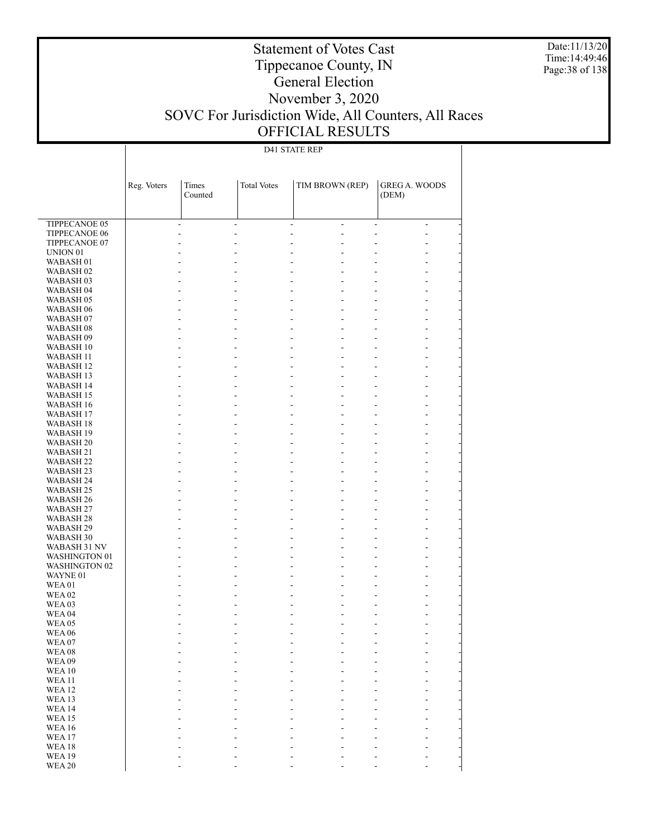Date:11/13/20 Time:14:49:46 Page:38 of 138

# Tippecanoe County, IN General Election

Statement of Votes Cast

#### November 3, 2020 SOVC For Jurisdiction Wide, All Counters, All Races OFFICIAL RESULTS

#### D41 STATE REP

|                      | Reg. Voters | Times<br>Counted | <b>Total Votes</b>                         | TIM BROWN (REP) | <b>GREG A. WOODS</b><br>(DEM)   |
|----------------------|-------------|------------------|--------------------------------------------|-----------------|---------------------------------|
| <b>TIPPECANOE 05</b> |             |                  |                                            |                 |                                 |
|                      | $\sim$      |                  | $\blacksquare$<br>$\overline{\phantom{a}}$ | ÷,              | $\frac{1}{2}$<br>$\blacksquare$ |
| <b>TIPPECANOE 06</b> | L,          |                  |                                            | $\overline{a}$  | $\overline{a}$                  |
| TIPPECANOE 07        |             |                  |                                            | L,              |                                 |
| UNION <sub>01</sub>  |             |                  |                                            | L,              |                                 |
| WABASH <sub>01</sub> |             |                  |                                            | L,              |                                 |
| WABASH <sub>02</sub> |             |                  |                                            | ÷,              |                                 |
| WABASH <sub>03</sub> |             |                  |                                            | $\overline{a}$  |                                 |
| WABASH 04            |             |                  |                                            | ÷,              | $\overline{a}$                  |
| WABASH 05            |             |                  |                                            | $\overline{a}$  |                                 |
| WABASH <sub>06</sub> |             |                  |                                            | $\overline{a}$  | $\overline{a}$                  |
| WABASH <sub>07</sub> |             |                  |                                            | $\overline{a}$  |                                 |
| WABASH 08            |             |                  |                                            | $\overline{a}$  | $\overline{a}$                  |
| WABASH 09            |             |                  |                                            | $\overline{a}$  | $\overline{a}$                  |
| WABASH 10            |             |                  |                                            | $\overline{a}$  | $\overline{a}$                  |
| <b>WABASH 11</b>     |             |                  |                                            | $\overline{a}$  |                                 |
| WABASH 12            |             |                  |                                            | $\overline{a}$  | $\overline{a}$                  |
| WABASH 13            |             |                  |                                            | $\overline{a}$  | $\overline{a}$                  |
| WABASH 14            |             |                  |                                            | $\overline{a}$  | $\overline{a}$                  |
| WABASH 15            |             |                  |                                            | $\overline{a}$  |                                 |
| WABASH 16            |             |                  |                                            | $\overline{a}$  | $\overline{a}$                  |
| <b>WABASH 17</b>     |             |                  |                                            | $\overline{a}$  | $\overline{a}$                  |
| WABASH 18            |             |                  |                                            | $\overline{a}$  | $\overline{a}$                  |
| WABASH 19            |             |                  |                                            | $\overline{a}$  |                                 |
| <b>WABASH 20</b>     |             |                  |                                            | ÷,              | $\overline{a}$                  |
| WABASH 21            |             |                  |                                            | $\overline{a}$  |                                 |
| <b>WABASH 22</b>     |             |                  |                                            | $\overline{a}$  | $\overline{a}$                  |
| WABASH 23            |             |                  |                                            | $\overline{a}$  |                                 |
| WABASH 24            |             |                  |                                            | ÷,              | $\overline{a}$                  |
| WABASH 25            |             |                  |                                            | $\overline{a}$  |                                 |
| WABASH 26            |             |                  |                                            | $\overline{a}$  | $\overline{a}$                  |
| WABASH 27            |             |                  |                                            | $\overline{a}$  |                                 |
| WABASH 28            |             |                  |                                            | ÷,              | $\overline{a}$                  |
| WABASH 29            |             |                  |                                            | $\overline{a}$  |                                 |
| WABASH 30            |             |                  |                                            | $\overline{a}$  | $\overline{a}$                  |
| WABASH 31 NV         |             |                  |                                            | $\overline{a}$  |                                 |
| <b>WASHINGTON 01</b> |             |                  |                                            | ÷,              | $\overline{a}$                  |
| <b>WASHINGTON 02</b> |             |                  |                                            | $\overline{a}$  |                                 |
| WAYNE 01             |             |                  |                                            | $\overline{a}$  | $\overline{a}$                  |
| <b>WEA01</b>         |             |                  |                                            | $\overline{a}$  |                                 |
| <b>WEA02</b>         |             |                  |                                            | ÷,              | $\overline{a}$                  |
| WEA <sub>03</sub>    |             |                  |                                            | $\overline{a}$  |                                 |
| <b>WEA 04</b>        |             |                  |                                            | $\overline{a}$  | $\overline{a}$                  |
| <b>WEA 05</b>        |             |                  |                                            | L,              |                                 |
| <b>WEA 06</b>        |             |                  |                                            | $\overline{a}$  | -                               |
| WEA 07               |             |                  |                                            |                 |                                 |
| WEA08                |             |                  |                                            |                 |                                 |
| <b>WEA09</b>         |             |                  |                                            |                 |                                 |
| <b>WEA10</b>         |             |                  |                                            |                 |                                 |
| <b>WEA11</b>         |             |                  |                                            |                 |                                 |
| <b>WEA12</b>         |             |                  |                                            |                 |                                 |
| WEA13                |             |                  |                                            |                 |                                 |
| <b>WEA14</b>         |             |                  |                                            |                 |                                 |
| <b>WEA15</b>         |             |                  |                                            |                 |                                 |
| <b>WEA16</b>         |             |                  |                                            |                 |                                 |
| WEA17                |             |                  |                                            |                 |                                 |
| <b>WEA18</b>         |             |                  |                                            |                 |                                 |
| <b>WEA19</b>         |             |                  |                                            |                 |                                 |
| <b>WEA 20</b>        |             |                  |                                            |                 |                                 |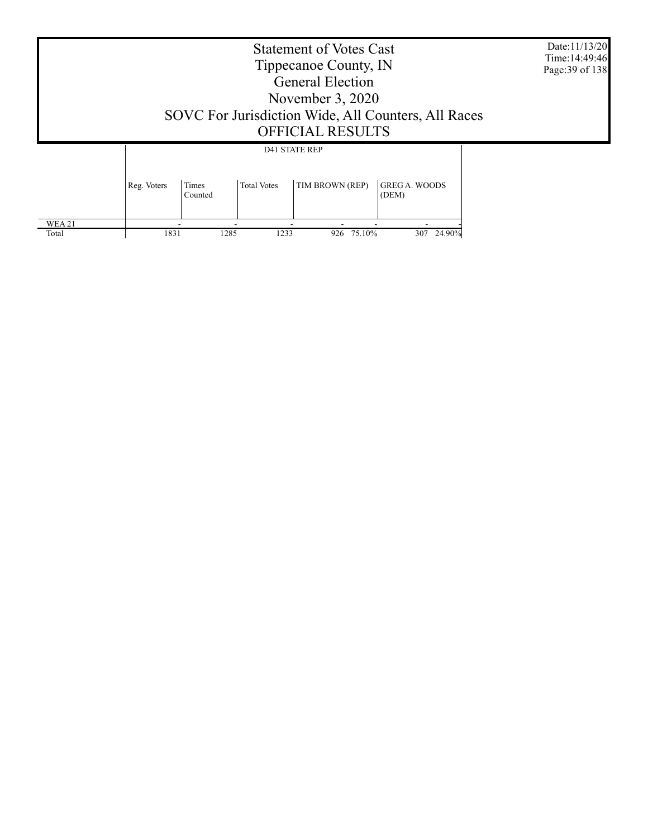| <b>Statement of Votes Cast</b><br>Tippecanoe County, IN<br><b>General Election</b><br>November $3,2020$<br>SOVC For Jurisdiction Wide, All Counters, All Races<br><b>OFFICIAL RESULTS</b><br><b>D41 STATE REP</b><br>Times<br>TIM BROWN (REP)<br><b>GREG A. WOODS</b><br><b>Total Votes</b><br>Reg. Voters<br>(DEM)<br>Counted |      |      |      |               |            | Date:11/13/20<br>Time: 14:49:46<br>Page: 39 of 138 |  |
|--------------------------------------------------------------------------------------------------------------------------------------------------------------------------------------------------------------------------------------------------------------------------------------------------------------------------------|------|------|------|---------------|------------|----------------------------------------------------|--|
|                                                                                                                                                                                                                                                                                                                                |      |      |      |               |            |                                                    |  |
|                                                                                                                                                                                                                                                                                                                                |      |      |      |               |            |                                                    |  |
| <b>WEA21</b><br>Total                                                                                                                                                                                                                                                                                                          | 1831 | 1285 | 1233 | 75.10%<br>926 | 307 24.90% |                                                    |  |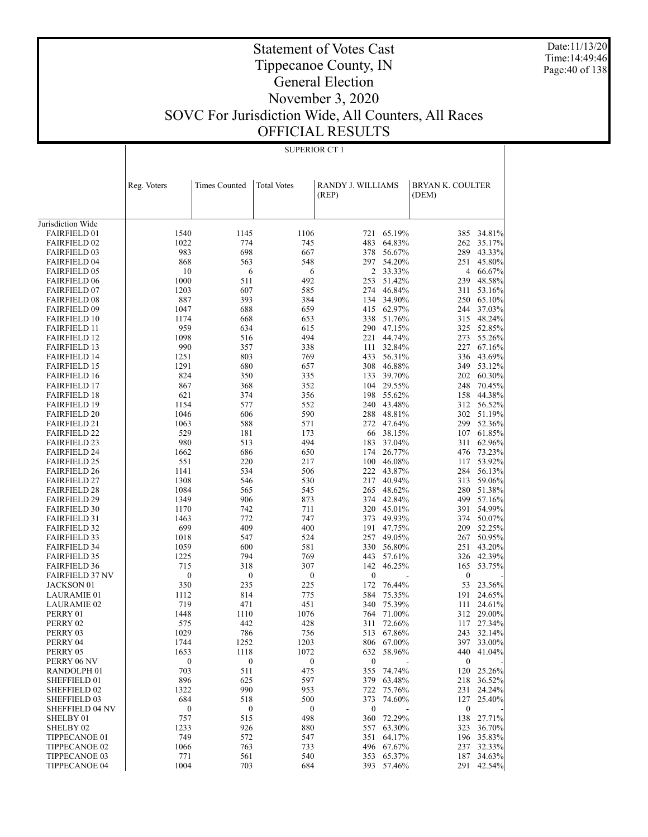Date:11/13/20 Time:14:49:46 Page:40 of 138

### Tippecanoe County, IN General Election November 3, 2020 SOVC For Jurisdiction Wide, All Counters, All Races OFFICIAL RESULTS

Statement of Votes Cast

|                        | Reg. Voters      | <b>Times Counted</b> | <b>Total Votes</b> | RANDY J. WILLIAMS |            | BRYAN K. COULTER |            |
|------------------------|------------------|----------------------|--------------------|-------------------|------------|------------------|------------|
|                        |                  |                      |                    | (REP)             |            | (DEM)            |            |
|                        |                  |                      |                    |                   |            |                  |            |
| Jurisdiction Wide      |                  |                      |                    |                   |            |                  |            |
| <b>FAIRFIELD 01</b>    | 1540             | 1145                 | 1106               |                   | 721 65.19% |                  | 385 34.81% |
| <b>FAIRFIELD 02</b>    | 1022             | 774                  | 745                | 483               | 64.83%     |                  | 262 35.17% |
| <b>FAIRFIELD 03</b>    | 983              | 698                  | 667                | 378               | 56.67%     |                  | 289 43.33% |
| <b>FAIRFIELD 04</b>    | 868              | 563                  | 548                | 297               | 54.20%     | 251              | 45.80%     |
| <b>FAIRFIELD 05</b>    | 10               | 6                    | 6                  |                   | 2 33.33%   |                  | 4 66.67%   |
| <b>FAIRFIELD 06</b>    | 1000             | 511                  | 492                | 253               | 51.42%     |                  | 239 48.58% |
| <b>FAIRFIELD 07</b>    | 1203             | 607                  | 585                | 274               | 46.84%     | 311              | 53.16%     |
| <b>FAIRFIELD 08</b>    | 887              | 393                  | 384                | 134               | 34.90%     |                  | 250 65.10% |
| <b>FAIRFIELD 09</b>    | 1047             | 688                  | 659                |                   | 415 62.97% | 244              | 37.03%     |
| <b>FAIRFIELD 10</b>    | 1174             | 668                  | 653                |                   | 338 51.76% |                  | 315 48.24% |
| <b>FAIRFIELD 11</b>    | 959              | 634                  | 615                |                   | 290 47.15% |                  | 325 52.85% |
| <b>FAIRFIELD 12</b>    | 1098             | 516                  | 494                | 221               | 44.74%     | 273              | 55.26%     |
| <b>FAIRFIELD 13</b>    | 990              | 357                  | 338                | 111               | 32.84%     |                  | 227 67.16% |
| <b>FAIRFIELD 14</b>    | 1251             | 803                  | 769                | 433               | 56.31%     |                  | 336 43.69% |
| <b>FAIRFIELD 15</b>    | 1291             | 680                  | 657                | 308               | 46.88%     |                  | 349 53.12% |
| <b>FAIRFIELD 16</b>    | 824              | 350                  | 335                | 133               | 39.70%     |                  | 202 60.30% |
| <b>FAIRFIELD 17</b>    | 867              | 368                  | 352                | 104               | 29.55%     | 248              | 70.45%     |
| <b>FAIRFIELD 18</b>    | 621              | 374                  | 356                |                   | 198 55.62% | 158              | 44.38%     |
| <b>FAIRFIELD 19</b>    | 1154             | 577                  | 552                | 240               | 43.48%     |                  | 312 56.52% |
| <b>FAIRFIELD 20</b>    | 1046             | 606                  | 590                | 288               | 48.81%     |                  | 302 51.19% |
| <b>FAIRFIELD 21</b>    | 1063             | 588                  | 571                |                   | 272 47.64% |                  | 299 52.36% |
| <b>FAIRFIELD 22</b>    | 529              | 181                  | 173                |                   | 66 38.15%  |                  | 107 61.85% |
| <b>FAIRFIELD 23</b>    | 980              | 513                  | 494                | 183               | 37.04%     | 311              | 62.96%     |
| <b>FAIRFIELD 24</b>    | 1662             | 686                  | 650                | 174               | 26.77%     |                  | 476 73.23% |
| <b>FAIRFIELD 25</b>    | 551              | 220                  | 217                |                   | 100 46.08% | 117              | 53.92%     |
| <b>FAIRFIELD 26</b>    | 1141             | 534                  | 506                |                   | 222 43.87% | 284              | 56.13%     |
| <b>FAIRFIELD 27</b>    | 1308             | 546                  | 530                | 217               | 40.94%     | 313              | 59.06%     |
| <b>FAIRFIELD 28</b>    | 1084             | 565                  | 545                | 265               | 48.62%     |                  | 280 51.38% |
| <b>FAIRFIELD 29</b>    | 1349             | 906                  | 873                | 374               | 42.84%     |                  | 499 57.16% |
| <b>FAIRFIELD 30</b>    | 1170             | 742                  | 711                |                   | 320 45.01% | 391              | 54.99%     |
| <b>FAIRFIELD 31</b>    | 1463             | 772                  | 747                | 373               | 49.93%     |                  | 374 50.07% |
| <b>FAIRFIELD 32</b>    | 699              | 409                  | 400                | 191               | 47.75%     | 209              | 52.25%     |
| <b>FAIRFIELD 33</b>    | 1018             | 547                  | 524                | 257               | 49.05%     | 267              | 50.95%     |
| <b>FAIRFIELD 34</b>    | 1059             | 600                  | 581                |                   | 330 56.80% | 251              | 43.20%     |
| <b>FAIRFIELD 35</b>    | 1225             | 794                  | 769                | 443               | 57.61%     |                  | 326 42.39% |
| <b>FAIRFIELD 36</b>    | 715              | 318                  | 307                | 142               | 46.25%     | 165              | 53.75%     |
| <b>FAIRFIELD 37 NV</b> | $\boldsymbol{0}$ | $\boldsymbol{0}$     | $\boldsymbol{0}$   | $\boldsymbol{0}$  |            | $\boldsymbol{0}$ |            |
| <b>JACKSON 01</b>      | 350              | 235                  | 225                | 172               | 76.44%     | 53               | 23.56%     |
| <b>LAURAMIE 01</b>     | 1112             | 814                  | 775                | 584               | 75.35%     | 191              | 24.65%     |
| <b>LAURAMIE 02</b>     | 719              | 471                  | 451                | 340               | 75.39%     | 111              | 24.61%     |
| PERRY 01               | 1448             | 1110                 | 1076               | 764               | 71.00%     |                  | 312 29.00% |
| PERRY 02               | 575              | 442                  | 428                | 311               | 72.66%     | 117              | 27.34%     |
| PERRY 03               | 1029             | 786                  | 756                |                   | 513 67.86% |                  | 243 32.14% |
| PERRY 04               | 1744             | 1252                 | 1203               |                   | 806 67.00% |                  | 397 33.00% |
| PERRY 05               | 1653             | 1118                 | 1072               | 632               | 58.96%     | 440              | 41.04%     |
| PERRY 06 NV            | $\boldsymbol{0}$ | $\boldsymbol{0}$     | $\boldsymbol{0}$   | $\boldsymbol{0}$  |            | $\boldsymbol{0}$ |            |
| RANDOLPH 01            | 703              | 511                  | 475                | 355               | 74.74%     |                  | 120 25.26% |
| SHEFFIELD 01           | 896              | 625                  | 597                | 379               | 63.48%     | 218              | 36.52%     |
| SHEFFIELD 02           | 1322             | 990                  | 953                | 722               | 75.76%     |                  | 231 24.24% |
| SHEFFIELD 03           | 684              | 518                  | 500                | 373               | 74.60%     | 127              | 25.40%     |
| SHEFFIELD 04 NV        | $\boldsymbol{0}$ | $\boldsymbol{0}$     | $\boldsymbol{0}$   | $\boldsymbol{0}$  |            | $\boldsymbol{0}$ |            |
| SHELBY 01              | 757              | 515                  | 498                | 360               | 72.29%     | 138              | 27.71%     |
| SHELBY 02              | 1233             | 926                  | 880                | 557               | 63.30%     | 323              | 36.70%     |
| TIPPECANOE 01          | 749              | 572                  | 547                | 351               | 64.17%     | 196              | 35.83%     |
| TIPPECANOE 02          | 1066             | 763                  | 733                | 496               | 67.67%     | 237              | 32.33%     |
| TIPPECANOE 03          | 771              | 561                  | 540                | 353               | 65.37%     | 187              | 34.63%     |
| TIPPECANOE 04          | 1004             | 703                  | 684                | 393               | 57.46%     | 291              | 42.54%     |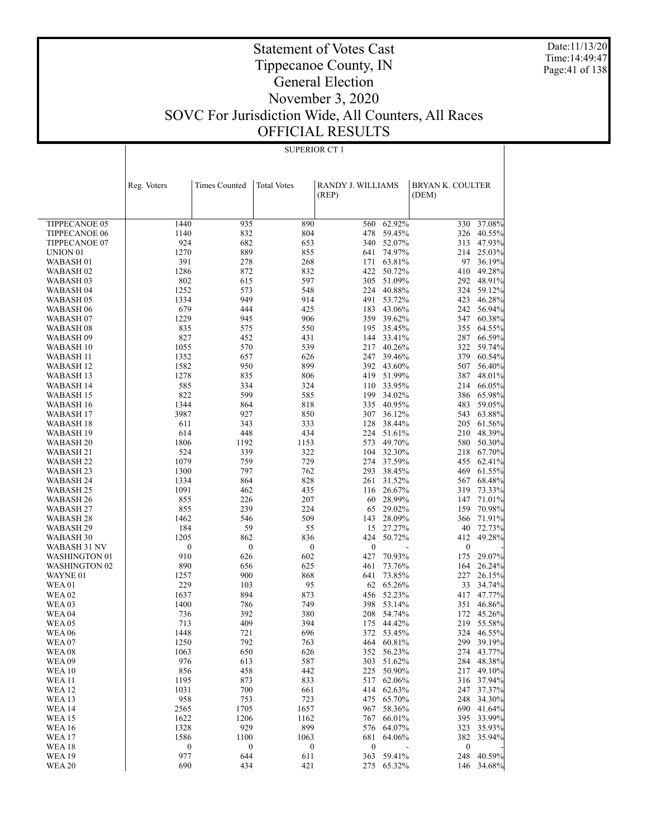Date:11/13/20 Time:14:49:47 Page:41 of 138

### Statement of Votes Cast Tippecanoe County, IN General Election November 3, 2020 SOVC For Jurisdiction Wide, All Counters, All Races OFFICIAL RESULTS

|                        | Reg. Voters      | <b>Times Counted</b> | <b>Total Votes</b> | RANDY J. WILLIAMS<br>(REP) |                     | <b>BRYAN K. COULTER</b><br>(DEM) |                      |
|------------------------|------------------|----------------------|--------------------|----------------------------|---------------------|----------------------------------|----------------------|
|                        |                  |                      |                    |                            |                     |                                  |                      |
|                        |                  |                      |                    |                            |                     |                                  |                      |
| TIPPECANOE 05          | 1440             | 935                  | 890                | 560                        | 62.92%              |                                  | 330 37.08%           |
| <b>TIPPECANOE 06</b>   | 1140             | 832                  | 804                | 478                        | 59.45%              | 326                              | 40.55%               |
| TIPPECANOE 07          | 924              | 682                  | 653                | 340                        | 52.07%              |                                  | 313 47.93%           |
| UNION <sub>01</sub>    | 1270             | 889                  | 855                | 641                        | 74.97%              | 214                              | 25.03%               |
| WABASH <sub>01</sub>   | 391              | 278                  | 268                | 171                        | 63.81%              |                                  | 97 36.19%            |
| WABASH <sub>02</sub>   | 1286             | 872                  | 832                | 422                        | 50.72%              | 410                              | 49.28%               |
| WABASH <sub>03</sub>   | 802              | 615                  | 597                | 305                        | 51.09%              |                                  | 292 48.91%<br>59.12% |
| WABASH 04<br>WABASH 05 | 1252<br>1334     | 573<br>949           | 548<br>914         | 224<br>491                 | 40.88%<br>53.72%    | 324<br>423                       | 46.28%               |
| WABASH <sub>06</sub>   | 679              | 444                  | 425                | 183                        | 43.06%              | 242                              | 56.94%               |
| WABASH <sub>07</sub>   | 1229             | 945                  | 906                | 359                        | 39.62%              | 547                              | 60.38%               |
| WABASH <sub>08</sub>   | 835              | 575                  | 550                | 195                        | 35.45%              | 355                              | 64.55%               |
| WABASH <sub>09</sub>   | 827              | 452                  | 431                | 144                        | 33.41%              | 287                              | 66.59%               |
| WABASH 10              | 1055             | 570                  | 539                | 217                        | 40.26%              | 322                              | 59.74%               |
| WABASH 11              | 1352             | 657                  | 626                | 247                        | 39.46%              | 379                              | 60.54%               |
| WABASH <sub>12</sub>   | 1582             | 950                  | 899                | 392                        | 43.60%              | 507                              | 56.40%               |
| WABASH 13              | 1278             | 835                  | 806                | 419                        | 51.99%              |                                  | 387 48.01%           |
| <b>WABASH 14</b>       | 585              | 334                  | 324                | 110                        | 33.95%              | 214                              | 66.05%               |
| WABASH 15              | 822              | 599                  | 585                | 199                        | 34.02%              | 386                              | 65.98%               |
| WABASH 16              | 1344             | 864                  | 818                |                            | 335 40.95%          | 483                              | 59.05%               |
| WABASH 17              | 3987             | 927                  | 850                |                            | 307 36.12%          | 543                              | 63.88%               |
| WABASH 18              | 611              | 343                  | 333                | 128                        | 38.44%              | 205                              | 61.56%               |
| WABASH 19              | 614              | 448                  | 434                | 224                        | 51.61%              | 210                              | 48.39%               |
| <b>WABASH 20</b>       | 1806             | 1192                 | 1153               | 573                        | 49.70%              | 580                              | 50.30%               |
| WABASH 21              | 524              | 339                  | 322                | 104                        | 32.30%              | 218                              | 67.70%               |
| WABASH <sub>22</sub>   | 1079             | 759                  | 729                | 274                        | 37.59%              | 455                              | 62.41%               |
| <b>WABASH 23</b>       | 1300             | 797                  | 762                | 293                        | 38.45%              | 469                              | 61.55%               |
| WABASH 24              | 1334             | 864                  | 828                | 261                        | 31.52%              | 567                              | 68.48%               |
| WABASH <sub>25</sub>   | 1091             | 462                  | 435                |                            | 116 26.67%          | 319                              | 73.33%               |
| WABASH <sub>26</sub>   | 855              | 226                  | 207                | 60                         | 28.99%              | 147                              | 71.01%               |
| WABASH 27              | 855              | 239                  | 224                | 65                         | 29.02%              | 159                              | 70.98%               |
| WABASH <sub>28</sub>   | 1462             | 546                  | 509                | 143                        | 28.09%              | 366                              | 71.91%               |
| WABASH 29              | 184              | 59                   | 55                 | 15                         | 27.27%              | 40                               | 72.73%               |
| WABASH 30              | 1205             | 862                  | 836                | 424                        | 50.72%              | 412                              | 49.28%               |
| WABASH 31 NV           | $\boldsymbol{0}$ | $\boldsymbol{0}$     | $\boldsymbol{0}$   | $\boldsymbol{0}$           |                     | $\boldsymbol{0}$                 |                      |
| <b>WASHINGTON 01</b>   | 910              | 626                  | 602                | 427                        | 70.93%              | 175                              | 29.07%               |
| <b>WASHINGTON 02</b>   | 890              | 656                  | 625                | 461                        | 73.76%              | 164                              | 26.24%               |
| WAYNE 01               | 1257             | 900                  | 868                | 641                        | 73.85%              | 227                              | 26.15%               |
| WEA01<br><b>WEA 02</b> | 229<br>1637      | 103<br>894           | 95<br>873          | 456                        | 62 65.26%<br>52.23% | 33<br>417                        | 34.74%<br>47.77%     |
| WEA <sub>03</sub>      | 1400             | 786                  | 749                | 398                        | 53.14%              |                                  | 351 46.86%           |
| <b>WEA 04</b>          | 736              | 392                  | 380                | 208                        | 54.74%              | 172                              | 45.26%               |
| <b>WEA 05</b>          | 713              | 409                  | 394                | 175                        | 44.42%              | 219                              | 55.58%               |
| <b>WEA 06</b>          | 1448             | 721                  | 696                | 372                        | 53.45%              | 324                              | 46.55%               |
| WEA07                  | 1250             | 792                  | 763                |                            | 464 60.81%          |                                  | 299 39.19%           |
| <b>WEA08</b>           | 1063             | 650                  | 626                |                            | 352 56.23%          |                                  | 274 43.77%           |
| <b>WEA09</b>           | 976              | 613                  | 587                | 303                        | 51.62%              |                                  | 284 48.38%           |
| <b>WEA 10</b>          | 856              | 458                  | 442                | 225                        | 50.90%              |                                  | 217 49.10%           |
| <b>WEA 11</b>          | 1195             | 873                  | 833                | 517                        | 62.06%              |                                  | 316 37.94%           |
| <b>WEA 12</b>          | 1031             | 700                  | 661                | 414                        | 62.63%              | 247                              | 37.37%               |
| <b>WEA 13</b>          | 958              | 753                  | 723                |                            | 475 65.70%          | 248                              | 34.30%               |
| <b>WEA14</b>           | 2565             | 1705                 | 1657               | 967                        | 58.36%              | 690                              | 41.64%               |
| <b>WEA 15</b>          | 1622             | 1206                 | 1162               | 767                        | 66.01%              |                                  | 395 33.99%           |
| <b>WEA16</b>           | 1328             | 929                  | 899                | 576                        | 64.07%              |                                  | 323 35.93%           |
| <b>WEA17</b>           | 1586             | 1100                 | 1063               | 681                        | 64.06%              |                                  | 382 35.94%           |
| <b>WEA18</b>           | $\boldsymbol{0}$ | $\boldsymbol{0}$     | $\boldsymbol{0}$   | $\boldsymbol{0}$           |                     | $\boldsymbol{0}$                 |                      |
| <b>WEA19</b>           | 977              | 644                  | 611                | 363                        | 59.41%              | 248                              | 40.59%               |
| <b>WEA 20</b>          | 690              | 434                  | 421                | 275                        | 65.32%              |                                  | 146 34.68%           |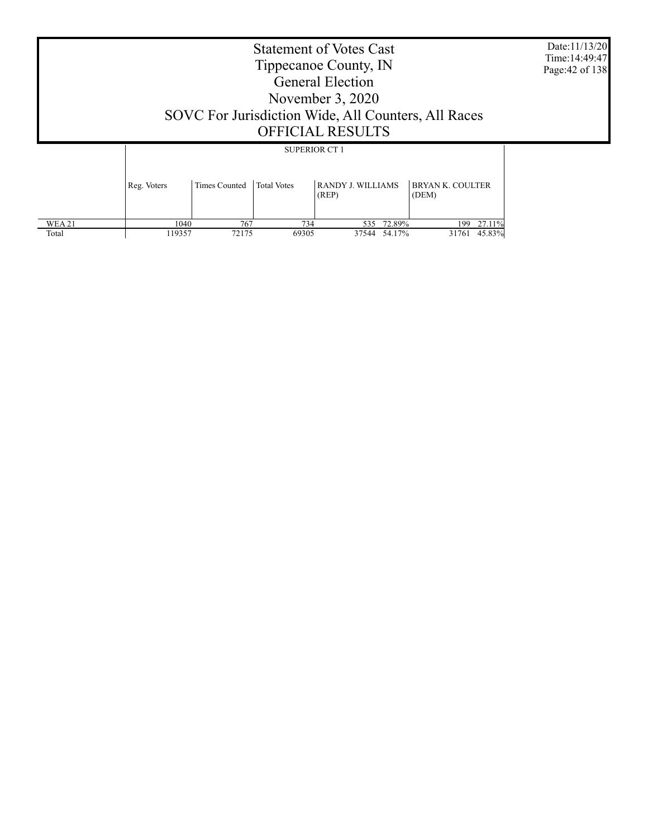|  | Date:11/13/20<br>Time: 14:49:47<br>Page: 42 of 138 |                      |                      |                                   |                                  |  |
|--|----------------------------------------------------|----------------------|----------------------|-----------------------------------|----------------------------------|--|
|  |                                                    |                      | <b>SUPERIOR CT 1</b> |                                   |                                  |  |
|  | Reg. Voters                                        | <b>Times Counted</b> | <b>Total Votes</b>   | <b>RANDY J. WILLIAMS</b><br>(REP) | <b>BRYAN K. COULTER</b><br>(DEM) |  |

 1040 767 734 535 72.89% 199 27.11% 119357 72175 69305 37544 54.17% 31761 45.83%

 WEA 21 Total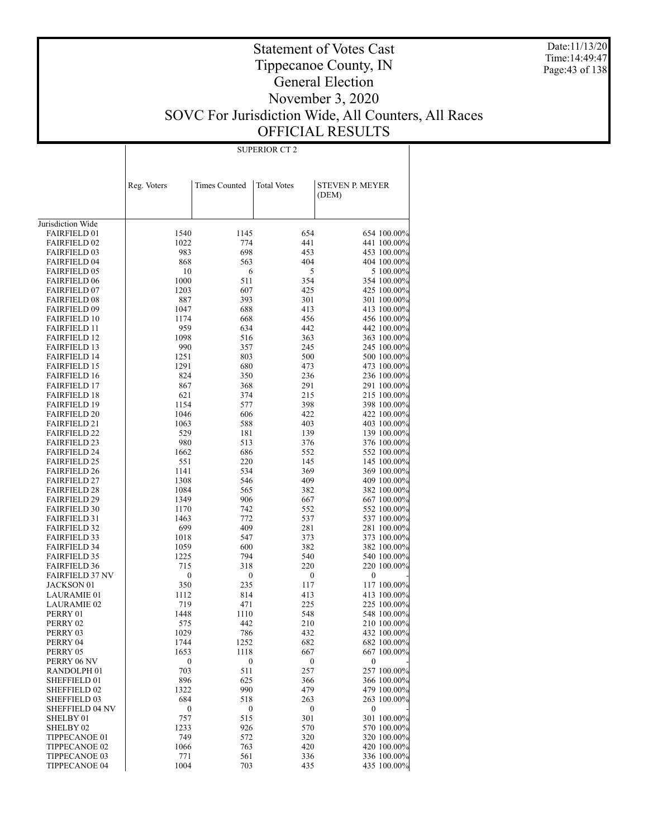Date:11/13/20 Time:14:49:47 Page:43 of 138

### Statement of Votes Cast Tippecanoe County, IN General Election November 3, 2020 SOVC For Jurisdiction Wide, All Counters, All Races OFFICIAL RESULTS

|                                            | Reg. Voters      | Times Counted    | <b>Total Votes</b> | <b>STEVEN P. MEYER</b>     |
|--------------------------------------------|------------------|------------------|--------------------|----------------------------|
|                                            |                  |                  |                    | (DEM)                      |
|                                            |                  |                  |                    |                            |
| Jurisdiction Wide                          |                  |                  |                    |                            |
| <b>FAIRFIELD 01</b>                        | 1540             | 1145             | 654                | 654 100.00%                |
| <b>FAIRFIELD 02</b>                        | 1022             | 774              | 441                | 441 100.00%                |
| <b>FAIRFIELD 03</b>                        | 983              | 698              | 453                | 453 100.00%                |
| <b>FAIRFIELD 04</b>                        | 868              | 563              | 404                | 404 100.00%                |
| <b>FAIRFIELD 05</b>                        | 10               | 6                | 5                  | 5 100.00%                  |
| <b>FAIRFIELD 06</b>                        | 1000             | 511              | 354                | 354 100.00%                |
| <b>FAIRFIELD 07</b>                        | 1203             | 607              | 425                | 425 100.00%                |
| <b>FAIRFIELD 08</b>                        | 887              | 393              | 301                | 301 100.00%                |
| <b>FAIRFIELD 09</b><br><b>FAIRFIELD 10</b> | 1047<br>1174     | 688<br>668       | 413<br>456         | 413 100.00%<br>456 100.00% |
| <b>FAIRFIELD 11</b>                        | 959              | 634              | 442                | 442 100.00%                |
| <b>FAIRFIELD 12</b>                        | 1098             | 516              | 363                | 363 100.00%                |
| <b>FAIRFIELD 13</b>                        | 990              | 357              | 245                | 245 100.00%                |
| <b>FAIRFIELD 14</b>                        | 1251             | 803              | 500                | 500 100.00%                |
| <b>FAIRFIELD 15</b>                        | 1291             | 680              | 473                | 473 100.00%                |
| <b>FAIRFIELD 16</b>                        | 824              | 350              | 236                | 236 100.00%                |
| <b>FAIRFIELD 17</b>                        | 867              | 368              | 291                | 291 100.00%                |
| <b>FAIRFIELD 18</b>                        | 621              | 374              | 215                | 215 100.00%                |
| <b>FAIRFIELD 19</b>                        | 1154             | 577              | 398                | 398 100.00%                |
| <b>FAIRFIELD 20</b><br><b>FAIRFIELD 21</b> | 1046<br>1063     | 606<br>588       | 422<br>403         | 422 100.00%<br>403 100.00% |
| <b>FAIRFIELD 22</b>                        | 529              | 181              | 139                | 139 100.00%                |
| <b>FAIRFIELD 23</b>                        | 980              | 513              | 376                | 376 100.00%                |
| <b>FAIRFIELD 24</b>                        | 1662             | 686              | 552                | 552 100.00%                |
| <b>FAIRFIELD 25</b>                        | 551              | 220              | 145                | 145 100.00%                |
| <b>FAIRFIELD 26</b>                        | 1141             | 534              | 369                | 369 100.00%                |
| <b>FAIRFIELD 27</b>                        | 1308             | 546              | 409                | 409 100.00%                |
| <b>FAIRFIELD 28</b>                        | 1084             | 565              | 382                | 382 100.00%                |
| <b>FAIRFIELD 29</b><br><b>FAIRFIELD 30</b> | 1349<br>1170     | 906<br>742       | 667<br>552         | 667 100.00%<br>552 100.00% |
| <b>FAIRFIELD 31</b>                        | 1463             | 772              | 537                | 537 100.00%                |
| <b>FAIRFIELD 32</b>                        | 699              | 409              | 281                | 281 100.00%                |
| <b>FAIRFIELD 33</b>                        | 1018             | 547              | 373                | 373 100.00%                |
| <b>FAIRFIELD 34</b>                        | 1059             | 600              | 382                | 382 100.00%                |
| <b>FAIRFIELD 35</b>                        | 1225             | 794              | 540                | 540 100.00%                |
| <b>FAIRFIELD 36</b>                        | 715              | 318              | 220                | 220 100.00%                |
| <b>FAIRFIELD 37 NV</b>                     | 0                | $\boldsymbol{0}$ | $\boldsymbol{0}$   | 0                          |
| JACKSON 01<br><b>LAURAMIE 01</b>           | 350<br>1112      | 235<br>814       | 117<br>413         | 117 100.00%                |
| <b>LAURAMIE 02</b>                         | 719              | 471              | 225                | 413 100.00%<br>225 100.00% |
| PERRY 01                                   | 1448             | 1110             | 548                | 548 100.00%                |
| PERRY 02                                   | 575              | 442              | 210                | 210 100.00%                |
| PERRY 03                                   | 1029             | 786              | 432                | 432 100.00%                |
| PERRY 04                                   | 1744             | 1252             | 682                | 682 100.00%                |
| PERRY 05                                   | 1653             | 1118             | 667                | 667 100.00%                |
| PERRY 06 NV                                | $\boldsymbol{0}$ | $\boldsymbol{0}$ | $\boldsymbol{0}$   | $\boldsymbol{0}$           |
| RANDOLPH <sub>01</sub>                     | 703              | 511              | 257                | 257 100.00%                |
| SHEFFIELD 01<br>SHEFFIELD 02               | 896<br>1322      | 625<br>990       | 366<br>479         | 366 100.00%<br>479 100.00% |
| SHEFFIELD 03                               | 684              | 518              | 263                | 263 100.00%                |
| <b>SHEFFIELD 04 NV</b>                     | $\boldsymbol{0}$ | $\boldsymbol{0}$ | $\boldsymbol{0}$   | $\boldsymbol{0}$           |
| SHELBY 01                                  | 757              | 515              | 301                | 301 100.00%                |
| SHELBY <sub>02</sub>                       | 1233             | 926              | 570                | 570 100.00%                |
| TIPPECANOE 01                              | 749              | 572              | 320                | 320 100.00%                |
| TIPPECANOE 02                              | 1066             | 763              | 420                | 420 100.00%                |
| TIPPECANOE 03                              | 771              | 561              | 336                | 336 100.00%                |
| <b>TIPPECANOE 04</b>                       | 1004             | 703              | 435                | 435 100.00%                |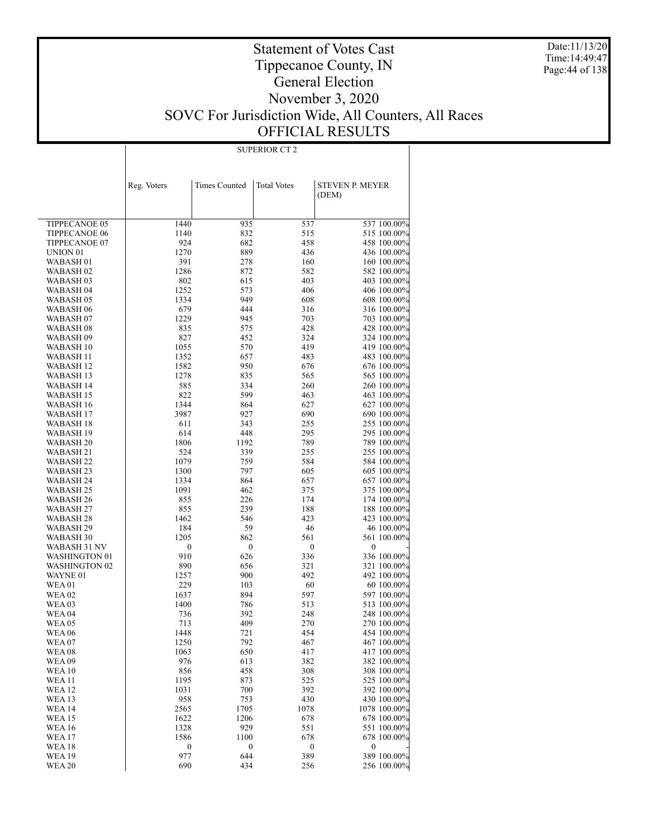Date:11/13/20 Time:14:49:47 Page:44 of 138

### Statement of Votes Cast Tippecanoe County, IN General Election November 3, 2020 SOVC For Jurisdiction Wide, All Counters, All Races OFFICIAL RESULTS

| SUPERIOR CT |  |
|-------------|--|

|                        | Reg. Voters      | <b>Times Counted</b> | <b>Total Votes</b> | <b>STEVEN P. MEYER</b>     |
|------------------------|------------------|----------------------|--------------------|----------------------------|
|                        |                  |                      |                    | (DEM)                      |
|                        |                  |                      |                    |                            |
| TIPPECANOE 05          | 1440             | 935                  | 537                | 537 100.00%                |
| TIPPECANOE 06          | 1140             | 832                  | 515                | 515 100.00%                |
| TIPPECANOE 07          | 924              | 682                  | 458                | 458 100.00%                |
| UNION <sub>01</sub>    | 1270             | 889                  | 436                | 436 100.00%                |
| WABASH 01              | 391              | 278                  | 160                | 160 100.00%                |
| WABASH 02              | 1286             | 872                  | 582                | 582 100.00%                |
| WABASH 03              | 802              | 615                  | 403                | 403 100.00%                |
| WABASH 04              | 1252             | 573                  | 406                | 406 100.00%                |
| WABASH 05              | 1334             | 949                  | 608                | 608 100.00%                |
| WABASH 06              | 679              | 444                  | 316                | 316 100.00%                |
| WABASH 07              | 1229             | 945                  | 703                | 703 100.00%                |
| WABASH 08              | 835              | 575                  | 428                | 428 100.00%                |
| WABASH 09              | 827              | 452                  | 324                | 324 100.00%                |
| WABASH 10              | 1055             | 570                  | 419                | 419 100.00%                |
| WABASH 11              | 1352             | 657                  | 483                | 483 100.00%                |
| WABASH 12              | 1582             | 950                  | 676                | 676 100.00%                |
| WABASH 13              | 1278             | 835                  | 565                | 565 100.00%                |
| WABASH 14              | 585              | 334                  | 260                | 260 100.00%                |
| WABASH 15              | 822              | 599                  | 463                | 463 100.00%                |
| WABASH 16              | 1344             | 864                  | 627                | 627 100.00%                |
| WABASH 17              | 3987             | 927                  | 690                | 690 100.00%                |
| WABASH 18              | 611              | 343                  | 255                | 255 100.00%                |
| WABASH 19              | 614              | 448                  | 295                | 295 100.00%                |
| WABASH 20              | 1806             | 1192                 | 789                | 789 100.00%                |
| WABASH 21              | 524              | 339                  | 255                | 255 100.00%                |
| WABASH 22              | 1079             | 759                  | 584                | 584 100.00%                |
| WABASH 23              | 1300             | 797                  | 605                | 605 100.00%                |
| WABASH 24              | 1334             | 864                  | 657                | 657 100.00%                |
| WABASH 25<br>WABASH 26 | 1091<br>855      | 462<br>226           | 375<br>174         | 375 100.00%                |
| WABASH 27              | 855              | 239                  | 188                | 174 100.00%<br>188 100.00% |
| WABASH 28              | 1462             | 546                  | 423                | 423 100.00%                |
| WABASH 29              | 184              | 59                   | 46                 | 46 100.00%                 |
| WABASH 30              | 1205             | 862                  | 561                | 561 100.00%                |
| WABASH 31 NV           | $\boldsymbol{0}$ | $\boldsymbol{0}$     | $\boldsymbol{0}$   | $\boldsymbol{0}$           |
| WASHINGTON 01          | 910              | 626                  | 336                | 336 100.00%                |
| WASHINGTON 02          | 890              | 656                  | 321                | 321 100.00%                |
| WAYNE 01               | 1257             | 900                  | 492                | 492 100.00%                |
| WEA01                  | 229              | 103                  | 60                 | 60 100.00%                 |
| WEA 02                 | 1637             | 894                  | 597                | 597 100.00%                |
| WEA 03                 | 1400             | 786                  | 513                | 513 100.00%                |
| WEA 04                 | 736              | 392                  | 248                | 248 100.00%                |
| <b>WEA 05</b>          | 713              | 409                  | 270                | 270 100.00%                |
| WEA 06                 | 1448             | 721                  | 454                | 454 100.00%                |
| WEA 07                 | 1250             | 792                  | 467                | 467 100.00%                |
| WEA 08                 | 1063             | 650                  | 417                | 417 100.00%                |
| <b>WEA 09</b>          | 976              | 613                  | 382                | 382 100.00%                |
| <b>WEA 10</b>          | 856              | 458                  | 308                | 308 100.00%                |
| <b>WEA 11</b>          | 1195             | 873                  | 525                | 525 100.00%                |
| WEA 12                 | 1031             | 700                  | 392                | 392 100.00%                |
| <b>WEA 13</b>          | 958              | 753                  | 430                | 430 100.00%                |
| <b>WEA14</b>           | 2565             | 1705                 | 1078               | 1078 100.00%               |
| <b>WEA 15</b>          | 1622             | 1206                 | 678                | 678 100.00%                |
| <b>WEA16</b>           | 1328             | 929                  | 551                | 551 100.00%                |
| WEA 17                 | 1586             | 1100                 | 678                | 678 100.00%                |
| WEA 18                 | 0                | $\boldsymbol{0}$     | $\boldsymbol{0}$   | $\boldsymbol{0}$           |
| <b>WEA19</b>           | 977              | 644                  | 389                | 389 100.00%                |
| <b>WEA 20</b>          | 690              | 434                  | 256                | 256 100.00%                |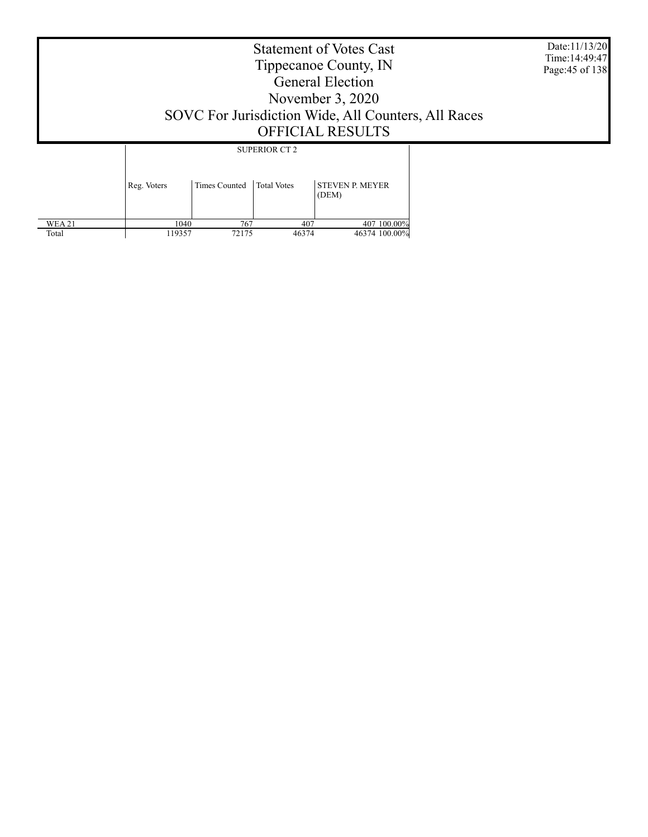Statement of Votes Cast Tippecanoe County, IN General Election November 3, 2020 SOVC For Jurisdiction Wide, All Counters, All Races OFFICIAL RESULTS Date:11/13/20 Time:14:49:47 Page:45 of 138 SUPERIOR CT 2

|               | Reg. Voters | Times Counted Total Votes |       | <b>STEVEN P. MEYER</b><br>(DEM) |
|---------------|-------------|---------------------------|-------|---------------------------------|
| <b>WEA 21</b> | 1040        | 767                       | 407   | 407 100.00%                     |
| Total         | 119357      | 72175                     | 46374 | 46374 100.00%                   |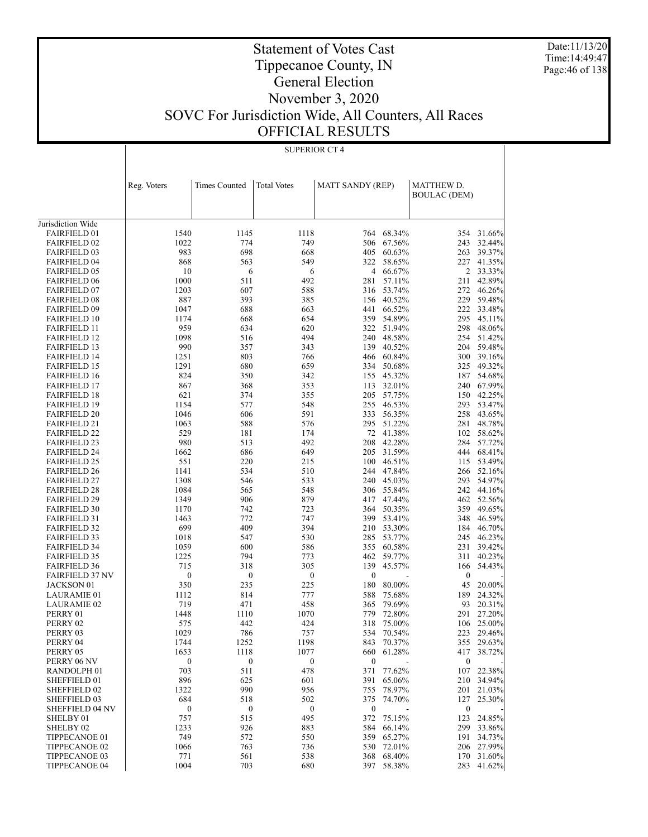Date:11/13/20 Time:14:49:47 Page:46 of 138

## Tippecanoe County, IN General Election

Statement of Votes Cast

### November 3, 2020 SOVC For Jurisdiction Wide, All Counters, All Races OFFICIAL RESULTS

|                                            | Reg. Voters      | Times Counted    | <b>Total Votes</b> | <b>MATT SANDY (REP)</b> |                      | MATTHEW D.          |                          |
|--------------------------------------------|------------------|------------------|--------------------|-------------------------|----------------------|---------------------|--------------------------|
|                                            |                  |                  |                    |                         |                      | <b>BOULAC (DEM)</b> |                          |
|                                            |                  |                  |                    |                         |                      |                     |                          |
| Jurisdiction Wide                          |                  |                  |                    |                         |                      |                     |                          |
| <b>FAIRFIELD 01</b>                        | 1540             | 1145             | 1118               |                         | 764 68.34%           |                     | 354 31.66%               |
| <b>FAIRFIELD 02</b>                        | 1022             | 774              | 749                |                         | 506 67.56%           | 243                 | 32.44%                   |
| <b>FAIRFIELD 03</b>                        | 983              | 698              | 668                | 405                     | 60.63%               | 263                 | 39.37%                   |
| <b>FAIRFIELD 04</b>                        | 868              | 563              | 549                | 322                     | 58.65%               | 227                 | 41.35%                   |
| <b>FAIRFIELD 05</b>                        | 10               | 6                | 6                  |                         | 4 66.67%             |                     | 2 33.33%                 |
| <b>FAIRFIELD 06</b>                        | 1000             | 511              | 492                | 281                     | 57.11%               | 211                 | 42.89%                   |
| <b>FAIRFIELD 07</b>                        | 1203             | 607              | 588                |                         | 316 53.74%           | 272                 | 46.26%                   |
| <b>FAIRFIELD 08</b>                        | 887              | 393              | 385                |                         | 156 40.52%           | 229                 | 59.48%                   |
| <b>FAIRFIELD 09</b>                        | 1047             | 688              | 663                |                         | 441 66.52%           |                     | 222 33.48%               |
| <b>FAIRFIELD 10</b>                        | 1174             | 668              | 654                | 359                     | 54.89%               | 295                 | 45.11%                   |
| <b>FAIRFIELD 11</b>                        | 959              | 634              | 620                |                         | 322 51.94%           | 298                 | 48.06%                   |
| <b>FAIRFIELD 12</b>                        | 1098             | 516              | 494                |                         | 240 48.58%           | 254                 | 51.42%                   |
| <b>FAIRFIELD 13</b>                        | 990              | 357              | 343                |                         | 139 40.52%           | 204                 | 59.48%                   |
| <b>FAIRFIELD 14</b>                        | 1251             | 803              | 766                |                         | 466 60.84%           |                     | 300 39.16%               |
| <b>FAIRFIELD 15</b>                        | 1291             | 680              | 659                | 334                     | 50.68%               | 325                 | 49.32%                   |
| <b>FAIRFIELD 16</b>                        | 824              | 350              | 342                |                         | 155 45.32%           | 187                 | 54.68%                   |
| <b>FAIRFIELD 17</b>                        | 867              | 368              | 353                |                         | 113 32.01%           |                     | 240 67.99%               |
| <b>FAIRFIELD 18</b>                        | 621              | 374              | 355                | 205                     | 57.75%               | 150                 | 42.25%                   |
| <b>FAIRFIELD 19</b>                        | 1154             | 577              | 548                |                         | 255 46.53%           | 293                 | 53.47%                   |
| <b>FAIRFIELD 20</b>                        | 1046             | 606              | 591                | 333                     | 56.35%               | 258                 | 43.65%                   |
| <b>FAIRFIELD 21</b>                        | 1063<br>529      | 588              | 576                |                         | 295 51.22%           | 281                 | 48.78%                   |
| <b>FAIRFIELD 22</b>                        |                  | 181              | 174                |                         | 72 41.38%            |                     | 102 58.62%<br>284 57.72% |
| <b>FAIRFIELD 23</b>                        | 980<br>1662      | 513<br>686       | 492<br>649         |                         | 208 42.28%           |                     | 68.41%                   |
| <b>FAIRFIELD 24</b><br><b>FAIRFIELD 25</b> | 551              | 220              | 215                | 100                     | 205 31.59%<br>46.51% | 444<br>115          | 53.49%                   |
| <b>FAIRFIELD 26</b>                        | 1141             | 534              | 510                |                         | 244 47.84%           |                     | 266 52.16%               |
| <b>FAIRFIELD 27</b>                        | 1308             | 546              | 533                |                         | 240 45.03%           | 293                 | 54.97%                   |
| <b>FAIRFIELD 28</b>                        | 1084             | 565              | 548                |                         | 306 55.84%           |                     | 242 44.16%               |
| <b>FAIRFIELD 29</b>                        | 1349             | 906              | 879                | 417                     | 47.44%               |                     | 462 52.56%               |
| <b>FAIRFIELD 30</b>                        | 1170             | 742              | 723                |                         | 364 50.35%           | 359                 | 49.65%                   |
| <b>FAIRFIELD 31</b>                        | 1463             | 772              | 747                |                         | 399 53.41%           | 348                 | 46.59%                   |
| <b>FAIRFIELD 32</b>                        | 699              | 409              | 394                |                         | 210 53.30%           | 184                 | 46.70%                   |
| <b>FAIRFIELD 33</b>                        | 1018             | 547              | 530                | 285                     | 53.77%               | 245                 | 46.23%                   |
| <b>FAIRFIELD 34</b>                        | 1059             | 600              | 586                |                         | 355 60.58%           | 231                 | 39.42%                   |
| <b>FAIRFIELD 35</b>                        | 1225             | 794              | 773                | 462                     | 59.77%               | 311                 | 40.23%                   |
| <b>FAIRFIELD 36</b>                        | 715              | 318              | 305                | 139                     | 45.57%               | 166                 | 54.43%                   |
| <b>FAIRFIELD 37 NV</b>                     | $\boldsymbol{0}$ | $\boldsymbol{0}$ | $\boldsymbol{0}$   | $\boldsymbol{0}$        |                      | $\boldsymbol{0}$    |                          |
| JACKSON 01                                 | 350              | 235              | 225                | 180                     | 80.00%               | 45                  | 20.00%                   |
| LAURAMIE 01                                | 1112             | 814              | 777                | 588                     | 75.68%               | 189                 | 24.32%                   |
| <b>LAURAMIE 02</b>                         | 719              | 471              | 458                | 365                     | 79.69%               | 93                  | 20.31%                   |
| PERRY 01                                   | 1448             | 1110             | 1070               | 779                     | 72.80%               | 291                 | 27.20%                   |
| PERRY 02                                   | 575              | 442              | 424                | 318                     | 75.00%               | 106                 | 25.00%                   |
| PERRY 03                                   | 1029             | 786              | 757                |                         | 534 70.54%           |                     | 223 29.46%               |
| PERRY 04                                   | 1744             | 1252             | 1198               |                         | 843 70.37%           |                     | 355 29.63%               |
| PERRY 05                                   | 1653             | 1118             | 1077               | 660                     | 61.28%               | 417                 | 38.72%                   |
| PERRY 06 NV                                | $\boldsymbol{0}$ | $\boldsymbol{0}$ | $\boldsymbol{0}$   | $\bf{0}$                |                      | $\boldsymbol{0}$    |                          |
| RANDOLPH <sub>01</sub>                     | 703              | 511              | 478                | 371                     | 77.62%               |                     | 107 22.38%               |
| SHEFFIELD 01                               | 896              | 625              | 601                | 391                     | 65.06%               |                     | 210 34.94%               |
| SHEFFIELD 02                               | 1322             | 990              | 956                | 755                     | 78.97%               |                     | 201 21.03%               |
| SHEFFIELD 03                               | 684              | 518              | 502                | 375                     | 74.70%               | 127                 | 25.30%                   |
| <b>SHEFFIELD 04 NV</b>                     | $\boldsymbol{0}$ | $\boldsymbol{0}$ | $\boldsymbol{0}$   | $\bf{0}$                |                      | $\boldsymbol{0}$    |                          |
| SHELBY 01                                  | 757              | 515              | 495                | 372                     | 75.15%               | 123                 | 24.85%                   |
| SHELBY 02<br>TIPPECANOE 01                 | 1233<br>749      | 926<br>572       | 883<br>550         | 584                     | 66.14%<br>359 65.27% | 299<br>191          | 33.86%<br>34.73%         |
| TIPPECANOE 02                              | 1066             | 763              | 736                | 530                     | 72.01%               |                     | 206 27.99%               |
| TIPPECANOE 03                              | 771              | 561              | 538                |                         | 368 68.40%           | 170                 | 31.60%                   |
| TIPPECANOE 04                              | 1004             | 703              | 680                | 397                     | 58.38%               | 283                 | 41.62%                   |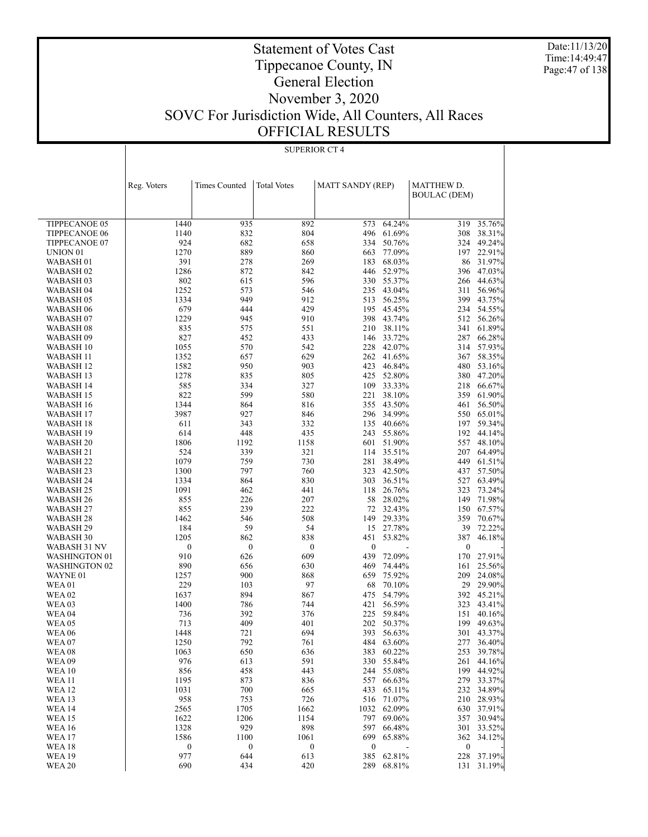Date:11/13/20 Time:14:49:47 Page:47 of 138

### Statement of Votes Cast Tippecanoe County, IN General Election November 3, 2020 SOVC For Jurisdiction Wide, All Counters, All Races OFFICIAL RESULTS

|                                    | Reg. Voters      | <b>Times Counted</b> | <b>Total Votes</b> | <b>MATT SANDY (REP)</b> |                      | MATTHEW D.          |                      |
|------------------------------------|------------------|----------------------|--------------------|-------------------------|----------------------|---------------------|----------------------|
|                                    |                  |                      |                    |                         |                      | <b>BOULAC (DEM)</b> |                      |
|                                    |                  |                      |                    |                         |                      |                     |                      |
| TIPPECANOE 05                      | 1440             | 935                  | 892                | 573                     | 64.24%               | 319                 | 35.76%               |
| <b>TIPPECANOE 06</b>               | 1140             | 832                  | 804                | 496                     | 61.69%               | 308                 | 38.31%               |
| TIPPECANOE 07                      | 924              | 682                  | 658                | 334                     | 50.76%               | 324                 | 49.24%               |
| UNION <sub>01</sub>                | 1270             | 889                  | 860                | 663                     | 77.09%               | 197                 | 22.91%               |
| WABASH 01                          | 391              | 278                  | 269                | 183                     | 68.03%               | 86                  | 31.97%               |
| WABASH <sub>02</sub>               | 1286             | 872                  | 842                | 446                     | 52.97%               | 396                 | 47.03%               |
| WABASH 03                          | 802              | 615                  | 596                | 330                     | 55.37%               | 266                 | 44.63%               |
| <b>WABASH 04</b>                   | 1252             | 573                  | 546                |                         | 235 43.04%           | 311                 | 56.96%               |
| <b>WABASH 05</b>                   | 1334             | 949                  | 912                | 513                     | 56.25%               | 399                 | 43.75%               |
| WABASH 06                          | 679<br>1229      | 444<br>945           | 429<br>910         | 195<br>398              | 45.45%<br>43.74%     | 512                 | 234 54.55%<br>56.26% |
| WABASH 07<br>WABASH <sub>08</sub>  | 835              | 575                  | 551                | 210                     | 38.11%               | 341                 | 61.89%               |
| WABASH 09                          | 827              | 452                  | 433                | 146                     | 33.72%               | 287                 | 66.28%               |
| WABASH 10                          | 1055             | 570                  | 542                | 228                     | 42.07%               | 314                 | 57.93%               |
| WABASH 11                          | 1352             | 657                  | 629                |                         | 262 41.65%           | 367                 | 58.35%               |
| WABASH 12                          | 1582             | 950                  | 903                |                         | 423 46.84%           | 480                 | 53.16%               |
| WABASH 13                          | 1278             | 835                  | 805                | 425                     | 52.80%               | 380                 | 47.20%               |
| WABASH 14                          | 585              | 334                  | 327                | 109                     | 33.33%               | 218                 | 66.67%               |
| WABASH 15                          | 822              | 599                  | 580                | 221                     | 38.10%               | 359                 | 61.90%               |
| WABASH 16                          | 1344             | 864                  | 816                |                         | 355 43.50%           | 461                 | 56.50%               |
| WABASH 17                          | 3987             | 927                  | 846                |                         | 296 34.99%           | 550                 | 65.01%               |
| WABASH 18                          | 611              | 343                  | 332                | 135                     | 40.66%               | 197                 | 59.34%               |
| WABASH 19                          | 614              | 448                  | 435                |                         | 243 55.86%           | 192                 | 44.14%               |
| WABASH <sub>20</sub>               | 1806             | 1192                 | 1158               | 601                     | 51.90%               | 557                 | 48.10%               |
| WABASH 21                          | 524              | 339                  | 321                | 114                     | 35.51%               | 207                 | 64.49%               |
| <b>WABASH 22</b>                   | 1079<br>1300     | 759<br>797           | 730<br>760         | 281                     | 38.49%<br>323 42.50% | 449                 | 61.51%<br>57.50%     |
| WABASH 23<br>WABASH 24             | 1334             | 864                  | 830                | 303                     | 36.51%               | 437<br>527          | 63.49%               |
| WABASH 25                          | 1091             | 462                  | 441                | 118                     | 26.76%               | 323                 | 73.24%               |
| WABASH 26                          | 855              | 226                  | 207                | 58                      | 28.02%               | 149                 | 71.98%               |
| WABASH 27                          | 855              | 239                  | 222                | 72                      | 32.43%               | 150                 | 67.57%               |
| WABASH 28                          | 1462             | 546                  | 508                | 149                     | 29.33%               | 359                 | 70.67%               |
| WABASH 29                          | 184              | 59                   | 54                 | 15                      | 27.78%               | 39                  | 72.22%               |
| WABASH 30                          | 1205             | 862                  | 838                | 451                     | 53.82%               | 387                 | 46.18%               |
| WABASH 31 NV                       | $\boldsymbol{0}$ | $\boldsymbol{0}$     | $\boldsymbol{0}$   | $\boldsymbol{0}$        |                      | $\boldsymbol{0}$    |                      |
| <b>WASHINGTON 01</b>               | 910              | 626                  | 609                | 439                     | 72.09%               | 170                 | 27.91%               |
| <b>WASHINGTON 02</b>               | 890              | 656                  | 630                | 469                     | 74.44%               | 161                 | 25.56%               |
| WAYNE 01                           | 1257             | 900                  | 868                | 659                     | 75.92%               | 209                 | 24.08%               |
| WEA01                              | 229              | 103                  | 97                 | 68                      | 70.10%               | 29                  | 29.90%               |
| <b>WEA 02</b>                      | 1637             | 894                  | 867                | 475                     | 54.79%               |                     | 392 45.21%           |
| WEA <sub>03</sub><br><b>WEA 04</b> | 1400<br>736      | 786<br>392           | 744<br>376         | 421<br>225              | 56.59%               | 323<br>151          | 43.41%               |
| <b>WEA 05</b>                      | 713              | 409                  | 401                | 202                     | 59.84%<br>50.37%     | 199                 | 40.16%<br>49.63%     |
| <b>WEA06</b>                       | 1448             | 721                  | 694                | 393                     | 56.63%               | 301                 | 43.37%               |
| WEA07                              | 1250             | 792                  | 761                |                         | 484 63.60%           | 277                 | 36.40%               |
| <b>WEA08</b>                       | 1063             | 650                  | 636                | 383                     | 60.22%               | 253                 | 39.78%               |
| <b>WEA09</b>                       | 976              | 613                  | 591                | 330                     | 55.84%               | 261                 | 44.16%               |
| <b>WEA 10</b>                      | 856              | 458                  | 443                | 244                     | 55.08%               | 199                 | 44.92%               |
| <b>WEA11</b>                       | 1195             | 873                  | 836                | 557                     | 66.63%               | 279                 | 33.37%               |
| <b>WEA12</b>                       | 1031             | 700                  | 665                | 433                     | 65.11%               |                     | 232 34.89%           |
| <b>WEA 13</b>                      | 958              | 753                  | 726                | 516                     | 71.07%               | 210                 | 28.93%               |
| <b>WEA 14</b>                      | 2565             | 1705                 | 1662               | 1032                    | 62.09%               | 630                 | 37.91%               |
| <b>WEA 15</b>                      | 1622             | 1206                 | 1154               | 797                     | 69.06%               | 357                 | 30.94%               |
| <b>WEA16</b>                       | 1328             | 929                  | 898                | 597                     | 66.48%               | 301                 | 33.52%               |
| <b>WEA 17</b>                      | 1586             | 1100                 | 1061               | 699                     | 65.88%               | 362                 | 34.12%               |
| <b>WEA18</b>                       | $\boldsymbol{0}$ | $\boldsymbol{0}$     | $\boldsymbol{0}$   | $\boldsymbol{0}$        |                      | $\boldsymbol{0}$    |                      |
| <b>WEA 19</b>                      | 977              | 644                  | 613                | 385                     | 62.81%               | 228                 | 37.19%               |
| <b>WEA 20</b>                      | 690              | 434                  | 420                | 289                     | 68.81%               | 131                 | 31.19%               |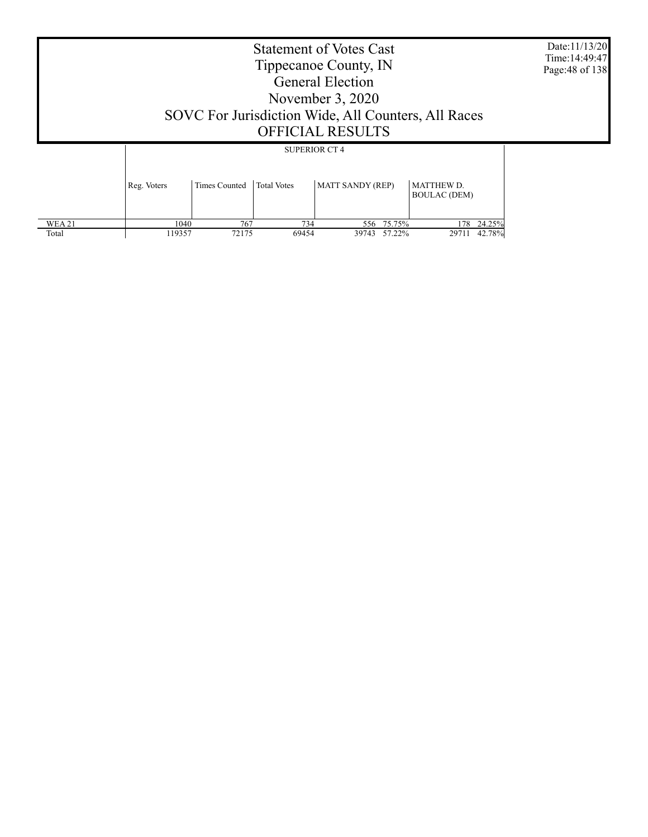| SOVC For Jurisdiction Wide, All Counters, All Races | Date:11/13/20<br>Time: 14:49:47<br>Page: 48 of 138 |                    |                                                 |                                          |  |
|-----------------------------------------------------|----------------------------------------------------|--------------------|-------------------------------------------------|------------------------------------------|--|
| Reg. Voters                                         | Times Counted                                      | <b>Total Votes</b> | <b>SUPERIOR CT 4</b><br><b>MATT SANDY (REP)</b> | <b>MATTHEW D.</b><br><b>BOULAC (DEM)</b> |  |

 1040 767 734 556 75.75% 178 24.25% 119357 72175 69454 39743 57.22% 29711 42.78%

 WEA 21 Total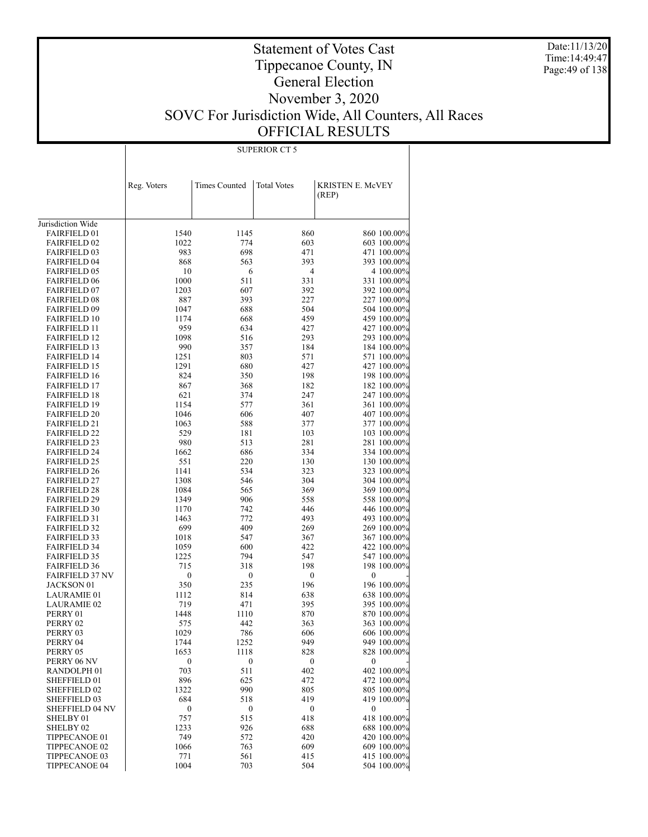Date:11/13/20 Time:14:49:47 Page:49 of 138

### Statement of Votes Cast Tippecanoe County, IN General Election November 3, 2020 SOVC For Jurisdiction Wide, All Counters, All Races OFFICIAL RESULTS

|                                            | Reg. Voters      | <b>Times Counted</b>     | <b>Total Votes</b> | KRISTEN E. McVEY<br>(REP)  |
|--------------------------------------------|------------------|--------------------------|--------------------|----------------------------|
|                                            |                  |                          |                    |                            |
| Jurisdiction Wide                          |                  |                          |                    |                            |
| <b>FAIRFIELD 01</b>                        | 1540             | 1145                     | 860                | 860 100.00%                |
| <b>FAIRFIELD 02</b>                        | 1022             | 774                      | 603                | 603 100.00%                |
| <b>FAIRFIELD 03</b>                        | 983              | 698                      | 471                | 471 100.00%                |
| <b>FAIRFIELD 04</b>                        | 868              | 563                      | 393                | 393 100.00%                |
| <b>FAIRFIELD 05</b>                        | 10               | 6                        | 4                  | 4 100.00%                  |
| <b>FAIRFIELD 06</b>                        | 1000             | 511                      | 331                | 331 100.00%                |
| <b>FAIRFIELD 07</b>                        | 1203             | 607                      | 392                | 392 100.00%                |
| <b>FAIRFIELD 08</b>                        | 887              | 393                      | 227                | 227 100.00%                |
| <b>FAIRFIELD 09</b>                        | 1047             | 688                      | 504                | 504 100.00%                |
| <b>FAIRFIELD 10</b>                        | 1174             | 668                      | 459                | 459 100.00%                |
| <b>FAIRFIELD 11</b>                        | 959              | 634                      | 427                | 427 100.00%                |
| <b>FAIRFIELD 12</b>                        | 1098             | 516                      | 293                | 293 100.00%                |
| <b>FAIRFIELD 13</b>                        | 990              | 357                      | 184                | 184 100.00%                |
| <b>FAIRFIELD 14</b>                        | 1251             | 803                      | 571                | 571 100.00%                |
| <b>FAIRFIELD 15</b>                        | 1291             | 680                      | 427                | 427 100.00%                |
| <b>FAIRFIELD 16</b>                        | 824              | 350                      | 198                | 198 100.00%                |
| <b>FAIRFIELD 17</b>                        | 867              | 368                      | 182                | 182 100.00%                |
| <b>FAIRFIELD 18</b>                        | 621              | 374                      | 247                | 247 100.00%                |
| <b>FAIRFIELD 19</b>                        | 1154             | 577                      | 361                | 361 100.00%                |
| <b>FAIRFIELD 20</b>                        | 1046             | 606                      | 407                | 407 100.00%                |
| <b>FAIRFIELD 21</b>                        | 1063             | 588                      | 377                | 377 100.00%                |
| <b>FAIRFIELD 22</b>                        | 529              | 181                      | 103                | 103 100.00%                |
| <b>FAIRFIELD 23</b><br><b>FAIRFIELD 24</b> | 980<br>1662      | 513                      | 281                | 281 100.00%                |
| <b>FAIRFIELD 25</b>                        | 551              | 686<br>220               | 334<br>130         | 334 100.00%<br>130 100.00% |
| <b>FAIRFIELD 26</b>                        | 1141             | 534                      | 323                | 323 100.00%                |
| <b>FAIRFIELD 27</b>                        | 1308             | 546                      | 304                | 304 100.00%                |
| <b>FAIRFIELD 28</b>                        | 1084             | 565                      | 369                | 369 100.00%                |
| <b>FAIRFIELD 29</b>                        | 1349             | 906                      | 558                | 558 100.00%                |
| <b>FAIRFIELD 30</b>                        | 1170             | 742                      | 446                | 446 100.00%                |
| <b>FAIRFIELD 31</b>                        | 1463             | 772                      | 493                | 493 100.00%                |
| <b>FAIRFIELD 32</b>                        | 699              | 409                      | 269                | 269 100.00%                |
| <b>FAIRFIELD 33</b>                        | 1018             | 547                      | 367                | 367 100.00%                |
| <b>FAIRFIELD 34</b>                        | 1059             | 600                      | 422                | 422 100.00%                |
| <b>FAIRFIELD 35</b>                        | 1225             | 794                      | 547                | 547 100.00%                |
| <b>FAIRFIELD 36</b>                        | 715              | 318                      | 198                | 198 100.00%                |
| <b>FAIRFIELD 37 NV</b>                     | $\boldsymbol{0}$ | $\boldsymbol{0}$         | $\boldsymbol{0}$   | 0                          |
| <b>JACKSON 01</b>                          | 350              | 235                      | 196                | 196 100.00%                |
| <b>LAURAMIE 01</b>                         | 1112             | 814                      | 638                | 638 100.00%                |
| <b>LAURAMIE 02</b>                         | 719              | 471                      | 395                | 395 100.00%                |
| PERRY 01                                   | 1448             | 1110                     | 870                | 870 100.00%                |
| PERRY 02                                   | 575              | 442                      | 363                | 363 100.00%                |
| PERRY 03                                   | 1029             | 786                      | 606                | 606 100.00%                |
| PERRY 04                                   | 1744<br>1653     | 1252                     | 949<br>828         | 949 100.00%                |
| PERRY 05<br>PERRY 06 NV                    | $\boldsymbol{0}$ | 1118<br>$\boldsymbol{0}$ | $\bf{0}$           | 828 100.00%<br>0           |
| RANDOLPH <sub>01</sub>                     | 703              | 511                      | 402                | 402 100.00%                |
| SHEFFIELD 01                               | 896              | 625                      | 472                | 472 100.00%                |
| SHEFFIELD 02                               | 1322             | 990                      | 805                | 805 100.00%                |
| SHEFFIELD 03                               | 684              | 518                      | 419                | 419 100.00%                |
| <b>SHEFFIELD 04 NV</b>                     | $\boldsymbol{0}$ | $\boldsymbol{0}$         | $\boldsymbol{0}$   | 0                          |
| SHELBY 01                                  | 757              | 515                      | 418                | 418 100.00%                |
| SHELBY 02                                  | 1233             | 926                      | 688                | 688 100.00%                |
| TIPPECANOE 01                              | 749              | 572                      | 420                | 420 100.00%                |
| TIPPECANOE 02                              | 1066             | 763                      | 609                | 609 100.00%                |
| TIPPECANOE 03                              | 771              | 561                      | 415                | 415 100.00%                |
| TIPPECANOE 04                              | 1004             | 703                      | 504                | 504 100.00%                |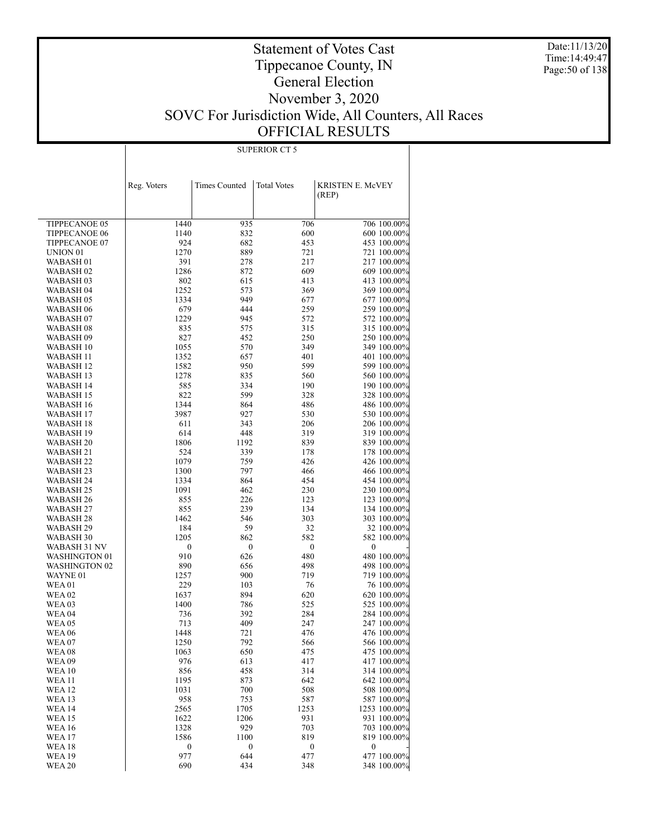Date:11/13/20 Time:14:49:47 Page:50 of 138

### Statement of Votes Cast Tippecanoe County, IN General Election November 3, 2020 SOVC For Jurisdiction Wide, All Counters, All Races OFFICIAL RESULTS

|                               | Reg. Voters | <b>Times Counted</b>    | <b>Total Votes</b>      | KRISTEN E. McVEY<br>(REP)  |
|-------------------------------|-------------|-------------------------|-------------------------|----------------------------|
|                               |             |                         |                         |                            |
| TIPPECANOE 05                 | 1440        | 935                     | 706                     | 706 100.00%                |
| <b>TIPPECANOE 06</b>          | 1140        | 832                     | 600                     | 600 100.00%                |
| TIPPECANOE 07                 | 924         | 682                     | 453                     | 453 100.00%                |
| UNION <sub>01</sub>           | 1270        | 889                     | 721                     | 721 100.00%                |
| WABASH 01                     | 391         | 278                     | 217                     | 217 100.00%                |
| WABASH 02                     | 1286        | 872                     | 609                     | 609 100.00%                |
| WABASH 03                     | 802         | 615                     | 413                     | 413 100.00%                |
| WABASH 04                     | 1252        | 573                     | 369                     | 369 100.00%                |
| WABASH 05                     | 1334        | 949                     | 677                     | 677 100.00%                |
| WABASH 06                     | 679         | 444                     | 259                     | 259 100.00%                |
| WABASH 07<br>WABASH 08        | 1229<br>835 | 945<br>575              | 572<br>315              | 572 100.00%<br>315 100.00% |
| WABASH 09                     | 827         | 452                     | 250                     | 250 100.00%                |
| WABASH 10                     | 1055        | 570                     | 349                     | 349 100.00%                |
| WABASH 11                     | 1352        | 657                     | 401                     | 401 100.00%                |
| WABASH 12                     | 1582        | 950                     | 599                     | 599 100.00%                |
| WABASH 13                     | 1278        | 835                     | 560                     | 560 100.00%                |
| WABASH 14                     | 585         | 334                     | 190                     | 190 100.00%                |
| WABASH 15                     | 822         | 599                     | 328                     | 328 100.00%                |
| WABASH 16                     | 1344        | 864                     | 486                     | 486 100.00%                |
| WABASH 17                     | 3987        | 927                     | 530                     | 530 100.00%                |
| WABASH 18                     | 611         | 343                     | 206                     | 206 100.00%                |
| WABASH 19                     | 614         | 448                     | 319                     | 319 100.00%                |
| WABASH 20<br>WABASH 21        | 1806<br>524 | 1192<br>339             | 839<br>178              | 839 100.00%<br>178 100.00% |
| WABASH 22                     | 1079        | 759                     | 426                     | 426 100.00%                |
| WABASH 23                     | 1300        | 797                     | 466                     | 466 100.00%                |
| WABASH 24                     | 1334        | 864                     | 454                     | 454 100.00%                |
| WABASH 25                     | 1091        | 462                     | 230                     | 230 100.00%                |
| WABASH 26                     | 855         | 226                     | 123                     | 123 100.00%                |
| WABASH 27                     | 855         | 239                     | 134                     | 134 100.00%                |
| WABASH 28                     | 1462        | 546                     | 303                     | 303 100.00%                |
| WABASH 29                     | 184         | 59                      | 32                      | 32 100.00%                 |
| WABASH 30                     | 1205        | 862                     | 582                     | 582 100.00%                |
| WABASH 31 NV<br>WASHINGTON 01 | 0<br>910    | $\boldsymbol{0}$<br>626 | $\boldsymbol{0}$<br>480 | 0<br>480 100.00%           |
| WASHINGTON 02                 | 890         | 656                     | 498                     | 498 100.00%                |
| WAYNE 01                      | 1257        | 900                     | 719                     | 719 100.00%                |
| WEA 01                        | 229         | 103                     | 76                      | 76 100.00%                 |
| WEA 02                        | 1637        | 894                     | 620                     | 620 100.00%                |
| WEA 03                        | 1400        | 786                     | 525                     | 525 100.00%                |
| WEA 04                        | 736         | 392                     | 284                     | 284 100.00%                |
| WEA 05                        | 713         | 409                     | 247                     | 247 100.00%                |
| WEA 06                        | 1448        | 721                     | 476                     | 476 100.00%                |
| WEA 07                        | 1250        | 792                     | 566                     | 566 100.00%                |
| WEA 08                        | 1063<br>976 | 650<br>613              | 475<br>417              | 475 100.00%<br>417 100.00% |
| WEA 09<br>WEA 10              | 856         | 458                     | 314                     | 314 100.00%                |
| <b>WEA 11</b>                 | 1195        | 873                     | 642                     | 642 100.00%                |
| WEA 12                        | 1031        | 700                     | 508                     | 508 100.00%                |
| <b>WEA 13</b>                 | 958         | 753                     | 587                     | 587 100.00%                |
| WEA 14                        | 2565        | 1705                    | 1253                    | 1253 100.00%               |
| <b>WEA 15</b>                 | 1622        | 1206                    | 931                     | 931 100.00%                |
| <b>WEA 16</b>                 | 1328        | 929                     | 703                     | 703 100.00%                |
| <b>WEA 17</b>                 | 1586        | 1100                    | 819                     | 819 100.00%                |
| WEA 18                        | 0           | $\bf{0}$                | $\boldsymbol{0}$        | 0                          |
| <b>WEA 19</b>                 | 977         | 644                     | 477                     | 477 100.00%                |
| <b>WEA 20</b>                 | 690         | 434                     | 348                     | 348 100.00%                |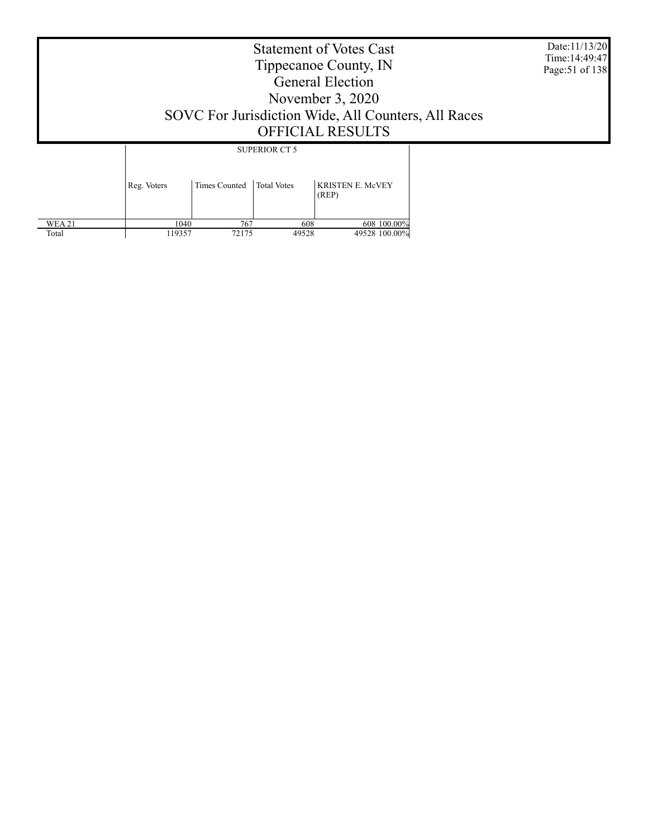Date:11/13/20 Time:14:49:47 Page:51 of 138

### Statement of Votes Cast Tippecanoe County, IN General Election November 3, 2020 SOVC For Jurisdiction Wide, All Counters, All Races OFFICIAL RESULTS

 WEA 21 Total Reg. Voters Times Counted | Total Votes | KRISTEN E. McVEY (REP) SUPERIOR CT 5  $\frac{1040}{119357}$  767 608 608 100.00%<br>119357 72175 49528 49528 100.00% 49528 100.00%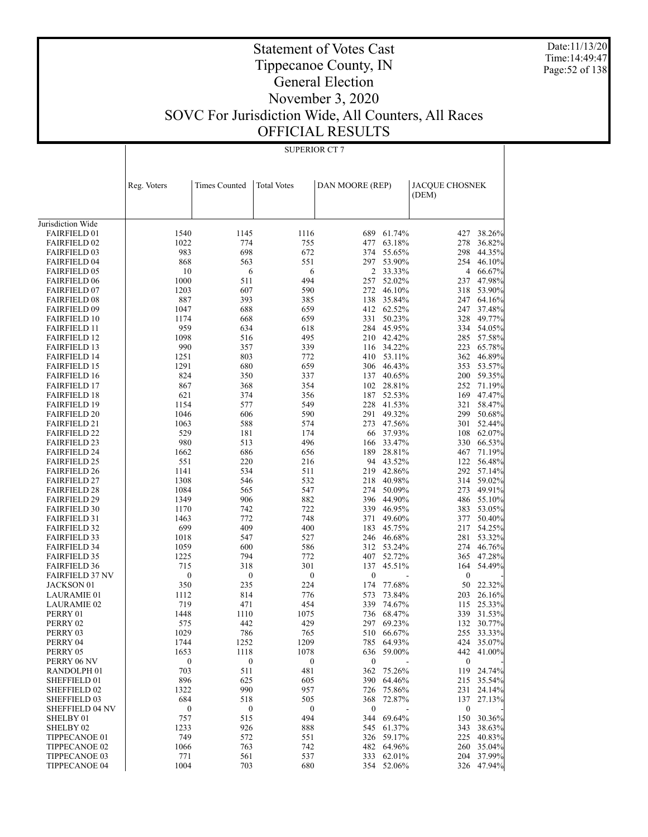Date:11/13/20 Time:14:49:47 Page:52 of 138

#### Statement of Votes Cast Tippecanoe County, IN General Election November 3, 2020 SOVC For Jurisdiction Wide, All Counters, All Races OFFICIAL RESULTS

 1233 926 888 545 61.37% 343 38.63% 749 572 551 326 59.17% 225 40.83% 1066 763 742 482 64.96% 260 35.04% 771 561 537 333 62.01% 204 37.99% 1004 703 680 354 52.06% 326 47.94%

 SHELBY 02 TIPPECANOE 01 TIPPECANOE 02 TIPPECANOE 03 TIPPECANOE 04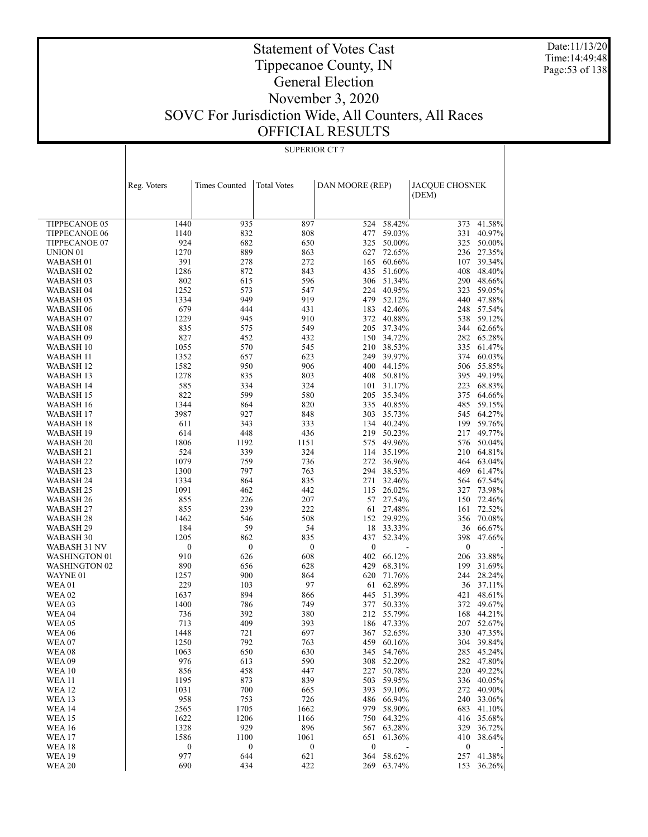Date:11/13/20 Time:14:49:48 Page:53 of 138

#### Statement of Votes Cast Tippecanoe County, IN General Election November 3, 2020 SOVC For Jurisdiction Wide, All Counters, All Races OFFICIAL RESULTS

#### TIPPECANOE 05 TIPPECANOE 06 TIPPECANOE 07 UNION 01 WABASH 01 WABASH 02 WABASH 03 WABASH 04 WABASH 05 WABASH 06 WABASH 07 WABASH 08 WABASH 09 WABASH 10 WABASH 11 WABASH 12 WABASH 13 WABASH 14 WABASH 15 WABASH 16 WABASH 17 WABASH 18 WABASH 19 WABASH 20 WABASH 21 WABASH 22 WABASH 23 WABASH 24 WABASH 25 WABASH 26 WABASH 27 WABASH 28 WABASH 29 WABASH 30 WABASH 31 NV WASHINGTON 01 WASHINGTON 02 WAYNE 01 WEA 01 WEA 02 WEA 03 WEA 04 WEA 05 WEA 06 WEA 07 WEA 08 WEA 09 WEA 10 WEA 11 WEA 12 WEA 13 WEA 14 WEA 15 WEA 16 WEA 17 WEA 18 WEA 19 Reg. Voters Times Counted | Total Votes | DAN MOORE (REP) | JACQUE CHOSNEK (DEM) SUPERIOR CT 7 1440 935 897 524 58.42% 373 41.58% 1140 832 808 477 59.03% 331 40.97% 924 682 650 325 50.00% 325 50.00% 1270 889 863 627 72.65% 236 27.35% 391 278 272 165 60.66% 107 39.34% 1286 872 843 435 51.60% 408 48.40% 802 615 596 306 51.34% 290 48.66%<br>1252 573 547 224 40.95% 323 59.05% 1252 573 547 224 40.95% 323 59.05% 1334 949 919 479 52.12% 440 47.88% 679 444 431 183 42.46% 248 57.54% 1229 945 910 372 40.88% 538 59.12% 835 575 549 205 37.34% 344 62.66% 827 452 432 150 34.72% 282 65.28% 1055 570 545 210 38.53% 335 61.47% 1352 657 623 249 39.97% 374 60.03% 1582 950 906 400 44.15% 506 55.85% 1278 835 803 408 50.81% 395 49.19% 585 334 324 101 31.17% 223 68.83% 822 599 580 205 35.34% 375 64.66% 1344 864 820 335 40.85% 485 59.15% 3987 927 848 303 35.73% 545 64.27% 611 343 333 134 40.24% 199 59.76% 614 448 436 219 50.23% 217 49.77% 1806 1192 1151 575 49.96% 576 50.04% 524 339 324 114 35.19% 210 64.81% 1079 759 736 272 36.96% 464 63.04% 1300 797 763 294 38.53% 469 61.47% 1334 864 835 271 32.46% 564 67.54% 1091 462 442 115 26.02% 327 73.98% 855 226 207 57 27.54% 150 72.46% 855 239 222 61 27.48% 161 72.52% 1462 546 508 152 29.92% 356 70.08% 184 59 54 18 33.33% 36 66.67% 1205 862 835 437 52.34% 398 47.66%  $0$  0 0 0 - 0 - 910 626 608 402 66.12% 206 33.88% 890 656 628 429 68.31% 199 31.69% 1257 900 864 620 71.76% 244 28.24%<br>229 103 97 61 62.89% 36 37.11% 229 103 97 61 62.89% 36 37.11% 1637 894 866 445 51.39% 421 48.61% 1400 786 749 377 50.33% 372 49.67% 736 392 380 212 55.79% 168 44.21% 713 409 393 186 47.33% 207 52.67% 1448 721 697 367 52.65% 330 47.35% 1250 792 763 459 60.16% 304 39.84% 1063 650 630 345 54.76% 285 45.24% 976 613 590 308 52.20% 282 47.80% 856 458 447 227 50.78% 220 49.22% 1195 873 839 503 59.95% 336 40.05% 1031 700 665 393 59.10% 272 40.90% 958 753 726 486 66.94% 240 33.06% 2565 1705 1662 979 58.90% 683 41.10% 1622 1206 1166 750 64.32% 416 35.68% 1328 929 896 567 63.28% 329 36.72% 1586 1100 1061 651 61.36% 410 38.64%  $0$  0 0 0 - 0 - 977 644 621 364 58.62% 257 41.38% 690 434 422 269 63.74% 153 36.26%

WEA 20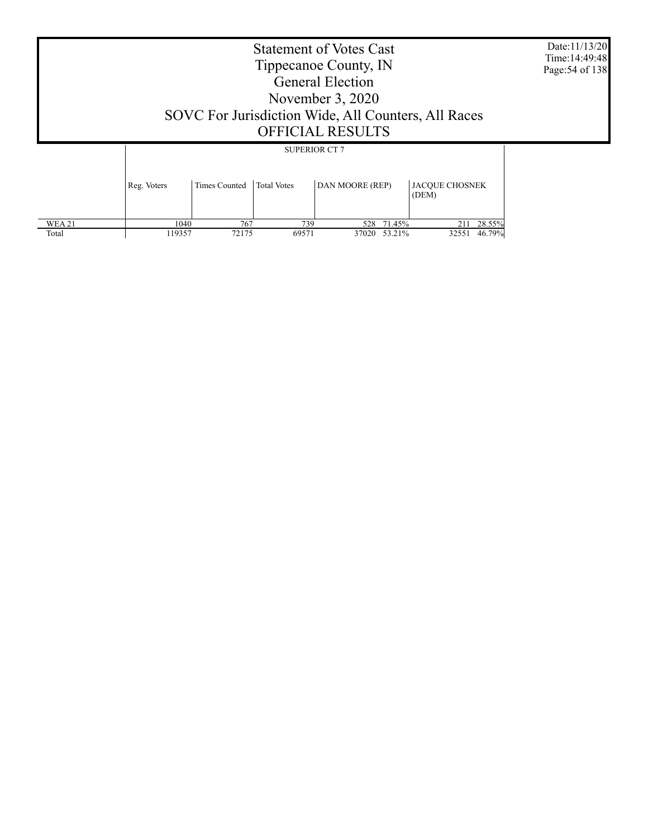|             | SOVC For Jurisdiction Wide, All Counters, All Races | <b>Statement of Votes Cast</b><br>Tippecanoe County, IN<br><b>General Election</b><br>November $3, 2020$<br><b>OFFICIAL RESULTS</b> |                       | Date:11/13/20<br>Time: 14:49:48<br>Page: 54 of 138 |
|-------------|-----------------------------------------------------|-------------------------------------------------------------------------------------------------------------------------------------|-----------------------|----------------------------------------------------|
|             |                                                     | <b>SUPERIOR CT 7</b>                                                                                                                |                       |                                                    |
| Reg. Voters | Times Counted<br><b>Total Votes</b>                 | DAN MOORE (REP)                                                                                                                     | <b>JACOUE CHOSNEK</b> |                                                    |

|        |        |       |       |       |        | (DEM) |        |
|--------|--------|-------|-------|-------|--------|-------|--------|
|        |        |       |       |       |        |       |        |
| WEA 21 | 1040   | 767   | 739   | 528   | 71.45% | 211   | 28.55% |
| Total  | 119357 | 72175 | 69571 | 37020 | 53.21% | 32551 | 46.79% |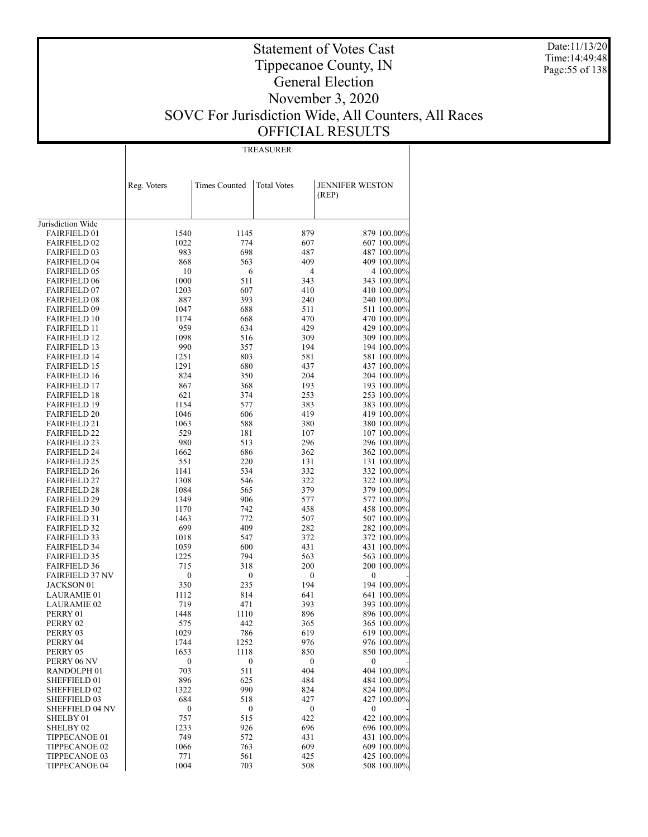Date:11/13/20 Time:14:49:48 Page:55 of 138

### Statement of Votes Cast Tippecanoe County, IN General Election November 3, 2020 SOVC For Jurisdiction Wide, All Counters, All Races OFFICIAL RESULTS

TREASURER

|                                            | Reg. Voters      | <b>Times Counted</b> | <b>Total Votes</b> | <b>JENNIFER WESTON</b>     |
|--------------------------------------------|------------------|----------------------|--------------------|----------------------------|
|                                            |                  |                      |                    | (REP)                      |
|                                            |                  |                      |                    |                            |
| Jurisdiction Wide                          |                  |                      |                    |                            |
| <b>FAIRFIELD 01</b>                        | 1540             | 1145                 | 879                | 879 100.00%                |
| <b>FAIRFIELD 02</b>                        | 1022             | 774                  | 607                | 607 100.00%                |
| <b>FAIRFIELD 03</b>                        | 983              | 698                  | 487                | 487 100.00%                |
| <b>FAIRFIELD 04</b>                        | 868              | 563                  | 409                | 409 100.00%                |
| <b>FAIRFIELD 05</b>                        | 10               | 6                    | $\overline{4}$     | 4 100.00%                  |
| <b>FAIRFIELD 06</b>                        | 1000             | 511                  | 343                | 343 100.00%                |
| <b>FAIRFIELD 07</b>                        | 1203             | 607                  | 410                | 410 100.00%                |
| <b>FAIRFIELD 08</b>                        | 887              | 393                  | 240                | 240 100.00%                |
| <b>FAIRFIELD 09</b>                        | 1047             | 688                  | 511                | 511 100.00%                |
| <b>FAIRFIELD 10</b>                        | 1174             | 668                  | 470                | 470 100.00%                |
| <b>FAIRFIELD 11</b>                        | 959              | 634                  | 429                | 429 100.00%                |
| <b>FAIRFIELD 12</b>                        | 1098             | 516                  | 309                | 309 100.00%                |
| <b>FAIRFIELD 13</b><br><b>FAIRFIELD 14</b> | 990<br>1251      | 357                  | 194<br>581         | 194 100.00%                |
| <b>FAIRFIELD 15</b>                        | 1291             | 803<br>680           | 437                | 581 100.00%<br>437 100.00% |
| <b>FAIRFIELD 16</b>                        | 824              | 350                  | 204                | 204 100.00%                |
| <b>FAIRFIELD 17</b>                        | 867              | 368                  | 193                | 193 100.00%                |
| <b>FAIRFIELD 18</b>                        | 621              | 374                  | 253                | 253 100.00%                |
| <b>FAIRFIELD 19</b>                        | 1154             | 577                  | 383                | 383 100.00%                |
| <b>FAIRFIELD 20</b>                        | 1046             | 606                  | 419                | 419 100.00%                |
| <b>FAIRFIELD 21</b>                        | 1063             | 588                  | 380                | 380 100.00%                |
| <b>FAIRFIELD 22</b>                        | 529              | 181                  | 107                | 107 100.00%                |
| <b>FAIRFIELD 23</b>                        | 980              | 513                  | 296                | 296 100.00%                |
| <b>FAIRFIELD 24</b>                        | 1662             | 686                  | 362                | 362 100.00%                |
| <b>FAIRFIELD 25</b>                        | 551              | 220                  | 131                | 131 100.00%                |
| <b>FAIRFIELD 26</b>                        | 1141             | 534                  | 332                | 332 100.00%                |
| <b>FAIRFIELD 27</b>                        | 1308             | 546                  | 322                | 322 100.00%                |
| <b>FAIRFIELD 28</b>                        | 1084             | 565                  | 379                | 379 100.00%                |
| <b>FAIRFIELD 29</b>                        | 1349             | 906                  | 577                | 577 100.00%                |
| <b>FAIRFIELD 30</b>                        | 1170             | 742                  | 458                | 458 100.00%                |
| <b>FAIRFIELD 31</b>                        | 1463             | 772                  | 507                | 507 100.00%                |
| <b>FAIRFIELD 32</b>                        | 699              | 409                  | 282                | 282 100.00%                |
| <b>FAIRFIELD 33</b>                        | 1018             | 547                  | 372                | 372 100.00%                |
| <b>FAIRFIELD 34</b>                        | 1059<br>1225     | 600<br>794           | 431<br>563         | 431 100.00%                |
| <b>FAIRFIELD 35</b><br><b>FAIRFIELD 36</b> | 715              | 318                  | 200                | 563 100.00%<br>200 100.00% |
| <b>FAIRFIELD 37 NV</b>                     | $\boldsymbol{0}$ | $\boldsymbol{0}$     | $\boldsymbol{0}$   | 0                          |
| JACKSON 01                                 | 350              | 235                  | 194                | 194 100.00%                |
| <b>LAURAMIE 01</b>                         | 1112             | 814                  | 641                | 641 100.00%                |
| <b>LAURAMIE 02</b>                         | 719              | 471                  | 393                | 393 100.00%                |
| PERRY 01                                   | 1448             | 1110                 | 896                | 896 100.00%                |
| PERRY 02                                   | 575              | 442                  | 365                | 365 100.00%                |
| PERRY 03                                   | 1029             | 786                  | 619                | 619 100.00%                |
| PERRY 04                                   | 1744             | 1252                 | 976                | 976 100.00%                |
| PERRY 05                                   | 1653             | 1118                 | 850                | 850 100.00%                |
| PERRY 06 NV                                | $\boldsymbol{0}$ | $\boldsymbol{0}$     | $\boldsymbol{0}$   | $\boldsymbol{0}$           |
| RANDOLPH <sub>01</sub>                     | 703              | 511                  | 404                | 404 100.00%                |
| SHEFFIELD 01                               | 896              | 625                  | 484                | 484 100.00%                |
| SHEFFIELD 02                               | 1322             | 990                  | 824                | 824 100.00%                |
| SHEFFIELD 03                               | 684              | 518                  | 427                | 427 100.00%                |
| <b>SHEFFIELD 04 NV</b>                     | $\boldsymbol{0}$ | $\boldsymbol{0}$     | $\boldsymbol{0}$   | $\boldsymbol{0}$           |
| SHELBY 01                                  | 757              | 515                  | 422                | 422 100.00%                |
| SHELBY 02<br>TIPPECANOE 01                 | 1233             | 926                  | 696                | 696 100.00%                |
| TIPPECANOE 02                              | 749<br>1066      | 572<br>763           | 431<br>609         | 431 100.00%<br>609 100.00% |
| TIPPECANOE 03                              | 771              | 561                  | 425                | 425 100.00%                |
| TIPPECANOE 04                              | 1004             | 703                  | 508                | 508 100.00%                |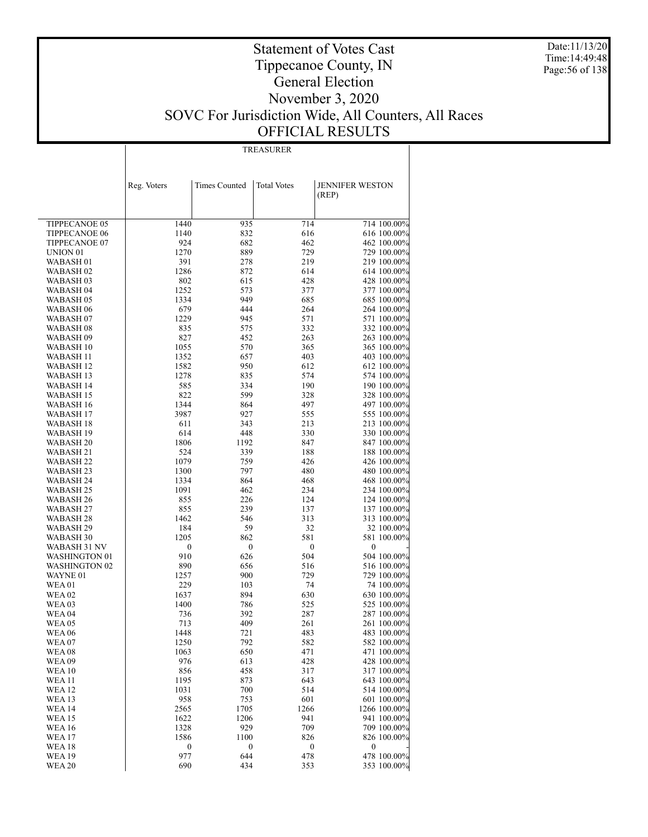Date:11/13/20 Time:14:49:48 Page:56 of 138

### Statement of Votes Cast Tippecanoe County, IN General Election November 3, 2020 SOVC For Jurisdiction Wide, All Counters, All Races OFFICIAL RESULTS

TREASURER

|                                | Reg. Voters  | <b>Times Counted</b> | <b>Total Votes</b> | <b>JENNIFER WESTON</b>     |
|--------------------------------|--------------|----------------------|--------------------|----------------------------|
|                                |              |                      |                    | (REP)                      |
|                                |              |                      |                    |                            |
| TIPPECANOE 05                  | 1440         | 935                  | 714                | 714 100.00%                |
| <b>TIPPECANOE 06</b>           | 1140         | 832                  | 616                | 616 100.00%                |
| TIPPECANOE 07                  | 924          | 682                  | 462                | 462 100.00%                |
| UNION <sub>01</sub>            | 1270         | 889                  | 729                | 729 100.00%                |
| WABASH 01                      | 391          | 278                  | 219                | 219 100.00%                |
| WABASH <sub>02</sub>           | 1286         | 872                  | 614                | 614 100.00%                |
| WABASH 03                      | 802          | 615                  | 428                | 428 100.00%                |
| WABASH 04                      | 1252         | 573                  | 377                | 377 100.00%                |
| WABASH 05                      | 1334         | 949                  | 685                | 685 100.00%                |
| WABASH 06<br>WABASH 07         | 679<br>1229  | 444<br>945           | 264<br>571         | 264 100.00%<br>571 100.00% |
| WABASH 08                      | 835          | 575                  | 332                | 332 100.00%                |
| WABASH 09                      | 827          | 452                  | 263                | 263 100.00%                |
| WABASH 10                      | 1055         | 570                  | 365                | 365 100.00%                |
| WABASH 11                      | 1352         | 657                  | 403                | 403 100.00%                |
| WABASH 12                      | 1582         | 950                  | 612                | 612 100.00%                |
| WABASH 13                      | 1278         | 835                  | 574                | 574 100.00%                |
| WABASH 14                      | 585          | 334                  | 190                | 190 100.00%                |
| WABASH 15                      | 822          | 599                  | 328                | 328 100.00%                |
| WABASH 16                      | 1344         | 864                  | 497                | 497 100.00%                |
| WABASH 17                      | 3987         | 927                  | 555                | 555 100.00%                |
| WABASH 18<br>WABASH 19         | 611<br>614   | 343<br>448           | 213<br>330         | 213 100.00%<br>330 100.00% |
| WABASH 20                      | 1806         | 1192                 | 847                | 847 100.00%                |
| WABASH 21                      | 524          | 339                  | 188                | 188 100.00%                |
| WABASH 22                      | 1079         | 759                  | 426                | 426 100.00%                |
| WABASH 23                      | 1300         | 797                  | 480                | 480 100.00%                |
| WABASH 24                      | 1334         | 864                  | 468                | 468 100.00%                |
| WABASH 25                      | 1091         | 462                  | 234                | 234 100.00%                |
| WABASH 26                      | 855          | 226                  | 124                | 124 100.00%                |
| WABASH 27                      | 855          | 239                  | 137                | 137 100.00%                |
| WABASH 28<br>WABASH 29         | 1462<br>184  | 546<br>59            | 313<br>32          | 313 100.00%<br>32 100.00%  |
| WABASH 30                      | 1205         | 862                  | 581                | 581 100.00%                |
| WABASH 31 NV                   | 0            | $\boldsymbol{0}$     | $\boldsymbol{0}$   | $\boldsymbol{0}$           |
| WASHINGTON 01                  | 910          | 626                  | 504                | 504 100.00%                |
| WASHINGTON 02                  | 890          | 656                  | 516                | 516 100.00%                |
| WAYNE 01                       | 1257         | 900                  | 729                | 729 100.00%                |
| WEA01                          | 229          | 103                  | 74                 | 74 100.00%                 |
| WEA 02                         | 1637         | 894                  | 630                | 630 100.00%                |
| WEA 03                         | 1400         | 786                  | 525                | 525 100.00%                |
| WEA 04<br><b>WEA 05</b>        | 736<br>713   | 392<br>409           | 287<br>261         | 287 100.00%<br>261 100.00% |
| WEA 06                         | 1448         | 721                  | 483                | 483 100.00%                |
| WEA 07                         | 1250         | 792                  | 582                | 582 100.00%                |
| WEA 08                         | 1063         | 650                  | 471                | 471 100.00%                |
| <b>WEA 09</b>                  | 976          | 613                  | 428                | 428 100.00%                |
| <b>WEA10</b>                   | 856          | 458                  | 317                | 317 100.00%                |
| <b>WEA 11</b>                  | 1195         | 873                  | 643                | 643 100.00%                |
| WEA 12                         | 1031         | 700                  | 514                | 514 100.00%                |
| <b>WEA 13</b>                  | 958          | 753                  | 601                | 601 100.00%                |
| <b>WEA 14</b>                  | 2565         | 1705                 | 1266               | 1266 100.00%               |
| <b>WEA 15</b><br><b>WEA 16</b> | 1622<br>1328 | 1206<br>929          | 941<br>709         | 941 100.00%<br>709 100.00% |
| <b>WEA 17</b>                  | 1586         | 1100                 | 826                | 826 100.00%                |
| WEA 18                         | 0            | $\boldsymbol{0}$     | $\boldsymbol{0}$   | 0                          |
| WEA 19                         | 977          | 644                  | 478                | 478 100.00%                |
| <b>WEA 20</b>                  | 690          | 434                  | 353                | 353 100.00%                |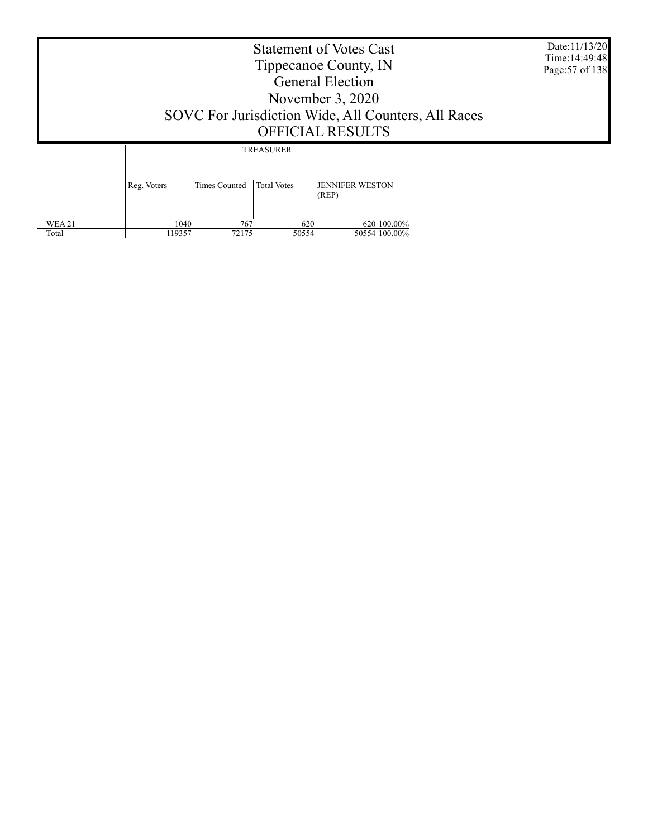Date:11/13/20 Time:14:49:48 Page:57 of 138

### Statement of Votes Cast Tippecanoe County, IN General Election November 3, 2020 SOVC For Jurisdiction Wide, All Counters, All Races OFFICIAL RESULTS

TREASURER

|               | Reg. Voters | Times Counted   Total Votes |       | <b>JENNIFER WESTON</b><br>(REP) |
|---------------|-------------|-----------------------------|-------|---------------------------------|
| <b>WEA 21</b> | 1040        | 767                         | 620   | 620 100.00%                     |
| Total         | 119357      | 72175                       | 50554 | 50554 100.00%                   |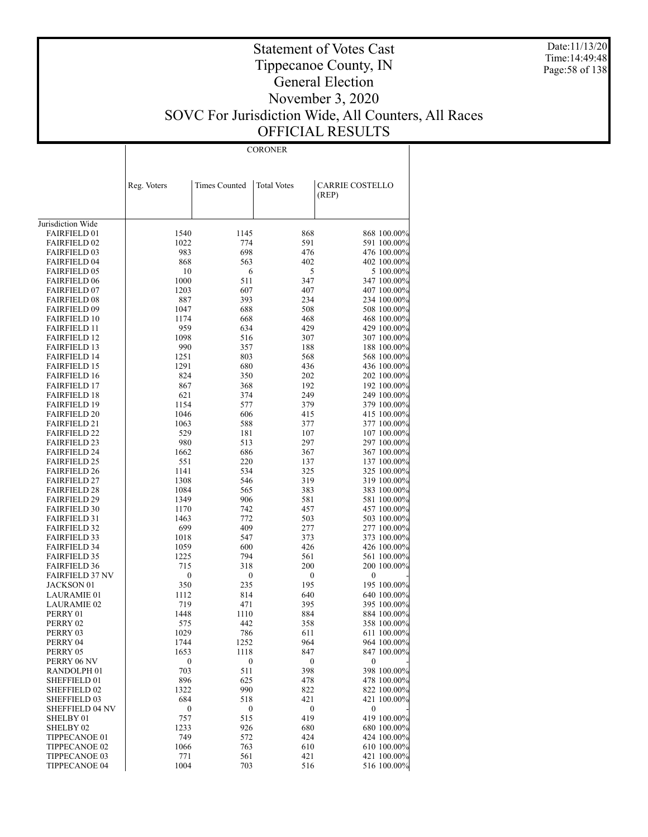Date:11/13/20 Time:14:49:48 Page:58 of 138

### Statement of Votes Cast Tippecanoe County, IN General Election November 3, 2020 SOVC For Jurisdiction Wide, All Counters, All Races OFFICIAL RESULTS

CORONER

|                                            | Reg. Voters      | Times Counted | <b>Total Votes</b> | CARRIE COSTELLO<br>(REP)   |
|--------------------------------------------|------------------|---------------|--------------------|----------------------------|
|                                            |                  |               |                    |                            |
| Jurisdiction Wide                          |                  |               |                    |                            |
| <b>FAIRFIELD 01</b>                        | 1540             | 1145          | 868                | 868 100.00%                |
| <b>FAIRFIELD 02</b>                        | 1022             | 774           | 591                | 591 100.00%                |
| <b>FAIRFIELD 03</b>                        | 983              | 698           | 476                | 476 100.00%                |
| <b>FAIRFIELD 04</b>                        | 868              | 563           | 402                | 402 100.00%                |
| <b>FAIRFIELD 05</b>                        | 10               | 6             | 5                  | 5 100.00%                  |
| <b>FAIRFIELD 06</b>                        | 1000             | 511           | 347                | 347 100.00%                |
| <b>FAIRFIELD 07</b>                        | 1203             | 607           | 407                | 407 100.00%                |
| <b>FAIRFIELD 08</b>                        | 887              | 393           | 234                | 234 100.00%                |
| <b>FAIRFIELD 09</b>                        | 1047             | 688           | 508                | 508 100.00%                |
| <b>FAIRFIELD 10</b><br><b>FAIRFIELD 11</b> | 1174<br>959      | 668<br>634    | 468<br>429         | 468 100.00%<br>429 100.00% |
| <b>FAIRFIELD 12</b>                        | 1098             | 516           | 307                | 307 100.00%                |
| <b>FAIRFIELD 13</b>                        | 990              | 357           | 188                | 188 100.00%                |
| <b>FAIRFIELD 14</b>                        | 1251             | 803           | 568                | 568 100.00%                |
| <b>FAIRFIELD 15</b>                        | 1291             | 680           | 436                | 436 100.00%                |
| <b>FAIRFIELD 16</b>                        | 824              | 350           | 202                | 202 100.00%                |
| <b>FAIRFIELD 17</b>                        | 867              | 368           | 192                | 192 100.00%                |
| <b>FAIRFIELD 18</b>                        | 621              | 374           | 249                | 249 100.00%                |
| <b>FAIRFIELD 19</b>                        | 1154             | 577           | 379                | 379 100.00%                |
| <b>FAIRFIELD 20</b>                        | 1046             | 606           | 415                | 415 100.00%                |
| <b>FAIRFIELD 21</b>                        | 1063             | 588           | 377                | 377 100.00%                |
| <b>FAIRFIELD 22</b>                        | 529              | 181           | 107                | 107 100.00%                |
| <b>FAIRFIELD 23</b>                        | 980              | 513           | 297                | 297 100.00%                |
| <b>FAIRFIELD 24</b>                        | 1662             | 686           | 367                | 367 100.00%                |
| <b>FAIRFIELD 25</b>                        | 551<br>1141      | 220<br>534    | 137<br>325         | 137 100.00%<br>325 100.00% |
| <b>FAIRFIELD 26</b><br><b>FAIRFIELD 27</b> | 1308             | 546           | 319                | 319 100.00%                |
| <b>FAIRFIELD 28</b>                        | 1084             | 565           | 383                | 383 100.00%                |
| <b>FAIRFIELD 29</b>                        | 1349             | 906           | 581                | 581 100.00%                |
| <b>FAIRFIELD 30</b>                        | 1170             | 742           | 457                | 457 100.00%                |
| <b>FAIRFIELD 31</b>                        | 1463             | 772           | 503                | 503 100.00%                |
| <b>FAIRFIELD 32</b>                        | 699              | 409           | 277                | 277 100.00%                |
| <b>FAIRFIELD 33</b>                        | 1018             | 547           | 373                | 373 100.00%                |
| <b>FAIRFIELD 34</b>                        | 1059             | 600           | 426                | 426 100.00%                |
| <b>FAIRFIELD 35</b>                        | 1225             | 794           | 561                | 561 100.00%                |
| <b>FAIRFIELD 36</b>                        | 715              | 318           | 200                | 200 100.00%                |
| <b>FAIRFIELD 37 NV</b>                     | $\boldsymbol{0}$ | 0             | $\boldsymbol{0}$   | 0                          |
| JACKSON 01<br><b>LAURAMIE 01</b>           | 350<br>1112      | 235<br>814    | 195<br>640         | 195 100.00%<br>640 100.00% |
| <b>LAURAMIE 02</b>                         | 719              | 471           | 395                | 395 100.00%                |
| PERRY 01                                   | 1448             | 1110          | 884                | 884 100.00%                |
| PERRY 02                                   | 575              | 442           | 358                | 358 100.00%                |
| PERRY 03                                   | 1029             | 786           | 611                | 611 100.00%                |
| PERRY 04                                   | 1744             | 1252          | 964                | 964 100.00%                |
| PERRY 05                                   | 1653             | 1118          | 847                | 847 100.00%                |
| PERRY 06 NV                                | $\bf{0}$         | 0             | $\boldsymbol{0}$   | $\boldsymbol{0}$           |
| RANDOLPH <sub>01</sub>                     | 703              | 511           | 398                | 398 100.00%                |
| SHEFFIELD 01                               | 896              | 625           | 478                | 478 100.00%                |
| SHEFFIELD 02                               | 1322             | 990           | 822                | 822 100.00%                |
| SHEFFIELD 03                               | 684              | 518           | 421                | 421 100.00%                |
| <b>SHEFFIELD 04 NV</b>                     | $\boldsymbol{0}$ | 0             | $\boldsymbol{0}$   | $\boldsymbol{0}$           |
| SHELBY 01                                  | 757              | 515           | 419                | 419 100.00%                |
| SHELBY <sub>02</sub><br>TIPPECANOE 01      | 1233<br>749      | 926<br>572    | 680<br>424         | 680 100.00%<br>424 100.00% |
| TIPPECANOE 02                              | 1066             | 763           | 610                | 610 100.00%                |
| TIPPECANOE 03                              | 771              | 561           | 421                | 421 100.00%                |
| <b>TIPPECANOE 04</b>                       | 1004             | 703           | 516                | 516 100.00%                |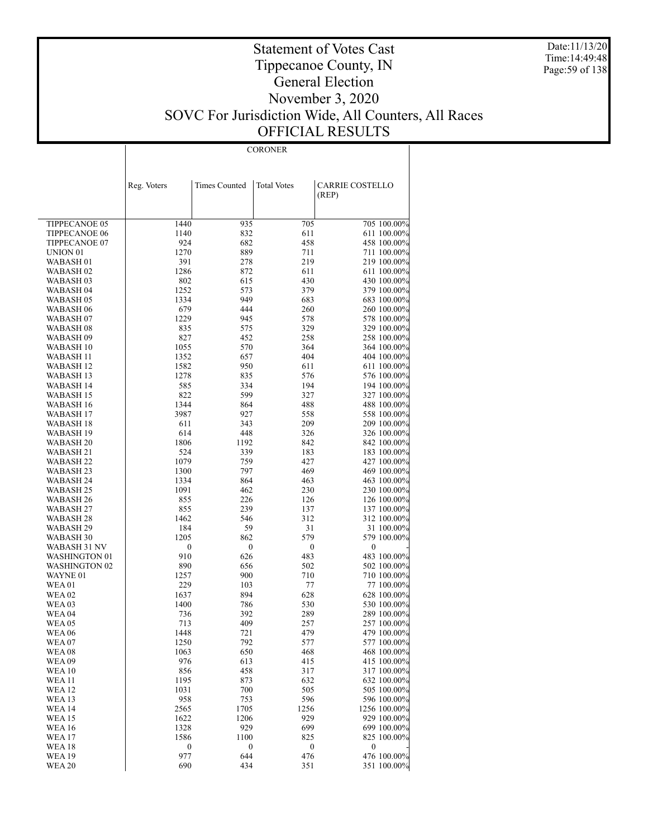Date:11/13/20 Time:14:49:48 Page:59 of 138

### Statement of Votes Cast Tippecanoe County, IN General Election November 3, 2020 SOVC For Jurisdiction Wide, All Counters, All Races OFFICIAL RESULTS

CORONER

|                        | Reg. Voters  | <b>Times Counted</b> | <b>Total Votes</b> | <b>CARRIE COSTELLO</b>     |
|------------------------|--------------|----------------------|--------------------|----------------------------|
|                        |              |                      |                    | (REP)                      |
|                        |              |                      |                    |                            |
| TIPPECANOE 05          | 1440         | 935                  | 705                | 705 100.00%                |
| <b>TIPPECANOE 06</b>   | 1140         | 832                  | 611                | 611 100.00%                |
| TIPPECANOE 07          | 924          | 682                  | 458                | 458 100.00%                |
| UNION <sub>01</sub>    | 1270         | 889                  | 711                | 711 100.00%                |
| WABASH <sub>01</sub>   | 391          | 278                  | 219                | 219 100.00%                |
| WABASH 02              | 1286         | 872                  | 611                | 611 100.00%                |
| WABASH 03              | 802          | 615                  | 430                | 430 100.00%                |
| WABASH 04              | 1252         | 573                  | 379                | 379 100.00%                |
| WABASH 05              | 1334         | 949                  | 683                | 683 100.00%                |
| WABASH 06              | 679          | 444                  | 260                | 260 100.00%                |
| WABASH 07              | 1229         | 945                  | 578                | 578 100.00%                |
| WABASH 08              | 835          | 575                  | 329                | 329 100.00%                |
| WABASH 09              | 827          | 452                  | 258                | 258 100.00%                |
| WABASH 10              | 1055         | 570                  | 364                | 364 100.00%                |
| WABASH 11              | 1352         | 657                  | 404                | 404 100.00%                |
| WABASH 12              | 1582         | 950                  | 611                | 611 100.00%                |
| WABASH 13              | 1278         | 835                  | 576                | 576 100.00%                |
| WABASH 14              | 585          | 334                  | 194                | 194 100.00%                |
| <b>WABASH 15</b>       | 822          | 599                  | 327                | 327 100.00%                |
| WABASH 16              | 1344<br>3987 | 864<br>927           | 488                | 488 100.00%                |
| WABASH 17<br>WABASH 18 | 611          | 343                  | 558<br>209         | 558 100.00%<br>209 100.00% |
| <b>WABASH 19</b>       | 614          | 448                  | 326                | 326 100.00%                |
| WABASH 20              | 1806         | 1192                 | 842                | 842 100.00%                |
| WABASH 21              | 524          | 339                  | 183                | 183 100.00%                |
| WABASH 22              | 1079         | 759                  | 427                | 427 100.00%                |
| WABASH 23              | 1300         | 797                  | 469                | 469 100.00%                |
| WABASH 24              | 1334         | 864                  | 463                | 463 100.00%                |
| WABASH 25              | 1091         | 462                  | 230                | 230 100.00%                |
| WABASH 26              | 855          | 226                  | 126                | 126 100.00%                |
| WABASH 27              | 855          | 239                  | 137                | 137 100.00%                |
| WABASH 28              | 1462         | 546                  | 312                | 312 100.00%                |
| WABASH 29              | 184          | 59                   | 31                 | 31 100.00%                 |
| WABASH 30              | 1205         | 862                  | 579                | 579 100.00%                |
| WABASH 31 NV           | 0            | 0                    | $\boldsymbol{0}$   | 0                          |
| WASHINGTON 01          | 910          | 626                  | 483                | 483 100.00%                |
| WASHINGTON 02          | 890          | 656                  | 502                | 502 100.00%                |
| WAYNE <sub>01</sub>    | 1257         | 900                  | 710                | 710 100.00%                |
| WEA 01                 | 229          | 103                  | 77                 | 77 100.00%                 |
| WEA 02                 | 1637         | 894                  | 628                | 628 100.00%                |
| WEA 03                 | 1400         | 786                  | 530                | 530 100.00%                |
| WEA 04                 | 736          | 392                  | 289                | 289 100.00%                |
| WEA 05<br>WEA 06       | 713<br>1448  | 409<br>721           | 257<br>479         | 257 100.00%<br>479 100.00% |
| WEA 07                 | 1250         | 792                  | 577                | 577 100.00%                |
| WEA 08                 | 1063         | 650                  | 468                | 468 100.00%                |
| <b>WEA09</b>           | 976          | 613                  | 415                | 415 100.00%                |
| <b>WEA10</b>           | 856          | 458                  | 317                | 317 100.00%                |
| <b>WEA11</b>           | 1195         | 873                  | 632                | 632 100.00%                |
| WEA 12                 | 1031         | 700                  | 505                | 505 100.00%                |
| <b>WEA13</b>           | 958          | 753                  | 596                | 596 100.00%                |
| <b>WEA 14</b>          | 2565         | 1705                 | 1256               | 1256 100.00%               |
| <b>WEA15</b>           | 1622         | 1206                 | 929                | 929 100.00%                |
| <b>WEA 16</b>          | 1328         | 929                  | 699                | 699 100.00%                |
| <b>WEA17</b>           | 1586         | 1100                 | 825                | 825 100.00%                |
| <b>WEA18</b>           | 0            | $\bf{0}$             | $\boldsymbol{0}$   | $\boldsymbol{0}$           |
| <b>WEA 19</b>          | 977          | 644                  | 476                | 476 100.00%                |
| <b>WEA 20</b>          | 690          | 434                  | 351                | 351 100.00%                |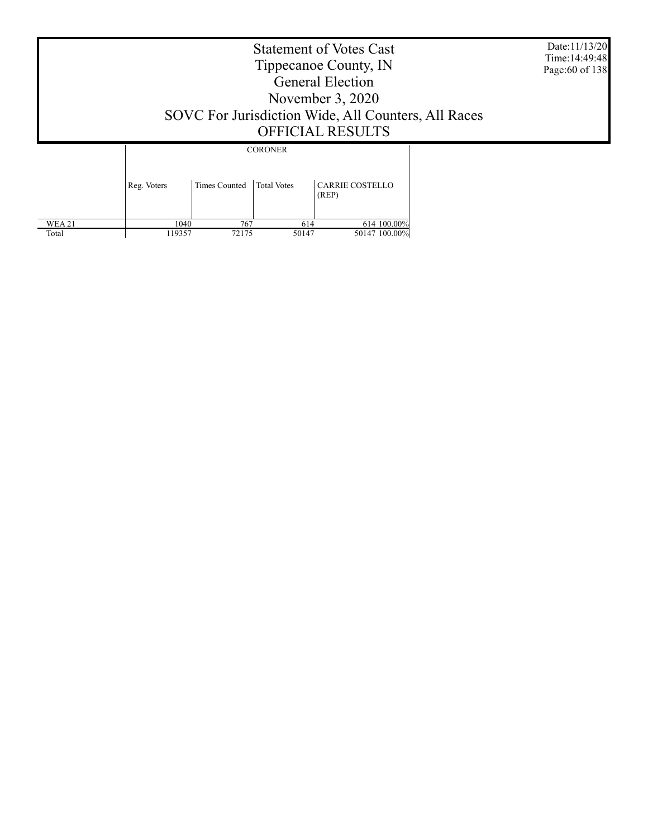Date:11/13/20 Time:14:49:48 Page:60 of 138

### Statement of Votes Cast Tippecanoe County, IN General Election November 3, 2020 SOVC For Jurisdiction Wide, All Counters, All Races OFFICIAL RESULTS

CORONER

|               | Reg. Voters | Times Counted   Total Votes |       | <b>CARRIE COSTELLO</b><br>(REP) |
|---------------|-------------|-----------------------------|-------|---------------------------------|
| <b>WEA 21</b> | 1040        | 767                         | 614   | 614 100.00%                     |
| Total         | 119357      | 72175                       | 50147 | 50147 100.00%                   |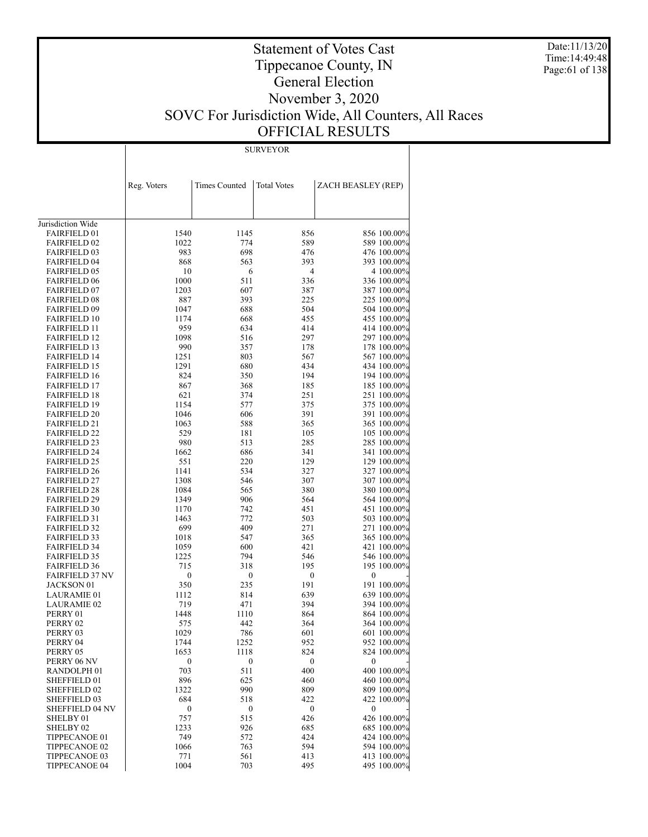Date:11/13/20 Time:14:49:48 Page:61 of 138

### Statement of Votes Cast Tippecanoe County, IN General Election November 3, 2020 SOVC For Jurisdiction Wide, All Counters, All Races OFFICIAL RESULTS

SURVEYOR

|                                            | Reg. Voters      | <b>Times Counted</b> | <b>Total Votes</b> | ZACH BEASLEY (REP)         |
|--------------------------------------------|------------------|----------------------|--------------------|----------------------------|
|                                            |                  |                      |                    |                            |
|                                            |                  |                      |                    |                            |
| Jurisdiction Wide                          |                  |                      |                    |                            |
| <b>FAIRFIELD 01</b>                        | 1540             | 1145                 | 856                | 856 100.00%                |
| <b>FAIRFIELD 02</b>                        | 1022<br>983      | 774<br>698           | 589<br>476         | 589 100.00%                |
| <b>FAIRFIELD 03</b><br><b>FAIRFIELD 04</b> | 868              | 563                  | 393                | 476 100.00%<br>393 100.00% |
| <b>FAIRFIELD 05</b>                        | 10               | 6                    | 4                  | 4 100.00%                  |
| <b>FAIRFIELD 06</b>                        | 1000             | 511                  | 336                | 336 100.00%                |
| <b>FAIRFIELD 07</b>                        | 1203             | 607                  | 387                | 387 100.00%                |
| <b>FAIRFIELD 08</b>                        | 887              | 393                  | 225                | 225 100.00%                |
| <b>FAIRFIELD 09</b>                        | 1047             | 688                  | 504                | 504 100.00%                |
| <b>FAIRFIELD 10</b>                        | 1174             | 668                  | 455                | 455 100.00%                |
| <b>FAIRFIELD 11</b>                        | 959              | 634                  | 414                | 414 100.00%                |
| <b>FAIRFIELD 12</b>                        | 1098             | 516                  | 297                | 297 100.00%                |
| <b>FAIRFIELD 13</b>                        | 990              | 357                  | 178                | 178 100.00%                |
| <b>FAIRFIELD 14</b>                        | 1251             | 803                  | 567                | 567 100.00%                |
| <b>FAIRFIELD 15</b>                        | 1291             | 680                  | 434                | 434 100.00%                |
| <b>FAIRFIELD 16</b>                        | 824              | 350                  | 194                | 194 100.00%                |
| <b>FAIRFIELD 17</b>                        | 867              | 368                  | 185                | 185 100.00%                |
| <b>FAIRFIELD 18</b>                        | 621              | 374                  | 251                | 251 100.00%                |
| <b>FAIRFIELD 19</b>                        | 1154             | 577                  | 375                | 375 100.00%                |
| <b>FAIRFIELD 20</b>                        | 1046             | 606                  | 391                | 391 100.00%                |
| <b>FAIRFIELD 21</b>                        | 1063             | 588                  | 365                | 365 100.00%                |
| <b>FAIRFIELD 22</b>                        | 529              | 181                  | 105                | 105 100.00%                |
| <b>FAIRFIELD 23</b>                        | 980              | 513                  | 285                | 285 100.00%                |
| <b>FAIRFIELD 24</b>                        | 1662             | 686                  | 341                | 341 100.00%                |
| <b>FAIRFIELD 25</b>                        | 551              | 220                  | 129                | 129 100.00%                |
| <b>FAIRFIELD 26</b>                        | 1141             | 534                  | 327                | 327 100.00%                |
| <b>FAIRFIELD 27</b>                        | 1308             | 546                  | 307                | 307 100.00%                |
| <b>FAIRFIELD 28</b><br><b>FAIRFIELD 29</b> | 1084<br>1349     | 565<br>906           | 380<br>564         | 380 100.00%<br>564 100.00% |
| <b>FAIRFIELD 30</b>                        | 1170             | 742                  | 451                | 451 100.00%                |
| <b>FAIRFIELD 31</b>                        | 1463             | 772                  | 503                | 503 100.00%                |
| <b>FAIRFIELD 32</b>                        | 699              | 409                  | 271                | 271 100.00%                |
| <b>FAIRFIELD 33</b>                        | 1018             | 547                  | 365                | 365 100.00%                |
| <b>FAIRFIELD 34</b>                        | 1059             | 600                  | 421                | 421 100.00%                |
| <b>FAIRFIELD 35</b>                        | 1225             | 794                  | 546                | 546 100.00%                |
| <b>FAIRFIELD 36</b>                        | 715              | 318                  | 195                | 195 100.00%                |
| <b>FAIRFIELD 37 NV</b>                     | $\boldsymbol{0}$ | $\boldsymbol{0}$     | $\boldsymbol{0}$   | 0                          |
| <b>JACKSON 01</b>                          | 350              | 235                  | 191                | 191 100.00%                |
| <b>LAURAMIE 01</b>                         | 1112             | 814                  | 639                | 639 100.00%                |
| <b>LAURAMIE 02</b>                         | 719              | 471                  | 394                | 394 100.00%                |
| PERRY 01                                   | 1448             | 1110                 | 864                | 864 100.00%                |
| PERRY 02                                   | 575              | 442                  | 364                | 364 100.00%                |
| PERRY 03                                   | 1029             | 786                  | 601                | 601 100.00%                |
| PERRY 04                                   | 1744             | 1252                 | 952                | 952 100.00%                |
| PERRY 05                                   | 1653             | 1118                 | 824                | 824 100.00%                |
| PERRY 06 NV                                | $\boldsymbol{0}$ | $\boldsymbol{0}$     | $\boldsymbol{0}$   | 0                          |
| RANDOLPH <sub>01</sub><br>SHEFFIELD 01     | 703              | 511<br>625           | 400                | 400 100.00%                |
| <b>SHEFFIELD 02</b>                        | 896<br>1322      | 990                  | 460<br>809         | 460 100.00%<br>809 100.00% |
| SHEFFIELD 03                               | 684              | 518                  | 422                | 422 100.00%                |
| SHEFFIELD 04 NV                            | $\boldsymbol{0}$ | $\boldsymbol{0}$     | $\boldsymbol{0}$   | $\boldsymbol{0}$           |
| SHELBY 01                                  | 757              | 515                  | 426                | 426 100.00%                |
| SHELBY 02                                  | 1233             | 926                  | 685                | 685 100.00%                |
| TIPPECANOE 01                              | 749              | 572                  | 424                | 424 100.00%                |
| TIPPECANOE 02                              | 1066             | 763                  | 594                | 594 100.00%                |
| TIPPECANOE 03                              | 771              | 561                  | 413                | 413 100.00%                |
| TIPPECANOE 04                              | 1004             | 703                  | 495                | 495 100.00%                |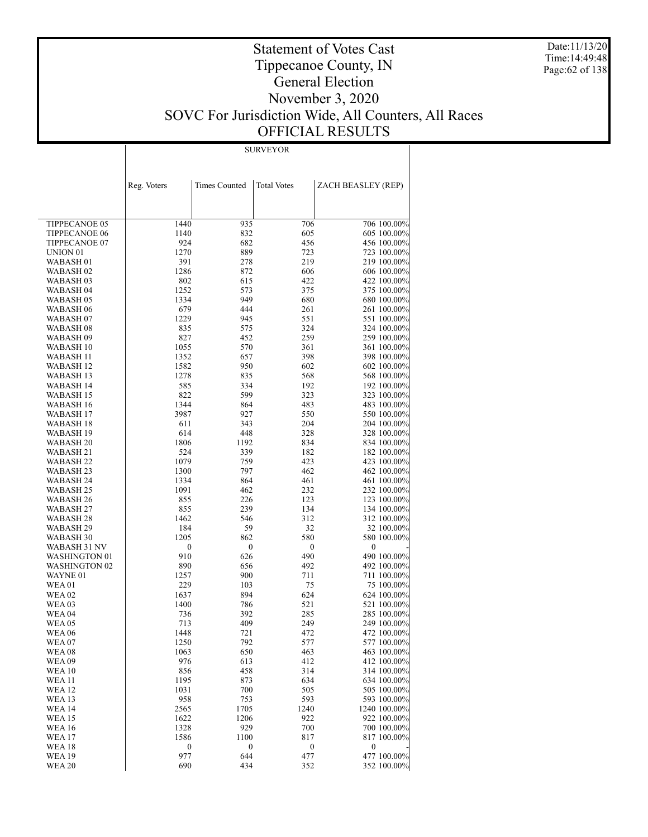Date:11/13/20 Time:14:49:48 Page:62 of 138

### Statement of Votes Cast Tippecanoe County, IN General Election November 3, 2020 SOVC For Jurisdiction Wide, All Counters, All Races OFFICIAL RESULTS

SURVEYOR

| Reg. Voters<br><b>Times Counted</b><br><b>Total Votes</b><br>ZACH BEASLEY (REP)<br>TIPPECANOE 05<br>1440<br>935<br>706<br>706 100.00%<br>605<br><b>TIPPECANOE 06</b><br>1140<br>832<br>605 100.00%<br>924<br>456<br>TIPPECANOE 07<br>682<br>456 100.00%<br>1270<br>889<br>723<br>723 100.00%<br>UNION <sub>01</sub><br>391<br>219<br>WABASH 01<br>278<br>219 100.00%<br>1286<br>872<br>606<br>606 100.00%<br>WABASH 02<br>802<br>422<br>615<br>422 100.00%<br>WABASH 03<br>1252<br>573<br>375<br>375 100.00%<br>WABASH <sub>04</sub><br>949<br>680<br>1334<br>680 100.00%<br>WABASH 05<br>679<br>444<br>261<br>261 100.00%<br>WABASH 06<br>551<br>1229<br>945<br>551 100.00%<br>WABASH 07<br>835<br>575<br>324<br>324 100.00%<br>WABASH 08<br>827<br>452<br>259<br>259 100.00%<br>WABASH 09<br>1055<br>570<br>361<br>361 100.00%<br>WABASH 10<br>657<br>398<br>1352<br>398 100.00%<br>WABASH 11<br>602<br>1582<br>950<br>602 100.00%<br>WABASH 12<br>568<br>1278<br>835<br>568 100.00%<br>WABASH 13<br>585<br>334<br>192<br>192 100.00%<br>WABASH 14<br>822<br>599<br>323<br>323 100.00%<br>WABASH 15<br>1344<br>864<br>483<br>483 100.00%<br>WABASH 16<br>3987<br>550<br>927<br>550 100.00%<br>WABASH 17<br>611<br>204<br>343<br>204 100.00%<br>WABASH 18<br>614<br>448<br>328<br>328 100.00%<br>WABASH 19<br>1806<br>1192<br>834<br>834 100.00%<br>WABASH 20<br>339<br>182<br>524<br>182 100.00%<br>WABASH 21<br>423<br>1079<br>759<br>423 100.00%<br>WABASH 22<br>797<br>462<br>1300<br>462 100.00%<br>WABASH 23<br>1334<br>864<br>461<br>461 100.00%<br>WABASH 24<br>232<br>1091<br>462<br>232 100.00%<br>WABASH 25<br>855<br>226<br>123<br>123 100.00%<br>WABASH 26<br>855<br>239<br>134<br>134 100.00%<br>WABASH 27<br>1462<br>546<br>312<br>312 100.00%<br>WABASH 28<br>59<br>32<br>184<br>32 100.00%<br>WABASH 29<br>580<br>1205<br>862<br>580 100.00%<br>WABASH 30<br>0<br>$\boldsymbol{0}$<br>$\boldsymbol{0}$<br>0<br>WABASH 31 NV<br>910<br>490<br>626<br>490 100.00%<br>WASHINGTON 01<br>492<br><b>WASHINGTON 02</b><br>890<br>656<br>492 100.00%<br>WAYNE 01<br>1257<br>900<br>711<br>711 100.00%<br>229<br>103<br>75<br>75 100.00%<br><b>WEA01</b><br>624<br>1637<br>894<br>624 100.00%<br><b>WEA 02</b><br>521<br>1400<br>786<br>521 100.00%<br>WEA 03<br><b>WEA 04</b><br>736<br>392<br>285<br>285 100.00%<br>713<br>409<br>249<br>249 100.00%<br>WEA 05<br>1448<br>721<br>472<br>472 100.00%<br>WEA 06<br>577 100.00%<br>WEA 07<br>1250<br>792<br>577<br>650<br>463 100.00%<br>WEA 08<br>1063<br>463<br>976<br>613<br>412<br>412 100.00%<br><b>WEA09</b><br><b>WEA 10</b><br>856<br>458<br>314<br>314 100.00%<br>634<br><b>WEA 11</b><br>1195<br>873<br>634 100.00%<br><b>WEA 12</b><br>1031<br>700<br>505<br>505 100.00%<br>958<br>593<br><b>WEA 13</b><br>753<br>593 100.00%<br><b>WEA 14</b><br>2565<br>1705<br>1240<br>1240 100.00%<br><b>WEA 15</b><br>1622<br>1206<br>922<br>922 100.00%<br><b>WEA 16</b><br>1328<br>929<br>700<br>700 100.00%<br><b>WEA 17</b><br>1586<br>1100<br>817<br>817 100.00%<br>$\boldsymbol{0}$<br><b>WEA 18</b><br>0<br>$\boldsymbol{0}$<br>0<br>977<br>477<br>477 100.00%<br><b>WEA 19</b><br>644 |               |     |     |     |             |
|-------------------------------------------------------------------------------------------------------------------------------------------------------------------------------------------------------------------------------------------------------------------------------------------------------------------------------------------------------------------------------------------------------------------------------------------------------------------------------------------------------------------------------------------------------------------------------------------------------------------------------------------------------------------------------------------------------------------------------------------------------------------------------------------------------------------------------------------------------------------------------------------------------------------------------------------------------------------------------------------------------------------------------------------------------------------------------------------------------------------------------------------------------------------------------------------------------------------------------------------------------------------------------------------------------------------------------------------------------------------------------------------------------------------------------------------------------------------------------------------------------------------------------------------------------------------------------------------------------------------------------------------------------------------------------------------------------------------------------------------------------------------------------------------------------------------------------------------------------------------------------------------------------------------------------------------------------------------------------------------------------------------------------------------------------------------------------------------------------------------------------------------------------------------------------------------------------------------------------------------------------------------------------------------------------------------------------------------------------------------------------------------------------------------------------------------------------------------------------------------------------------------------------------------------------------------------------------------------------------------------------------------------------------------------------------------------------------------------------------------------------------------------------------------------------------------------------------------------------------------------------------------------------------------------------------------------------------------------------------------------------------------------------------------------------------------------------------------------------------------------------------------------------|---------------|-----|-----|-----|-------------|
|                                                                                                                                                                                                                                                                                                                                                                                                                                                                                                                                                                                                                                                                                                                                                                                                                                                                                                                                                                                                                                                                                                                                                                                                                                                                                                                                                                                                                                                                                                                                                                                                                                                                                                                                                                                                                                                                                                                                                                                                                                                                                                                                                                                                                                                                                                                                                                                                                                                                                                                                                                                                                                                                                                                                                                                                                                                                                                                                                                                                                                                                                                                                                       |               |     |     |     |             |
|                                                                                                                                                                                                                                                                                                                                                                                                                                                                                                                                                                                                                                                                                                                                                                                                                                                                                                                                                                                                                                                                                                                                                                                                                                                                                                                                                                                                                                                                                                                                                                                                                                                                                                                                                                                                                                                                                                                                                                                                                                                                                                                                                                                                                                                                                                                                                                                                                                                                                                                                                                                                                                                                                                                                                                                                                                                                                                                                                                                                                                                                                                                                                       |               |     |     |     |             |
|                                                                                                                                                                                                                                                                                                                                                                                                                                                                                                                                                                                                                                                                                                                                                                                                                                                                                                                                                                                                                                                                                                                                                                                                                                                                                                                                                                                                                                                                                                                                                                                                                                                                                                                                                                                                                                                                                                                                                                                                                                                                                                                                                                                                                                                                                                                                                                                                                                                                                                                                                                                                                                                                                                                                                                                                                                                                                                                                                                                                                                                                                                                                                       |               |     |     |     |             |
|                                                                                                                                                                                                                                                                                                                                                                                                                                                                                                                                                                                                                                                                                                                                                                                                                                                                                                                                                                                                                                                                                                                                                                                                                                                                                                                                                                                                                                                                                                                                                                                                                                                                                                                                                                                                                                                                                                                                                                                                                                                                                                                                                                                                                                                                                                                                                                                                                                                                                                                                                                                                                                                                                                                                                                                                                                                                                                                                                                                                                                                                                                                                                       |               |     |     |     |             |
|                                                                                                                                                                                                                                                                                                                                                                                                                                                                                                                                                                                                                                                                                                                                                                                                                                                                                                                                                                                                                                                                                                                                                                                                                                                                                                                                                                                                                                                                                                                                                                                                                                                                                                                                                                                                                                                                                                                                                                                                                                                                                                                                                                                                                                                                                                                                                                                                                                                                                                                                                                                                                                                                                                                                                                                                                                                                                                                                                                                                                                                                                                                                                       |               |     |     |     |             |
|                                                                                                                                                                                                                                                                                                                                                                                                                                                                                                                                                                                                                                                                                                                                                                                                                                                                                                                                                                                                                                                                                                                                                                                                                                                                                                                                                                                                                                                                                                                                                                                                                                                                                                                                                                                                                                                                                                                                                                                                                                                                                                                                                                                                                                                                                                                                                                                                                                                                                                                                                                                                                                                                                                                                                                                                                                                                                                                                                                                                                                                                                                                                                       |               |     |     |     |             |
|                                                                                                                                                                                                                                                                                                                                                                                                                                                                                                                                                                                                                                                                                                                                                                                                                                                                                                                                                                                                                                                                                                                                                                                                                                                                                                                                                                                                                                                                                                                                                                                                                                                                                                                                                                                                                                                                                                                                                                                                                                                                                                                                                                                                                                                                                                                                                                                                                                                                                                                                                                                                                                                                                                                                                                                                                                                                                                                                                                                                                                                                                                                                                       |               |     |     |     |             |
|                                                                                                                                                                                                                                                                                                                                                                                                                                                                                                                                                                                                                                                                                                                                                                                                                                                                                                                                                                                                                                                                                                                                                                                                                                                                                                                                                                                                                                                                                                                                                                                                                                                                                                                                                                                                                                                                                                                                                                                                                                                                                                                                                                                                                                                                                                                                                                                                                                                                                                                                                                                                                                                                                                                                                                                                                                                                                                                                                                                                                                                                                                                                                       |               |     |     |     |             |
|                                                                                                                                                                                                                                                                                                                                                                                                                                                                                                                                                                                                                                                                                                                                                                                                                                                                                                                                                                                                                                                                                                                                                                                                                                                                                                                                                                                                                                                                                                                                                                                                                                                                                                                                                                                                                                                                                                                                                                                                                                                                                                                                                                                                                                                                                                                                                                                                                                                                                                                                                                                                                                                                                                                                                                                                                                                                                                                                                                                                                                                                                                                                                       |               |     |     |     |             |
|                                                                                                                                                                                                                                                                                                                                                                                                                                                                                                                                                                                                                                                                                                                                                                                                                                                                                                                                                                                                                                                                                                                                                                                                                                                                                                                                                                                                                                                                                                                                                                                                                                                                                                                                                                                                                                                                                                                                                                                                                                                                                                                                                                                                                                                                                                                                                                                                                                                                                                                                                                                                                                                                                                                                                                                                                                                                                                                                                                                                                                                                                                                                                       |               |     |     |     |             |
|                                                                                                                                                                                                                                                                                                                                                                                                                                                                                                                                                                                                                                                                                                                                                                                                                                                                                                                                                                                                                                                                                                                                                                                                                                                                                                                                                                                                                                                                                                                                                                                                                                                                                                                                                                                                                                                                                                                                                                                                                                                                                                                                                                                                                                                                                                                                                                                                                                                                                                                                                                                                                                                                                                                                                                                                                                                                                                                                                                                                                                                                                                                                                       |               |     |     |     |             |
|                                                                                                                                                                                                                                                                                                                                                                                                                                                                                                                                                                                                                                                                                                                                                                                                                                                                                                                                                                                                                                                                                                                                                                                                                                                                                                                                                                                                                                                                                                                                                                                                                                                                                                                                                                                                                                                                                                                                                                                                                                                                                                                                                                                                                                                                                                                                                                                                                                                                                                                                                                                                                                                                                                                                                                                                                                                                                                                                                                                                                                                                                                                                                       |               |     |     |     |             |
|                                                                                                                                                                                                                                                                                                                                                                                                                                                                                                                                                                                                                                                                                                                                                                                                                                                                                                                                                                                                                                                                                                                                                                                                                                                                                                                                                                                                                                                                                                                                                                                                                                                                                                                                                                                                                                                                                                                                                                                                                                                                                                                                                                                                                                                                                                                                                                                                                                                                                                                                                                                                                                                                                                                                                                                                                                                                                                                                                                                                                                                                                                                                                       |               |     |     |     |             |
|                                                                                                                                                                                                                                                                                                                                                                                                                                                                                                                                                                                                                                                                                                                                                                                                                                                                                                                                                                                                                                                                                                                                                                                                                                                                                                                                                                                                                                                                                                                                                                                                                                                                                                                                                                                                                                                                                                                                                                                                                                                                                                                                                                                                                                                                                                                                                                                                                                                                                                                                                                                                                                                                                                                                                                                                                                                                                                                                                                                                                                                                                                                                                       |               |     |     |     |             |
|                                                                                                                                                                                                                                                                                                                                                                                                                                                                                                                                                                                                                                                                                                                                                                                                                                                                                                                                                                                                                                                                                                                                                                                                                                                                                                                                                                                                                                                                                                                                                                                                                                                                                                                                                                                                                                                                                                                                                                                                                                                                                                                                                                                                                                                                                                                                                                                                                                                                                                                                                                                                                                                                                                                                                                                                                                                                                                                                                                                                                                                                                                                                                       |               |     |     |     |             |
|                                                                                                                                                                                                                                                                                                                                                                                                                                                                                                                                                                                                                                                                                                                                                                                                                                                                                                                                                                                                                                                                                                                                                                                                                                                                                                                                                                                                                                                                                                                                                                                                                                                                                                                                                                                                                                                                                                                                                                                                                                                                                                                                                                                                                                                                                                                                                                                                                                                                                                                                                                                                                                                                                                                                                                                                                                                                                                                                                                                                                                                                                                                                                       |               |     |     |     |             |
|                                                                                                                                                                                                                                                                                                                                                                                                                                                                                                                                                                                                                                                                                                                                                                                                                                                                                                                                                                                                                                                                                                                                                                                                                                                                                                                                                                                                                                                                                                                                                                                                                                                                                                                                                                                                                                                                                                                                                                                                                                                                                                                                                                                                                                                                                                                                                                                                                                                                                                                                                                                                                                                                                                                                                                                                                                                                                                                                                                                                                                                                                                                                                       |               |     |     |     |             |
|                                                                                                                                                                                                                                                                                                                                                                                                                                                                                                                                                                                                                                                                                                                                                                                                                                                                                                                                                                                                                                                                                                                                                                                                                                                                                                                                                                                                                                                                                                                                                                                                                                                                                                                                                                                                                                                                                                                                                                                                                                                                                                                                                                                                                                                                                                                                                                                                                                                                                                                                                                                                                                                                                                                                                                                                                                                                                                                                                                                                                                                                                                                                                       |               |     |     |     |             |
|                                                                                                                                                                                                                                                                                                                                                                                                                                                                                                                                                                                                                                                                                                                                                                                                                                                                                                                                                                                                                                                                                                                                                                                                                                                                                                                                                                                                                                                                                                                                                                                                                                                                                                                                                                                                                                                                                                                                                                                                                                                                                                                                                                                                                                                                                                                                                                                                                                                                                                                                                                                                                                                                                                                                                                                                                                                                                                                                                                                                                                                                                                                                                       |               |     |     |     |             |
|                                                                                                                                                                                                                                                                                                                                                                                                                                                                                                                                                                                                                                                                                                                                                                                                                                                                                                                                                                                                                                                                                                                                                                                                                                                                                                                                                                                                                                                                                                                                                                                                                                                                                                                                                                                                                                                                                                                                                                                                                                                                                                                                                                                                                                                                                                                                                                                                                                                                                                                                                                                                                                                                                                                                                                                                                                                                                                                                                                                                                                                                                                                                                       |               |     |     |     |             |
|                                                                                                                                                                                                                                                                                                                                                                                                                                                                                                                                                                                                                                                                                                                                                                                                                                                                                                                                                                                                                                                                                                                                                                                                                                                                                                                                                                                                                                                                                                                                                                                                                                                                                                                                                                                                                                                                                                                                                                                                                                                                                                                                                                                                                                                                                                                                                                                                                                                                                                                                                                                                                                                                                                                                                                                                                                                                                                                                                                                                                                                                                                                                                       |               |     |     |     |             |
|                                                                                                                                                                                                                                                                                                                                                                                                                                                                                                                                                                                                                                                                                                                                                                                                                                                                                                                                                                                                                                                                                                                                                                                                                                                                                                                                                                                                                                                                                                                                                                                                                                                                                                                                                                                                                                                                                                                                                                                                                                                                                                                                                                                                                                                                                                                                                                                                                                                                                                                                                                                                                                                                                                                                                                                                                                                                                                                                                                                                                                                                                                                                                       |               |     |     |     |             |
|                                                                                                                                                                                                                                                                                                                                                                                                                                                                                                                                                                                                                                                                                                                                                                                                                                                                                                                                                                                                                                                                                                                                                                                                                                                                                                                                                                                                                                                                                                                                                                                                                                                                                                                                                                                                                                                                                                                                                                                                                                                                                                                                                                                                                                                                                                                                                                                                                                                                                                                                                                                                                                                                                                                                                                                                                                                                                                                                                                                                                                                                                                                                                       |               |     |     |     |             |
|                                                                                                                                                                                                                                                                                                                                                                                                                                                                                                                                                                                                                                                                                                                                                                                                                                                                                                                                                                                                                                                                                                                                                                                                                                                                                                                                                                                                                                                                                                                                                                                                                                                                                                                                                                                                                                                                                                                                                                                                                                                                                                                                                                                                                                                                                                                                                                                                                                                                                                                                                                                                                                                                                                                                                                                                                                                                                                                                                                                                                                                                                                                                                       |               |     |     |     |             |
|                                                                                                                                                                                                                                                                                                                                                                                                                                                                                                                                                                                                                                                                                                                                                                                                                                                                                                                                                                                                                                                                                                                                                                                                                                                                                                                                                                                                                                                                                                                                                                                                                                                                                                                                                                                                                                                                                                                                                                                                                                                                                                                                                                                                                                                                                                                                                                                                                                                                                                                                                                                                                                                                                                                                                                                                                                                                                                                                                                                                                                                                                                                                                       |               |     |     |     |             |
|                                                                                                                                                                                                                                                                                                                                                                                                                                                                                                                                                                                                                                                                                                                                                                                                                                                                                                                                                                                                                                                                                                                                                                                                                                                                                                                                                                                                                                                                                                                                                                                                                                                                                                                                                                                                                                                                                                                                                                                                                                                                                                                                                                                                                                                                                                                                                                                                                                                                                                                                                                                                                                                                                                                                                                                                                                                                                                                                                                                                                                                                                                                                                       |               |     |     |     |             |
|                                                                                                                                                                                                                                                                                                                                                                                                                                                                                                                                                                                                                                                                                                                                                                                                                                                                                                                                                                                                                                                                                                                                                                                                                                                                                                                                                                                                                                                                                                                                                                                                                                                                                                                                                                                                                                                                                                                                                                                                                                                                                                                                                                                                                                                                                                                                                                                                                                                                                                                                                                                                                                                                                                                                                                                                                                                                                                                                                                                                                                                                                                                                                       |               |     |     |     |             |
|                                                                                                                                                                                                                                                                                                                                                                                                                                                                                                                                                                                                                                                                                                                                                                                                                                                                                                                                                                                                                                                                                                                                                                                                                                                                                                                                                                                                                                                                                                                                                                                                                                                                                                                                                                                                                                                                                                                                                                                                                                                                                                                                                                                                                                                                                                                                                                                                                                                                                                                                                                                                                                                                                                                                                                                                                                                                                                                                                                                                                                                                                                                                                       |               |     |     |     |             |
|                                                                                                                                                                                                                                                                                                                                                                                                                                                                                                                                                                                                                                                                                                                                                                                                                                                                                                                                                                                                                                                                                                                                                                                                                                                                                                                                                                                                                                                                                                                                                                                                                                                                                                                                                                                                                                                                                                                                                                                                                                                                                                                                                                                                                                                                                                                                                                                                                                                                                                                                                                                                                                                                                                                                                                                                                                                                                                                                                                                                                                                                                                                                                       |               |     |     |     |             |
|                                                                                                                                                                                                                                                                                                                                                                                                                                                                                                                                                                                                                                                                                                                                                                                                                                                                                                                                                                                                                                                                                                                                                                                                                                                                                                                                                                                                                                                                                                                                                                                                                                                                                                                                                                                                                                                                                                                                                                                                                                                                                                                                                                                                                                                                                                                                                                                                                                                                                                                                                                                                                                                                                                                                                                                                                                                                                                                                                                                                                                                                                                                                                       |               |     |     |     |             |
|                                                                                                                                                                                                                                                                                                                                                                                                                                                                                                                                                                                                                                                                                                                                                                                                                                                                                                                                                                                                                                                                                                                                                                                                                                                                                                                                                                                                                                                                                                                                                                                                                                                                                                                                                                                                                                                                                                                                                                                                                                                                                                                                                                                                                                                                                                                                                                                                                                                                                                                                                                                                                                                                                                                                                                                                                                                                                                                                                                                                                                                                                                                                                       |               |     |     |     |             |
|                                                                                                                                                                                                                                                                                                                                                                                                                                                                                                                                                                                                                                                                                                                                                                                                                                                                                                                                                                                                                                                                                                                                                                                                                                                                                                                                                                                                                                                                                                                                                                                                                                                                                                                                                                                                                                                                                                                                                                                                                                                                                                                                                                                                                                                                                                                                                                                                                                                                                                                                                                                                                                                                                                                                                                                                                                                                                                                                                                                                                                                                                                                                                       |               |     |     |     |             |
|                                                                                                                                                                                                                                                                                                                                                                                                                                                                                                                                                                                                                                                                                                                                                                                                                                                                                                                                                                                                                                                                                                                                                                                                                                                                                                                                                                                                                                                                                                                                                                                                                                                                                                                                                                                                                                                                                                                                                                                                                                                                                                                                                                                                                                                                                                                                                                                                                                                                                                                                                                                                                                                                                                                                                                                                                                                                                                                                                                                                                                                                                                                                                       |               |     |     |     |             |
|                                                                                                                                                                                                                                                                                                                                                                                                                                                                                                                                                                                                                                                                                                                                                                                                                                                                                                                                                                                                                                                                                                                                                                                                                                                                                                                                                                                                                                                                                                                                                                                                                                                                                                                                                                                                                                                                                                                                                                                                                                                                                                                                                                                                                                                                                                                                                                                                                                                                                                                                                                                                                                                                                                                                                                                                                                                                                                                                                                                                                                                                                                                                                       |               |     |     |     |             |
|                                                                                                                                                                                                                                                                                                                                                                                                                                                                                                                                                                                                                                                                                                                                                                                                                                                                                                                                                                                                                                                                                                                                                                                                                                                                                                                                                                                                                                                                                                                                                                                                                                                                                                                                                                                                                                                                                                                                                                                                                                                                                                                                                                                                                                                                                                                                                                                                                                                                                                                                                                                                                                                                                                                                                                                                                                                                                                                                                                                                                                                                                                                                                       |               |     |     |     |             |
|                                                                                                                                                                                                                                                                                                                                                                                                                                                                                                                                                                                                                                                                                                                                                                                                                                                                                                                                                                                                                                                                                                                                                                                                                                                                                                                                                                                                                                                                                                                                                                                                                                                                                                                                                                                                                                                                                                                                                                                                                                                                                                                                                                                                                                                                                                                                                                                                                                                                                                                                                                                                                                                                                                                                                                                                                                                                                                                                                                                                                                                                                                                                                       |               |     |     |     |             |
|                                                                                                                                                                                                                                                                                                                                                                                                                                                                                                                                                                                                                                                                                                                                                                                                                                                                                                                                                                                                                                                                                                                                                                                                                                                                                                                                                                                                                                                                                                                                                                                                                                                                                                                                                                                                                                                                                                                                                                                                                                                                                                                                                                                                                                                                                                                                                                                                                                                                                                                                                                                                                                                                                                                                                                                                                                                                                                                                                                                                                                                                                                                                                       |               |     |     |     |             |
|                                                                                                                                                                                                                                                                                                                                                                                                                                                                                                                                                                                                                                                                                                                                                                                                                                                                                                                                                                                                                                                                                                                                                                                                                                                                                                                                                                                                                                                                                                                                                                                                                                                                                                                                                                                                                                                                                                                                                                                                                                                                                                                                                                                                                                                                                                                                                                                                                                                                                                                                                                                                                                                                                                                                                                                                                                                                                                                                                                                                                                                                                                                                                       |               |     |     |     |             |
|                                                                                                                                                                                                                                                                                                                                                                                                                                                                                                                                                                                                                                                                                                                                                                                                                                                                                                                                                                                                                                                                                                                                                                                                                                                                                                                                                                                                                                                                                                                                                                                                                                                                                                                                                                                                                                                                                                                                                                                                                                                                                                                                                                                                                                                                                                                                                                                                                                                                                                                                                                                                                                                                                                                                                                                                                                                                                                                                                                                                                                                                                                                                                       |               |     |     |     |             |
|                                                                                                                                                                                                                                                                                                                                                                                                                                                                                                                                                                                                                                                                                                                                                                                                                                                                                                                                                                                                                                                                                                                                                                                                                                                                                                                                                                                                                                                                                                                                                                                                                                                                                                                                                                                                                                                                                                                                                                                                                                                                                                                                                                                                                                                                                                                                                                                                                                                                                                                                                                                                                                                                                                                                                                                                                                                                                                                                                                                                                                                                                                                                                       |               |     |     |     |             |
|                                                                                                                                                                                                                                                                                                                                                                                                                                                                                                                                                                                                                                                                                                                                                                                                                                                                                                                                                                                                                                                                                                                                                                                                                                                                                                                                                                                                                                                                                                                                                                                                                                                                                                                                                                                                                                                                                                                                                                                                                                                                                                                                                                                                                                                                                                                                                                                                                                                                                                                                                                                                                                                                                                                                                                                                                                                                                                                                                                                                                                                                                                                                                       |               |     |     |     |             |
|                                                                                                                                                                                                                                                                                                                                                                                                                                                                                                                                                                                                                                                                                                                                                                                                                                                                                                                                                                                                                                                                                                                                                                                                                                                                                                                                                                                                                                                                                                                                                                                                                                                                                                                                                                                                                                                                                                                                                                                                                                                                                                                                                                                                                                                                                                                                                                                                                                                                                                                                                                                                                                                                                                                                                                                                                                                                                                                                                                                                                                                                                                                                                       |               |     |     |     |             |
|                                                                                                                                                                                                                                                                                                                                                                                                                                                                                                                                                                                                                                                                                                                                                                                                                                                                                                                                                                                                                                                                                                                                                                                                                                                                                                                                                                                                                                                                                                                                                                                                                                                                                                                                                                                                                                                                                                                                                                                                                                                                                                                                                                                                                                                                                                                                                                                                                                                                                                                                                                                                                                                                                                                                                                                                                                                                                                                                                                                                                                                                                                                                                       |               |     |     |     |             |
|                                                                                                                                                                                                                                                                                                                                                                                                                                                                                                                                                                                                                                                                                                                                                                                                                                                                                                                                                                                                                                                                                                                                                                                                                                                                                                                                                                                                                                                                                                                                                                                                                                                                                                                                                                                                                                                                                                                                                                                                                                                                                                                                                                                                                                                                                                                                                                                                                                                                                                                                                                                                                                                                                                                                                                                                                                                                                                                                                                                                                                                                                                                                                       |               |     |     |     |             |
|                                                                                                                                                                                                                                                                                                                                                                                                                                                                                                                                                                                                                                                                                                                                                                                                                                                                                                                                                                                                                                                                                                                                                                                                                                                                                                                                                                                                                                                                                                                                                                                                                                                                                                                                                                                                                                                                                                                                                                                                                                                                                                                                                                                                                                                                                                                                                                                                                                                                                                                                                                                                                                                                                                                                                                                                                                                                                                                                                                                                                                                                                                                                                       |               |     |     |     |             |
|                                                                                                                                                                                                                                                                                                                                                                                                                                                                                                                                                                                                                                                                                                                                                                                                                                                                                                                                                                                                                                                                                                                                                                                                                                                                                                                                                                                                                                                                                                                                                                                                                                                                                                                                                                                                                                                                                                                                                                                                                                                                                                                                                                                                                                                                                                                                                                                                                                                                                                                                                                                                                                                                                                                                                                                                                                                                                                                                                                                                                                                                                                                                                       |               |     |     |     |             |
|                                                                                                                                                                                                                                                                                                                                                                                                                                                                                                                                                                                                                                                                                                                                                                                                                                                                                                                                                                                                                                                                                                                                                                                                                                                                                                                                                                                                                                                                                                                                                                                                                                                                                                                                                                                                                                                                                                                                                                                                                                                                                                                                                                                                                                                                                                                                                                                                                                                                                                                                                                                                                                                                                                                                                                                                                                                                                                                                                                                                                                                                                                                                                       |               |     |     |     |             |
|                                                                                                                                                                                                                                                                                                                                                                                                                                                                                                                                                                                                                                                                                                                                                                                                                                                                                                                                                                                                                                                                                                                                                                                                                                                                                                                                                                                                                                                                                                                                                                                                                                                                                                                                                                                                                                                                                                                                                                                                                                                                                                                                                                                                                                                                                                                                                                                                                                                                                                                                                                                                                                                                                                                                                                                                                                                                                                                                                                                                                                                                                                                                                       |               |     |     |     |             |
|                                                                                                                                                                                                                                                                                                                                                                                                                                                                                                                                                                                                                                                                                                                                                                                                                                                                                                                                                                                                                                                                                                                                                                                                                                                                                                                                                                                                                                                                                                                                                                                                                                                                                                                                                                                                                                                                                                                                                                                                                                                                                                                                                                                                                                                                                                                                                                                                                                                                                                                                                                                                                                                                                                                                                                                                                                                                                                                                                                                                                                                                                                                                                       |               |     |     |     |             |
|                                                                                                                                                                                                                                                                                                                                                                                                                                                                                                                                                                                                                                                                                                                                                                                                                                                                                                                                                                                                                                                                                                                                                                                                                                                                                                                                                                                                                                                                                                                                                                                                                                                                                                                                                                                                                                                                                                                                                                                                                                                                                                                                                                                                                                                                                                                                                                                                                                                                                                                                                                                                                                                                                                                                                                                                                                                                                                                                                                                                                                                                                                                                                       |               |     |     |     |             |
|                                                                                                                                                                                                                                                                                                                                                                                                                                                                                                                                                                                                                                                                                                                                                                                                                                                                                                                                                                                                                                                                                                                                                                                                                                                                                                                                                                                                                                                                                                                                                                                                                                                                                                                                                                                                                                                                                                                                                                                                                                                                                                                                                                                                                                                                                                                                                                                                                                                                                                                                                                                                                                                                                                                                                                                                                                                                                                                                                                                                                                                                                                                                                       |               |     |     |     |             |
|                                                                                                                                                                                                                                                                                                                                                                                                                                                                                                                                                                                                                                                                                                                                                                                                                                                                                                                                                                                                                                                                                                                                                                                                                                                                                                                                                                                                                                                                                                                                                                                                                                                                                                                                                                                                                                                                                                                                                                                                                                                                                                                                                                                                                                                                                                                                                                                                                                                                                                                                                                                                                                                                                                                                                                                                                                                                                                                                                                                                                                                                                                                                                       |               |     |     |     |             |
|                                                                                                                                                                                                                                                                                                                                                                                                                                                                                                                                                                                                                                                                                                                                                                                                                                                                                                                                                                                                                                                                                                                                                                                                                                                                                                                                                                                                                                                                                                                                                                                                                                                                                                                                                                                                                                                                                                                                                                                                                                                                                                                                                                                                                                                                                                                                                                                                                                                                                                                                                                                                                                                                                                                                                                                                                                                                                                                                                                                                                                                                                                                                                       |               |     |     |     |             |
|                                                                                                                                                                                                                                                                                                                                                                                                                                                                                                                                                                                                                                                                                                                                                                                                                                                                                                                                                                                                                                                                                                                                                                                                                                                                                                                                                                                                                                                                                                                                                                                                                                                                                                                                                                                                                                                                                                                                                                                                                                                                                                                                                                                                                                                                                                                                                                                                                                                                                                                                                                                                                                                                                                                                                                                                                                                                                                                                                                                                                                                                                                                                                       |               |     |     |     |             |
|                                                                                                                                                                                                                                                                                                                                                                                                                                                                                                                                                                                                                                                                                                                                                                                                                                                                                                                                                                                                                                                                                                                                                                                                                                                                                                                                                                                                                                                                                                                                                                                                                                                                                                                                                                                                                                                                                                                                                                                                                                                                                                                                                                                                                                                                                                                                                                                                                                                                                                                                                                                                                                                                                                                                                                                                                                                                                                                                                                                                                                                                                                                                                       |               |     |     |     |             |
|                                                                                                                                                                                                                                                                                                                                                                                                                                                                                                                                                                                                                                                                                                                                                                                                                                                                                                                                                                                                                                                                                                                                                                                                                                                                                                                                                                                                                                                                                                                                                                                                                                                                                                                                                                                                                                                                                                                                                                                                                                                                                                                                                                                                                                                                                                                                                                                                                                                                                                                                                                                                                                                                                                                                                                                                                                                                                                                                                                                                                                                                                                                                                       |               |     |     |     |             |
|                                                                                                                                                                                                                                                                                                                                                                                                                                                                                                                                                                                                                                                                                                                                                                                                                                                                                                                                                                                                                                                                                                                                                                                                                                                                                                                                                                                                                                                                                                                                                                                                                                                                                                                                                                                                                                                                                                                                                                                                                                                                                                                                                                                                                                                                                                                                                                                                                                                                                                                                                                                                                                                                                                                                                                                                                                                                                                                                                                                                                                                                                                                                                       |               |     |     |     |             |
|                                                                                                                                                                                                                                                                                                                                                                                                                                                                                                                                                                                                                                                                                                                                                                                                                                                                                                                                                                                                                                                                                                                                                                                                                                                                                                                                                                                                                                                                                                                                                                                                                                                                                                                                                                                                                                                                                                                                                                                                                                                                                                                                                                                                                                                                                                                                                                                                                                                                                                                                                                                                                                                                                                                                                                                                                                                                                                                                                                                                                                                                                                                                                       |               |     |     |     |             |
|                                                                                                                                                                                                                                                                                                                                                                                                                                                                                                                                                                                                                                                                                                                                                                                                                                                                                                                                                                                                                                                                                                                                                                                                                                                                                                                                                                                                                                                                                                                                                                                                                                                                                                                                                                                                                                                                                                                                                                                                                                                                                                                                                                                                                                                                                                                                                                                                                                                                                                                                                                                                                                                                                                                                                                                                                                                                                                                                                                                                                                                                                                                                                       | <b>WEA 20</b> | 690 | 434 | 352 | 352 100.00% |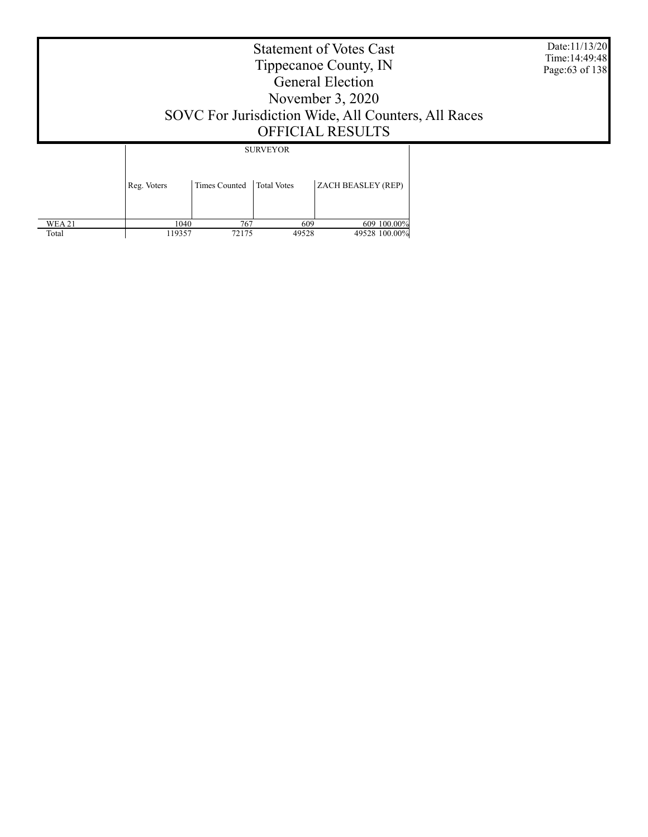Date:11/13/20 Time:14:49:48 Page:63 of 138

### Statement of Votes Cast Tippecanoe County, IN General Election November 3, 2020 SOVC For Jurisdiction Wide, All Counters, All Races OFFICIAL RESULTS

SURVEYOR

|               | Reg. Voters | Times Counted Total Votes |       | ZACH BEASLEY (REP) |
|---------------|-------------|---------------------------|-------|--------------------|
| <b>WEA 21</b> | 1040        | 767                       | 609   | 609 100.00%        |
| Total         | 119357      | 72175                     | 49528 | 49528 100.00%      |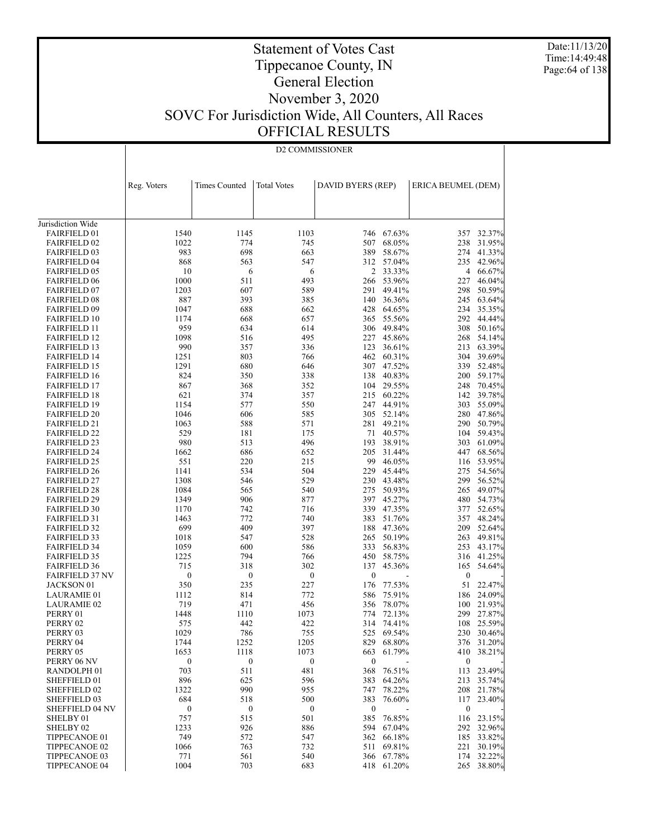Date:11/13/20 Time:14:49:48 Page:64 of 138

## Tippecanoe County, IN General Election

Statement of Votes Cast

# November 3, 2020 SOVC For Jurisdiction Wide, All Counters, All Races

OFFICIAL RESULTS

| Reg. Voters<br><b>Times Counted</b><br><b>Total Votes</b><br>DAVID BYERS (REP)<br>ERICA BEUMEL (DEM)<br>Jurisdiction Wide<br>1103<br>746 67.63%<br><b>FAIRFIELD 01</b><br>1540<br>1145<br>357<br>32.37%<br>1022<br>68.05%<br>238<br><b>FAIRFIELD 02</b><br>774<br>745<br>507<br>31.95%<br>983<br>698<br><b>FAIRFIELD 03</b><br>663<br>389<br>58.67%<br>274<br>41.33%<br>312 57.04%<br><b>FAIRFIELD 04</b><br>868<br>563<br>547<br>235<br>42.96%<br>2 33.33%<br><b>FAIRFIELD 05</b><br>10<br>6<br>6<br>66.67%<br>4<br>1000<br>511<br>266 53.96%<br><b>FAIRFIELD 06</b><br>493<br>227<br>46.04%<br>607<br>49.41%<br><b>FAIRFIELD 07</b><br>1203<br>589<br>291<br>298<br>50.59%<br>887<br>393<br><b>FAIRFIELD 08</b><br>385<br>140<br>36.36%<br>245<br>63.64%<br>688<br><b>FAIRFIELD 09</b><br>1047<br>662<br>428<br>64.65%<br>234<br>35.35%<br>292<br><b>FAIRFIELD 10</b><br>1174<br>668<br>657<br>365<br>55.56%<br>44.44%<br>959<br>634<br><b>FAIRFIELD 11</b><br>614<br>306 49.84%<br>308<br>50.16%<br>1098<br><b>FAIRFIELD 12</b><br>516<br>495<br>227<br>45.86%<br>268<br>54.14%<br>990<br>357<br><b>FAIRFIELD 13</b><br>336<br>123<br>36.61%<br>213<br>63.39%<br>1251<br>803<br><b>FAIRFIELD 14</b><br>766<br>462 60.31%<br>304<br>39.69%<br>680<br>47.52%<br><b>FAIRFIELD 15</b><br>1291<br>646<br>307<br>339<br>52.48%<br>824<br>350<br>40.83%<br><b>FAIRFIELD 16</b><br>338<br>138<br>200<br>59.17%<br>29.55%<br><b>FAIRFIELD 17</b><br>867<br>368<br>352<br>104<br>248<br>70.45%<br>621<br>374<br>215 60.22%<br><b>FAIRFIELD 18</b><br>357<br>142<br>39.78%<br>1154<br>577<br>44.91%<br><b>FAIRFIELD 19</b><br>550<br>247<br>303<br>55.09%<br>1046<br>606<br>52.14%<br><b>FAIRFIELD 20</b><br>585<br>305<br>280<br>47.86%<br>49.21%<br><b>FAIRFIELD 21</b><br>1063<br>588<br>571<br>281<br>290<br>50.79%<br>529<br><b>FAIRFIELD 22</b><br>181<br>175<br>71<br>40.57%<br>104<br>59.43%<br>980<br>513<br>38.91%<br><b>FAIRFIELD 23</b><br>496<br>193<br>303<br>61.09%<br>1662<br>686<br><b>FAIRFIELD 24</b><br>652<br>205<br>31.44%<br>447<br>68.56%<br>220<br><b>FAIRFIELD 25</b><br>551<br>215<br>99<br>46.05%<br>53.95%<br>116<br>534<br><b>FAIRFIELD 26</b><br>1141<br>504<br>229 45.44%<br>275<br>54.56%<br>230 43.48%<br>299<br><b>FAIRFIELD 27</b><br>1308<br>546<br>529<br>56.52%<br>1084<br>565<br>50.93%<br><b>FAIRFIELD 28</b><br>540<br>275<br>265<br>49.07%<br>397 45.27%<br><b>FAIRFIELD 29</b><br>1349<br>906<br>877<br>480<br>54.73%<br>742<br><b>FAIRFIELD 30</b><br>1170<br>716<br>339<br>47.35%<br>377<br>52.65%<br><b>FAIRFIELD 31</b><br>1463<br>772<br>740<br>383<br>51.76%<br>357<br>48.24%<br>699<br>409<br>209<br><b>FAIRFIELD 32</b><br>397<br>188<br>47.36%<br>52.64%<br>547<br><b>FAIRFIELD 33</b><br>1018<br>528<br>265<br>50.19%<br>263<br>49.81%<br><b>FAIRFIELD 34</b><br>1059<br>600<br>586<br>333<br>56.83%<br>253<br>43.17%<br>1225<br>794<br>58.75%<br><b>FAIRFIELD 35</b><br>766<br>450<br>316<br>41.25%<br><b>FAIRFIELD 36</b><br>715<br>318<br>302<br>137<br>45.36%<br>165<br>54.64%<br><b>FAIRFIELD 37 NV</b><br>$\boldsymbol{0}$<br>$\boldsymbol{0}$<br>$\boldsymbol{0}$<br>$\boldsymbol{0}$<br>$\boldsymbol{0}$<br>350<br>77.53%<br>51<br>JACKSON 01<br>235<br>227<br>22.47%<br>176<br>1112<br>814<br>772<br>586<br>75.91%<br>186<br>24.09%<br>LAURAMIE 01<br>719<br>471<br>456<br>78.07%<br><b>LAURAMIE 02</b><br>356<br>100<br>21.93%<br>1448<br>1110<br>1073<br>774 72.13%<br>299 27.87%<br>PERRY 01<br>442<br>314 74.41%<br>108 25.59%<br>PERRY 02<br>575<br>422<br>PERRY 03<br>1029<br>786<br>755<br>525<br>69.54%<br>230 30.46%<br>PERRY 04<br>1744<br>1252<br>1205<br>829<br>68.80%<br>376 31.20%<br>PERRY 05<br>1653<br>1118<br>1073<br>61.79%<br>410 38.21%<br>663<br>PERRY 06 NV<br>$\boldsymbol{0}$<br>$\boldsymbol{0}$<br>$\boldsymbol{0}$<br>$\bf{0}$<br>$\boldsymbol{0}$<br>481<br>RANDOLPH <sub>01</sub><br>703<br>511<br>368<br>76.51%<br>113<br>23.49%<br>896<br>SHEFFIELD 01<br>625<br>596<br>383<br>64.26%<br>213<br>35.74%<br>990<br>SHEFFIELD 02<br>1322<br>955<br>78.22%<br>208<br>21.78%<br>747<br>SHEFFIELD 03<br>684<br>518<br>500<br>383<br>76.60%<br>117<br>23.40%<br>$\boldsymbol{0}$<br><b>SHEFFIELD 04 NV</b><br>$\boldsymbol{0}$<br>$\boldsymbol{0}$<br>$\boldsymbol{0}$<br>$\boldsymbol{0}$<br>757<br>SHELBY 01<br>515<br>501<br>385<br>76.85%<br>116<br>23.15%<br>SHELBY <sub>02</sub><br>1233<br>926<br>886<br>67.04%<br>292 32.96%<br>594<br>TIPPECANOE 01<br>749<br>572<br>547<br>362<br>66.18%<br>185<br>33.82%<br>TIPPECANOE 02<br>1066<br>763<br>732<br>69.81%<br>221<br>30.19%<br>511<br>TIPPECANOE 03<br>771<br>561<br>540<br>67.78%<br>174<br>32.22%<br>366<br>1004<br>703<br>TIPPECANOE 04<br>683<br>418 61.20%<br>265 38.80% | D2 COMMISSIONER |  |  |  |  |  |  |  |
|-------------------------------------------------------------------------------------------------------------------------------------------------------------------------------------------------------------------------------------------------------------------------------------------------------------------------------------------------------------------------------------------------------------------------------------------------------------------------------------------------------------------------------------------------------------------------------------------------------------------------------------------------------------------------------------------------------------------------------------------------------------------------------------------------------------------------------------------------------------------------------------------------------------------------------------------------------------------------------------------------------------------------------------------------------------------------------------------------------------------------------------------------------------------------------------------------------------------------------------------------------------------------------------------------------------------------------------------------------------------------------------------------------------------------------------------------------------------------------------------------------------------------------------------------------------------------------------------------------------------------------------------------------------------------------------------------------------------------------------------------------------------------------------------------------------------------------------------------------------------------------------------------------------------------------------------------------------------------------------------------------------------------------------------------------------------------------------------------------------------------------------------------------------------------------------------------------------------------------------------------------------------------------------------------------------------------------------------------------------------------------------------------------------------------------------------------------------------------------------------------------------------------------------------------------------------------------------------------------------------------------------------------------------------------------------------------------------------------------------------------------------------------------------------------------------------------------------------------------------------------------------------------------------------------------------------------------------------------------------------------------------------------------------------------------------------------------------------------------------------------------------------------------------------------------------------------------------------------------------------------------------------------------------------------------------------------------------------------------------------------------------------------------------------------------------------------------------------------------------------------------------------------------------------------------------------------------------------------------------------------------------------------------------------------------------------------------------------------------------------------------------------------------------------------------------------------------------------------------------------------------------------------------------------------------------------------------------------------------------------------------------------------------------------------------------------------------------------------------------------------------------------------------------------------------------------------------------------------------------------------------------------------------------------------------------------------------------------------------------------------------------------------------------------------------------------------------------------------------------------------------------------------------------------------------------------------------------------------------------------------------------------------------------------------------------------------------------------------|-----------------|--|--|--|--|--|--|--|
|                                                                                                                                                                                                                                                                                                                                                                                                                                                                                                                                                                                                                                                                                                                                                                                                                                                                                                                                                                                                                                                                                                                                                                                                                                                                                                                                                                                                                                                                                                                                                                                                                                                                                                                                                                                                                                                                                                                                                                                                                                                                                                                                                                                                                                                                                                                                                                                                                                                                                                                                                                                                                                                                                                                                                                                                                                                                                                                                                                                                                                                                                                                                                                                                                                                                                                                                                                                                                                                                                                                                                                                                                                                                                                                                                                                                                                                                                                                                                                                                                                                                                                                                                                                                                                                                                                                                                                                                                                                                                                                                                                                                                                                                                                                         |                 |  |  |  |  |  |  |  |
|                                                                                                                                                                                                                                                                                                                                                                                                                                                                                                                                                                                                                                                                                                                                                                                                                                                                                                                                                                                                                                                                                                                                                                                                                                                                                                                                                                                                                                                                                                                                                                                                                                                                                                                                                                                                                                                                                                                                                                                                                                                                                                                                                                                                                                                                                                                                                                                                                                                                                                                                                                                                                                                                                                                                                                                                                                                                                                                                                                                                                                                                                                                                                                                                                                                                                                                                                                                                                                                                                                                                                                                                                                                                                                                                                                                                                                                                                                                                                                                                                                                                                                                                                                                                                                                                                                                                                                                                                                                                                                                                                                                                                                                                                                                         |                 |  |  |  |  |  |  |  |
|                                                                                                                                                                                                                                                                                                                                                                                                                                                                                                                                                                                                                                                                                                                                                                                                                                                                                                                                                                                                                                                                                                                                                                                                                                                                                                                                                                                                                                                                                                                                                                                                                                                                                                                                                                                                                                                                                                                                                                                                                                                                                                                                                                                                                                                                                                                                                                                                                                                                                                                                                                                                                                                                                                                                                                                                                                                                                                                                                                                                                                                                                                                                                                                                                                                                                                                                                                                                                                                                                                                                                                                                                                                                                                                                                                                                                                                                                                                                                                                                                                                                                                                                                                                                                                                                                                                                                                                                                                                                                                                                                                                                                                                                                                                         |                 |  |  |  |  |  |  |  |
|                                                                                                                                                                                                                                                                                                                                                                                                                                                                                                                                                                                                                                                                                                                                                                                                                                                                                                                                                                                                                                                                                                                                                                                                                                                                                                                                                                                                                                                                                                                                                                                                                                                                                                                                                                                                                                                                                                                                                                                                                                                                                                                                                                                                                                                                                                                                                                                                                                                                                                                                                                                                                                                                                                                                                                                                                                                                                                                                                                                                                                                                                                                                                                                                                                                                                                                                                                                                                                                                                                                                                                                                                                                                                                                                                                                                                                                                                                                                                                                                                                                                                                                                                                                                                                                                                                                                                                                                                                                                                                                                                                                                                                                                                                                         |                 |  |  |  |  |  |  |  |
|                                                                                                                                                                                                                                                                                                                                                                                                                                                                                                                                                                                                                                                                                                                                                                                                                                                                                                                                                                                                                                                                                                                                                                                                                                                                                                                                                                                                                                                                                                                                                                                                                                                                                                                                                                                                                                                                                                                                                                                                                                                                                                                                                                                                                                                                                                                                                                                                                                                                                                                                                                                                                                                                                                                                                                                                                                                                                                                                                                                                                                                                                                                                                                                                                                                                                                                                                                                                                                                                                                                                                                                                                                                                                                                                                                                                                                                                                                                                                                                                                                                                                                                                                                                                                                                                                                                                                                                                                                                                                                                                                                                                                                                                                                                         |                 |  |  |  |  |  |  |  |
|                                                                                                                                                                                                                                                                                                                                                                                                                                                                                                                                                                                                                                                                                                                                                                                                                                                                                                                                                                                                                                                                                                                                                                                                                                                                                                                                                                                                                                                                                                                                                                                                                                                                                                                                                                                                                                                                                                                                                                                                                                                                                                                                                                                                                                                                                                                                                                                                                                                                                                                                                                                                                                                                                                                                                                                                                                                                                                                                                                                                                                                                                                                                                                                                                                                                                                                                                                                                                                                                                                                                                                                                                                                                                                                                                                                                                                                                                                                                                                                                                                                                                                                                                                                                                                                                                                                                                                                                                                                                                                                                                                                                                                                                                                                         |                 |  |  |  |  |  |  |  |
|                                                                                                                                                                                                                                                                                                                                                                                                                                                                                                                                                                                                                                                                                                                                                                                                                                                                                                                                                                                                                                                                                                                                                                                                                                                                                                                                                                                                                                                                                                                                                                                                                                                                                                                                                                                                                                                                                                                                                                                                                                                                                                                                                                                                                                                                                                                                                                                                                                                                                                                                                                                                                                                                                                                                                                                                                                                                                                                                                                                                                                                                                                                                                                                                                                                                                                                                                                                                                                                                                                                                                                                                                                                                                                                                                                                                                                                                                                                                                                                                                                                                                                                                                                                                                                                                                                                                                                                                                                                                                                                                                                                                                                                                                                                         |                 |  |  |  |  |  |  |  |
|                                                                                                                                                                                                                                                                                                                                                                                                                                                                                                                                                                                                                                                                                                                                                                                                                                                                                                                                                                                                                                                                                                                                                                                                                                                                                                                                                                                                                                                                                                                                                                                                                                                                                                                                                                                                                                                                                                                                                                                                                                                                                                                                                                                                                                                                                                                                                                                                                                                                                                                                                                                                                                                                                                                                                                                                                                                                                                                                                                                                                                                                                                                                                                                                                                                                                                                                                                                                                                                                                                                                                                                                                                                                                                                                                                                                                                                                                                                                                                                                                                                                                                                                                                                                                                                                                                                                                                                                                                                                                                                                                                                                                                                                                                                         |                 |  |  |  |  |  |  |  |
|                                                                                                                                                                                                                                                                                                                                                                                                                                                                                                                                                                                                                                                                                                                                                                                                                                                                                                                                                                                                                                                                                                                                                                                                                                                                                                                                                                                                                                                                                                                                                                                                                                                                                                                                                                                                                                                                                                                                                                                                                                                                                                                                                                                                                                                                                                                                                                                                                                                                                                                                                                                                                                                                                                                                                                                                                                                                                                                                                                                                                                                                                                                                                                                                                                                                                                                                                                                                                                                                                                                                                                                                                                                                                                                                                                                                                                                                                                                                                                                                                                                                                                                                                                                                                                                                                                                                                                                                                                                                                                                                                                                                                                                                                                                         |                 |  |  |  |  |  |  |  |
|                                                                                                                                                                                                                                                                                                                                                                                                                                                                                                                                                                                                                                                                                                                                                                                                                                                                                                                                                                                                                                                                                                                                                                                                                                                                                                                                                                                                                                                                                                                                                                                                                                                                                                                                                                                                                                                                                                                                                                                                                                                                                                                                                                                                                                                                                                                                                                                                                                                                                                                                                                                                                                                                                                                                                                                                                                                                                                                                                                                                                                                                                                                                                                                                                                                                                                                                                                                                                                                                                                                                                                                                                                                                                                                                                                                                                                                                                                                                                                                                                                                                                                                                                                                                                                                                                                                                                                                                                                                                                                                                                                                                                                                                                                                         |                 |  |  |  |  |  |  |  |
|                                                                                                                                                                                                                                                                                                                                                                                                                                                                                                                                                                                                                                                                                                                                                                                                                                                                                                                                                                                                                                                                                                                                                                                                                                                                                                                                                                                                                                                                                                                                                                                                                                                                                                                                                                                                                                                                                                                                                                                                                                                                                                                                                                                                                                                                                                                                                                                                                                                                                                                                                                                                                                                                                                                                                                                                                                                                                                                                                                                                                                                                                                                                                                                                                                                                                                                                                                                                                                                                                                                                                                                                                                                                                                                                                                                                                                                                                                                                                                                                                                                                                                                                                                                                                                                                                                                                                                                                                                                                                                                                                                                                                                                                                                                         |                 |  |  |  |  |  |  |  |
|                                                                                                                                                                                                                                                                                                                                                                                                                                                                                                                                                                                                                                                                                                                                                                                                                                                                                                                                                                                                                                                                                                                                                                                                                                                                                                                                                                                                                                                                                                                                                                                                                                                                                                                                                                                                                                                                                                                                                                                                                                                                                                                                                                                                                                                                                                                                                                                                                                                                                                                                                                                                                                                                                                                                                                                                                                                                                                                                                                                                                                                                                                                                                                                                                                                                                                                                                                                                                                                                                                                                                                                                                                                                                                                                                                                                                                                                                                                                                                                                                                                                                                                                                                                                                                                                                                                                                                                                                                                                                                                                                                                                                                                                                                                         |                 |  |  |  |  |  |  |  |
|                                                                                                                                                                                                                                                                                                                                                                                                                                                                                                                                                                                                                                                                                                                                                                                                                                                                                                                                                                                                                                                                                                                                                                                                                                                                                                                                                                                                                                                                                                                                                                                                                                                                                                                                                                                                                                                                                                                                                                                                                                                                                                                                                                                                                                                                                                                                                                                                                                                                                                                                                                                                                                                                                                                                                                                                                                                                                                                                                                                                                                                                                                                                                                                                                                                                                                                                                                                                                                                                                                                                                                                                                                                                                                                                                                                                                                                                                                                                                                                                                                                                                                                                                                                                                                                                                                                                                                                                                                                                                                                                                                                                                                                                                                                         |                 |  |  |  |  |  |  |  |
|                                                                                                                                                                                                                                                                                                                                                                                                                                                                                                                                                                                                                                                                                                                                                                                                                                                                                                                                                                                                                                                                                                                                                                                                                                                                                                                                                                                                                                                                                                                                                                                                                                                                                                                                                                                                                                                                                                                                                                                                                                                                                                                                                                                                                                                                                                                                                                                                                                                                                                                                                                                                                                                                                                                                                                                                                                                                                                                                                                                                                                                                                                                                                                                                                                                                                                                                                                                                                                                                                                                                                                                                                                                                                                                                                                                                                                                                                                                                                                                                                                                                                                                                                                                                                                                                                                                                                                                                                                                                                                                                                                                                                                                                                                                         |                 |  |  |  |  |  |  |  |
|                                                                                                                                                                                                                                                                                                                                                                                                                                                                                                                                                                                                                                                                                                                                                                                                                                                                                                                                                                                                                                                                                                                                                                                                                                                                                                                                                                                                                                                                                                                                                                                                                                                                                                                                                                                                                                                                                                                                                                                                                                                                                                                                                                                                                                                                                                                                                                                                                                                                                                                                                                                                                                                                                                                                                                                                                                                                                                                                                                                                                                                                                                                                                                                                                                                                                                                                                                                                                                                                                                                                                                                                                                                                                                                                                                                                                                                                                                                                                                                                                                                                                                                                                                                                                                                                                                                                                                                                                                                                                                                                                                                                                                                                                                                         |                 |  |  |  |  |  |  |  |
|                                                                                                                                                                                                                                                                                                                                                                                                                                                                                                                                                                                                                                                                                                                                                                                                                                                                                                                                                                                                                                                                                                                                                                                                                                                                                                                                                                                                                                                                                                                                                                                                                                                                                                                                                                                                                                                                                                                                                                                                                                                                                                                                                                                                                                                                                                                                                                                                                                                                                                                                                                                                                                                                                                                                                                                                                                                                                                                                                                                                                                                                                                                                                                                                                                                                                                                                                                                                                                                                                                                                                                                                                                                                                                                                                                                                                                                                                                                                                                                                                                                                                                                                                                                                                                                                                                                                                                                                                                                                                                                                                                                                                                                                                                                         |                 |  |  |  |  |  |  |  |
|                                                                                                                                                                                                                                                                                                                                                                                                                                                                                                                                                                                                                                                                                                                                                                                                                                                                                                                                                                                                                                                                                                                                                                                                                                                                                                                                                                                                                                                                                                                                                                                                                                                                                                                                                                                                                                                                                                                                                                                                                                                                                                                                                                                                                                                                                                                                                                                                                                                                                                                                                                                                                                                                                                                                                                                                                                                                                                                                                                                                                                                                                                                                                                                                                                                                                                                                                                                                                                                                                                                                                                                                                                                                                                                                                                                                                                                                                                                                                                                                                                                                                                                                                                                                                                                                                                                                                                                                                                                                                                                                                                                                                                                                                                                         |                 |  |  |  |  |  |  |  |
|                                                                                                                                                                                                                                                                                                                                                                                                                                                                                                                                                                                                                                                                                                                                                                                                                                                                                                                                                                                                                                                                                                                                                                                                                                                                                                                                                                                                                                                                                                                                                                                                                                                                                                                                                                                                                                                                                                                                                                                                                                                                                                                                                                                                                                                                                                                                                                                                                                                                                                                                                                                                                                                                                                                                                                                                                                                                                                                                                                                                                                                                                                                                                                                                                                                                                                                                                                                                                                                                                                                                                                                                                                                                                                                                                                                                                                                                                                                                                                                                                                                                                                                                                                                                                                                                                                                                                                                                                                                                                                                                                                                                                                                                                                                         |                 |  |  |  |  |  |  |  |
|                                                                                                                                                                                                                                                                                                                                                                                                                                                                                                                                                                                                                                                                                                                                                                                                                                                                                                                                                                                                                                                                                                                                                                                                                                                                                                                                                                                                                                                                                                                                                                                                                                                                                                                                                                                                                                                                                                                                                                                                                                                                                                                                                                                                                                                                                                                                                                                                                                                                                                                                                                                                                                                                                                                                                                                                                                                                                                                                                                                                                                                                                                                                                                                                                                                                                                                                                                                                                                                                                                                                                                                                                                                                                                                                                                                                                                                                                                                                                                                                                                                                                                                                                                                                                                                                                                                                                                                                                                                                                                                                                                                                                                                                                                                         |                 |  |  |  |  |  |  |  |
|                                                                                                                                                                                                                                                                                                                                                                                                                                                                                                                                                                                                                                                                                                                                                                                                                                                                                                                                                                                                                                                                                                                                                                                                                                                                                                                                                                                                                                                                                                                                                                                                                                                                                                                                                                                                                                                                                                                                                                                                                                                                                                                                                                                                                                                                                                                                                                                                                                                                                                                                                                                                                                                                                                                                                                                                                                                                                                                                                                                                                                                                                                                                                                                                                                                                                                                                                                                                                                                                                                                                                                                                                                                                                                                                                                                                                                                                                                                                                                                                                                                                                                                                                                                                                                                                                                                                                                                                                                                                                                                                                                                                                                                                                                                         |                 |  |  |  |  |  |  |  |
|                                                                                                                                                                                                                                                                                                                                                                                                                                                                                                                                                                                                                                                                                                                                                                                                                                                                                                                                                                                                                                                                                                                                                                                                                                                                                                                                                                                                                                                                                                                                                                                                                                                                                                                                                                                                                                                                                                                                                                                                                                                                                                                                                                                                                                                                                                                                                                                                                                                                                                                                                                                                                                                                                                                                                                                                                                                                                                                                                                                                                                                                                                                                                                                                                                                                                                                                                                                                                                                                                                                                                                                                                                                                                                                                                                                                                                                                                                                                                                                                                                                                                                                                                                                                                                                                                                                                                                                                                                                                                                                                                                                                                                                                                                                         |                 |  |  |  |  |  |  |  |
|                                                                                                                                                                                                                                                                                                                                                                                                                                                                                                                                                                                                                                                                                                                                                                                                                                                                                                                                                                                                                                                                                                                                                                                                                                                                                                                                                                                                                                                                                                                                                                                                                                                                                                                                                                                                                                                                                                                                                                                                                                                                                                                                                                                                                                                                                                                                                                                                                                                                                                                                                                                                                                                                                                                                                                                                                                                                                                                                                                                                                                                                                                                                                                                                                                                                                                                                                                                                                                                                                                                                                                                                                                                                                                                                                                                                                                                                                                                                                                                                                                                                                                                                                                                                                                                                                                                                                                                                                                                                                                                                                                                                                                                                                                                         |                 |  |  |  |  |  |  |  |
|                                                                                                                                                                                                                                                                                                                                                                                                                                                                                                                                                                                                                                                                                                                                                                                                                                                                                                                                                                                                                                                                                                                                                                                                                                                                                                                                                                                                                                                                                                                                                                                                                                                                                                                                                                                                                                                                                                                                                                                                                                                                                                                                                                                                                                                                                                                                                                                                                                                                                                                                                                                                                                                                                                                                                                                                                                                                                                                                                                                                                                                                                                                                                                                                                                                                                                                                                                                                                                                                                                                                                                                                                                                                                                                                                                                                                                                                                                                                                                                                                                                                                                                                                                                                                                                                                                                                                                                                                                                                                                                                                                                                                                                                                                                         |                 |  |  |  |  |  |  |  |
|                                                                                                                                                                                                                                                                                                                                                                                                                                                                                                                                                                                                                                                                                                                                                                                                                                                                                                                                                                                                                                                                                                                                                                                                                                                                                                                                                                                                                                                                                                                                                                                                                                                                                                                                                                                                                                                                                                                                                                                                                                                                                                                                                                                                                                                                                                                                                                                                                                                                                                                                                                                                                                                                                                                                                                                                                                                                                                                                                                                                                                                                                                                                                                                                                                                                                                                                                                                                                                                                                                                                                                                                                                                                                                                                                                                                                                                                                                                                                                                                                                                                                                                                                                                                                                                                                                                                                                                                                                                                                                                                                                                                                                                                                                                         |                 |  |  |  |  |  |  |  |
|                                                                                                                                                                                                                                                                                                                                                                                                                                                                                                                                                                                                                                                                                                                                                                                                                                                                                                                                                                                                                                                                                                                                                                                                                                                                                                                                                                                                                                                                                                                                                                                                                                                                                                                                                                                                                                                                                                                                                                                                                                                                                                                                                                                                                                                                                                                                                                                                                                                                                                                                                                                                                                                                                                                                                                                                                                                                                                                                                                                                                                                                                                                                                                                                                                                                                                                                                                                                                                                                                                                                                                                                                                                                                                                                                                                                                                                                                                                                                                                                                                                                                                                                                                                                                                                                                                                                                                                                                                                                                                                                                                                                                                                                                                                         |                 |  |  |  |  |  |  |  |
|                                                                                                                                                                                                                                                                                                                                                                                                                                                                                                                                                                                                                                                                                                                                                                                                                                                                                                                                                                                                                                                                                                                                                                                                                                                                                                                                                                                                                                                                                                                                                                                                                                                                                                                                                                                                                                                                                                                                                                                                                                                                                                                                                                                                                                                                                                                                                                                                                                                                                                                                                                                                                                                                                                                                                                                                                                                                                                                                                                                                                                                                                                                                                                                                                                                                                                                                                                                                                                                                                                                                                                                                                                                                                                                                                                                                                                                                                                                                                                                                                                                                                                                                                                                                                                                                                                                                                                                                                                                                                                                                                                                                                                                                                                                         |                 |  |  |  |  |  |  |  |
|                                                                                                                                                                                                                                                                                                                                                                                                                                                                                                                                                                                                                                                                                                                                                                                                                                                                                                                                                                                                                                                                                                                                                                                                                                                                                                                                                                                                                                                                                                                                                                                                                                                                                                                                                                                                                                                                                                                                                                                                                                                                                                                                                                                                                                                                                                                                                                                                                                                                                                                                                                                                                                                                                                                                                                                                                                                                                                                                                                                                                                                                                                                                                                                                                                                                                                                                                                                                                                                                                                                                                                                                                                                                                                                                                                                                                                                                                                                                                                                                                                                                                                                                                                                                                                                                                                                                                                                                                                                                                                                                                                                                                                                                                                                         |                 |  |  |  |  |  |  |  |
|                                                                                                                                                                                                                                                                                                                                                                                                                                                                                                                                                                                                                                                                                                                                                                                                                                                                                                                                                                                                                                                                                                                                                                                                                                                                                                                                                                                                                                                                                                                                                                                                                                                                                                                                                                                                                                                                                                                                                                                                                                                                                                                                                                                                                                                                                                                                                                                                                                                                                                                                                                                                                                                                                                                                                                                                                                                                                                                                                                                                                                                                                                                                                                                                                                                                                                                                                                                                                                                                                                                                                                                                                                                                                                                                                                                                                                                                                                                                                                                                                                                                                                                                                                                                                                                                                                                                                                                                                                                                                                                                                                                                                                                                                                                         |                 |  |  |  |  |  |  |  |
|                                                                                                                                                                                                                                                                                                                                                                                                                                                                                                                                                                                                                                                                                                                                                                                                                                                                                                                                                                                                                                                                                                                                                                                                                                                                                                                                                                                                                                                                                                                                                                                                                                                                                                                                                                                                                                                                                                                                                                                                                                                                                                                                                                                                                                                                                                                                                                                                                                                                                                                                                                                                                                                                                                                                                                                                                                                                                                                                                                                                                                                                                                                                                                                                                                                                                                                                                                                                                                                                                                                                                                                                                                                                                                                                                                                                                                                                                                                                                                                                                                                                                                                                                                                                                                                                                                                                                                                                                                                                                                                                                                                                                                                                                                                         |                 |  |  |  |  |  |  |  |
|                                                                                                                                                                                                                                                                                                                                                                                                                                                                                                                                                                                                                                                                                                                                                                                                                                                                                                                                                                                                                                                                                                                                                                                                                                                                                                                                                                                                                                                                                                                                                                                                                                                                                                                                                                                                                                                                                                                                                                                                                                                                                                                                                                                                                                                                                                                                                                                                                                                                                                                                                                                                                                                                                                                                                                                                                                                                                                                                                                                                                                                                                                                                                                                                                                                                                                                                                                                                                                                                                                                                                                                                                                                                                                                                                                                                                                                                                                                                                                                                                                                                                                                                                                                                                                                                                                                                                                                                                                                                                                                                                                                                                                                                                                                         |                 |  |  |  |  |  |  |  |
|                                                                                                                                                                                                                                                                                                                                                                                                                                                                                                                                                                                                                                                                                                                                                                                                                                                                                                                                                                                                                                                                                                                                                                                                                                                                                                                                                                                                                                                                                                                                                                                                                                                                                                                                                                                                                                                                                                                                                                                                                                                                                                                                                                                                                                                                                                                                                                                                                                                                                                                                                                                                                                                                                                                                                                                                                                                                                                                                                                                                                                                                                                                                                                                                                                                                                                                                                                                                                                                                                                                                                                                                                                                                                                                                                                                                                                                                                                                                                                                                                                                                                                                                                                                                                                                                                                                                                                                                                                                                                                                                                                                                                                                                                                                         |                 |  |  |  |  |  |  |  |
|                                                                                                                                                                                                                                                                                                                                                                                                                                                                                                                                                                                                                                                                                                                                                                                                                                                                                                                                                                                                                                                                                                                                                                                                                                                                                                                                                                                                                                                                                                                                                                                                                                                                                                                                                                                                                                                                                                                                                                                                                                                                                                                                                                                                                                                                                                                                                                                                                                                                                                                                                                                                                                                                                                                                                                                                                                                                                                                                                                                                                                                                                                                                                                                                                                                                                                                                                                                                                                                                                                                                                                                                                                                                                                                                                                                                                                                                                                                                                                                                                                                                                                                                                                                                                                                                                                                                                                                                                                                                                                                                                                                                                                                                                                                         |                 |  |  |  |  |  |  |  |
|                                                                                                                                                                                                                                                                                                                                                                                                                                                                                                                                                                                                                                                                                                                                                                                                                                                                                                                                                                                                                                                                                                                                                                                                                                                                                                                                                                                                                                                                                                                                                                                                                                                                                                                                                                                                                                                                                                                                                                                                                                                                                                                                                                                                                                                                                                                                                                                                                                                                                                                                                                                                                                                                                                                                                                                                                                                                                                                                                                                                                                                                                                                                                                                                                                                                                                                                                                                                                                                                                                                                                                                                                                                                                                                                                                                                                                                                                                                                                                                                                                                                                                                                                                                                                                                                                                                                                                                                                                                                                                                                                                                                                                                                                                                         |                 |  |  |  |  |  |  |  |
|                                                                                                                                                                                                                                                                                                                                                                                                                                                                                                                                                                                                                                                                                                                                                                                                                                                                                                                                                                                                                                                                                                                                                                                                                                                                                                                                                                                                                                                                                                                                                                                                                                                                                                                                                                                                                                                                                                                                                                                                                                                                                                                                                                                                                                                                                                                                                                                                                                                                                                                                                                                                                                                                                                                                                                                                                                                                                                                                                                                                                                                                                                                                                                                                                                                                                                                                                                                                                                                                                                                                                                                                                                                                                                                                                                                                                                                                                                                                                                                                                                                                                                                                                                                                                                                                                                                                                                                                                                                                                                                                                                                                                                                                                                                         |                 |  |  |  |  |  |  |  |
|                                                                                                                                                                                                                                                                                                                                                                                                                                                                                                                                                                                                                                                                                                                                                                                                                                                                                                                                                                                                                                                                                                                                                                                                                                                                                                                                                                                                                                                                                                                                                                                                                                                                                                                                                                                                                                                                                                                                                                                                                                                                                                                                                                                                                                                                                                                                                                                                                                                                                                                                                                                                                                                                                                                                                                                                                                                                                                                                                                                                                                                                                                                                                                                                                                                                                                                                                                                                                                                                                                                                                                                                                                                                                                                                                                                                                                                                                                                                                                                                                                                                                                                                                                                                                                                                                                                                                                                                                                                                                                                                                                                                                                                                                                                         |                 |  |  |  |  |  |  |  |
|                                                                                                                                                                                                                                                                                                                                                                                                                                                                                                                                                                                                                                                                                                                                                                                                                                                                                                                                                                                                                                                                                                                                                                                                                                                                                                                                                                                                                                                                                                                                                                                                                                                                                                                                                                                                                                                                                                                                                                                                                                                                                                                                                                                                                                                                                                                                                                                                                                                                                                                                                                                                                                                                                                                                                                                                                                                                                                                                                                                                                                                                                                                                                                                                                                                                                                                                                                                                                                                                                                                                                                                                                                                                                                                                                                                                                                                                                                                                                                                                                                                                                                                                                                                                                                                                                                                                                                                                                                                                                                                                                                                                                                                                                                                         |                 |  |  |  |  |  |  |  |
|                                                                                                                                                                                                                                                                                                                                                                                                                                                                                                                                                                                                                                                                                                                                                                                                                                                                                                                                                                                                                                                                                                                                                                                                                                                                                                                                                                                                                                                                                                                                                                                                                                                                                                                                                                                                                                                                                                                                                                                                                                                                                                                                                                                                                                                                                                                                                                                                                                                                                                                                                                                                                                                                                                                                                                                                                                                                                                                                                                                                                                                                                                                                                                                                                                                                                                                                                                                                                                                                                                                                                                                                                                                                                                                                                                                                                                                                                                                                                                                                                                                                                                                                                                                                                                                                                                                                                                                                                                                                                                                                                                                                                                                                                                                         |                 |  |  |  |  |  |  |  |
|                                                                                                                                                                                                                                                                                                                                                                                                                                                                                                                                                                                                                                                                                                                                                                                                                                                                                                                                                                                                                                                                                                                                                                                                                                                                                                                                                                                                                                                                                                                                                                                                                                                                                                                                                                                                                                                                                                                                                                                                                                                                                                                                                                                                                                                                                                                                                                                                                                                                                                                                                                                                                                                                                                                                                                                                                                                                                                                                                                                                                                                                                                                                                                                                                                                                                                                                                                                                                                                                                                                                                                                                                                                                                                                                                                                                                                                                                                                                                                                                                                                                                                                                                                                                                                                                                                                                                                                                                                                                                                                                                                                                                                                                                                                         |                 |  |  |  |  |  |  |  |
|                                                                                                                                                                                                                                                                                                                                                                                                                                                                                                                                                                                                                                                                                                                                                                                                                                                                                                                                                                                                                                                                                                                                                                                                                                                                                                                                                                                                                                                                                                                                                                                                                                                                                                                                                                                                                                                                                                                                                                                                                                                                                                                                                                                                                                                                                                                                                                                                                                                                                                                                                                                                                                                                                                                                                                                                                                                                                                                                                                                                                                                                                                                                                                                                                                                                                                                                                                                                                                                                                                                                                                                                                                                                                                                                                                                                                                                                                                                                                                                                                                                                                                                                                                                                                                                                                                                                                                                                                                                                                                                                                                                                                                                                                                                         |                 |  |  |  |  |  |  |  |
|                                                                                                                                                                                                                                                                                                                                                                                                                                                                                                                                                                                                                                                                                                                                                                                                                                                                                                                                                                                                                                                                                                                                                                                                                                                                                                                                                                                                                                                                                                                                                                                                                                                                                                                                                                                                                                                                                                                                                                                                                                                                                                                                                                                                                                                                                                                                                                                                                                                                                                                                                                                                                                                                                                                                                                                                                                                                                                                                                                                                                                                                                                                                                                                                                                                                                                                                                                                                                                                                                                                                                                                                                                                                                                                                                                                                                                                                                                                                                                                                                                                                                                                                                                                                                                                                                                                                                                                                                                                                                                                                                                                                                                                                                                                         |                 |  |  |  |  |  |  |  |
|                                                                                                                                                                                                                                                                                                                                                                                                                                                                                                                                                                                                                                                                                                                                                                                                                                                                                                                                                                                                                                                                                                                                                                                                                                                                                                                                                                                                                                                                                                                                                                                                                                                                                                                                                                                                                                                                                                                                                                                                                                                                                                                                                                                                                                                                                                                                                                                                                                                                                                                                                                                                                                                                                                                                                                                                                                                                                                                                                                                                                                                                                                                                                                                                                                                                                                                                                                                                                                                                                                                                                                                                                                                                                                                                                                                                                                                                                                                                                                                                                                                                                                                                                                                                                                                                                                                                                                                                                                                                                                                                                                                                                                                                                                                         |                 |  |  |  |  |  |  |  |
|                                                                                                                                                                                                                                                                                                                                                                                                                                                                                                                                                                                                                                                                                                                                                                                                                                                                                                                                                                                                                                                                                                                                                                                                                                                                                                                                                                                                                                                                                                                                                                                                                                                                                                                                                                                                                                                                                                                                                                                                                                                                                                                                                                                                                                                                                                                                                                                                                                                                                                                                                                                                                                                                                                                                                                                                                                                                                                                                                                                                                                                                                                                                                                                                                                                                                                                                                                                                                                                                                                                                                                                                                                                                                                                                                                                                                                                                                                                                                                                                                                                                                                                                                                                                                                                                                                                                                                                                                                                                                                                                                                                                                                                                                                                         |                 |  |  |  |  |  |  |  |
|                                                                                                                                                                                                                                                                                                                                                                                                                                                                                                                                                                                                                                                                                                                                                                                                                                                                                                                                                                                                                                                                                                                                                                                                                                                                                                                                                                                                                                                                                                                                                                                                                                                                                                                                                                                                                                                                                                                                                                                                                                                                                                                                                                                                                                                                                                                                                                                                                                                                                                                                                                                                                                                                                                                                                                                                                                                                                                                                                                                                                                                                                                                                                                                                                                                                                                                                                                                                                                                                                                                                                                                                                                                                                                                                                                                                                                                                                                                                                                                                                                                                                                                                                                                                                                                                                                                                                                                                                                                                                                                                                                                                                                                                                                                         |                 |  |  |  |  |  |  |  |
|                                                                                                                                                                                                                                                                                                                                                                                                                                                                                                                                                                                                                                                                                                                                                                                                                                                                                                                                                                                                                                                                                                                                                                                                                                                                                                                                                                                                                                                                                                                                                                                                                                                                                                                                                                                                                                                                                                                                                                                                                                                                                                                                                                                                                                                                                                                                                                                                                                                                                                                                                                                                                                                                                                                                                                                                                                                                                                                                                                                                                                                                                                                                                                                                                                                                                                                                                                                                                                                                                                                                                                                                                                                                                                                                                                                                                                                                                                                                                                                                                                                                                                                                                                                                                                                                                                                                                                                                                                                                                                                                                                                                                                                                                                                         |                 |  |  |  |  |  |  |  |
|                                                                                                                                                                                                                                                                                                                                                                                                                                                                                                                                                                                                                                                                                                                                                                                                                                                                                                                                                                                                                                                                                                                                                                                                                                                                                                                                                                                                                                                                                                                                                                                                                                                                                                                                                                                                                                                                                                                                                                                                                                                                                                                                                                                                                                                                                                                                                                                                                                                                                                                                                                                                                                                                                                                                                                                                                                                                                                                                                                                                                                                                                                                                                                                                                                                                                                                                                                                                                                                                                                                                                                                                                                                                                                                                                                                                                                                                                                                                                                                                                                                                                                                                                                                                                                                                                                                                                                                                                                                                                                                                                                                                                                                                                                                         |                 |  |  |  |  |  |  |  |
|                                                                                                                                                                                                                                                                                                                                                                                                                                                                                                                                                                                                                                                                                                                                                                                                                                                                                                                                                                                                                                                                                                                                                                                                                                                                                                                                                                                                                                                                                                                                                                                                                                                                                                                                                                                                                                                                                                                                                                                                                                                                                                                                                                                                                                                                                                                                                                                                                                                                                                                                                                                                                                                                                                                                                                                                                                                                                                                                                                                                                                                                                                                                                                                                                                                                                                                                                                                                                                                                                                                                                                                                                                                                                                                                                                                                                                                                                                                                                                                                                                                                                                                                                                                                                                                                                                                                                                                                                                                                                                                                                                                                                                                                                                                         |                 |  |  |  |  |  |  |  |
|                                                                                                                                                                                                                                                                                                                                                                                                                                                                                                                                                                                                                                                                                                                                                                                                                                                                                                                                                                                                                                                                                                                                                                                                                                                                                                                                                                                                                                                                                                                                                                                                                                                                                                                                                                                                                                                                                                                                                                                                                                                                                                                                                                                                                                                                                                                                                                                                                                                                                                                                                                                                                                                                                                                                                                                                                                                                                                                                                                                                                                                                                                                                                                                                                                                                                                                                                                                                                                                                                                                                                                                                                                                                                                                                                                                                                                                                                                                                                                                                                                                                                                                                                                                                                                                                                                                                                                                                                                                                                                                                                                                                                                                                                                                         |                 |  |  |  |  |  |  |  |
|                                                                                                                                                                                                                                                                                                                                                                                                                                                                                                                                                                                                                                                                                                                                                                                                                                                                                                                                                                                                                                                                                                                                                                                                                                                                                                                                                                                                                                                                                                                                                                                                                                                                                                                                                                                                                                                                                                                                                                                                                                                                                                                                                                                                                                                                                                                                                                                                                                                                                                                                                                                                                                                                                                                                                                                                                                                                                                                                                                                                                                                                                                                                                                                                                                                                                                                                                                                                                                                                                                                                                                                                                                                                                                                                                                                                                                                                                                                                                                                                                                                                                                                                                                                                                                                                                                                                                                                                                                                                                                                                                                                                                                                                                                                         |                 |  |  |  |  |  |  |  |
|                                                                                                                                                                                                                                                                                                                                                                                                                                                                                                                                                                                                                                                                                                                                                                                                                                                                                                                                                                                                                                                                                                                                                                                                                                                                                                                                                                                                                                                                                                                                                                                                                                                                                                                                                                                                                                                                                                                                                                                                                                                                                                                                                                                                                                                                                                                                                                                                                                                                                                                                                                                                                                                                                                                                                                                                                                                                                                                                                                                                                                                                                                                                                                                                                                                                                                                                                                                                                                                                                                                                                                                                                                                                                                                                                                                                                                                                                                                                                                                                                                                                                                                                                                                                                                                                                                                                                                                                                                                                                                                                                                                                                                                                                                                         |                 |  |  |  |  |  |  |  |
|                                                                                                                                                                                                                                                                                                                                                                                                                                                                                                                                                                                                                                                                                                                                                                                                                                                                                                                                                                                                                                                                                                                                                                                                                                                                                                                                                                                                                                                                                                                                                                                                                                                                                                                                                                                                                                                                                                                                                                                                                                                                                                                                                                                                                                                                                                                                                                                                                                                                                                                                                                                                                                                                                                                                                                                                                                                                                                                                                                                                                                                                                                                                                                                                                                                                                                                                                                                                                                                                                                                                                                                                                                                                                                                                                                                                                                                                                                                                                                                                                                                                                                                                                                                                                                                                                                                                                                                                                                                                                                                                                                                                                                                                                                                         |                 |  |  |  |  |  |  |  |
|                                                                                                                                                                                                                                                                                                                                                                                                                                                                                                                                                                                                                                                                                                                                                                                                                                                                                                                                                                                                                                                                                                                                                                                                                                                                                                                                                                                                                                                                                                                                                                                                                                                                                                                                                                                                                                                                                                                                                                                                                                                                                                                                                                                                                                                                                                                                                                                                                                                                                                                                                                                                                                                                                                                                                                                                                                                                                                                                                                                                                                                                                                                                                                                                                                                                                                                                                                                                                                                                                                                                                                                                                                                                                                                                                                                                                                                                                                                                                                                                                                                                                                                                                                                                                                                                                                                                                                                                                                                                                                                                                                                                                                                                                                                         |                 |  |  |  |  |  |  |  |
|                                                                                                                                                                                                                                                                                                                                                                                                                                                                                                                                                                                                                                                                                                                                                                                                                                                                                                                                                                                                                                                                                                                                                                                                                                                                                                                                                                                                                                                                                                                                                                                                                                                                                                                                                                                                                                                                                                                                                                                                                                                                                                                                                                                                                                                                                                                                                                                                                                                                                                                                                                                                                                                                                                                                                                                                                                                                                                                                                                                                                                                                                                                                                                                                                                                                                                                                                                                                                                                                                                                                                                                                                                                                                                                                                                                                                                                                                                                                                                                                                                                                                                                                                                                                                                                                                                                                                                                                                                                                                                                                                                                                                                                                                                                         |                 |  |  |  |  |  |  |  |
|                                                                                                                                                                                                                                                                                                                                                                                                                                                                                                                                                                                                                                                                                                                                                                                                                                                                                                                                                                                                                                                                                                                                                                                                                                                                                                                                                                                                                                                                                                                                                                                                                                                                                                                                                                                                                                                                                                                                                                                                                                                                                                                                                                                                                                                                                                                                                                                                                                                                                                                                                                                                                                                                                                                                                                                                                                                                                                                                                                                                                                                                                                                                                                                                                                                                                                                                                                                                                                                                                                                                                                                                                                                                                                                                                                                                                                                                                                                                                                                                                                                                                                                                                                                                                                                                                                                                                                                                                                                                                                                                                                                                                                                                                                                         |                 |  |  |  |  |  |  |  |
|                                                                                                                                                                                                                                                                                                                                                                                                                                                                                                                                                                                                                                                                                                                                                                                                                                                                                                                                                                                                                                                                                                                                                                                                                                                                                                                                                                                                                                                                                                                                                                                                                                                                                                                                                                                                                                                                                                                                                                                                                                                                                                                                                                                                                                                                                                                                                                                                                                                                                                                                                                                                                                                                                                                                                                                                                                                                                                                                                                                                                                                                                                                                                                                                                                                                                                                                                                                                                                                                                                                                                                                                                                                                                                                                                                                                                                                                                                                                                                                                                                                                                                                                                                                                                                                                                                                                                                                                                                                                                                                                                                                                                                                                                                                         |                 |  |  |  |  |  |  |  |
|                                                                                                                                                                                                                                                                                                                                                                                                                                                                                                                                                                                                                                                                                                                                                                                                                                                                                                                                                                                                                                                                                                                                                                                                                                                                                                                                                                                                                                                                                                                                                                                                                                                                                                                                                                                                                                                                                                                                                                                                                                                                                                                                                                                                                                                                                                                                                                                                                                                                                                                                                                                                                                                                                                                                                                                                                                                                                                                                                                                                                                                                                                                                                                                                                                                                                                                                                                                                                                                                                                                                                                                                                                                                                                                                                                                                                                                                                                                                                                                                                                                                                                                                                                                                                                                                                                                                                                                                                                                                                                                                                                                                                                                                                                                         |                 |  |  |  |  |  |  |  |
|                                                                                                                                                                                                                                                                                                                                                                                                                                                                                                                                                                                                                                                                                                                                                                                                                                                                                                                                                                                                                                                                                                                                                                                                                                                                                                                                                                                                                                                                                                                                                                                                                                                                                                                                                                                                                                                                                                                                                                                                                                                                                                                                                                                                                                                                                                                                                                                                                                                                                                                                                                                                                                                                                                                                                                                                                                                                                                                                                                                                                                                                                                                                                                                                                                                                                                                                                                                                                                                                                                                                                                                                                                                                                                                                                                                                                                                                                                                                                                                                                                                                                                                                                                                                                                                                                                                                                                                                                                                                                                                                                                                                                                                                                                                         |                 |  |  |  |  |  |  |  |
|                                                                                                                                                                                                                                                                                                                                                                                                                                                                                                                                                                                                                                                                                                                                                                                                                                                                                                                                                                                                                                                                                                                                                                                                                                                                                                                                                                                                                                                                                                                                                                                                                                                                                                                                                                                                                                                                                                                                                                                                                                                                                                                                                                                                                                                                                                                                                                                                                                                                                                                                                                                                                                                                                                                                                                                                                                                                                                                                                                                                                                                                                                                                                                                                                                                                                                                                                                                                                                                                                                                                                                                                                                                                                                                                                                                                                                                                                                                                                                                                                                                                                                                                                                                                                                                                                                                                                                                                                                                                                                                                                                                                                                                                                                                         |                 |  |  |  |  |  |  |  |
|                                                                                                                                                                                                                                                                                                                                                                                                                                                                                                                                                                                                                                                                                                                                                                                                                                                                                                                                                                                                                                                                                                                                                                                                                                                                                                                                                                                                                                                                                                                                                                                                                                                                                                                                                                                                                                                                                                                                                                                                                                                                                                                                                                                                                                                                                                                                                                                                                                                                                                                                                                                                                                                                                                                                                                                                                                                                                                                                                                                                                                                                                                                                                                                                                                                                                                                                                                                                                                                                                                                                                                                                                                                                                                                                                                                                                                                                                                                                                                                                                                                                                                                                                                                                                                                                                                                                                                                                                                                                                                                                                                                                                                                                                                                         |                 |  |  |  |  |  |  |  |
|                                                                                                                                                                                                                                                                                                                                                                                                                                                                                                                                                                                                                                                                                                                                                                                                                                                                                                                                                                                                                                                                                                                                                                                                                                                                                                                                                                                                                                                                                                                                                                                                                                                                                                                                                                                                                                                                                                                                                                                                                                                                                                                                                                                                                                                                                                                                                                                                                                                                                                                                                                                                                                                                                                                                                                                                                                                                                                                                                                                                                                                                                                                                                                                                                                                                                                                                                                                                                                                                                                                                                                                                                                                                                                                                                                                                                                                                                                                                                                                                                                                                                                                                                                                                                                                                                                                                                                                                                                                                                                                                                                                                                                                                                                                         |                 |  |  |  |  |  |  |  |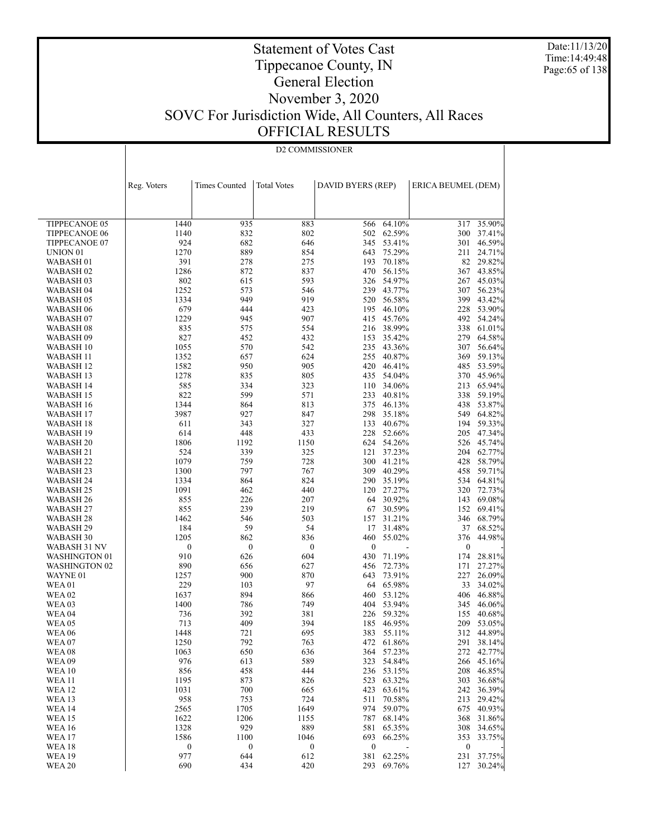Date:11/13/20 Time:14:49:48 Page:65 of 138

### Statement of Votes Cast Tippecanoe County, IN General Election November 3, 2020 SOVC For Jurisdiction Wide, All Counters, All Races OFFICIAL RESULTS

|                               | D2 COMMISSIONER         |                         |                         |                         |                          |                         |                  |
|-------------------------------|-------------------------|-------------------------|-------------------------|-------------------------|--------------------------|-------------------------|------------------|
|                               |                         |                         |                         |                         |                          |                         |                  |
|                               |                         |                         |                         |                         |                          |                         |                  |
|                               |                         |                         |                         |                         |                          |                         |                  |
|                               | Reg. Voters             | <b>Times Counted</b>    | <b>Total Votes</b>      | DAVID BYERS (REP)       |                          | ERICA BEUMEL (DEM)      |                  |
|                               |                         |                         |                         |                         |                          |                         |                  |
|                               |                         |                         |                         |                         |                          |                         |                  |
|                               |                         |                         |                         |                         |                          |                         |                  |
| TIPPECANOE 05                 | 1440                    | 935                     | 883                     | 566                     | 64.10%                   | 317                     | 35.90%           |
| TIPPECANOE 06                 | 1140                    | 832                     | 802                     |                         | 502 62.59%               | 300                     | 37.41%           |
| TIPPECANOE 07                 | 924                     | 682                     | 646                     |                         | 345 53.41%               | 301                     | 46.59%           |
| UNION <sub>01</sub>           | 1270                    | 889                     | 854                     |                         | 643 75.29%               | 211                     | 24.71%           |
| WABASH 01                     | 391                     | 278                     | 275                     | 193                     | 70.18%                   |                         | 82 29.82%        |
| WABASH <sub>02</sub>          | 1286                    | 872<br>615              | 837<br>593              |                         | 470 56.15%               | 267                     | 367 43.85%       |
| WABASH 03<br>WABASH 04        | 802<br>1252             | 573                     | 546                     |                         | 326 54.97%<br>239 43.77% | 307                     | 45.03%<br>56.23% |
| WABASH 05                     | 1334                    | 949                     | 919                     |                         | 520 56.58%               | 399                     | 43.42%           |
| WABASH 06                     | 679                     | 444                     | 423                     |                         | 195 46.10%               | 228                     | 53.90%           |
| WABASH 07                     | 1229                    | 945                     | 907                     |                         | 415 45.76%               | 492                     | 54.24%           |
| WABASH 08                     | 835                     | 575                     | 554                     |                         | 216 38.99%               |                         | 338 61.01%       |
| WABASH 09                     | 827                     | 452                     | 432                     |                         | 153 35.42%               | 279                     | 64.58%           |
| WABASH 10                     | 1055                    | 570                     | 542                     |                         | 235 43.36%               | 307                     | 56.64%           |
| WABASH 11                     | 1352                    | 657                     | 624                     |                         | 255 40.87%               | 369                     | 59.13%           |
| WABASH 12                     | 1582                    | 950                     | 905                     |                         | 420 46.41%               | 485                     | 53.59%           |
| WABASH 13                     | 1278                    | 835                     | 805                     |                         | 435 54.04%               |                         | 370 45.96%       |
| WABASH 14                     | 585                     | 334                     | 323                     |                         | 110 34.06%               | 213                     | 65.94%           |
| WABASH 15                     | 822                     | 599                     | 571                     |                         | 233 40.81%               | 338                     | 59.19%           |
| WABASH 16                     | 1344                    | 864                     | 813                     |                         | 375 46.13%               | 438                     | 53.87%           |
| WABASH 17                     | 3987                    | 927                     | 847                     |                         | 298 35.18%               | 549                     | 64.82%           |
| WABASH 18                     | 611                     | 343                     | 327                     |                         | 133 40.67%               | 194                     | 59.33%           |
| WABASH 19                     | 614                     | 448                     | 433                     |                         | 228 52.66%               | 205                     | 47.34%           |
| WABASH <sub>20</sub>          | 1806                    | 1192                    | 1150                    |                         | 624 54.26%               | 526                     | 45.74%           |
| WABASH 21                     | 524                     | 339                     | 325                     |                         | 121 37.23%               |                         | 204 62.77%       |
| WABASH 22                     | 1079                    | 759                     | 728                     |                         | 300 41.21%               | 428                     | 58.79%           |
| WABASH 23                     | 1300                    | 797                     | 767                     |                         | 309 40.29%               | 458                     | 59.71%           |
| WABASH 24                     | 1334                    | 864                     | 824                     |                         | 290 35.19%               |                         | 534 64.81%       |
| WABASH 25                     | 1091                    | 462                     | 440                     |                         | 120 27.27%               | 320                     | 72.73%           |
| WABASH 26                     | 855                     | 226                     | 207                     |                         | 64 30.92%                | 143                     | 69.08%           |
| WABASH 27                     | 855                     | 239                     | 219                     | 67                      | 30.59%                   | 152                     | 69.41%           |
| WABASH 28                     | 1462<br>184             | 546<br>59               | 503<br>54               | 157<br>17               | 31.21%                   | 37                      | 346 68.79%       |
| WABASH 29<br>WABASH 30        | 1205                    | 862                     | 836                     | 460                     | 31.48%<br>55.02%         | 376                     | 68.52%<br>44.98% |
| WABASH 31 NV                  | $\boldsymbol{0}$        | $\boldsymbol{0}$        | $\boldsymbol{0}$        | $\mathbf{0}$            |                          | $\bf{0}$                |                  |
| <b>WASHINGTON 01</b>          | 910                     | 626                     | 604                     |                         | 430 71.19%               | 174                     | 28.81%           |
| <b>WASHINGTON 02</b>          | 890                     | 656                     | 627                     |                         | 456 72.73%               | 171                     | 27.27%           |
| WAYNE 01                      | 1257                    | 900                     | 870                     | 643                     | 73.91%                   | 227                     | 26.09%           |
| <b>WEA01</b>                  | 229                     | 103                     | 97                      |                         | 64 65.98%                | 33                      | 34.02%           |
| <b>WEA 02</b>                 | 1637                    | 894                     | 866                     |                         | 460 53.12%               | 406                     | 46.88%           |
| <b>WEA03</b>                  | 1400                    | 786                     | 749                     |                         | 404 53.94%               | 345                     | 46.06%           |
| WEA 04                        | 736                     | 392                     | 381                     |                         | 226 59.32%               | 155                     | 40.68%           |
| <b>WEA05</b>                  | 713                     | 409                     | 394                     |                         | 185 46.95%               |                         | 209 53.05%       |
| <b>WEA 06</b>                 | 1448                    | 721                     | 695                     | 383                     | 55.11%                   |                         | 312 44.89%       |
| <b>WEA07</b>                  | 1250                    | 792                     | 763                     | 472                     | 61.86%                   | 291                     | 38.14%           |
| <b>WEA08</b>                  | 1063                    | 650                     | 636                     | 364                     | 57.23%                   | 272                     | 42.77%           |
| <b>WEA09</b>                  | 976                     | 613                     | 589                     | 323                     | 54.84%                   | 266                     | 45.16%           |
| <b>WEA 10</b>                 | 856                     | 458                     | 444                     | 236                     | 53.15%                   | 208                     | 46.85%           |
| <b>WEA 11</b>                 | 1195                    | 873                     | 826                     | 523                     | 63.32%                   | 303                     | 36.68%           |
| <b>WEA 12</b>                 | 1031                    | 700                     | 665                     | 423                     | 63.61%                   | 242                     | 36.39%           |
| <b>WEA 13</b>                 | 958                     | 753                     | 724                     | 511                     | 70.58%                   | 213                     | 29.42%           |
| <b>WEA 14</b>                 | 2565                    | 1705                    | 1649                    | 974                     | 59.07%                   | 675                     | 40.93%           |
| <b>WEA 15</b>                 | 1622                    | 1206                    | 1155                    | 787                     | 68.14%                   | 368                     | 31.86%           |
| <b>WEA 16</b>                 | 1328                    | 929                     | 889                     | 581                     | 65.35%                   | 308                     | 34.65%           |
| <b>WEA 17</b>                 | 1586                    | 1100                    | 1046                    | 693                     | 66.25%                   | 353                     | 33.75%           |
| <b>WEA18</b><br><b>WEA 19</b> | $\boldsymbol{0}$<br>977 | $\boldsymbol{0}$<br>644 | $\boldsymbol{0}$<br>612 | $\boldsymbol{0}$<br>381 | 62.25%                   | $\boldsymbol{0}$<br>231 | 37.75%           |
| <b>WEA 20</b>                 | 690                     | 434                     | 420                     | 293                     | 69.76%                   |                         | 127 30.24%       |
|                               |                         |                         |                         |                         |                          |                         |                  |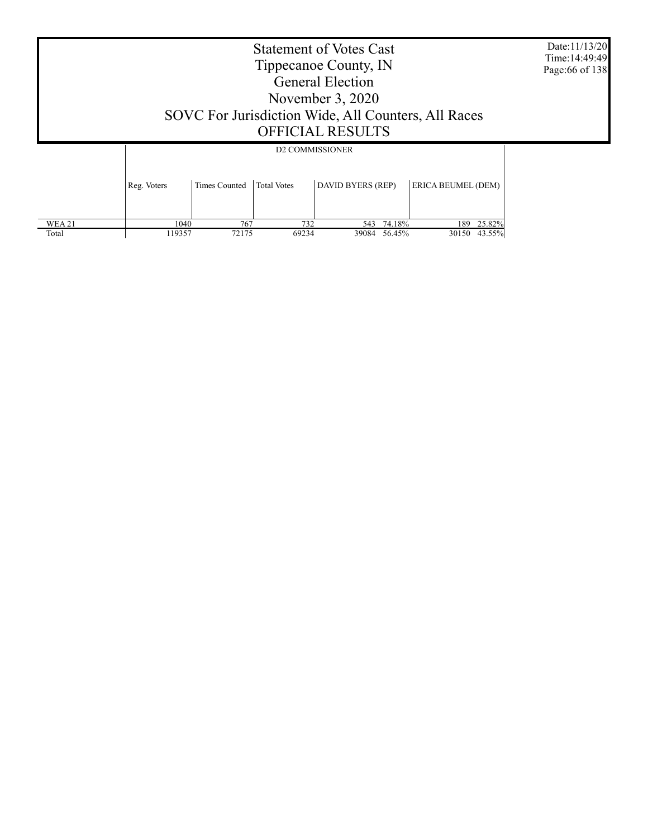Date:11/13/20 Time:14:49:49 Page:66 of 138

### Statement of Votes Cast Tippecanoe County, IN General Election November 3, 2020 SOVC For Jurisdiction Wide, All Counters, All Races OFFICIAL RESULTS

|               |                                                                         | <b>D2 COMMISSIONER</b> |       |       |        |                    |        |  |  |  |
|---------------|-------------------------------------------------------------------------|------------------------|-------|-------|--------|--------------------|--------|--|--|--|
|               | <b>Total Votes</b><br>DAVID BYERS (REP)<br>Times Counted<br>Reg. Voters |                        |       |       |        | ERICA BEUMEL (DEM) |        |  |  |  |
| <b>WEA 21</b> | 1040                                                                    | 767                    | 732   | 543   | 74.18% | 189                | 25.82% |  |  |  |
| Total         | 119357                                                                  | 72175                  | 69234 | 39084 | 56.45% | 30150              | 43.55% |  |  |  |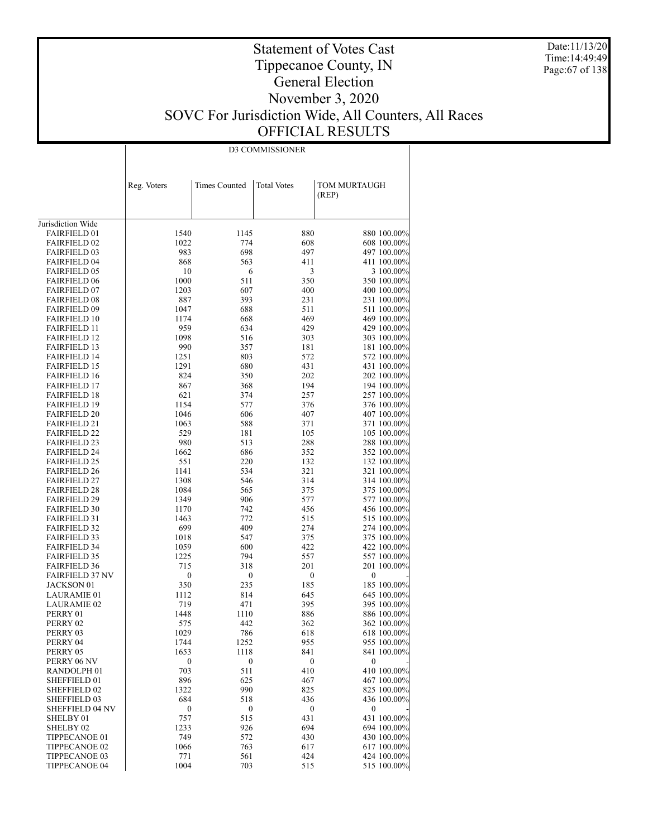Date:11/13/20 Time:14:49:49 Page:67 of 138

### Statement of Votes Cast Tippecanoe County, IN General Election November 3, 2020 SOVC For Jurisdiction Wide, All Counters, All Races OFFICIAL RESULTS

D3 COMMISSIONER

|                                               | Reg. Voters      | <b>Times Counted</b> | <b>Total Votes</b>      | TOM MURTAUGH<br>(REP)      |
|-----------------------------------------------|------------------|----------------------|-------------------------|----------------------------|
|                                               |                  |                      |                         |                            |
| Jurisdiction Wide                             |                  |                      |                         |                            |
| <b>FAIRFIELD 01</b>                           | 1540             | 1145                 | 880                     | 880 100.00%                |
| <b>FAIRFIELD 02</b>                           | 1022             | 774                  | 608                     | 608 100.00%                |
| <b>FAIRFIELD 03</b>                           | 983              | 698                  | 497                     | 497 100.00%                |
| <b>FAIRFIELD 04</b>                           | 868              | 563                  | 411                     | 411 100.00%                |
| <b>FAIRFIELD 05</b>                           | 10               | 6                    | 3                       | 3 100.00%                  |
| <b>FAIRFIELD 06</b>                           | 1000             | 511                  | 350                     | 350 100.00%                |
| <b>FAIRFIELD 07</b>                           | 1203             | 607                  | 400                     | 400 100.00%                |
| <b>FAIRFIELD 08</b>                           | 887              | 393                  | 231<br>511              | 231 100.00%                |
| <b>FAIRFIELD 09</b><br><b>FAIRFIELD 10</b>    | 1047<br>1174     | 688<br>668           | 469                     | 511 100.00%<br>469 100.00% |
| <b>FAIRFIELD 11</b>                           | 959              | 634                  | 429                     | 429 100.00%                |
| <b>FAIRFIELD 12</b>                           | 1098             | 516                  | 303                     | 303 100.00%                |
| <b>FAIRFIELD 13</b>                           | 990              | 357                  | 181                     | 181 100.00%                |
| <b>FAIRFIELD 14</b>                           | 1251             | 803                  | 572                     | 572 100.00%                |
| <b>FAIRFIELD 15</b>                           | 1291             | 680                  | 431                     | 431 100.00%                |
| <b>FAIRFIELD 16</b>                           | 824              | 350                  | 202                     | 202 100.00%                |
| <b>FAIRFIELD 17</b>                           | 867              | 368                  | 194                     | 194 100.00%                |
| <b>FAIRFIELD 18</b>                           | 621              | 374                  | 257                     | 257 100.00%                |
| <b>FAIRFIELD 19</b>                           | 1154             | 577                  | 376                     | 376 100.00%                |
| <b>FAIRFIELD 20</b>                           | 1046             | 606                  | 407                     | 407 100.00%                |
| <b>FAIRFIELD 21</b>                           | 1063             | 588                  | 371                     | 371 100.00%                |
| <b>FAIRFIELD 22</b>                           | 529              | 181                  | 105                     | 105 100.00%                |
| <b>FAIRFIELD 23</b>                           | 980              | 513                  | 288                     | 288 100.00%                |
| <b>FAIRFIELD 24</b>                           | 1662             | 686                  | 352                     | 352 100.00%                |
| <b>FAIRFIELD 25</b>                           | 551              | 220                  | 132                     | 132 100.00%                |
| <b>FAIRFIELD 26</b>                           | 1141             | 534                  | 321                     | 321 100.00%                |
| <b>FAIRFIELD 27</b>                           | 1308             | 546                  | 314                     | 314 100.00%                |
| <b>FAIRFIELD 28</b>                           | 1084             | 565                  | 375                     | 375 100.00%                |
| <b>FAIRFIELD 29</b>                           | 1349             | 906                  | 577                     | 577 100.00%                |
| <b>FAIRFIELD 30</b>                           | 1170             | 742                  | 456                     | 456 100.00%                |
| <b>FAIRFIELD 31</b>                           | 1463             | 772                  | 515                     | 515 100.00%                |
| <b>FAIRFIELD 32</b>                           | 699              | 409                  | 274                     | 274 100.00%                |
| <b>FAIRFIELD 33</b>                           | 1018             | 547                  | 375                     | 375 100.00%                |
| <b>FAIRFIELD 34</b>                           | 1059             | 600                  | 422                     | 422 100.00%                |
| <b>FAIRFIELD 35</b>                           | 1225             | 794                  | 557                     | 557 100.00%                |
| <b>FAIRFIELD 36</b><br><b>FAIRFIELD 37 NV</b> | 715              | 318                  | 201                     | 201 100.00%                |
| <b>JACKSON 01</b>                             | 0<br>350         | 0<br>235             | $\boldsymbol{0}$<br>185 | 0<br>185 100.00%           |
| <b>LAURAMIE 01</b>                            | 1112             | 814                  | 645                     | 645 100.00%                |
| <b>LAURAMIE 02</b>                            | 719              | 471                  | 395                     | 395 100.00%                |
| PERRY 01                                      | 1448             | 1110                 | 886                     | 886 100.00%                |
| PERRY 02                                      | 575              | 442                  | 362                     | 362 100.00%                |
| PERRY 03                                      | 1029             | 786                  | 618                     | 618 100.00%                |
| PERRY 04                                      | 1744             | 1252                 | 955                     | 955 100.00%                |
| PERRY 05                                      | 1653             | 1118                 | 841                     | 841 100.00%                |
| PERRY 06 NV                                   | $\boldsymbol{0}$ | 0                    | $\boldsymbol{0}$        | 0                          |
| RANDOLPH <sub>01</sub>                        | 703              | 511                  | 410                     | 410 100.00%                |
| SHEFFIELD 01                                  | 896              | 625                  | 467                     | 467 100.00%                |
| SHEFFIELD 02                                  | 1322             | 990                  | 825                     | 825 100.00%                |
| SHEFFIELD 03                                  | 684              | 518                  | 436                     | 436 100.00%                |
| <b>SHEFFIELD 04 NV</b>                        | 0                | 0                    | 0                       | 0                          |
| SHELBY 01                                     | 757              | 515                  | 431                     | 431 100.00%                |
| SHELBY 02                                     | 1233             | 926                  | 694                     | 694 100.00%                |
| TIPPECANOE 01                                 | 749              | 572                  | 430                     | 430 100.00%                |
| TIPPECANOE 02                                 | 1066             | 763                  | 617                     | 617 100.00%                |
| TIPPECANOE 03                                 | 771              | 561                  | 424                     | 424 100.00%                |
| TIPPECANOE 04                                 | 1004             | 703                  | 515                     | 515 100.00%                |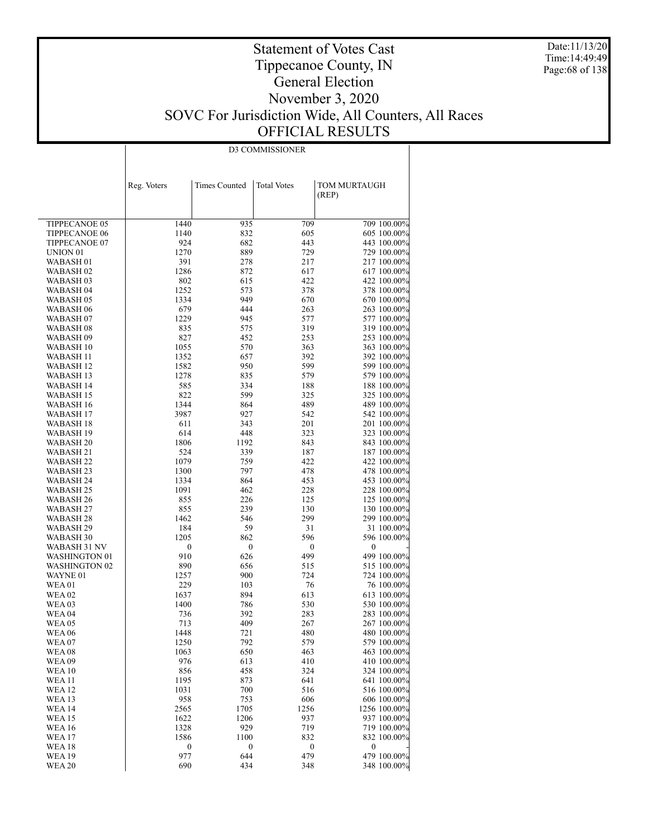Date:11/13/20 Time:14:49:49 Page:68 of 138

### Statement of Votes Cast Tippecanoe County, IN General Election November 3, 2020 SOVC For Jurisdiction Wide, All Counters, All Races OFFICIAL RESULTS

| <b>D3 COMMISSIONER</b> |
|------------------------|

|                                  | Reg. Voters | <b>Times Counted</b> | <b>Total Votes</b> | TOM MURTAUGH<br>(REP)       |
|----------------------------------|-------------|----------------------|--------------------|-----------------------------|
|                                  |             |                      |                    |                             |
| TIPPECANOE 05                    | 1440        | 935                  | 709                | 709 100.00%                 |
| <b>TIPPECANOE 06</b>             | 1140        | 832                  | 605                | 605 100.00%                 |
| TIPPECANOE 07                    | 924         | 682                  | 443                | 443 100.00%                 |
| UNION <sub>01</sub>              | 1270        | 889                  | 729                | 729 100.00%                 |
| WABASH 01                        | 391         | 278                  | 217                | 217 100.00%                 |
| <b>WABASH02</b>                  | 1286        | 872                  | 617                | 617 100.00%                 |
| WABASH 03                        | 802         | 615                  | 422                | 422 100.00%                 |
| <b>WABASH 04</b>                 | 1252        | 573                  | 378                | 378 100.00%                 |
| WABASH 05                        | 1334        | 949                  | 670<br>263         | 670 100.00%<br>263 100.00%  |
| WABASH 06<br>WABASH 07           | 679<br>1229 | 444<br>945           | 577                | 577 100.00%                 |
| WABASH 08                        | 835         | 575                  | 319                | 319 100.00%                 |
| WABASH 09                        | 827         | 452                  | 253                | 253 100.00%                 |
| WABASH 10                        | 1055        | 570                  | 363                | 363 100.00%                 |
| WABASH 11                        | 1352        | 657                  | 392                | 392 100.00%                 |
| WABASH 12                        | 1582        | 950                  | 599                | 599 100.00%                 |
| WABASH 13                        | 1278        | 835                  | 579                | 579 100.00%                 |
| WABASH 14                        | 585         | 334                  | 188                | 188 100.00%                 |
| WABASH 15                        | 822         | 599                  | 325                | 325 100.00%                 |
| <b>WABASH 16</b>                 | 1344        | 864                  | 489                | 489 100.00%                 |
| <b>WABASH 17</b>                 | 3987        | 927                  | 542                | 542 100.00%                 |
| WABASH 18                        | 611         | 343                  | 201                | 201 100.00%                 |
| WABASH 19                        | 614         | 448                  | 323                | 323 100.00%                 |
| WABASH 20<br>WABASH 21           | 1806<br>524 | 1192<br>339          | 843<br>187         | 843 100.00%<br>187 100.00%  |
| <b>WABASH 22</b>                 | 1079        | 759                  | 422                | 422 100.00%                 |
| WABASH 23                        | 1300        | 797                  | 478                | 478 100.00%                 |
| WABASH 24                        | 1334        | 864                  | 453                | 453 100.00%                 |
| WABASH 25                        | 1091        | 462                  | 228                | 228 100.00%                 |
| WABASH 26                        | 855         | 226                  | 125                | 125 100.00%                 |
| WABASH 27                        | 855         | 239                  | 130                | 130 100.00%                 |
| WABASH 28                        | 1462        | 546                  | 299                | 299 100.00%                 |
| WABASH 29                        | 184         | 59                   | 31                 | 31 100.00%                  |
| WABASH 30                        | 1205        | 862                  | 596                | 596 100.00%                 |
| WABASH 31 NV                     | 0           | $\boldsymbol{0}$     | $\boldsymbol{0}$   | 0                           |
| WASHINGTON 01                    | 910         | 626                  | 499                | 499 100.00%                 |
| <b>WASHINGTON 02</b><br>WAYNE 01 | 890<br>1257 | 656<br>900           | 515<br>724         | 515 100.00%<br>724 100.00%  |
| WEA 01                           | 229         | 103                  | 76                 | 76 100.00%                  |
| <b>WEA 02</b>                    | 1637        | 894                  | 613                | 613 100.00%                 |
| WEA 03                           | 1400        | 786                  | 530                | 530 100.00%                 |
| <b>WEA 04</b>                    | 736         | 392                  | 283                | 283 100.00%                 |
| <b>WEA 05</b>                    | 713         | 409                  | 267                | 267 100.00%                 |
| WEA 06                           | 1448        | 721                  | 480                | 480 100.00%                 |
| WEA 07                           | 1250        | 792                  | 579                | 579 100.00%                 |
| <b>WEA 08</b>                    | 1063        | 650                  | 463                | 463 100.00%                 |
| <b>WEA 09</b>                    | 976         | 613                  | 410                | 410 100.00%                 |
| <b>WEA 10</b>                    | 856         | 458                  | 324                | 324 100.00%                 |
| <b>WEA11</b>                     | 1195        | 873                  | 641                | 641 100.00%                 |
| WEA 12                           | 1031        | 700                  | 516                | 516 100.00%                 |
| <b>WEA 13</b><br><b>WEA 14</b>   | 958<br>2565 | 753<br>1705          | 606<br>1256        | 606 100.00%<br>1256 100.00% |
| WEA 15                           | 1622        | 1206                 | 937                | 937 100.00%                 |
| <b>WEA 16</b>                    | 1328        | 929                  | 719                | 719 100.00%                 |
| WEA 17                           | 1586        | 1100                 | 832                | 832 100.00%                 |
| WEA 18                           | 0           | 0                    | $\boldsymbol{0}$   | 0                           |
| WEA 19                           | 977         | 644                  | 479                | 479 100.00%                 |
| <b>WEA 20</b>                    | 690         | 434                  | 348                | 348 100.00%                 |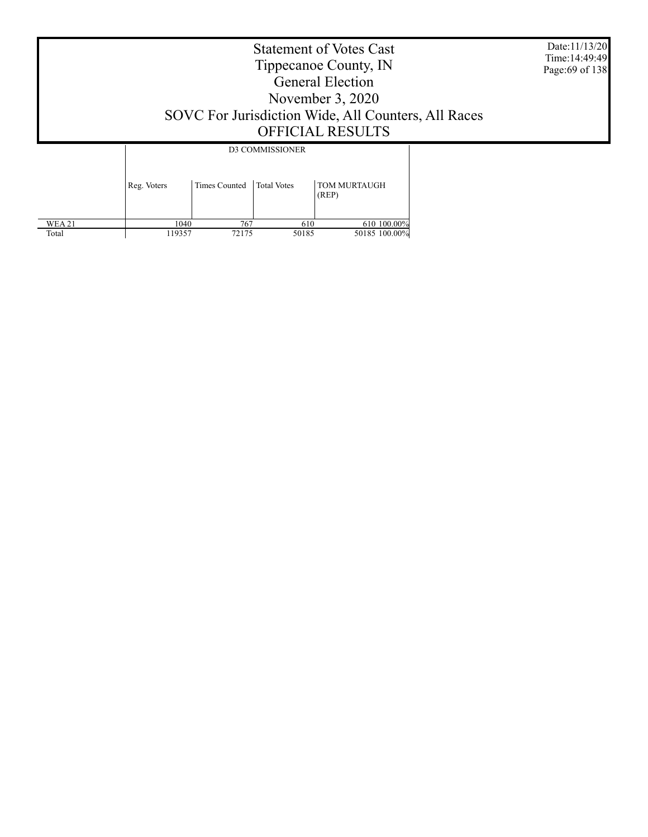Date:11/13/20 Time:14:49:49 Page:69 of 138

### Statement of Votes Cast Tippecanoe County, IN General Election November 3, 2020 SOVC For Jurisdiction Wide, All Counters, All Races OFFICIAL RESULTS

 WEA 21 Total Reg. Voters | Times Counted | Total Votes | TOM MURTAUGH (REP) D3 COMMISSIONER  $\frac{1040}{119357}$  767 610 610 100.00%<br>119357 72175 50185 50185 100.00% 50185 100.00%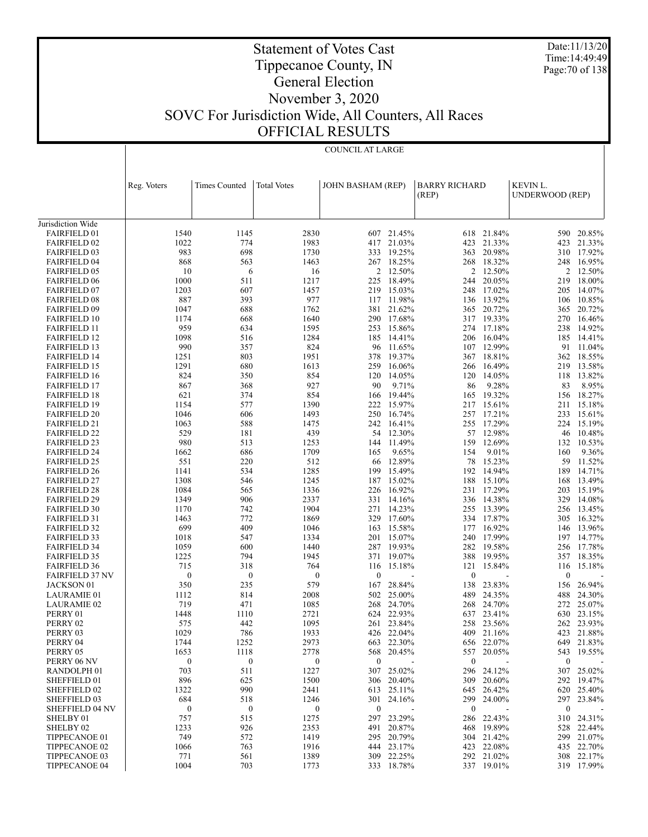Date:11/13/20 Time:14:49:49 Page:70 of 138

## Tippecanoe County, IN General Election

Statement of Votes Cast

### November 3, 2020 SOVC For Jurisdiction Wide, All Counters, All Races OFFICIAL RESULTS

COUNCIL AT LARGE

|                                            | Reg. Voters             | <b>Times Counted</b>    | <b>Total Votes</b>      | <b>JOHN BASHAM (REP)</b> |                  | <b>BARRY RICHARD</b> |                      | KEVIN L.               |                  |
|--------------------------------------------|-------------------------|-------------------------|-------------------------|--------------------------|------------------|----------------------|----------------------|------------------------|------------------|
|                                            |                         |                         |                         |                          |                  | (REP)                |                      | <b>UNDERWOOD (REP)</b> |                  |
|                                            |                         |                         |                         |                          |                  |                      |                      |                        |                  |
| Jurisdiction Wide                          |                         |                         |                         |                          |                  |                      |                      |                        |                  |
| <b>FAIRFIELD 01</b>                        | 1540                    | 1145                    | 2830                    | 607                      | 21.45%           | 618                  | 21.84%               | 590                    | 20.85%           |
| <b>FAIRFIELD 02</b>                        | 1022                    | 774                     | 1983                    | 417                      | 21.03%           | 423                  | 21.33%               | 423                    | 21.33%           |
| <b>FAIRFIELD 03</b>                        | 983                     | 698                     | 1730                    | 333                      | 19.25%           | 363                  | 20.98%               | 310                    | 17.92%           |
| <b>FAIRFIELD 04</b>                        | 868                     | 563                     | 1463                    |                          | 267 18.25%       |                      | 268 18.32%           |                        | 248 16.95%       |
| <b>FAIRFIELD 05</b>                        | 10                      | 6                       | 16                      |                          | 2 12.50%         | $\overline{2}$       | 12.50%               | 2                      | 12.50%           |
| <b>FAIRFIELD 06</b>                        | 1000                    | 511                     | 1217                    | 225                      | 18.49%           | 244                  | 20.05%               | 219                    | 18.00%           |
| <b>FAIRFIELD 07</b>                        | 1203<br>887             | 607<br>393              | 1457<br>977             | 219<br>117               | 15.03%<br>11.98% | 248                  | 17.02%<br>136 13.92% | 205                    | 14.07%<br>10.85% |
| <b>FAIRFIELD 08</b><br><b>FAIRFIELD 09</b> | 1047                    | 688                     | 1762                    | 381                      | 21.62%           | 365                  | 20.72%               | 106<br>365             | 20.72%           |
| <b>FAIRFIELD 10</b>                        | 1174                    | 668                     | 1640                    |                          | 290 17.68%       |                      | 317 19.33%           | 270                    | 16.46%           |
| <b>FAIRFIELD 11</b>                        | 959                     | 634                     | 1595                    | 253                      | 15.86%           | 274                  | 17.18%               | 238                    | 14.92%           |
| <b>FAIRFIELD 12</b>                        | 1098                    | 516                     | 1284                    | 185                      | 14.41%           |                      | 206 16.04%           | 185                    | 14.41%           |
| <b>FAIRFIELD 13</b>                        | 990                     | 357                     | 824                     | 96                       | 11.65%           | 107                  | 12.99%               | 91                     | 11.04%           |
| <b>FAIRFIELD 14</b>                        | 1251                    | 803                     | 1951                    | 378                      | 19.37%           |                      | 367 18.81%           | 362                    | 18.55%           |
| <b>FAIRFIELD 15</b>                        | 1291                    | 680                     | 1613                    | 259                      | 16.06%           | 266                  | 16.49%               | 219                    | 13.58%           |
| <b>FAIRFIELD 16</b>                        | 824                     | 350                     | 854                     | 120                      | 14.05%           |                      | 120 14.05%           | 118                    | 13.82%           |
| <b>FAIRFIELD 17</b>                        | 867                     | 368                     | 927                     | 90                       | 9.71%            | 86                   | 9.28%                | 83                     | 8.95%            |
| <b>FAIRFIELD 18</b>                        | 621                     | 374                     | 854                     | 166                      | 19.44%           |                      | 165 19.32%           | 156                    | 18.27%           |
| <b>FAIRFIELD 19</b>                        | 1154                    | 577                     | 1390                    | 222                      | 15.97%           | 217                  | 15.61%               | 211                    | 15.18%           |
| <b>FAIRFIELD 20</b>                        | 1046                    | 606                     | 1493                    | 250                      | 16.74%           |                      | 257 17.21%           | 233                    | 15.61%           |
| <b>FAIRFIELD 21</b>                        | 1063                    | 588                     | 1475                    | 242                      | 16.41%           | 255                  | 17.29%               | 224                    | 15.19%           |
| <b>FAIRFIELD 22</b>                        | 529                     | 181                     | 439                     |                          | 54 12.30%        |                      | 57 12.98%            | 46                     | 10.48%           |
| <b>FAIRFIELD 23</b>                        | 980                     | 513                     | 1253                    | 144                      | 11.49%           | 159                  | 12.69%               | 132                    | 10.53%           |
| <b>FAIRFIELD 24</b>                        | 1662                    | 686                     | 1709                    | 165                      | 9.65%            | 154                  | 9.01%                | 160                    | 9.36%            |
| <b>FAIRFIELD 25</b>                        | 551                     | 220                     | 512                     | 66                       | 12.89%           | 78                   | 15.23%               | 59                     | 11.52%           |
| <b>FAIRFIELD 26</b>                        | 1141                    | 534                     | 1285                    | 199                      | 15.49%           | 192                  | 14.94%               | 189                    | 14.71%           |
| <b>FAIRFIELD 27</b>                        | 1308                    | 546                     | 1245                    | 187                      | 15.02%           | 188                  | 15.10%               | 168                    | 13.49%           |
| <b>FAIRFIELD 28</b>                        | 1084                    | 565                     | 1336                    | 226                      | 16.92%           |                      | 231 17.29%           | 203                    | 15.19%           |
| <b>FAIRFIELD 29</b>                        | 1349                    | 906                     | 2337                    | 331                      | 14.16%           | 336                  | 14.38%               | 329                    | 14.08%           |
| <b>FAIRFIELD 30</b>                        | 1170                    | 742                     | 1904                    |                          | 271 14.23%       |                      | 255 13.39%           | 256                    | 13.45%           |
| <b>FAIRFIELD 31</b>                        | 1463                    | 772                     | 1869                    | 329                      | 17.60%           | 334                  | 17.87%               | 305                    | 16.32%           |
| <b>FAIRFIELD 32</b>                        | 699                     | 409                     | 1046                    | 163                      | 15.58%           | 177                  | 16.92%               | 146                    | 13.96%           |
| <b>FAIRFIELD 33</b>                        | 1018                    | 547                     | 1334                    | 201                      | 15.07%           | 240                  | 17.99%               | 197                    | 14.77%           |
| <b>FAIRFIELD 34</b>                        | 1059                    | 600                     | 1440                    |                          | 287 19.93%       |                      | 282 19.58%           |                        | 256 17.78%       |
| <b>FAIRFIELD 35</b>                        | 1225                    | 794                     | 1945                    | 371                      | 19.07%           | 388                  | 19.95%               | 357                    | 18.35%           |
| <b>FAIRFIELD 36</b>                        | 715<br>$\boldsymbol{0}$ | 318<br>$\boldsymbol{0}$ | 764                     | 116<br>$\mathbf{0}$      | 15.18%           | $\boldsymbol{0}$     | 121 15.84%           | 116<br>$\mathbf{0}$    | 15.18%           |
| <b>FAIRFIELD 37 NV</b><br>JACKSON 01       | 350                     | 235                     | $\boldsymbol{0}$<br>579 | 167                      | 28.84%           | 138                  | 23.83%               | 156                    | 26.94%           |
| <b>LAURAMIE 01</b>                         | 1112                    | 814                     | 2008                    | 502                      | 25.00%           | 489                  | 24.35%               | 488                    | 24.30%           |
| <b>LAURAMIE 02</b>                         | 719                     | 471                     | 1085                    | 268                      | 24.70%           |                      | 268 24.70%           | 272                    | 25.07%           |
| PERRY 01                                   | 1448                    | 1110                    | 2721                    | 624                      | 22.93%           | 637                  | 23.41%               | 630                    | 23.15%           |
| PERRY 02                                   | 575                     | 442                     | 1095                    | 261                      | 23.84%           | 258                  | 23.56%               | 262                    | 23.93%           |
| PERRY 03                                   | 1029                    | 786                     | 1933                    |                          | 426 22.04%       | 409                  | 21.16%               | 423                    | 21.88%           |
| PERRY 04                                   | 1744                    | 1252                    | 2973                    |                          | 663 22.30%       |                      | 656 22.07%           |                        | 649 21.83%       |
| PERRY 05                                   | 1653                    | 1118                    | 2778                    | 568                      | 20.45%           | 557                  | 20.05%               | 543                    | 19.55%           |
| PERRY 06 NV                                | $\boldsymbol{0}$        | $\boldsymbol{0}$        | $\boldsymbol{0}$        | $\boldsymbol{0}$         |                  | $\boldsymbol{0}$     |                      | $\boldsymbol{0}$       |                  |
| RANDOLPH <sub>01</sub>                     | 703                     | 511                     | 1227                    | 307                      | 25.02%           |                      | 296 24.12%           | 307                    | 25.02%           |
| SHEFFIELD 01                               | 896                     | 625                     | 1500                    |                          | 306 20.40%       |                      | 309 20.60%           |                        | 292 19.47%       |
| SHEFFIELD 02                               | 1322                    | 990                     | 2441                    | 613                      | 25.11%           |                      | 645 26.42%           | 620                    | 25.40%           |
| SHEFFIELD 03                               | 684                     | 518                     | 1246                    |                          | 301 24.16%       |                      | 299 24.00%           |                        | 297 23.84%       |
| SHEFFIELD 04 NV                            | $\boldsymbol{0}$        | $\boldsymbol{0}$        | $\boldsymbol{0}$        | $\mathbf{0}$             |                  | $\boldsymbol{0}$     |                      | $\boldsymbol{0}$       |                  |
| SHELBY 01                                  | 757                     | 515                     | 1275                    | 297                      | 23.29%           |                      | 286 22.43%           |                        | 310 24.31%       |
| SHELBY 02                                  | 1233                    | 926                     | 2353                    | 491                      | 20.87%           | 468                  | 19.89%               | 528                    | 22.44%           |
| TIPPECANOE 01                              | 749                     | 572                     | 1419                    |                          | 295 20.79%       |                      | 304 21.42%           |                        | 299 21.07%       |
| TIPPECANOE 02                              | 1066                    | 763                     | 1916                    |                          | 444 23.17%       |                      | 423 22.08%           |                        | 435 22.70%       |
| TIPPECANOE 03                              | 771                     | 561                     | 1389                    |                          | 309 22.25%       |                      | 292 21.02%           |                        | 308 22.17%       |
| TIPPECANOE 04                              | 1004                    | 703                     | 1773                    |                          | 333 18.78%       |                      | 337 19.01%           |                        | 319 17.99%       |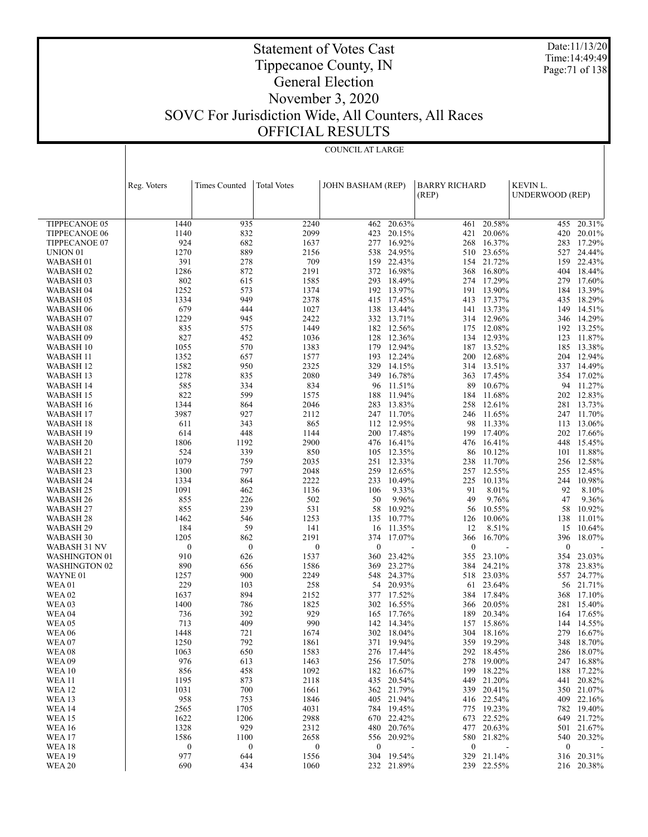Date:11/13/20 Time:14:49:49 Page:71 of 138

## Tippecanoe County, IN General Election

Statement of Votes Cast

### November 3, 2020 SOVC For Jurisdiction Wide, All Counters, All Races OFFICIAL RESULTS

COUNCIL AT LARGE

|                                | Reg. Voters      | <b>Times Counted</b> | <b>Total Votes</b> | JOHN BASHAM (REP) |                          | <b>BARRY RICHARD</b><br>(REP) |                          | KEVIN L.<br>UNDERWOOD (REP) |                          |
|--------------------------------|------------------|----------------------|--------------------|-------------------|--------------------------|-------------------------------|--------------------------|-----------------------------|--------------------------|
|                                |                  |                      |                    |                   |                          |                               |                          |                             |                          |
| TIPPECANOE 05                  | 1440             | 935                  | 2240               | 462               | 20.63%                   | 461                           | 20.58%                   | 455                         | 20.31%                   |
| <b>TIPPECANOE 06</b>           | 1140             | 832                  | 2099               | 423               | 20.15%                   | 421                           | 20.06%                   | 420                         | 20.01%                   |
| TIPPECANOE 07                  | 924              | 682                  | 1637               | 277               | 16.92%                   | 268                           | 16.37%                   | 283                         | 17.29%                   |
| UNION <sub>01</sub>            | 1270             | 889                  | 2156               | 538               | 24.95%                   | 510                           | 23.65%                   | 527                         | 24.44%                   |
| WABASH <sub>01</sub>           | 391              | 278                  | 709                | 159               | 22.43%                   |                               | 154 21.72%               | 159                         | 22.43%                   |
| WABASH 02                      | 1286             | 872                  | 2191               | 372               | 16.98%                   | 368                           | 16.80%                   | 404                         | 18.44%                   |
| WABASH 03                      | 802              | 615                  | 1585               | 293               | 18.49%                   | 274                           | 17.29%                   | 279                         | 17.60%                   |
| WABASH 04                      | 1252             | 573                  | 1374               | 192               | 13.97%                   |                               | 191 13.90%               | 184                         | 13.39%                   |
| WABASH 05                      | 1334             | 949                  | 2378               | 415               | 17.45%                   | 413                           | 17.37%                   | 435                         | 18.29%                   |
| WABASH 06                      | 679              | 444                  | 1027               | 138               | 13.44%                   |                               | 141 13.73%               | 149                         | 14.51%                   |
| WABASH 07                      | 1229             | 945                  | 2422               | 332               | 13.71%                   | 314                           | 12.96%                   | 346                         | 14.29%                   |
| WABASH 08                      | 835              | 575                  | 1449               | 182               | 12.56%                   | 175                           | 12.08%                   | 192                         | 13.25%                   |
| WABASH <sub>09</sub>           | 827              | 452                  | 1036               | 128               | 12.36%                   | 134                           | 12.93%                   | 123                         | 11.87%                   |
| WABASH 10                      | 1055<br>1352     | 570<br>657           | 1383<br>1577       | 179               | 12.94%<br>12.24%         |                               | 187 13.52%<br>12.68%     | 185                         | 13.38%<br>12.94%         |
| WABASH 11<br>WABASH 12         | 1582             | 950                  | 2325               | 193<br>329        | 14.15%                   | 200                           | 314 13.51%               | 204<br>337                  | 14.49%                   |
| WABASH 13                      | 1278             | 835                  | 2080               | 349               | 16.78%                   | 363                           | 17.45%                   | 354                         | 17.02%                   |
| WABASH 14                      | 585              | 334                  | 834                | 96                | 11.51%                   | 89                            | 10.67%                   | 94                          | 11.27%                   |
| WABASH 15                      | 822              | 599                  | 1575               | 188               | 11.94%                   | 184                           | 11.68%                   | 202                         | 12.83%                   |
| WABASH 16                      | 1344             | 864                  | 2046               | 283               | 13.83%                   | 258                           | 12.61%                   | 281                         | 13.73%                   |
| WABASH 17                      | 3987             | 927                  | 2112               | 247               | 11.70%                   | 246                           | 11.65%                   | 247                         | 11.70%                   |
| WABASH 18                      | 611              | 343                  | 865                | 112               | 12.95%                   | 98                            | 11.33%                   | 113                         | 13.06%                   |
| WABASH 19                      | 614              | 448                  | 1144               | 200               | 17.48%                   | 199                           | 17.40%                   | 202                         | 17.66%                   |
| WABASH 20                      | 1806             | 1192                 | 2900               | 476               | 16.41%                   | 476                           | 16.41%                   | 448                         | 15.45%                   |
| WABASH 21                      | 524              | 339                  | 850                | 105               | 12.35%                   | 86                            | 10.12%                   | 101                         | 11.88%                   |
| WABASH 22                      | 1079             | 759                  | 2035               | 251               | 12.33%                   | 238                           | 11.70%                   | 256                         | 12.58%                   |
| WABASH <sub>23</sub>           | 1300             | 797                  | 2048               | 259               | 12.65%                   | 257                           | 12.55%                   | 255                         | 12.45%                   |
| WABASH 24                      | 1334             | 864                  | 2222               | 233               | 10.49%                   | 225                           | 10.13%                   | 244                         | 10.98%                   |
| WABASH <sub>25</sub>           | 1091             | 462                  | 1136               | 106               | 9.33%                    | 91                            | 8.01%                    | 92                          | 8.10%                    |
| WABASH 26                      | 855              | 226                  | 502                | 50                | 9.96%                    | 49                            | 9.76%                    | 47                          | 9.36%                    |
| WABASH 27                      | 855<br>1462      | 239<br>546           | 531<br>1253        | 58                | 10.92%<br>10.77%         | 56                            | 10.55%<br>10.06%         | 58                          | 10.92%<br>11.01%         |
| WABASH 28<br>WABASH 29         | 184              | 59                   | 141                | 135<br>16         | 11.35%                   | 126<br>12                     | 8.51%                    | 138<br>15                   | 10.64%                   |
| WABASH 30                      | 1205             | 862                  | 2191               | 374               | 17.07%                   | 366                           | 16.70%                   | 396                         | 18.07%                   |
| WABASH 31 NV                   | $\mathbf{0}$     | $\boldsymbol{0}$     | $\boldsymbol{0}$   | $\mathbf{0}$      |                          | $\mathbf{0}$                  |                          | $\mathbf{0}$                |                          |
| WASHINGTON 01                  | 910              | 626                  | 1537               | 360               | 23.42%                   | 355                           | 23.10%                   | 354                         | 23.03%                   |
| <b>WASHINGTON 02</b>           | 890              | 656                  | 1586               | 369               | 23.27%                   | 384                           | 24.21%                   | 378                         | 23.83%                   |
| WAYNE 01                       | 1257             | 900                  | 2249               |                   | 548 24.37%               |                               | 518 23.03%               | 557                         | 24.77%                   |
| <b>WEA01</b>                   | 229              | 103                  | 258                |                   | 54 20.93%                | 61                            | 23.64%                   | 56                          | 21.71%                   |
| <b>WEA02</b>                   | 1637             | 894                  | 2152               |                   | 377 17.52%               |                               | 384 17.84%               | 368                         | 17.10%                   |
| WEA <sub>03</sub>              | 1400             | 786                  | 1825               | 302               | 16.55%                   | 366                           | 20.05%                   | 281                         | 15.40%                   |
| WEA <sub>04</sub>              | 736              | 392                  | 929                | 165               | 17.76%                   | 189                           | 20.34%                   | 164                         | 17.65%                   |
| <b>WEA05</b>                   | 713              | 409                  | 990                | 142               | 14.34%                   | 157                           | 15.86%                   | 144                         | 14.55%                   |
| <b>WEA 06</b>                  | 1448             | 721                  | 1674               | 302               | 18.04%                   |                               | 304 18.16%               |                             | 279 16.67%               |
| WEA07                          | 1250             | 792                  | 1861               |                   | 371 19.94%               |                               | 359 19.29%               |                             | 348 18.70%               |
| WEA 08                         | 1063             | 650                  | 1583               |                   | 276 17.44%               |                               | 292 18.45%               |                             | 286 18.07%               |
| <b>WEA 09</b>                  | 976              | 613<br>458           | 1463<br>1092       |                   | 256 17.50%<br>182 16.67% |                               | 278 19.00%<br>199 18.22% |                             | 247 16.88%               |
| <b>WEA 10</b><br><b>WEA 11</b> | 856<br>1195      | 873                  | 2118               |                   | 435 20.54%               |                               | 449 21.20%               |                             | 188 17.22%<br>441 20.82% |
| <b>WEA 12</b>                  | 1031             | 700                  | 1661               |                   | 362 21.79%               |                               | 339 20.41%               |                             | 350 21.07%               |
| <b>WEA 13</b>                  | 958              | 753                  | 1846               |                   | 405 21.94%               |                               | 416 22.54%               |                             | 409 22.16%               |
| <b>WEA 14</b>                  | 2565             | 1705                 | 4031               |                   | 784 19.45%               |                               | 775 19.23%               |                             | 782 19.40%               |
| <b>WEA 15</b>                  | 1622             | 1206                 | 2988               |                   | 670 22.42%               |                               | 673 22.52%               |                             | 649 21.72%               |
| <b>WEA16</b>                   | 1328             | 929                  | 2312               |                   | 480 20.76%               |                               | 477 20.63%               |                             | 501 21.67%               |
| <b>WEA 17</b>                  | 1586             | 1100                 | 2658               |                   | 556 20.92%               |                               | 580 21.82%               |                             | 540 20.32%               |
| <b>WEA18</b>                   | $\boldsymbol{0}$ | $\boldsymbol{0}$     | $\bf{0}$           | $\boldsymbol{0}$  |                          | $\bf{0}$                      |                          | $\bf{0}$                    |                          |
| <b>WEA 19</b>                  | 977              | 644                  | 1556               |                   | 304 19.54%               |                               | 329 21.14%               |                             | 316 20.31%               |
| <b>WEA 20</b>                  | 690              | 434                  | 1060               |                   | 232 21.89%               |                               | 239 22.55%               |                             | 216 20.38%               |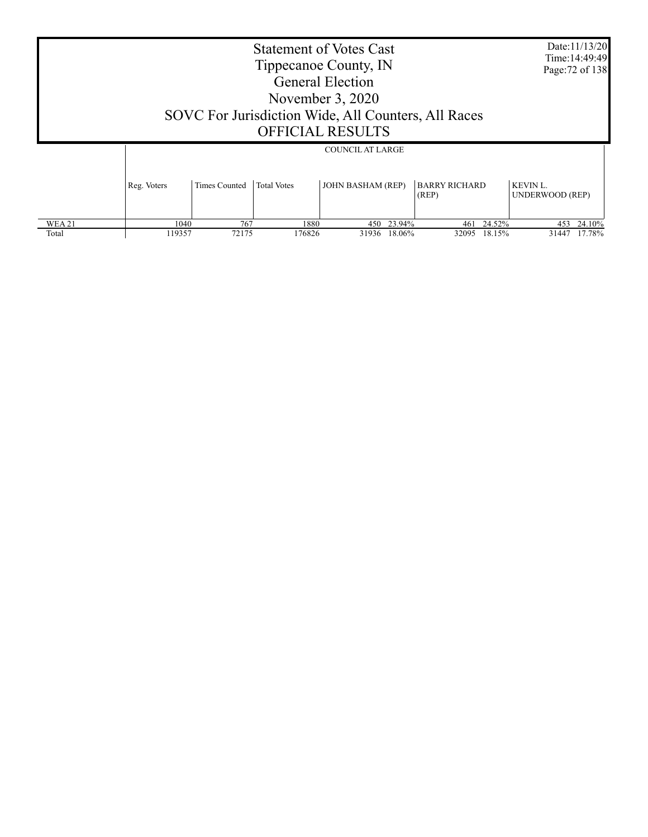|              |             |               | <b>Statement of Votes Cast</b><br>Tippecanoe County, IN<br>SOVC For Jurisdiction Wide, All Counters, All Races | <b>General Election</b><br>November 3, 2020<br><b>OFFICIAL RESULTS</b> |              |                               |        |                             | Date:11/13/20<br>Time: 14:49:49<br>Page: 72 of 138 |
|--------------|-------------|---------------|----------------------------------------------------------------------------------------------------------------|------------------------------------------------------------------------|--------------|-------------------------------|--------|-----------------------------|----------------------------------------------------|
|              |             |               |                                                                                                                | <b>COUNCIL AT LARGE</b>                                                |              |                               |        |                             |                                                    |
|              | Reg. Voters | Times Counted | <b>Total Votes</b>                                                                                             | <b>JOHN BASHAM (REP)</b>                                               |              | <b>BARRY RICHARD</b><br>(REP) |        | KEVIN L.<br>UNDERWOOD (REP) |                                                    |
| <b>WEA21</b> | 1040        | 767           | 1880                                                                                                           |                                                                        | 450 23.94%   | 461                           | 24.52% | 453                         | 24.10%                                             |
| Total        | 119357      | 72175         | 176826                                                                                                         |                                                                        | 31936 18.06% | 32095                         | 18.15% |                             | 31447 17.78%                                       |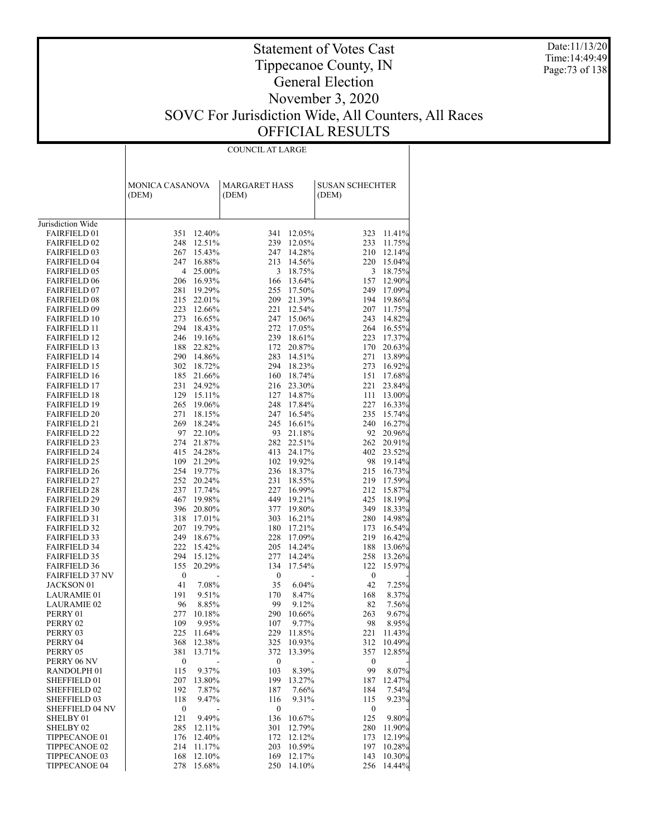Date:11/13/20 Time:14:49:49 Page:73 of 138

| COUNCIL AT LARGE |  |
|------------------|--|

|                                            | MONICA CASANOVA          | <b>MARGARET HASS</b>             | SUSAN SCHECHTER                 |
|--------------------------------------------|--------------------------|----------------------------------|---------------------------------|
|                                            | (DEM)                    | (DEM)                            | (DEM)                           |
|                                            |                          |                                  |                                 |
| Jurisdiction Wide                          |                          |                                  |                                 |
| <b>FAIRFIELD 01</b>                        | 351<br>12.40%            | 341<br>12.05%                    | 323<br>11.41%                   |
| <b>FAIRFIELD 02</b>                        | 248 12.51%               | 239<br>12.05%                    | 233<br>11.75%                   |
| <b>FAIRFIELD 03</b>                        | 267 15.43%<br>247 16.88% | 14.28%<br>247<br>14.56%<br>213   | 210<br>12.14%<br>220            |
| <b>FAIRFIELD 04</b><br><b>FAIRFIELD 05</b> | 4 25.00%                 | 3<br>18.75%                      | 15.04%<br>3<br>18.75%           |
| <b>FAIRFIELD 06</b>                        | 206 16.93%               | 166<br>13.64%                    | 157<br>12.90%                   |
| <b>FAIRFIELD 07</b>                        | 281 19.29%               | 17.50%<br>255                    | 17.09%<br>249                   |
| <b>FAIRFIELD 08</b>                        | 215 22.01%               | 209<br>21.39%                    | 194<br>19.86%                   |
| <b>FAIRFIELD 09</b>                        | 223 12.66%               | 221<br>12.54%                    | 207<br>11.75%                   |
| <b>FAIRFIELD 10</b>                        | 273 16.65%               | 247<br>15.06%                    | 243<br>14.82%                   |
| <b>FAIRFIELD 11</b>                        | 294 18.43%               | 272<br>17.05%                    | 16.55%<br>264                   |
| <b>FAIRFIELD 12</b>                        | 246 19.16%               | 239<br>18.61%                    | 223<br>17.37%                   |
| <b>FAIRFIELD 13</b>                        | 188 22.82%               | 172<br>20.87%                    | 170<br>20.63%                   |
| <b>FAIRFIELD 14</b>                        | 290 14.86%               | 283<br>14.51%                    | 271<br>13.89%                   |
| <b>FAIRFIELD 15</b>                        | 302 18.72%               | 294<br>18.23%                    | 16.92%<br>273                   |
| <b>FAIRFIELD 16</b>                        | 185 21.66%               | 160<br>18.74%                    | 151<br>17.68%                   |
| <b>FAIRFIELD 17</b>                        | 231 24.92%               | 216<br>23.30%                    | 221<br>23.84%                   |
| <b>FAIRFIELD 18</b>                        | 129 15.11%               | 14.87%<br>127                    | 111<br>13.00%                   |
| <b>FAIRFIELD 19</b>                        | 265 19.06%               | 17.84%<br>248                    | 227<br>16.33%                   |
| <b>FAIRFIELD 20</b>                        | 271<br>18.15%            | 247<br>16.54%                    | 235<br>15.74%                   |
| <b>FAIRFIELD 21</b>                        | 269 18.24%               | 245<br>16.61%                    | 240<br>16.27%                   |
| <b>FAIRFIELD 22</b>                        | 97 22.10%                | 93<br>21.18%                     | 92<br>20.96%                    |
| <b>FAIRFIELD 23</b>                        | 274 21.87%               | 282<br>22.51%                    | 262<br>20.91%                   |
| <b>FAIRFIELD 24</b>                        | 415 24.28%               | 24.17%<br>413                    | 402<br>23.52%                   |
| <b>FAIRFIELD 25</b>                        | 109 21.29%               | 102<br>19.92%                    | 98<br>19.14%                    |
| <b>FAIRFIELD 26</b><br><b>FAIRFIELD 27</b> | 254 19.77%<br>252 20.24% | 236<br>18.37%<br>231<br>18.55%   | 215<br>16.73%<br>17.59%<br>219  |
| <b>FAIRFIELD 28</b>                        | 237 17.74%               | 227<br>16.99%                    | 212<br>15.87%                   |
| <b>FAIRFIELD 29</b>                        | 467 19.98%               | 449<br>19.21%                    | 425<br>18.19%                   |
| <b>FAIRFIELD 30</b>                        | 396 20.80%               | 377<br>19.80%                    | 349<br>18.33%                   |
| <b>FAIRFIELD 31</b>                        | 318 17.01%               | 16.21%<br>303                    | 280<br>14.98%                   |
| <b>FAIRFIELD 32</b>                        | 207 19.79%               | 180<br>17.21%                    | 173<br>16.54%                   |
| <b>FAIRFIELD 33</b>                        | 249 18.67%               | 228<br>17.09%                    | 219<br>16.42%                   |
| <b>FAIRFIELD 34</b>                        | 222 15.42%               | 205<br>14.24%                    | 188<br>13.06%                   |
| <b>FAIRFIELD 35</b>                        | 294 15.12%               | 277<br>14.24%                    | 258<br>13.26%                   |
| <b>FAIRFIELD 36</b>                        | 155<br>20.29%            | 134<br>17.54%                    | 122<br>15.97%                   |
| <b>FAIRFIELD 37 NV</b>                     | $\boldsymbol{0}$         | $\boldsymbol{0}$                 | $\boldsymbol{0}$                |
| JACKSON 01                                 | 7.08%<br>41              | 35<br>6.04%                      | 42<br>7.25%                     |
| <b>LAURAMIE 01</b>                         | 9.51%<br>191             | 170<br>8.47%                     | 168<br>8.37%                    |
| <b>LAURAMIE 02</b>                         | 8.85%<br>96              | 99<br>9.12%                      | 7.56%<br>82                     |
| PERRY 01                                   | 277<br>10.18%            | 290<br>10.66%                    | 9.67%<br>263                    |
| PERRY 02                                   | 109<br>9.95%             | 107<br>9.77%                     | 8.95%<br>98                     |
| PERRY 03                                   | 225 11.64%               | 229 11.85%                       | 221 11.43%                      |
| PERRY 04                                   | 12.38%<br>368            | 325 10.93%                       | 10.49%<br>312                   |
| PERRY 05                                   | 381<br>13.71%            | 372<br>13.39%                    | 357<br>12.85%                   |
| PERRY 06 NV<br>RANDOLPH 01                 | 0<br>115<br>9.37%        | $\boldsymbol{0}$<br>103<br>8.39% | $\boldsymbol{0}$<br>99<br>8.07% |
| SHEFFIELD 01                               | 13.80%<br>207            | 199<br>13.27%                    | 12.47%                          |
| SHEFFIELD 02                               | 192<br>7.87%             | 187<br>7.66%                     | 187<br>7.54%<br>184             |
| SHEFFIELD 03                               | 118<br>9.47%             | 9.31%<br>116                     | 115<br>9.23%                    |
| <b>SHEFFIELD 04 NV</b>                     | 0                        | $\boldsymbol{0}$                 | $\boldsymbol{0}$                |
| SHELBY 01                                  | 121<br>9.49%             | 136<br>10.67%                    | 125<br>9.80%                    |
| SHELBY <sub>02</sub>                       | 12.11%<br>285            | 12.79%<br>301                    | 280<br>11.90%                   |
| TIPPECANOE 01                              | 12.40%<br>176            | 172<br>12.12%                    | 173<br>12.19%                   |
| TIPPECANOE 02                              | 11.17%<br>214            | 203<br>10.59%                    | 197<br>10.28%                   |
| TIPPECANOE 03                              | 12.10%<br>168            | 169<br>12.17%                    | 143<br>10.30%                   |
| TIPPECANOE 04                              | 278<br>15.68%            | 250<br>14.10%                    | 256<br>14.44%                   |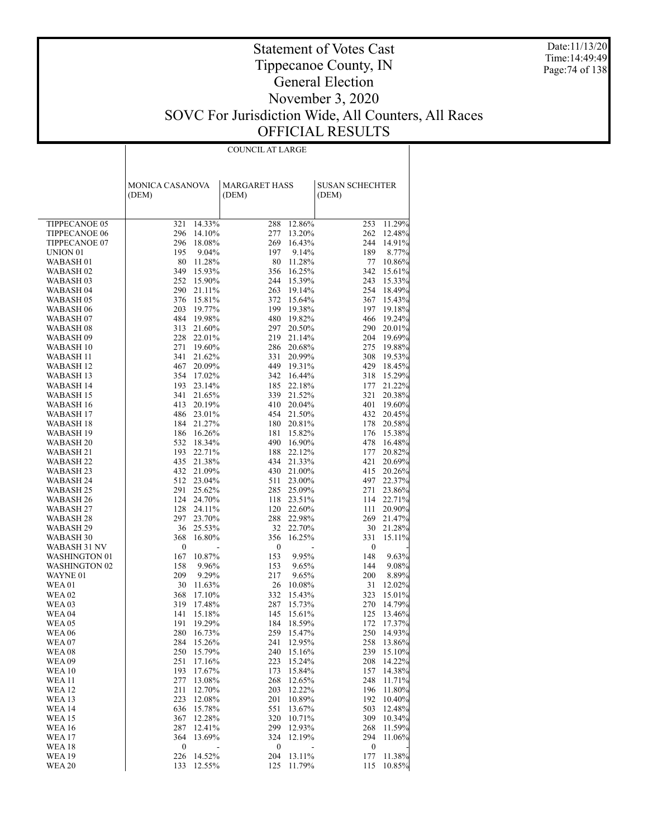Date:11/13/20 Time:14:49:49 Page:74 of 138

### Statement of Votes Cast Tippecanoe County, IN General Election November 3, 2020 SOVC For Jurisdiction Wide, All Counters, All Races OFFICIAL RESULTS

|                      | <b>COUNCIL AT LARGE</b> |                      |                        |  |  |  |  |  |  |  |  |
|----------------------|-------------------------|----------------------|------------------------|--|--|--|--|--|--|--|--|
|                      |                         |                      |                        |  |  |  |  |  |  |  |  |
|                      |                         |                      |                        |  |  |  |  |  |  |  |  |
|                      |                         |                      |                        |  |  |  |  |  |  |  |  |
|                      | MONICA CASANOVA         | <b>MARGARET HASS</b> | <b>SUSAN SCHECHTER</b> |  |  |  |  |  |  |  |  |
|                      | (DEM)                   | (DEM)                | (DEM)                  |  |  |  |  |  |  |  |  |
|                      |                         |                      |                        |  |  |  |  |  |  |  |  |
|                      |                         |                      |                        |  |  |  |  |  |  |  |  |
| TIPPECANOE 05        | 321                     | 288                  | 11.29%                 |  |  |  |  |  |  |  |  |
|                      | 14.33%                  | 12.86%               | 253                    |  |  |  |  |  |  |  |  |
| <b>TIPPECANOE 06</b> | 296                     | 277                  | 262                    |  |  |  |  |  |  |  |  |
|                      | 14.10%                  | 13.20%               | 12.48%                 |  |  |  |  |  |  |  |  |
| TIPPECANOE 07        | 296                     | 269                  | 244                    |  |  |  |  |  |  |  |  |
|                      | 18.08%                  | 16.43%               | 14.91%                 |  |  |  |  |  |  |  |  |
| UNION <sub>01</sub>  | 195                     | 197                  | 189                    |  |  |  |  |  |  |  |  |
|                      | 9.04%                   | 9.14%                | 8.77%                  |  |  |  |  |  |  |  |  |
| WABASH 01            | 80                      | 80                   | 77                     |  |  |  |  |  |  |  |  |
|                      | 11.28%                  | 11.28%               | 10.86%                 |  |  |  |  |  |  |  |  |
| WABASH 02            | 15.93%                  | 356                  | 342                    |  |  |  |  |  |  |  |  |
|                      | 349                     | 16.25%               | 15.61%                 |  |  |  |  |  |  |  |  |
| WABASH <sub>03</sub> | 252                     | 15.39%               | 243                    |  |  |  |  |  |  |  |  |
|                      | 15.90%                  | 244                  | 15.33%                 |  |  |  |  |  |  |  |  |
| WABASH 04            | 290                     | 263                  | 254                    |  |  |  |  |  |  |  |  |
|                      | 21.11%                  | 19.14%               | 18.49%                 |  |  |  |  |  |  |  |  |
| WABASH 05            | 376                     | 15.64%               | 15.43%                 |  |  |  |  |  |  |  |  |
|                      | 15.81%                  | 372                  | 367                    |  |  |  |  |  |  |  |  |
| WABASH 06            | 203                     | 199                  | 197                    |  |  |  |  |  |  |  |  |
|                      | 19.77%                  | 19.38%               | 19.18%                 |  |  |  |  |  |  |  |  |
| WABASH 07            | 484<br>19.98%           | 480 19.82%           | 466<br>19.24%          |  |  |  |  |  |  |  |  |
| WABASH 08            | 313                     | 297                  | 290                    |  |  |  |  |  |  |  |  |
|                      | 21.60%                  | 20.50%               | 20.01%                 |  |  |  |  |  |  |  |  |
| WABASH 09            | 228                     | 21.14%               | 204                    |  |  |  |  |  |  |  |  |
|                      | 22.01%                  | 219                  | 19.69%                 |  |  |  |  |  |  |  |  |
| WABASH 10            | 271                     | 286                  | 275                    |  |  |  |  |  |  |  |  |
|                      | 19.60%                  | 20.68%               | 19.88%                 |  |  |  |  |  |  |  |  |
| WABASH 11            | 341                     | 331                  | 308                    |  |  |  |  |  |  |  |  |
|                      | 21.62%                  | 20.99%               | 19.53%                 |  |  |  |  |  |  |  |  |
| WABASH 12            | 467                     | 449                  | 429                    |  |  |  |  |  |  |  |  |
|                      | 20.09%                  | 19.31%               | 18.45%                 |  |  |  |  |  |  |  |  |
| WABASH 13            | 354<br>17.02%           | 342 16.44%           | 15.29%<br>318          |  |  |  |  |  |  |  |  |
| WABASH 14            | 193                     | 22.18%               | 177                    |  |  |  |  |  |  |  |  |
|                      | 23.14%                  | 185                  | 21.22%                 |  |  |  |  |  |  |  |  |
| WABASH 15            | 341                     | 21.52%               | 321                    |  |  |  |  |  |  |  |  |
|                      | 21.65%                  | 339                  | 20.38%                 |  |  |  |  |  |  |  |  |
| WABASH 16            | 413<br>20.19%           | 410 20.04%           | 401<br>19.60%          |  |  |  |  |  |  |  |  |
| WABASH 17            | 486 23.01%              | 21.50%<br>454        | 432<br>20.45%          |  |  |  |  |  |  |  |  |
| WABASH 18            | 184 21.27%              | 20.81%<br>180        | 178<br>20.58%          |  |  |  |  |  |  |  |  |
| WABASH 19            | 186                     | 15.82%               | 176                    |  |  |  |  |  |  |  |  |
|                      | 16.26%                  | 181                  | 15.38%                 |  |  |  |  |  |  |  |  |
| WABASH 20            | 532                     | 490                  | 478                    |  |  |  |  |  |  |  |  |
|                      | 18.34%                  | 16.90%               | 16.48%                 |  |  |  |  |  |  |  |  |
| WABASH 21            | 193                     | 22.12%               | 177                    |  |  |  |  |  |  |  |  |
|                      | 22.71%                  | 188                  | 20.82%                 |  |  |  |  |  |  |  |  |
| WABASH 22            | 435 21.38%              | 434<br>21.33%        | 421<br>20.69%          |  |  |  |  |  |  |  |  |
| WABASH 23            | 432<br>21.09%           | 430 21.00%           | 415<br>20.26%          |  |  |  |  |  |  |  |  |
| WABASH 24            | 512                     | 511                  | 497                    |  |  |  |  |  |  |  |  |
|                      | 23.04%                  | 23.00%               | 22.37%                 |  |  |  |  |  |  |  |  |
| WABASH 25            | 291                     | 25.09%               | 271                    |  |  |  |  |  |  |  |  |
|                      | 25.62%                  | 285                  | 23.86%                 |  |  |  |  |  |  |  |  |
| WABASH 26            | 124 24.70%              | 23.51%<br>118        | 114<br>22.71%          |  |  |  |  |  |  |  |  |
| WABASH 27            | 128<br>24.11%           | 120 22.60%           | 20.90%<br>111          |  |  |  |  |  |  |  |  |
| WABASH 28            | 297                     | 288                  | 269                    |  |  |  |  |  |  |  |  |
|                      | 23.70%                  | 22.98%               | 21.47%                 |  |  |  |  |  |  |  |  |
| WABASH 29            | 36                      | 22.70%               | 30                     |  |  |  |  |  |  |  |  |
|                      | 25.53%                  | 32                   | 21.28%                 |  |  |  |  |  |  |  |  |
| WABASH 30            | 368                     | 16.25%               | 331                    |  |  |  |  |  |  |  |  |
|                      | 16.80%                  | 356                  | 15.11%                 |  |  |  |  |  |  |  |  |
| WABASH 31 NV         | $\boldsymbol{0}$        | $\boldsymbol{0}$     | $\boldsymbol{0}$       |  |  |  |  |  |  |  |  |
| <b>WASHINGTON 01</b> | 10.87%                  | 9.95%                | 148                    |  |  |  |  |  |  |  |  |
|                      | 167                     | 153                  | 9.63%                  |  |  |  |  |  |  |  |  |
| <b>WASHINGTON 02</b> | 158                     | 9.65%                | 144                    |  |  |  |  |  |  |  |  |
|                      | 9.96%                   | 153                  | 9.08%                  |  |  |  |  |  |  |  |  |
| WAYNE 01             | 209                     | 217                  | 200                    |  |  |  |  |  |  |  |  |
|                      | 9.29%                   | 9.65%                | 8.89%                  |  |  |  |  |  |  |  |  |
| WEA 01               | 30                      | 26                   | 31                     |  |  |  |  |  |  |  |  |
|                      | 11.63%                  | 10.08%               | 12.02%                 |  |  |  |  |  |  |  |  |
| <b>WEA 02</b>        | 368                     | 332                  | 323                    |  |  |  |  |  |  |  |  |
|                      | 17.10%                  | 15.43%               | 15.01%                 |  |  |  |  |  |  |  |  |
| WEA 03               | 319                     | 287                  | 270                    |  |  |  |  |  |  |  |  |
|                      | 17.48%                  | 15.73%               | 14.79%                 |  |  |  |  |  |  |  |  |
| WEA 04               | 141                     | 15.61%               | 125                    |  |  |  |  |  |  |  |  |
|                      | 15.18%                  | 145                  | 13.46%                 |  |  |  |  |  |  |  |  |
| <b>WEA 05</b>        | 19.29%                  | 184                  | 17.37%                 |  |  |  |  |  |  |  |  |
|                      | 191                     | 18.59%               | 172                    |  |  |  |  |  |  |  |  |
| <b>WEA 06</b>        | 280                     | 259                  | 250                    |  |  |  |  |  |  |  |  |
|                      | 16.73%                  | 15.47%               | 14.93%                 |  |  |  |  |  |  |  |  |
| <b>WEA 07</b>        | 284                     | 241                  | 258                    |  |  |  |  |  |  |  |  |
|                      | 15.26%                  | 12.95%               | 13.86%                 |  |  |  |  |  |  |  |  |
| <b>WEA08</b>         | 250                     | 15.16%               | 239                    |  |  |  |  |  |  |  |  |
|                      | 15.79%                  | 240                  | 15.10%                 |  |  |  |  |  |  |  |  |
| <b>WEA 09</b>        | 251                     | 223                  | 208                    |  |  |  |  |  |  |  |  |
|                      | 17.16%                  | 15.24%               | 14.22%                 |  |  |  |  |  |  |  |  |
|                      |                         |                      |                        |  |  |  |  |  |  |  |  |
| <b>WEA 10</b>        | 193                     | 173                  | 157                    |  |  |  |  |  |  |  |  |
|                      | 17.67%                  | 15.84%               | 14.38%                 |  |  |  |  |  |  |  |  |
| WEA 11               | 277                     | 12.65%               | 248                    |  |  |  |  |  |  |  |  |
|                      | 13.08%                  | 268                  | 11.71%                 |  |  |  |  |  |  |  |  |
| <b>WEA 12</b>        | 211                     | 12.22%               | 196                    |  |  |  |  |  |  |  |  |
|                      | 12.70%                  | 203                  | 11.80%                 |  |  |  |  |  |  |  |  |
| <b>WEA 13</b>        | 223                     | 10.89%               | 192                    |  |  |  |  |  |  |  |  |
|                      | 12.08%                  | 201                  | 10.40%                 |  |  |  |  |  |  |  |  |
| <b>WEA 14</b>        | 636                     | 551                  | 503                    |  |  |  |  |  |  |  |  |
|                      | 15.78%                  | 13.67%               | 12.48%                 |  |  |  |  |  |  |  |  |
| <b>WEA 15</b>        | 367                     | 320                  | 309                    |  |  |  |  |  |  |  |  |
|                      | 12.28%                  | 10.71%               | 10.34%                 |  |  |  |  |  |  |  |  |
| <b>WEA 16</b>        | 287                     | 299                  | 268                    |  |  |  |  |  |  |  |  |
|                      | 12.41%                  | 12.93%               | 11.59%                 |  |  |  |  |  |  |  |  |
| <b>WEA 17</b>        | 364                     | 324                  | 294                    |  |  |  |  |  |  |  |  |
|                      | 13.69%                  | 12.19%               | 11.06%                 |  |  |  |  |  |  |  |  |
| <b>WEA 18</b>        | 0                       | $\boldsymbol{0}$     | $\boldsymbol{0}$       |  |  |  |  |  |  |  |  |
| WEA 19               | 226                     | 13.11%               | 177                    |  |  |  |  |  |  |  |  |
|                      | 14.52%                  | 204                  | 11.38%                 |  |  |  |  |  |  |  |  |
| <b>WEA 20</b>        | 133                     | 11.79%               | 115                    |  |  |  |  |  |  |  |  |
|                      | 12.55%                  | 125                  | 10.85%                 |  |  |  |  |  |  |  |  |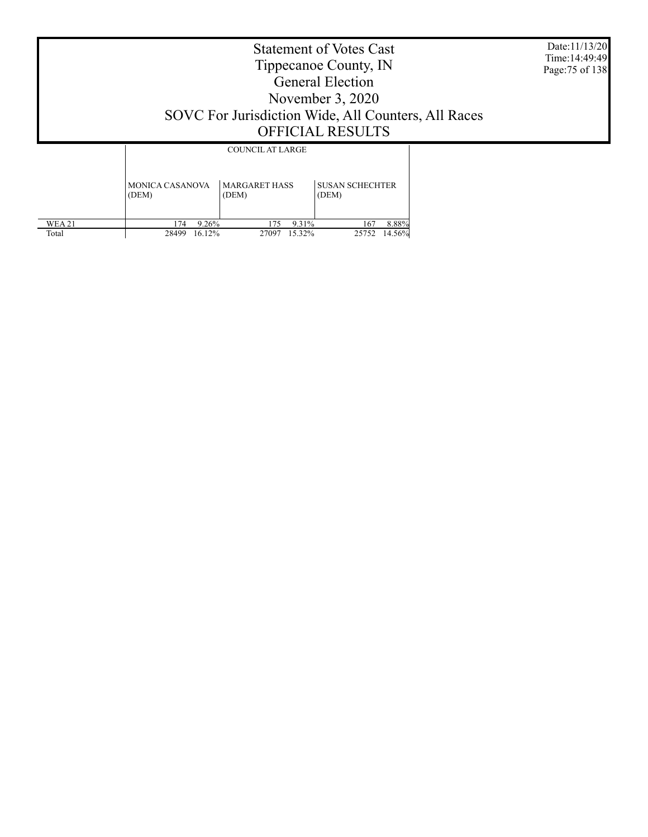Date:11/13/20 Time:14:49:49 Page:75 of 138

|               | COUNCIL AT LARGE       |                      |                        |  |  |  |  |  |
|---------------|------------------------|----------------------|------------------------|--|--|--|--|--|
|               | <b>MONICA CASANOVA</b> | <b>MARGARET HASS</b> | <b>SUSAN SCHECHTER</b> |  |  |  |  |  |
|               | (DEM)                  | (DEM)                | (DEM)                  |  |  |  |  |  |
| <b>WEA 21</b> | 9.26%                  | 9.31%                | 8.88%                  |  |  |  |  |  |
|               | 174                    | 175                  | 167                    |  |  |  |  |  |
| Total         | 28499                  | 27097                | 14.56%                 |  |  |  |  |  |
|               | 16.12%                 | 15.32%               | 25752                  |  |  |  |  |  |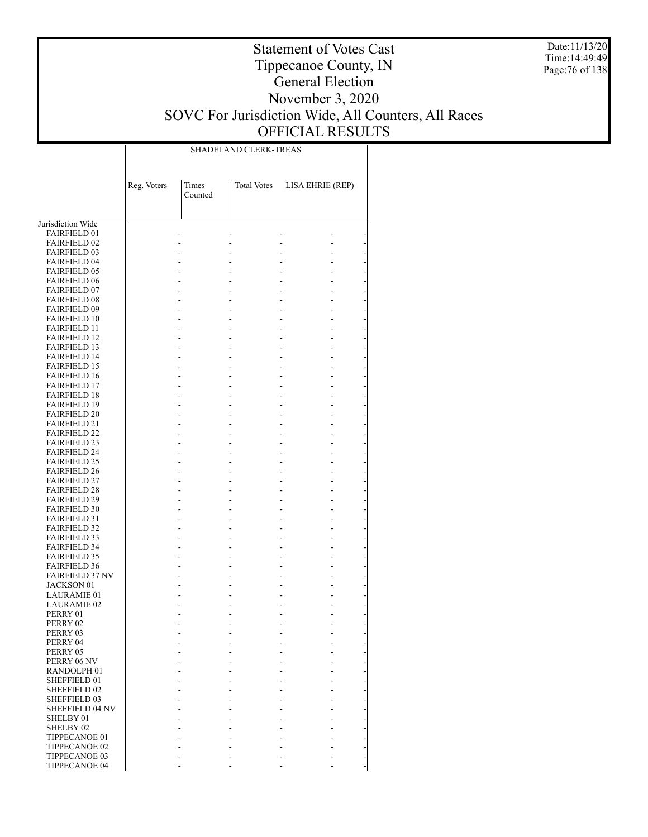Date:11/13/20 Time:14:49:49 Page:76 of 138

### Statement of Votes Cast Tippecanoe County, IN General Election November 3, 2020 SOVC For Jurisdiction Wide, All Counters, All Races OFFICIAL RESULTS

Τ

SHADELAND CLERK-TREAS

 $\overline{\phantom{a}}$ 

|                                            | Reg. Voters | Times<br>Counted | <b>Total Votes</b> | LISA EHRIE (REP) |  |
|--------------------------------------------|-------------|------------------|--------------------|------------------|--|
|                                            |             |                  |                    |                  |  |
| Jurisdiction Wide                          |             |                  |                    |                  |  |
| <b>FAIRFIELD 01</b>                        |             |                  |                    |                  |  |
| <b>FAIRFIELD 02</b>                        |             |                  |                    |                  |  |
| <b>FAIRFIELD 03</b>                        |             |                  |                    |                  |  |
| <b>FAIRFIELD 04</b>                        |             |                  |                    |                  |  |
| <b>FAIRFIELD 05</b>                        |             |                  |                    |                  |  |
| <b>FAIRFIELD 06</b>                        |             |                  |                    |                  |  |
| <b>FAIRFIELD 07</b>                        |             |                  |                    |                  |  |
| <b>FAIRFIELD 08</b>                        |             |                  |                    |                  |  |
| <b>FAIRFIELD 09</b>                        |             |                  |                    |                  |  |
| <b>FAIRFIELD 10</b>                        |             |                  |                    |                  |  |
| <b>FAIRFIELD 11</b>                        |             |                  |                    |                  |  |
| <b>FAIRFIELD 12</b>                        |             |                  |                    |                  |  |
| <b>FAIRFIELD 13</b><br><b>FAIRFIELD 14</b> |             |                  |                    |                  |  |
| <b>FAIRFIELD 15</b>                        |             |                  |                    |                  |  |
| <b>FAIRFIELD 16</b>                        |             |                  |                    |                  |  |
| <b>FAIRFIELD 17</b>                        |             |                  |                    |                  |  |
| <b>FAIRFIELD 18</b>                        |             |                  |                    |                  |  |
| <b>FAIRFIELD 19</b>                        |             |                  |                    |                  |  |
| <b>FAIRFIELD 20</b>                        |             |                  |                    |                  |  |
| <b>FAIRFIELD 21</b>                        |             |                  |                    |                  |  |
| <b>FAIRFIELD 22</b>                        |             |                  |                    |                  |  |
| <b>FAIRFIELD 23</b>                        |             |                  |                    |                  |  |
| <b>FAIRFIELD 24</b>                        |             |                  |                    |                  |  |
| <b>FAIRFIELD 25</b>                        |             |                  |                    |                  |  |
| <b>FAIRFIELD 26</b>                        |             |                  |                    |                  |  |
| <b>FAIRFIELD 27</b>                        |             |                  |                    |                  |  |
| <b>FAIRFIELD 28</b>                        |             |                  |                    |                  |  |
| <b>FAIRFIELD 29</b>                        |             |                  |                    |                  |  |
| <b>FAIRFIELD 30</b>                        |             |                  |                    |                  |  |
| <b>FAIRFIELD 31</b>                        |             |                  |                    |                  |  |
| <b>FAIRFIELD 32</b>                        |             |                  |                    |                  |  |
| <b>FAIRFIELD 33</b><br><b>FAIRFIELD 34</b> |             |                  |                    |                  |  |
| <b>FAIRFIELD 35</b>                        |             |                  |                    |                  |  |
| <b>FAIRFIELD 36</b>                        |             |                  |                    |                  |  |
| <b>FAIRFIELD 37 NV</b>                     |             |                  |                    |                  |  |
| JACKSON 01                                 |             |                  |                    |                  |  |
| LAURAMIE 01                                |             |                  |                    |                  |  |
| LAURAMIE 02                                |             |                  |                    |                  |  |
| PERRY 01                                   |             |                  |                    |                  |  |
| PERRY 02                                   |             |                  |                    |                  |  |
| PERRY 03                                   |             |                  |                    |                  |  |
| PERRY 04                                   |             |                  |                    |                  |  |
| PERRY 05                                   |             |                  |                    |                  |  |
| PERRY 06 NV                                |             |                  |                    |                  |  |
| RANDOLPH <sub>01</sub>                     |             |                  |                    |                  |  |
| SHEFFIELD 01                               |             |                  |                    |                  |  |
| SHEFFIELD 02                               |             |                  |                    |                  |  |
| <b>SHEFFIELD 03</b>                        |             |                  |                    |                  |  |
| SHEFFIELD 04 NV<br>SHELBY 01               |             |                  |                    |                  |  |
| SHELBY <sub>02</sub>                       |             |                  |                    |                  |  |
| TIPPECANOE 01                              |             |                  |                    |                  |  |
| TIPPECANOE 02                              |             |                  |                    |                  |  |
| TIPPECANOE 03                              |             |                  |                    |                  |  |
| TIPPECANOE 04                              |             |                  |                    |                  |  |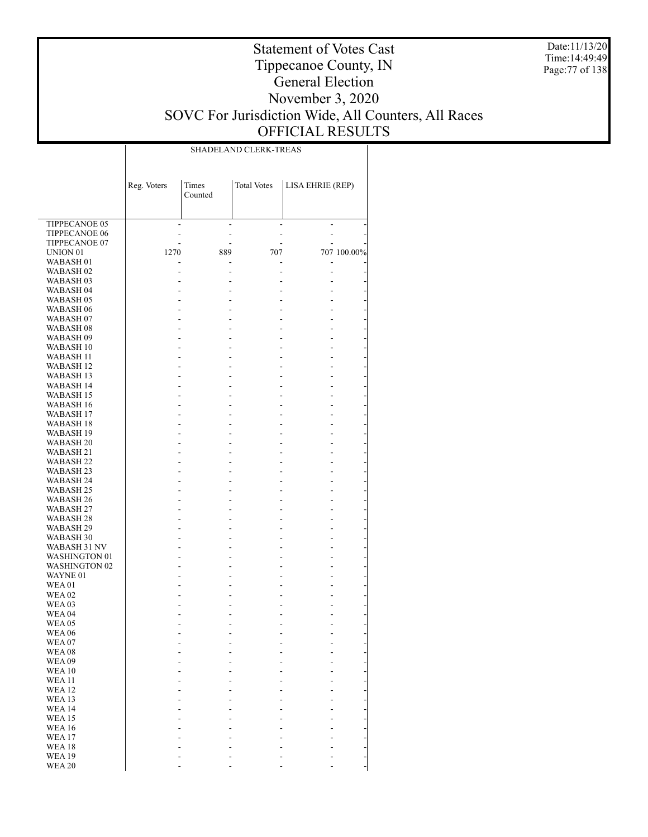Date:11/13/20 Time: 14:49:49 Page:77 of 138

### Statement of Votes Cast Tippecanoe County, IN General Election November 3, 2020 SOVC For Jurisdiction Wide, All Counters, All Races OFFICIAL RESULTS

|                                       | SHADELAND CLERK-TREAS |         |                    |                  |             |  |  |  |  |  |
|---------------------------------------|-----------------------|---------|--------------------|------------------|-------------|--|--|--|--|--|
|                                       |                       |         |                    |                  |             |  |  |  |  |  |
|                                       |                       |         |                    |                  |             |  |  |  |  |  |
|                                       |                       |         |                    |                  |             |  |  |  |  |  |
|                                       | Reg. Voters           | Times   | <b>Total Votes</b> | LISA EHRIE (REP) |             |  |  |  |  |  |
|                                       |                       | Counted |                    |                  |             |  |  |  |  |  |
|                                       |                       |         |                    |                  |             |  |  |  |  |  |
|                                       |                       |         |                    |                  |             |  |  |  |  |  |
| TIPPECANOE 05<br><b>TIPPECANOE 06</b> |                       |         |                    |                  |             |  |  |  |  |  |
| TIPPECANOE 07                         |                       |         |                    |                  |             |  |  |  |  |  |
| UNION 01                              | 1270                  | 889     | 707                |                  | 707 100.00% |  |  |  |  |  |
| WABASH 01                             |                       |         |                    |                  |             |  |  |  |  |  |
| WABASH <sub>02</sub>                  |                       |         |                    |                  |             |  |  |  |  |  |
| WABASH 03                             |                       |         |                    |                  |             |  |  |  |  |  |
| WABASH 04                             |                       |         |                    |                  |             |  |  |  |  |  |
| WABASH 05                             |                       |         |                    |                  |             |  |  |  |  |  |
| WABASH 06                             |                       |         |                    |                  |             |  |  |  |  |  |
| WABASH 07                             |                       |         |                    |                  |             |  |  |  |  |  |
| WABASH 08                             |                       |         |                    |                  |             |  |  |  |  |  |
| WABASH 09                             |                       |         |                    |                  |             |  |  |  |  |  |
| WABASH 10                             |                       |         |                    |                  |             |  |  |  |  |  |
| WABASH 11                             |                       |         |                    |                  |             |  |  |  |  |  |
| <b>WABASH 12</b>                      |                       |         |                    |                  |             |  |  |  |  |  |
| WABASH 13                             |                       |         |                    |                  |             |  |  |  |  |  |
| WABASH 14<br>WABASH 15                |                       |         |                    |                  |             |  |  |  |  |  |
| WABASH 16                             |                       |         |                    |                  |             |  |  |  |  |  |
| WABASH 17                             |                       |         |                    |                  |             |  |  |  |  |  |
| WABASH 18                             |                       |         |                    |                  |             |  |  |  |  |  |
| WABASH 19                             |                       |         |                    |                  |             |  |  |  |  |  |
| <b>WABASH 20</b>                      |                       |         |                    |                  |             |  |  |  |  |  |
| WABASH 21                             |                       |         |                    |                  |             |  |  |  |  |  |
| WABASH 22                             |                       |         |                    |                  |             |  |  |  |  |  |
| WABASH 23                             |                       |         |                    |                  |             |  |  |  |  |  |
| WABASH 24                             |                       |         |                    |                  |             |  |  |  |  |  |
| WABASH 25                             |                       |         |                    |                  |             |  |  |  |  |  |
| WABASH 26                             |                       |         |                    |                  |             |  |  |  |  |  |
| WABASH 27                             |                       |         |                    |                  |             |  |  |  |  |  |
| WABASH 28                             |                       |         |                    |                  |             |  |  |  |  |  |
| WABASH 29                             |                       |         |                    |                  |             |  |  |  |  |  |
| WABASH 30<br>WABASH 31 NV             |                       |         |                    |                  |             |  |  |  |  |  |
| <b>WASHINGTON 01</b>                  |                       |         |                    |                  |             |  |  |  |  |  |
| <b>WASHINGTON 02</b>                  |                       |         |                    |                  |             |  |  |  |  |  |
| WAYNE 01                              |                       |         |                    |                  |             |  |  |  |  |  |
| <b>WEA01</b>                          |                       |         |                    |                  |             |  |  |  |  |  |
| <b>WEA 02</b>                         |                       |         |                    |                  |             |  |  |  |  |  |
| WEA <sub>03</sub>                     |                       |         |                    |                  |             |  |  |  |  |  |
| WEA 04                                |                       |         |                    |                  |             |  |  |  |  |  |
| WEA05                                 |                       |         |                    |                  |             |  |  |  |  |  |
| <b>WEA 06</b>                         |                       |         |                    |                  |             |  |  |  |  |  |
| <b>WEA07</b>                          |                       |         |                    |                  |             |  |  |  |  |  |
| <b>WEA08</b>                          |                       |         |                    |                  |             |  |  |  |  |  |
| WEA09                                 |                       |         |                    |                  |             |  |  |  |  |  |
| <b>WEA10</b>                          |                       |         |                    |                  |             |  |  |  |  |  |
| <b>WEA 11</b><br><b>WEA12</b>         |                       |         |                    |                  |             |  |  |  |  |  |
| <b>WEA 13</b>                         |                       |         |                    |                  |             |  |  |  |  |  |
| <b>WEA14</b>                          |                       |         |                    |                  |             |  |  |  |  |  |
| <b>WEA15</b>                          |                       |         |                    |                  |             |  |  |  |  |  |
| <b>WEA16</b>                          |                       |         |                    |                  |             |  |  |  |  |  |
| <b>WEA17</b>                          |                       |         |                    |                  |             |  |  |  |  |  |
| <b>WEA18</b>                          |                       |         |                    |                  |             |  |  |  |  |  |
| <b>WEA19</b>                          |                       |         |                    |                  |             |  |  |  |  |  |
| <b>WEA 20</b>                         |                       |         |                    |                  |             |  |  |  |  |  |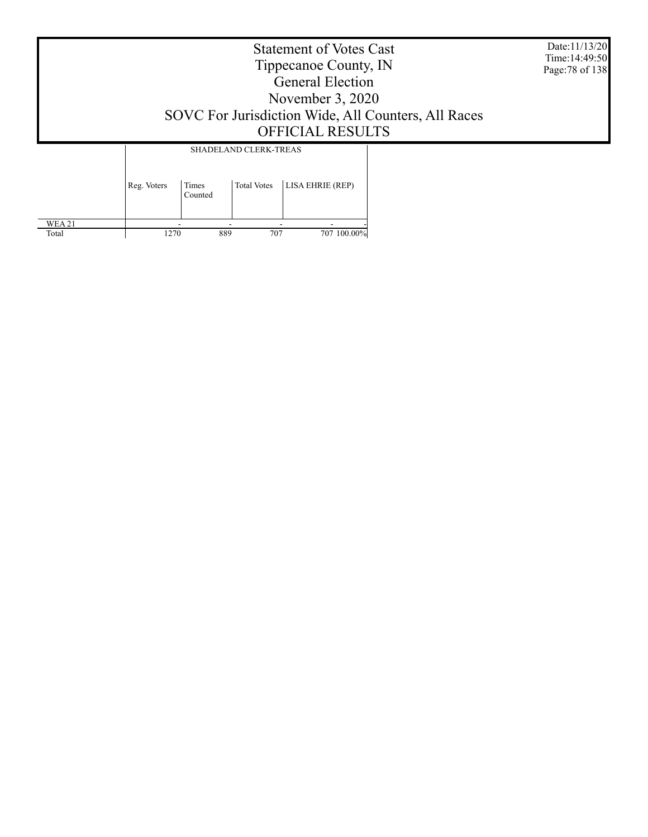Date:11/13/20 Time:14:49:50 Page:78 of 138

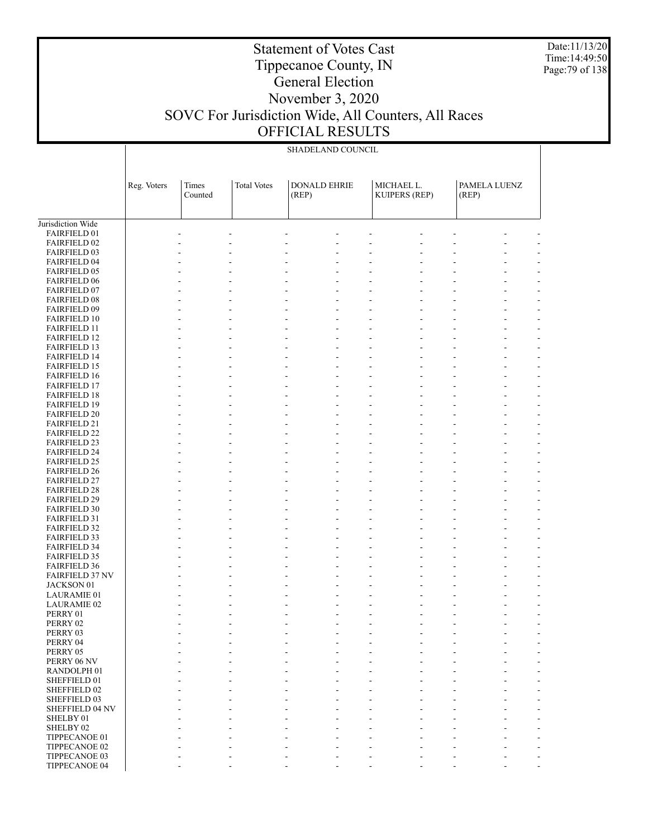Date:11/13/20 Time:14:49:50 Page:79 of 138

## Tippecanoe County, IN General Election

Statement of Votes Cast

### November 3, 2020 SOVC For Jurisdiction Wide, All Counters, All Races OFFICIAL RESULTS

|                                            | SHADELAND COUNCIL |                  |                    |                              |  |                                    |  |                       |  |
|--------------------------------------------|-------------------|------------------|--------------------|------------------------------|--|------------------------------------|--|-----------------------|--|
|                                            | Reg. Voters       | Times<br>Counted | <b>Total Votes</b> | <b>DONALD EHRIE</b><br>(REP) |  | MICHAEL L.<br><b>KUIPERS (REP)</b> |  | PAMELA LUENZ<br>(REP) |  |
| Jurisdiction Wide                          |                   |                  |                    |                              |  |                                    |  |                       |  |
| FAIRFIELD 01                               |                   |                  |                    |                              |  |                                    |  |                       |  |
| <b>FAIRFIELD 02</b>                        |                   |                  |                    |                              |  |                                    |  |                       |  |
| <b>FAIRFIELD 03</b>                        |                   |                  |                    |                              |  |                                    |  |                       |  |
| FAIRFIELD 04                               |                   |                  |                    |                              |  |                                    |  |                       |  |
| <b>FAIRFIELD 05</b>                        |                   |                  |                    |                              |  |                                    |  |                       |  |
| <b>FAIRFIELD 06</b>                        |                   |                  |                    |                              |  |                                    |  |                       |  |
| FAIRFIELD 07                               |                   |                  |                    |                              |  |                                    |  |                       |  |
| <b>FAIRFIELD 08</b>                        |                   |                  |                    |                              |  |                                    |  |                       |  |
| FAIRFIELD 09                               |                   |                  |                    |                              |  |                                    |  |                       |  |
| <b>FAIRFIELD 10</b>                        |                   |                  |                    |                              |  |                                    |  |                       |  |
| <b>FAIRFIELD 11</b>                        |                   |                  |                    |                              |  |                                    |  |                       |  |
| <b>FAIRFIELD 12</b><br><b>FAIRFIELD 13</b> |                   |                  |                    |                              |  |                                    |  |                       |  |
| <b>FAIRFIELD 14</b>                        |                   |                  |                    |                              |  |                                    |  |                       |  |
| <b>FAIRFIELD 15</b>                        |                   |                  |                    |                              |  |                                    |  |                       |  |
| <b>FAIRFIELD 16</b>                        |                   |                  |                    |                              |  |                                    |  |                       |  |
| <b>FAIRFIELD 17</b>                        |                   |                  |                    |                              |  |                                    |  |                       |  |
| <b>FAIRFIELD 18</b>                        |                   |                  |                    |                              |  |                                    |  |                       |  |
| <b>FAIRFIELD 19</b>                        |                   |                  |                    |                              |  |                                    |  |                       |  |
| <b>FAIRFIELD 20</b>                        |                   |                  |                    |                              |  |                                    |  |                       |  |
| <b>FAIRFIELD 21</b>                        |                   |                  |                    | L,                           |  |                                    |  |                       |  |
| <b>FAIRFIELD 22</b>                        |                   |                  |                    |                              |  |                                    |  |                       |  |
| <b>FAIRFIELD 23</b>                        |                   |                  |                    |                              |  |                                    |  |                       |  |
| <b>FAIRFIELD 24</b>                        |                   |                  |                    |                              |  |                                    |  |                       |  |
| <b>FAIRFIELD 25</b>                        |                   |                  |                    |                              |  |                                    |  |                       |  |
| <b>FAIRFIELD 26</b>                        |                   |                  |                    |                              |  |                                    |  |                       |  |
| <b>FAIRFIELD 27</b>                        |                   |                  |                    |                              |  |                                    |  |                       |  |
| <b>FAIRFIELD 28</b>                        |                   |                  |                    |                              |  |                                    |  |                       |  |
| <b>FAIRFIELD 29</b>                        |                   |                  |                    |                              |  |                                    |  |                       |  |
| <b>FAIRFIELD 30</b><br><b>FAIRFIELD 31</b> |                   |                  |                    |                              |  |                                    |  |                       |  |
| <b>FAIRFIELD 32</b>                        |                   |                  |                    |                              |  |                                    |  |                       |  |
| <b>FAIRFIELD 33</b>                        |                   |                  |                    |                              |  |                                    |  |                       |  |
| <b>FAIRFIELD 34</b>                        |                   |                  |                    |                              |  |                                    |  |                       |  |
| <b>FAIRFIELD 35</b>                        |                   |                  |                    |                              |  |                                    |  |                       |  |
| <b>FAIRFIELD 36</b>                        |                   |                  |                    |                              |  |                                    |  |                       |  |
| <b>FAIRFIELD 37 NV</b>                     |                   |                  |                    |                              |  |                                    |  |                       |  |
| JACKSON 01                                 |                   |                  |                    |                              |  |                                    |  |                       |  |
| <b>LAURAMIE 01</b>                         |                   |                  |                    |                              |  |                                    |  |                       |  |
| <b>LAURAMIE 02</b>                         |                   |                  |                    |                              |  |                                    |  |                       |  |
| PERRY 01                                   |                   |                  |                    |                              |  |                                    |  |                       |  |
| PERRY 02                                   |                   |                  |                    |                              |  |                                    |  |                       |  |
| PERRY 03                                   |                   |                  |                    |                              |  |                                    |  |                       |  |
| PERRY 04                                   |                   |                  |                    |                              |  |                                    |  |                       |  |
| PERRY 05<br>PERRY 06 NV                    |                   |                  |                    |                              |  |                                    |  |                       |  |
| RANDOLPH 01                                |                   |                  |                    |                              |  |                                    |  |                       |  |
| SHEFFIELD 01                               |                   |                  |                    |                              |  |                                    |  |                       |  |
| SHEFFIELD 02                               |                   |                  |                    |                              |  |                                    |  |                       |  |
| SHEFFIELD 03                               |                   |                  |                    |                              |  |                                    |  |                       |  |
| SHEFFIELD 04 NV                            |                   |                  |                    | ÷,                           |  |                                    |  |                       |  |
| SHELBY 01                                  |                   |                  |                    |                              |  |                                    |  |                       |  |
| SHELBY 02                                  |                   |                  |                    |                              |  |                                    |  |                       |  |
| TIPPECANOE 01                              |                   |                  |                    |                              |  |                                    |  |                       |  |
| TIPPECANOE 02                              |                   |                  |                    |                              |  |                                    |  |                       |  |
| TIPPECANOE 03                              |                   |                  |                    |                              |  |                                    |  |                       |  |

- - - - - - - - -

TIPPECANOE 04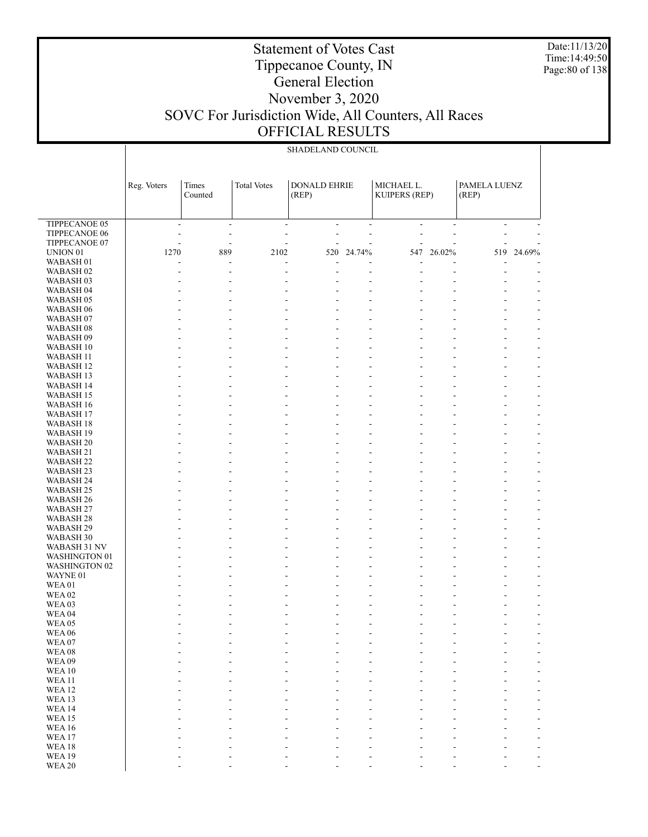Date:11/13/20 Time:14:49:50 Page:80 of 138

### Tippecanoe County, IN General Election November 3, 2020 SOVC For Jurisdiction Wide, All Counters, All Races OFFICIAL RESULTS

Statement of Votes Cast

|                                       | SHADELAND COUNCIL |                          |                    |                     |                          |                          |                          |              |                               |
|---------------------------------------|-------------------|--------------------------|--------------------|---------------------|--------------------------|--------------------------|--------------------------|--------------|-------------------------------|
|                                       |                   |                          |                    |                     |                          |                          |                          |              |                               |
|                                       |                   |                          |                    |                     |                          |                          |                          |              |                               |
|                                       |                   | Times                    | <b>Total Votes</b> | <b>DONALD EHRIE</b> |                          | MICHAEL L.               |                          | PAMELA LUENZ |                               |
|                                       | Reg. Voters       | Counted                  |                    | (REP)               |                          | <b>KUIPERS (REP)</b>     |                          | (REP)        |                               |
|                                       |                   |                          |                    |                     |                          |                          |                          |              |                               |
|                                       |                   |                          |                    |                     |                          |                          |                          |              |                               |
| <b>TIPPECANOE 05</b>                  | ÷,                | $\sim$                   | ÷,                 | ÷,                  | $\overline{\phantom{a}}$ | $\overline{\phantom{a}}$ | $\overline{\phantom{a}}$ | ä,           |                               |
| TIPPECANOE 06                         | L,                | $\overline{\phantom{a}}$ | L,                 | ÷,                  | ÷,                       | ٠                        | L,                       |              |                               |
| TIPPECANOE 07                         |                   |                          | ÷,                 |                     |                          |                          |                          |              |                               |
| UNION <sub>01</sub>                   | 1270              | 889                      | 2102               | 520                 | 24.74%                   |                          | 547 26.02%               |              | 519 24.69%                    |
| WABASH <sub>01</sub>                  |                   |                          | ÷,                 |                     |                          |                          |                          |              |                               |
| WABASH <sub>02</sub>                  |                   | L,                       | ÷,                 | L,                  |                          |                          | ÷,                       |              |                               |
| WABASH 03                             |                   |                          |                    |                     |                          |                          |                          |              |                               |
| WABASH 04<br>WABASH 05                |                   |                          |                    |                     |                          |                          | ÷,                       |              | -                             |
| WABASH 06                             |                   |                          |                    |                     |                          |                          | L,                       |              | ÷,                            |
| WABASH 07                             |                   |                          |                    |                     |                          |                          |                          |              | $\overline{\phantom{0}}$      |
| WABASH 08                             |                   |                          |                    |                     |                          |                          | ÷,                       |              | ٠                             |
| WABASH 09                             |                   |                          |                    |                     |                          |                          |                          |              | -                             |
| WABASH 10                             |                   |                          |                    |                     |                          |                          | L,                       |              | ÷,                            |
| WABASH 11                             |                   |                          |                    |                     |                          |                          |                          |              | -                             |
| WABASH 12                             |                   |                          |                    |                     |                          |                          | ÷,                       |              | ٠                             |
| WABASH 13                             |                   |                          |                    |                     |                          |                          |                          |              | -                             |
| <b>WABASH 14</b>                      |                   |                          |                    |                     |                          |                          | ÷,                       |              | ÷,                            |
| WABASH 15<br>WABASH 16                |                   |                          |                    |                     |                          |                          | ÷,                       |              | -<br>٠                        |
| WABASH 17                             |                   |                          |                    |                     |                          |                          |                          |              | $\overline{\phantom{0}}$      |
| WABASH 18                             |                   |                          |                    |                     |                          |                          | ÷,                       |              | ÷,                            |
| WABASH 19                             |                   |                          |                    |                     |                          |                          |                          |              | -                             |
| WABASH <sub>20</sub>                  |                   |                          |                    |                     |                          |                          | ÷,                       |              | ٠                             |
| WABASH 21                             |                   |                          |                    |                     |                          |                          |                          |              | $\overline{\phantom{0}}$      |
| <b>WABASH 22</b>                      |                   |                          |                    |                     |                          |                          | ÷,                       |              | ÷,                            |
| WABASH <sub>23</sub>                  |                   |                          |                    |                     |                          |                          |                          |              | -                             |
| WABASH 24<br>WABASH 25                |                   |                          |                    |                     |                          |                          | ÷,<br>L,                 |              | ٠<br>$\overline{\phantom{0}}$ |
| WABASH 26                             |                   |                          |                    |                     |                          |                          | Ē,                       |              | ÷,                            |
| WABASH 27                             |                   |                          |                    |                     |                          |                          |                          |              | -                             |
| WABASH <sub>28</sub>                  |                   |                          |                    |                     |                          |                          | ÷,                       |              | -                             |
| WABASH 29                             |                   |                          |                    |                     |                          |                          | L,                       |              | $\overline{\phantom{0}}$      |
| WABASH 30                             |                   |                          |                    |                     |                          |                          | Ē,                       |              | ÷                             |
| WABASH 31 NV                          |                   |                          |                    |                     |                          |                          |                          |              | -                             |
| WASHINGTON 01<br><b>WASHINGTON 02</b> |                   |                          |                    |                     |                          |                          | ÷,                       |              | $\overline{\phantom{0}}$      |
| WAYNE 01                              |                   |                          |                    |                     |                          |                          |                          |              | $\overline{\phantom{0}}$<br>٠ |
| WEA01                                 |                   |                          |                    |                     |                          |                          |                          |              | -                             |
| <b>WEA02</b>                          |                   |                          |                    |                     |                          |                          |                          |              | ٠                             |
| WEA03                                 |                   |                          |                    |                     |                          |                          |                          |              | $\overline{\phantom{0}}$      |
| <b>WEA 04</b>                         |                   |                          |                    |                     |                          |                          |                          |              |                               |
| WEA05                                 |                   |                          |                    |                     |                          |                          |                          |              |                               |
| <b>WEA 06</b>                         |                   |                          |                    |                     |                          |                          |                          |              |                               |
| WEA07                                 |                   |                          |                    |                     |                          |                          |                          |              |                               |
| WEA08<br><b>WEA09</b>                 |                   |                          |                    |                     |                          |                          |                          |              |                               |
| <b>WEA10</b>                          |                   |                          |                    |                     |                          |                          |                          |              |                               |
| <b>WEA11</b>                          |                   |                          |                    |                     |                          |                          |                          |              |                               |
| <b>WEA12</b>                          |                   |                          |                    |                     |                          |                          |                          |              |                               |
| WEA13                                 |                   |                          |                    |                     |                          |                          |                          |              |                               |
| <b>WEA14</b>                          |                   |                          |                    |                     |                          |                          |                          |              |                               |
| <b>WEA15</b>                          |                   |                          |                    |                     |                          |                          |                          |              |                               |
| <b>WEA16</b>                          |                   |                          |                    |                     |                          |                          |                          |              |                               |
| WEA17<br><b>WEA18</b>                 |                   |                          |                    |                     |                          |                          |                          |              |                               |
| <b>WEA19</b>                          |                   |                          |                    |                     |                          |                          |                          |              |                               |
| <b>WEA 20</b>                         |                   |                          |                    |                     |                          |                          |                          |              |                               |
|                                       |                   |                          |                    |                     |                          |                          |                          |              |                               |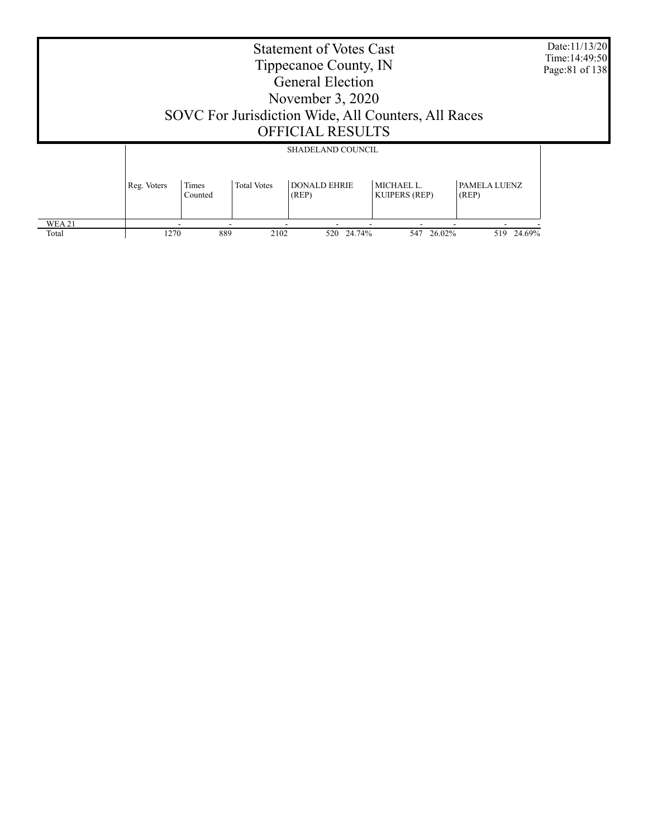|                                                                                                                                                      | <b>Statement of Votes Cast</b><br>Tippecanoe County, IN<br><b>General Election</b><br>November $3, 2020$<br>SOVC For Jurisdiction Wide, All Counters, All Races<br><b>OFFICIAL RESULTS</b> |  |             |                          |            |               |  |  |  |
|------------------------------------------------------------------------------------------------------------------------------------------------------|--------------------------------------------------------------------------------------------------------------------------------------------------------------------------------------------|--|-------------|--------------------------|------------|---------------|--|--|--|
|                                                                                                                                                      |                                                                                                                                                                                            |  |             | <b>SHADELAND COUNCIL</b> |            |               |  |  |  |
| <b>DONALD EHRIE</b><br>MICHAEL L.<br>PAMELA LUENZ<br>Reg. Voters<br>Times<br><b>Total Votes</b><br>(REP)<br><b>KUIPERS (REP)</b><br>(REP)<br>Counted |                                                                                                                                                                                            |  |             |                          |            |               |  |  |  |
| <b>WEA21</b><br>Total                                                                                                                                | 1270                                                                                                                                                                                       |  | 889<br>2102 | 520 24.74%               | 547 26.02% | 24.69%<br>519 |  |  |  |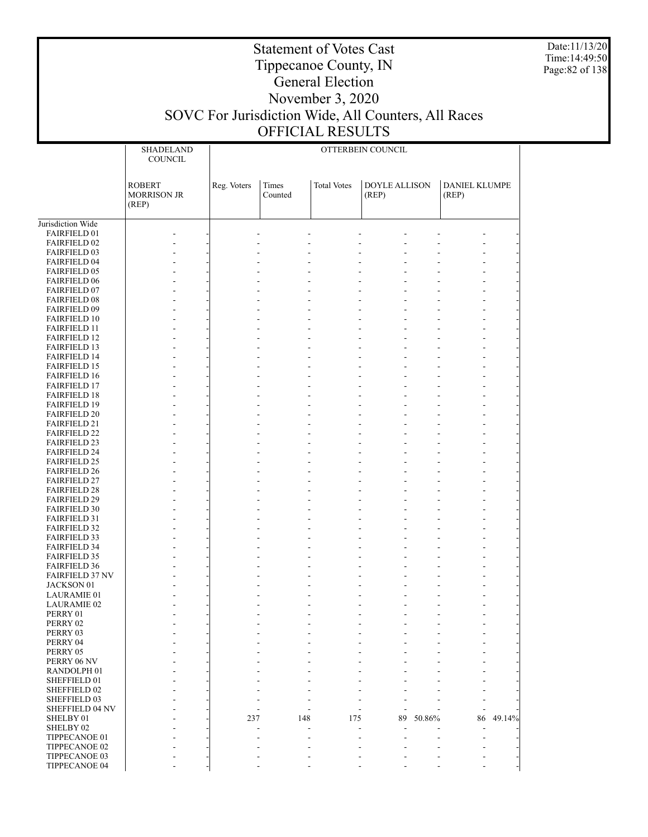Date:11/13/20 Time:14:49:50 Page:82 of 138

# Statement of Votes Cast Tippecanoe County, IN General Election November 3, 2020 SOVC For Jurisdiction Wide, All Counters, All Races

### OFFICIAL RESULTS

|                                            | SHADELAND<br><b>COUNCIL</b>                  | OTTERBEIN COUNCIL |                  |                    |                               |        |                               |        |
|--------------------------------------------|----------------------------------------------|-------------------|------------------|--------------------|-------------------------------|--------|-------------------------------|--------|
|                                            | <b>ROBERT</b><br><b>MORRISON JR</b><br>(REP) | Reg. Voters       | Times<br>Counted | <b>Total Votes</b> | <b>DOYLE ALLISON</b><br>(REP) |        | <b>DANIEL KLUMPE</b><br>(REP) |        |
| Jurisdiction Wide                          |                                              |                   |                  |                    |                               |        |                               |        |
| FAIRFIELD 01                               |                                              |                   |                  |                    |                               |        |                               |        |
| <b>FAIRFIELD 02</b><br><b>FAIRFIELD 03</b> |                                              |                   |                  |                    |                               |        |                               |        |
| FAIRFIELD 04                               |                                              |                   |                  |                    |                               |        |                               |        |
| <b>FAIRFIELD 05</b>                        |                                              |                   |                  |                    |                               |        |                               |        |
| <b>FAIRFIELD 06</b>                        |                                              |                   |                  |                    |                               |        |                               |        |
| <b>FAIRFIELD 07</b>                        |                                              |                   |                  |                    |                               |        |                               |        |
| <b>FAIRFIELD 08</b>                        |                                              |                   |                  |                    | ÷,                            |        |                               |        |
| FAIRFIELD 09                               |                                              |                   |                  |                    |                               |        |                               |        |
| <b>FAIRFIELD 10</b><br><b>FAIRFIELD 11</b> |                                              |                   |                  |                    | ÷,                            |        |                               |        |
| <b>FAIRFIELD 12</b>                        |                                              |                   |                  |                    | ÷,                            |        |                               |        |
| <b>FAIRFIELD 13</b>                        |                                              |                   |                  |                    |                               |        |                               |        |
| <b>FAIRFIELD 14</b>                        |                                              |                   |                  |                    |                               |        |                               |        |
| <b>FAIRFIELD 15</b>                        |                                              |                   |                  |                    |                               |        |                               |        |
| <b>FAIRFIELD 16</b>                        |                                              |                   |                  |                    | ÷,                            |        |                               |        |
| <b>FAIRFIELD 17</b><br><b>FAIRFIELD 18</b> |                                              |                   |                  |                    |                               |        |                               |        |
| <b>FAIRFIELD 19</b>                        |                                              |                   |                  |                    |                               |        |                               |        |
| <b>FAIRFIELD 20</b>                        |                                              |                   |                  |                    | ÷,                            |        |                               |        |
| <b>FAIRFIELD 21</b>                        |                                              |                   |                  |                    |                               |        |                               |        |
| <b>FAIRFIELD 22</b>                        |                                              |                   |                  |                    | ÷,                            |        |                               |        |
| <b>FAIRFIELD 23</b>                        |                                              |                   |                  |                    |                               |        |                               |        |
| <b>FAIRFIELD 24</b><br><b>FAIRFIELD 25</b> |                                              |                   |                  |                    | ÷,                            |        |                               |        |
| <b>FAIRFIELD 26</b>                        |                                              |                   |                  |                    |                               |        |                               |        |
| <b>FAIRFIELD 27</b>                        |                                              |                   |                  |                    |                               |        |                               |        |
| <b>FAIRFIELD 28</b>                        |                                              |                   |                  |                    |                               |        |                               |        |
| <b>FAIRFIELD 29</b>                        |                                              |                   |                  |                    |                               |        |                               |        |
| <b>FAIRFIELD 30</b>                        |                                              |                   |                  |                    |                               |        |                               |        |
| <b>FAIRFIELD 31</b>                        |                                              |                   |                  |                    |                               |        |                               |        |
| <b>FAIRFIELD 32</b><br><b>FAIRFIELD 33</b> |                                              |                   |                  |                    | ÷,                            |        |                               |        |
| <b>FAIRFIELD 34</b>                        |                                              |                   |                  |                    | ÷,                            |        |                               |        |
| <b>FAIRFIELD 35</b>                        |                                              |                   |                  |                    |                               |        |                               |        |
| <b>FAIRFIELD 36</b>                        |                                              |                   |                  |                    |                               |        |                               |        |
| <b>FAIRFIELD 37 NV</b>                     |                                              |                   |                  |                    |                               |        |                               |        |
| JACKSON 01                                 |                                              |                   |                  |                    |                               |        |                               |        |
| <b>LAURAMIE 01</b><br><b>LAURAMIE 02</b>   |                                              |                   |                  |                    |                               |        |                               |        |
| PERRY 01                                   |                                              |                   |                  |                    |                               |        |                               |        |
| PERRY 02                                   |                                              |                   |                  |                    |                               |        |                               |        |
| PERRY 03                                   |                                              |                   |                  |                    |                               |        |                               |        |
| PERRY 04                                   |                                              |                   |                  |                    |                               |        |                               |        |
| PERRY 05                                   |                                              |                   |                  |                    |                               |        |                               |        |
| PERRY 06 NV<br>RANDOLPH 01                 |                                              |                   |                  |                    |                               |        |                               |        |
| SHEFFIELD 01                               |                                              |                   |                  |                    |                               |        |                               |        |
| SHEFFIELD 02                               |                                              |                   |                  |                    |                               |        |                               |        |
| SHEFFIELD 03                               |                                              |                   |                  |                    |                               |        |                               |        |
| SHEFFIELD 04 NV                            |                                              |                   |                  |                    |                               |        |                               |        |
| SHELBY 01                                  |                                              | 237               | 148              | 175                | 89                            | 50.86% | 86                            | 49.14% |
| SHELBY 02                                  |                                              |                   |                  |                    |                               |        |                               |        |
| TIPPECANOE 01<br>TIPPECANOE 02             |                                              |                   |                  |                    |                               |        |                               |        |
| TIPPECANOE 03                              |                                              |                   |                  |                    |                               |        |                               |        |
| TIPPECANOE 04                              |                                              |                   |                  |                    |                               |        |                               |        |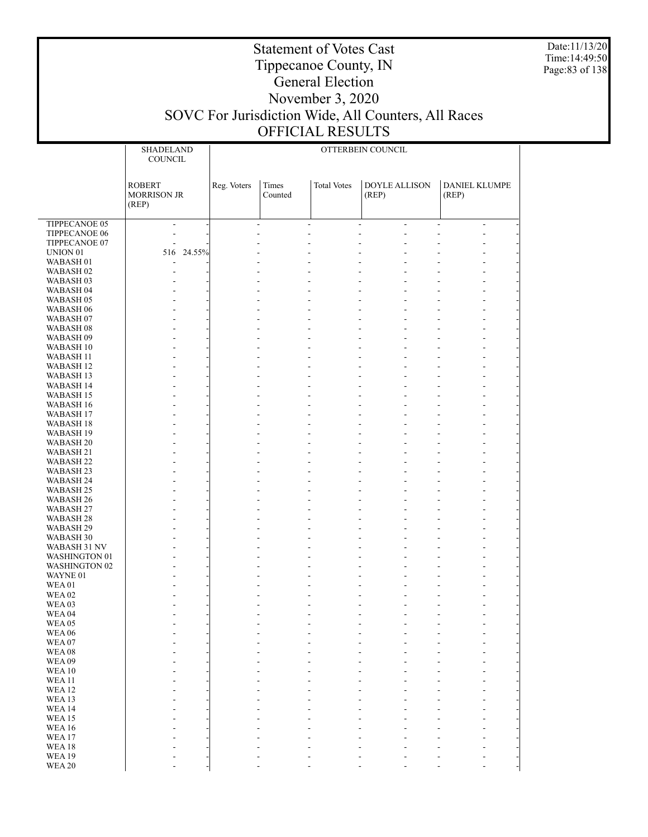Date:11/13/20 Time:14:49:50 Page:83 of 138

|                        | <b>SHADELAND</b>         | OTTERBEIN COUNCIL |                |                    |                                            |                          |                          |
|------------------------|--------------------------|-------------------|----------------|--------------------|--------------------------------------------|--------------------------|--------------------------|
|                        | <b>COUNCIL</b>           |                   |                |                    |                                            |                          |                          |
|                        |                          |                   |                |                    |                                            |                          |                          |
|                        | <b>ROBERT</b>            | Reg. Voters       | Times          | <b>Total Votes</b> | <b>DOYLE ALLISON</b>                       | <b>DANIEL KLUMPE</b>     |                          |
|                        | <b>MORRISON JR</b>       |                   | Counted        |                    | (REP)                                      | (REP)                    |                          |
|                        | (REP)                    |                   |                |                    |                                            |                          |                          |
|                        |                          |                   |                |                    |                                            |                          |                          |
| TIPPECANOE 05          | $\overline{\phantom{a}}$ |                   | $\blacksquare$ | $\blacksquare$     | $\blacksquare$<br>$\overline{\phantom{0}}$ | $\overline{\phantom{a}}$ | $\overline{\phantom{a}}$ |
| TIPPECANOE 06          | ÷                        | L,                | L,             |                    | ÷,<br>÷,                                   |                          | $\overline{a}$           |
| TIPPECANOE 07          |                          |                   |                |                    |                                            |                          |                          |
| UNION <sub>01</sub>    | 516 24.55%               |                   |                |                    |                                            |                          |                          |
| WABASH <sub>01</sub>   |                          |                   |                |                    |                                            |                          |                          |
| WABASH <sub>02</sub>   |                          |                   |                |                    |                                            |                          |                          |
| WABASH <sub>03</sub>   |                          |                   |                |                    |                                            |                          | -                        |
| WABASH <sub>04</sub>   |                          |                   |                |                    |                                            |                          | $\overline{a}$           |
| WABASH <sub>05</sub>   |                          |                   |                |                    |                                            |                          | $\overline{a}$           |
| WABASH 06              |                          |                   |                |                    |                                            |                          |                          |
| WABASH 07              |                          |                   |                |                    |                                            |                          | -                        |
| WABASH 08              |                          |                   |                |                    |                                            |                          | $\overline{a}$           |
| WABASH 09<br>WABASH 10 |                          |                   |                |                    |                                            |                          | $\overline{a}$           |
| <b>WABASH 11</b>       |                          |                   |                |                    |                                            |                          | -                        |
| <b>WABASH 12</b>       |                          |                   |                |                    |                                            |                          | -                        |
| <b>WABASH 13</b>       |                          |                   |                |                    |                                            |                          | L,                       |
| WABASH 14              |                          |                   |                |                    |                                            |                          |                          |
| <b>WABASH 15</b>       |                          |                   |                |                    |                                            |                          | -                        |
| WABASH 16              |                          |                   |                |                    |                                            |                          | -                        |
| <b>WABASH 17</b>       |                          |                   |                |                    |                                            |                          | $\overline{a}$           |
| WABASH 18              |                          |                   |                |                    |                                            |                          |                          |
| WABASH 19              |                          |                   |                |                    |                                            |                          | -                        |
| WABASH <sub>20</sub>   |                          |                   |                |                    |                                            |                          | -                        |
| WABASH 21              |                          |                   |                |                    |                                            |                          | $\overline{a}$           |
| <b>WABASH 22</b>       |                          |                   |                |                    |                                            |                          |                          |
| WABASH <sub>23</sub>   |                          |                   |                |                    |                                            |                          | -                        |
| WABASH 24              |                          |                   |                |                    |                                            |                          | -                        |
| <b>WABASH 25</b>       |                          |                   |                |                    | ÷,                                         |                          | $\overline{a}$           |
| WABASH 26<br>WABASH 27 |                          |                   |                |                    |                                            |                          | -                        |
| WABASH <sub>28</sub>   |                          |                   |                |                    |                                            |                          | -                        |
| WABASH 29              |                          |                   |                |                    | ÷,                                         |                          | $\overline{a}$           |
| <b>WABASH 30</b>       |                          |                   |                |                    |                                            |                          | $\overline{a}$           |
| WABASH 31 NV           |                          |                   |                |                    |                                            |                          | $\overline{a}$           |
| <b>WASHINGTON 01</b>   |                          |                   |                |                    |                                            |                          | -                        |
| <b>WASHINGTON 02</b>   |                          |                   |                |                    | ÷,                                         |                          | L,                       |
| WAYNE 01               |                          |                   |                |                    |                                            |                          |                          |
| WEA01                  |                          |                   |                |                    |                                            |                          | -                        |
| WEA <sub>02</sub>      |                          |                   |                |                    |                                            |                          |                          |
| WEA <sub>03</sub>      |                          |                   |                |                    |                                            |                          |                          |
| WEA <sub>04</sub>      |                          |                   |                |                    | ٠                                          |                          | $\overline{a}$           |
| WEA05                  |                          |                   |                |                    |                                            |                          |                          |
| <b>WEA 06</b><br>WEA07 |                          |                   |                |                    |                                            |                          |                          |
| <b>WEA08</b>           |                          |                   |                |                    |                                            |                          |                          |
| WEA09                  |                          |                   |                |                    |                                            |                          |                          |
| <b>WEA10</b>           |                          |                   |                |                    |                                            |                          |                          |
| <b>WEA11</b>           |                          |                   |                |                    |                                            |                          |                          |
| <b>WEA12</b>           |                          |                   |                |                    |                                            |                          |                          |
| WEA13                  |                          |                   |                |                    |                                            |                          |                          |
| <b>WEA14</b>           |                          |                   |                |                    |                                            |                          |                          |
| <b>WEA15</b>           |                          |                   |                |                    |                                            |                          |                          |
| <b>WEA16</b>           |                          |                   |                |                    |                                            |                          |                          |
| WEA17                  |                          |                   |                |                    |                                            |                          |                          |
| <b>WEA18</b>           |                          |                   |                |                    |                                            |                          |                          |
| <b>WEA19</b>           |                          |                   |                |                    |                                            |                          |                          |
| <b>WEA 20</b>          |                          |                   |                |                    |                                            |                          |                          |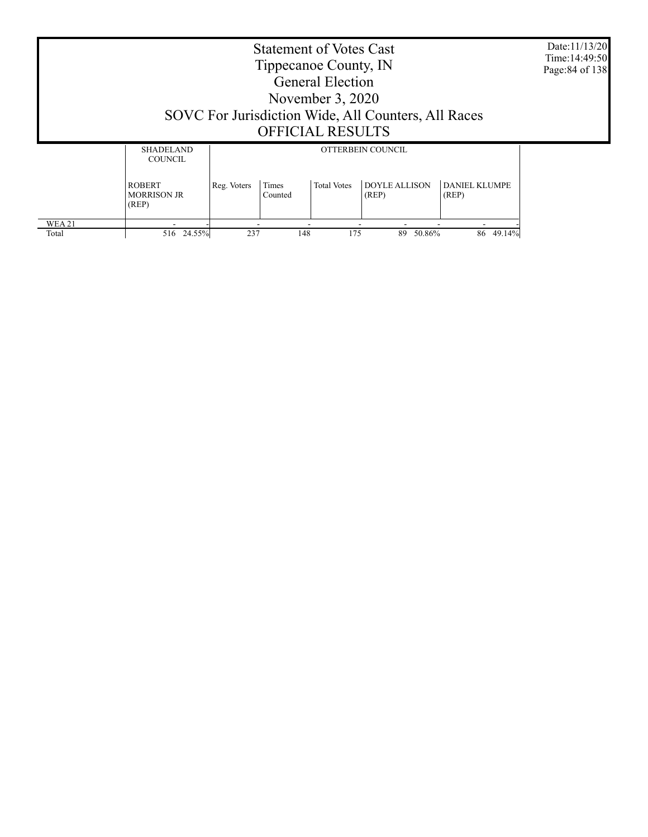Date:11/13/20 Time:14:49:50 Page:84 of 138

## Tippecanoe County, IN General Election November 3, 2020 SOVC For Jurisdiction Wide, All Counters, All Races OFFICIAL RESULTS

Statement of Votes Cast

|              | <b>SHADELAND</b><br><b>COUNCIL</b>           | OTTERBEIN COUNCIL                                                                                                |     |     |              |              |  |
|--------------|----------------------------------------------|------------------------------------------------------------------------------------------------------------------|-----|-----|--------------|--------------|--|
|              | <b>ROBERT</b><br><b>MORRISON JR</b><br>(REP) | <b>DOYLE ALLISON</b><br>DANIEL KLUMPE<br>Times<br><b>Total Votes</b><br>Reg. Voters<br>Counted<br>(REP)<br>(REP) |     |     |              |              |  |
| <b>WEA21</b> |                                              |                                                                                                                  |     |     | ۰            |              |  |
| Total        | 24.55%<br>516                                | 237                                                                                                              | 148 | 175 | 50.86%<br>89 | 49.14%<br>86 |  |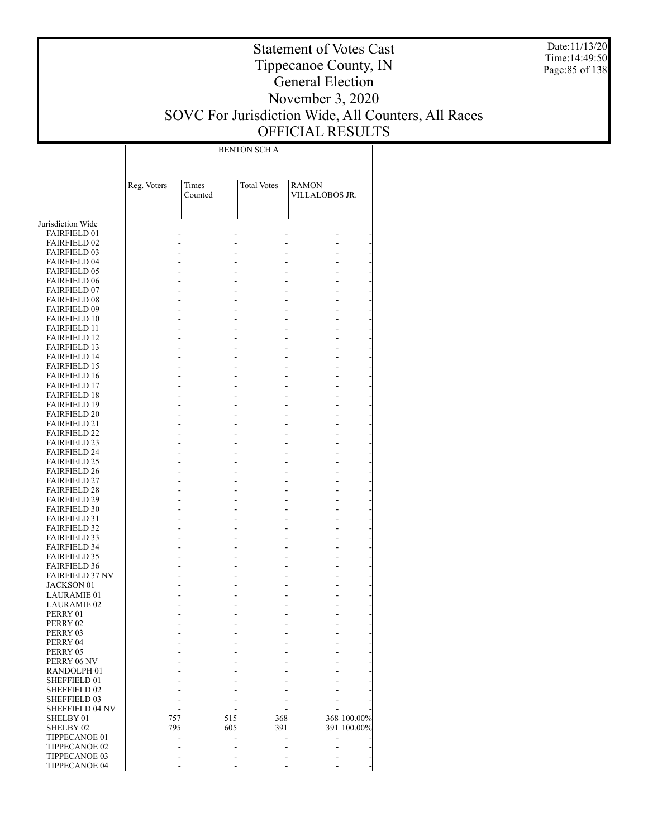Date:11/13/20 Time:14:49:50 Page:85 of 138

### Statement of Votes Cast Tippecanoe County, IN General Election November 3, 2020 SOVC For Jurisdiction Wide, All Counters, All Races OFFICIAL RESULTS

BENTON SCH A

|                                            | Reg. Voters | Times   |     | <b>Total Votes</b> | <b>RAMON</b>   |             |
|--------------------------------------------|-------------|---------|-----|--------------------|----------------|-------------|
|                                            |             | Counted |     |                    | VILLALOBOS JR. |             |
|                                            |             |         |     |                    |                |             |
| Jurisdiction Wide                          |             |         |     |                    |                |             |
| <b>FAIRFIELD 01</b>                        |             |         |     |                    |                |             |
| <b>FAIRFIELD 02</b>                        |             |         |     |                    |                |             |
| <b>FAIRFIELD 03</b>                        |             |         |     |                    |                |             |
| <b>FAIRFIELD 04</b>                        |             |         |     |                    |                |             |
| <b>FAIRFIELD 05</b>                        |             |         |     |                    |                |             |
| <b>FAIRFIELD 06</b>                        |             |         |     |                    |                |             |
| <b>FAIRFIELD 07</b>                        |             |         |     |                    |                |             |
| <b>FAIRFIELD 08</b><br><b>FAIRFIELD 09</b> |             |         |     |                    |                |             |
| <b>FAIRFIELD 10</b>                        |             |         |     |                    |                |             |
| <b>FAIRFIELD 11</b>                        |             |         |     |                    |                |             |
| <b>FAIRFIELD 12</b>                        |             |         |     |                    |                |             |
| <b>FAIRFIELD 13</b>                        |             |         |     |                    |                |             |
| <b>FAIRFIELD 14</b>                        |             |         |     |                    |                |             |
| <b>FAIRFIELD 15</b>                        |             |         |     |                    |                |             |
| <b>FAIRFIELD 16</b>                        |             |         |     |                    |                |             |
| <b>FAIRFIELD 17</b>                        |             |         |     |                    |                |             |
| <b>FAIRFIELD 18</b>                        |             |         |     |                    |                |             |
| <b>FAIRFIELD 19</b>                        |             |         |     |                    |                |             |
| <b>FAIRFIELD 20</b>                        |             |         |     |                    |                |             |
| <b>FAIRFIELD 21</b>                        |             |         |     |                    |                |             |
| <b>FAIRFIELD 22</b>                        |             |         |     |                    |                |             |
| <b>FAIRFIELD 23</b>                        |             |         |     |                    |                |             |
| <b>FAIRFIELD 24</b>                        |             |         |     |                    |                |             |
| <b>FAIRFIELD 25</b>                        |             |         |     |                    |                |             |
| <b>FAIRFIELD 26</b>                        |             |         |     |                    |                |             |
| <b>FAIRFIELD 27</b>                        |             |         |     |                    |                |             |
| <b>FAIRFIELD 28</b>                        |             |         |     |                    |                |             |
| <b>FAIRFIELD 29</b>                        |             |         |     |                    |                |             |
| <b>FAIRFIELD 30</b><br><b>FAIRFIELD 31</b> |             |         |     |                    |                |             |
| <b>FAIRFIELD 32</b>                        |             |         |     |                    |                |             |
| <b>FAIRFIELD 33</b>                        |             |         |     |                    |                |             |
| <b>FAIRFIELD 34</b>                        |             |         |     |                    |                |             |
| <b>FAIRFIELD 35</b>                        |             |         |     |                    |                |             |
| <b>FAIRFIELD 36</b>                        |             |         |     |                    |                |             |
| <b>FAIRFIELD 37 NV</b>                     |             |         |     |                    |                |             |
| JACKSON 01                                 |             |         |     |                    |                |             |
| <b>LAURAMIE 01</b>                         |             |         |     |                    |                |             |
| <b>LAURAMIE 02</b>                         |             |         |     |                    |                |             |
| PERRY 01                                   |             |         |     |                    |                |             |
| PERRY 02                                   |             |         |     |                    |                |             |
| PERRY 03                                   |             |         |     |                    |                |             |
| PERRY 04                                   |             |         |     |                    |                |             |
| PERRY 05                                   |             |         |     |                    |                |             |
| PERRY 06 NV                                |             |         |     |                    |                |             |
| RANDOLPH <sub>01</sub>                     |             |         |     |                    |                |             |
| SHEFFIELD 01<br>SHEFFIELD 02               |             |         |     |                    |                |             |
| SHEFFIELD 03                               |             |         |     |                    |                |             |
| <b>SHEFFIELD 04 NV</b>                     |             |         |     |                    |                |             |
| SHELBY 01                                  | 757         |         | 515 | 368                |                | 368 100.00% |
| SHELBY <sub>02</sub>                       | 795         |         | 605 | 391                |                | 391 100.00% |
| TIPPECANOE 01                              |             |         |     |                    |                |             |
| TIPPECANOE 02                              |             |         |     |                    |                |             |
| TIPPECANOE 03                              |             |         |     |                    |                |             |
| TIPPECANOE 04                              |             |         |     |                    |                |             |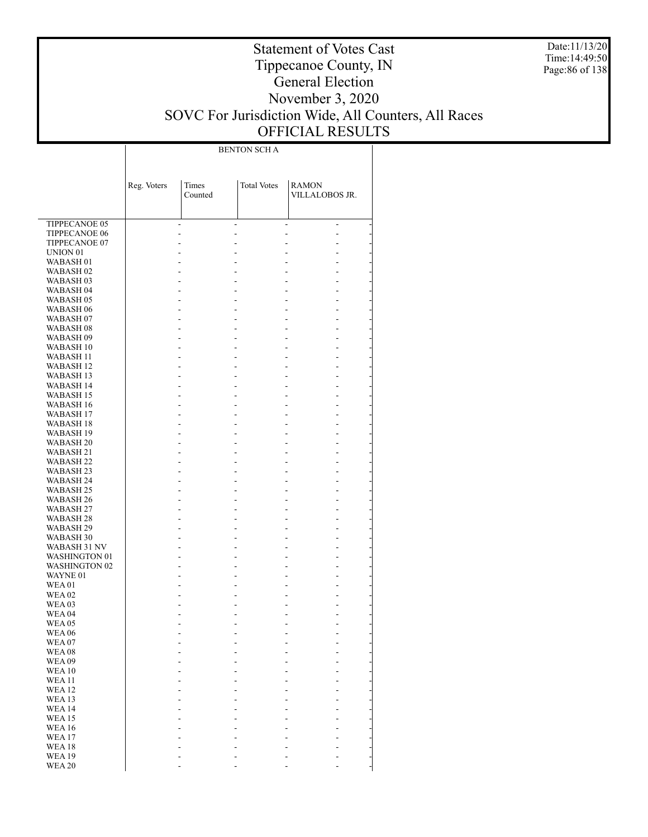Date:11/13/20 Time:14:49:50 Page:86 of 138

### Statement of Votes Cast Tippecanoe County, IN General Election November 3, 2020 SOVC For Jurisdiction Wide, All Counters, All Races OFFICIAL RESULTS

BENTON SCH A

|                                          | Reg. Voters | Times<br>Counted | <b>Total Votes</b> | <b>RAMON</b><br>VILLALOBOS JR. |  |
|------------------------------------------|-------------|------------------|--------------------|--------------------------------|--|
| TIPPECANOE 05                            |             |                  |                    |                                |  |
| <b>TIPPECANOE 06</b>                     |             | L.               |                    | ٠<br>L.                        |  |
| TIPPECANOE 07                            |             |                  |                    |                                |  |
| UNION <sub>01</sub>                      |             |                  |                    |                                |  |
| WABASH <sub>01</sub>                     |             |                  |                    |                                |  |
| WABASH <sub>02</sub>                     |             |                  |                    |                                |  |
| WABASH <sub>03</sub>                     |             |                  |                    |                                |  |
| WABASH 04                                |             |                  |                    |                                |  |
| WABASH <sub>05</sub>                     |             |                  |                    |                                |  |
| WABASH 06                                |             |                  |                    | L                              |  |
| WABASH 07<br>WABASH <sub>08</sub>        |             |                  |                    |                                |  |
| WABASH 09                                |             |                  |                    |                                |  |
| WABASH 10                                |             |                  |                    | L                              |  |
| WABASH 11                                |             |                  |                    |                                |  |
| WABASH 12                                |             |                  |                    |                                |  |
| WABASH 13                                |             |                  |                    |                                |  |
| <b>WABASH 14</b>                         |             |                  |                    | L                              |  |
| WABASH 15                                |             |                  |                    |                                |  |
| WABASH 16                                |             |                  |                    |                                |  |
| WABASH 17                                |             |                  |                    |                                |  |
| WABASH 18                                |             |                  |                    | L                              |  |
| WABASH 19                                |             |                  |                    |                                |  |
| WABASH 20                                |             |                  |                    |                                |  |
| <b>WABASH 21</b><br>WABASH <sub>22</sub> |             |                  |                    | L                              |  |
| WABASH 23                                |             |                  |                    |                                |  |
| WABASH 24                                |             |                  |                    |                                |  |
| WABASH 25                                |             |                  |                    |                                |  |
| WABASH 26                                |             |                  |                    |                                |  |
| WABASH 27                                |             |                  |                    |                                |  |
| WABASH 28                                |             |                  |                    |                                |  |
| WABASH 29                                |             |                  |                    |                                |  |
| WABASH 30                                |             |                  |                    | L                              |  |
| WABASH 31 NV                             |             |                  |                    |                                |  |
| <b>WASHINGTON 01</b>                     |             |                  |                    | L                              |  |
| <b>WASHINGTON 02</b><br>WAYNE 01         |             |                  |                    |                                |  |
| <b>WEA01</b>                             |             |                  |                    |                                |  |
| <b>WEA 02</b>                            |             |                  |                    |                                |  |
| <b>WEA03</b>                             |             |                  |                    |                                |  |
| <b>WEA 04</b>                            |             |                  |                    |                                |  |
| <b>WEA 05</b>                            |             |                  |                    |                                |  |
| <b>WEA 06</b>                            |             |                  |                    |                                |  |
| WEA07                                    |             |                  |                    |                                |  |
| <b>WEA08</b>                             |             |                  |                    |                                |  |
| <b>WEA09</b><br><b>WEA10</b>             |             |                  |                    |                                |  |
| <b>WEA11</b>                             |             |                  |                    |                                |  |
| <b>WEA12</b>                             |             |                  |                    |                                |  |
| <b>WEA13</b>                             |             |                  |                    |                                |  |
| <b>WEA14</b>                             |             |                  |                    |                                |  |
| <b>WEA15</b>                             |             |                  |                    |                                |  |
| <b>WEA16</b>                             |             |                  |                    |                                |  |
| <b>WEA17</b>                             |             |                  |                    |                                |  |
| <b>WEA18</b>                             |             |                  |                    |                                |  |
| <b>WEA19</b>                             |             |                  |                    |                                |  |
| <b>WEA 20</b>                            |             |                  |                    |                                |  |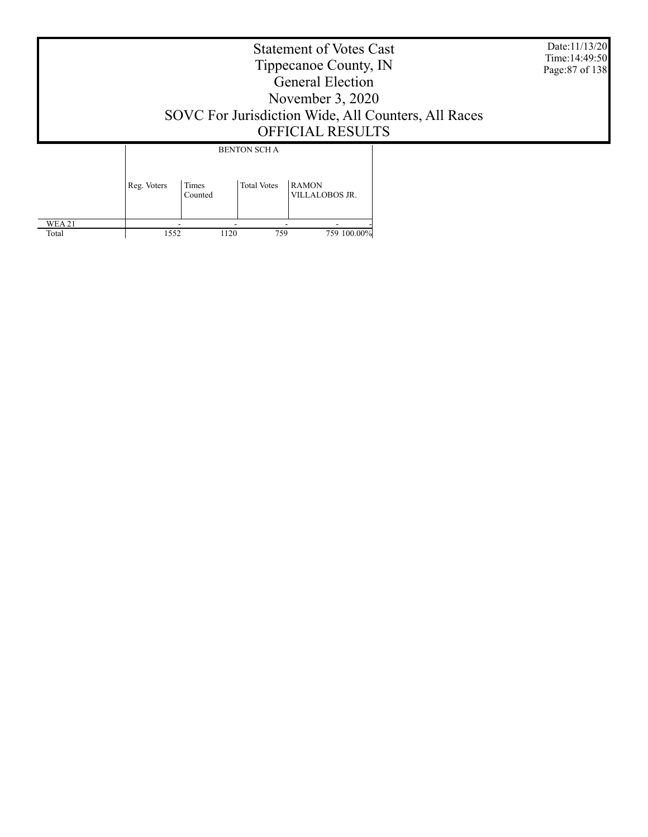Date:11/13/20 Time:14:49:50 Page:87 of 138

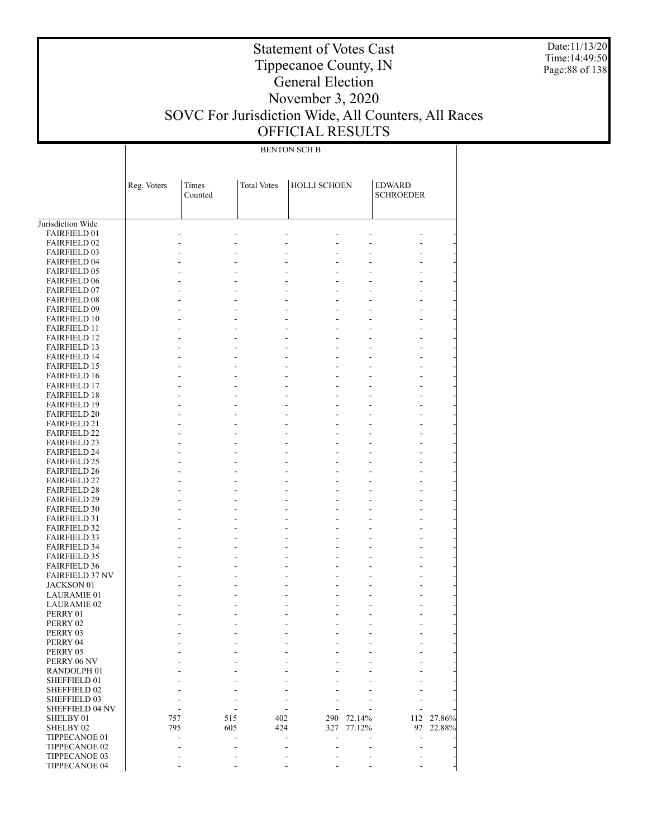Date:11/13/20 Time:14:49:50 Page:88 of 138

### Statement of Votes Cast Tippecanoe County, IN General Election November 3, 2020 SOVC For Jurisdiction Wide, All Counters, All Races OFFICIAL RESULTS

BENTON SCH B

|                                             | Reg. Voters | Times<br>Counted | <b>Total Votes</b> | <b>HOLLI SCHOEN</b> |         | <b>EDWARD</b><br><b>SCHROEDER</b> |        |
|---------------------------------------------|-------------|------------------|--------------------|---------------------|---------|-----------------------------------|--------|
|                                             |             |                  |                    |                     |         |                                   |        |
| Jurisdiction Wide                           |             |                  |                    |                     |         |                                   |        |
| <b>FAIRFIELD 01</b>                         |             | ÷.               | ٠                  | ä,                  | ä,      |                                   |        |
| <b>FAIRFIELD 02</b>                         |             | ä,               |                    | ä,                  | L.      |                                   |        |
| <b>FAIRFIELD 03</b>                         |             | ÷.               |                    | ٠<br>ä,             | ÷.      |                                   |        |
| <b>FAIRFIELD 04</b>                         |             | ÷.               |                    | ٠                   | ÷.      |                                   |        |
| <b>FAIRFIELD 05</b><br><b>FAIRFIELD 06</b>  |             | ä,               |                    | ٠                   | ä,      |                                   |        |
| <b>FAIRFIELD 07</b>                         |             | ÷.<br>÷.         |                    | ٠                   | ä,      |                                   |        |
| <b>FAIRFIELD 08</b>                         |             | ä,               |                    | ٠                   | ä,      |                                   |        |
| <b>FAIRFIELD 09</b>                         |             | ÷.<br>٠          |                    | ٠                   | ٠       |                                   |        |
| <b>FAIRFIELD 10</b>                         |             | ä,               |                    | L.                  | ä,      |                                   |        |
| <b>FAIRFIELD 11</b>                         |             | ÷.<br>٠          |                    | ٠                   | ä,      |                                   |        |
| <b>FAIRFIELD 12</b>                         |             | ä,               |                    | ٠                   | ä,      |                                   |        |
| <b>FAIRFIELD 13</b>                         |             | ÷.<br>٠          |                    | ٠                   | ٠       |                                   |        |
| <b>FAIRFIELD 14</b>                         |             | ä,               |                    | L.                  | ä,      |                                   |        |
| <b>FAIRFIELD 15</b>                         |             | ÷.<br>÷.         |                    | ٠                   | ä,      |                                   |        |
| <b>FAIRFIELD 16</b>                         |             | ä,               |                    | ٠                   | ä,      |                                   |        |
| <b>FAIRFIELD 17</b>                         |             | ÷.<br>٠          |                    | ٠                   | ٠       |                                   |        |
| <b>FAIRFIELD 18</b>                         |             | ä,               |                    | L.                  | ä,      |                                   |        |
| <b>FAIRFIELD 19</b>                         |             | ÷.<br>÷.         |                    | ٠                   | ä,      |                                   |        |
| <b>FAIRFIELD 20</b>                         |             | ä,               |                    | ٠                   | ä,      |                                   |        |
| <b>FAIRFIELD 21</b>                         |             | ÷.<br>٠          |                    | ٠                   | ٠       |                                   |        |
| <b>FAIRFIELD 22</b>                         |             | ä,               |                    | L.                  | ä,      |                                   |        |
| <b>FAIRFIELD 23</b>                         |             | ÷.<br>÷.         |                    | ٠                   | ä,      |                                   |        |
| <b>FAIRFIELD 24</b>                         |             | ä,               |                    | ٠                   | ä,      |                                   |        |
| <b>FAIRFIELD 25</b>                         |             | ÷.<br>٠          |                    | ٠                   | ٠       |                                   |        |
| <b>FAIRFIELD 26</b>                         |             | ä,               |                    | L.                  | ä,      |                                   |        |
| <b>FAIRFIELD 27</b>                         |             | ÷.<br>÷.         |                    | ٠                   | ä,      |                                   |        |
| <b>FAIRFIELD 28</b>                         |             | ä,               |                    | ٠                   | ä,      |                                   |        |
| <b>FAIRFIELD 29</b>                         |             | ÷.<br>٠          |                    | ٠                   | ٠       |                                   |        |
| <b>FAIRFIELD 30</b>                         |             | ä,               |                    | L.                  | ä,      |                                   |        |
| <b>FAIRFIELD 31</b>                         |             | ÷.<br>÷.         |                    | ٠                   | ÷.      |                                   |        |
| <b>FAIRFIELD 32</b>                         |             | ä,               |                    | ٠                   | ä,      |                                   |        |
| <b>FAIRFIELD 33</b>                         |             | ÷.<br>٠          |                    | ٠                   | ä,      |                                   |        |
| <b>FAIRFIELD 34</b>                         |             | ä,               |                    | ٠                   | ä,      |                                   |        |
| <b>FAIRFIELD 35</b>                         |             | ÷.<br>÷.         |                    | ٠                   | ÷.      |                                   |        |
| <b>FAIRFIELD 36</b>                         |             | ÷.<br>÷.<br>٠    |                    | ä,<br>٠             | ä,<br>٠ |                                   |        |
| <b>FAIRFIELD 37 NV</b><br><b>JACKSON 01</b> |             | ä,               |                    | L.                  | ä,      |                                   |        |
| <b>LAURAMIE 01</b>                          |             | ÷.               |                    | ٠                   | ÷.      |                                   |        |
| <b>LAURAMIE 02</b>                          |             | ÷.               |                    | ٠                   | ÷.      |                                   |        |
| PERRY 01                                    |             |                  |                    | ٠                   | ÷.      |                                   |        |
| PERRY 02                                    |             |                  |                    | ٠                   | ÷.      |                                   |        |
| PERRY 03                                    |             |                  |                    | ٠                   |         |                                   |        |
| PERRY 04                                    |             | ÷.               |                    |                     |         |                                   |        |
| PERRY 05                                    |             |                  |                    |                     |         |                                   |        |
| PERRY 06 NV                                 |             |                  |                    |                     |         |                                   |        |
| RANDOLPH <sub>01</sub>                      |             |                  |                    |                     |         |                                   |        |
| SHEFFIELD 01                                |             |                  |                    |                     |         |                                   |        |
| SHEFFIELD 02                                |             |                  |                    |                     |         |                                   |        |
| SHEFFIELD 03                                |             |                  |                    |                     |         |                                   |        |
| SHEFFIELD 04 NV                             |             |                  |                    |                     |         |                                   |        |
| SHELBY 01                                   | 757         | 515              | 402                | 290                 | 72.14%  | 112                               | 27.86% |
| SHELBY <sub>02</sub>                        | 795         | 605              | 424                | 327                 | 77.12%  | 97                                | 22.88% |
| TIPPECANOE 01                               |             | ÷.               |                    |                     |         | ÷.                                |        |
| TIPPECANOE 02                               |             |                  |                    |                     |         |                                   |        |
| TIPPECANOE 03                               |             |                  |                    |                     |         |                                   |        |
| TIPPECANOE 04                               |             |                  |                    |                     |         |                                   |        |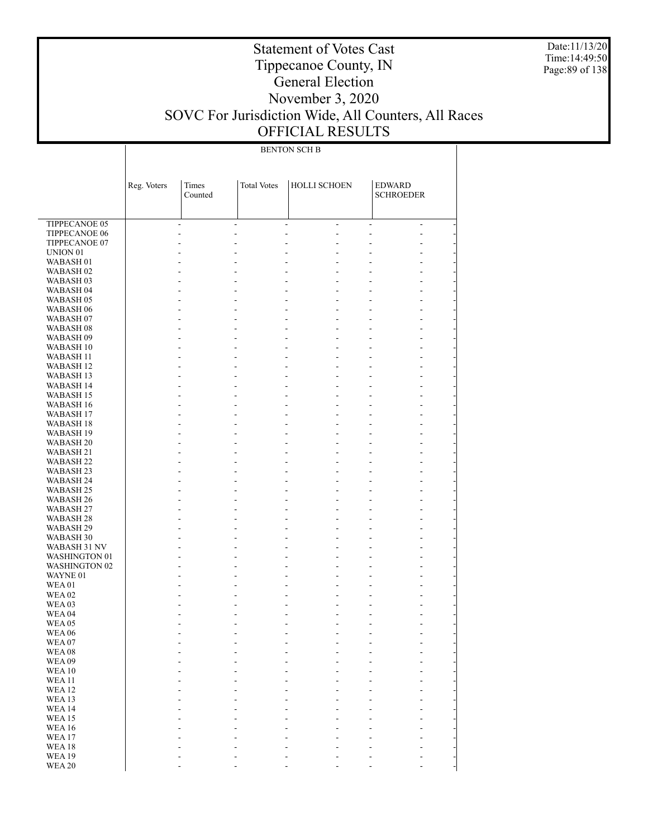Date:11/13/20 Time:14:49:50 Page:89 of 138

### Statement of Votes Cast Tippecanoe County, IN General Election November 3, 2020 SOVC For Jurisdiction Wide, All Counters, All Races OFFICIAL RESULTS

#### BENTON SCH B

|                      | Reg. Voters | Times<br>Counted     | <b>Total Votes</b> | HOLLI SCHOEN                                         | <b>EDWARD</b><br><b>SCHROEDER</b>                    |
|----------------------|-------------|----------------------|--------------------|------------------------------------------------------|------------------------------------------------------|
| TIPPECANOE 05        |             | $\blacksquare$<br>÷, |                    | $\overline{\phantom{a}}$<br>$\overline{\phantom{a}}$ | $\overline{\phantom{a}}$<br>$\overline{\phantom{a}}$ |
| TIPPECANOE 06        |             | L,<br>٠              |                    | ٠                                                    | ٠                                                    |
| TIPPECANOE 07        |             | ٠                    |                    | ۰                                                    | ۰                                                    |
| UNION <sub>01</sub>  |             |                      |                    |                                                      |                                                      |
| WABASH <sub>01</sub> |             | ۰                    |                    | ٠                                                    | ۰                                                    |
| WABASH <sub>02</sub> |             |                      |                    |                                                      |                                                      |
| WABASH 03            |             |                      |                    | ٠                                                    | ۰                                                    |
| WABASH 04            |             |                      |                    |                                                      |                                                      |
| WABASH 05            |             | ٠                    |                    | ٠                                                    | ۰                                                    |
| WABASH 06            |             |                      |                    | ٠                                                    |                                                      |
| WABASH 07            |             | ٠                    |                    | ٠                                                    | ۰                                                    |
| WABASH 08            |             |                      |                    |                                                      |                                                      |
| WABASH 09            |             | ٠                    |                    | ٠                                                    | ۰                                                    |
| WABASH 10            |             |                      |                    | L.                                                   |                                                      |
| WABASH 11            |             | ٠                    |                    | ٠                                                    | ۰                                                    |
| WABASH 12            |             |                      |                    |                                                      |                                                      |
| WABASH 13            |             | ٠                    |                    | ٠                                                    | ۰                                                    |
| WABASH 14            |             |                      |                    |                                                      |                                                      |
| WABASH 15            |             | ٠                    |                    | ٠                                                    | ۰                                                    |
| WABASH 16            |             |                      |                    |                                                      |                                                      |
| WABASH 17            |             | ٠                    |                    | ٠                                                    | ۰                                                    |
| WABASH 18            |             |                      |                    |                                                      |                                                      |
| WABASH 19            |             | ٠                    |                    | ٠                                                    | ۰                                                    |
| <b>WABASH 20</b>     |             |                      |                    |                                                      |                                                      |
| WABASH 21            |             | ۰                    |                    | ٠                                                    | ۰                                                    |
| <b>WABASH 22</b>     |             |                      |                    |                                                      |                                                      |
| WABASH 23            |             | ۰                    |                    | ٠                                                    | ۰                                                    |
| WABASH 24            |             |                      |                    |                                                      |                                                      |
| WABASH 25            |             | ۰                    |                    | ٠                                                    | ۰                                                    |
| WABASH 26            |             |                      |                    |                                                      |                                                      |
| WABASH 27            |             | ۰                    |                    | ٠                                                    | ۰                                                    |
| WABASH 28            |             |                      |                    |                                                      |                                                      |
| WABASH 29            |             | ۰                    |                    | ٠                                                    | ۰                                                    |
| WABASH 30            |             |                      |                    |                                                      |                                                      |
| WABASH 31 NV         |             | ۰                    |                    | ٠                                                    | ۰                                                    |
| <b>WASHINGTON 01</b> |             |                      |                    |                                                      |                                                      |
| <b>WASHINGTON 02</b> |             | ۰                    |                    | ٠                                                    | ۰                                                    |
| WAYNE 01             |             |                      |                    | ٠                                                    |                                                      |
| <b>WEA01</b>         |             | ۰                    |                    | ٠                                                    | ۰                                                    |
| <b>WEA 02</b>        |             |                      |                    |                                                      |                                                      |
| WEA03                |             | ۰                    |                    | ٠                                                    | ۰                                                    |
| <b>WEA 04</b>        |             |                      |                    |                                                      |                                                      |
| WEA05                |             |                      |                    | ۰                                                    |                                                      |
| <b>WEA 06</b>        |             | ۰                    |                    | ۰                                                    | ٠                                                    |
| WEA07                |             |                      |                    |                                                      |                                                      |
| WEA08                |             |                      |                    |                                                      |                                                      |
| <b>WEA09</b>         |             |                      |                    |                                                      |                                                      |
| <b>WEA10</b>         |             |                      |                    |                                                      |                                                      |
| <b>WEA11</b>         |             |                      |                    |                                                      |                                                      |
| <b>WEA12</b>         |             |                      |                    |                                                      |                                                      |
| WEA13                |             |                      |                    |                                                      |                                                      |
| <b>WEA14</b>         |             |                      |                    |                                                      |                                                      |
| <b>WEA15</b>         |             |                      |                    |                                                      |                                                      |
| <b>WEA16</b>         |             |                      |                    |                                                      |                                                      |
| WEA17                |             |                      |                    |                                                      |                                                      |
| WEA18                |             |                      |                    |                                                      |                                                      |
| <b>WEA19</b>         |             |                      |                    |                                                      |                                                      |
| <b>WEA 20</b>        |             |                      |                    |                                                      |                                                      |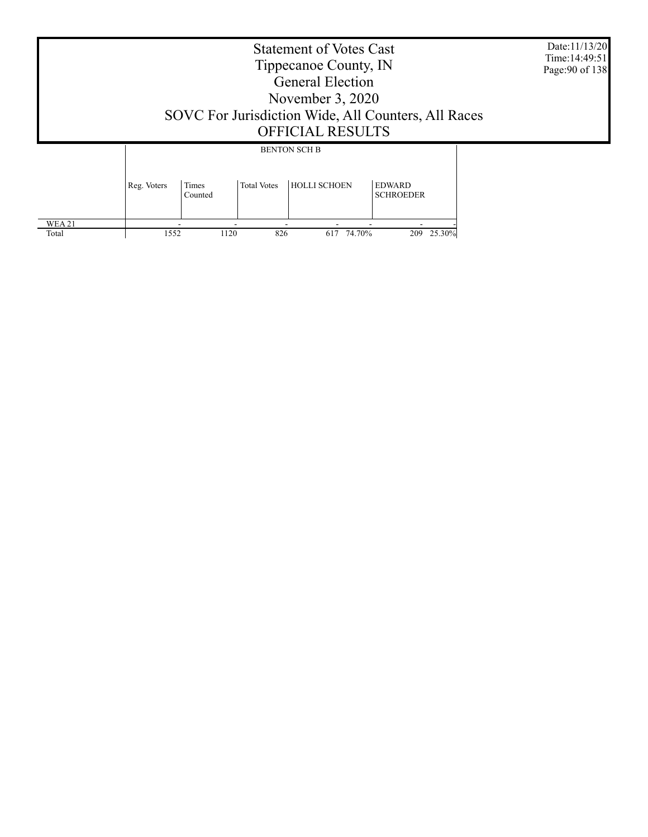|                 | Date:11/13/20<br>Time: 14:49:51<br>Page: 90 of 138<br>SOVC For Jurisdiction Wide, All Counters, All Races |                  |                    |                     |                                   |  |
|-----------------|-----------------------------------------------------------------------------------------------------------|------------------|--------------------|---------------------|-----------------------------------|--|
|                 |                                                                                                           |                  |                    | <b>BENTON SCH B</b> |                                   |  |
|                 | Reg. Voters                                                                                               | Times<br>Counted | <b>Total Votes</b> | <b>HOLLI SCHOEN</b> | <b>EDWARD</b><br><b>SCHROEDER</b> |  |
| WEA 21<br>Total | 1552                                                                                                      | 1120             | 826                | 74.70%<br>617       | 209 25.30%                        |  |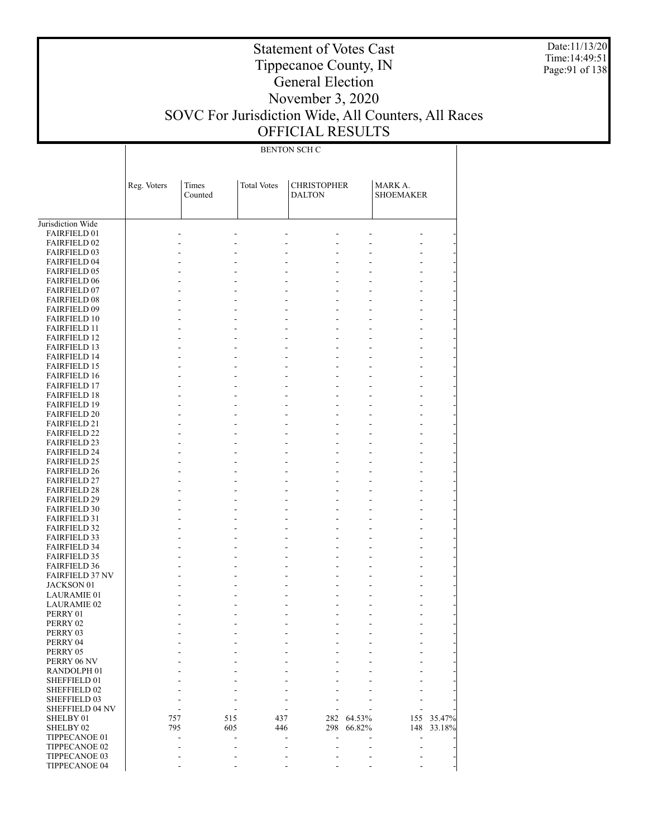Date:11/13/20 Time:14:49:51 Page:91 of 138

### Statement of Votes Cast Tippecanoe County, IN General Election November 3, 2020 SOVC For Jurisdiction Wide, All Counters, All Races OFFICIAL RESULTS

BENTON SCH C

|                                            |             | Times          | <b>Total Votes</b> | <b>CHRISTOPHER</b>       |            | MARK A.          |        |
|--------------------------------------------|-------------|----------------|--------------------|--------------------------|------------|------------------|--------|
|                                            | Reg. Voters | Counted        |                    | <b>DALTON</b>            |            | <b>SHOEMAKER</b> |        |
|                                            |             |                |                    |                          |            |                  |        |
|                                            |             |                |                    |                          |            |                  |        |
| Jurisdiction Wide                          |             |                |                    |                          |            |                  |        |
| <b>FAIRFIELD 01</b>                        |             | $\overline{a}$ | ٠                  | $\overline{a}$<br>۰      |            |                  |        |
| <b>FAIRFIELD 02</b>                        |             |                |                    |                          |            |                  |        |
| <b>FAIRFIELD 03</b><br><b>FAIRFIELD 04</b> |             |                |                    | $\overline{\phantom{a}}$ | ٠          |                  |        |
| <b>FAIRFIELD 05</b>                        |             |                |                    | $\overline{a}$           | L,         |                  |        |
| <b>FAIRFIELD 06</b>                        |             |                |                    |                          |            |                  |        |
| <b>FAIRFIELD 07</b>                        |             |                |                    | $\overline{\phantom{a}}$ | ٠          |                  |        |
| <b>FAIRFIELD 08</b>                        |             |                |                    |                          |            |                  |        |
| <b>FAIRFIELD 09</b>                        |             |                | ٠                  | $\overline{\phantom{a}}$ | ÷.         |                  |        |
| <b>FAIRFIELD 10</b>                        |             |                |                    | ٠                        |            |                  |        |
| <b>FAIRFIELD 11</b>                        |             |                | ٠                  | $\overline{\phantom{a}}$ | ٠          |                  |        |
| <b>FAIRFIELD 12</b>                        |             |                |                    | ٠                        |            |                  |        |
| <b>FAIRFIELD 13</b>                        |             |                | ٠                  | $\overline{\phantom{a}}$ | L,         |                  |        |
| <b>FAIRFIELD 14</b>                        |             |                |                    | ٠                        |            |                  |        |
| <b>FAIRFIELD 15</b>                        |             |                | ٠                  | $\overline{\phantom{a}}$ | ٠          |                  |        |
| <b>FAIRFIELD 16</b>                        |             |                |                    |                          |            |                  |        |
| <b>FAIRFIELD 17</b>                        |             |                | ٠                  | $\overline{\phantom{a}}$ | L,         |                  |        |
| <b>FAIRFIELD 18</b>                        |             |                |                    |                          |            |                  |        |
| <b>FAIRFIELD 19</b>                        |             |                | ٠                  | $\overline{\phantom{a}}$ | ٠          |                  |        |
| <b>FAIRFIELD 20</b>                        |             |                |                    |                          |            |                  |        |
| <b>FAIRFIELD 21</b>                        |             |                | ٠                  | $\overline{\phantom{a}}$ | L,         |                  |        |
| <b>FAIRFIELD 22</b>                        |             |                |                    |                          |            |                  |        |
| <b>FAIRFIELD 23</b>                        |             |                | ٠                  | $\overline{\phantom{a}}$ | ٠          |                  |        |
| <b>FAIRFIELD 24</b>                        |             |                |                    |                          |            |                  |        |
| <b>FAIRFIELD 25</b>                        |             |                | ٠                  | $\overline{\phantom{a}}$ | L,         |                  |        |
| <b>FAIRFIELD 26</b>                        |             |                |                    |                          |            |                  |        |
| <b>FAIRFIELD 27</b>                        |             |                | ٠                  | $\overline{\phantom{a}}$ | ٠          |                  |        |
| <b>FAIRFIELD 28</b>                        |             |                |                    |                          |            |                  |        |
| <b>FAIRFIELD 29</b>                        |             |                | ٠                  | $\overline{\phantom{a}}$ | ٠          |                  |        |
| <b>FAIRFIELD 30</b>                        |             |                |                    |                          |            |                  |        |
| <b>FAIRFIELD 31</b>                        |             |                |                    | $\overline{\phantom{a}}$ | ٠          |                  |        |
| <b>FAIRFIELD 32</b>                        |             |                |                    |                          |            |                  |        |
| <b>FAIRFIELD 33</b>                        |             |                | ٠                  | $\overline{\phantom{a}}$ | ٠          |                  |        |
| <b>FAIRFIELD 34</b>                        |             |                |                    | ٠                        |            |                  |        |
| <b>FAIRFIELD 35</b><br><b>FAIRFIELD 36</b> |             |                | ٠                  | $\overline{\phantom{a}}$ | ٠          |                  |        |
| <b>FAIRFIELD 37 NV</b>                     |             |                | ٠                  | $\overline{\phantom{a}}$ | ٠          |                  |        |
| JACKSON 01                                 |             |                |                    | ٠                        |            |                  |        |
| <b>LAURAMIE 01</b>                         |             |                |                    | $\overline{\phantom{a}}$ | ۰          |                  |        |
| LAURAMIE 02                                |             |                |                    |                          |            |                  |        |
| PERRY 01                                   |             |                |                    | ٠                        | ۰          |                  |        |
| PERRY 02                                   |             |                |                    |                          |            |                  |        |
| PERRY 03                                   |             |                |                    |                          |            |                  |        |
| PERRY 04                                   |             |                |                    |                          |            |                  |        |
| PERRY 05                                   |             |                |                    |                          |            |                  |        |
| PERRY 06 NV                                |             |                |                    |                          |            |                  |        |
| RANDOLPH <sub>01</sub>                     |             |                |                    |                          |            |                  |        |
| SHEFFIELD 01                               |             |                |                    |                          |            |                  |        |
| SHEFFIELD 02                               |             |                |                    |                          |            |                  |        |
| SHEFFIELD 03                               |             |                |                    |                          |            |                  |        |
| SHEFFIELD 04 NV                            |             |                |                    |                          |            |                  |        |
| SHELBY 01                                  | 757         | 515            | 437                |                          | 282 64.53% | 155              | 35.47% |
| SHELBY 02                                  | 795         | 605            | 446                | 298                      | 66.82%     | 148              | 33.18% |
| TIPPECANOE 01                              |             |                |                    |                          |            |                  |        |
| TIPPECANOE 02                              |             |                |                    |                          |            |                  |        |
| TIPPECANOE 03                              |             |                |                    |                          |            |                  |        |
| TIPPECANOE 04                              |             |                |                    |                          | ۰          |                  |        |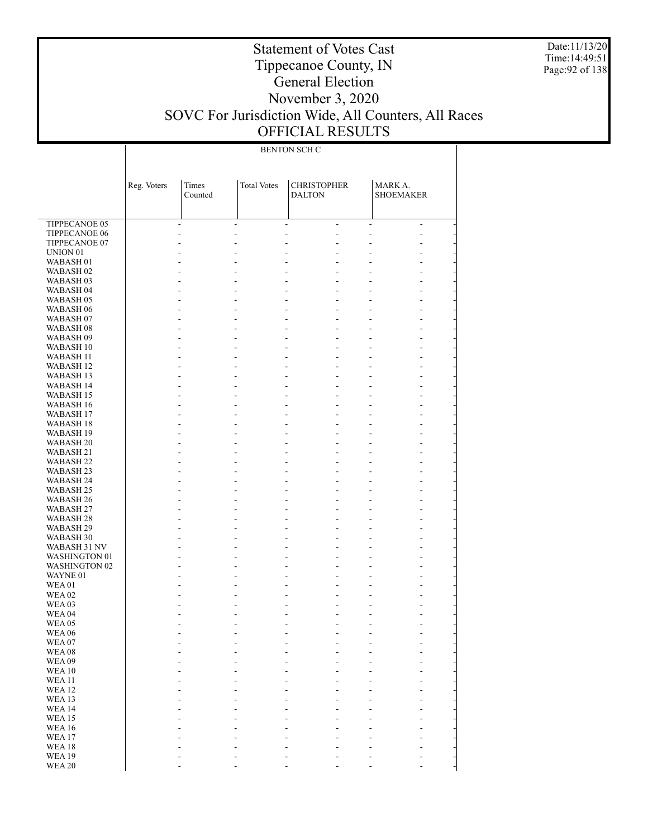Date:11/13/20 Time:14:49:51 Page:92 of 138

### Statement of Votes Cast Tippecanoe County, IN General Election November 3, 2020 SOVC For Jurisdiction Wide, All Counters, All Races OFFICIAL RESULTS

#### BENTON SCH C

|                                              | Reg. Voters | Times<br>Counted                             | <b>Total Votes</b> | <b>CHRISTOPHER</b><br><b>DALTON</b>        |                                  | MARK A.<br><b>SHOEMAKER</b>      |                          |
|----------------------------------------------|-------------|----------------------------------------------|--------------------|--------------------------------------------|----------------------------------|----------------------------------|--------------------------|
|                                              |             |                                              |                    |                                            |                                  |                                  |                          |
| <b>TIPPECANOE 05</b>                         |             | $\blacksquare$<br>$\overline{\phantom{a}}$   |                    | $\overline{\phantom{a}}$                   | $\mathcal{L}$                    | $\overline{\phantom{a}}$         | $\overline{\phantom{a}}$ |
| TIPPECANOE 06                                |             | $\overline{a}$<br>÷,                         |                    | ÷,                                         | ÷,                               | ÷,                               | ÷,                       |
| TIPPECANOE 07                                |             | L.<br>$\overline{a}$                         |                    | ÷,                                         | $\overline{a}$                   | ÷,                               |                          |
| UNION <sub>01</sub>                          |             |                                              |                    |                                            | ÷,                               |                                  |                          |
| WABASH 01                                    |             | $\overline{a}$<br>$\overline{a}$             |                    | $\Box$                                     | $\overline{a}$                   | ÷,                               | ÷,                       |
| WABASH <sub>02</sub>                         |             |                                              |                    | $\overline{a}$                             | $\bar{\mathcal{L}}$              |                                  | $\overline{\phantom{0}}$ |
| WABASH <sub>03</sub>                         |             | L.<br>÷,                                     |                    | $\overline{a}$<br>$\overline{a}$           | $\overline{a}$<br>$\overline{a}$ | $\overline{a}$                   | ÷,                       |
| WABASH <sub>04</sub><br>WABASH <sub>05</sub> |             | L.<br>$\overline{a}$<br>÷,<br>$\overline{a}$ |                    | $\overline{a}$                             | $\overline{a}$                   | $\overline{a}$<br>$\overline{a}$ | ÷,<br>÷,                 |
| WABASH <sub>06</sub>                         |             | ä,                                           |                    | $\overline{a}$                             | $\overline{a}$                   | ÷,                               | ÷,                       |
| WABASH <sub>07</sub>                         |             | ÷,<br>$\overline{a}$                         |                    | $\overline{a}$                             | $\overline{a}$                   | $\overline{a}$                   | ÷,                       |
| WABASH <sub>08</sub>                         |             | L.<br>$\overline{a}$                         |                    | $\overline{a}$                             | $\overline{a}$                   | ÷,                               | ÷,                       |
| WABASH <sub>09</sub>                         |             | $\overline{a}$<br>÷,                         |                    | $\overline{a}$                             | $\overline{a}$                   | $\overline{a}$                   | ÷,                       |
| WABASH 10                                    |             | ä,                                           |                    | $\overline{a}$                             | $\overline{a}$                   | ÷,                               | ÷,                       |
| WABASH 11                                    |             | ÷,<br>$\overline{a}$                         |                    | $\overline{a}$                             | $\overline{a}$                   | $\overline{a}$                   | ÷,                       |
| WABASH <sub>12</sub>                         |             | L.<br>$\overline{a}$                         |                    | $\overline{a}$                             | $\overline{a}$                   | ÷,                               | ÷,                       |
| <b>WABASH 13</b>                             |             | $\overline{a}$<br>÷,                         |                    | $\overline{a}$                             | $\overline{a}$                   | $\overline{a}$                   | ÷,                       |
| WABASH 14                                    |             | ä,                                           |                    | $\overline{a}$                             | $\overline{a}$                   | ÷,                               | ÷,                       |
| WABASH 15                                    |             | ÷,<br>L.                                     |                    | $\overline{a}$<br>$\overline{a}$           | $\overline{a}$<br>$\overline{a}$ | $\overline{a}$                   | ÷,                       |
| WABASH 16<br><b>WABASH 17</b>                |             | L.<br>$\overline{a}$<br>$\overline{a}$<br>÷, |                    | $\overline{a}$                             | $\overline{a}$                   | ÷,<br>$\overline{a}$             | ÷,<br>÷,                 |
| WABASH 18                                    |             | ä,                                           |                    | $\overline{a}$                             | $\overline{a}$                   | ÷,                               | ÷,                       |
| WABASH 19                                    |             | ÷,<br>$\overline{a}$                         |                    | $\overline{a}$                             | $\overline{a}$                   | $\overline{a}$                   | ÷,                       |
| <b>WABASH 20</b>                             |             | L.<br>$\overline{a}$                         |                    | $\overline{a}$                             | $\overline{a}$                   | ÷,                               | ÷,                       |
| WABASH 21                                    |             | $\overline{a}$<br>÷,                         |                    | $\overline{a}$                             | $\overline{a}$                   | $\overline{a}$                   | ÷,                       |
| WABASH <sub>22</sub>                         |             | ä,                                           |                    | $\overline{a}$                             | $\overline{a}$                   | ÷,                               | ÷,                       |
| WABASH 23                                    |             | ÷,<br>$\overline{a}$                         |                    | $\overline{a}$                             | $\overline{a}$                   | $\overline{a}$                   | ÷,                       |
| WABASH 24                                    |             | L.<br>$\overline{a}$                         |                    | $\overline{a}$                             | $\overline{a}$                   | $\overline{a}$                   | ÷,                       |
| WABASH 25                                    |             | $\overline{a}$<br>÷,                         |                    | $\overline{a}$                             | $\overline{a}$                   | $\overline{a}$                   | ÷,                       |
| WABASH <sub>26</sub>                         |             | ä,                                           |                    | $\overline{a}$                             | $\overline{a}$                   |                                  | ÷,                       |
| WABASH 27                                    |             | $\overline{a}$<br>$\overline{a}$             |                    | $\overline{a}$                             | $\overline{a}$<br>$\overline{a}$ | $\overline{a}$                   | ÷,                       |
| WABASH <sub>28</sub>                         |             | L.<br>$\overline{a}$<br>L.<br>$\overline{a}$ |                    | $\overline{\phantom{a}}$<br>$\overline{a}$ | $\overline{a}$                   | $\overline{a}$                   | ÷,<br>÷,                 |
| WABASH 29<br>WABASH 30                       |             | L.                                           |                    | $\overline{\phantom{a}}$                   | $\overline{a}$                   |                                  | ÷,                       |
| WABASH 31 NV                                 |             | L.<br>$\overline{a}$                         |                    | $\overline{a}$                             | $\overline{a}$                   | $\overline{a}$                   | ÷,                       |
| WASHINGTON 01                                |             | $\overline{a}$                               |                    | ÷,                                         | $\overline{a}$                   |                                  | $\overline{a}$           |
| <b>WASHINGTON 02</b>                         |             | L.<br>$\overline{a}$                         |                    | ÷,                                         | $\overline{a}$                   | ÷,                               | ÷,                       |
| WAYNE 01                                     |             |                                              |                    | ÷,                                         | $\overline{a}$                   |                                  | ÷,                       |
| <b>WEA01</b>                                 |             | $\overline{a}$                               |                    | $\overline{a}$                             | $\overline{a}$                   | ÷,                               | ÷,                       |
| <b>WEA 02</b>                                |             |                                              |                    |                                            | $\overline{a}$                   |                                  |                          |
| WEA03                                        |             | $\overline{a}$                               |                    |                                            | $\overline{a}$                   |                                  |                          |
| WEA <sub>04</sub>                            |             |                                              |                    |                                            | ÷,                               |                                  |                          |
| WEA05                                        |             |                                              |                    |                                            | $\overline{a}$<br>L,             |                                  |                          |
| <b>WEA 06</b><br>WEA07                       |             |                                              |                    |                                            | L,<br>Ĭ.                         |                                  |                          |
| WEA08                                        |             |                                              |                    |                                            |                                  |                                  |                          |
| <b>WEA09</b>                                 |             |                                              |                    |                                            |                                  |                                  |                          |
| WEA10                                        |             |                                              |                    |                                            |                                  |                                  |                          |
| <b>WEA11</b>                                 |             |                                              |                    |                                            |                                  |                                  |                          |
| WEA <sub>12</sub>                            |             |                                              |                    |                                            |                                  |                                  |                          |
| WEA 13                                       |             |                                              |                    |                                            |                                  |                                  |                          |
| WEA 14                                       |             |                                              |                    |                                            |                                  |                                  |                          |
| WEA15                                        |             |                                              |                    |                                            |                                  |                                  |                          |
| <b>WEA16</b>                                 |             |                                              |                    |                                            |                                  |                                  |                          |
| <b>WEA17</b>                                 |             |                                              |                    |                                            |                                  |                                  |                          |
| WEA18<br><b>WEA19</b>                        |             |                                              |                    |                                            |                                  |                                  |                          |
| <b>WEA 20</b>                                |             |                                              |                    |                                            |                                  |                                  |                          |
|                                              |             |                                              |                    |                                            |                                  |                                  |                          |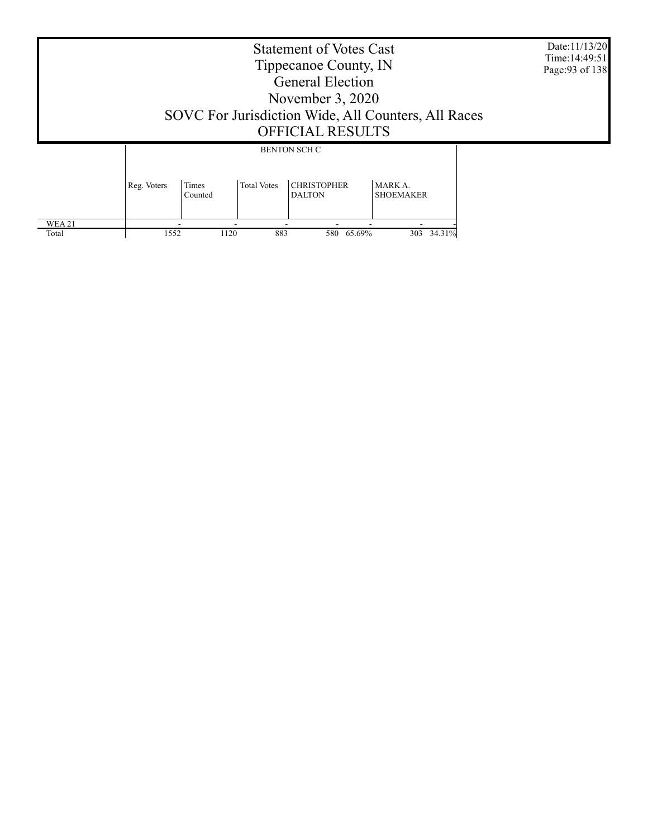|                 | Date:11/13/20<br>Time: 14:49:51<br>Page: 93 of 138<br>SOVC For Jurisdiction Wide, All Counters, All Races |                         |                    |                                     |                             |  |
|-----------------|-----------------------------------------------------------------------------------------------------------|-------------------------|--------------------|-------------------------------------|-----------------------------|--|
|                 |                                                                                                           |                         |                    | <b>BENTON SCH C</b>                 |                             |  |
|                 | Reg. Voters                                                                                               | <b>Times</b><br>Counted | <b>Total Votes</b> | <b>CHRISTOPHER</b><br><b>DALTON</b> | MARK A.<br><b>SHOEMAKER</b> |  |
| WEA 21<br>Total | 1552                                                                                                      | 1120                    | 883                | 65.69%<br>580                       | 303 34.31%                  |  |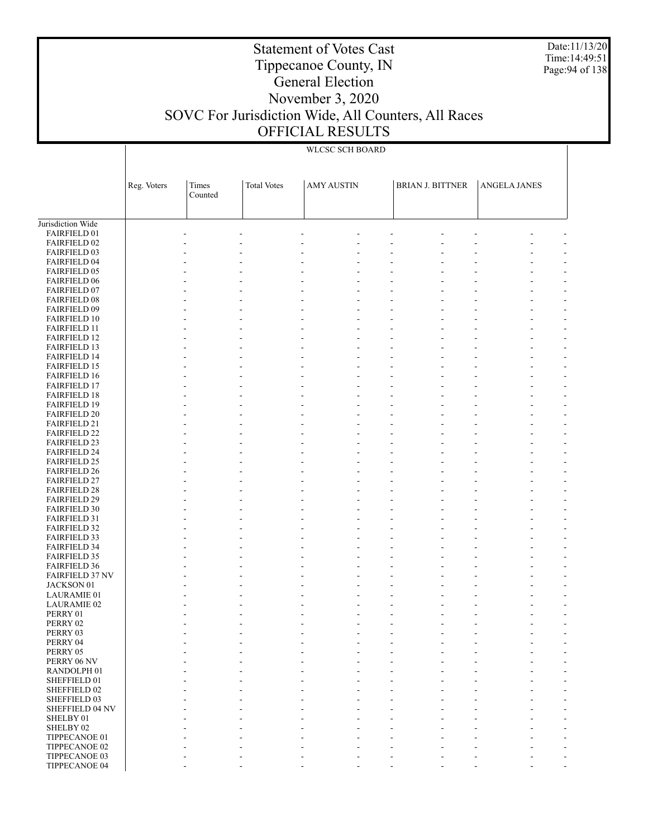Date:11/13/20 Time:14:49:51 Page:94 of 138

### Tippecanoe County, IN General Election November 3, 2020 SOVC For Jurisdiction Wide, All Counters, All Races OFFICIAL RESULTS

Statement of Votes Cast

|                                            |             |         |                    | WLCSC SCH BOARD   |                         |                     |
|--------------------------------------------|-------------|---------|--------------------|-------------------|-------------------------|---------------------|
|                                            |             |         |                    |                   |                         |                     |
|                                            |             |         |                    |                   |                         |                     |
|                                            | Reg. Voters | Times   | <b>Total Votes</b> | <b>AMY AUSTIN</b> | <b>BRIAN J. BITTNER</b> | <b>ANGELA JANES</b> |
|                                            |             | Counted |                    |                   |                         |                     |
|                                            |             |         |                    |                   |                         |                     |
| Jurisdiction Wide                          |             |         |                    |                   |                         |                     |
| FAIRFIELD 01<br><b>FAIRFIELD 02</b>        |             |         |                    |                   |                         |                     |
| <b>FAIRFIELD 03</b>                        |             |         |                    |                   |                         |                     |
| <b>FAIRFIELD 04</b>                        |             |         |                    |                   |                         |                     |
| <b>FAIRFIELD 05</b>                        |             |         |                    |                   |                         |                     |
| <b>FAIRFIELD 06</b>                        |             |         |                    |                   |                         |                     |
| <b>FAIRFIELD 07</b>                        |             |         |                    |                   |                         | L,                  |
| <b>FAIRFIELD 08</b><br>FAIRFIELD 09        |             |         |                    |                   |                         |                     |
| <b>FAIRFIELD 10</b>                        |             |         |                    |                   |                         |                     |
| <b>FAIRFIELD 11</b>                        |             |         |                    |                   |                         |                     |
| <b>FAIRFIELD 12</b>                        |             |         |                    |                   |                         |                     |
| <b>FAIRFIELD 13</b>                        |             |         |                    |                   |                         |                     |
| <b>FAIRFIELD 14</b>                        |             |         |                    |                   |                         |                     |
| <b>FAIRFIELD 15</b>                        |             |         |                    |                   |                         |                     |
| <b>FAIRFIELD 16</b><br><b>FAIRFIELD 17</b> |             |         |                    |                   |                         |                     |
| <b>FAIRFIELD 18</b>                        |             |         |                    |                   |                         |                     |
| <b>FAIRFIELD 19</b>                        |             |         |                    |                   |                         |                     |
| <b>FAIRFIELD 20</b>                        |             |         |                    |                   |                         |                     |
| <b>FAIRFIELD 21</b>                        |             |         |                    |                   |                         |                     |
| <b>FAIRFIELD 22</b>                        |             |         |                    |                   |                         |                     |
| <b>FAIRFIELD 23</b>                        |             |         |                    | ÷,                |                         |                     |
| <b>FAIRFIELD 24</b><br><b>FAIRFIELD 25</b> |             |         |                    |                   |                         |                     |
| <b>FAIRFIELD 26</b>                        |             |         |                    |                   |                         |                     |
| <b>FAIRFIELD 27</b>                        |             |         |                    |                   |                         |                     |
| <b>FAIRFIELD 28</b>                        |             |         |                    |                   |                         |                     |
| <b>FAIRFIELD 29</b>                        |             |         |                    |                   |                         |                     |
| <b>FAIRFIELD 30</b>                        |             |         |                    |                   |                         |                     |
| <b>FAIRFIELD 31</b><br><b>FAIRFIELD 32</b> |             |         |                    |                   |                         |                     |
| <b>FAIRFIELD 33</b>                        |             |         |                    |                   |                         |                     |
| <b>FAIRFIELD 34</b>                        |             |         |                    |                   |                         |                     |
| <b>FAIRFIELD 35</b>                        |             |         |                    |                   |                         | L,                  |
| <b>FAIRFIELD 36</b>                        |             |         |                    |                   |                         |                     |
| <b>FAIRFIELD 37 NV</b>                     |             |         |                    |                   |                         |                     |
| JACKSON 01<br><b>LAURAMIE 01</b>           |             |         |                    |                   |                         |                     |
| <b>LAURAMIE 02</b>                         |             |         |                    |                   |                         |                     |
| PERRY 01                                   |             |         |                    |                   |                         |                     |
| PERRY 02                                   |             |         |                    |                   |                         |                     |
| PERRY 03                                   |             |         |                    |                   |                         |                     |
| PERRY 04                                   |             |         |                    |                   |                         |                     |
| PERRY 05                                   |             |         | $\overline{a}$     |                   |                         |                     |
| PERRY 06 NV<br>RANDOLPH <sub>01</sub>      |             |         |                    |                   |                         |                     |
| SHEFFIELD 01                               |             |         |                    |                   |                         |                     |
| SHEFFIELD 02                               |             |         |                    |                   |                         |                     |
| SHEFFIELD 03                               |             |         |                    |                   |                         |                     |
| <b>SHEFFIELD 04 NV</b>                     |             |         |                    |                   |                         |                     |
| SHELBY 01                                  |             |         |                    |                   |                         |                     |
| SHELBY 02                                  |             |         | ÷,                 |                   |                         |                     |
| TIPPECANOE 01<br>TIPPECANOE 02             |             |         |                    |                   |                         |                     |
| TIPPECANOE 03                              |             |         |                    |                   |                         |                     |

- - - - - - - - -

TIPPECANOE 04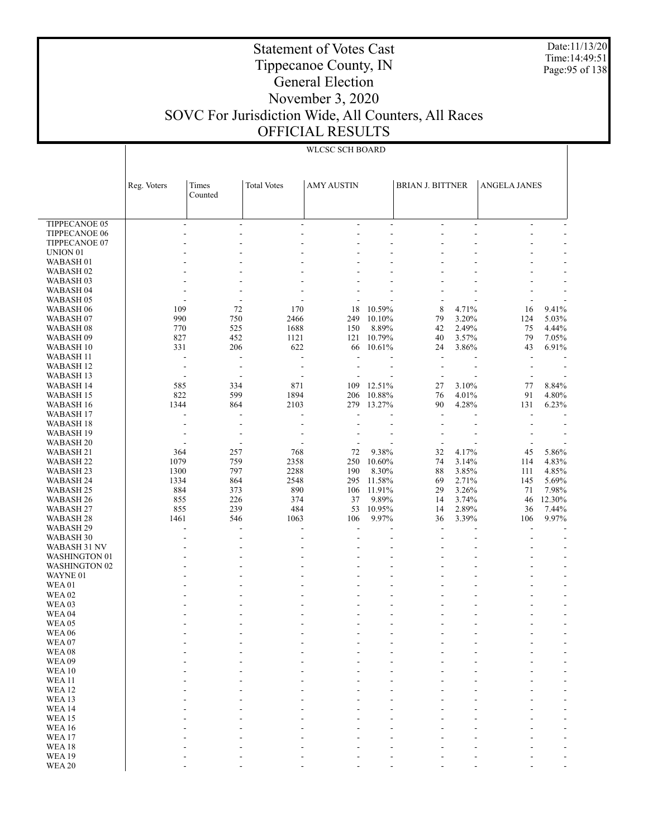Date:11/13/20 Time:14:49:51 Page:95 of 138

### Tippecanoe County, IN General Election November 3, 2020 SOVC For Jurisdiction Wide, All Counters, All Races OFFICIAL RESULTS

Statement of Votes Cast

|                                       | Reg. Voters              | Times                    | <b>Total Votes</b>             | <b>AMY AUSTIN</b>                          |                          | <b>BRIAN J. BITTNER</b>  |                     | <b>ANGELA JANES</b>      |                |
|---------------------------------------|--------------------------|--------------------------|--------------------------------|--------------------------------------------|--------------------------|--------------------------|---------------------|--------------------------|----------------|
|                                       |                          | Counted                  |                                |                                            |                          |                          |                     |                          |                |
|                                       |                          |                          |                                |                                            |                          |                          |                     |                          |                |
| <b>TIPPECANOE 05</b><br>TIPPECANOE 06 | $\overline{\phantom{a}}$ | $\overline{\phantom{a}}$ | $\overline{\phantom{a}}$<br>÷, | $\overline{\phantom{a}}$<br>$\overline{a}$ | $\blacksquare$<br>÷,     |                          | $\frac{1}{2}$<br>÷, | $\overline{\phantom{a}}$ | $\overline{a}$ |
| TIPPECANOE 07                         |                          |                          |                                |                                            |                          |                          |                     |                          |                |
| UNION <sub>01</sub>                   |                          |                          |                                |                                            |                          |                          |                     |                          |                |
| WABASH <sub>01</sub>                  |                          |                          |                                |                                            |                          |                          |                     |                          |                |
| WABASH <sub>02</sub>                  |                          |                          |                                |                                            |                          |                          |                     |                          |                |
| WABASH 03                             |                          |                          |                                |                                            |                          |                          |                     |                          |                |
| <b>WABASH 04</b>                      |                          |                          |                                |                                            |                          |                          |                     |                          |                |
| WABASH <sub>05</sub>                  |                          |                          |                                |                                            |                          |                          |                     |                          |                |
| WABASH 06                             | 109                      | 72                       | 170                            | 18                                         | 10.59%                   | 8                        | 4.71%               | 16                       | 9.41%          |
| WABASH <sub>07</sub>                  | 990                      | 750                      | 2466                           | 249                                        | 10.10%                   | 79<br>42                 | 3.20%<br>2.49%      | 124                      | 5.03%          |
| WABASH 08<br>WABASH <sub>09</sub>     | 770<br>827               | 525<br>452               | 1688<br>1121                   | 150<br>121                                 | 8.89%<br>10.79%          | 40                       | 3.57%               | 75<br>79                 | 4.44%<br>7.05% |
| WABASH 10                             | 331                      | 206                      | 622                            | 66                                         | 10.61%                   | 24                       | 3.86%               | 43                       | 6.91%          |
| <b>WABASH 11</b>                      | $\overline{\phantom{a}}$ | ÷,                       | L,                             | ÷,                                         |                          | $\overline{\phantom{a}}$ |                     | $\overline{a}$           |                |
| WABASH 12                             | $\overline{\phantom{a}}$ | $\overline{a}$           | $\overline{a}$                 |                                            |                          |                          | ÷,                  |                          |                |
| <b>WABASH 13</b>                      |                          |                          |                                |                                            |                          |                          |                     |                          |                |
| <b>WABASH 14</b>                      | 585                      | 334                      | 871                            | 109                                        | 12.51%                   | 27                       | 3.10%               | 77                       | 8.84%          |
| <b>WABASH 15</b>                      | 822                      | 599                      | 1894                           | 206                                        | 10.88%                   | 76                       | 4.01%               | 91                       | 4.80%          |
| WABASH 16                             | 1344                     | 864                      | 2103                           | 279                                        | 13.27%                   | 90                       | 4.28%               | 131                      | 6.23%          |
| WABASH 17                             |                          | L,                       | L,                             |                                            |                          | ä,                       |                     |                          |                |
| WABASH 18                             |                          |                          |                                |                                            |                          |                          |                     |                          |                |
| WABASH 19                             |                          |                          |                                |                                            |                          |                          |                     |                          |                |
| WABASH 20                             |                          |                          |                                |                                            |                          |                          |                     |                          |                |
| <b>WABASH 21</b><br><b>WABASH 22</b>  | 364<br>1079              | 257<br>759               | 768<br>2358                    | 72<br>250                                  | 9.38%<br>10.60%          | 32<br>74                 | 4.17%<br>3.14%      | 45<br>114                | 5.86%<br>4.83% |
| WABASH 23                             | 1300                     | 797                      | 2288                           | 190                                        | 8.30%                    | 88                       | 3.85%               | 111                      | 4.85%          |
| <b>WABASH 24</b>                      | 1334                     | 864                      | 2548                           | 295                                        | 11.58%                   | 69                       | 2.71%               | 145                      | 5.69%          |
| <b>WABASH 25</b>                      | 884                      | 373                      | 890                            | 106                                        | 11.91%                   | 29                       | 3.26%               | 71                       | 7.98%          |
| <b>WABASH 26</b>                      | 855                      | 226                      | 374                            | 37                                         | 9.89%                    | 14                       | 3.74%               | 46                       | 12.30%         |
| WABASH 27                             | 855                      | 239                      | 484                            | 53                                         | 10.95%                   | 14                       | 2.89%               | 36                       | 7.44%          |
| WABASH 28                             | 1461                     | 546                      | 1063                           | 106                                        | 9.97%                    | 36                       | 3.39%               | 106                      | 9.97%          |
| WABASH 29                             |                          |                          |                                |                                            |                          |                          |                     |                          |                |
| WABASH 30                             | $\overline{\phantom{a}}$ | ٠                        | $\overline{\phantom{a}}$       |                                            |                          |                          | ä,                  |                          |                |
| WABASH 31 NV                          |                          |                          |                                |                                            |                          |                          |                     |                          |                |
| <b>WASHINGTON 01</b>                  |                          |                          |                                |                                            |                          |                          |                     |                          |                |
| <b>WASHINGTON 02</b><br>WAYNE 01      |                          |                          |                                |                                            |                          |                          |                     |                          |                |
| <b>WEA01</b>                          |                          |                          |                                |                                            | ä,                       |                          |                     |                          |                |
| <b>WEA 02</b>                         |                          |                          |                                |                                            |                          |                          |                     |                          |                |
| WEA <sub>03</sub>                     |                          |                          |                                |                                            |                          |                          |                     |                          |                |
| WEA <sub>04</sub>                     |                          |                          |                                |                                            | L,                       |                          |                     |                          |                |
| WEA 05                                |                          |                          |                                |                                            |                          |                          |                     |                          |                |
| <b>WEA 06</b>                         |                          |                          | $\overline{\phantom{a}}$       | ÷,                                         | $\overline{\phantom{a}}$ |                          | -                   |                          | $\overline{a}$ |
| WEA 07                                |                          |                          |                                |                                            |                          |                          |                     |                          |                |
| <b>WEA08</b>                          |                          |                          |                                |                                            |                          |                          |                     |                          |                |
| <b>WEA09</b>                          |                          |                          |                                |                                            |                          |                          |                     |                          |                |
| <b>WEA10</b>                          |                          |                          |                                |                                            |                          |                          |                     |                          |                |
| <b>WEA11</b><br><b>WEA12</b>          |                          |                          |                                |                                            |                          |                          |                     |                          |                |
| <b>WEA13</b>                          |                          |                          |                                |                                            |                          |                          |                     |                          |                |
| <b>WEA14</b>                          |                          |                          |                                |                                            |                          |                          |                     |                          |                |
| <b>WEA15</b>                          |                          |                          |                                |                                            |                          |                          |                     |                          |                |
| <b>WEA16</b>                          |                          |                          |                                |                                            |                          |                          |                     |                          |                |
| <b>WEA17</b>                          |                          |                          |                                |                                            |                          |                          |                     |                          |                |
| <b>WEA18</b>                          |                          |                          |                                |                                            |                          |                          |                     |                          |                |
| <b>WEA19</b>                          |                          |                          |                                |                                            |                          |                          |                     |                          |                |
| <b>WEA 20</b>                         |                          |                          |                                |                                            |                          |                          |                     |                          |                |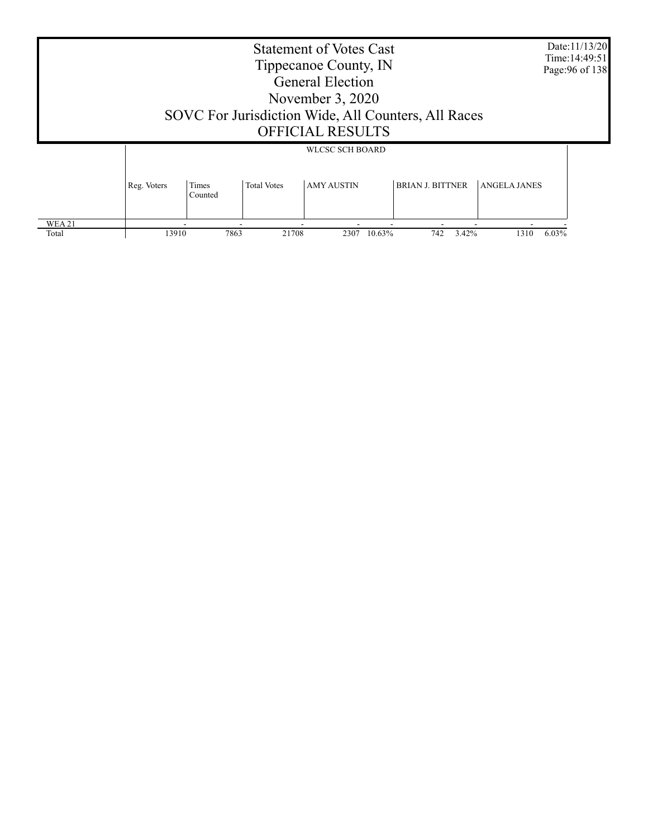| Date:11/13/20<br><b>Statement of Votes Cast</b><br>Time: 14:49:51<br>Tippecanoe County, IN<br>Page: 96 of 138<br><b>General Election</b><br>November $3, 2020$<br>SOVC For Jurisdiction Wide, All Counters, All Races<br><b>OFFICIAL RESULTS</b><br><b>WLCSC SCH BOARD</b> |             |                  |                                         |                |                         |                     |  |  |  |
|----------------------------------------------------------------------------------------------------------------------------------------------------------------------------------------------------------------------------------------------------------------------------|-------------|------------------|-----------------------------------------|----------------|-------------------------|---------------------|--|--|--|
|                                                                                                                                                                                                                                                                            |             |                  |                                         |                |                         |                     |  |  |  |
|                                                                                                                                                                                                                                                                            | Reg. Voters | Times<br>Counted | <b>AMY AUSTIN</b><br><b>Total Votes</b> |                | <b>BRIAN J. BITTNER</b> | <b>ANGELA JANES</b> |  |  |  |
| WEA 21<br>Total                                                                                                                                                                                                                                                            | 13910       | 7863             | 21708                                   | 10.63%<br>2307 | 742<br>3.42%            | 6.03%<br>1310       |  |  |  |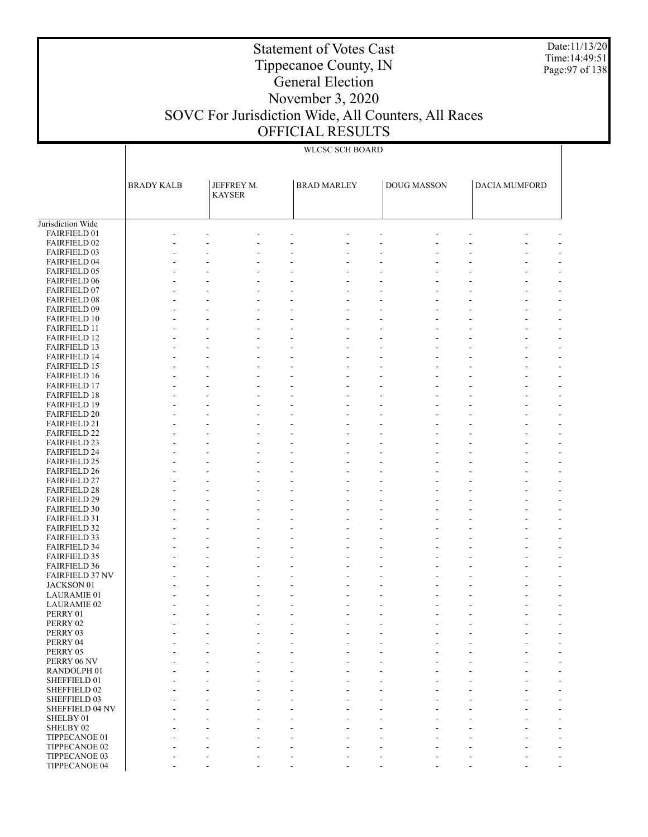Date:11/13/20 Time:14:49:51 Page:97 of 138

### Tippecanoe County, IN General Election

Statement of Votes Cast

### November 3, 2020 SOVC For Jurisdiction Wide, All Counters, All Races OFFICIAL RESULTS

#### Jurisdiction Wide FAIRFIELD 01 FAIRFIELD 02 FAIRFIELD 03 FAIRFIELD 04 FAIRFIELD 05 FAIRFIELD 06 FAIRFIELD 07 FAIRFIELD 08 FAIRFIELD 09 FAIRFIELD 10 FAIRFIELD 11 FAIRFIELD 12 FAIRFIELD 13 FAIRFIELD 14 FAIRFIELD 15 FAIRFIELD 16 FAIRFIELD 17 FAIRFIELD 18 FAIRFIELD 19 FAIRFIELD 20 FAIRFIELD 21 FAIRFIELD 22 FAIRFIELD 23 FAIRFIELD 24 FAIRFIELD 25 FAIRFIELD 26 FAIRFIELD 27 FAIRFIELD 28 FAIRFIELD 29 FAIRFIELD 30 FAIRFIELD 31 FAIRFIELD 32 FAIRFIELD 33 FAIRFIELD 34 FAIRFIELD 35 FAIRFIELD 36 FAIRFIELD 37 NV JACKSON 01 LAURAMIE 01 LAURAMIE 02 PERRY 01 PERRY 02 PERRY 03 PERRY 04 PERRY 05 PERRY 06 NV RANDOLPH 01 SHEFFIELD 01 SHEFFIELD 02 SHEFFIELD 03 SHEFFIELD 04 NV SHELBY 01 SHELBY 02 TIPPECANOE 01 TIPPECANOE 02 TIPPECANOE 03 BRADY KALB | JEFFREY M. KAYSER BRAD MARLEY | DOUG MASSON | DACIA MUMFORD WLCSC SCH BOARD - - - - - - - - - - - - - - - - - - - - - - - - - - - - - - - - - - - - - - - - - - - - - - - - - - - - - - - - - - - - - - - - - - - - - - - - - - - - - - - - - - - - - - - - - - - - - - - - - - - - - - - - - - - - - - - - - - - - - - - - - - - - - - - - - - - - - - - - - - - - - - - - - - - - - - - - - - - - - - - - - - - - - - - - - - - - - - - - - - - - - - - - - - - - - - - - - - - - - - - - - - - - - - - - - - - - - - - - - - - - - - - - - - - - - - - - - - - - - - - - - - - - - - - - - - - - - - - - - - - - - - - - - - - - - - - - - - - - - - - - - - - - - - - - - - - - - - - - - - - - - - - - - - - - - - - - - - - - - - - - - - - - - - - - - - - - - - - - - - - - - - - - - - - - - - - - - - - - - - - - - - - - - - - - - - - - - - - - - - - - - - - - - - - - - - - - - - - - - - - - - - - - - - - - - - - - - - - - - - - - - - - - - - - - - - - - - - - - - - - - - - - - - - - - - - - - - - - - - - - - - - - - - - - - - - - - - - - - - - - - - - - - - - - - - - - - - - - - - - - - - - - - - - - - - - - - - - - - - - - - - - - - - - - - - - - - - - - - - - - - - - - - - - - - - - - - - - - - - - - -

- - - - - - - - - -

TIPPECANOE 04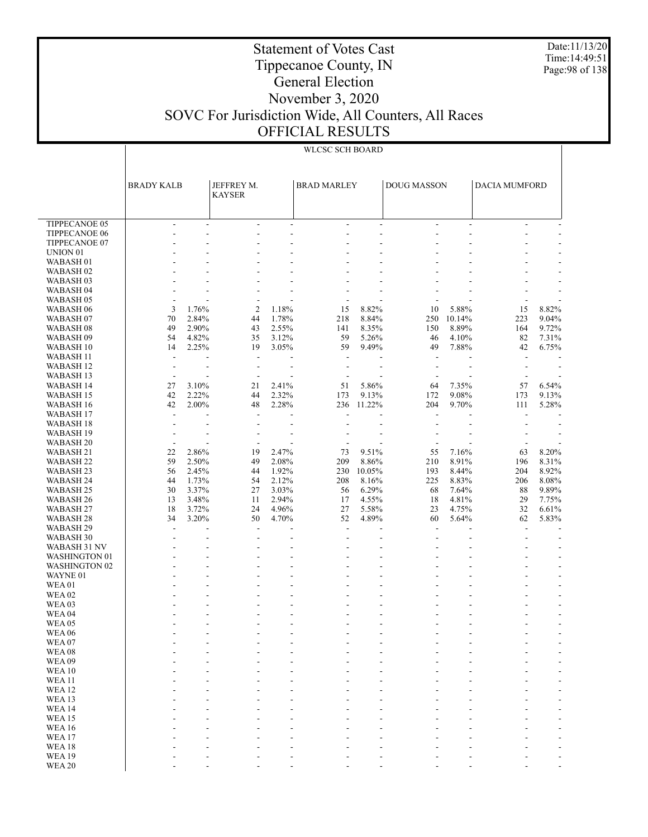Date:11/13/20 Time:14:49:51 Page:98 of 138

## Tippecanoe County, IN General Election

Statement of Votes Cast

### November 3, 2020 SOVC For Jurisdiction Wide, All Counters, All Races OFFICIAL RESULTS

|                                   | <b>BRADY KALB</b>        |                | JEFFREY M.<br><b>KAYSER</b> |                | <b>BRAD MARLEY</b>       |                | <b>DOUG MASSON</b>       |                | <b>DACIA MUMFORD</b>     |                          |
|-----------------------------------|--------------------------|----------------|-----------------------------|----------------|--------------------------|----------------|--------------------------|----------------|--------------------------|--------------------------|
| <b>TIPPECANOE 05</b>              | $\overline{\phantom{a}}$ | ÷              | $\overline{\phantom{a}}$    | $\sim$         | $\overline{a}$           | $\mathbf{r}$   | ÷                        | ÷.             | $\overline{a}$           |                          |
| TIPPECANOE 06                     | ٠                        | ٠              | ÷                           | ÷              |                          | ÷              | ÷                        | ÷              |                          |                          |
| <b>TIPPECANOE 07</b>              |                          |                |                             |                |                          |                |                          |                |                          |                          |
| UNION <sub>01</sub>               |                          |                | ٠                           |                |                          |                |                          |                |                          |                          |
| WABASH <sub>01</sub>              |                          |                |                             |                |                          |                |                          |                |                          |                          |
| WABASH <sub>02</sub>              |                          |                |                             |                |                          |                |                          |                |                          |                          |
| WABASH <sub>03</sub>              |                          |                |                             |                |                          |                |                          |                |                          |                          |
| WABASH <sub>04</sub>              |                          |                | L,                          |                |                          |                |                          |                |                          |                          |
| WABASH <sub>05</sub>              |                          |                | $\overline{a}$              |                |                          |                |                          |                | $\overline{a}$           |                          |
| WABASH <sub>06</sub>              | 3                        | 1.76%          | $\overline{c}$              | 1.18%          | 15                       | 8.82%          | 10                       | 5.88%          | 15                       | 8.82%                    |
| WABASH <sub>07</sub>              | 70                       | 2.84%          | 44                          | 1.78%          | 218                      | 8.84%          | 250                      | 10.14%         | 223                      | 9.04%                    |
| WABASH <sub>08</sub>              | 49                       | 2.90%          | 43                          | 2.55%          | 141                      | 8.35%          | 150                      | 8.89%          | 164                      | 9.72%                    |
| WABASH <sub>09</sub><br>WABASH 10 | 54<br>14                 | 4.82%<br>2.25% | 35<br>19                    | 3.12%<br>3.05% | 59<br>59                 | 5.26%<br>9.49% | 46<br>49                 | 4.10%<br>7.88% | 82<br>42                 | 7.31%<br>6.75%           |
| WABASH 11                         | ÷,                       |                | $\overline{\phantom{a}}$    |                | ÷,                       |                | $\overline{\phantom{a}}$ |                | $\overline{\phantom{a}}$ |                          |
| WABASH <sub>12</sub>              | $\overline{\phantom{a}}$ | ÷              | $\overline{\phantom{a}}$    | ÷              | $\overline{a}$           |                | $\overline{\phantom{a}}$ |                | $\overline{\phantom{a}}$ |                          |
| <b>WABASH 13</b>                  | $\overline{\phantom{a}}$ |                | $\overline{a}$              |                |                          |                |                          |                | $\overline{a}$           |                          |
| WABASH 14                         | 27                       | 3.10%          | 21                          | 2.41%          | 51                       | 5.86%          | 64                       | 7.35%          | 57                       | 6.54%                    |
| WABASH 15                         | 42                       | 2.22%          | 44                          | 2.32%          | 173                      | 9.13%          | 172                      | 9.08%          | 173                      | 9.13%                    |
| <b>WABASH 16</b>                  | 42                       | 2.00%          | 48                          | 2.28%          | 236                      | 11.22%         | 204                      | 9.70%          | 111                      | 5.28%                    |
| WABASH 17                         | ÷.                       |                | $\sim$                      |                | $\overline{\phantom{a}}$ |                | ÷.                       |                | ÷                        |                          |
| WABASH 18                         |                          |                | ÷,                          |                |                          |                |                          |                |                          |                          |
| WABASH 19                         |                          |                |                             |                |                          |                |                          |                |                          |                          |
| <b>WABASH 20</b>                  | $\blacksquare$           |                | $\blacksquare$              |                |                          |                | $\overline{\phantom{a}}$ |                | $\blacksquare$           |                          |
| WABASH 21                         | 22                       | 2.86%          | 19                          | 2.47%          | 73                       | 9.51%          | 55                       | 7.16%          | 63                       | 8.20%                    |
| WABASH <sub>22</sub>              | 59                       | 2.50%          | 49                          | 2.08%          | 209                      | 8.86%          | 210                      | 8.91%          | 196                      | 8.31%                    |
| WABASH <sub>23</sub>              | 56                       | 2.45%          | 44                          | 1.92%          | 230                      | 10.05%         | 193                      | 8.44%          | 204                      | 8.92%                    |
| WABASH 24                         | 44                       | 1.73%          | 54                          | 2.12%          | 208                      | 8.16%          | 225                      | 8.83%          | 206                      | 8.08%                    |
| WABASH 25                         | 30                       | 3.37%          | 27                          | 3.03%          | 56                       | 6.29%          | 68                       | 7.64%          | 88                       | 9.89%                    |
| WABASH <sub>26</sub><br>WABASH 27 | 13<br>18                 | 3.48%<br>3.72% | 11<br>24                    | 2.94%<br>4.96% | 17<br>27                 | 4.55%<br>5.58% | 18<br>23                 | 4.81%<br>4.75% | 29<br>32                 | 7.75%<br>6.61%           |
| WABASH <sub>28</sub>              | 34                       | 3.20%          | 50                          | 4.70%          | 52                       | 4.89%          | 60                       | 5.64%          | 62                       | 5.83%                    |
| WABASH 29                         | $\overline{\phantom{a}}$ |                | $\overline{\phantom{a}}$    |                | $\overline{a}$           |                | $\overline{\phantom{a}}$ |                | ÷                        |                          |
| WABASH 30                         |                          |                | ÷                           |                | $\overline{a}$           | ÷              | $\overline{\phantom{a}}$ |                |                          |                          |
| WABASH 31 NV                      |                          |                |                             |                |                          |                |                          |                |                          | ÷                        |
| <b>WASHINGTON 01</b>              |                          |                | ٠                           |                |                          |                |                          |                |                          | ٠                        |
| <b>WASHINGTON 02</b>              |                          |                |                             |                |                          |                |                          |                |                          |                          |
| WAYNE 01                          |                          |                | ٠                           | ٠              |                          | ÷.             |                          |                |                          |                          |
| <b>WEA01</b>                      |                          |                |                             |                |                          |                |                          |                |                          |                          |
| <b>WEA02</b>                      |                          |                | ٠                           | ÷              |                          | ÷.             |                          |                |                          |                          |
| <b>WEA03</b>                      |                          |                | ٠                           | ٠              |                          |                |                          |                |                          |                          |
| <b>WEA04</b>                      |                          |                | ÷                           |                |                          |                |                          |                |                          |                          |
| <b>WEA05</b>                      |                          |                | ٠                           |                |                          |                |                          |                |                          | ٠                        |
| <b>WEA 06</b>                     |                          |                | ٠                           | L,             |                          | ÷,             | ÷                        |                |                          | $\overline{\phantom{a}}$ |
| WEA07<br>WEA08                    |                          |                |                             |                |                          |                |                          |                |                          |                          |
| WEA09                             |                          |                |                             |                |                          |                |                          |                |                          |                          |
| <b>WEA10</b>                      |                          |                |                             |                |                          |                |                          |                |                          |                          |
| <b>WEA11</b>                      |                          |                |                             |                |                          |                |                          |                |                          |                          |
| <b>WEA12</b>                      |                          |                |                             |                |                          |                |                          |                |                          |                          |
| WEA <sub>13</sub>                 |                          |                |                             |                |                          |                |                          |                |                          |                          |
| WEA14                             |                          |                |                             |                |                          |                |                          |                |                          |                          |
| WEA15                             |                          |                |                             |                |                          |                |                          |                |                          |                          |
| <b>WEA16</b>                      |                          |                |                             |                |                          |                |                          |                |                          |                          |
| WEA17                             |                          |                |                             |                |                          |                |                          |                |                          |                          |
| WEA18                             |                          |                |                             |                |                          |                |                          |                |                          |                          |
| <b>WEA19</b>                      |                          |                |                             |                |                          |                |                          |                |                          |                          |
| <b>WEA 20</b>                     |                          |                |                             |                |                          |                |                          |                |                          |                          |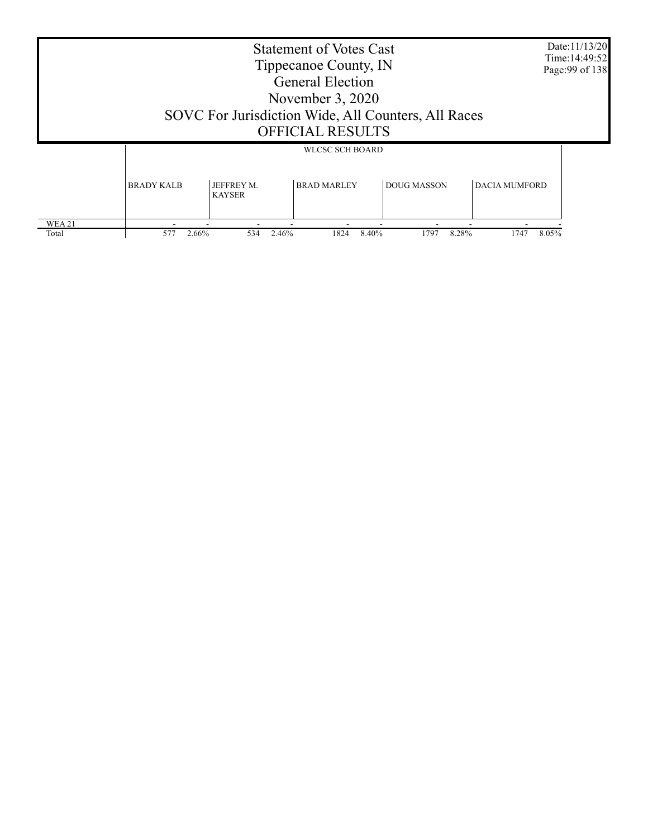| Date:11/13/20<br><b>Statement of Votes Cast</b><br>Time: 14:49:52<br>Tippecanoe County, IN<br>Page: 99 of 138<br><b>General Election</b><br>November 3, 2020<br>SOVC For Jurisdiction Wide, All Counters, All Races<br><b>OFFICIAL RESULTS</b> |              |     |               |               |                        |  |  |  |
|------------------------------------------------------------------------------------------------------------------------------------------------------------------------------------------------------------------------------------------------|--------------|-----|---------------|---------------|------------------------|--|--|--|
| <b>WLCSC SCH BOARD</b><br><b>BRAD MARLEY</b><br>JEFFREY M.<br><b>DOUG MASSON</b><br><b>DACIA MUMFORD</b><br><b>BRADY KALB</b><br><b>KAYSER</b>                                                                                                 |              |     |               |               |                        |  |  |  |
| WEA 21<br>Total                                                                                                                                                                                                                                | 577<br>2.66% | 534 | 1824<br>2.46% | 8.40%<br>1797 | 8.28%<br>1747<br>8.05% |  |  |  |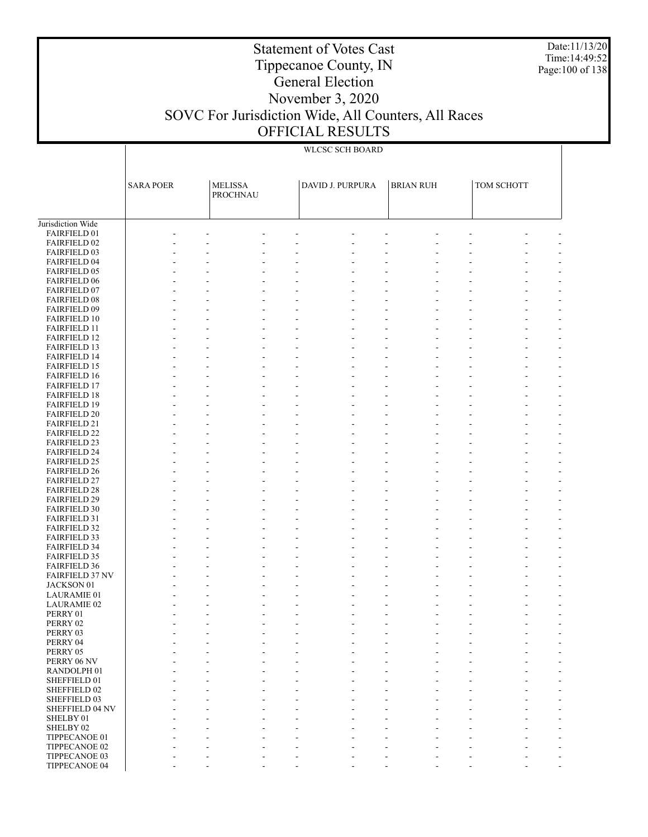Date:11/13/20 Time:14:49:52 Page:100 of 138

### Statement of Votes Cast Tippecanoe County, IN General Election November 3, 2020 SOVC For Jurisdiction Wide, All Counters, All Races OFFICIAL RESULTS

|                                            | <b>SARA POER</b> | <b>MELISSA</b><br>PROCHNAU | DAVID J. PURPURA | <b>BRIAN RUH</b> | TOM SCHOTT |  |
|--------------------------------------------|------------------|----------------------------|------------------|------------------|------------|--|
| Jurisdiction Wide                          |                  |                            |                  |                  |            |  |
| FAIRFIELD 01                               |                  |                            |                  |                  |            |  |
| <b>FAIRFIELD 02</b>                        |                  |                            |                  |                  |            |  |
| <b>FAIRFIELD 03</b>                        |                  |                            |                  |                  |            |  |
| <b>FAIRFIELD 04</b>                        |                  |                            |                  |                  |            |  |
| <b>FAIRFIELD 05</b>                        |                  |                            |                  |                  |            |  |
|                                            |                  |                            |                  |                  |            |  |
| <b>FAIRFIELD 06</b>                        |                  |                            |                  |                  |            |  |
| <b>FAIRFIELD 07</b><br><b>FAIRFIELD 08</b> |                  |                            |                  |                  |            |  |
| FAIRFIELD 09                               |                  |                            |                  |                  |            |  |
| <b>FAIRFIELD 10</b>                        |                  |                            |                  |                  |            |  |
| <b>FAIRFIELD 11</b>                        |                  |                            |                  |                  |            |  |
| <b>FAIRFIELD 12</b>                        |                  |                            |                  |                  |            |  |
| <b>FAIRFIELD 13</b>                        |                  |                            |                  |                  |            |  |
| <b>FAIRFIELD 14</b>                        |                  |                            |                  |                  |            |  |
| <b>FAIRFIELD 15</b>                        |                  |                            |                  |                  |            |  |
| <b>FAIRFIELD 16</b>                        |                  |                            |                  |                  |            |  |
| <b>FAIRFIELD 17</b>                        |                  |                            |                  |                  |            |  |
| <b>FAIRFIELD 18</b>                        |                  |                            |                  |                  |            |  |
| <b>FAIRFIELD 19</b>                        |                  |                            |                  |                  |            |  |
| <b>FAIRFIELD 20</b>                        |                  |                            |                  |                  |            |  |
| <b>FAIRFIELD 21</b>                        |                  |                            |                  |                  |            |  |
| <b>FAIRFIELD 22</b>                        |                  |                            |                  |                  |            |  |
| <b>FAIRFIELD 23</b>                        |                  |                            |                  |                  |            |  |
| <b>FAIRFIELD 24</b>                        |                  |                            |                  |                  |            |  |
| <b>FAIRFIELD 25</b>                        |                  |                            |                  |                  |            |  |
| <b>FAIRFIELD 26</b>                        |                  |                            |                  |                  |            |  |
| <b>FAIRFIELD 27</b>                        |                  |                            |                  |                  |            |  |
| <b>FAIRFIELD 28</b>                        |                  |                            |                  |                  |            |  |
| <b>FAIRFIELD 29</b>                        |                  |                            |                  |                  |            |  |
| <b>FAIRFIELD 30</b>                        |                  |                            |                  |                  |            |  |
| <b>FAIRFIELD 31</b>                        |                  |                            |                  |                  |            |  |
| <b>FAIRFIELD 32</b>                        |                  |                            |                  |                  |            |  |
| <b>FAIRFIELD 33</b>                        |                  |                            |                  |                  |            |  |
| <b>FAIRFIELD 34</b>                        |                  |                            |                  |                  |            |  |
| <b>FAIRFIELD 35</b>                        |                  |                            |                  |                  |            |  |
| <b>FAIRFIELD 36</b>                        |                  |                            |                  |                  |            |  |
| <b>FAIRFIELD 37 NV</b>                     |                  |                            |                  |                  |            |  |
| JACKSON 01                                 |                  |                            |                  |                  |            |  |
| <b>LAURAMIE 01</b>                         |                  |                            |                  |                  |            |  |
| <b>LAURAMIE 02</b>                         |                  |                            |                  |                  |            |  |
| PERRY 01                                   |                  |                            |                  |                  |            |  |
| PERRY 02                                   |                  |                            |                  |                  |            |  |
| PERRY 03                                   |                  |                            |                  |                  |            |  |
| PERRY 04                                   |                  |                            |                  |                  |            |  |
| PERRY 05                                   |                  |                            |                  |                  |            |  |
| PERRY 06 NV                                |                  |                            |                  |                  |            |  |
| RANDOLPH 01                                |                  |                            |                  |                  |            |  |
| SHEFFIELD 01                               |                  |                            |                  |                  |            |  |
| SHEFFIELD 02                               |                  |                            |                  |                  |            |  |
| SHEFFIELD 03                               |                  |                            |                  |                  |            |  |
| SHEFFIELD 04 NV                            |                  |                            |                  |                  |            |  |
| SHELBY 01                                  |                  |                            |                  |                  |            |  |
| SHELBY 02                                  |                  |                            |                  |                  |            |  |
| TIPPECANOE 01                              |                  |                            |                  |                  |            |  |
| TIPPECANOE 02                              |                  |                            |                  |                  |            |  |
| TIPPECANOE 03                              |                  |                            |                  |                  |            |  |
| TIPPECANOE 04                              |                  |                            |                  |                  |            |  |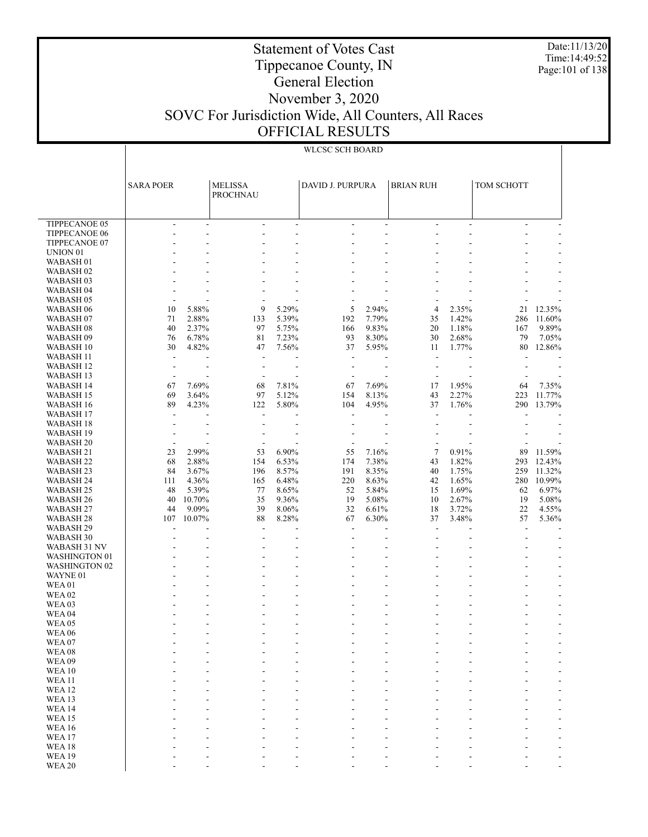Date:11/13/20 Time:14:49:52 Page:101 of 138

### Statement of Votes Cast Tippecanoe County, IN General Election November 3, 2020 SOVC For Jurisdiction Wide, All Counters, All Races OFFICIAL RESULTS

|                               | <b>SARA POER</b>         |                | <b>MELISSA</b><br><b>PROCHNAU</b> |                | DAVID J. PURPURA                                     |                | <b>BRIAN RUH</b>                                     |                | TOM SCHOTT     |                          |
|-------------------------------|--------------------------|----------------|-----------------------------------|----------------|------------------------------------------------------|----------------|------------------------------------------------------|----------------|----------------|--------------------------|
| <b>TIPPECANOE 05</b>          | $\overline{\phantom{a}}$ | ٠              | ÷.                                | $\sim$         | $\overline{\phantom{a}}$                             | $\sim$         | ÷                                                    | ÷.             | $\overline{a}$ |                          |
| TIPPECANOE 06                 | ٠                        | ٠              | ٠                                 | ÷.             | ÷                                                    | ٠              | ÷.                                                   | ÷.             |                |                          |
| TIPPECANOE 07                 |                          |                |                                   |                |                                                      |                |                                                      |                |                |                          |
| UNION <sub>01</sub>           |                          |                |                                   | ÷.             |                                                      |                |                                                      |                |                |                          |
| WABASH <sub>01</sub>          |                          |                |                                   |                |                                                      |                |                                                      |                |                |                          |
| WABASH <sub>02</sub>          |                          |                |                                   |                |                                                      |                |                                                      |                |                |                          |
| WABASH <sub>03</sub>          |                          |                |                                   |                |                                                      |                |                                                      |                |                |                          |
| WABASH <sub>04</sub>          |                          |                |                                   |                |                                                      |                |                                                      |                |                |                          |
| WABASH <sub>05</sub>          | $\overline{a}$           |                |                                   |                |                                                      |                |                                                      |                |                |                          |
| WABASH 06                     | 10                       | 5.88%          | 9                                 | 5.29%          | 5                                                    | 2.94%          | 4                                                    | 2.35%          | 21             | 12.35%                   |
| WABASH <sub>07</sub>          | 71                       | 2.88%          | 133                               | 5.39%          | 192                                                  | 7.79%          | 35                                                   | 1.42%          | 286            | 11.60%                   |
| WABASH <sub>08</sub>          | 40                       | 2.37%          | 97                                | 5.75%          | 166                                                  | 9.83%          | 20                                                   | 1.18%          | 167            | 9.89%                    |
| WABASH <sub>09</sub>          | 76                       | 6.78%          | 81                                | 7.23%          | 93                                                   | 8.30%          | 30                                                   | 2.68%          | 79             | 7.05%                    |
| WABASH 10                     | 30                       | 4.82%          | 47                                | 7.56%          | 37                                                   | 5.95%          | 11                                                   | 1.77%          | 80             | 12.86%                   |
| WABASH 11                     | $\overline{a}$           |                | $\overline{\phantom{a}}$          |                | $\overline{\phantom{a}}$                             |                | ÷,                                                   |                |                |                          |
| WABASH <sub>12</sub>          | $\blacksquare$           | ٠              | ÷                                 | ÷              | $\overline{\phantom{a}}$                             | ÷.             | $\overline{\phantom{a}}$                             | ÷.             |                |                          |
| WABASH 13                     |                          |                |                                   |                |                                                      |                |                                                      |                |                |                          |
| WABASH 14<br><b>WABASH 15</b> | 67                       | 7.69%<br>3.64% | 68<br>97                          | 7.81%<br>5.12% | 67<br>154                                            | 7.69%<br>8.13% | 17                                                   | 1.95%<br>2.27% | 64<br>223      | 7.35%<br>11.77%          |
| <b>WABASH 16</b>              | 69<br>89                 | 4.23%          | 122                               | 5.80%          | 104                                                  | 4.95%          | 43<br>37                                             | 1.76%          | 290            | 13.79%                   |
| WABASH 17                     | ÷.                       |                | ÷.                                |                | ÷.                                                   |                | ÷.                                                   |                |                |                          |
| WABASH 18                     |                          |                |                                   |                |                                                      |                |                                                      |                |                |                          |
| WABASH 19                     |                          |                |                                   |                |                                                      |                |                                                      |                |                |                          |
| <b>WABASH 20</b>              | $\overline{\phantom{a}}$ |                |                                   |                | ÷.                                                   |                |                                                      |                |                |                          |
| <b>WABASH 21</b>              | 23                       | 2.99%          | 53                                | 6.90%          | 55                                                   | 7.16%          | $\overline{\mathcal{I}}$                             | 0.91%          | 89             | 11.59%                   |
| <b>WABASH 22</b>              | 68                       | 2.88%          | 154                               | 6.53%          | 174                                                  | 7.38%          | 43                                                   | 1.82%          | 293            | 12.43%                   |
| WABASH <sub>23</sub>          | 84                       | 3.67%          | 196                               | 8.57%          | 191                                                  | 8.35%          | 40                                                   | 1.75%          | 259            | 11.32%                   |
| <b>WABASH 24</b>              | 111                      | 4.36%          | 165                               | 6.48%          | 220                                                  | 8.63%          | 42                                                   | 1.65%          | 280            | 10.99%                   |
| WABASH 25                     | 48                       | 5.39%          | 77                                | 8.65%          | 52                                                   | 5.84%          | 15                                                   | 1.69%          | 62             | 6.97%                    |
| WABASH <sub>26</sub>          | 40                       | 10.70%         | 35                                | 9.36%          | 19                                                   | 5.08%          | 10                                                   | 2.67%          | 19             | 5.08%                    |
| WABASH 27                     | 44                       | 9.09%          | 39                                | 8.06%          | 32                                                   | 6.61%          | 18                                                   | 3.72%          | 22             | 4.55%                    |
| WABASH <sub>28</sub>          | 107                      | 10.07%         | 88                                | 8.28%          | 67                                                   | 6.30%          | 37                                                   | 3.48%          | 57             | 5.36%                    |
| WABASH 29<br>WABASH 30        |                          |                | $\overline{a}$<br>$\overline{a}$  | ٠              | $\overline{\phantom{a}}$<br>$\overline{\phantom{a}}$ |                | $\overline{\phantom{a}}$<br>$\overline{\phantom{a}}$ |                | ÷              |                          |
| WABASH 31 NV                  |                          |                |                                   | ÷.             |                                                      |                |                                                      |                |                |                          |
| <b>WASHINGTON 01</b>          |                          |                |                                   | ٠              |                                                      |                |                                                      |                |                |                          |
| <b>WASHINGTON 02</b>          |                          |                |                                   |                |                                                      |                |                                                      |                |                |                          |
| WAYNE 01                      |                          |                |                                   | ÷.             |                                                      | ä,             |                                                      |                |                |                          |
| <b>WEA01</b>                  |                          |                |                                   |                |                                                      |                |                                                      |                |                |                          |
| <b>WEA02</b>                  |                          |                |                                   | ÷.             |                                                      | ٠              |                                                      |                |                |                          |
| WEA <sub>03</sub>             |                          |                |                                   | ÷.             |                                                      |                |                                                      |                |                |                          |
| WEA <sub>04</sub>             |                          |                |                                   | ÷,             |                                                      |                |                                                      |                |                |                          |
| <b>WEA 05</b>                 |                          |                |                                   | ÷.             |                                                      |                |                                                      |                |                |                          |
| <b>WEA 06</b>                 |                          |                | ÷.                                | ÷,             | $\overline{a}$                                       | ä,             | ÷                                                    |                |                | $\overline{\phantom{a}}$ |
| WEA07<br>WEA08                |                          |                |                                   |                |                                                      |                |                                                      |                |                |                          |
| WEA09                         |                          |                |                                   |                |                                                      |                |                                                      |                |                |                          |
| <b>WEA10</b>                  |                          |                |                                   |                |                                                      |                |                                                      |                |                |                          |
| <b>WEA11</b>                  |                          |                |                                   |                |                                                      |                |                                                      |                |                |                          |
| <b>WEA12</b>                  |                          |                |                                   |                |                                                      |                |                                                      |                |                |                          |
| WEA <sub>13</sub>             |                          |                |                                   |                |                                                      |                |                                                      |                |                |                          |
| WEA14                         |                          |                |                                   |                |                                                      |                |                                                      |                |                |                          |
| <b>WEA15</b>                  |                          |                |                                   |                |                                                      |                |                                                      |                |                |                          |
| <b>WEA16</b>                  |                          |                |                                   |                |                                                      |                |                                                      |                |                |                          |
| WEA17                         |                          |                |                                   |                |                                                      |                |                                                      |                |                |                          |
| WEA18                         |                          |                |                                   |                |                                                      |                |                                                      |                |                |                          |
| <b>WEA19</b>                  |                          |                |                                   |                |                                                      |                |                                                      |                |                |                          |
| <b>WEA 20</b>                 |                          |                |                                   |                |                                                      |                |                                                      |                |                |                          |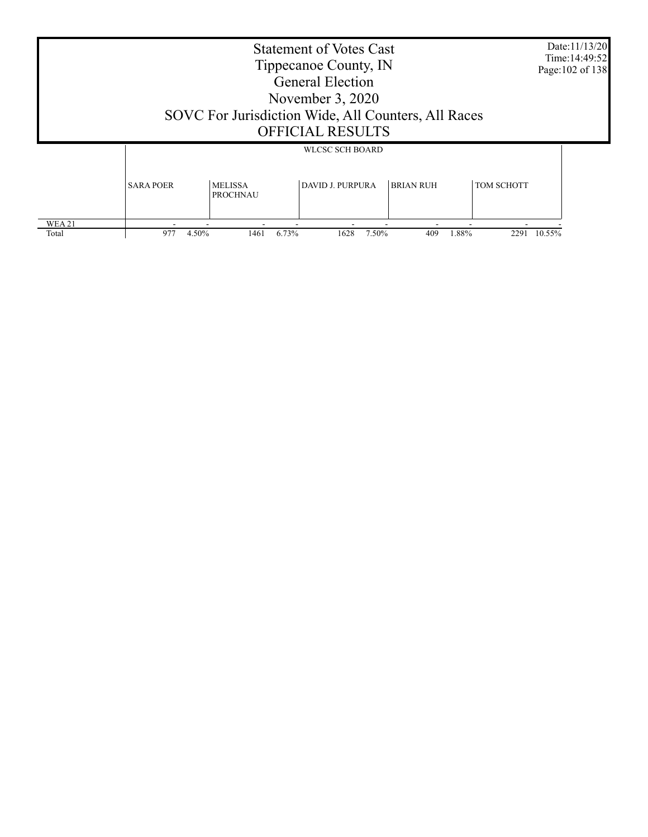| <b>Statement of Votes Cast</b><br>Tippecanoe County, IN<br><b>General Election</b><br>November $3, 2020$<br>SOVC For Jurisdiction Wide, All Counters, All Races<br><b>OFFICIAL RESULTS</b> |                  |                                   |                                                   |                  |                   |        |  |
|--------------------------------------------------------------------------------------------------------------------------------------------------------------------------------------------|------------------|-----------------------------------|---------------------------------------------------|------------------|-------------------|--------|--|
|                                                                                                                                                                                            | <b>SARA POER</b> | <b>MELISSA</b><br><b>PROCHNAU</b> | <b>WLCSC SCH BOARD</b><br><b>DAVID J. PURPURA</b> | <b>BRIAN RUH</b> | <b>TOM SCHOTT</b> |        |  |
| WEA 21<br>Total                                                                                                                                                                            | 977<br>4.50%     | 1461                              | 6.73%<br>1628<br>7.50%                            | 409              | 1.88%<br>229      | 10.55% |  |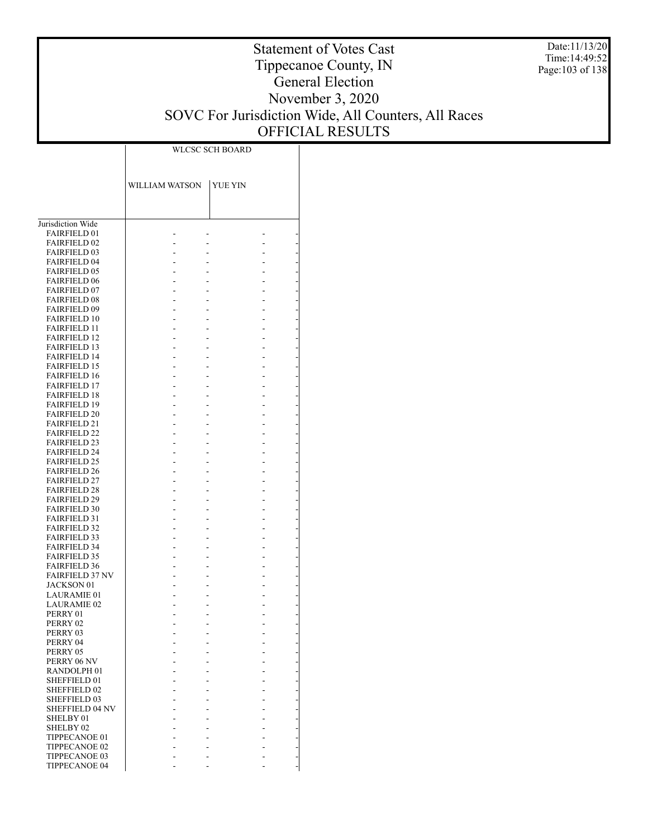Date:11/13/20 Time:14:49:52 Page:103 of 138

|                                            | WLCSC SCH BOARD |         |  |  |
|--------------------------------------------|-----------------|---------|--|--|
|                                            |                 |         |  |  |
|                                            |                 |         |  |  |
|                                            | WILLIAM WATSON  | YUE YIN |  |  |
|                                            |                 |         |  |  |
|                                            |                 |         |  |  |
| Jurisdiction Wide                          |                 |         |  |  |
| <b>FAIRFIELD 01</b>                        |                 |         |  |  |
| <b>FAIRFIELD 02</b><br><b>FAIRFIELD 03</b> |                 |         |  |  |
| <b>FAIRFIELD 04</b>                        |                 |         |  |  |
| <b>FAIRFIELD 05</b>                        |                 |         |  |  |
| <b>FAIRFIELD 06</b>                        |                 |         |  |  |
| <b>FAIRFIELD 07</b>                        |                 |         |  |  |
| <b>FAIRFIELD 08</b>                        |                 |         |  |  |
| <b>FAIRFIELD 09</b><br><b>FAIRFIELD 10</b> |                 |         |  |  |
| <b>FAIRFIELD 11</b>                        |                 |         |  |  |
| <b>FAIRFIELD 12</b>                        |                 |         |  |  |
| <b>FAIRFIELD 13</b>                        |                 |         |  |  |
| <b>FAIRFIELD 14</b>                        |                 |         |  |  |
| <b>FAIRFIELD 15</b><br><b>FAIRFIELD 16</b> |                 |         |  |  |
| <b>FAIRFIELD 17</b>                        |                 |         |  |  |
| <b>FAIRFIELD 18</b>                        |                 |         |  |  |
| <b>FAIRFIELD 19</b>                        |                 |         |  |  |
| <b>FAIRFIELD 20</b>                        |                 |         |  |  |
| <b>FAIRFIELD 21</b><br><b>FAIRFIELD 22</b> |                 |         |  |  |
| <b>FAIRFIELD 23</b>                        |                 |         |  |  |
| <b>FAIRFIELD 24</b>                        |                 |         |  |  |
| <b>FAIRFIELD 25</b>                        |                 |         |  |  |
| <b>FAIRFIELD 26</b>                        |                 |         |  |  |
| <b>FAIRFIELD 27</b>                        |                 |         |  |  |
| <b>FAIRFIELD 28</b><br><b>FAIRFIELD 29</b> |                 |         |  |  |
| <b>FAIRFIELD 30</b>                        |                 |         |  |  |
| <b>FAIRFIELD 31</b>                        |                 |         |  |  |
| <b>FAIRFIELD 32</b>                        |                 |         |  |  |
| <b>FAIRFIELD 33</b>                        |                 |         |  |  |
| <b>FAIRFIELD 34</b>                        |                 |         |  |  |
| <b>FAIRFIELD 35</b><br><b>FAIRFIELD 36</b> |                 |         |  |  |
| <b>FAIRFIELD 37 NV</b>                     |                 |         |  |  |
| <b>JACKSON 01</b>                          |                 |         |  |  |
| <b>LAURAMIE 01</b>                         |                 |         |  |  |
| <b>LAURAMIE 02</b>                         |                 |         |  |  |
| PERRY 01<br>PERRY 02                       |                 |         |  |  |
| PERRY 03                                   |                 |         |  |  |
| PERRY 04                                   |                 |         |  |  |
| PERRY 05                                   |                 |         |  |  |
| PERRY 06 NV                                |                 |         |  |  |
| RANDOLPH <sub>01</sub>                     |                 |         |  |  |
| SHEFFIELD 01<br>SHEFFIELD 02               |                 |         |  |  |
| SHEFFIELD 03                               |                 |         |  |  |
| SHEFFIELD 04 NV                            |                 |         |  |  |
| SHELBY 01                                  |                 |         |  |  |
| SHELBY 02                                  |                 |         |  |  |
| TIPPECANOE 01<br>TIPPECANOE 02             |                 |         |  |  |
| TIPPECANOE 03                              |                 |         |  |  |
| TIPPECANOE 04                              |                 |         |  |  |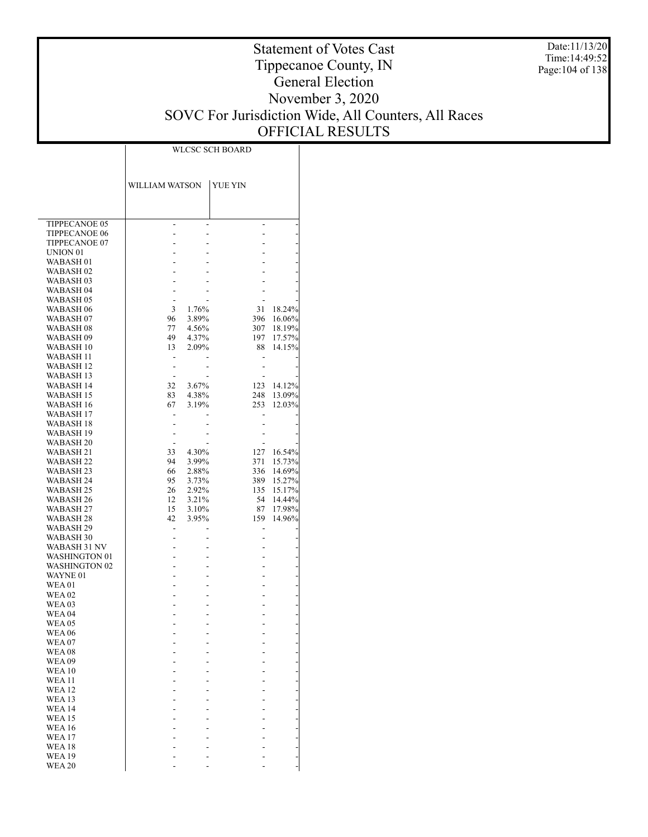Date:11/13/20 Time:14:49:52 Page:104 of 138

### Statement of Votes Cast Tippecanoe County, IN General Election November 3, 2020 SOVC For Jurisdiction Wide, All Counters, All Races OFFICIAL RESULTS

|                                   | WLCSC SCH BOARD              |                |                              |                  |  |  |
|-----------------------------------|------------------------------|----------------|------------------------------|------------------|--|--|
|                                   |                              |                |                              |                  |  |  |
|                                   |                              |                |                              |                  |  |  |
|                                   | WILLIAM WATSON               |                | YUE YIN                      |                  |  |  |
|                                   |                              |                |                              |                  |  |  |
|                                   |                              |                |                              |                  |  |  |
|                                   |                              |                |                              |                  |  |  |
| TIPPECANOE 05                     | -                            | $\overline{a}$ | $\overline{\phantom{0}}$     |                  |  |  |
| <b>TIPPECANOE 06</b>              |                              | $\overline{a}$ | -                            |                  |  |  |
| TIPPECANOE 07                     |                              |                |                              |                  |  |  |
| UNION <sub>01</sub>               |                              |                |                              |                  |  |  |
| WABASH <sub>01</sub>              |                              |                |                              |                  |  |  |
| WABASH <sub>02</sub>              |                              |                |                              |                  |  |  |
| WABASH <sub>03</sub>              |                              |                |                              |                  |  |  |
| WABASH <sub>04</sub>              |                              |                |                              |                  |  |  |
| WABASH <sub>05</sub>              | 3                            |                |                              |                  |  |  |
| WABASH 06<br>WABASH <sub>07</sub> | 96                           | 1.76%<br>3.89% | 31<br>396                    | 18.24%<br>16.06% |  |  |
| WABASH <sub>08</sub>              | 77                           | 4.56%          | 307                          | 18.19%           |  |  |
| WABASH 09                         | 49                           | 4.37%          | 197                          | 17.57%           |  |  |
| WABASH 10                         | 13                           | 2.09%          | 88                           | 14.15%           |  |  |
| <b>WABASH 11</b>                  |                              |                |                              |                  |  |  |
| WABASH 12                         | $\qquad \qquad \blacksquare$ |                | $\qquad \qquad \blacksquare$ |                  |  |  |
| WABASH 13                         | $\overline{\phantom{a}}$     |                |                              |                  |  |  |
| WABASH 14                         | 32                           | $3.67\%$       | 123                          | 14.12%           |  |  |
| WABASH 15                         | 83                           | 4.38%          | 248                          | 13.09%           |  |  |
| WABASH 16                         | 67                           | 3.19%          | 253                          | 12.03%           |  |  |
| WABASH 17                         |                              |                |                              |                  |  |  |
| WABASH 18<br>WABASH 19            |                              |                |                              |                  |  |  |
| <b>WABASH 20</b>                  |                              |                |                              |                  |  |  |
| WABASH 21                         | 33                           | 4.30%          | 127                          | 16.54%           |  |  |
| WABASH 22                         | 94                           | 3.99%          | 371                          | 15.73%           |  |  |
| WABASH 23                         | 66                           | 2.88%          | 336                          | 14.69%           |  |  |
| WABASH 24                         | 95                           | 3.73%          | 389                          | 15.27%           |  |  |
| WABASH 25                         | 26                           | 2.92%          | 135                          | 15.17%           |  |  |
| WABASH 26                         | 12                           | 3.21%          | 54                           | 14.44%           |  |  |
| WABASH 27                         | 15                           | 3.10%          | 87                           | 17.98%           |  |  |
| WABASH 28                         | 42                           | 3.95%          | 159                          | 14.96%           |  |  |
| WABASH 29                         | $\qquad \qquad \blacksquare$ | ÷              | $\qquad \qquad \blacksquare$ |                  |  |  |
| WABASH 30<br>WABASH 31 NV         | -<br>-                       |                | -                            |                  |  |  |
| <b>WASHINGTON 01</b>              |                              |                |                              |                  |  |  |
| <b>WASHINGTON 02</b>              |                              |                |                              |                  |  |  |
| WAYNE 01                          |                              |                |                              |                  |  |  |
| <b>WEA01</b>                      |                              |                |                              |                  |  |  |
| <b>WEA 02</b>                     |                              |                |                              |                  |  |  |
| <b>WEA03</b>                      |                              | -              |                              |                  |  |  |
| <b>WEA 04</b>                     |                              |                |                              |                  |  |  |
| <b>WEA05</b>                      |                              |                |                              |                  |  |  |
| <b>WEA06</b>                      |                              |                |                              |                  |  |  |
| <b>WEA07</b>                      |                              |                |                              |                  |  |  |
| <b>WEA08</b>                      |                              |                |                              |                  |  |  |
| <b>WEA09</b><br><b>WEA 10</b>     |                              |                |                              |                  |  |  |
| <b>WEA 11</b>                     |                              |                |                              |                  |  |  |
| <b>WEA12</b>                      |                              |                |                              |                  |  |  |
| <b>WEA 13</b>                     |                              |                |                              |                  |  |  |
| <b>WEA 14</b>                     |                              |                |                              |                  |  |  |
| <b>WEA 15</b>                     |                              |                |                              |                  |  |  |
| <b>WEA 16</b>                     |                              |                |                              |                  |  |  |
| <b>WEA 17</b>                     |                              |                |                              |                  |  |  |
| <b>WEA 18</b>                     |                              |                |                              |                  |  |  |
| <b>WEA 19</b>                     |                              |                |                              |                  |  |  |
| <b>WEA 20</b>                     |                              |                |                              |                  |  |  |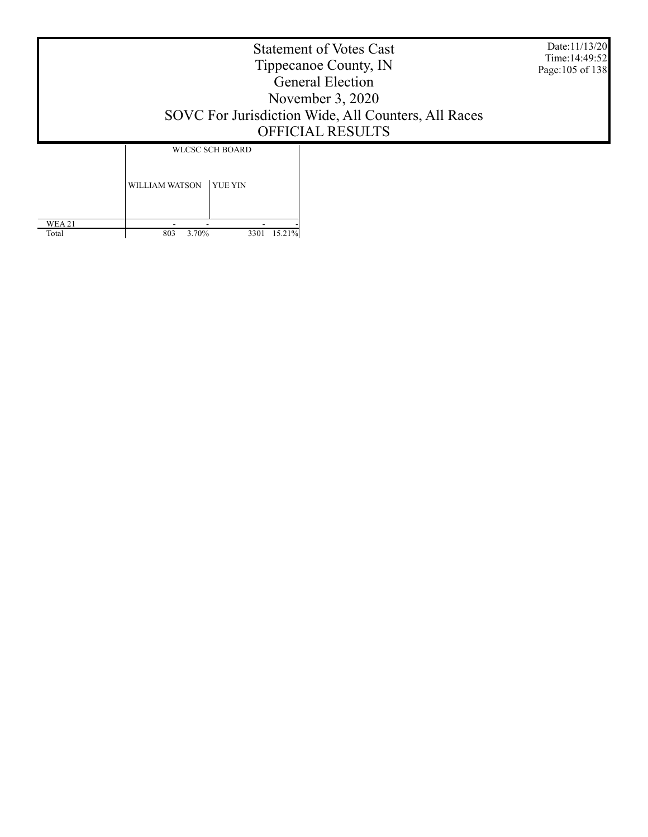Date:11/13/20 Time:14:49:52 Page:105 of 138

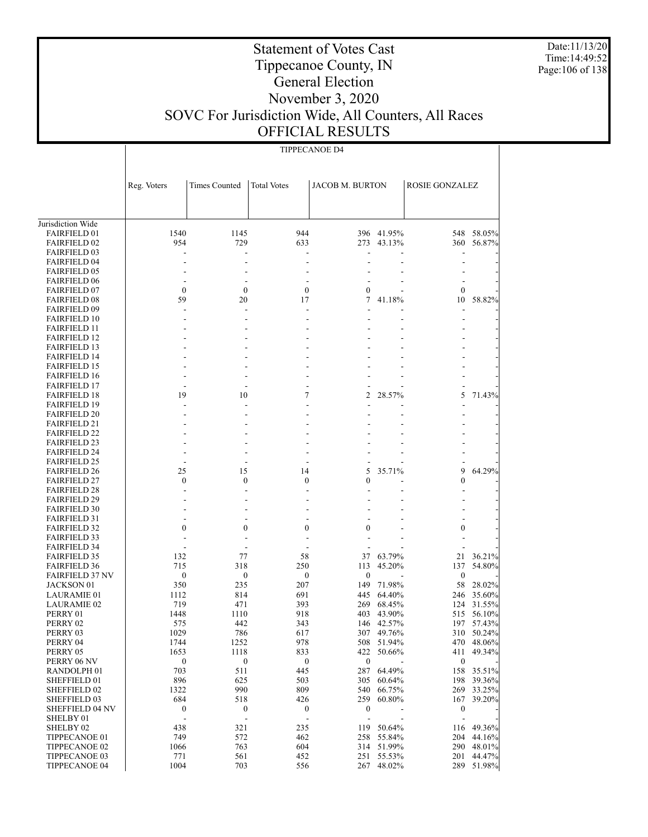Date:11/13/20 Time:14:49:52 Page:106 of 138

### Statement of Votes Cast Tippecanoe County, IN General Election November 3, 2020 SOVC For Jurisdiction Wide, All Counters, All Races OFFICIAL RESULTS

 Jurisdiction Wide FAIRFIELD 01 FAIRFIELD 02 FAIRFIELD 03 FAIRFIELD 04 FAIRFIELD 05 FAIRFIELD 06 FAIRFIELD 07 FAIRFIELD 08 FAIRFIELD 09 FAIRFIELD 10 FAIRFIELD 11 FAIRFIELD 12 FAIRFIELD 13 FAIRFIELD 14 FAIRFIELD 15 FAIRFIELD 16 FAIRFIELD 17 FAIRFIELD 18 FAIRFIELD 19 FAIRFIELD 20 FAIRFIELD 21 FAIRFIELD 22 FAIRFIELD 23 FAIRFIELD 24 FAIRFIELD 25 FAIRFIELD 26 FAIRFIELD 27 FAIRFIELD 28 FAIRFIELD 29 FAIRFIELD 30 FAIRFIELD 31 FAIRFIELD 32 FAIRFIELD 33 FAIRFIELD 34 FAIRFIELD 35 FAIRFIELD 36 FAIRFIELD 37 NV JACKSON 01 LAURAMIE 01 LAURAMIE 02 PERRY 01 PERRY 02 PERRY 03 PERRY 04 PERRY 05 PERRY 06 NV RANDOLPH 01 SHEFFIELD 01 SHEFFIELD 02 SHEFFIELD 03 SHEFFIELD 04 NV SHELBY 01 SHELBY 02 TIPPECANOE 01 TIPPECANOE 02 TIPPECANOE 03 Reg. Voters | Times Counted | Total Votes | JACOB M. BURTON | ROSIE GONZALEZ TIPPECANOE D4 1540 1145 944 396 41.95% 548 58.05%<br>954 729 633 273 43.13% 360 56.87% 954 729 633 273 43.13% 360 56.87% - - - - - - - - - - - - - - - - - - - - - - - - - - - - 0 0 <sup>0</sup> <sup>0</sup> - 0 - 59 20 17 7 41.18% 10 58.82% - - - - - - - - - - - - - - - - - - - - - - - - - - - - - - - - - - - - - - - - - - - - - - - - - - - - - - - - - - - - - - - 19 10 7 2 28.57% 5 71.43% - - - - - - - - - - - - - - - - - - - - - - - - - - - - - - - - - - - - - - - - - - - - - - - - - 25 15 14 5 35.71% 9 64.29% 0 0 <sup>0</sup> <sup>0</sup> - 0 - - - - - - - - - - - - - - - - - - - - - - - - - - - - - 0 0 <sup>0</sup> <sup>0</sup> - 0 - - - - - - - - - - - - - - - 132 77 58 37 63.79% 21 36.21% 715 318 250 113 45.20% 137 54.80%  $0$  0 0 0 - 0 - 350 235 207 149 71.98% 58 28.02% 1112 814 691 445 64.40% 246 35.60% 719 471 393 269 68.45% 124 31.55% 1448 1110 918 403 43.90% 515 56.10% 575 442 343 146 42.57% 197 57.43% 1029 786 617 307 49.76% 310 50.24% 1744 1252 978 508 51.94% 470 48.06% 1653 1118 833 422 50.66% 411 49.34%  $0$  0 0 0 - 0 - 703 511 445 287 64.49% 158 35.51% 896 625 503 305 60.64% 198 39.36% 1322 990 809 540 66.75% 269 33.25% 684 518 426 259 60.80% 167 39.20% 0 0 <sup>0</sup> <sup>0</sup> - 0 - - - - - - - - 438 321 235 119 50.64% 116 49.36%<br>
749 572 462 258 55.84% 204 44.16% 749 572 462 258 55.84% 204 44.16% 1066 763 604 314 51.99% 290 48.01% 771 561 452 251 55.53% 201 44.47%

1004 703 556 267 48.02% 289 51.98%

TIPPECANOE 04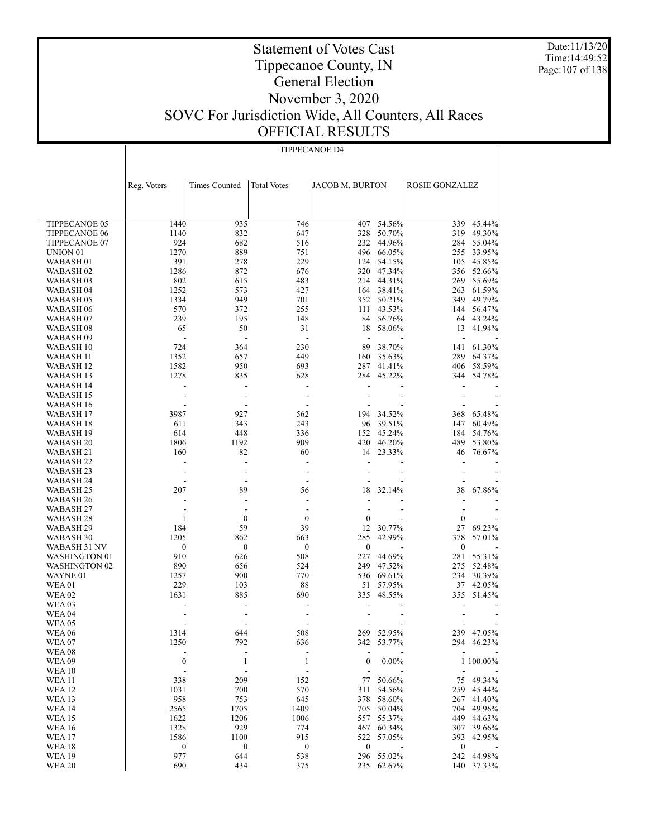Date:11/13/20 Time:14:49:52 Page:107 of 138

### Statement of Votes Cast Tippecanoe County, IN General Election November 3, 2020 SOVC For Jurisdiction Wide, All Counters, All Races OFFICIAL RESULTS

TIPPECANOE D4

 TIPPECANOE 05 TIPPECANOE 06 TIPPECANOE 07 UNION 01 WABASH 01 WABASH 02 WABASH 03 WABASH 04 WABASH 05 WABASH 06 WABASH 07 WABASH 08 WABASH 09 WABASH 10 WABASH 11 WABASH 12 WABASH 13 WABASH 14 WABASH 15 WABASH 16 WABASH 17 WABASH 18 WABASH 19 WABASH 20 WABASH 21 WABASH 22 WABASH 23 WABASH 24 WABASH 25 WABASH 26 WABASH 27 WABASH 28 WABASH 29 WABASH 30 WABASH 31 NV WASHINGTON 01 WASHINGTON 02 WAYNE 01 WEA 01 WEA 02 WEA 03 WEA 04 WEA 05 WEA 06 WEA 07 WEA 08 WEA 09 WEA 10 WEA 11 WEA 12 WEA 13 WEA 14 WEA 15 WEA 16 WEA 17 WEA 18 WEA 19 Reg. Voters | Times Counted | Total Votes | JACOB M. BURTON | ROSIE GONZALEZ 1440 935 746 407 54.56% 339 45.44% 1140 832 647 328 50.70% 319 49.30% 924 682 516 232 44.96% 284 55.04% 1270 889 751 496 66.05% 255 33.95% 391 278 229 124 54.15% 105 45.85% 1286 872 676 320 47.34% 356 52.66% 802 615 483 214 44.31% 269 55.69% 1252 573 427 164 38.41% 263 61.59% 1334 949 701 352 50.21% 349 49.79% 570 372 255 111 43.53% 144 56.47% 239 195 148 84 56.76% 64 43.24% 65 50 31 18 58.06% 13 41.94% - - - - - - - 724 364 230 89 38.70% 141 61.30% 1352 657 449 160 35.63% 289 64.37% 1582 950 693 287 41.41% 406 58.59% 1278 835 628 284 45.22% 344 54.78% - - - - - - - - - - - - - - - - - - - - - 3987 927 562 194 34.52% 368 65.48%<br>611 343 243 96 39.51% 147 60.49% 611 343 243 96 39.51% 147 60.49% 614 448 336 152 45.24% 184 54.76% 1806 1192 909 420 46.20% 489 53.80% 160 82 60 14 23.33% 46 76.67% - - - - - - - - - - - - - - - - - - - - - 207 89 56 18 32.14% 38 67.86% - - - - - - - - - - - - - - 1 0 <sup>0</sup> <sup>0</sup> - 0 - 184 59 39 12 30.77% 27 69.23% 1205 862 663 285 42.99% 378 57.01%  $0$  0 0 0 - 0 - 910 626 508 227 44.69% 281 55.31% 890 656 524 249 47.52% 275 52.48% 1257 900 770 536 69.61% 234 30.39% 229 103 88 51 57.95% 37 42.05% 1631 885 690 335 48.55% 355 51.45% - - - - - - - - - - - - - - - - - - - - - 1314 644 508 269 52.95% 239 47.05% 1250 792 636 342 53.77% 294 46.23% - - - - - - - 0 1 <sup>1</sup> <sup>0</sup> 0.00% 1 100.00% - - - - - - - 338 209 152 77 50.66% 75 49.34% 1031 700 570 311 54.56% 259 45.44% 958 753 645 378 58.60% 267 41.40% 2565 1705 1409 705 50.04% 704 49.96% 1622 1206 1006 557 55.37% 449 44.63% 1328 929 774 467 60.34% 307 39.66% 1586 1100 915 522 57.05% 393 42.95%  $0$  0 0 0 - 0 -977 644 538 296 55.02% 242 44.98%

690 434 375 235 62.67% 140 37.33%

WEA 20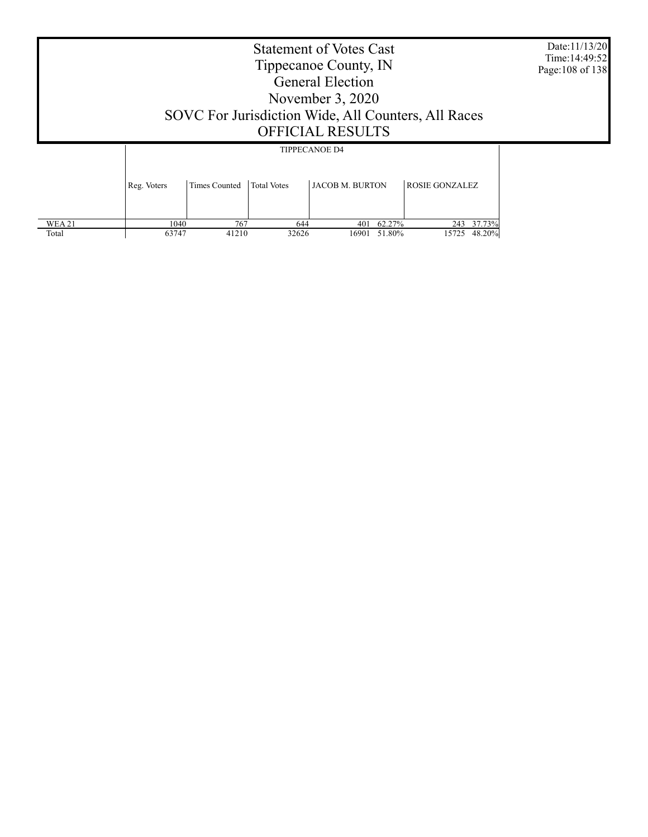|               | Date:11/13/20<br>Time: 14:49:52<br>Page: 108 of 138 |                      |                    |                                                |                       |  |
|---------------|-----------------------------------------------------|----------------------|--------------------|------------------------------------------------|-----------------------|--|
|               | Reg. Voters                                         | <b>Times Counted</b> | <b>Total Votes</b> | <b>TIPPECANOE D4</b><br><b>JACOB M. BURTON</b> | <b>ROSIE GONZALEZ</b> |  |
| <b>WEA 21</b> | 1040                                                | 767                  | 644                | 401 62.27%                                     | 243 37.73%            |  |

63747 41210 32626 16901 51.80% 15725 48.20%

Total

Τ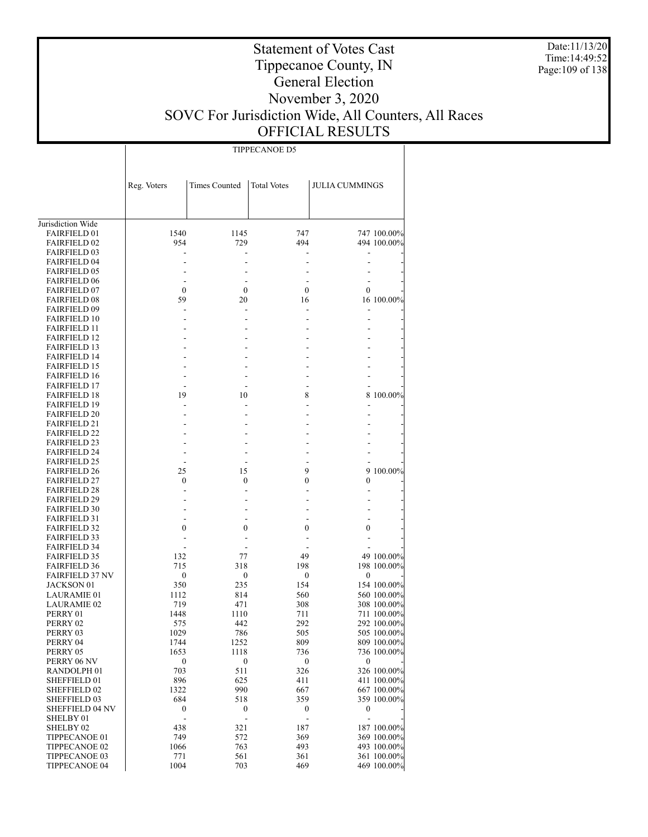Date:11/13/20 Time:14:49:52 Page:109 of 138

| <b>TIPPECANOE D5</b> |  |
|----------------------|--|

|                                            | Reg. Voters      | Times Counted                | <b>Total Votes</b> | <b>JULIA CUMMINGS</b> |                            |
|--------------------------------------------|------------------|------------------------------|--------------------|-----------------------|----------------------------|
|                                            |                  |                              |                    |                       |                            |
|                                            |                  |                              |                    |                       |                            |
| Jurisdiction Wide                          |                  |                              |                    |                       |                            |
| <b>FAIRFIELD 01</b>                        | 1540             | 1145                         | 747                |                       | 747 100.00%                |
| <b>FAIRFIELD 02</b>                        | 954              | 729                          | 494                |                       | 494 100.00%                |
| <b>FAIRFIELD 03</b>                        |                  |                              |                    |                       |                            |
| <b>FAIRFIELD 04</b>                        |                  |                              |                    |                       |                            |
| <b>FAIRFIELD 05</b>                        |                  |                              |                    |                       |                            |
| <b>FAIRFIELD 06</b>                        |                  |                              |                    |                       |                            |
| <b>FAIRFIELD 07</b>                        | $\mathbf{0}$     | $\boldsymbol{0}$             | 0                  | 0                     |                            |
| <b>FAIRFIELD 08</b>                        | 59               | 20                           | 16                 |                       | 16 100.00%                 |
| <b>FAIRFIELD 09</b>                        |                  |                              |                    |                       |                            |
| <b>FAIRFIELD 10</b>                        |                  |                              |                    |                       |                            |
| <b>FAIRFIELD 11</b>                        |                  |                              |                    |                       |                            |
| <b>FAIRFIELD 12</b><br><b>FAIRFIELD 13</b> |                  |                              |                    |                       |                            |
| <b>FAIRFIELD 14</b>                        |                  |                              |                    |                       |                            |
| <b>FAIRFIELD 15</b>                        |                  |                              |                    |                       |                            |
| <b>FAIRFIELD 16</b>                        |                  |                              |                    |                       |                            |
| <b>FAIRFIELD 17</b>                        |                  |                              |                    |                       |                            |
| <b>FAIRFIELD 18</b>                        | 19               | 10                           | 8                  |                       | 8 100.00%                  |
| <b>FAIRFIELD 19</b>                        |                  |                              |                    |                       |                            |
| <b>FAIRFIELD 20</b>                        |                  |                              |                    |                       |                            |
| <b>FAIRFIELD 21</b>                        |                  |                              |                    |                       |                            |
| <b>FAIRFIELD 22</b>                        |                  |                              |                    |                       |                            |
| <b>FAIRFIELD 23</b>                        |                  |                              |                    |                       |                            |
| <b>FAIRFIELD 24</b>                        |                  |                              |                    |                       |                            |
| <b>FAIRFIELD 25</b>                        |                  |                              |                    |                       |                            |
| <b>FAIRFIELD 26</b>                        | 25               | 15                           | 9                  |                       | 9 100.00%                  |
| <b>FAIRFIELD 27</b><br><b>FAIRFIELD 28</b> | $\mathbf{0}$     | 0                            | 0                  | 0                     |                            |
| <b>FAIRFIELD 29</b>                        |                  |                              |                    |                       |                            |
| <b>FAIRFIELD 30</b>                        |                  |                              |                    |                       |                            |
| <b>FAIRFIELD 31</b>                        |                  |                              |                    |                       |                            |
| <b>FAIRFIELD 32</b>                        | 0                | 0                            | 0                  | 0                     |                            |
| <b>FAIRFIELD 33</b>                        |                  |                              |                    |                       |                            |
| <b>FAIRFIELD 34</b>                        |                  |                              |                    |                       |                            |
| <b>FAIRFIELD 35</b>                        | 132              | 77                           | 49                 |                       | 49 100.00%                 |
| <b>FAIRFIELD 36</b>                        | 715              | 318                          | 198                |                       | 198 100.00%                |
| <b>FAIRFIELD 37 NV</b>                     | $\boldsymbol{0}$ | 0                            | $\bf{0}$           | 0                     |                            |
| <b>JACKSON 01</b>                          | 350              | 235                          | 154                |                       | 154 100.00%                |
| <b>LAURAMIE 01</b>                         | 1112             | 814                          | 560                |                       | 560 100.00%                |
| <b>LAURAMIE 02</b><br>PERRY 01             | 719<br>1448      | 471<br>1110                  | 308<br>711         |                       | 308 100.00%<br>711 100.00% |
| PERRY 02                                   | 575              | 442                          | 292                |                       | 292 100.00%                |
| PERRY 03                                   | 1029             | 786                          | 505                |                       | 505 100.00%                |
| PERRY 04                                   | 1744             | 1252                         | 809                |                       | 809 100.00%                |
| PERRY 05                                   | 1653             | 1118                         | 736                |                       | 736 100.00%                |
| PERRY 06 NV                                | $\boldsymbol{0}$ | $\boldsymbol{0}$             | $\boldsymbol{0}$   | 0                     |                            |
| RANDOLPH <sub>01</sub>                     | 703              | 511                          | 326                |                       | 326 100.00%                |
| SHEFFIELD 01                               | 896              | 625                          | 411                |                       | 411 100.00%                |
| <b>SHEFFIELD 02</b>                        | 1322             | 990                          | 667                |                       | 667 100.00%                |
| <b>SHEFFIELD 03</b>                        | 684              | 518                          | 359                |                       | 359 100.00%                |
| <b>SHEFFIELD 04 NV</b>                     | $\boldsymbol{0}$ | 0                            | $\bf{0}$           | 0                     |                            |
| SHELBY 01                                  | ÷,               | $\qquad \qquad \blacksquare$ |                    |                       |                            |
| SHELBY 02                                  | 438              | 321                          | 187                |                       | 187 100.00%                |
| TIPPECANOE 01                              | 749              | 572                          | 369                |                       | 369 100.00%                |
| TIPPECANOE 02<br>TIPPECANOE 03             | 1066<br>771      | 763<br>561                   | 493<br>361         |                       | 493 100.00%<br>361 100.00% |
| TIPPECANOE 04                              | 1004             | 703                          | 469                |                       | 469 100.00%                |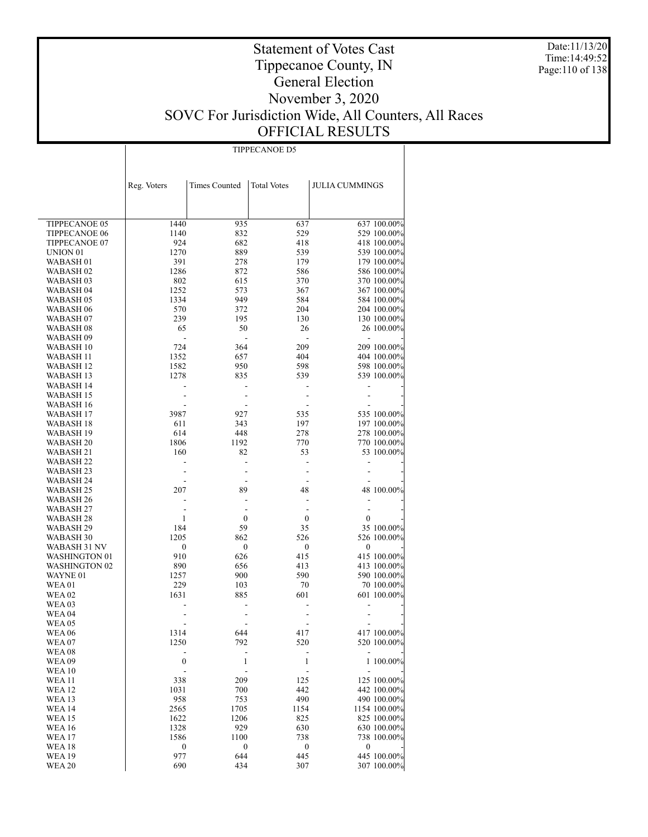Date:11/13/20 Time:14:49:52 Page:110 of 138

## Statement of Votes Cast Tippecanoe County, IN General Election November 3, 2020 SOVC For Jurisdiction Wide, All Counters, All Races OFFICIAL RESULTS

TIPPECANOE D5

|                        | Reg. Voters             | <b>Times Counted</b> | <b>Total Votes</b>      | <b>JULIA CUMMINGS</b> |              |
|------------------------|-------------------------|----------------------|-------------------------|-----------------------|--------------|
|                        |                         |                      |                         |                       |              |
|                        |                         |                      |                         |                       |              |
| TIPPECANOE 05          | 1440                    | 935                  | 637                     |                       | 637 100.00%  |
| <b>TIPPECANOE 06</b>   | 1140                    | 832                  | 529                     |                       | 529 100.00%  |
| TIPPECANOE 07          | 924                     | 682                  | 418                     |                       | 418 100.00%  |
| UNION <sub>01</sub>    | 1270                    | 889                  | 539                     |                       | 539 100.00%  |
| WABASH 01              | 391                     | 278                  | 179                     |                       | 179 100.00%  |
| WABASH 02              | 1286                    | 872                  | 586                     |                       | 586 100.00%  |
| WABASH 03              | 802                     | 615                  | 370                     |                       | 370 100.00%  |
| WABASH 04              | 1252                    | 573                  | 367                     |                       | 367 100.00%  |
| WABASH 05              | 1334                    | 949                  | 584                     |                       | 584 100.00%  |
| WABASH 06              | 570                     | 372                  | 204                     |                       | 204 100.00%  |
| WABASH 07              | 239                     | 195                  | 130                     |                       | 130 100.00%  |
| WABASH 08              | 65                      | 50                   | 26                      |                       | 26 100.00%   |
| WABASH 09              | $\overline{a}$          | ä,                   | $\overline{a}$          | ÷                     |              |
| WABASH 10              | 724                     | 364                  | 209                     |                       | 209 100.00%  |
| WABASH 11              | 1352                    | 657                  | 404                     |                       | 404 100.00%  |
| WABASH 12              | 1582                    | 950                  | 598                     |                       | 598 100.00%  |
| WABASH 13              | 1278                    | 835                  | 539                     |                       | 539 100.00%  |
| WABASH 14              |                         |                      |                         |                       |              |
| WABASH 15              |                         |                      |                         |                       |              |
| WABASH 16              |                         |                      |                         |                       |              |
| WABASH 17              | 3987                    | 927                  | 535                     |                       | 535 100.00%  |
| WABASH 18              | 611                     | 343                  | 197                     |                       | 197 100.00%  |
| WABASH 19              | 614                     | 448                  | 278                     |                       | 278 100.00%  |
| WABASH 20              | 1806                    | 1192                 | 770                     |                       | 770 100.00%  |
| WABASH 21              | 160                     | 82                   | 53                      |                       | 53 100.00%   |
| WABASH 22              |                         |                      | $\overline{a}$          |                       |              |
| WABASH 23              |                         |                      |                         |                       |              |
| WABASH 24              |                         |                      |                         |                       |              |
| WABASH 25              | 207                     | 89                   | 48                      |                       | 48 100.00%   |
| WABASH 26<br>WABASH 27 |                         |                      |                         | $\overline{a}$        |              |
| WABASH 28              | 1                       | $\boldsymbol{0}$     | $\boldsymbol{0}$        | $\boldsymbol{0}$      |              |
| WABASH 29              | 184                     | 59                   | 35                      |                       | 35 100.00%   |
| WABASH 30              | 1205                    | 862                  | 526                     |                       | 526 100.00%  |
| WABASH 31 NV           | $\boldsymbol{0}$        | $\boldsymbol{0}$     | $\boldsymbol{0}$        | 0                     |              |
| WASHINGTON 01          | 910                     | 626                  | 415                     |                       | 415 100.00%  |
| <b>WASHINGTON 02</b>   | 890                     | 656                  | 413                     |                       | 413 100.00%  |
| WAYNE 01               | 1257                    | 900                  | 590                     |                       | 590 100.00%  |
| WEA 01                 | 229                     | 103                  | 70                      |                       | 70 100.00%   |
| <b>WEA 02</b>          | 1631                    | 885                  | 601                     |                       | 601 100.00%  |
| WEA 03                 |                         |                      |                         |                       |              |
| <b>WEA 04</b>          |                         |                      |                         |                       |              |
| WEA 05                 |                         |                      |                         |                       |              |
| WEA 06                 | 1314                    | 644                  | 417                     |                       | 417 100.00%  |
| WEA 07                 | 1250                    | 792                  | 520                     |                       | 520 100.00%  |
| WEA 08                 |                         |                      |                         |                       |              |
| <b>WEA 09</b>          | $\boldsymbol{0}$        | 1                    | 1                       |                       | 1 100.00%    |
| <b>WEA 10</b>          |                         |                      |                         |                       |              |
| <b>WEA11</b>           | 338                     | 209                  | 125                     |                       | 125 100.00%  |
| <b>WEA12</b>           | 1031                    | 700                  | 442                     |                       | 442 100.00%  |
| <b>WEA 13</b>          | 958                     | 753                  | 490                     |                       | 490 100.00%  |
| <b>WEA14</b>           | 2565                    | 1705                 | 1154                    |                       | 1154 100.00% |
| <b>WEA15</b>           | 1622                    | 1206                 | 825                     |                       | 825 100.00%  |
| <b>WEA16</b>           | 1328                    | 929                  | 630                     |                       | 630 100.00%  |
| WEA 17                 | 1586                    | 1100                 | 738                     |                       | 738 100.00%  |
| WEA 18<br>WEA 19       | $\boldsymbol{0}$<br>977 | 0<br>644             | $\boldsymbol{0}$<br>445 | $\boldsymbol{0}$      | 445 100.00%  |
| <b>WEA 20</b>          | 690                     | 434                  | 307                     |                       | 307 100.00%  |
|                        |                         |                      |                         |                       |              |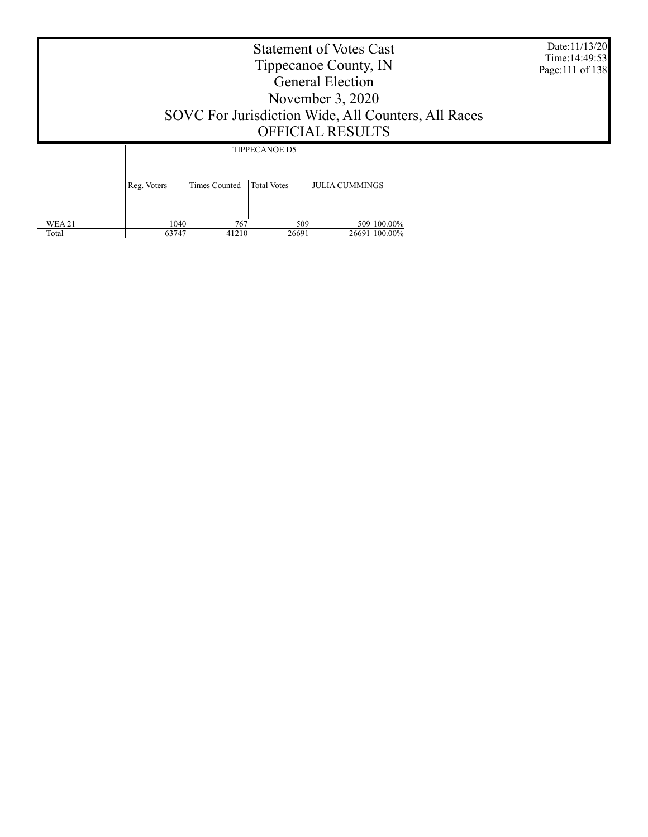| <b>Statement of Votes Cast</b><br>Tippecanoe County, IN<br><b>General Election</b><br>November 3, 2020<br>SOVC For Jurisdiction Wide, All Counters, All Races<br>OFFICIAL RESULTS |                      |                                            |                       |  |  |
|-----------------------------------------------------------------------------------------------------------------------------------------------------------------------------------|----------------------|--------------------------------------------|-----------------------|--|--|
| Reg. Voters                                                                                                                                                                       | <b>Times Counted</b> | <b>TIPPECANOE D5</b><br><b>Total Votes</b> | <b>JULIA CUMMINGS</b> |  |  |

1040 767 509 767 767 769 77 63747 41210 26691 26691 100.00%

 WEA 21 Total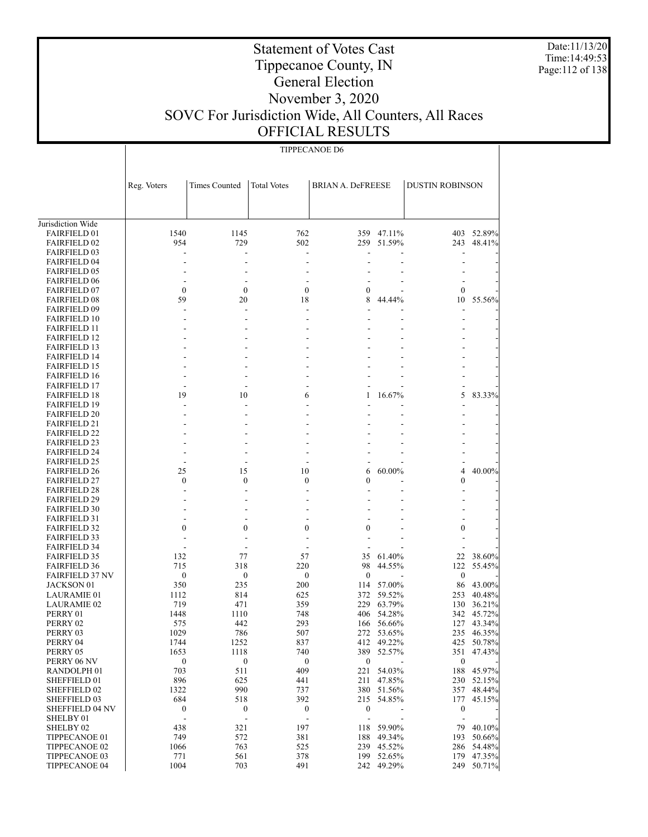Date:11/13/20 Time:14:49:53 Page:112 of 138

## Tippecanoe County, IN General Election

Statement of Votes Cast

#### November 3, 2020 SOVC For Jurisdiction Wide, All Counters, All Races OFFICIAL RESULTS

|                                               | <b>TIPPECANOE D6</b>    |                         |                          |                              |            |                         |            |  |
|-----------------------------------------------|-------------------------|-------------------------|--------------------------|------------------------------|------------|-------------------------|------------|--|
|                                               |                         |                         |                          |                              |            |                         |            |  |
|                                               | Reg. Voters             | Times Counted           | <b>Total Votes</b>       | <b>BRIAN A. DeFREESE</b>     |            | <b>DUSTIN ROBINSON</b>  |            |  |
|                                               |                         |                         |                          |                              |            |                         |            |  |
| Jurisdiction Wide                             |                         |                         |                          |                              |            |                         |            |  |
| <b>FAIRFIELD 01</b>                           | 1540                    | 1145                    | 762                      | 359                          | 47.11%     |                         | 403 52.89% |  |
| <b>FAIRFIELD 02</b>                           | 954                     | 729                     | 502                      | 259                          | 51.59%     | 243                     | 48.41%     |  |
| <b>FAIRFIELD 03</b>                           |                         |                         |                          |                              |            |                         |            |  |
| <b>FAIRFIELD 04</b>                           |                         |                         |                          |                              |            |                         |            |  |
| <b>FAIRFIELD 05</b>                           |                         |                         |                          |                              |            |                         |            |  |
| <b>FAIRFIELD 06</b>                           |                         |                         |                          |                              |            |                         |            |  |
| <b>FAIRFIELD 07</b>                           | $\mathbf{0}$            | $\mathbf{0}$            | $\mathbf{0}$             | 0                            |            | $\boldsymbol{0}$        |            |  |
| <b>FAIRFIELD 08</b>                           | 59                      | 20                      | 18                       | 8                            | 44.44%     | 10                      | 55.56%     |  |
| <b>FAIRFIELD 09</b>                           |                         |                         |                          |                              |            |                         |            |  |
| <b>FAIRFIELD 10</b><br><b>FAIRFIELD 11</b>    |                         |                         |                          |                              |            |                         |            |  |
| <b>FAIRFIELD 12</b>                           |                         |                         |                          |                              |            |                         |            |  |
| <b>FAIRFIELD 13</b>                           |                         |                         |                          |                              |            |                         |            |  |
| <b>FAIRFIELD 14</b>                           |                         |                         |                          |                              |            |                         |            |  |
| <b>FAIRFIELD 15</b>                           |                         |                         |                          |                              |            |                         |            |  |
| <b>FAIRFIELD 16</b>                           |                         |                         |                          |                              |            |                         |            |  |
| <b>FAIRFIELD 17</b>                           |                         |                         |                          |                              |            |                         |            |  |
| <b>FAIRFIELD 18</b>                           | 19                      | 10                      | 6                        | 1                            | 16.67%     | 5                       | 83.33%     |  |
| <b>FAIRFIELD 19</b>                           |                         |                         |                          |                              |            |                         |            |  |
| <b>FAIRFIELD 20</b>                           |                         |                         |                          |                              |            |                         |            |  |
| <b>FAIRFIELD 21</b>                           |                         |                         |                          |                              |            |                         |            |  |
| <b>FAIRFIELD 22</b>                           |                         |                         |                          |                              |            |                         |            |  |
| <b>FAIRFIELD 23</b><br><b>FAIRFIELD 24</b>    |                         |                         |                          |                              |            |                         |            |  |
| <b>FAIRFIELD 25</b>                           |                         |                         |                          |                              |            |                         |            |  |
| <b>FAIRFIELD 26</b>                           | 25                      | 15                      | 10                       | 6                            | 60.00%     | 4                       | 40.00%     |  |
| <b>FAIRFIELD 27</b>                           | $\mathbf{0}$            | $\boldsymbol{0}$        | $\mathbf{0}$             | 0                            |            | $\boldsymbol{0}$        |            |  |
| <b>FAIRFIELD 28</b>                           |                         |                         |                          |                              |            |                         |            |  |
| <b>FAIRFIELD 29</b>                           |                         |                         |                          |                              |            |                         |            |  |
| <b>FAIRFIELD 30</b>                           |                         |                         |                          |                              |            |                         |            |  |
| <b>FAIRFIELD 31</b>                           |                         |                         |                          |                              |            |                         |            |  |
| <b>FAIRFIELD 32</b>                           | 0                       | 0                       | $\mathbf{0}$             | $\mathbf{0}$                 |            | $\boldsymbol{0}$        |            |  |
| <b>FAIRFIELD 33</b>                           |                         |                         |                          |                              |            |                         |            |  |
| <b>FAIRFIELD 34</b>                           |                         |                         |                          |                              |            |                         |            |  |
| <b>FAIRFIELD 35</b>                           | 132                     | 77                      | 57                       | 35                           | 61.40%     | 22                      | 38.60%     |  |
| <b>FAIRFIELD 36</b><br><b>FAIRFIELD 37 NV</b> | 715<br>$\boldsymbol{0}$ | 318<br>$\boldsymbol{0}$ | 220<br>$\boldsymbol{0}$  | 98<br>$\boldsymbol{0}$       | 44.55%     | 122<br>$\boldsymbol{0}$ | 55.45%     |  |
| JACKSON 01                                    | 350                     | 235                     | 200                      | 114                          | 57.00%     | 86                      | 43.00%     |  |
| <b>LAURAMIE 01</b>                            | 1112                    | 814                     | 625                      | 372                          | 59.52%     | 253                     | 40.48%     |  |
| <b>LAURAMIE 02</b>                            | 719                     | 471                     | 359                      | 229                          | 63.79%     | 130                     | 36.21%     |  |
| PERRY 01                                      | 1448                    | 1110                    | 748                      | 406                          | 54.28%     | 342                     | 45.72%     |  |
| PERRY 02                                      | 575                     | 442                     | 293                      |                              | 166 56.66% |                         | 127 43.34% |  |
| PERRY 03                                      | 1029                    | 786                     | 507                      | 272                          | 53.65%     | 235                     | 46.35%     |  |
| PERRY 04                                      | 1744                    | 1252                    | 837                      | 412                          | 49.22%     | 425                     | 50.78%     |  |
| PERRY 05                                      | 1653                    | 1118                    | 740                      | 389                          | 52.57%     | 351                     | 47.43%     |  |
| PERRY 06 NV                                   | $\boldsymbol{0}$        | $\boldsymbol{0}$        | $\boldsymbol{0}$         | $\boldsymbol{0}$             |            | $\boldsymbol{0}$        |            |  |
| RANDOLPH 01                                   | 703                     | 511                     | 409                      | 221                          | 54.03%     | 188                     | 45.97%     |  |
| SHEFFIELD 01<br>SHEFFIELD 02                  | 896                     | 625                     | 441                      | 211                          | 47.85%     | 230                     | 52.15%     |  |
|                                               | 1322                    | 990                     | 737                      | 380                          | 51.56%     | 357                     | 48.44%     |  |
| SHEFFIELD 03<br>SHEFFIELD 04 NV               | 684<br>$\boldsymbol{0}$ | 518<br>$\boldsymbol{0}$ | 392<br>$\boldsymbol{0}$  | 215<br>$\boldsymbol{0}$      | 54.85%     | 177<br>$\boldsymbol{0}$ | 45.15%     |  |
| SHELBY 01                                     | $\blacksquare$          | $\blacksquare$          | $\overline{\phantom{a}}$ | $\qquad \qquad \blacksquare$ |            |                         |            |  |
| SHELBY 02                                     | 438                     | 321                     | 197                      | 118                          | 59.90%     | 79                      | 40.10%     |  |
| TIPPECANOE 01                                 | 749                     | 572                     | 381                      | 188                          | 49.34%     | 193                     | 50.66%     |  |
| TIPPECANOE 02                                 | 1066                    | 763                     | 525                      | 239                          | 45.52%     | 286                     | 54.48%     |  |
| TIPPECANOE 03                                 | 771                     | 561                     | 378                      | 199                          | 52.65%     | 179                     | 47.35%     |  |
| TIPPECANOE 04                                 | 1004                    | 703                     | 491                      | 242                          | 49.29%     | 249                     | 50.71%     |  |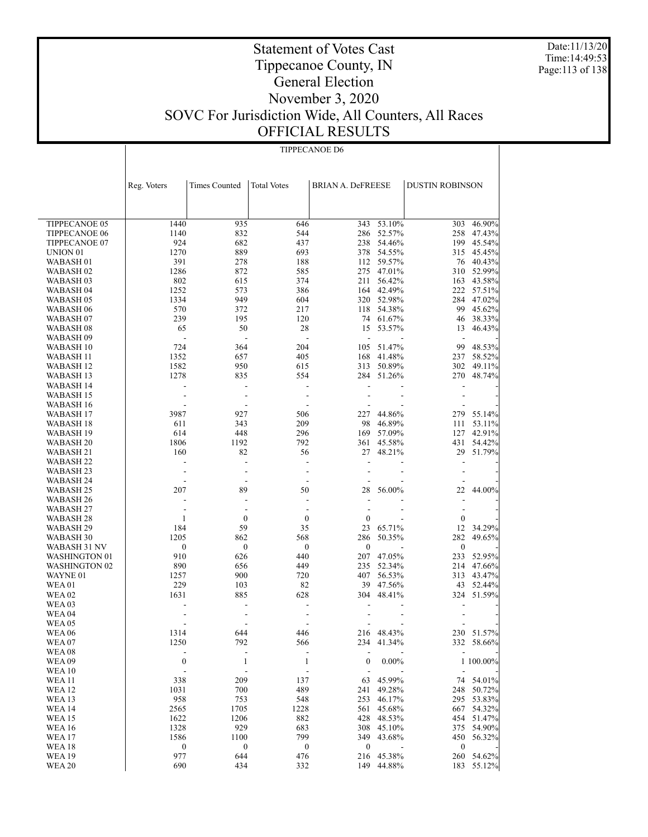Date:11/13/20 Time:14:49:53 Page:113 of 138

## Statement of Votes Cast Tippecanoe County, IN General Election November 3, 2020 SOVC For Jurisdiction Wide, All Counters, All Races OFFICIAL RESULTS

TIPPECANOE D6

|                      | Reg. Voters              |                      | <b>Total Votes</b> |                          |            | <b>DUSTIN ROBINSON</b>   |            |
|----------------------|--------------------------|----------------------|--------------------|--------------------------|------------|--------------------------|------------|
|                      |                          | <b>Times Counted</b> |                    | <b>BRIAN A. DeFREESE</b> |            |                          |            |
|                      |                          |                      |                    |                          |            |                          |            |
|                      |                          |                      |                    |                          |            |                          |            |
| TIPPECANOE 05        | 1440                     | 935                  | 646                | 343                      | 53.10%     | 303                      | 46.90%     |
| <b>TIPPECANOE 06</b> | 1140                     | 832                  | 544                | 286                      | 52.57%     | 258                      | 47.43%     |
| <b>TIPPECANOE 07</b> | 924                      | 682                  | 437                | 238                      | 54.46%     | 199                      | 45.54%     |
| UNION <sub>01</sub>  | 1270                     | 889                  | 693                | 378                      | 54.55%     |                          | 315 45.45% |
| WABASH 01            | 391                      | 278                  | 188                |                          | 112 59.57% |                          | 76 40.43%  |
| WABASH 02            | 1286                     | 872                  | 585                |                          | 275 47.01% |                          | 310 52.99% |
| WABASH 03            | 802                      | 615                  | 374                | 211                      | 56.42%     | 163                      | 43.58%     |
| WABASH 04            | 1252                     | 573                  | 386                |                          | 164 42.49% | 222                      | 57.51%     |
| WABASH 05            | 1334                     | 949                  | 604                | 320                      | 52.98%     | 284                      | 47.02%     |
| WABASH 06            | 570                      | 372                  | 217                |                          | 118 54.38% | 99                       | 45.62%     |
| WABASH 07            | 239                      | 195                  | 120                |                          | 74 61.67%  | 46                       | 38.33%     |
| WABASH 08            | 65                       | 50                   | 28                 | 15                       | 53.57%     | 13                       | 46.43%     |
| WABASH <sub>09</sub> | $\overline{\phantom{a}}$ |                      | $\overline{a}$     |                          |            |                          |            |
| WABASH 10            | 724                      | 364                  | 204                | 105                      | 51.47%     | 99                       | 48.53%     |
| WABASH 11            | 1352                     | 657                  | 405                | 168                      | 41.48%     |                          | 237 58.52% |
| WABASH 12            | 1582                     | 950                  | 615                | 313                      | 50.89%     | 302                      | 49.11%     |
| WABASH 13            | 1278                     | 835                  | 554                | 284                      | 51.26%     | 270                      | 48.74%     |
| WABASH 14            | ÷                        | $\overline{a}$       | ÷,                 | $\overline{a}$           |            | $\overline{a}$           |            |
| WABASH 15            |                          | ÷,                   | L,                 |                          |            |                          |            |
| WABASH 16            |                          |                      | L,                 |                          |            |                          |            |
| WABASH 17            | 3987                     | 927                  | 506                | 227                      | 44.86%     |                          | 279 55.14% |
| WABASH 18            | 611                      | 343                  | 209                | 98                       | 46.89%     | 111                      | 53.11%     |
| WABASH 19            | 614                      | 448                  | 296                | 169                      | 57.09%     | 127                      | 42.91%     |
| <b>WABASH 20</b>     | 1806                     | 1192                 | 792                | 361                      | 45.58%     | 431                      | 54.42%     |
| WABASH 21            | 160                      | 82                   | 56                 | 27                       | 48.21%     | 29                       | 51.79%     |
| WABASH <sub>22</sub> | ÷                        | $\overline{a}$       | L,                 | ÷,                       |            | $\overline{a}$           |            |
| WABASH 23            |                          |                      | L,                 |                          |            |                          |            |
| WABASH 24            |                          | ÷,                   | ÷,                 |                          |            |                          |            |
| WABASH <sub>25</sub> | 207                      | 89                   | 50                 | 28                       | 56.00%     | 22                       | 44.00%     |
| WABASH 26            | $\overline{\phantom{a}}$ | $\overline{a}$       | $\overline{a}$     | ÷,                       |            | $\overline{\phantom{a}}$ |            |
| WABASH 27            |                          |                      |                    | L,                       |            | ÷,                       |            |
| WABASH 28            | 1                        | $\boldsymbol{0}$     | $\mathbf{0}$       | $\mathbf{0}$             |            | $\boldsymbol{0}$         |            |
| WABASH <sub>29</sub> | 184                      | 59                   | 35                 | 23                       | 65.71%     | 12                       | 34.29%     |
| WABASH 30            | 1205                     | 862                  | 568                | 286                      | 50.35%     | 282                      | 49.65%     |
| WABASH 31 NV         | $\boldsymbol{0}$         | $\boldsymbol{0}$     | $\theta$           | $\boldsymbol{0}$         |            | $\boldsymbol{0}$         |            |
| <b>WASHINGTON 01</b> | 910                      | 626                  | 440                | 207                      | 47.05%     | 233                      | 52.95%     |
| <b>WASHINGTON 02</b> | 890                      | 656                  | 449                | 235                      | 52.34%     | 214                      | 47.66%     |
| WAYNE 01             | 1257                     | 900                  | 720                | 407                      | 56.53%     |                          | 313 43.47% |
| <b>WEA01</b>         | 229                      | 103                  | 82                 | 39                       | 47.56%     | 43                       | 52.44%     |
| <b>WEA02</b>         | 1631                     | 885                  | 628                | 304                      | 48.41%     |                          | 324 51.59% |
| WEA 03               |                          |                      |                    |                          |            |                          |            |
| WEA <sub>04</sub>    |                          | ÷,                   | L,                 |                          |            |                          |            |
| <b>WEA 05</b>        |                          |                      |                    |                          |            |                          |            |
| <b>WEA06</b>         | 1314                     | 644                  | 446                |                          | 216 48.43% |                          | 230 51.57% |
| WEA07                | 1250                     | 792                  | 566                | 234                      | 41.34%     |                          | 332 58.66% |
| <b>WEA08</b>         | $\overline{a}$           | $\overline{a}$       | ÷,                 |                          |            |                          |            |
| <b>WEA09</b>         | $\boldsymbol{0}$         | $\mathbf{1}$         | $\mathbf{1}$       | $\boldsymbol{0}$         | $0.00\%$   |                          | 1 100.00%  |
| <b>WEA10</b>         |                          |                      |                    |                          |            | $\overline{a}$           |            |
| <b>WEA11</b>         | 338                      | 209                  | 137                | 63                       | 45.99%     |                          | 74 54.01%  |
| <b>WEA 12</b>        | 1031                     | 700                  | 489                | 241                      | 49.28%     | 248                      | 50.72%     |
| <b>WEA 13</b>        | 958                      | 753                  | 548                | 253                      | 46.17%     | 295                      | 53.83%     |
| <b>WEA 14</b>        | 2565                     | 1705                 | 1228               | 561                      | 45.68%     |                          | 667 54.32% |
| <b>WEA15</b>         | 1622                     | 1206                 | 882                | 428                      | 48.53%     | 454                      | 51.47%     |
| <b>WEA16</b>         | 1328                     | 929                  | 683                | 308                      | 45.10%     | 375                      | 54.90%     |
| <b>WEA17</b>         | 1586                     | 1100                 | 799                | 349                      | 43.68%     | 450                      | 56.32%     |
| <b>WEA 18</b>        | $\boldsymbol{0}$         | $\boldsymbol{0}$     | $\boldsymbol{0}$   | $\boldsymbol{0}$         |            | $\boldsymbol{0}$         |            |
| <b>WEA 19</b>        | 977                      | 644                  | 476                | 216                      | 45.38%     |                          | 260 54.62% |
| <b>WEA 20</b>        | 690                      | 434                  | 332                |                          | 149 44.88% |                          | 183 55.12% |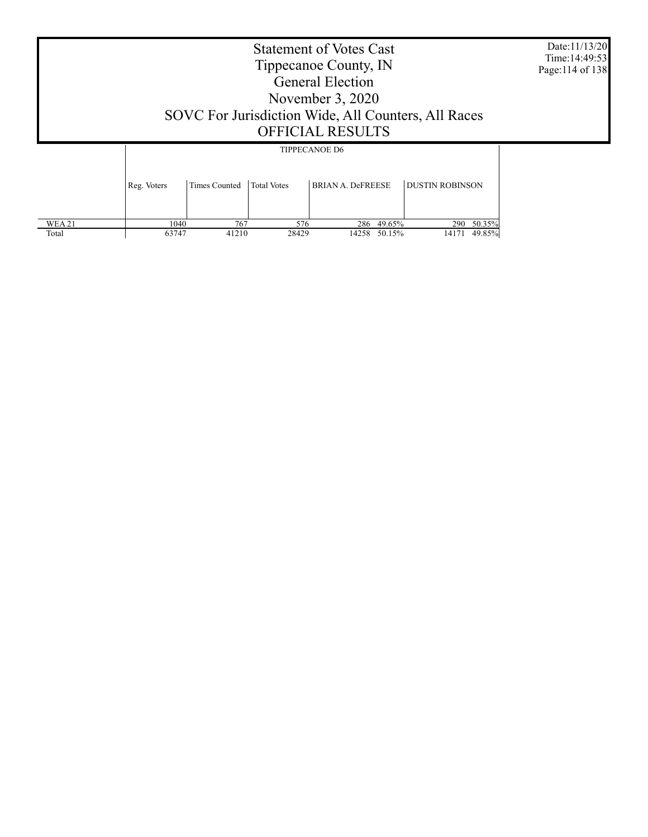|                        | <b>Statement of Votes Cast</b><br>Tippecanoe County, IN<br><b>General Election</b><br>November $3,2020$<br>SOVC For Jurisdiction Wide, All Counters, All Races<br><b>OFFICIAL RESULTS</b> |                      |                                            |                          |                  |                               |  |
|------------------------|-------------------------------------------------------------------------------------------------------------------------------------------------------------------------------------------|----------------------|--------------------------------------------|--------------------------|------------------|-------------------------------|--|
|                        | Reg. Voters                                                                                                                                                                               | <b>Times Counted</b> | <b>TIPPECANOE D6</b><br><b>Total Votes</b> | <b>BRIAN A. DeFREESE</b> |                  | <b>DUSTIN ROBINSON</b>        |  |
| <b>WEA 21</b><br>Total | 1040<br>63747                                                                                                                                                                             | 767<br>41210         | 576<br>28429                               | 286<br>14258             | 49.65%<br>50.15% | 290 50.35%<br>49.85%<br>14171 |  |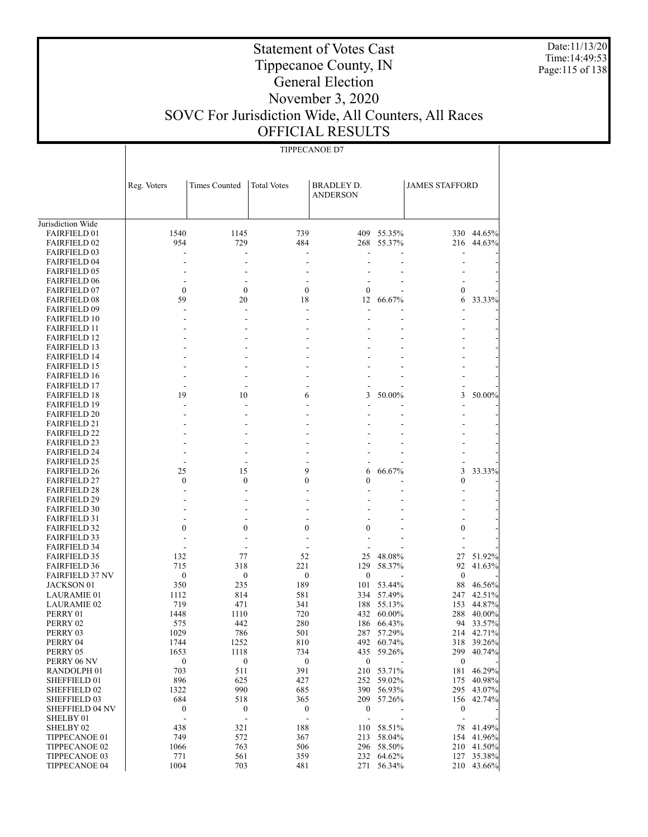Date:11/13/20 Time:14:49:53 Page:115 of 138

#### Tippecanoe County, IN General Election

Statement of Votes Cast

#### November 3, 2020 SOVC For Jurisdiction Wide, All Counters, All Races OFFICIAL RESULTS

TIPPECANOE D7

 Jurisdiction Wide FAIRFIELD 01 FAIRFIELD 02 FAIRFIELD 03 FAIRFIELD 04 FAIRFIELD 05 FAIRFIELD 06 FAIRFIELD 07 FAIRFIELD 08 FAIRFIELD 09 FAIRFIELD 10 FAIRFIELD 11 FAIRFIELD 12 FAIRFIELD 13 FAIRFIELD 14 FAIRFIELD 15 FAIRFIELD 16 FAIRFIELD 17 FAIRFIELD 18 FAIRFIELD 19 FAIRFIELD 20 FAIRFIELD 21 FAIRFIELD 22 FAIRFIELD 23 FAIRFIELD 24 FAIRFIELD 25 FAIRFIELD 26 FAIRFIELD 27 FAIRFIELD 28 FAIRFIELD 29 FAIRFIELD 30 FAIRFIELD 31 FAIRFIELD 32 FAIRFIELD 33 FAIRFIELD 34 FAIRFIELD 35 FAIRFIELD 36 FAIRFIELD 37 NV JACKSON 01 LAURAMIE 01 LAURAMIE 02 PERRY 01 PERRY 02 PERRY 03 PERRY 04 PERRY 05 PERRY 06 NV RANDOLPH 01 SHEFFIELD 01 SHEFFIELD 02 SHEFFIELD 03 SHEFFIELD 04 NV SHELBY 01 SHELBY 02 TIPPECANOE 01 Reg. Voters | Times Counted | Total Votes | BRADLEY D. ANDERSON JAMES STAFFORD 1540 1145 739 409 55.35% 330 44.65% 954 729 484 268 55.37% 216 44.63% - - - - - - - - - - - - - - - - - - - - - - - - - - - - 0 0 <sup>0</sup> <sup>0</sup> - 0 - 59 20 18 12 66.67% 6 33.33% - - - - - - - - - - - - - - - - - - - - - - - - - - - - - - - - - - - - - - - - - - - - - - - - - - - - - - - - - - - - - - - 19 10 6 3 50.00% 3 50.00% - - - - - - - - - - - - - - - - - - - - - - - - - - - - - - - - - - - - - - - - - - - - - - - - - 25 15 9 6 66.67% 3 33.33% 0 0 <sup>0</sup> <sup>0</sup> - 0 - - - - - - - - - - - - - - - - - - - - - - - - - - - - - 0 0 <sup>0</sup> <sup>0</sup> - 0 - - - - - - - - - - - - - - - 132 77 52 25 48.08% 27 51.92% 715 318 221 129 58.37% 92 41.63%  $0$  0 0 0 - 0 - 350 235 189 101 53.44% 88 46.56% 1112 814 581 334 57.49% 247 42.51% 719 471 341 188 55.13% 153 44.87% 1448 1110 720 432 60.00% 288 40.00% 575 442 280 186 66.43% 94 33.57% 1029 786 501 287 57.29% 214 42.71% 1744 1252 810 492 60.74% 318 39.26% 1653 1118 734 435 59.26% 299 40.74%  $0$  0 0 0 - 0 - 703 511 391 210 53.71% 181 46.29% 896 625 427 252 59.02% 175 40.98% 1322 990 685 390 56.93% 295 43.07% 684 518 365 209 57.26% 156 42.74% 0 0 <sup>0</sup> <sup>0</sup> - 0 - - - - - - - - 438 321 188 110 58.51% 78 41.49%<br>
749 572 367 213 58.04% 154 41.96% 154 41.96%

> 1066 763 506 296 58.50% 210 41.50% 771 561 359 232 64.62% 127 35.38% 1004 703 481 271 56.34% 210 43.66%

 TIPPECANOE 02 TIPPECANOE 03 TIPPECANOE 04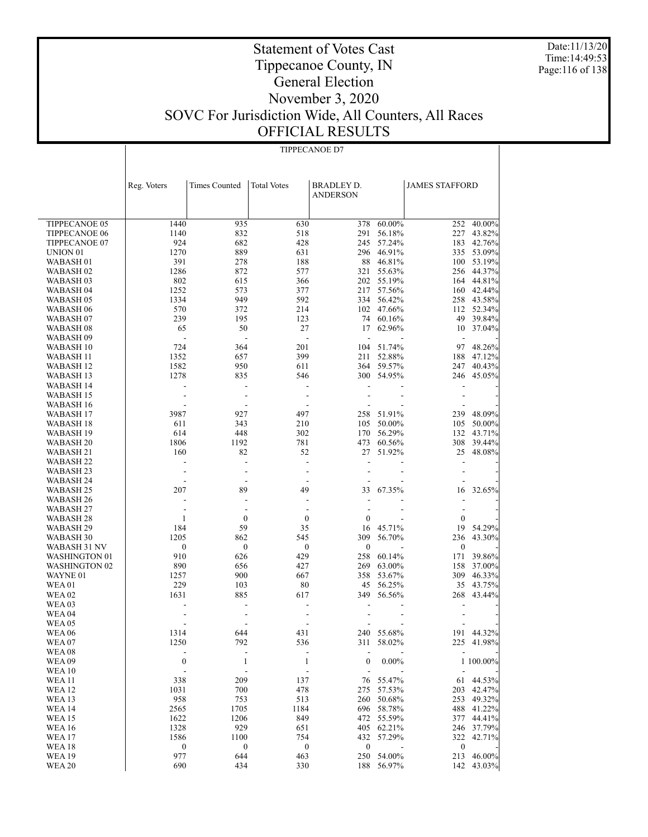Date:11/13/20 Time:14:49:53 Page:116 of 138

## Statement of Votes Cast Tippecanoe County, IN General Election November 3, 2020 SOVC For Jurisdiction Wide, All Counters, All Races OFFICIAL RESULTS

TIPPECANOE D7

|                                   | Reg. Voters              | <b>Times Counted</b> | <b>Total Votes</b>    | BRADLEY D.<br><b>ANDERSON</b> |                  | <b>JAMES STAFFORD</b> |                  |
|-----------------------------------|--------------------------|----------------------|-----------------------|-------------------------------|------------------|-----------------------|------------------|
|                                   |                          |                      |                       |                               |                  |                       |                  |
| TIPPECANOE 05                     | 1440                     | 935                  | 630                   | 378                           | 60.00%           | 252                   | 40.00%           |
| <b>TIPPECANOE 06</b>              | 1140                     | 832                  | 518                   | 291                           | 56.18%           | 227                   | 43.82%           |
| TIPPECANOE 07                     | 924                      | 682                  | 428                   | 245                           | 57.24%           | 183                   | 42.76%           |
| UNION <sub>01</sub>               | 1270<br>391              | 889<br>278           | 631<br>188            | 296<br>88                     | 46.91%           | 335                   | 53.09%           |
| WABASH 01<br>WABASH <sub>02</sub> | 1286                     | 872                  | 577                   | 321                           | 46.81%<br>55.63% | 100<br>256            | 53.19%<br>44.37% |
| WABASH 03                         | 802                      | 615                  | 366                   | 202                           | 55.19%           | 164                   | 44.81%           |
| WABASH 04                         | 1252                     | 573                  | 377                   | 217                           | 57.56%           | 160                   | 42.44%           |
| WABASH 05                         | 1334                     | 949                  | 592                   | 334                           | 56.42%           | 258                   | 43.58%           |
| WABASH 06                         | 570                      | 372                  | 214                   | 102                           | 47.66%           | 112                   | 52.34%           |
| WABASH 07                         | 239                      | 195                  | 123                   | 74                            | 60.16%           | 49                    | 39.84%           |
| WABASH 08                         | 65                       | 50                   | 27                    | 17                            | 62.96%           | 10                    | 37.04%           |
| WABASH 09                         | $\overline{\phantom{a}}$ | ÷,                   | ÷,                    | ÷,                            |                  | $\overline{a}$        |                  |
| WABASH 10                         | 724                      | 364                  | 201                   | 104                           | 51.74%           | 97                    | 48.26%           |
| WABASH 11                         | 1352                     | 657                  | 399                   | 211                           | 52.88%           | 188                   | 47.12%           |
| WABASH 12                         | 1582                     | 950                  | 611                   | 364                           | 59.57%           | 247                   | 40.43%           |
| WABASH 13                         | 1278                     | 835                  | 546                   |                               | 300 54.95%       | 246                   | 45.05%           |
| WABASH 14                         |                          | $\overline{a}$       |                       |                               |                  |                       |                  |
| WABASH 15                         |                          | ÷.                   | ÷,                    |                               |                  |                       |                  |
| WABASH 16                         |                          | $\overline{a}$       | ÷,                    |                               |                  |                       |                  |
| WABASH 17                         | 3987                     | 927                  | 497                   | 258                           | 51.91%           | 239                   | 48.09%           |
| WABASH 18                         | 611                      | 343                  | 210                   | 105                           | 50.00%           | 105                   | 50.00%           |
| WABASH 19                         | 614                      | 448                  | 302                   | 170                           | 56.29%           | 132                   | 43.71%           |
| WABASH 20                         | 1806                     | 1192                 | 781                   | 473                           | 60.56%           | 308                   | 39.44%           |
| WABASH 21                         | 160                      | 82                   | 52                    | 27                            | 51.92%           | 25                    | 48.08%           |
| WABASH 22                         |                          | $\overline{a}$       | ÷.                    | L.                            |                  |                       |                  |
| WABASH 23                         |                          | ÷.<br>$\overline{a}$ | ÷<br>÷                |                               |                  |                       |                  |
| WABASH 24<br>WABASH 25            | 207                      | 89                   | 49                    | 33                            | 67.35%           | 16                    | 32.65%           |
| WABASH 26                         |                          | ÷.                   | ÷                     |                               |                  |                       |                  |
| WABASH 27                         |                          | ÷,                   | ÷,                    | L.                            |                  |                       |                  |
| WABASH 28                         | 1                        | $\boldsymbol{0}$     | 0                     | $\boldsymbol{0}$              |                  | $\boldsymbol{0}$      |                  |
| WABASH 29                         | 184                      | 59                   | 35                    | 16                            | 45.71%           | 19                    | 54.29%           |
| WABASH 30                         | 1205                     | 862                  | 545                   | 309                           | 56.70%           | 236                   | 43.30%           |
| WABASH 31 NV                      | $\boldsymbol{0}$         | $\boldsymbol{0}$     | $\boldsymbol{0}$      | $\boldsymbol{0}$              |                  | $\boldsymbol{0}$      |                  |
| WASHINGTON 01                     | 910                      | 626                  | 429                   | 258                           | 60.14%           | 171                   | 39.86%           |
| <b>WASHINGTON 02</b>              | 890                      | 656                  | 427                   | 269                           | 63.00%           | 158                   | 37.00%           |
| WAYNE 01                          | 1257                     | 900                  | 667                   | 358                           | 53.67%           | 309                   | 46.33%           |
| <b>WEA01</b>                      | 229                      | 103                  | 80                    | 45                            | 56.25%           | 35                    | 43.75%           |
| <b>WEA 02</b>                     | 1631                     | 885                  | 617                   | 349                           | 56.56%           | 268                   | 43.44%           |
| <b>WEA03</b>                      |                          |                      |                       |                               |                  |                       |                  |
| <b>WEA 04</b>                     |                          |                      |                       |                               |                  |                       |                  |
| WEA 05                            |                          |                      |                       |                               |                  |                       |                  |
| WEA 06                            | 1314                     | 644                  | 431                   | 240                           | 55.68%           | 191                   | 44.32%           |
| WEA 07<br>WEA 08                  | 1250                     | 792<br>$\frac{1}{2}$ | 536<br>$\blacksquare$ | 311<br>$\blacksquare$         | 58.02%           |                       | 225 41.98%       |
| <b>WEA09</b>                      | $\boldsymbol{0}$         | 1                    | 1                     | $\boldsymbol{0}$              | $0.00\%$         |                       | 1 100.00%        |
| <b>WEA 10</b>                     | ÷,                       | L,                   | $\blacksquare$        |                               |                  |                       |                  |
| <b>WEA 11</b>                     | 338                      | 209                  | 137                   | 76                            | 55.47%           | 61                    | 44.53%           |
| <b>WEA 12</b>                     | 1031                     | 700                  | 478                   | 275                           | 57.53%           | 203                   | 42.47%           |
| <b>WEA 13</b>                     | 958                      | 753                  | 513                   | 260                           | 50.68%           | 253                   | 49.32%           |
| <b>WEA14</b>                      | 2565                     | 1705                 | 1184                  | 696                           | 58.78%           | 488                   | 41.22%           |
| <b>WEA 15</b>                     | 1622                     | 1206                 | 849                   | 472                           | 55.59%           | 377                   | 44.41%           |
| <b>WEA 16</b>                     | 1328                     | 929                  | 651                   | 405                           | 62.21%           | 246                   | 37.79%           |
| <b>WEA17</b>                      | 1586                     | 1100                 | 754                   | 432                           | 57.29%           | $322\,$               | 42.71%           |
| <b>WEA 18</b>                     | $\boldsymbol{0}$         | $\boldsymbol{0}$     | $\boldsymbol{0}$      | $\boldsymbol{0}$              |                  | $\boldsymbol{0}$      |                  |
| <b>WEA 19</b>                     | 977                      | 644                  | 463                   | 250                           | 54.00%           | 213                   | 46.00%           |
| <b>WEA 20</b>                     | 690                      | 434                  | 330                   | 188                           | 56.97%           | 142                   | 43.03%           |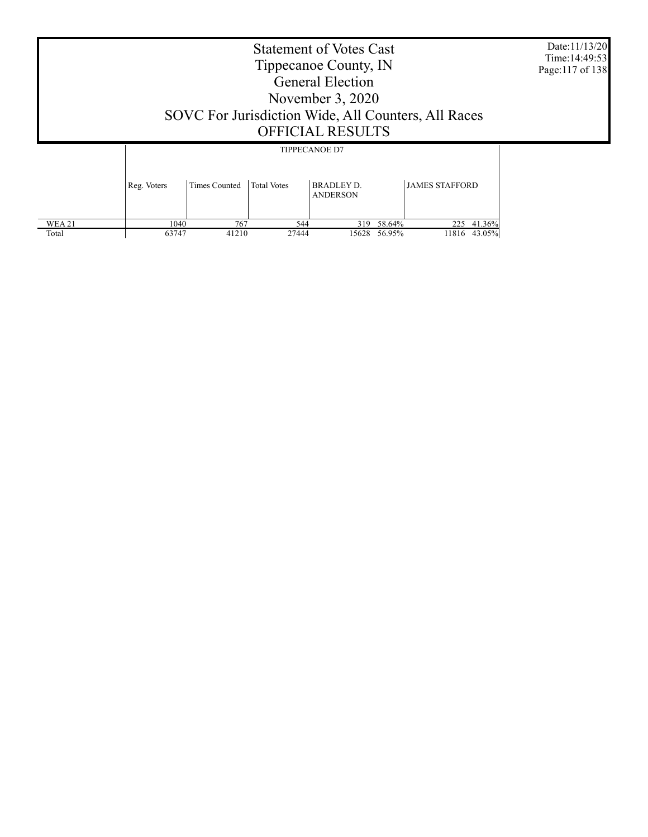|                        | <b>Statement of Votes Cast</b><br>Tippecanoe County, IN<br><b>General Election</b><br>November $3,2020$<br>SOVC For Jurisdiction Wide, All Counters, All Races<br><b>OFFICIAL RESULTS</b> |                      |                    |                                           |                  |                               |  |
|------------------------|-------------------------------------------------------------------------------------------------------------------------------------------------------------------------------------------|----------------------|--------------------|-------------------------------------------|------------------|-------------------------------|--|
|                        | Reg. Voters                                                                                                                                                                               | <b>Times Counted</b> | <b>Total Votes</b> | <b>TIPPECANOE D7</b><br><b>BRADLEY D.</b> |                  | <b>JAMES STAFFORD</b>         |  |
| <b>WEA 21</b><br>Total | 1040<br>63747                                                                                                                                                                             | 767<br>41210         | 544<br>27444       | <b>ANDERSON</b><br>319<br>15628           | 58.64%<br>56.95% | 41.36%<br>225<br>11816 43.05% |  |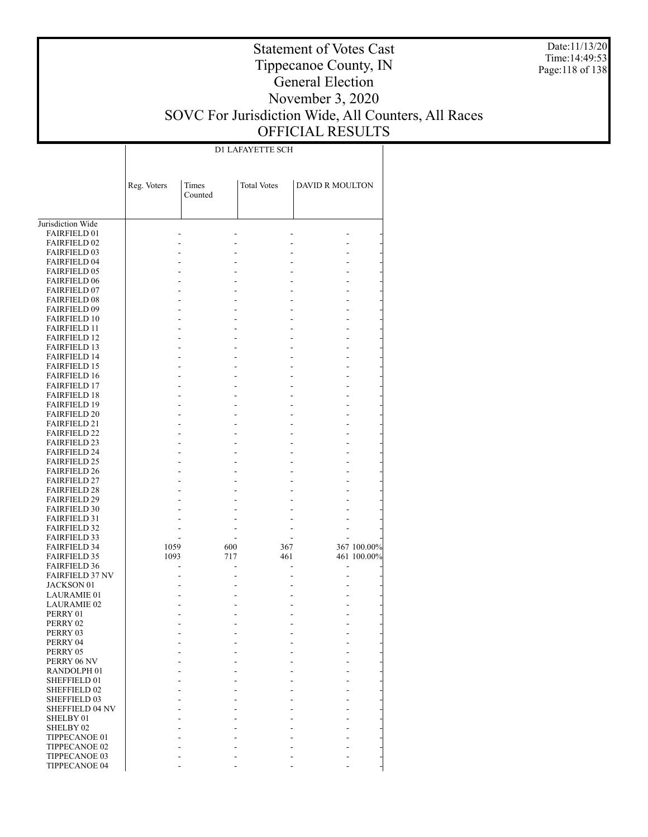Date:11/13/20 Time:14:49:53 Page:118 of 138

## Statement of Votes Cast Tippecanoe County, IN General Election November 3, 2020 SOVC For Jurisdiction Wide, All Counters, All Races OFFICIAL RESULTS

D1 LAFAYETTE SCH

|                                            | Reg. Voters | Times<br>Counted | <b>Total Votes</b> | <b>DAVID R MOULTON</b> |             |
|--------------------------------------------|-------------|------------------|--------------------|------------------------|-------------|
|                                            |             |                  |                    |                        |             |
| Jurisdiction Wide                          |             |                  |                    |                        |             |
| <b>FAIRFIELD 01</b>                        |             |                  |                    |                        |             |
| <b>FAIRFIELD 02</b>                        |             |                  |                    |                        |             |
| <b>FAIRFIELD 03</b>                        |             |                  |                    |                        |             |
| <b>FAIRFIELD 04</b>                        |             |                  |                    |                        |             |
| <b>FAIRFIELD 05</b>                        |             |                  |                    |                        |             |
| <b>FAIRFIELD 06</b>                        |             |                  |                    |                        |             |
| <b>FAIRFIELD 07</b>                        |             |                  |                    |                        |             |
| <b>FAIRFIELD 08</b>                        |             |                  |                    |                        |             |
| FAIRFIELD 09                               |             |                  |                    |                        |             |
| <b>FAIRFIELD 10</b>                        |             |                  |                    |                        |             |
| <b>FAIRFIELD 11</b>                        |             |                  |                    |                        |             |
| <b>FAIRFIELD 12</b>                        |             |                  |                    |                        |             |
| <b>FAIRFIELD 13</b>                        |             |                  |                    |                        |             |
| <b>FAIRFIELD 14</b><br><b>FAIRFIELD 15</b> |             |                  |                    |                        |             |
| <b>FAIRFIELD 16</b>                        |             |                  |                    |                        |             |
| <b>FAIRFIELD 17</b>                        |             |                  |                    |                        |             |
| <b>FAIRFIELD 18</b>                        |             |                  |                    |                        |             |
| <b>FAIRFIELD 19</b>                        |             |                  |                    |                        |             |
| <b>FAIRFIELD 20</b>                        |             |                  |                    |                        |             |
| <b>FAIRFIELD 21</b>                        |             |                  |                    |                        |             |
| <b>FAIRFIELD 22</b>                        |             |                  |                    |                        |             |
| <b>FAIRFIELD 23</b>                        |             |                  |                    |                        |             |
| <b>FAIRFIELD 24</b>                        |             |                  |                    |                        |             |
| <b>FAIRFIELD 25</b>                        |             |                  |                    |                        |             |
| <b>FAIRFIELD 26</b>                        |             |                  |                    |                        |             |
| <b>FAIRFIELD 27</b>                        |             |                  |                    |                        |             |
| <b>FAIRFIELD 28</b>                        |             |                  |                    |                        |             |
| <b>FAIRFIELD 29</b>                        |             |                  |                    |                        |             |
| <b>FAIRFIELD 30</b>                        |             |                  |                    |                        |             |
| <b>FAIRFIELD 31</b>                        |             |                  |                    |                        |             |
| <b>FAIRFIELD 32</b>                        |             |                  |                    |                        |             |
| <b>FAIRFIELD 33</b>                        |             |                  |                    |                        |             |
| <b>FAIRFIELD 34</b>                        | 1059        | 600              | 367                |                        | 367 100.00% |
| <b>FAIRFIELD 35</b>                        | 1093        | 717              | 461                |                        | 461 100.00% |
| <b>FAIRFIELD 36</b>                        |             |                  |                    | L,                     |             |
| <b>FAIRFIELD 37 NV</b>                     |             |                  |                    |                        |             |
| JACKSON 01                                 |             |                  |                    |                        |             |
| <b>LAURAMIE 01</b>                         |             |                  |                    |                        |             |
| <b>LAURAMIE 02</b>                         |             |                  |                    |                        |             |
| PERRY 01                                   |             |                  |                    |                        |             |
| PERRY 02                                   |             |                  |                    |                        |             |
| PERRY 03                                   |             |                  |                    |                        |             |
| PERRY 04                                   |             |                  |                    |                        |             |
| PERRY 05                                   |             |                  |                    |                        |             |
| PERRY 06 NV                                |             |                  |                    |                        |             |
| RANDOLPH <sub>01</sub>                     |             |                  |                    |                        |             |
| SHEFFIELD 01                               |             |                  |                    |                        |             |
| SHEFFIELD 02                               |             |                  |                    |                        |             |
| SHEFFIELD 03                               |             |                  |                    |                        |             |
| SHEFFIELD 04 NV                            |             |                  |                    |                        |             |
| SHELBY 01                                  |             |                  |                    |                        |             |
| SHELBY <sub>02</sub>                       |             |                  |                    |                        |             |
| TIPPECANOE 01                              |             |                  |                    |                        |             |
| TIPPECANOE 02                              |             |                  |                    |                        |             |
| TIPPECANOE 03                              |             |                  |                    |                        |             |
| TIPPECANOE 04                              |             |                  |                    |                        |             |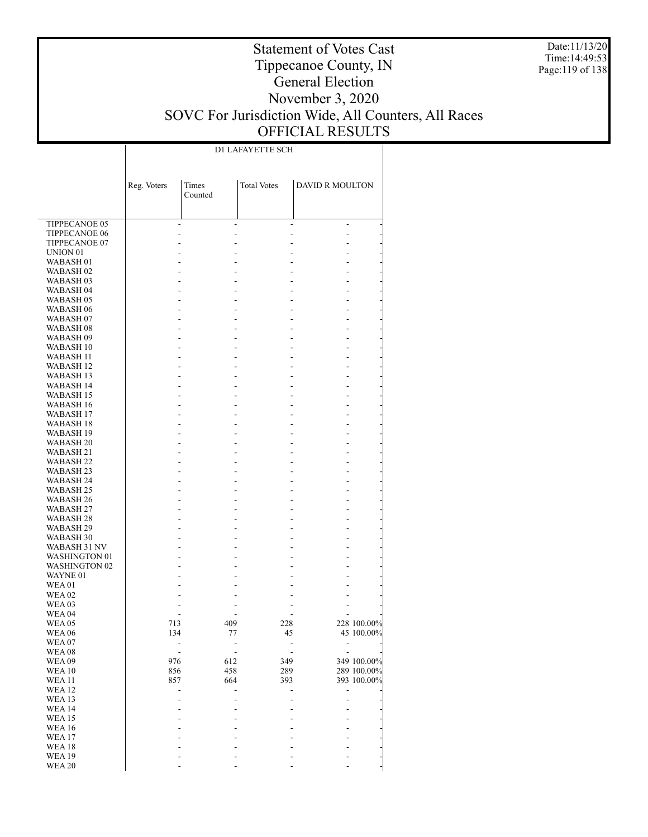Date:11/13/20 Time:14:49:53 Page:119 of 138

## Statement of Votes Cast Tippecanoe County, IN General Election November 3, 2020 SOVC For Jurisdiction Wide, All Counters, All Races OFFICIAL RESULTS

D1 LAFAYETTE SCH

|                                   | Reg. Voters | Times   | <b>Total Votes</b> | <b>DAVID R MOULTON</b> |                           |
|-----------------------------------|-------------|---------|--------------------|------------------------|---------------------------|
|                                   |             | Counted |                    |                        |                           |
|                                   |             |         |                    |                        |                           |
| TIPPECANOE 05                     | ۰           |         |                    | ٠                      | $\overline{a}$            |
| <b>TIPPECANOE 06</b>              |             |         |                    |                        |                           |
| TIPPECANOE 07                     |             |         |                    |                        |                           |
| UNION <sub>01</sub>               |             |         |                    |                        |                           |
| WABASH <sub>01</sub>              |             |         |                    |                        |                           |
| WABASH <sub>02</sub><br>WABASH 03 |             |         |                    |                        |                           |
| WABASH <sub>04</sub>              |             |         |                    |                        |                           |
| <b>WABASH 05</b>                  |             |         |                    |                        |                           |
| WABASH <sub>06</sub>              |             |         |                    |                        |                           |
| WABASH <sub>07</sub>              |             |         |                    |                        |                           |
| WABASH <sub>08</sub>              |             |         |                    |                        |                           |
| WABASH 09                         |             |         |                    |                        |                           |
| WABASH 10                         |             |         |                    |                        |                           |
| WABASH 11                         |             |         |                    |                        |                           |
| WABASH 12                         |             |         |                    |                        |                           |
| WABASH 13                         |             |         |                    |                        |                           |
| WABASH 14<br>WABASH 15            |             |         |                    |                        |                           |
| WABASH 16                         |             |         |                    |                        |                           |
| WABASH 17                         |             |         |                    |                        |                           |
| WABASH 18                         |             |         |                    |                        |                           |
| WABASH 19                         |             |         |                    |                        |                           |
| WABASH <sub>20</sub>              |             |         |                    |                        |                           |
| WABASH 21                         |             |         |                    |                        |                           |
| WABASH <sub>22</sub>              |             |         |                    |                        |                           |
| WABASH <sub>23</sub>              |             |         |                    |                        |                           |
| WABASH 24                         |             |         |                    |                        |                           |
| WABASH 25                         |             |         |                    |                        |                           |
| WABASH <sub>26</sub>              |             |         |                    |                        |                           |
| WABASH 27<br>WABASH <sub>28</sub> |             |         |                    |                        |                           |
| WABASH 29                         |             |         |                    |                        |                           |
| WABASH 30                         |             |         |                    |                        |                           |
| WABASH 31 NV                      |             |         |                    |                        |                           |
| <b>WASHINGTON 01</b>              |             |         |                    |                        |                           |
| <b>WASHINGTON 02</b>              |             |         |                    |                        |                           |
| WAYNE 01                          |             |         |                    |                        |                           |
| <b>WEA01</b>                      |             |         |                    |                        |                           |
| <b>WEA 02</b>                     |             |         |                    |                        |                           |
| <b>WEA03</b>                      |             |         |                    |                        |                           |
| <b>WEA 04</b>                     |             |         | 409                | 228                    |                           |
| <b>WEA 05</b><br><b>WEA 06</b>    | 713<br>134  |         | 77                 | 45                     | 228 100.00%<br>45 100.00% |
| WEA07                             |             |         |                    |                        |                           |
| <b>WEA08</b>                      |             |         |                    |                        |                           |
| WEA09                             | 976         |         | 612                | 349                    | 349 100.00%               |
| WEA10                             | 856         |         | 458                | 289                    | 289 100.00%               |
| <b>WEA11</b>                      | 857         |         | 664                | 393                    | 393 100.00%               |
| <b>WEA12</b>                      |             |         |                    |                        |                           |
| WEA13                             |             |         |                    |                        |                           |
| WEA 14                            |             |         |                    |                        |                           |
| <b>WEA15</b>                      |             |         |                    |                        |                           |
| <b>WEA 16</b>                     |             |         |                    |                        |                           |
| WEA17<br>WEA18                    |             |         |                    |                        |                           |
| <b>WEA19</b>                      |             |         |                    |                        |                           |
| <b>WEA 20</b>                     |             |         |                    |                        |                           |
|                                   |             |         |                    |                        |                           |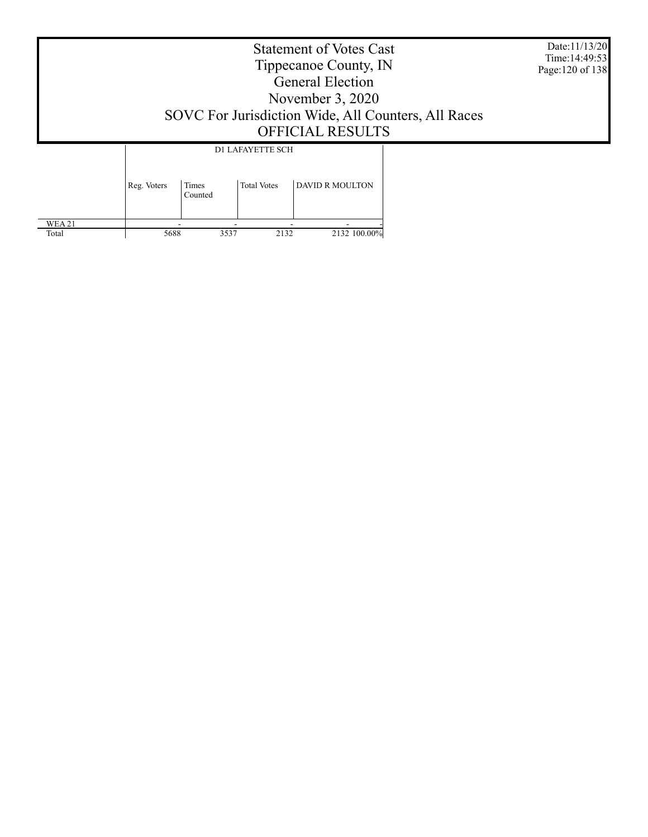Date:11/13/20 Time:14:49:53 Page:120 of 138

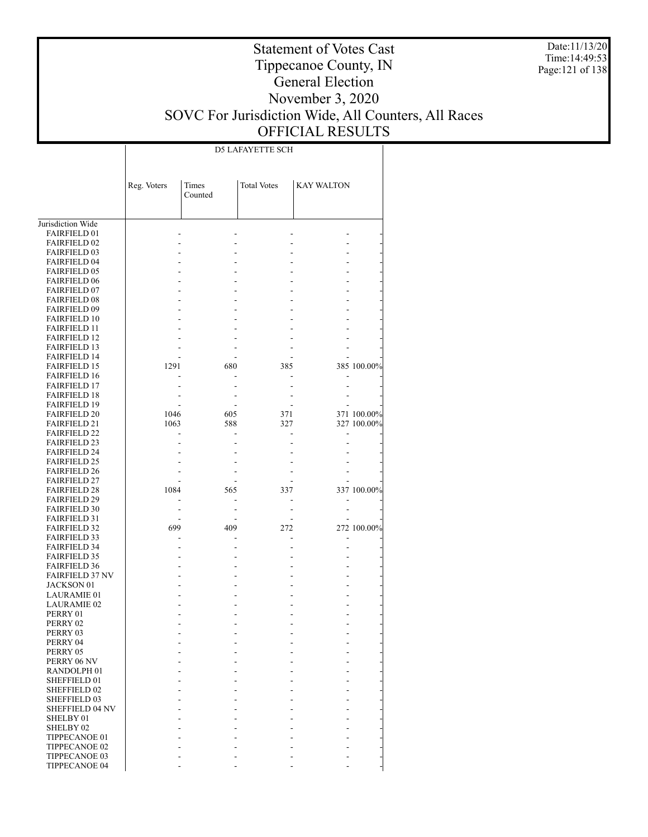Date:11/13/20 Time:14:49:53 Page:121 of 138

## Statement of Votes Cast Tippecanoe County, IN General Election November 3, 2020 SOVC For Jurisdiction Wide, All Counters, All Races OFFICIAL RESULTS

D5 LAFAYETTE SCH

|                                            | Reg. Voters | Times<br>Counted | <b>Total Votes</b> | <b>KAY WALTON</b> |             |
|--------------------------------------------|-------------|------------------|--------------------|-------------------|-------------|
|                                            |             |                  |                    |                   |             |
| Jurisdiction Wide                          |             |                  |                    |                   |             |
| <b>FAIRFIELD 01</b>                        |             |                  |                    |                   |             |
| <b>FAIRFIELD 02</b>                        |             |                  |                    |                   |             |
| <b>FAIRFIELD 03</b>                        |             |                  |                    |                   |             |
| <b>FAIRFIELD 04</b>                        |             |                  |                    |                   |             |
| <b>FAIRFIELD 05</b>                        |             |                  |                    |                   |             |
| <b>FAIRFIELD 06</b>                        |             |                  |                    |                   |             |
| <b>FAIRFIELD 07</b>                        |             |                  |                    |                   |             |
| <b>FAIRFIELD 08</b><br><b>FAIRFIELD 09</b> |             |                  |                    |                   |             |
| <b>FAIRFIELD 10</b>                        |             |                  |                    |                   |             |
| <b>FAIRFIELD 11</b>                        |             |                  |                    |                   |             |
| <b>FAIRFIELD 12</b>                        |             |                  |                    |                   |             |
| <b>FAIRFIELD 13</b>                        |             |                  |                    |                   |             |
| <b>FAIRFIELD 14</b>                        |             |                  |                    |                   |             |
| <b>FAIRFIELD 15</b>                        | 1291        | 680              | 385                |                   | 385 100.00% |
| <b>FAIRFIELD 16</b>                        |             |                  |                    |                   |             |
| <b>FAIRFIELD 17</b>                        |             |                  |                    |                   |             |
| <b>FAIRFIELD 18</b>                        |             |                  |                    |                   |             |
| <b>FAIRFIELD 19</b>                        |             |                  |                    |                   |             |
| <b>FAIRFIELD 20</b>                        | 1046        | 605              | 371                |                   | 371 100.00% |
| <b>FAIRFIELD 21</b>                        | 1063        | 588              | 327                |                   | 327 100.00% |
| <b>FAIRFIELD 22</b>                        |             |                  |                    |                   |             |
| <b>FAIRFIELD 23</b>                        |             |                  |                    |                   |             |
| <b>FAIRFIELD 24</b>                        |             |                  |                    |                   |             |
| <b>FAIRFIELD 25</b>                        |             |                  |                    |                   |             |
| <b>FAIRFIELD 26</b>                        |             |                  |                    |                   |             |
| <b>FAIRFIELD 27</b>                        |             |                  |                    |                   |             |
| <b>FAIRFIELD 28</b>                        | 1084        | 565              | 337                |                   | 337 100.00% |
| <b>FAIRFIELD 29</b>                        |             |                  |                    |                   |             |
| <b>FAIRFIELD 30</b>                        |             |                  |                    |                   |             |
| <b>FAIRFIELD 31</b>                        |             |                  |                    |                   |             |
| <b>FAIRFIELD 32</b>                        | 699         | 409              | 272                |                   | 272 100.00% |
| <b>FAIRFIELD 33</b>                        |             |                  |                    | $\overline{a}$    |             |
| <b>FAIRFIELD 34</b>                        |             |                  |                    |                   |             |
| <b>FAIRFIELD 35</b>                        |             |                  |                    |                   |             |
| <b>FAIRFIELD 36</b>                        |             |                  |                    |                   |             |
| <b>FAIRFIELD 37 NV</b>                     |             |                  |                    |                   |             |
| <b>JACKSON 01</b>                          |             |                  |                    |                   |             |
| <b>LAURAMIE 01</b>                         |             |                  |                    |                   |             |
| LAURAMIE 02                                |             |                  |                    |                   |             |
| PERRY 01                                   |             |                  |                    |                   |             |
| PERRY 02                                   |             |                  |                    |                   |             |
| PERRY 03<br>PERRY 04                       |             |                  |                    |                   |             |
| PERRY 05                                   |             |                  |                    |                   |             |
| PERRY 06 NV                                |             |                  |                    |                   |             |
| RANDOLPH <sub>01</sub>                     |             |                  |                    |                   |             |
| <b>SHEFFIELD 01</b>                        |             |                  |                    |                   |             |
| SHEFFIELD 02                               |             |                  |                    |                   |             |
| <b>SHEFFIELD 03</b>                        |             |                  |                    |                   |             |
| SHEFFIELD 04 NV                            |             |                  |                    |                   |             |
| SHELBY 01                                  |             |                  |                    |                   |             |
| SHELBY <sub>02</sub>                       |             |                  |                    |                   |             |
| TIPPECANOE 01                              |             |                  |                    |                   |             |
| TIPPECANOE 02                              |             |                  |                    |                   |             |
| TIPPECANOE 03                              |             |                  |                    |                   |             |
| TIPPECANOE 04                              |             |                  |                    |                   |             |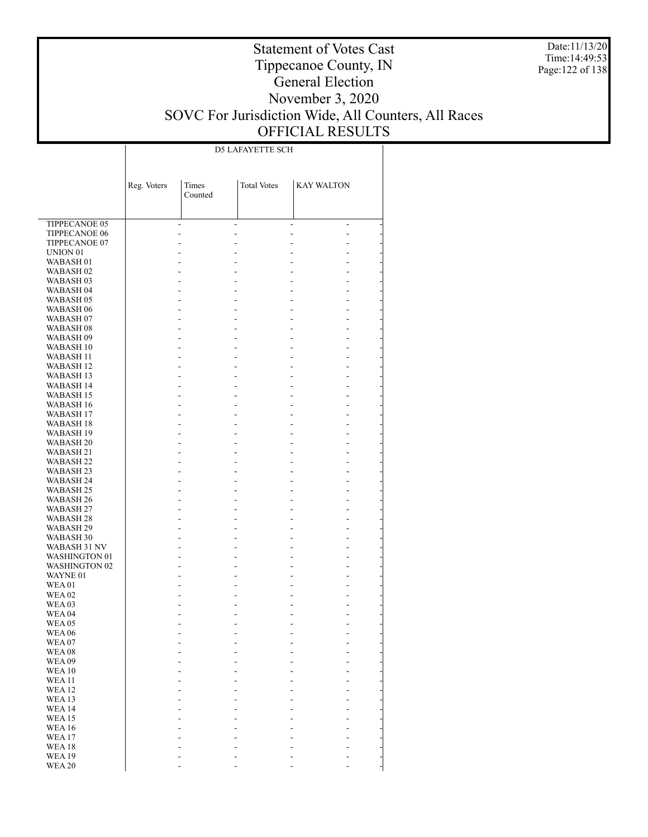Date:11/13/20 Time:14:49:53 Page:122 of 138

## Statement of Votes Cast Tippecanoe County, IN General Election November 3, 2020 SOVC For Jurisdiction Wide, All Counters, All Races OFFICIAL RESULTS

D5 LAFAYETTE SCH

|                                              | Reg. Voters | Times<br>Counted | <b>Total Votes</b> | <b>KAY WALTON</b> |                      |
|----------------------------------------------|-------------|------------------|--------------------|-------------------|----------------------|
|                                              |             |                  |                    |                   |                      |
| TIPPECANOE 05                                |             |                  |                    |                   |                      |
| <b>TIPPECANOE 06</b>                         |             |                  |                    |                   | $\overline{a}$       |
| TIPPECANOE 07                                |             |                  |                    |                   | L.                   |
| UNION <sub>01</sub>                          |             |                  |                    |                   | L.                   |
| WABASH 01                                    |             |                  |                    |                   |                      |
| WABASH <sub>02</sub><br>WABASH <sub>03</sub> |             |                  |                    |                   | L.                   |
| WABASH 04                                    |             |                  |                    |                   | L.<br>L.             |
| WABASH 05                                    |             |                  |                    |                   | L.                   |
| WABASH <sub>06</sub>                         |             |                  |                    |                   | $\overline{a}$       |
| WABASH <sub>07</sub>                         |             |                  |                    |                   | L.                   |
| WABASH <sub>08</sub>                         |             |                  |                    |                   | L.                   |
| WABASH 09                                    |             |                  |                    |                   | L.                   |
| WABASH 10                                    |             |                  |                    |                   | L.                   |
| WABASH 11                                    |             |                  |                    |                   | L.                   |
| WABASH 12<br>WABASH 13                       |             |                  |                    |                   | L.<br>L.             |
| WABASH 14                                    |             |                  |                    |                   | $\overline{a}$       |
| WABASH 15                                    |             |                  |                    |                   | L.                   |
| <b>WABASH 16</b>                             |             |                  |                    |                   | L.                   |
| WABASH 17                                    |             |                  |                    |                   | L.                   |
| <b>WABASH 18</b>                             |             |                  |                    |                   | $\overline{a}$       |
| <b>WABASH 19</b>                             |             |                  |                    |                   | L.                   |
| WABASH <sub>20</sub>                         |             |                  |                    |                   | L.                   |
| WABASH 21                                    |             |                  |                    |                   | L.                   |
| WABASH 22                                    |             |                  |                    |                   | $\overline{a}$       |
| WABASH 23<br>WABASH 24                       |             |                  |                    |                   | L.<br>L.             |
| WABASH 25                                    |             |                  |                    |                   | L.                   |
| WABASH 26                                    |             |                  |                    |                   | $\overline{a}$       |
| WABASH 27                                    |             |                  |                    |                   | L.                   |
| WABASH 28                                    |             |                  |                    |                   | L.                   |
| WABASH 29                                    |             |                  |                    |                   | L.                   |
| WABASH 30                                    |             |                  |                    |                   | $\overline{a}$       |
| WABASH 31 NV                                 |             |                  |                    |                   | L.                   |
| WASHINGTON 01<br><b>WASHINGTON 02</b>        |             |                  |                    |                   | $\overline{a}$<br>L. |
| WAYNE 01                                     |             |                  |                    |                   | $\overline{a}$       |
| <b>WEA01</b>                                 |             |                  |                    |                   | L.                   |
| <b>WEA02</b>                                 |             |                  |                    |                   |                      |
| <b>WEA03</b>                                 |             |                  |                    |                   |                      |
| <b>WEA 04</b>                                |             |                  |                    |                   |                      |
| <b>WEA 05</b>                                |             |                  |                    |                   |                      |
| <b>WEA 06</b>                                |             |                  |                    |                   |                      |
| WEA07<br>WEA08                               |             |                  |                    |                   |                      |
| <b>WEA09</b>                                 |             |                  |                    |                   |                      |
| <b>WEA 10</b>                                |             |                  |                    |                   |                      |
| <b>WEA11</b>                                 |             |                  |                    |                   |                      |
| <b>WEA12</b>                                 |             |                  |                    |                   |                      |
| <b>WEA 13</b>                                |             |                  |                    |                   |                      |
| <b>WEA14</b>                                 |             |                  |                    |                   |                      |
| <b>WEA15</b>                                 |             |                  |                    |                   |                      |
| <b>WEA16</b>                                 |             |                  |                    |                   |                      |
| <b>WEA17</b><br>WEA18                        |             |                  |                    |                   |                      |
| <b>WEA19</b>                                 |             |                  |                    |                   |                      |
| <b>WEA 20</b>                                |             |                  |                    |                   | L,                   |
|                                              |             |                  |                    |                   |                      |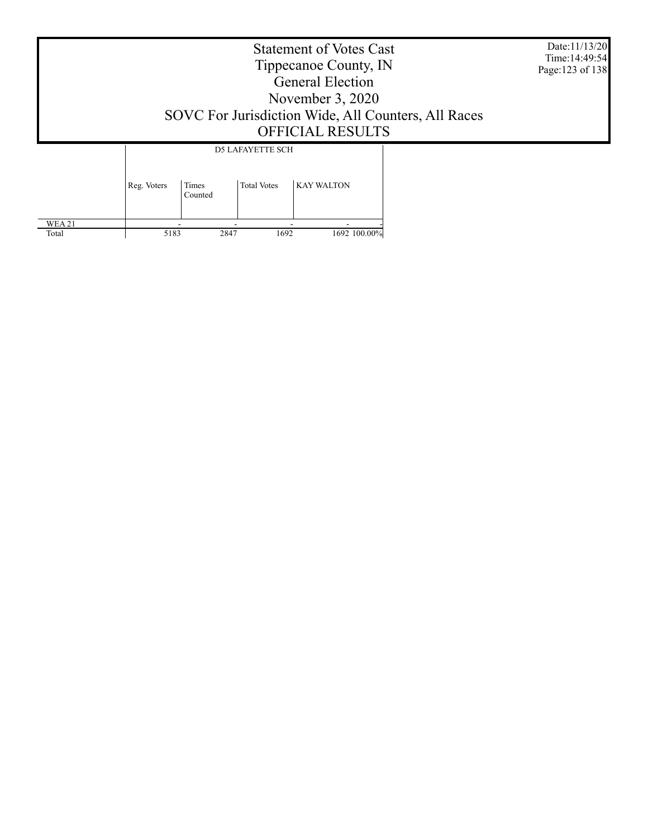Date:11/13/20 Time:14:49:54 Page:123 of 138

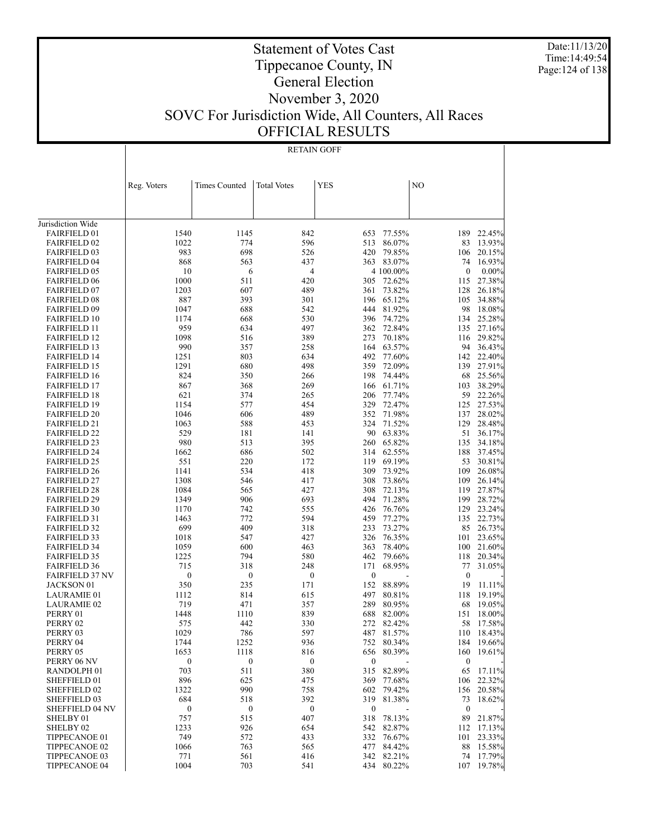Date:11/13/20 Time:14:49:54 Page:124 of 138

## Statement of Votes Cast Tippecanoe County, IN General Election November 3, 2020 SOVC For Jurisdiction Wide, All Counters, All Races OFFICIAL RESULTS

#### RETAIN GOFF

|                                            | Reg. Voters      | Times Counted    | <b>Total Votes</b> | <b>YES</b>       |                  | NO               |                  |
|--------------------------------------------|------------------|------------------|--------------------|------------------|------------------|------------------|------------------|
|                                            |                  |                  |                    |                  |                  |                  |                  |
|                                            |                  |                  |                    |                  |                  |                  |                  |
| Jurisdiction Wide                          |                  |                  |                    |                  |                  |                  |                  |
| <b>FAIRFIELD 01</b>                        | 1540             | 1145             | 842                | 653              | 77.55%           | 189              | 22.45%           |
| <b>FAIRFIELD 02</b>                        | 1022             | 774              | 596                | 513              | 86.07%           | 83               | 13.93%           |
| <b>FAIRFIELD 03</b>                        | 983              | 698              | 526                | 420              | 79.85%           | 106              | 20.15%           |
| <b>FAIRFIELD 04</b>                        | 868              | 563              | 437                |                  | 363 83.07%       | 74               | 16.93%           |
| <b>FAIRFIELD 05</b>                        | 10               | 6                | 4                  |                  | 4 100.00%        | $\boldsymbol{0}$ | $0.00\%$         |
| <b>FAIRFIELD 06</b>                        | 1000             | 511              | 420                | 305              | 72.62%           | 115              | 27.38%           |
| <b>FAIRFIELD 07</b>                        | 1203             | 607              | 489                | 361              | 73.82%           | 128              | 26.18%           |
| <b>FAIRFIELD 08</b>                        | 887              | 393              | 301                | 196              | 65.12%           | 105              | 34.88%           |
| <b>FAIRFIELD 09</b>                        | 1047             | 688              | 542                | 444              | 81.92%           | 98               | 18.08%           |
| <b>FAIRFIELD 10</b>                        | 1174             | 668              | 530                | 396              | 74.72%           | 134              | 25.28%           |
| <b>FAIRFIELD 11</b>                        | 959              | 634              | 497                | 362              | 72.84%           |                  | 135 27.16%       |
| <b>FAIRFIELD 12</b>                        | 1098             | 516              | 389                | 273              | 70.18%           | 116              | 29.82%           |
| <b>FAIRFIELD 13</b>                        | 990              | 357              | 258                | 164              | 63.57%           |                  | 94 36.43%        |
| <b>FAIRFIELD 14</b>                        | 1251             | 803              | 634                | 492              | 77.60%           |                  | 142 22.40%       |
| <b>FAIRFIELD 15</b>                        | 1291             | 680              | 498                | 359              | 72.09%           | 139              | 27.91%           |
| <b>FAIRFIELD 16</b>                        | 824              | 350              | 266                | 198              | 74.44%           | 68               | 25.56%           |
| <b>FAIRFIELD 17</b>                        | 867              | 368              | 269                | 166              | 61.71%           | 103              | 38.29%           |
| <b>FAIRFIELD 18</b>                        | 621              | 374              | 265                | 206              | 77.74%           | 59               | 22.26%           |
| <b>FAIRFIELD 19</b>                        | 1154             | 577              | 454                | 329              | 72.47%           |                  | 125 27.53%       |
| <b>FAIRFIELD 20</b>                        | 1046             | 606              | 489                | 352              | 71.98%           | 137              | 28.02%           |
| <b>FAIRFIELD 21</b>                        | 1063             | 588              | 453                | 324              | 71.52%           | 129              | 28.48%           |
| <b>FAIRFIELD 22</b>                        | 529              | 181              | 141                | 90               | 63.83%           | 51               | 36.17%           |
| <b>FAIRFIELD 23</b>                        | 980              | 513              | 395                | 260              | 65.82%           | 135              | 34.18%           |
| <b>FAIRFIELD 24</b>                        | 1662             | 686              | 502                | 314              | 62.55%           | 188              | 37.45%           |
| <b>FAIRFIELD 25</b>                        | 551              | 220              | 172                | 119              | 69.19%           | 53               | 30.81%           |
| <b>FAIRFIELD 26</b>                        | 1141             | 534              | 418                | 309              | 73.92%           | 109              | 26.08%<br>26.14% |
| <b>FAIRFIELD 27</b>                        | 1308<br>1084     | 546<br>565       | 417<br>427         | 308<br>308       | 73.86%<br>72.13% | 109<br>119       | 27.87%           |
| <b>FAIRFIELD 28</b><br><b>FAIRFIELD 29</b> | 1349             | 906              | 693                | 494              | 71.28%           | 199              | 28.72%           |
| <b>FAIRFIELD 30</b>                        | 1170             | 742              | 555                | 426              | 76.76%           | 129              | 23.24%           |
| <b>FAIRFIELD 31</b>                        | 1463             | 772              | 594                | 459              | 77.27%           | 135              | 22.73%           |
| <b>FAIRFIELD 32</b>                        | 699              | 409              | 318                | 233              | 73.27%           | 85               | 26.73%           |
| <b>FAIRFIELD 33</b>                        | 1018             | 547              | 427                | 326              | 76.35%           | 101              | 23.65%           |
| <b>FAIRFIELD 34</b>                        | 1059             | 600              | 463                | 363              | 78.40%           | 100              | 21.60%           |
| <b>FAIRFIELD 35</b>                        | 1225             | 794              | 580                | 462              | 79.66%           | 118              | 20.34%           |
| <b>FAIRFIELD 36</b>                        | 715              | 318              | 248                | 171              | 68.95%           | 77               | 31.05%           |
| <b>FAIRFIELD 37 NV</b>                     | 0                | $\boldsymbol{0}$ | $\boldsymbol{0}$   | $\boldsymbol{0}$ |                  | $\boldsymbol{0}$ |                  |
| JACKSON 01                                 | 350              | 235              | 171                | 152              | 88.89%           | 19               | 11.11%           |
| LAURAMIE 01                                | 1112             | 814              | 615                | 497              | 80.81%           | 118              | 19.19%           |
| <b>LAURAMIE 02</b>                         | 719              | 471              | 357                | 289              | 80.95%           | 68               | 19.05%           |
| PERRY 01                                   | 1448             | 1110             | 839                | 688              | 82.00%           | 151              | 18.00%           |
| PERRY 02                                   | 575              | 442              | 330                | 272              | 82.42%           | 58               | 17.58%           |
| PERRY 03                                   | 1029             | 786              | 597                |                  | 487 81.57%       |                  | 110 18.43%       |
| PERRY 04                                   | 1744             | 1252             | 936                |                  | 752 80.34%       |                  | 184 19.66%       |
| PERRY 05                                   | 1653             | 1118             | 816                | 656              | 80.39%           | 160              | 19.61%           |
| PERRY 06 NV                                | $\boldsymbol{0}$ | $\boldsymbol{0}$ | $\boldsymbol{0}$   | $\boldsymbol{0}$ |                  | $\bf{0}$         |                  |
| RANDOLPH 01                                | 703              | 511              | 380                |                  | 315 82.89%       | 65               | 17.11%           |
| SHEFFIELD 01                               | 896              | 625              | 475                | 369              | 77.68%           | 106              | 22.32%           |
| SHEFFIELD 02                               | 1322             | 990              | 758                |                  | 602 79.42%       |                  | 156 20.58%       |
| SHEFFIELD 03                               | 684              | 518              | 392                | 319              | 81.38%           | 73               | 18.62%           |
| SHEFFIELD 04 NV                            | $\boldsymbol{0}$ | $\boldsymbol{0}$ | $\boldsymbol{0}$   | $\boldsymbol{0}$ |                  | $\boldsymbol{0}$ |                  |
| SHELBY 01                                  | 757              | 515              | 407                | 318              | 78.13%           | 89               | 21.87%           |
| SHELBY 02                                  | 1233             | 926              | 654                |                  | 542 82.87%       |                  | 112 17.13%       |
| TIPPECANOE 01                              | 749              | 572              | 433                | 332              | 76.67%           | 101              | 23.33%           |
| TIPPECANOE 02                              | 1066             | 763              | 565                | 477              | 84.42%           | 88               | 15.58%           |
| TIPPECANOE 03                              | 771              | 561              | 416                |                  | 342 82.21%       |                  | 74 17.79%        |
| TIPPECANOE 04                              | 1004             | 703              | 541                |                  | 434 80.22%       | 107              | 19.78%           |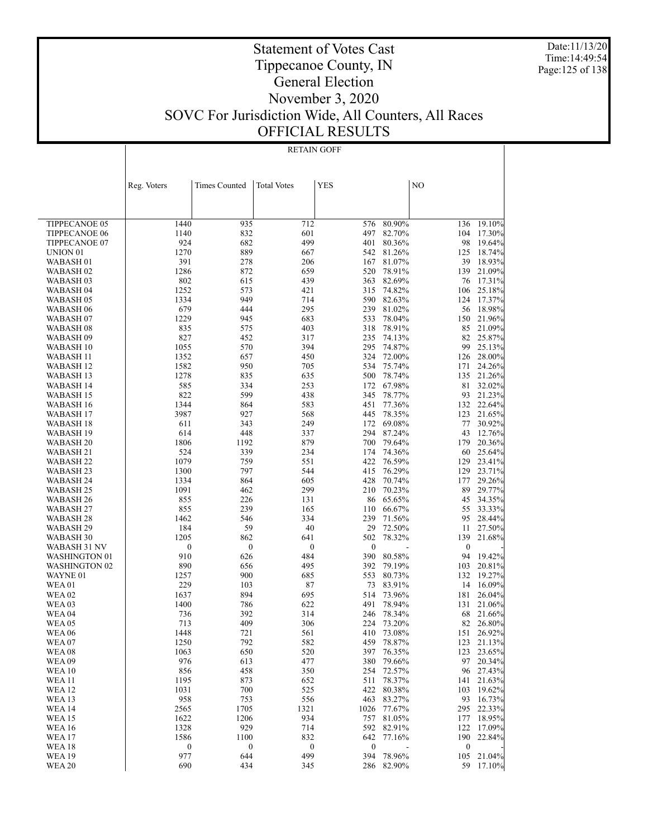Date:11/13/20 Time:14:49:54 Page:125 of 138

## Statement of Votes Cast Tippecanoe County, IN General Election November 3, 2020 SOVC For Jurisdiction Wide, All Counters, All Races OFFICIAL RESULTS

#### RETAIN GOFF

|                                | Reg. Voters      | <b>Times Counted</b> | <b>Total Votes</b> | <b>YES</b>       |                  | N <sub>O</sub>   |                     |
|--------------------------------|------------------|----------------------|--------------------|------------------|------------------|------------------|---------------------|
|                                |                  |                      |                    |                  |                  |                  |                     |
|                                |                  |                      |                    |                  |                  |                  |                     |
| <b>TIPPECANOE 05</b>           | 1440             | 935                  | 712                | 576              | 80.90%           | 136              | 19.10%              |
| <b>TIPPECANOE 06</b>           | 1140             | 832                  | 601                | 497              | 82.70%           | 104              | 17.30%              |
| TIPPECANOE 07                  | 924              | 682                  | 499                | 401              | 80.36%           | 98               | 19.64%              |
| UNION <sub>01</sub>            | 1270             | 889                  | 667                | 542              | 81.26%           | 125              | 18.74%              |
| WABASH <sub>01</sub>           | 391              | 278                  | 206                | 167              | 81.07%           | 39               | 18.93%              |
| WABASH <sub>02</sub>           | 1286             | 872                  | 659                | 520              | 78.91%           | 139              | 21.09%              |
| WABASH 03                      | 802              | 615                  | 439                | 363              | 82.69%           | 76               | 17.31%              |
| WABASH 04                      | 1252             | 573                  | 421                | 315              | 74.82%           | 106              | 25.18%              |
| WABASH 05                      | 1334             | 949                  | 714                | 590              | 82.63%           | 124              | 17.37%              |
| WABASH 06                      | 679              | 444                  | 295                | 239              | 81.02%           | 56               | 18.98%              |
| WABASH 07                      | 1229             | 945                  | 683                | 533              | 78.04%           | 150              | 21.96%              |
| WABASH <sub>08</sub>           | 835<br>827       | 575<br>452           | 403<br>317         | 318<br>235       | 78.91%<br>74.13% | 85<br>82         | 21.09%<br>25.87%    |
| WABASH 09<br>WABASH 10         | 1055             | 570                  | 394                | 295              | 74.87%           | 99               | 25.13%              |
| <b>WABASH 11</b>               | 1352             | 657                  | 450                | 324              | 72.00%           | 126              | 28.00%              |
| WABASH 12                      | 1582             | 950                  | 705                | 534              | 75.74%           | 171              | 24.26%              |
| WABASH 13                      | 1278             | 835                  | 635                | 500              | 78.74%           | 135              | 21.26%              |
| <b>WABASH 14</b>               | 585              | 334                  | 253                | 172              | 67.98%           | 81               | 32.02%              |
| WABASH 15                      | 822              | 599                  | 438                | 345              | 78.77%           | 93               | 21.23%              |
| WABASH 16                      | 1344             | 864                  | 583                | 451              | 77.36%           | 132              | 22.64%              |
| WABASH 17                      | 3987             | 927                  | 568                | 445              | 78.35%           | 123              | 21.65%              |
| WABASH 18                      | 611              | 343                  | 249                | 172              | 69.08%           | 77               | 30.92%              |
| WABASH 19                      | 614              | 448                  | 337                | 294              | 87.24%           | 43               | 12.76%              |
| WABASH 20                      | 1806             | 1192                 | 879                | 700              | 79.64%           | 179              | 20.36%              |
| WABASH 21                      | 524              | 339                  | 234                | 174              | 74.36%           | 60               | 25.64%              |
| <b>WABASH 22</b>               | 1079             | 759                  | 551                | 422              | 76.59%           | 129              | 23.41%              |
| WABASH 23                      | 1300             | 797                  | 544                | 415              | 76.29%           | 129              | 23.71%              |
| WABASH 24                      | 1334             | 864                  | 605                | 428              | 70.74%           | 177              | 29.26%              |
| WABASH 25                      | 1091             | 462                  | 299                | 210              | 70.23%           | 89               | 29.77%              |
| WABASH <sub>26</sub>           | 855              | 226                  | 131                | 86               | 65.65%           | 45               | 34.35%              |
| WABASH 27                      | 855<br>1462      | 239<br>546           | 165<br>334         | 110<br>239       | 66.67%           | 55<br>95         | 33.33%<br>28.44%    |
| WABASH 28<br>WABASH 29         | 184              | 59                   | 40                 | 29               | 71.56%<br>72.50% | 11               | 27.50%              |
| WABASH 30                      | 1205             | 862                  | 641                | 502              | 78.32%           | 139              | 21.68%              |
| WABASH 31 NV                   | $\boldsymbol{0}$ | $\boldsymbol{0}$     | $\boldsymbol{0}$   | $\boldsymbol{0}$ |                  | $\boldsymbol{0}$ |                     |
| <b>WASHINGTON 01</b>           | 910              | 626                  | 484                | 390              | 80.58%           | 94               | 19.42%              |
| <b>WASHINGTON 02</b>           | 890              | 656                  | 495                | 392              | 79.19%           | 103              | 20.81%              |
| WAYNE 01                       | 1257             | 900                  | 685                | 553              | 80.73%           | 132              | 19.27%              |
| <b>WEA01</b>                   | 229              | 103                  | 87                 | 73               | 83.91%           | 14               | 16.09%              |
| <b>WEA 02</b>                  | 1637             | 894                  | 695                | 514              | 73.96%           | 181              | 26.04%              |
| WEA <sub>03</sub>              | 1400             | 786                  | 622                | 491              | 78.94%           | 131              | 21.06%              |
| <b>WEA 04</b>                  | 736              | 392                  | 314                | 246              | 78.34%           | 68               | 21.66%              |
| <b>WEA 05</b>                  | 713              | 409                  | 306                | 224              | 73.20%           | 82               | 26.80%              |
| <b>WEA06</b>                   | 1448             | 721                  | 561                | 410              | 73.08%           | 151              | 26.92%              |
| WEA07                          | 1250             | 792                  | 582                | 459              | 78.87%           |                  | 123 21.13%          |
| <b>WEA08</b>                   | 1063             | 650                  | 520                | 397              | 76.35%           |                  | 123 23.65%          |
| <b>WEA09</b>                   | 976              | 613<br>458           | 477                | 380              | 79.66%<br>72.57% | 97               | 20.34%              |
| <b>WEA 10</b>                  | 856              | 873                  | 350                | 254              |                  |                  | 96 27.43%<br>21.63% |
| <b>WEA 11</b><br><b>WEA 12</b> | 1195<br>1031     | 700                  | 652<br>525         | 511<br>422       | 78.37%<br>80.38% | 141<br>103       | 19.62%              |
| <b>WEA 13</b>                  | 958              | 753                  | 556                | 463              | 83.27%           | 93               | 16.73%              |
| <b>WEA 14</b>                  | 2565             | 1705                 | 1321               | 1026             | 77.67%           | 295              | 22.33%              |
| <b>WEA15</b>                   | 1622             | 1206                 | 934                | 757              | 81.05%           | 177              | 18.95%              |
| <b>WEA 16</b>                  | 1328             | 929                  | 714                | 592              | 82.91%           |                  | 122 17.09%          |
| <b>WEA 17</b>                  | 1586             | 1100                 | 832                | 642              | 77.16%           | 190              | 22.84%              |
| <b>WEA18</b>                   | $\boldsymbol{0}$ | $\boldsymbol{0}$     | $\boldsymbol{0}$   | $\boldsymbol{0}$ |                  | $\boldsymbol{0}$ |                     |
| <b>WEA19</b>                   | 977              | 644                  | 499                | 394              | 78.96%           | 105              | 21.04%              |
| <b>WEA 20</b>                  | 690              | 434                  | 345                |                  | 286 82.90%       |                  | 59 17.10%           |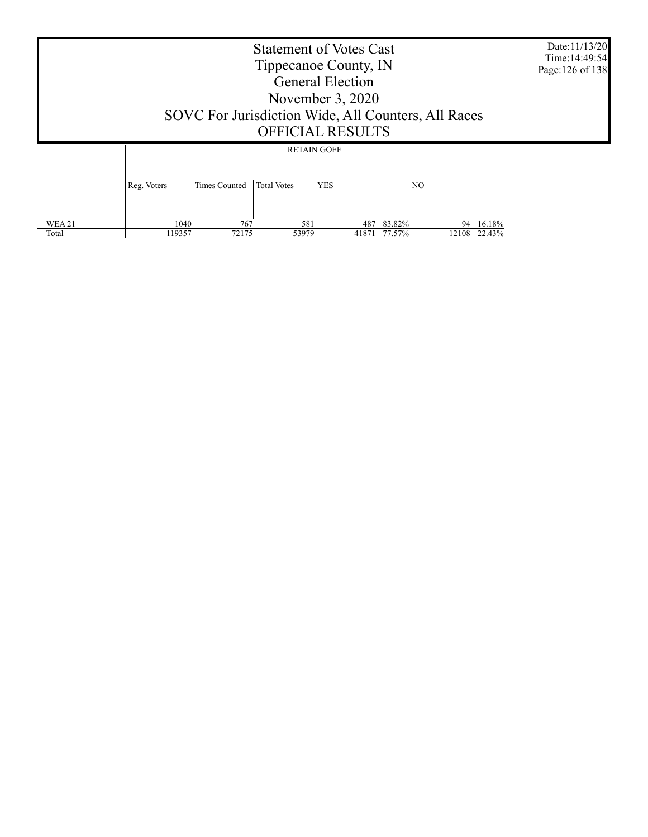|               | Date:11/13/20<br>Time: 14:49:54<br>Page: 126 of 138 |               |                    |                                  |                |           |  |
|---------------|-----------------------------------------------------|---------------|--------------------|----------------------------------|----------------|-----------|--|
|               | Reg. Voters                                         | Times Counted | <b>Total Votes</b> | <b>RETAIN GOFF</b><br><b>YES</b> | N <sub>O</sub> |           |  |
| <b>WEA 21</b> |                                                     | 767<br>1040   | 581                |                                  | 487 83.82%     | 94 16.18% |  |

119357 72175 53979 41871 77.57% 12108 22.43%

Total

Τ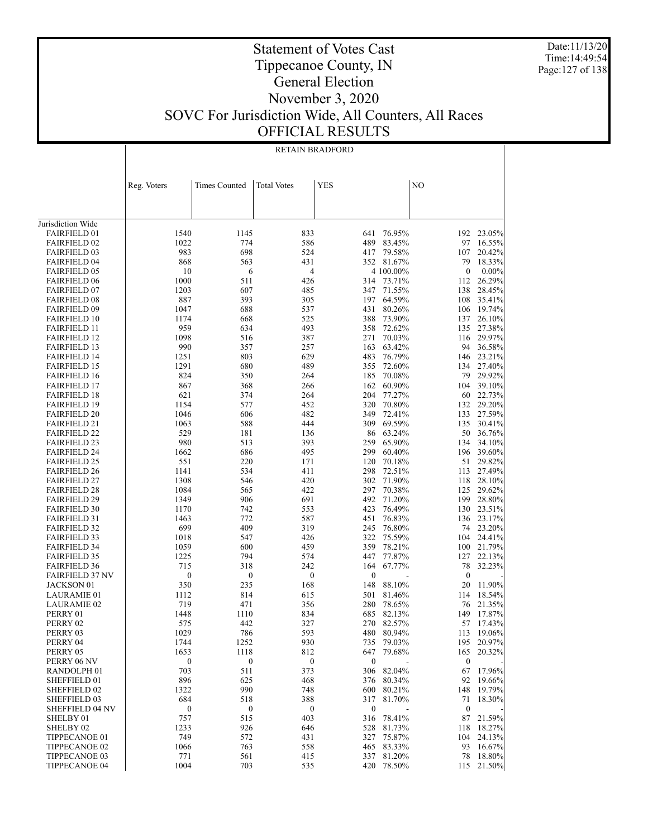Date:11/13/20 Time:14:49:54 Page:127 of 138

Τ

# Statement of Votes Cast Tippecanoe County, IN General Election November 3, 2020 SOVC For Jurisdiction Wide, All Counters, All Races

OFFICIAL RESULTS

|                                            | RETAIN BRADFORD  |                  |                    |                  |                  |                  |                  |
|--------------------------------------------|------------------|------------------|--------------------|------------------|------------------|------------------|------------------|
|                                            |                  |                  |                    |                  |                  |                  |                  |
|                                            |                  |                  |                    |                  |                  |                  |                  |
|                                            | Reg. Voters      | Times Counted    | <b>Total Votes</b> | <b>YES</b>       |                  | NO               |                  |
|                                            |                  |                  |                    |                  |                  |                  |                  |
|                                            |                  |                  |                    |                  |                  |                  |                  |
|                                            |                  |                  |                    |                  |                  |                  |                  |
| Jurisdiction Wide<br><b>FAIRFIELD 01</b>   | 1540             | 1145             | 833                | 641              | 76.95%           | 192              | 23.05%           |
| <b>FAIRFIELD 02</b>                        | 1022             | 774              | 586                | 489              | 83.45%           | 97               | 16.55%           |
| <b>FAIRFIELD 03</b>                        | 983              | 698              | 524                | 417              | 79.58%           | 107              | 20.42%           |
| <b>FAIRFIELD 04</b>                        | 868              | 563              | 431                |                  | 352 81.67%       | 79               | 18.33%           |
| <b>FAIRFIELD 05</b>                        | 10               | 6                | 4                  |                  | 4 100.00%        | $\boldsymbol{0}$ | $0.00\%$         |
| <b>FAIRFIELD 06</b>                        | 1000             | 511              | 426                | 314              | 73.71%           | 112              | 26.29%           |
| <b>FAIRFIELD 07</b>                        | 1203             | 607              | 485                | 347              | 71.55%           | 138              | 28.45%           |
| <b>FAIRFIELD 08</b>                        | 887              | 393              | 305                | 197              | 64.59%           | 108              | 35.41%           |
| <b>FAIRFIELD 09</b>                        | 1047             | 688              | 537                | 431              | 80.26%           | 106              | 19.74%           |
| <b>FAIRFIELD 10</b>                        | 1174             | 668              | 525                | 388              | 73.90%           | 137              | 26.10%           |
| <b>FAIRFIELD 11</b>                        | 959              | 634              | 493                | 358              | 72.62%           | 135              | 27.38%           |
| <b>FAIRFIELD 12</b>                        | 1098             | 516              | 387                | 271              | 70.03%           | 116              | 29.97%           |
| <b>FAIRFIELD 13</b>                        | 990              | 357              | 257                | 163              | 63.42%           | 94<br>146        | 36.58%<br>23.21% |
| <b>FAIRFIELD 14</b><br><b>FAIRFIELD 15</b> | 1251<br>1291     | 803<br>680       | 629<br>489         | 483<br>355       | 76.79%<br>72.60% | 134              | 27.40%           |
| <b>FAIRFIELD 16</b>                        | 824              | 350              | 264                | 185              | 70.08%           | 79               | 29.92%           |
| <b>FAIRFIELD 17</b>                        | 867              | 368              | 266                | 162              | 60.90%           | 104              | 39.10%           |
| <b>FAIRFIELD 18</b>                        | 621              | 374              | 264                | 204              | 77.27%           | 60               | 22.73%           |
| <b>FAIRFIELD 19</b>                        | 1154             | 577              | 452                | 320              | 70.80%           | 132              | 29.20%           |
| <b>FAIRFIELD 20</b>                        | 1046             | 606              | 482                | 349              | 72.41%           | 133              | 27.59%           |
| <b>FAIRFIELD 21</b>                        | 1063             | 588              | 444                |                  | 309 69.59%       | 135              | 30.41%           |
| <b>FAIRFIELD 22</b>                        | 529              | 181              | 136                | 86               | 63.24%           | 50               | 36.76%           |
| <b>FAIRFIELD 23</b>                        | 980              | 513              | 393                | 259              | 65.90%           | 134              | 34.10%           |
| <b>FAIRFIELD 24</b>                        | 1662             | 686              | 495                | 299              | 60.40%           | 196              | 39.60%           |
| <b>FAIRFIELD 25</b>                        | 551              | 220              | 171                | 120              | 70.18%           | 51               | 29.82%           |
| <b>FAIRFIELD 26</b>                        | 1141             | 534              | 411                | 298              | 72.51%           | 113              | 27.49%           |
| <b>FAIRFIELD 27</b>                        | 1308             | 546              | 420                | 302              | 71.90%           | 118              | 28.10%           |
| <b>FAIRFIELD 28</b>                        | 1084             | 565              | 422                | 297              | 70.38%           | 125              | 29.62%           |
| <b>FAIRFIELD 29</b><br><b>FAIRFIELD 30</b> | 1349<br>1170     | 906<br>742       | 691<br>553         | 492<br>423       | 71.20%<br>76.49% | 199<br>130       | 28.80%<br>23.51% |
| <b>FAIRFIELD 31</b>                        | 1463             | 772              | 587                | 451              | 76.83%           |                  | 136 23.17%       |
| <b>FAIRFIELD 32</b>                        | 699              | 409              | 319                | 245              | 76.80%           |                  | 74 23.20%        |
| <b>FAIRFIELD 33</b>                        | 1018             | 547              | 426                | 322              | 75.59%           | 104              | 24.41%           |
| <b>FAIRFIELD 34</b>                        | 1059             | 600              | 459                | 359              | 78.21%           | 100              | 21.79%           |
| <b>FAIRFIELD 35</b>                        | 1225             | 794              | 574                | 447              | 77.87%           | 127              | 22.13%           |
| <b>FAIRFIELD 36</b>                        | 715              | 318              | 242                | 164              | 67.77%           | 78               | 32.23%           |
| <b>FAIRFIELD 37 NV</b>                     | 0                | $\boldsymbol{0}$ | $\boldsymbol{0}$   | $\boldsymbol{0}$ |                  | $\boldsymbol{0}$ |                  |
| JACKSON 01                                 | 350              | 235              | 168                | 148              | 88.10%           | 20               | 11.90%           |
| LAURAMIE 01                                | 1112             | 814              | 615                | 501              | 81.46%           | 114              | 18.54%           |
| <b>LAURAMIE 02</b>                         | 719              | 471              | 356                | 280              | 78.65%           | 76               | 21.35%           |
| PERRY 01                                   | 1448             | 1110             | 834                |                  | 685 82.13%       | 149              | 17.87%           |
| PERRY 02                                   | 575              | 442              | 327                |                  | 270 82.57%       |                  | 57 17.43%        |
| PERRY 03<br>PERRY 04                       | 1029<br>1744     | 786<br>1252      | 593<br>930         | 480<br>735       | 80.94%<br>79.03% | 113<br>195       | 19.06%<br>20.97% |
| PERRY 05                                   | 1653             | 1118             | 812                | 647              | 79.68%           | 165              | 20.32%           |
| PERRY 06 NV                                | $\boldsymbol{0}$ | $\boldsymbol{0}$ | $\boldsymbol{0}$   | $\boldsymbol{0}$ |                  | $\boldsymbol{0}$ |                  |
| RANDOLPH 01                                | 703              | 511              | 373                | 306              | 82.04%           | 67               | 17.96%           |
| SHEFFIELD 01                               | 896              | 625              | 468                | 376              | 80.34%           | 92               | 19.66%           |
| SHEFFIELD 02                               | 1322             | 990              | 748                | 600              | 80.21%           | 148              | 19.79%           |
| SHEFFIELD 03                               | 684              | 518              | 388                | 317              | 81.70%           | 71               | 18.30%           |
| <b>SHEFFIELD 04 NV</b>                     | $\boldsymbol{0}$ | $\boldsymbol{0}$ | $\boldsymbol{0}$   | $\boldsymbol{0}$ |                  | $\boldsymbol{0}$ |                  |
| SHELBY 01                                  | 757              | 515              | 403                | 316              | 78.41%           | 87               | 21.59%           |
| SHELBY 02                                  | 1233             | 926              | 646                | 528              | 81.73%           | 118              | 18.27%           |
| TIPPECANOE 01                              | 749              | 572              | 431                | 327              | 75.87%           | 104              | 24.13%           |
| TIPPECANOE 02                              | 1066             | 763              | 558                | 465              | 83.33%           | 93               | 16.67%           |
| TIPPECANOE 03                              | 771              | 561              | 415                | 337              | 81.20%           | 78               | 18.80%           |
| TIPPECANOE 04                              | 1004             | 703              | 535                | 420              | 78.50%           | 115              | 21.50%           |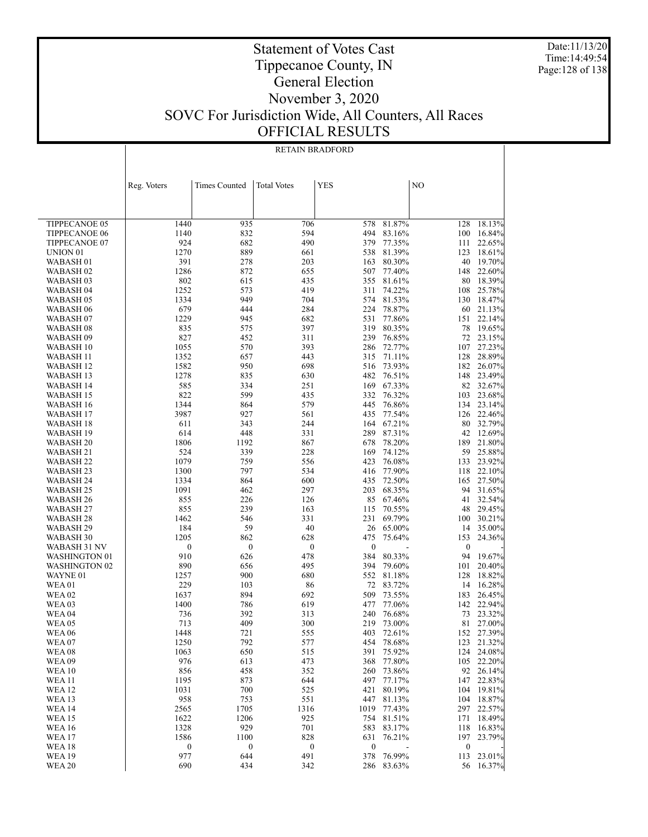Date:11/13/20 Time:14:49:54 Page:128 of 138

|                                   | Reg. Voters      | <b>Times Counted</b> | <b>Total Votes</b> | YES              |                  | N <sub>O</sub>   |                     |
|-----------------------------------|------------------|----------------------|--------------------|------------------|------------------|------------------|---------------------|
|                                   |                  |                      |                    |                  |                  |                  |                     |
|                                   |                  |                      |                    |                  |                  |                  |                     |
| TIPPECANOE 05                     | 1440             | 935                  | 706                | 578              | 81.87%           | 128              | 18.13%              |
| <b>TIPPECANOE 06</b>              | 1140             | 832                  | 594                | 494              | 83.16%           | 100              | 16.84%              |
| TIPPECANOE 07                     | 924              | 682                  | 490                | 379              | 77.35%           | 111              | 22.65%              |
| UNION <sub>01</sub>               | 1270             | 889                  | 661                | 538              | 81.39%           | 123              | 18.61%              |
| WABASH <sub>01</sub>              | 391              | 278                  | 203                | 163              | 80.30%           | 40               | 19.70%              |
| WABASH 02                         | 1286             | 872                  | 655                | 507              | 77.40%           | 148              | 22.60%              |
| WABASH <sub>03</sub>              | 802<br>1252      | 615<br>573           | 435<br>419         | 355<br>311       | 81.61%<br>74.22% | 80<br>108        | 18.39%<br>25.78%    |
| WABASH 04<br>WABASH <sub>05</sub> | 1334             | 949                  | 704                | 574              | 81.53%           | 130              | 18.47%              |
| WABASH 06                         | 679              | 444                  | 284                | 224              | 78.87%           | 60               | 21.13%              |
| WABASH 07                         | 1229             | 945                  | 682                | 531              | 77.86%           | 151              | 22.14%              |
| WABASH 08                         | 835              | 575                  | 397                | 319              | 80.35%           | 78               | 19.65%              |
| WABASH 09                         | 827              | 452                  | 311                | 239              | 76.85%           | 72               | 23.15%              |
| WABASH 10                         | 1055             | 570                  | 393                | 286              | 72.77%           | 107              | 27.23%              |
| WABASH 11                         | 1352             | 657                  | 443                | 315              | 71.11%           | 128              | 28.89%              |
| WABASH 12                         | 1582             | 950                  | 698                | 516              | 73.93%           | 182              | 26.07%              |
| WABASH 13                         | 1278<br>585      | 835<br>334           | 630                | 482              | 76.51%           | 148<br>82        | 23.49%              |
| WABASH 14<br>WABASH 15            | 822              | 599                  | 251<br>435         | 169<br>332       | 67.33%<br>76.32% | 103              | 32.67%<br>23.68%    |
| WABASH 16                         | 1344             | 864                  | 579                | 445              | 76.86%           | 134              | 23.14%              |
| WABASH 17                         | 3987             | 927                  | 561                | 435              | 77.54%           | 126              | 22.46%              |
| WABASH 18                         | 611              | 343                  | 244                | 164              | 67.21%           | 80               | 32.79%              |
| WABASH 19                         | 614              | 448                  | 331                | 289              | 87.31%           | 42               | 12.69%              |
| WABASH 20                         | 1806             | 1192                 | 867                | 678              | 78.20%           | 189              | 21.80%              |
| WABASH 21                         | 524              | 339                  | 228                | 169              | 74.12%           | 59               | 25.88%              |
| WABASH 22                         | 1079             | 759                  | 556                | 423              | 76.08%           | 133              | 23.92%              |
| WABASH 23                         | 1300             | 797                  | 534                | 416              | 77.90%           | 118              | 22.10%              |
| WABASH 24<br>WABASH 25            | 1334<br>1091     | 864<br>462           | 600<br>297         | 435<br>203       | 72.50%<br>68.35% | 165<br>94        | 27.50%<br>31.65%    |
| WABASH 26                         | 855              | 226                  | 126                | 85               | 67.46%           | 41               | 32.54%              |
| WABASH 27                         | 855              | 239                  | 163                | 115              | 70.55%           | 48               | 29.45%              |
| WABASH 28                         | 1462             | 546                  | 331                | 231              | 69.79%           | 100              | 30.21%              |
| WABASH 29                         | 184              | 59                   | 40                 | 26               | 65.00%           | 14               | 35.00%              |
| WABASH 30                         | 1205             | 862                  | 628                | 475              | 75.64%           | 153              | 24.36%              |
| WABASH 31 NV                      | $\boldsymbol{0}$ | $\boldsymbol{0}$     | $\boldsymbol{0}$   | $\boldsymbol{0}$ |                  | $\boldsymbol{0}$ |                     |
| WASHINGTON 01                     | 910              | 626                  | 478                | 384              | 80.33%           | 94               | 19.67%              |
| <b>WASHINGTON 02</b>              | 890              | 656                  | 495                | 394              | 79.60%           | 101              | 20.40%              |
| WAYNE 01<br><b>WEA01</b>          | 1257<br>229      | 900<br>103           | 680<br>86          | 552<br>72        | 81.18%<br>83.72% | 128<br>14        | 18.82%<br>16.28%    |
| <b>WEA 02</b>                     | 1637             | 894                  | 692                | 509              | 73.55%           | 183              | 26.45%              |
| <b>WEA03</b>                      | 1400             | 786                  | 619                | 477              | 77.06%           | 142              | 22.94%              |
| <b>WEA 04</b>                     | 736              | 392                  | 313                | 240              | 76.68%           | 73               | 23.32%              |
| <b>WEA 05</b>                     | 713              | 409                  | 300                | 219              | 73.00%           | 81               | 27.00%              |
| <b>WEA 06</b>                     | 1448             | 721                  | 555                | 403              | 72.61%           | 152              | 27.39%              |
| WEA07                             | 1250             | 792                  | 577                | 454              | 78.68%           |                  | 123 21.32%          |
| <b>WEA08</b>                      | 1063             | 650                  | 515                | 391              | 75.92%           | 124              | 24.08%              |
| <b>WEA09</b><br><b>WEA 10</b>     | 976              | 613                  | 473                | 368              | 77.80%           | 105              | 22.20%              |
| <b>WEA 11</b>                     | 856<br>1195      | 458<br>873           | 352<br>644         | 260<br>497       | 73.86%<br>77.17% | 92<br>147        | 26.14%<br>22.83%    |
| <b>WEA 12</b>                     | 1031             | 700                  | 525                | 421              | 80.19%           | 104              | 19.81%              |
| <b>WEA 13</b>                     | 958              | 753                  | 551                | 447              | 81.13%           | 104              | 18.87%              |
| <b>WEA 14</b>                     | 2565             | 1705                 | 1316               | 1019             | 77.43%           | 297              | 22.57%              |
| <b>WEA 15</b>                     | 1622             | 1206                 | 925                | 754              | 81.51%           | 171              | 18.49%              |
| <b>WEA 16</b>                     | 1328             | 929                  | 701                | 583              | 83.17%           | 118              | 16.83%              |
| <b>WEA 17</b>                     | 1586             | 1100                 | 828                | 631              | 76.21%           | 197              | 23.79%              |
| <b>WEA18</b>                      | $\boldsymbol{0}$ | $\boldsymbol{0}$     | $\boldsymbol{0}$   | $\boldsymbol{0}$ |                  | $\boldsymbol{0}$ |                     |
| <b>WEA 19</b><br><b>WEA 20</b>    | 977<br>690       | 644<br>434           | 491<br>342         | 378              | 76.99%<br>83.63% | 113              | 23.01%<br>56 16.37% |
|                                   |                  |                      |                    | 286              |                  |                  |                     |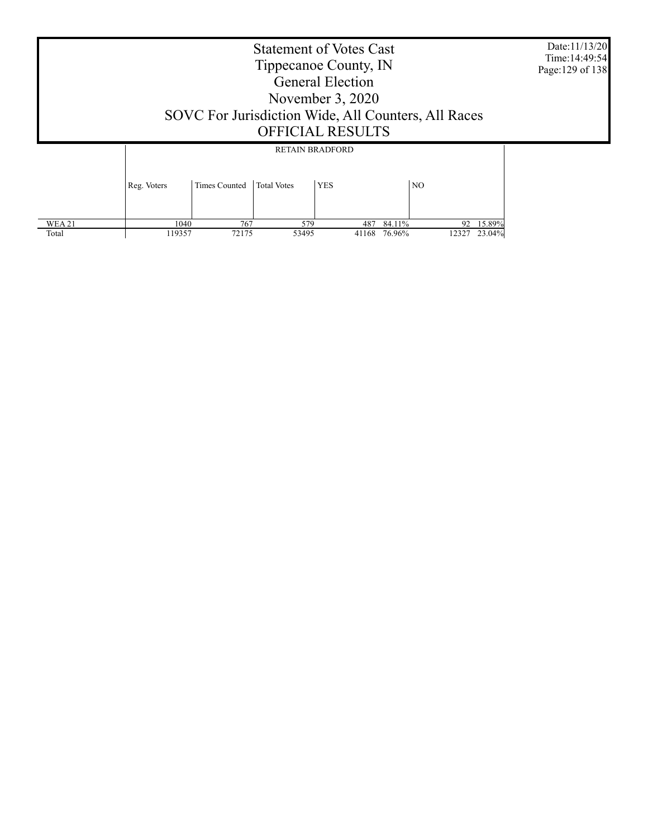| SOVC For Jurisdiction Wide, All Counters, All Races | Date:11/13/20<br>Time: 14:49:54<br>Page: 129 of 138 |                        |            |                |  |
|-----------------------------------------------------|-----------------------------------------------------|------------------------|------------|----------------|--|
|                                                     |                                                     | <b>RETAIN BRADFORD</b> |            |                |  |
| Reg. Voters                                         | Times Counted                                       | <b>Total Votes</b>     | <b>YES</b> | N <sub>O</sub> |  |

 1040 767 579 487 84.11% 92 15.89% 119357 72175 53495 41168 76.96% 12327 23.04%

 WEA 21 Total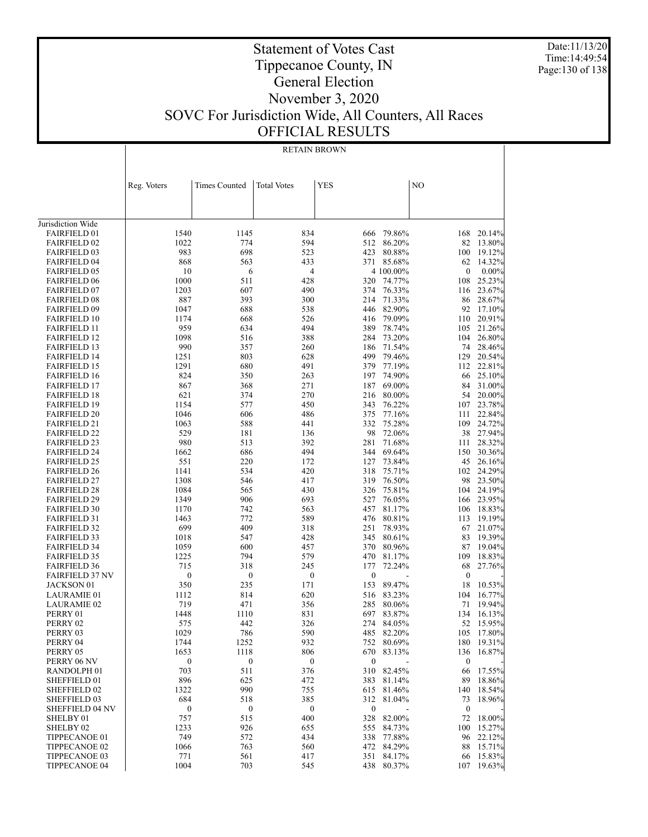Date:11/13/20 Time:14:49:54 Page:130 of 138

#### Statement of Votes Cast Tippecanoe County, IN General Election November 3, 2020 SOVC For Jurisdiction Wide, All Counters, All Races OFFICIAL RESULTS

|                                            |                         |                         | <b>RETAIN BROWN</b>     |                         |                      |                        |                     |
|--------------------------------------------|-------------------------|-------------------------|-------------------------|-------------------------|----------------------|------------------------|---------------------|
|                                            |                         |                         |                         |                         |                      |                        |                     |
|                                            |                         |                         |                         |                         |                      |                        |                     |
|                                            | Reg. Voters             | <b>Times Counted</b>    | <b>Total Votes</b>      | <b>YES</b>              |                      | NO                     |                     |
|                                            |                         |                         |                         |                         |                      |                        |                     |
|                                            |                         |                         |                         |                         |                      |                        |                     |
| Jurisdiction Wide                          |                         |                         |                         |                         |                      |                        |                     |
| <b>FAIRFIELD 01</b>                        | 1540                    | 1145                    | 834                     | 666                     | 79.86%               | 168                    | 20.14%              |
| <b>FAIRFIELD 02</b>                        | 1022                    | 774                     | 594                     | 512                     | 86.20%               | 82                     | 13.80%              |
| <b>FAIRFIELD 03</b>                        | 983                     | 698                     | 523                     | 423                     | 80.88%               | 100                    | 19.12%              |
| <b>FAIRFIELD 04</b>                        | 868                     | 563                     | 433                     |                         | 371 85.68%           | 62                     | 14.32%              |
| <b>FAIRFIELD 05</b><br><b>FAIRFIELD 06</b> | 10<br>1000              | 6<br>511                | 4<br>428                | 320                     | 4 100.00%<br>74.77%  | 0<br>108               | $0.00\%$<br>25.23%  |
| <b>FAIRFIELD 07</b>                        | 1203                    | 607                     | 490                     | 374                     | 76.33%               | 116                    | 23.67%              |
| <b>FAIRFIELD 08</b>                        | 887                     | 393                     | 300                     | 214                     | 71.33%               | 86                     | 28.67%              |
| <b>FAIRFIELD 09</b>                        | 1047                    | 688                     | 538                     |                         | 446 82.90%           | 92                     | 17.10%              |
| <b>FAIRFIELD 10</b>                        | 1174                    | 668                     | 526                     | 416                     | 79.09%               | 110                    | 20.91%              |
| <b>FAIRFIELD 11</b>                        | 959                     | 634                     | 494                     | 389                     | 78.74%               | 105                    | 21.26%              |
| <b>FAIRFIELD 12</b>                        | 1098                    | 516                     | 388                     | 284                     | 73.20%               | 104                    | 26.80%              |
| <b>FAIRFIELD 13</b>                        | 990                     | 357                     | 260                     |                         | 186 71.54%           | 74                     | 28.46%              |
| <b>FAIRFIELD 14</b><br><b>FAIRFIELD 15</b> | 1251<br>1291            | 803<br>680              | 628<br>491              | 499<br>379              | 79.46%<br>77.19%     | 129<br>112             | 20.54%<br>22.81%    |
| <b>FAIRFIELD 16</b>                        | 824                     | 350                     | 263                     | 197                     | 74.90%               | 66                     | 25.10%              |
| <b>FAIRFIELD 17</b>                        | 867                     | 368                     | 271                     | 187                     | 69.00%               | 84                     | 31.00%              |
| <b>FAIRFIELD 18</b>                        | 621                     | 374                     | 270                     | 216                     | 80.00%               | 54                     | 20.00%              |
| <b>FAIRFIELD 19</b>                        | 1154                    | 577                     | 450                     | 343                     | 76.22%               | 107                    | 23.78%              |
| <b>FAIRFIELD 20</b>                        | 1046                    | 606                     | 486                     | 375                     | 77.16%               | 111                    | 22.84%              |
| <b>FAIRFIELD 21</b>                        | 1063                    | 588                     | 441                     | 332                     | 75.28%               | 109                    | 24.72%              |
| <b>FAIRFIELD 22</b>                        | 529                     | 181                     | 136                     | 98                      | 72.06%               | 38                     | 27.94%              |
| <b>FAIRFIELD 23</b><br><b>FAIRFIELD 24</b> | 980<br>1662             | 513<br>686              | 392<br>494              | 281<br>344              | 71.68%<br>69.64%     | 111<br>150             | 28.32%<br>30.36%    |
| <b>FAIRFIELD 25</b>                        | 551                     | 220                     | 172                     | 127                     | 73.84%               | 45                     | 26.16%              |
| <b>FAIRFIELD 26</b>                        | 1141                    | 534                     | 420                     | 318                     | 75.71%               | 102                    | 24.29%              |
| <b>FAIRFIELD 27</b>                        | 1308                    | 546                     | 417                     | 319                     | 76.50%               | 98                     | 23.50%              |
| <b>FAIRFIELD 28</b>                        | 1084                    | 565                     | 430                     | 326                     | 75.81%               | 104                    | 24.19%              |
| <b>FAIRFIELD 29</b>                        | 1349                    | 906                     | 693                     | 527                     | 76.05%               | 166                    | 23.95%              |
| <b>FAIRFIELD 30</b>                        | 1170                    | 742                     | 563                     | 457                     | 81.17%               | 106                    | 18.83%              |
| <b>FAIRFIELD 31</b>                        | 1463                    | 772                     | 589                     | 476                     | 80.81%               | 113                    | 19.19%              |
| <b>FAIRFIELD 32</b><br><b>FAIRFIELD 33</b> | 699<br>1018             | 409<br>547              | 318<br>428              | 251<br>345              | 78.93%<br>80.61%     | 67<br>83               | 21.07%<br>19.39%    |
| <b>FAIRFIELD 34</b>                        | 1059                    | 600                     | 457                     | 370                     | 80.96%               | 87                     | 19.04%              |
| <b>FAIRFIELD 35</b>                        | 1225                    | 794                     | 579                     | 470                     | 81.17%               | 109                    | 18.83%              |
| <b>FAIRFIELD 36</b>                        | 715                     | 318                     | 245                     | 177                     | 72.24%               | 68                     | 27.76%              |
| <b>FAIRFIELD 37 NV</b>                     | $\boldsymbol{0}$        | $\boldsymbol{0}$        | $\boldsymbol{0}$        | $\boldsymbol{0}$        |                      | $\boldsymbol{0}$       |                     |
| JACKSON 01                                 | 350                     | 235                     | 171                     | 153                     | 89.47%               | 18                     | 10.53%              |
| <b>LAURAMIE 01</b>                         | 1112                    | 814                     | 620                     | 516                     | 83.23%               | 104                    | 16.77%              |
| <b>LAURAMIE 02</b>                         | 719                     | 471                     | 356                     | 285                     | 80.06%               | 71                     | 19.94%              |
| PERRY 01<br>PERRY 02                       | 1448<br>575             | 1110<br>442             | 831<br>326              | 697                     | 83.87%<br>274 84.05% | 134                    | 16.13%<br>52 15.95% |
| PERRY 03                                   | 1029                    | 786                     | 590                     | 485                     | 82.20%               | 105                    | 17.80%              |
| PERRY 04                                   | 1744                    | 1252                    | 932                     | 752                     | 80.69%               | 180                    | 19.31%              |
| PERRY 05                                   | 1653                    | 1118                    | 806                     |                         | 670 83.13%           | 136                    | 16.87%              |
| PERRY 06 NV                                | $\boldsymbol{0}$        | $\boldsymbol{0}$        | $\boldsymbol{0}$        | $\bf{0}$                |                      | $\boldsymbol{0}$       |                     |
| RANDOLPH <sub>01</sub>                     | 703                     | 511                     | 376                     |                         | 310 82.45%           | 66                     | 17.55%              |
| SHEFFIELD 01                               | 896                     | 625                     | 472                     | 383                     | 81.14%               | 89                     | 18.86%              |
| SHEFFIELD 02                               | 1322                    | 990                     | 755                     | 615                     | 81.46%               | 140                    | 18.54%              |
| SHEFFIELD 03<br>SHEFFIELD 04 NV            | 684<br>$\boldsymbol{0}$ | 518<br>$\boldsymbol{0}$ | 385<br>$\boldsymbol{0}$ | 312<br>$\boldsymbol{0}$ | 81.04%               | 73<br>$\boldsymbol{0}$ | 18.96%              |
| SHELBY 01                                  | 757                     | 515                     | 400                     | 328                     | 82.00%               | 72                     | 18.00%              |
| SHELBY <sub>02</sub>                       | 1233                    | 926                     | 655                     | 555                     | 84.73%               | 100                    | 15.27%              |
| TIPPECANOE 01                              | 749                     | 572                     | 434                     | 338                     | 77.88%               | 96                     | 22.12%              |
| TIPPECANOE 02                              | 1066                    | 763                     | 560                     |                         | 472 84.29%           | 88                     | 15.71%              |
| TIPPECANOE 03                              | 771                     | 561                     | 417                     | 351                     | 84.17%               | 66                     | 15.83%              |
| TIPPECANOE 04                              | 1004                    | 703                     | 545                     | 438                     | 80.37%               | 107                    | 19.63%              |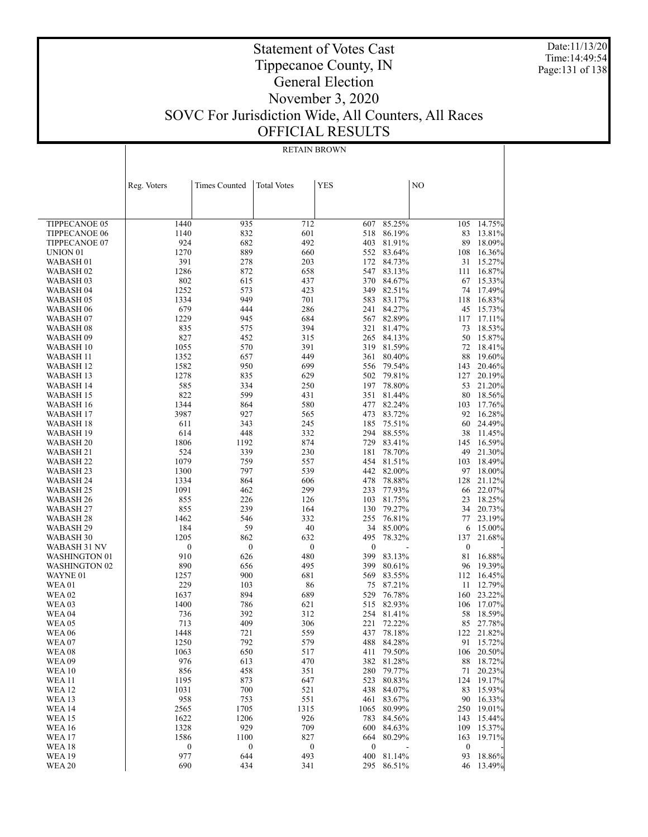Date:11/13/20 Time:14:49:54 Page:131 of 138

#### Statement of Votes Cast Tippecanoe County, IN General Election November 3, 2020 SOVC For Jurisdiction Wide, All Counters, All Races OFFICIAL RESULTS

|                                | <b>RETAIN BROWN</b>     |                         |                         |                         |                  |                        |                  |  |
|--------------------------------|-------------------------|-------------------------|-------------------------|-------------------------|------------------|------------------------|------------------|--|
|                                |                         |                         |                         |                         |                  |                        |                  |  |
|                                |                         |                         |                         |                         |                  |                        |                  |  |
|                                | Reg. Voters             | <b>Times Counted</b>    | <b>Total Votes</b>      | <b>YES</b>              |                  | NO                     |                  |  |
|                                |                         |                         |                         |                         |                  |                        |                  |  |
|                                |                         |                         |                         |                         |                  |                        |                  |  |
|                                |                         |                         |                         |                         |                  |                        |                  |  |
| <b>TIPPECANOE 05</b>           | 1440                    | 935                     | 712                     | 607                     | 85.25%           | 105                    | 14.75%           |  |
| <b>TIPPECANOE 06</b>           | 1140                    | 832                     | 601                     | 518                     | 86.19%           | 83                     | 13.81%           |  |
| TIPPECANOE 07                  | 924                     | 682                     | 492                     | 403                     | 81.91%           | 89                     | 18.09%           |  |
| UNION <sub>01</sub>            | 1270                    | 889                     | 660                     | 552                     | 83.64%           | 108                    | 16.36%           |  |
| WABASH 01                      | 391                     | 278                     | 203                     | 172                     | 84.73%           | 31                     | 15.27%           |  |
| WABASH 02                      | 1286                    | 872                     | 658                     | 547                     | 83.13%           | 111                    | 16.87%           |  |
| WABASH 03                      | 802                     | 615                     | 437                     | 370                     | 84.67%           | 67                     | 15.33%           |  |
| WABASH 04                      | 1252                    | 573                     | 423                     | 349                     | 82.51%           | 74                     | 17.49%           |  |
| WABASH 05                      | 1334                    | 949                     | 701                     |                         | 583 83.17%       | 118                    | 16.83%           |  |
| WABASH 06                      | 679<br>1229             | 444                     | 286                     | 241                     | 84.27%           | 45                     | 15.73%           |  |
| WABASH 07<br>WABASH 08         | 835                     | 945<br>575              | 684<br>394              | 567<br>321              | 82.89%<br>81.47% | 117<br>73              | 17.11%<br>18.53% |  |
| WABASH 09                      | 827                     | 452                     | 315                     |                         | 265 84.13%       | 50                     | 15.87%           |  |
| WABASH 10                      | 1055                    | 570                     | 391                     |                         | 319 81.59%       | 72                     | 18.41%           |  |
| WABASH 11                      | 1352                    | 657                     | 449                     | 361                     | 80.40%           | 88                     | 19.60%           |  |
| WABASH 12                      | 1582                    | 950                     | 699                     | 556                     | 79.54%           | 143                    | 20.46%           |  |
| WABASH 13                      | 1278                    | 835                     | 629                     | 502                     | 79.81%           | 127                    | 20.19%           |  |
| WABASH 14                      | 585                     | 334                     | 250                     |                         | 197 78.80%       | 53                     | 21.20%           |  |
| WABASH 15                      | 822                     | 599                     | 431                     | 351                     | 81.44%           | 80                     | 18.56%           |  |
| WABASH 16                      | 1344                    | 864                     | 580                     | 477                     | 82.24%           | 103                    | 17.76%           |  |
| WABASH 17                      | 3987                    | 927                     | 565                     | 473                     | 83.72%           | 92                     | 16.28%           |  |
| WABASH 18                      | 611                     | 343                     | 245                     | 185                     | 75.51%           | 60                     | 24.49%           |  |
| WABASH 19                      | 614                     | 448                     | 332                     | 294                     | 88.55%           | 38                     | 11.45%           |  |
| WABASH 20                      | 1806                    | 1192                    | 874                     | 729                     | 83.41%           | 145                    | 16.59%           |  |
| WABASH 21                      | 524                     | 339                     | 230                     | 181                     | 78.70%           | 49                     | 21.30%           |  |
| WABASH 22                      | 1079<br>1300            | 759<br>797              | 557<br>539              | 454<br>442              | 81.51%<br>82.00% | 103<br>97              | 18.49%<br>18.00% |  |
| WABASH 23<br>WABASH 24         | 1334                    | 864                     | 606                     | 478                     | 78.88%           | 128                    | 21.12%           |  |
| WABASH 25                      | 1091                    | 462                     | 299                     | 233                     | 77.93%           | 66                     | 22.07%           |  |
| WABASH 26                      | 855                     | 226                     | 126                     | 103                     | 81.75%           | 23                     | 18.25%           |  |
| WABASH 27                      | 855                     | 239                     | 164                     | 130                     | 79.27%           | 34                     | 20.73%           |  |
| WABASH 28                      | 1462                    | 546                     | 332                     | 255                     | 76.81%           | 77                     | 23.19%           |  |
| WABASH 29                      | 184                     | 59                      | 40                      | 34                      | 85.00%           | 6                      | 15.00%           |  |
| WABASH 30                      | 1205                    | 862                     | 632                     | 495                     | 78.32%           | 137                    | 21.68%           |  |
| WABASH 31 NV                   | $\boldsymbol{0}$        | $\boldsymbol{0}$        | $\boldsymbol{0}$        | $\boldsymbol{0}$        |                  | $\boldsymbol{0}$       |                  |  |
| WASHINGTON 01                  | 910                     | 626                     | 480                     | 399                     | 83.13%           | 81                     | 16.88%           |  |
| <b>WASHINGTON 02</b>           | 890                     | 656                     | 495                     | 399                     | 80.61%           | 96                     | 19.39%           |  |
| WAYNE 01                       | 1257                    | 900                     | 681                     | 569                     | 83.55%           | 112                    | 16.45%           |  |
| <b>WEA01</b>                   | 229                     | 103                     | 86                      | 75                      | 87.21%           | 11                     | 12.79%<br>23.22% |  |
| <b>WEA 02</b><br><b>WEA03</b>  | 1637<br>1400            | 894<br>786              | 689<br>621              | 529<br>515              | 76.78%<br>82.93% | 160<br>106             | 17.07%           |  |
| <b>WEA 04</b>                  | 736                     | 392                     | 312                     | 254                     | 81.41%           | 58                     | 18.59%           |  |
| <b>WEA 05</b>                  | 713                     | 409                     | 306                     | 221                     | 72.22%           |                        | 85 27.78%        |  |
| <b>WEA 06</b>                  | 1448                    | 721                     | 559                     | 437                     | 78.18%           | 122                    | 21.82%           |  |
| <b>WEA 07</b>                  | 1250                    | 792                     | 579                     | 488                     | 84.28%           | 91                     | 15.72%           |  |
| <b>WEA08</b>                   | 1063                    | 650                     | 517                     | 411                     | 79.50%           | 106                    | 20.50%           |  |
| <b>WEA09</b>                   | 976                     | 613                     | 470                     | 382                     | 81.28%           | 88                     | 18.72%           |  |
| <b>WEA 10</b>                  | 856                     | 458                     | 351                     | 280                     | 79.77%           | 71                     | 20.23%           |  |
| <b>WEA 11</b>                  | 1195                    | 873                     | 647                     | 523                     | 80.83%           | 124                    | 19.17%           |  |
| <b>WEA 12</b>                  | 1031                    | 700                     | 521                     | 438                     | 84.07%           | 83                     | 15.93%           |  |
| <b>WEA 13</b>                  | 958                     | 753                     | 551                     | 461                     | 83.67%           | 90                     | 16.33%           |  |
| <b>WEA 14</b>                  | 2565                    | 1705                    | 1315                    | 1065                    | 80.99%           | 250                    | 19.01%           |  |
| <b>WEA15</b>                   | 1622                    | 1206                    | 926                     | 783                     | 84.56%           | 143                    | 15.44%           |  |
| <b>WEA 16</b>                  | 1328                    | 929                     | 709                     | 600                     | 84.63%           | 109                    | 15.37%           |  |
| <b>WEA 17</b>                  | 1586                    | 1100                    | 827                     | 664                     | 80.29%           | 163                    | 19.71%           |  |
| <b>WEA 18</b><br><b>WEA 19</b> | $\boldsymbol{0}$<br>977 | $\boldsymbol{0}$<br>644 | $\boldsymbol{0}$<br>493 | $\boldsymbol{0}$<br>400 | 81.14%           | $\boldsymbol{0}$<br>93 | 18.86%           |  |
| <b>WEA 20</b>                  | 690                     | 434                     | 341                     | 295                     | 86.51%           | 46                     | 13.49%           |  |
|                                |                         |                         |                         |                         |                  |                        |                  |  |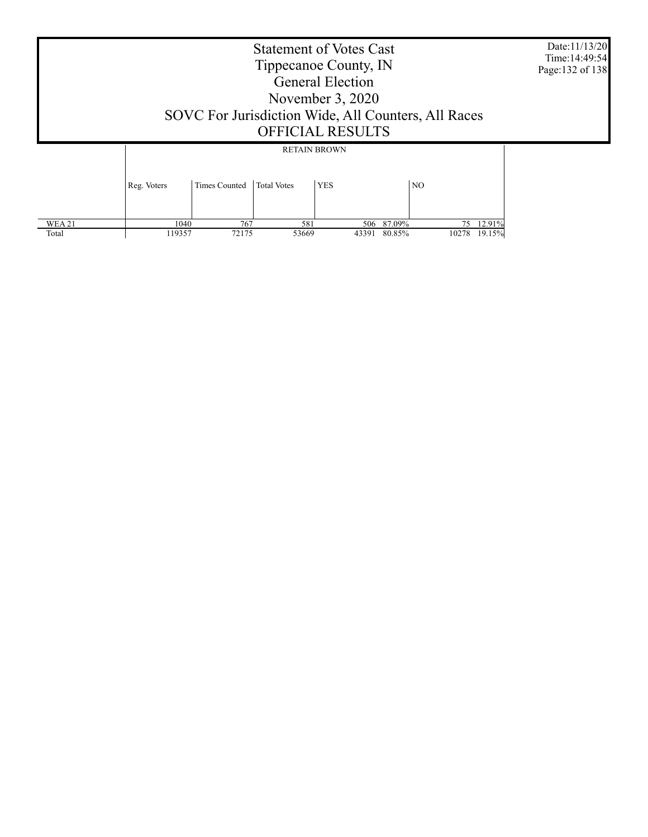Statement of Votes Cast Tippecanoe County, IN General Election November 3, 2020 SOVC For Jurisdiction Wide, All Counters, All Races OFFICIAL RESULTS Date:11/13/20 Time:14:49:54 Page:132 of 138 Reg. Voters | Times Counted | Total Votes | YES | NO RETAIN BROWN

 $\frac{1040}{119357}$  767 581 506 87.09% 75 12.91%<br>119357 72175 53669 43391 80.85% 10278 19.15%

43391 80.85%

 WEA 21 Total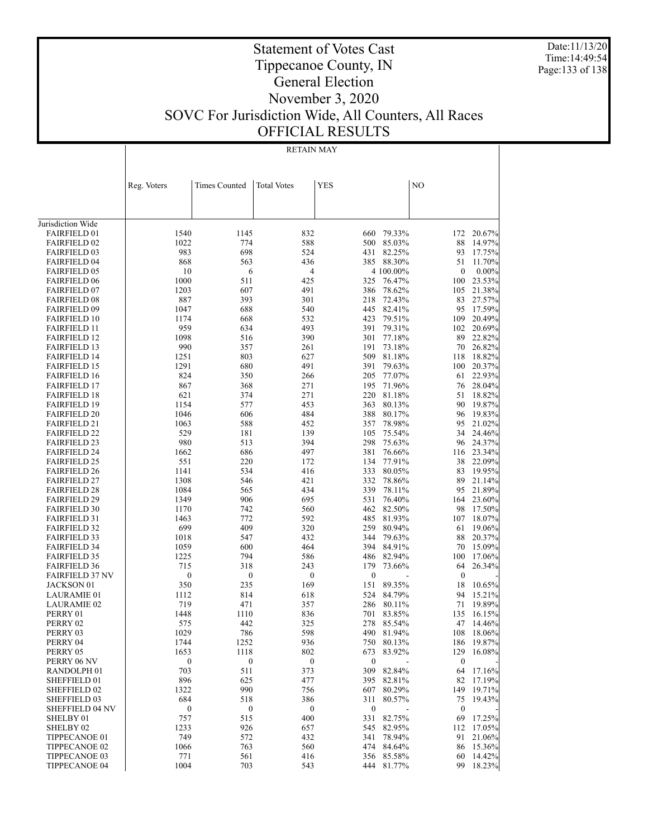Date:11/13/20 Time:14:49:54 Page:133 of 138

## Statement of Votes Cast Tippecanoe County, IN General Election November 3, 2020 SOVC For Jurisdiction Wide, All Counters, All Races OFFICIAL RESULTS

RETAIN MAY

|                                            | Reg. Voters      | Times Counted    | <b>Total Votes</b> | <b>YES</b>       |                      | NO               |                      |
|--------------------------------------------|------------------|------------------|--------------------|------------------|----------------------|------------------|----------------------|
|                                            |                  |                  |                    |                  |                      |                  |                      |
|                                            |                  |                  |                    |                  |                      |                  |                      |
| Jurisdiction Wide                          |                  |                  |                    |                  |                      |                  |                      |
| <b>FAIRFIELD 01</b>                        | 1540             | 1145             | 832                | 660              | 79.33%               | 172              | 20.67%               |
| <b>FAIRFIELD 02</b>                        | 1022             | 774              | 588                | 500              | 85.03%               | 88               | 14.97%               |
| <b>FAIRFIELD 03</b>                        | 983              | 698              | 524                | 431              | 82.25%               | 93               | 17.75%               |
| <b>FAIRFIELD 04</b>                        | 868              | 563              | 436                | 385              | 88.30%               | 51               | 11.70%               |
| <b>FAIRFIELD 05</b>                        | 10               | 6                | 4                  |                  | 4 100.00%            | $\boldsymbol{0}$ | $0.00\%$             |
| <b>FAIRFIELD 06</b>                        | 1000             | 511              | 425                | 325              | 76.47%               | 100              | 23.53%               |
| <b>FAIRFIELD 07</b>                        | 1203             | 607              | 491                | 386              | 78.62%               | 105              | 21.38%               |
| <b>FAIRFIELD 08</b>                        | 887              | 393              | 301                | 218              | 72.43%               | 83               | 27.57%               |
| <b>FAIRFIELD 09</b>                        | 1047             | 688              | 540                | 445              | 82.41%               | 95               | 17.59%               |
| <b>FAIRFIELD 10</b>                        | 1174             | 668              | 532                | 423              | 79.51%               | 109              | 20.49%               |
| <b>FAIRFIELD 11</b>                        | 959              | 634              | 493                | 391              | 79.31%               | 102              | 20.69%               |
| <b>FAIRFIELD 12</b>                        | 1098             | 516              | 390                | 301              | 77.18%               | 89               | 22.82%               |
| <b>FAIRFIELD 13</b>                        | 990              | 357              | 261                | 191              | 73.18%               | 70               | 26.82%               |
| <b>FAIRFIELD 14</b>                        | 1251             | 803              | 627                | 509              | 81.18%               | 118              | 18.82%               |
| <b>FAIRFIELD 15</b>                        | 1291             | 680              | 491                | 391              | 79.63%               | 100              | 20.37%               |
| <b>FAIRFIELD 16</b>                        | 824              | 350              | 266                | 205              | 77.07%               | 61               | 22.93%               |
| <b>FAIRFIELD 17</b>                        | 867              | 368              | 271                | 195              | 71.96%               | 76               | 28.04%               |
| <b>FAIRFIELD 18</b>                        | 621              | 374              | 271                | 220              | 81.18%<br>80.13%     | 51               | 18.82%               |
| <b>FAIRFIELD 19</b>                        | 1154<br>1046     | 577<br>606       | 453<br>484         | 363<br>388       | 80.17%               | 90<br>96         | 19.87%<br>19.83%     |
| <b>FAIRFIELD 20</b><br><b>FAIRFIELD 21</b> | 1063             | 588              | 452                | 357              | 78.98%               | 95               | 21.02%               |
| <b>FAIRFIELD 22</b>                        | 529              | 181              | 139                | 105              | 75.54%               | 34               | 24.46%               |
| <b>FAIRFIELD 23</b>                        | 980              | 513              | 394                | 298              | 75.63%               | 96               | 24.37%               |
| <b>FAIRFIELD 24</b>                        | 1662             | 686              | 497                | 381              | 76.66%               | 116              | 23.34%               |
| <b>FAIRFIELD 25</b>                        | 551              | 220              | 172                | 134              | 77.91%               | 38               | 22.09%               |
| <b>FAIRFIELD 26</b>                        | 1141             | 534              | 416                | 333              | 80.05%               | 83               | 19.95%               |
| <b>FAIRFIELD 27</b>                        | 1308             | 546              | 421                | 332              | 78.86%               | 89               | 21.14%               |
| <b>FAIRFIELD 28</b>                        | 1084             | 565              | 434                | 339              | 78.11%               | 95               | 21.89%               |
| <b>FAIRFIELD 29</b>                        | 1349             | 906              | 695                | 531              | 76.40%               | 164              | 23.60%               |
| <b>FAIRFIELD 30</b>                        | 1170             | 742              | 560                | 462              | 82.50%               | 98               | 17.50%               |
| <b>FAIRFIELD 31</b>                        | 1463             | 772              | 592                | 485              | 81.93%               | 107              | 18.07%               |
| <b>FAIRFIELD 32</b>                        | 699              | 409              | 320                | 259              | 80.94%               | 61               | 19.06%               |
| <b>FAIRFIELD 33</b>                        | 1018             | 547              | 432                | 344              | 79.63%               | 88               | 20.37%               |
| <b>FAIRFIELD 34</b>                        | 1059             | 600              | 464                | 394              | 84.91%               | 70               | 15.09%               |
| <b>FAIRFIELD 35</b>                        | 1225             | 794              | 586                | 486              | 82.94%               | 100              | 17.06%               |
| <b>FAIRFIELD 36</b>                        | 715              | 318              | 243                | 179              | 73.66%               | 64               | 26.34%               |
| <b>FAIRFIELD 37 NV</b>                     | 0                | $\boldsymbol{0}$ | $\boldsymbol{0}$   | $\boldsymbol{0}$ |                      | $\boldsymbol{0}$ |                      |
| JACKSON 01                                 | 350              | 235              | 169                | 151              | 89.35%               | 18               | 10.65%               |
| <b>LAURAMIE 01</b>                         | 1112             | 814              | 618                | 524              | 84.79%               | 94               | 15.21%               |
| <b>LAURAMIE 02</b>                         | 719              | 471              | 357                | 286              | 80.11%               | 71               | 19.89%               |
| PERRY 01                                   | 1448             | 1110             | 836                | 701              | 83.85%               | 135              | 16.15%               |
| PERRY 02                                   | 575              | 442              | 325                | 278              | 85.54%               | 47               | 14.46%               |
| PERRY 03                                   | 1029             | 786<br>1252      | 598                | 490              | 81.94%<br>750 80.13% | 108              | 18.06%               |
| PERRY 04<br>PERRY 05                       | 1744<br>1653     | 1118             | 936<br>802         | 673              | 83.92%               | 129              | 186 19.87%<br>16.08% |
| PERRY 06 NV                                | $\boldsymbol{0}$ | $\boldsymbol{0}$ | $\boldsymbol{0}$   | $\boldsymbol{0}$ |                      | $\boldsymbol{0}$ |                      |
| RANDOLPH 01                                | 703              | 511              | 373                | 309              | 82.84%               | 64               | 17.16%               |
| SHEFFIELD 01                               | 896              | 625              | 477                | 395              | 82.81%               | 82               | 17.19%               |
| SHEFFIELD 02                               | 1322             | 990              | 756                | 607              | 80.29%               |                  | 149 19.71%           |
| <b>SHEFFIELD 03</b>                        | 684              | 518              | 386                | 311              | 80.57%               | 75               | 19.43%               |
| <b>SHEFFIELD 04 NV</b>                     | 0                | $\boldsymbol{0}$ | $\boldsymbol{0}$   | $\boldsymbol{0}$ |                      | $\boldsymbol{0}$ |                      |
| SHELBY 01                                  | 757              | 515              | 400                | 331              | 82.75%               | 69               | 17.25%               |
| SHELBY 02                                  | 1233             | 926              | 657                | 545              | 82.95%               | 112              | 17.05%               |
| TIPPECANOE 01                              | 749              | 572              | 432                | 341              | 78.94%               | 91               | 21.06%               |
| TIPPECANOE 02                              | 1066             | 763              | 560                | 474              | 84.64%               | 86               | 15.36%               |
| TIPPECANOE 03                              | 771              | 561              | 416                | 356              | 85.58%               | 60               | 14.42%               |
| TIPPECANOE 04                              | 1004             | 703              | 543                | 444              | 81.77%               | 99               | 18.23%               |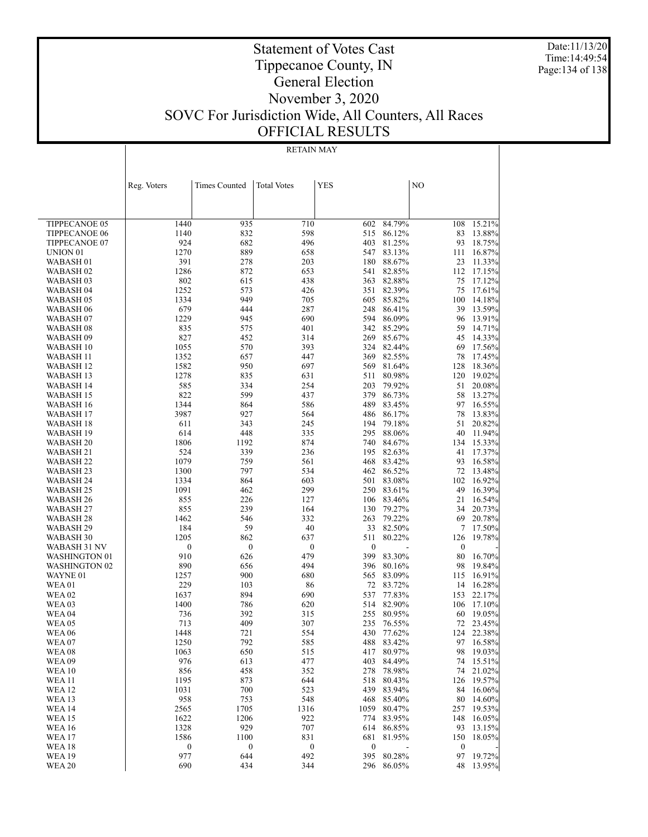Date:11/13/20 Time:14:49:54 Page:134 of 138

## Statement of Votes Cast Tippecanoe County, IN General Election November 3, 2020 SOVC For Jurisdiction Wide, All Counters, All Races OFFICIAL RESULTS

#### RETAIN MAY

|                                | Reg. Voters      | Times Counted    | <b>Total Votes</b> | <b>YES</b>       |                          | NO               |                     |
|--------------------------------|------------------|------------------|--------------------|------------------|--------------------------|------------------|---------------------|
|                                |                  |                  |                    |                  |                          |                  |                     |
|                                |                  |                  |                    |                  |                          |                  |                     |
| <b>TIPPECANOE 05</b>           | 1440             | 935              | 710                | 602              | 84.79%                   | 108              | 15.21%              |
| <b>TIPPECANOE 06</b>           | 1140             | 832              | 598                | 515              | 86.12%                   | 83               | 13.88%              |
| TIPPECANOE 07                  | 924              | 682              | 496                | 403              | 81.25%                   | 93               | 18.75%              |
| UNION <sub>01</sub>            | 1270             | 889              | 658                | 547              | 83.13%                   | 111              | 16.87%              |
| WABASH <sub>01</sub>           | 391              | 278              | 203                | 180              | 88.67%                   | 23               | 11.33%              |
| WABASH 02                      | 1286             | 872              | 653                | 541              | 82.85%                   | 112              | 17.15%              |
| WABASH 03                      | 802              | 615              | 438                | 363              | 82.88%                   | 75               | 17.12%              |
| WABASH 04                      | 1252             | 573              | 426                | 351              | 82.39%                   | 75               | 17.61%              |
| WABASH 05                      | 1334             | 949              | 705                | 605              | 85.82%                   | 100              | 14.18%              |
| WABASH <sub>06</sub>           | 679              | 444              | 287                | 248              | 86.41%                   | 39               | 13.59%              |
| WABASH 07                      | 1229             | 945              | 690                | 594              | 86.09%                   | 96               | 13.91%              |
| WABASH 08                      | 835              | 575              | 401                | 342              | 85.29%                   | 59               | 14.71%              |
| WABASH 09                      | 827              | 452              | 314                | 269              | 85.67%                   | 45               | 14.33%              |
| WABASH 10                      | 1055             | 570              | 393                | 324              | 82.44%                   | 69               | 17.56%              |
| WABASH 11                      | 1352             | 657              | 447                | 369              | 82.55%                   | 78               | 17.45%              |
| WABASH 12                      | 1582             | 950              | 697                | 569              | 81.64%                   | 128              | 18.36%              |
| WABASH 13                      | 1278             | 835              | 631                | 511              | 80.98%                   | 120              | 19.02%              |
| WABASH 14                      | 585              | 334              | 254                | 203              | 79.92%                   | 51               | 20.08%              |
| WABASH 15                      | 822              | 599              | 437                | 379              | 86.73%                   | 58               | 13.27%              |
| WABASH 16                      | 1344             | 864              | 586                | 489              | 83.45%                   | 97               | 16.55%              |
| WABASH 17                      | 3987             | 927              | 564                | 486              | 86.17%                   | 78               | 13.83%              |
| WABASH 18                      | 611              | 343              | 245                | 194              | 79.18%                   | 51               | 20.82%              |
| WABASH 19                      | 614              | 448              | 335                | 295              | 88.06%                   | 40               | 11.94%              |
| WABASH 20                      | 1806             | 1192             | 874                | 740              | 84.67%                   | 134              | 15.33%              |
| <b>WABASH 21</b>               | 524<br>1079      | 339<br>759       | 236                | 195<br>468       | 82.63%                   | 41<br>93         | 17.37%<br>16.58%    |
| WABASH 22<br>WABASH 23         | 1300             | 797              | 561<br>534         | 462              | 83.42%<br>86.52%         | 72               | 13.48%              |
| WABASH 24                      | 1334             | 864              | 603                | 501              | 83.08%                   | 102              | 16.92%              |
| WABASH 25                      | 1091             | 462              | 299                | 250              | 83.61%                   | 49               | 16.39%              |
| WABASH 26                      | 855              | 226              | 127                | 106              | 83.46%                   | 21               | 16.54%              |
| WABASH 27                      | 855              | 239              | 164                | 130              | 79.27%                   | 34               | 20.73%              |
| WABASH 28                      | 1462             | 546              | 332                | 263              | 79.22%                   | 69               | 20.78%              |
| WABASH 29                      | 184              | 59               | 40                 | 33               | 82.50%                   | 7                | 17.50%              |
| WABASH 30                      | 1205             | 862              | 637                | 511              | 80.22%                   | 126              | 19.78%              |
| WABASH 31 NV                   | $\boldsymbol{0}$ | $\boldsymbol{0}$ | $\boldsymbol{0}$   | 0                |                          | $\boldsymbol{0}$ |                     |
| WASHINGTON 01                  | 910              | 626              | 479                | 399              | 83.30%                   | 80               | 16.70%              |
| <b>WASHINGTON 02</b>           | 890              | 656              | 494                | 396              | 80.16%                   | 98               | 19.84%              |
| WAYNE 01                       | 1257             | 900              | 680                | 565              | 83.09%                   | 115              | 16.91%              |
| WEA 01                         | 229              | 103              | 86                 | 72               | 83.72%                   | 14               | 16.28%              |
| <b>WEA 02</b>                  | 1637             | 894              | 690                | 537              | 77.83%                   | 153              | 22.17%              |
| WEA 03                         | 1400             | 786              | 620                | 514              | 82.90%                   | 106              | 17.10%              |
| <b>WEA 04</b>                  | 736              | 392              | 315                | 255              | 80.95%                   | 60               | 19.05%              |
| WEA 05                         | 713              | 409              | 307                | 235              | 76.55%                   | 72               | 23.45%              |
| <b>WEA06</b>                   | 1448             | 721              | 554                | 430              | 77.62%                   | 124              | 22.38%              |
| WEA07                          | 1250             | 792              | 585                |                  | 488 83.42%               |                  | 97 16.58%           |
| WEA 08                         | 1063             | 650              | 515                |                  | 417 80.97%               |                  | 98 19.03%           |
| <b>WEA09</b>                   | 976              | 613              | 477                | 403              | 84.49%                   | 74               | 15.51%              |
| <b>WEA 10</b>                  | 856              | 458              | 352                | 278              | 78.98%                   |                  | 74 21.02%<br>19.57% |
| <b>WEA 11</b><br><b>WEA 12</b> | 1195<br>1031     | 873<br>700       | 644<br>523         | 518<br>439       | 80.43%<br>83.94%         | 126<br>84        | $16.06\%$           |
| <b>WEA 13</b>                  | 958              | 753              | 548                | 468              | 85.40%                   | 80               | 14.60%              |
| <b>WEA 14</b>                  | 2565             | 1705             | 1316               | 1059             | 80.47%                   | 257              | 19.53%              |
| <b>WEA15</b>                   | 1622             | 1206             | 922                | 774              | 83.95%                   | 148              | 16.05%              |
| <b>WEA 16</b>                  | 1328             | 929              | 707                | 614              | 86.85%                   | 93               | 13.15%              |
| <b>WEA17</b>                   | 1586             | 1100             | 831                | 681              | 81.95%                   | 150              | 18.05%              |
| <b>WEA18</b>                   | $\boldsymbol{0}$ | $\boldsymbol{0}$ | $\boldsymbol{0}$   | $\boldsymbol{0}$ | $\overline{\phantom{a}}$ | $\boldsymbol{0}$ |                     |
| <b>WEA19</b>                   | 977              | 644              | 492                |                  | 395 80.28%               | 97               | 19.72%              |
| <b>WEA 20</b>                  | 690              | 434              | 344                |                  | 296 86.05%               | 48               | 13.95%              |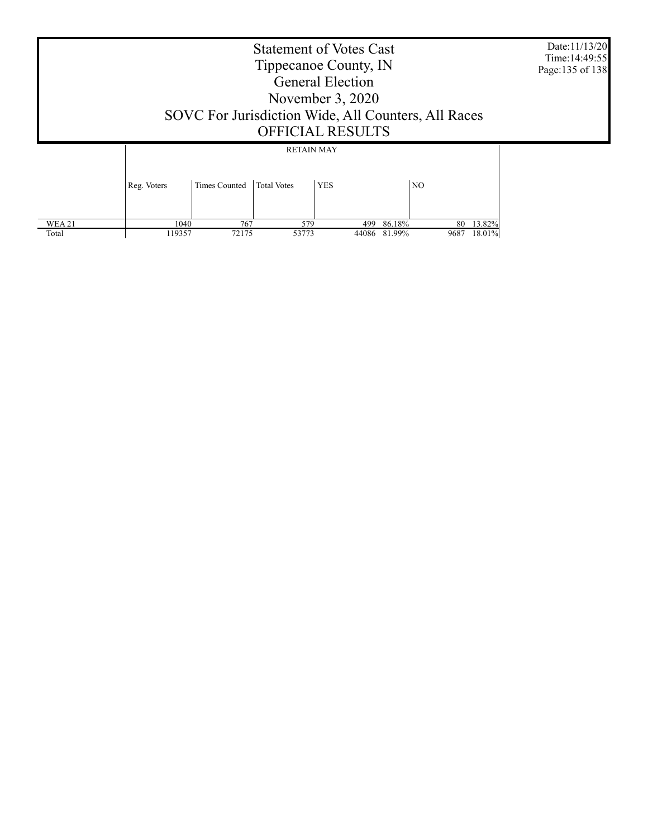|                        | <b>Statement of Votes Cast</b><br>Tippecanoe County, IN<br><b>General Election</b><br>November $3, 2020$<br>SOVC For Jurisdiction Wide, All Counters, All Races<br><b>OFFICIAL RESULTS</b> |               |                                                       |              |                  |            |                  | Date:11/13/20<br>Time: 14:49:55<br>Page: 135 of 138 |
|------------------------|--------------------------------------------------------------------------------------------------------------------------------------------------------------------------------------------|---------------|-------------------------------------------------------|--------------|------------------|------------|------------------|-----------------------------------------------------|
|                        | Reg. Voters                                                                                                                                                                                | Times Counted | <b>RETAIN MAY</b><br><b>YES</b><br><b>Total Votes</b> |              | N <sub>O</sub>   |            |                  |                                                     |
| <b>WEA 21</b><br>Total | 1040<br>119357                                                                                                                                                                             | 767<br>72175  | 579<br>53773                                          | 499<br>44086 | 86.18%<br>81.99% | 80<br>9687 | 13.82%<br>18.01% |                                                     |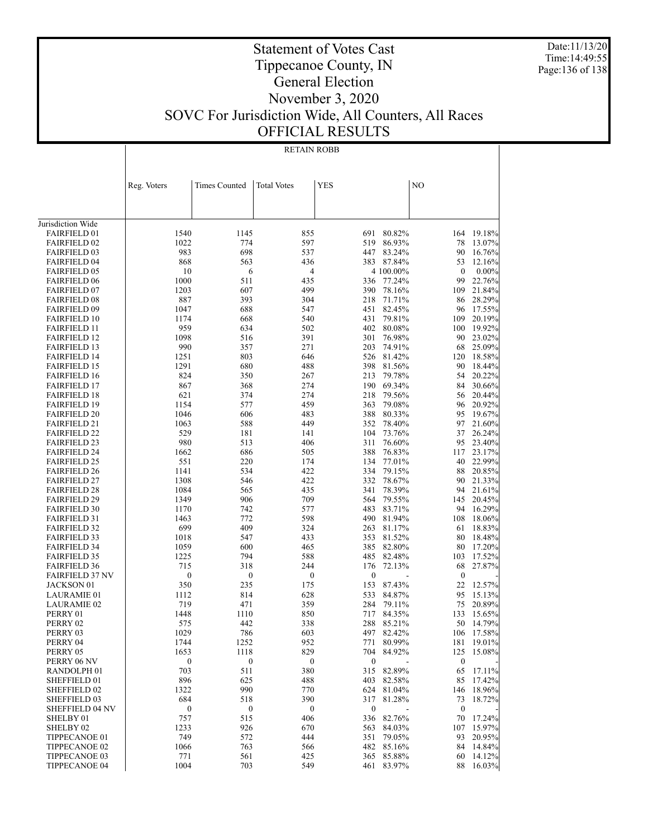Date:11/13/20 Time:14:49:55 Page:136 of 138

 $\overline{\phantom{a}}$ 

| RETAIN ROBB |  |
|-------------|--|

|                                            | Reg. Voters      | <b>Times Counted</b>    | <b>Total Votes</b> | <b>YES</b>       |                  | NO                     |                  |
|--------------------------------------------|------------------|-------------------------|--------------------|------------------|------------------|------------------------|------------------|
|                                            |                  |                         |                    |                  |                  |                        |                  |
| Jurisdiction Wide                          |                  |                         |                    |                  |                  |                        |                  |
| <b>FAIRFIELD 01</b>                        | 1540             | 1145                    | 855                | 691              | 80.82%           |                        | 164 19.18%       |
| <b>FAIRFIELD 02</b>                        | 1022             | 774                     | 597                | 519              | 86.93%           | 78                     | 13.07%           |
| <b>FAIRFIELD 03</b>                        | 983              | 698                     | 537                | 447              | 83.24%           | 90                     | 16.76%           |
| <b>FAIRFIELD 04</b>                        | 868              | 563                     | 436                | 383              | 87.84%           | 53                     | 12.16%           |
| <b>FAIRFIELD 05</b>                        | 10               | 6                       | 4                  |                  | 4 100.00%        | $\boldsymbol{0}$       | $0.00\%$         |
| <b>FAIRFIELD 06</b>                        | 1000             | 511                     | 435                |                  | 336 77.24%       | 99                     | 22.76%           |
| <b>FAIRFIELD 07</b>                        | 1203             | 607                     | 499                | 390              | 78.16%           | 109                    | 21.84%           |
| <b>FAIRFIELD 08</b>                        | 887              | 393                     | 304                | 218              | 71.71%           | 86                     | 28.29%           |
| <b>FAIRFIELD 09</b>                        | 1047             | 688                     | 547                | 451              | 82.45%           | 96                     | 17.55%           |
| <b>FAIRFIELD 10</b>                        | 1174             | 668                     | 540                | 431              | 79.81%           | 109                    | 20.19%           |
| <b>FAIRFIELD 11</b>                        | 959              | 634                     | 502                | 402              | 80.08%           | 100                    | 19.92%           |
| <b>FAIRFIELD 12</b>                        | 1098             | 516                     | 391                | 301              | 76.98%           | 90                     | 23.02%           |
| <b>FAIRFIELD 13</b>                        | 990              | 357                     | 271                | 203              | 74.91%           | 68                     | 25.09%           |
| <b>FAIRFIELD 14</b>                        | 1251             | 803                     | 646                | 526              | 81.42%           | 120                    | 18.58%           |
| <b>FAIRFIELD 15</b>                        | 1291             | 680                     | 488                | 398              | 81.56%           | 90                     | 18.44%           |
| <b>FAIRFIELD 16</b>                        | 824              | 350                     | 267                | 213              | 79.78%           | 54                     | 20.22%           |
| <b>FAIRFIELD 17</b>                        | 867              | 368                     | 274                | 190              | 69.34%           | 84                     | 30.66%           |
| <b>FAIRFIELD 18</b>                        | 621              | 374                     | 274                | 218              | 79.56%           | 56                     | 20.44%           |
| <b>FAIRFIELD 19</b>                        | 1154             | 577                     | 459                | 363              | 79.08%           | 96                     | 20.92%           |
| <b>FAIRFIELD 20</b>                        | 1046             | 606                     | 483                | 388              | 80.33%           | 95                     | 19.67%           |
| <b>FAIRFIELD 21</b>                        | 1063             | 588                     | 449                | 352              | 78.40%           | 97                     | 21.60%           |
| <b>FAIRFIELD 22</b>                        | 529              | 181                     | 141                | 104              | 73.76%<br>76.60% | 37                     | 26.24%<br>23.40% |
| <b>FAIRFIELD 23</b>                        | 980<br>1662      | 513<br>686              | 406                | 311<br>388       | 76.83%           | 95                     | 23.17%           |
| <b>FAIRFIELD 24</b><br><b>FAIRFIELD 25</b> | 551              | 220                     | 505<br>174         | 134              | 77.01%           | 117<br>40              | 22.99%           |
| <b>FAIRFIELD 26</b>                        | 1141             | 534                     | 422                | 334              | 79.15%           | 88                     | 20.85%           |
| <b>FAIRFIELD 27</b>                        | 1308             | 546                     | 422                | 332              | 78.67%           | 90                     | 21.33%           |
| <b>FAIRFIELD 28</b>                        | 1084             | 565                     | 435                | 341              | 78.39%           | 94                     | 21.61%           |
| <b>FAIRFIELD 29</b>                        | 1349             | 906                     | 709                | 564              | 79.55%           | 145                    | 20.45%           |
| <b>FAIRFIELD 30</b>                        | 1170             | 742                     | 577                | 483              | 83.71%           | 94                     | 16.29%           |
| <b>FAIRFIELD 31</b>                        | 1463             | 772                     | 598                | 490              | 81.94%           | 108                    | 18.06%           |
| <b>FAIRFIELD 32</b>                        | 699              | 409                     | 324                | 263              | 81.17%           | 61                     | 18.83%           |
| <b>FAIRFIELD 33</b>                        | 1018             | 547                     | 433                | 353              | 81.52%           | 80                     | 18.48%           |
| <b>FAIRFIELD 34</b>                        | 1059             | 600                     | 465                | 385              | 82.80%           | 80                     | 17.20%           |
| <b>FAIRFIELD 35</b>                        | 1225             | 794                     | 588                | 485              | 82.48%           | 103                    | 17.52%           |
| <b>FAIRFIELD 36</b>                        | 715              | 318                     | 244                | 176              | 72.13%           | 68                     | 27.87%           |
| <b>FAIRFIELD 37 NV</b>                     | $\boldsymbol{0}$ | $\boldsymbol{0}$        | $\boldsymbol{0}$   | $\boldsymbol{0}$ |                  | $\boldsymbol{0}$       |                  |
| JACKSON 01                                 | 350              | 235                     | 175                | 153              | 87.43%           | 22                     | 12.57%           |
| <b>LAURAMIE 01</b>                         | 1112             | 814                     | 628                | 533              | 84.87%           | 95                     | 15.13%           |
| <b>LAURAMIE 02</b>                         | 719              | 471                     | 359                | 284              | 79.11%           | 75                     | 20.89%           |
| PERRY 01                                   | 1448             | 1110                    | 850                | 717              | 84.35%           | 133                    | 15.65%           |
| PERRY 02                                   | 575              | 442                     | 338                | 288              | 85.21%           | 50                     | 14.79%           |
| PERRY 03                                   | 1029             | 786                     | 603                |                  | 497 82.42%       |                        | 106 17.58%       |
| PERRY 04                                   | 1744             | 1252                    | 952                |                  | 771 80.99%       |                        | 181 19.01%       |
| PERRY 05                                   | 1653             | 1118                    | 829                | 704              | 84.92%           | 125                    | 15.08%           |
| PERRY 06 NV                                | $\boldsymbol{0}$ | $\boldsymbol{0}$<br>511 | $\boldsymbol{0}$   | $\boldsymbol{0}$ | 315 82.89%       | $\boldsymbol{0}$<br>65 | 17.11%           |
| RANDOLPH 01<br>SHEFFIELD 01                | 703<br>896       | 625                     | 380<br>488         | 403              | 82.58%           | 85                     | 17.42%           |
| SHEFFIELD 02                               | 1322             | 990                     | 770                |                  | 624 81.04%       |                        | 146 18.96%       |
| SHEFFIELD 03                               | 684              | 518                     | 390                | 317              | 81.28%           | 73                     | 18.72%           |
| <b>SHEFFIELD 04 NV</b>                     | $\boldsymbol{0}$ | $\boldsymbol{0}$        | $\boldsymbol{0}$   | $\boldsymbol{0}$ |                  | $\boldsymbol{0}$       |                  |
| SHELBY 01                                  | 757              | 515                     | 406                | 336              | 82.76%           | 70                     | 17.24%           |
| SHELBY <sub>02</sub>                       | 1233             | 926                     | 670                | 563              | 84.03%           | 107                    | 15.97%           |
| TIPPECANOE 01                              | 749              | 572                     | 444                | 351              | 79.05%           |                        | 93 20.95%        |
| TIPPECANOE 02                              | 1066             | 763                     | 566                |                  | 482 85.16%       |                        | 84 14.84%        |
| TIPPECANOE 03                              | 771              | 561                     | 425                |                  | 365 85.88%       | 60                     | 14.12%           |
| TIPPECANOE 04                              | 1004             | 703                     | 549                | 461              | 83.97%           | 88                     | 16.03%           |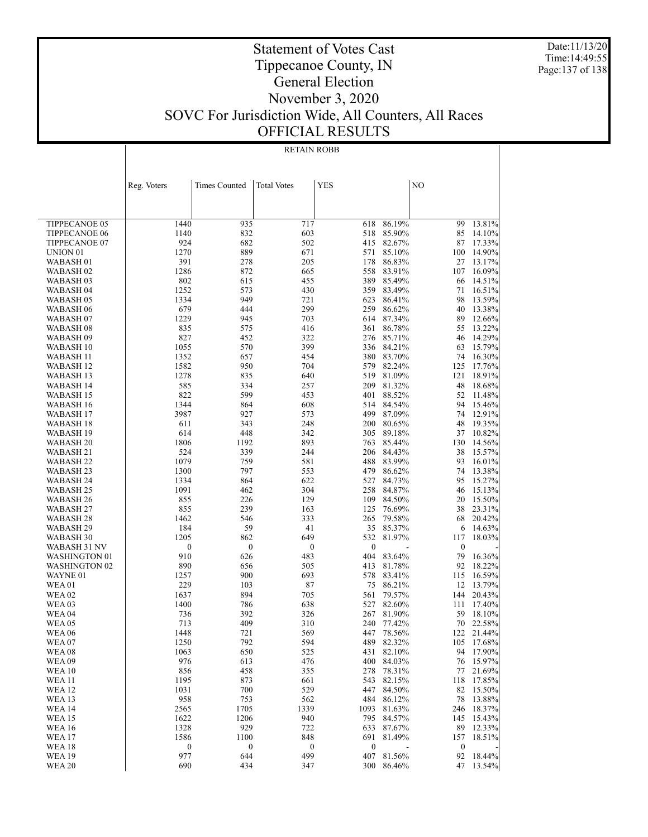Date:11/13/20 Time:14:49:55 Page:137 of 138

| RETAIN ROBB |  |
|-------------|--|
|             |  |

|                                             | Reg. Voters      | Times Counted    | <b>Total Votes</b> | <b>YES</b>       |                  | N <sub>O</sub>   |                  |
|---------------------------------------------|------------------|------------------|--------------------|------------------|------------------|------------------|------------------|
|                                             |                  |                  |                    |                  |                  |                  |                  |
|                                             |                  |                  |                    |                  |                  |                  |                  |
| <b>TIPPECANOE 05</b>                        | 1440             | 935              | 717                | 618              | 86.19%           | 99               | 13.81%           |
| <b>TIPPECANOE 06</b>                        | 1140             | 832              | 603                | 518              | 85.90%           | 85               | 14.10%           |
| TIPPECANOE 07                               | 924              | 682              | 502                | 415              | 82.67%           | 87               | 17.33%           |
| UNION <sub>01</sub><br>WABASH <sub>01</sub> | 1270<br>391      | 889<br>278       | 671<br>205         | 571<br>178       | 85.10%<br>86.83% | 100<br>27        | 14.90%<br>13.17% |
| WABASH <sub>02</sub>                        | 1286             | 872              | 665                | 558              | 83.91%           | 107              | 16.09%           |
| WABASH <sub>03</sub>                        | 802              | 615              | 455                | 389              | 85.49%           | 66               | 14.51%           |
| WABASH 04                                   | 1252             | 573              | 430                | 359              | 83.49%           | 71               | 16.51%           |
| WABASH <sub>05</sub>                        | 1334             | 949              | 721                | 623              | 86.41%           | 98               | 13.59%           |
| WABASH 06                                   | 679              | 444              | 299                | 259              | 86.62%           | 40               | 13.38%           |
| WABASH <sub>07</sub>                        | 1229             | 945              | 703                | 614              | 87.34%           | 89               | 12.66%           |
| WABASH 08                                   | 835              | 575              | 416                | 361              | 86.78%           | 55               | 13.22%           |
| WABASH 09                                   | 827<br>1055      | 452<br>570       | 322<br>399         | 276<br>336       | 85.71%<br>84.21% | 46<br>63         | 14.29%<br>15.79% |
| WABASH 10<br>WABASH 11                      | 1352             | 657              | 454                | 380              | 83.70%           | 74               | 16.30%           |
| WABASH 12                                   | 1582             | 950              | 704                | 579              | 82.24%           | 125              | 17.76%           |
| WABASH 13                                   | 1278             | 835              | 640                | 519              | 81.09%           | 121              | 18.91%           |
| WABASH 14                                   | 585              | 334              | 257                | 209              | 81.32%           | 48               | 18.68%           |
| WABASH 15                                   | 822              | 599              | 453                | 401              | 88.52%           | 52               | 11.48%           |
| WABASH 16                                   | 1344             | 864              | 608                | 514              | 84.54%           | 94               | 15.46%           |
| WABASH 17                                   | 3987             | 927              | 573                | 499              | 87.09%           | 74               | 12.91%           |
| WABASH 18                                   | 611              | 343              | 248                | 200              | 80.65%           | 48               | 19.35%           |
| WABASH 19                                   | 614              | 448              | 342                | 305              | 89.18%           | 37               | 10.82%           |
| WABASH 20<br>WABASH 21                      | 1806<br>524      | 1192<br>339      | 893<br>244         | 763<br>206       | 85.44%<br>84.43% | 130<br>38        | 14.56%<br>15.57% |
| WABASH <sub>22</sub>                        | 1079             | 759              | 581                | 488              | 83.99%           | 93               | 16.01%           |
| WABASH <sub>23</sub>                        | 1300             | 797              | 553                | 479              | 86.62%           | 74               | 13.38%           |
| WABASH 24                                   | 1334             | 864              | 622                | 527              | 84.73%           | 95               | 15.27%           |
| WABASH <sub>25</sub>                        | 1091             | 462              | 304                | 258              | 84.87%           | 46               | 15.13%           |
| WABASH <sub>26</sub>                        | 855              | 226              | 129                | 109              | 84.50%           | 20               | 15.50%           |
| WABASH 27                                   | 855              | 239              | 163                | 125              | 76.69%           | 38               | 23.31%           |
| WABASH 28<br>WABASH 29                      | 1462<br>184      | 546<br>59        | 333<br>41          | 265<br>35        | 79.58%<br>85.37% | 68<br>6          | 20.42%<br>14.63% |
| WABASH 30                                   | 1205             | 862              | 649                | 532              | 81.97%           | 117              | 18.03%           |
| WABASH 31 NV                                | $\boldsymbol{0}$ | $\boldsymbol{0}$ | $\boldsymbol{0}$   | $\boldsymbol{0}$ |                  | $\boldsymbol{0}$ |                  |
| <b>WASHINGTON 01</b>                        | 910              | 626              | 483                | 404              | 83.64%           | 79               | 16.36%           |
| <b>WASHINGTON 02</b>                        | 890              | 656              | 505                | 413              | 81.78%           | 92               | 18.22%           |
| WAYNE 01                                    | 1257             | 900              | 693                | 578              | 83.41%           | 115              | 16.59%           |
| <b>WEA01</b>                                | 229              | 103              | 87                 | 75               | 86.21%           | 12               | 13.79%           |
| <b>WEA 02</b>                               | 1637             | 894              | 705                | 561              | 79.57%           | 144              | 20.43%           |
| WEA <sub>03</sub><br><b>WEA 04</b>          | 1400<br>736      | 786<br>392       | 638<br>326         | 527<br>267       | 82.60%<br>81.90% | 111<br>59        | 17.40%<br>18.10% |
| <b>WEA 05</b>                               | 713              | 409              | 310                | 240              | 77.42%           | 70               | 22.58%           |
| <b>WEA06</b>                                | 1448             | 721              | 569                | 447              | 78.56%           | 122              | 21.44%           |
| WEA07                                       | 1250             | 792              | 594                |                  | 489 82.32%       | 105              | 17.68%           |
| <b>WEA08</b>                                | 1063             | 650              | 525                | 431              | 82.10%           | 94               | 17.90%           |
| <b>WEA09</b>                                | 976              | 613              | 476                | 400              | 84.03%           | 76               | 15.97%           |
| <b>WEA 10</b>                               | 856              | 458              | 355                | 278              | 78.31%           | 77               | 21.69%           |
| <b>WEA 11</b>                               | 1195             | 873              | 661                | 543              | 82.15%           | 118              | 17.85%           |
| <b>WEA12</b>                                | 1031             | 700              | 529<br>562         | 447<br>484       | 84.50%<br>86.12% | 82               | 15.50%<br>13.88% |
| <b>WEA 13</b><br><b>WEA 14</b>              | 958<br>2565      | 753<br>1705      | 1339               | 1093             | 81.63%           | 78<br>246        | 18.37%           |
| <b>WEA15</b>                                | 1622             | 1206             | 940                | 795              | 84.57%           | 145              | 15.43%           |
| <b>WEA16</b>                                | 1328             | 929              | 722                | 633              | 87.67%           | 89               | 12.33%           |
| <b>WEA 17</b>                               | 1586             | 1100             | 848                | 691              | 81.49%           | 157              | 18.51%           |
| <b>WEA 18</b>                               | $\boldsymbol{0}$ | $\boldsymbol{0}$ | $\boldsymbol{0}$   | $\boldsymbol{0}$ | $\overline{a}$   | $\boldsymbol{0}$ |                  |
| <b>WEA 19</b>                               | 977              | 644              | 499                | 407              | 81.56%           | 92               | 18.44%           |
| <b>WEA 20</b>                               | 690              | 434              | 347                |                  | 300 86.46%       | 47               | 13.54%           |